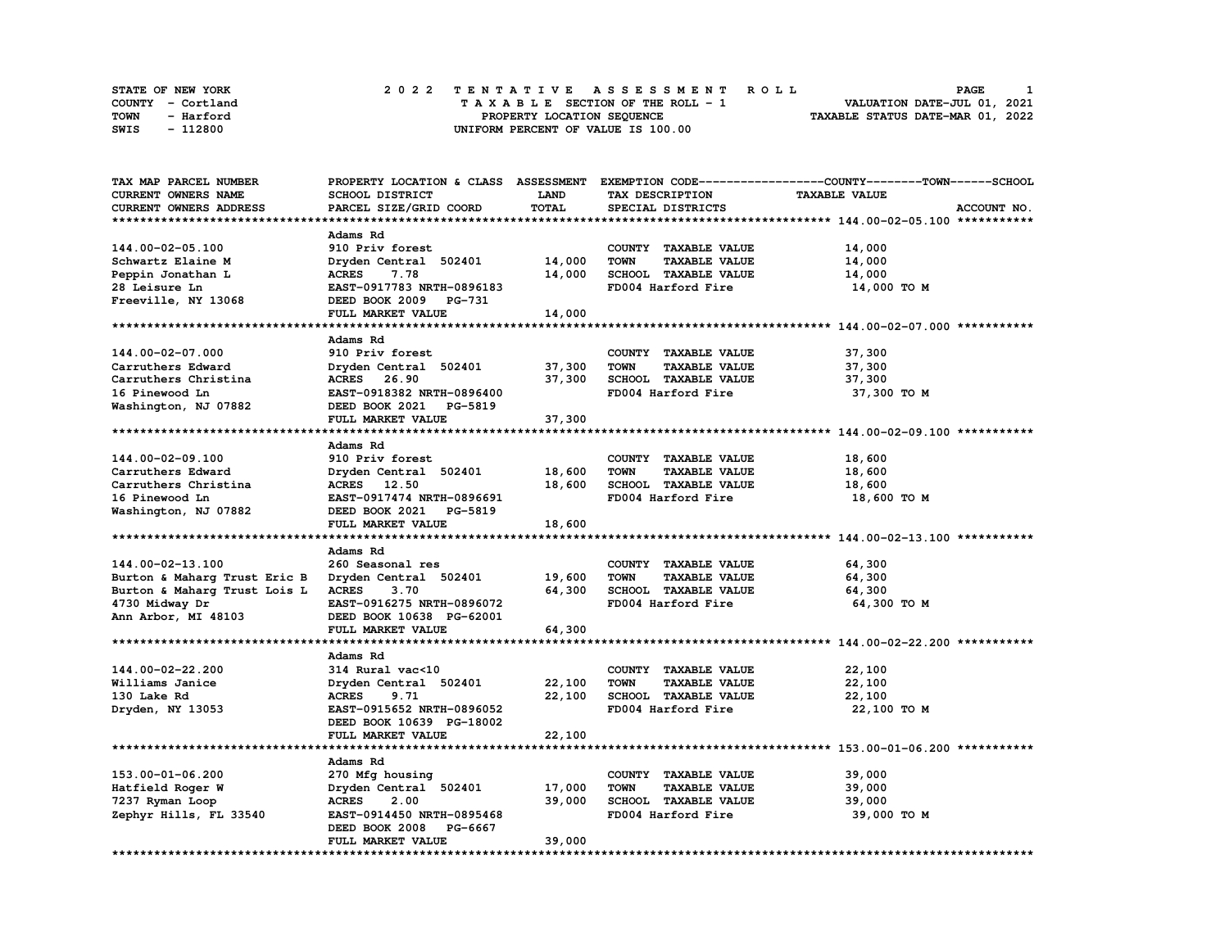| <b>STATE OF NEW YORK</b> | 2022 TENTATIVE ASSESSMENT ROLL     | PAGE                             |
|--------------------------|------------------------------------|----------------------------------|
| COUNTY - Cortland        | TAXABLE SECTION OF THE ROLL - 1    | VALUATION DATE-JUL 01, 2021      |
| TOWN<br>- Harford        | PROPERTY LOCATION SEQUENCE         | TAXABLE STATUS DATE-MAR 01, 2022 |
| - 112800<br>SWIS         | UNIFORM PERCENT OF VALUE IS 100.00 |                                  |

| TAX MAP PARCEL NUMBER        |                           |             |                                     | PROPERTY LOCATION & CLASS ASSESSMENT EXEMPTION CODE-----------------COUNTY-------TOWN-----SCHOOL |
|------------------------------|---------------------------|-------------|-------------------------------------|--------------------------------------------------------------------------------------------------|
| CURRENT OWNERS NAME          | SCHOOL DISTRICT           | <b>LAND</b> | TAX DESCRIPTION                     | <b>TAXABLE VALUE</b>                                                                             |
| CURRENT OWNERS ADDRESS       | PARCEL SIZE/GRID COORD    | TOTAL       | SPECIAL DISTRICTS                   | ACCOUNT NO.                                                                                      |
|                              |                           |             |                                     |                                                                                                  |
|                              | Adams Rd                  |             |                                     |                                                                                                  |
| 144.00-02-05.100             | 910 Priv forest           |             | COUNTY TAXABLE VALUE                | 14,000                                                                                           |
| Schwartz Elaine M            | Dryden Central 502401     | 14,000      | <b>TOWN</b><br><b>TAXABLE VALUE</b> | 14,000                                                                                           |
|                              | 7.78                      | 14,000      | <b>SCHOOL TAXABLE VALUE</b>         | 14,000                                                                                           |
| Peppin Jonathan L            | <b>ACRES</b>              |             |                                     |                                                                                                  |
| 28 Leisure Ln                | EAST-0917783 NRTH-0896183 |             | FD004 Harford Fire                  | 14,000 TO M                                                                                      |
| Freeville, NY 13068          | DEED BOOK 2009 PG-731     |             |                                     |                                                                                                  |
|                              | FULL MARKET VALUE         | 14,000      |                                     |                                                                                                  |
|                              |                           |             |                                     |                                                                                                  |
|                              | Adams Rd                  |             |                                     |                                                                                                  |
| 144.00-02-07.000             | 910 Priv forest           |             | COUNTY TAXABLE VALUE                | 37,300                                                                                           |
| Carruthers Edward            | Dryden Central 502401     | 37,300      | <b>TOWN</b><br><b>TAXABLE VALUE</b> | 37,300                                                                                           |
| Carruthers Christina         | ACRES 26.90               | 37,300      | <b>SCHOOL TAXABLE VALUE</b>         | 37,300                                                                                           |
| 16 Pinewood Ln               | EAST-0918382 NRTH-0896400 |             | FD004 Harford Fire                  | 37,300 TO M                                                                                      |
| Washington, NJ 07882         | DEED BOOK 2021 PG-5819    |             |                                     |                                                                                                  |
|                              | FULL MARKET VALUE         | 37,300      |                                     |                                                                                                  |
|                              |                           |             |                                     |                                                                                                  |
|                              | Adams Rd                  |             |                                     |                                                                                                  |
| 144.00-02-09.100             | 910 Priv forest           |             | COUNTY TAXABLE VALUE                | 18,600                                                                                           |
| Carruthers Edward            | Dryden Central 502401     | 18,600      | <b>TOWN</b><br><b>TAXABLE VALUE</b> | 18,600                                                                                           |
| Carruthers Christina         | ACRES 12.50               | 18,600      | SCHOOL TAXABLE VALUE                | 18,600                                                                                           |
|                              |                           |             |                                     |                                                                                                  |
| 16 Pinewood Ln               | EAST-0917474 NRTH-0896691 |             | FD004 Harford Fire                  | 18,600 TO M                                                                                      |
| Washington, NJ 07882         | DEED BOOK 2021 PG-5819    |             |                                     |                                                                                                  |
|                              | FULL MARKET VALUE         | 18,600      |                                     |                                                                                                  |
|                              |                           |             |                                     |                                                                                                  |
|                              | Adams Rd                  |             |                                     |                                                                                                  |
| 144.00-02-13.100             | 260 Seasonal res          |             | COUNTY TAXABLE VALUE                | 64,300                                                                                           |
| Burton & Maharg Trust Eric B | Dryden Central 502401     | 19,600      | <b>TOWN</b><br><b>TAXABLE VALUE</b> | 64,300                                                                                           |
| Burton & Maharg Trust Lois L | <b>ACRES</b><br>3.70      | 64,300      | SCHOOL TAXABLE VALUE                | 64,300                                                                                           |
| 4730 Midway Dr               | EAST-0916275 NRTH-0896072 |             | FD004 Harford Fire                  | 64,300 TO M                                                                                      |
| Ann Arbor, MI 48103          | DEED BOOK 10638 PG-62001  |             |                                     |                                                                                                  |
|                              | FULL MARKET VALUE         | 64,300      |                                     |                                                                                                  |
|                              |                           | *********** |                                     | ******************************** 144.00-02-22.200 ***********                                    |
|                              | Adams Rd                  |             |                                     |                                                                                                  |
| 144.00-02-22.200             | 314 Rural vac<10          |             | COUNTY TAXABLE VALUE                | 22,100                                                                                           |
| Williams Janice              | Dryden Central 502401     | 22,100      | <b>TAXABLE VALUE</b><br><b>TOWN</b> | 22,100                                                                                           |
| 130 Lake Rd                  | <b>ACRES</b><br>9.71      | 22.100      | SCHOOL TAXABLE VALUE                | 22,100                                                                                           |
| Dryden, NY 13053             | EAST-0915652 NRTH-0896052 |             | FD004 Harford Fire                  | 22,100 TO M                                                                                      |
|                              | DEED BOOK 10639 PG-18002  |             |                                     |                                                                                                  |
|                              |                           |             |                                     |                                                                                                  |
|                              | FULL MARKET VALUE         | 22,100      |                                     |                                                                                                  |
|                              |                           |             |                                     |                                                                                                  |
|                              | Adams Rd                  |             |                                     |                                                                                                  |
| 153.00-01-06.200             | 270 Mfg housing           |             | COUNTY TAXABLE VALUE                | 39,000                                                                                           |
| Hatfield Roger W             | Dryden Central 502401     | 17,000      | <b>TOWN</b><br><b>TAXABLE VALUE</b> | 39,000                                                                                           |
| 7237 Ryman Loop              | <b>ACRES</b><br>2.00      | 39,000      | SCHOOL TAXABLE VALUE                | 39,000                                                                                           |
| Zephyr Hills, FL 33540       | EAST-0914450 NRTH-0895468 |             | FD004 Harford Fire                  | 39,000 TO M                                                                                      |
|                              | DEED BOOK 2008<br>PG-6667 |             |                                     |                                                                                                  |
|                              | FULL MARKET VALUE         | 39,000      |                                     |                                                                                                  |
|                              |                           |             |                                     |                                                                                                  |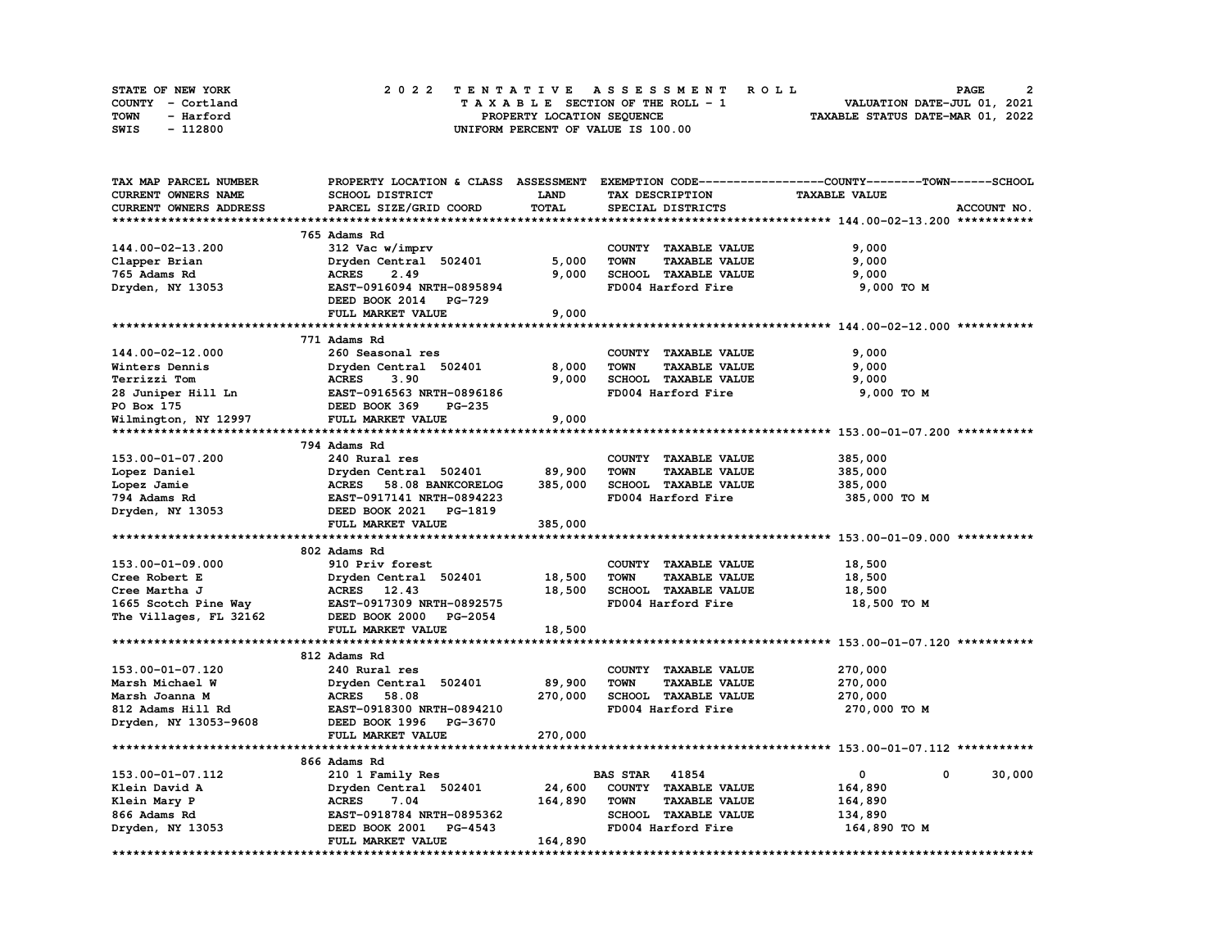| <b>STATE OF NEW YORK</b> | 2022 TENTATIVE ASSESSMENT ROLL          | PAGE                             |
|--------------------------|-----------------------------------------|----------------------------------|
| COUNTY - Cortland        | $T A X A B L E$ SECTION OF THE ROLL - 1 | VALUATION DATE-JUL 01, 2021      |
| TOWN<br>- Harford        | PROPERTY LOCATION SEQUENCE              | TAXABLE STATUS DATE-MAR 01, 2022 |
| - 112800<br>SWIS         | UNIFORM PERCENT OF VALUE IS 100.00      |                                  |

| TAX MAP PARCEL NUMBER                           |                                                         |             |                                     | PROPERTY LOCATION & CLASS ASSESSMENT EXEMPTION CODE-----------------COUNTY-------TOWN-----SCHOOL |
|-------------------------------------------------|---------------------------------------------------------|-------------|-------------------------------------|--------------------------------------------------------------------------------------------------|
| CURRENT OWNERS NAME                             | SCHOOL DISTRICT                                         | <b>LAND</b> | TAX DESCRIPTION                     | <b>TAXABLE VALUE</b>                                                                             |
| CURRENT OWNERS ADDRESS                          | PARCEL SIZE/GRID COORD                                  | TOTAL       | SPECIAL DISTRICTS                   | ACCOUNT NO.                                                                                      |
|                                                 |                                                         |             |                                     |                                                                                                  |
|                                                 | 765 Adams Rd                                            |             |                                     |                                                                                                  |
| 144.00-02-13.200                                | 312 Vac w/imprv                                         |             | COUNTY TAXABLE VALUE                | 9,000                                                                                            |
| Clapper Brian                                   | Dryden Central 502401                                   | 5,000       | <b>TOWN</b><br><b>TAXABLE VALUE</b> | 9,000                                                                                            |
| 765 Adams Rd                                    | <b>ACRES</b><br>2.49                                    | 9,000       | SCHOOL TAXABLE VALUE                | 9,000                                                                                            |
| Dryden, NY 13053                                | EAST-0916094 NRTH-0895894                               |             | FD004 Harford Fire                  | 9,000 TO M                                                                                       |
|                                                 | DEED BOOK 2014 PG-729                                   |             |                                     |                                                                                                  |
|                                                 |                                                         |             |                                     |                                                                                                  |
|                                                 | FULL MARKET VALUE                                       | 9,000       |                                     |                                                                                                  |
|                                                 |                                                         |             |                                     |                                                                                                  |
|                                                 | 771 Adams Rd                                            |             |                                     |                                                                                                  |
| 144.00-02-12.000                                | 260 Seasonal res                                        |             | COUNTY TAXABLE VALUE                | 9,000                                                                                            |
| Winters Dennis                                  | Dryden Central 502401                                   | 8,000       | <b>TOWN</b><br><b>TAXABLE VALUE</b> | 9,000                                                                                            |
| Terrizzi Tom                                    | <b>ACRES        3.90<br/>EAST-0916563  NRTH-0896186</b> | 9,000       | SCHOOL TAXABLE VALUE                | 9,000                                                                                            |
| 28 Juniper Hill Ln                              |                                                         |             | FD004 Harford Fire                  | 9,000 TO M                                                                                       |
| PO Box 175                                      | DEED BOOK 369<br>PG-235                                 |             |                                     |                                                                                                  |
| Wilmington, NY 12997                            | <b>FULL MARKET VALUE</b>                                | 9,000       |                                     |                                                                                                  |
|                                                 |                                                         |             |                                     |                                                                                                  |
|                                                 | 794 Adams Rd                                            |             |                                     |                                                                                                  |
| 153.00-01-07.200                                | 240 Rural res                                           |             | COUNTY TAXABLE VALUE                | 385,000                                                                                          |
| Lopez Daniel                                    | Dryden Central 502401                                   | 89,900      | <b>TOWN</b><br><b>TAXABLE VALUE</b> | 385,000                                                                                          |
| Lopez Jamie                                     | ACRES 58.08 BANKCORELOG                                 | 385,000     | SCHOOL TAXABLE VALUE                | 385,000                                                                                          |
| nopez camie<br>794 Adams Rd<br>Dryden, NY 13053 | EAST-0917141 NRTH-0894223                               |             | FD004 Harford Fire                  | 385,000 TO M                                                                                     |
|                                                 | DEED BOOK 2021 PG-1819                                  |             |                                     |                                                                                                  |
|                                                 | FULL MARKET VALUE                                       | 385,000     |                                     |                                                                                                  |
|                                                 |                                                         |             |                                     |                                                                                                  |
|                                                 | 802 Adams Rd                                            |             |                                     |                                                                                                  |
| 153.00-01-09.000                                | 910 Priv forest                                         |             | COUNTY TAXABLE VALUE                | 18,500                                                                                           |
|                                                 |                                                         | 18,500      | <b>TOWN</b><br><b>TAXABLE VALUE</b> |                                                                                                  |
| Cree Robert E                                   | Dryden Central 502401                                   |             |                                     | 18,500                                                                                           |
| Cree Martha J                                   | ACRES 12.43                                             | 18,500      | SCHOOL TAXABLE VALUE                | 18,500                                                                                           |
| 1665 Scotch Pine Way                            | EAST-0917309 NRTH-0892575                               |             | FD004 Harford Fire                  | 18,500 TO M                                                                                      |
| The Villages, FL 32162                          | DEED BOOK 2000 PG-2054                                  |             |                                     |                                                                                                  |
|                                                 | FULL MARKET VALUE                                       | 18,500      |                                     |                                                                                                  |
|                                                 |                                                         |             |                                     |                                                                                                  |
|                                                 | 812 Adams Rd                                            |             |                                     |                                                                                                  |
| 153.00-01-07.120                                | 240 Rural res                                           |             | COUNTY TAXABLE VALUE                | 270,000                                                                                          |
| Marsh Michael W                                 | Dryden Central 502401                                   | 89,900      | <b>TOWN</b><br><b>TAXABLE VALUE</b> | 270,000                                                                                          |
| Marsh Joanna M                                  | <b>ACRES</b> 58.08                                      | 270,000     | SCHOOL TAXABLE VALUE                | 270,000                                                                                          |
| 812 Adams Hill Rd                               | EAST-0918300 NRTH-0894210                               |             | FD004 Harford Fire                  | 270,000 то м                                                                                     |
| Dryden, NY 13053-9608                           | DEED BOOK 1996 PG-3670                                  |             |                                     |                                                                                                  |
|                                                 | FULL MARKET VALUE                                       | 270,000     |                                     |                                                                                                  |
|                                                 |                                                         |             |                                     |                                                                                                  |
|                                                 | 866 Adams Rd                                            |             |                                     |                                                                                                  |
| 153.00-01-07.112                                | 210 1 Family Res                                        |             | <b>BAS STAR 41854</b>               | 0<br>0<br>30,000                                                                                 |
| Klein David A                                   | Dryden Central 502401                                   | 24,600      | COUNTY TAXABLE VALUE                | 164,890                                                                                          |
| Klein Mary P                                    | <b>ACRES</b><br>7.04                                    | 164,890     | <b>TOWN</b><br><b>TAXABLE VALUE</b> | 164,890                                                                                          |
| 866 Adams Rd                                    | EAST-0918784 NRTH-0895362                               |             | SCHOOL TAXABLE VALUE                | 134,890                                                                                          |
| Dryden, NY 13053                                | DEED BOOK 2001<br><b>PG-4543</b>                        |             | FD004 Harford Fire                  | 164,890 то м                                                                                     |
|                                                 | FULL MARKET VALUE                                       | 164,890     |                                     |                                                                                                  |
|                                                 |                                                         |             |                                     |                                                                                                  |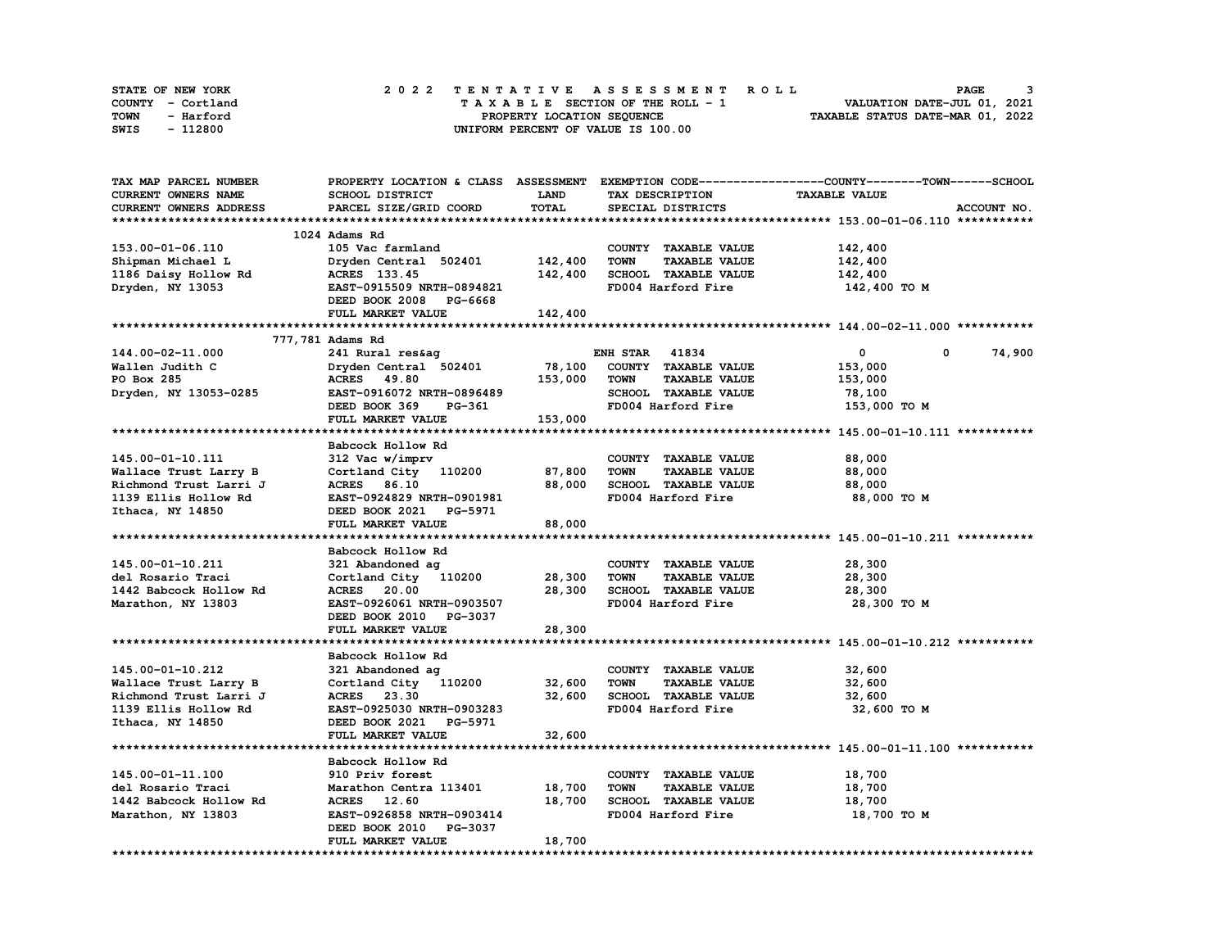| STATE OF NEW YORK | 2022 TENTATIVE ASSESSMENT ROLL          | <b>PAGE</b>                      |
|-------------------|-----------------------------------------|----------------------------------|
| COUNTY - Cortland | $T A X A B L E$ SECTION OF THE ROLL - 1 | VALUATION DATE-JUL 01, 2021      |
| TOWN<br>- Harford | PROPERTY LOCATION SEQUENCE              | TAXABLE STATUS DATE-MAR 01, 2022 |
| - 112800<br>SWIS  | UNIFORM PERCENT OF VALUE IS 100.00      |                                  |

| TAX MAP PARCEL NUMBER  |                           |             |                                     | PROPERTY LOCATION & CLASS ASSESSMENT EXEMPTION CODE-----------------COUNTY-------TOWN------SCHOOL |
|------------------------|---------------------------|-------------|-------------------------------------|---------------------------------------------------------------------------------------------------|
| CURRENT OWNERS NAME    | SCHOOL DISTRICT           | <b>LAND</b> | TAX DESCRIPTION                     | <b>TAXABLE VALUE</b>                                                                              |
| CURRENT OWNERS ADDRESS | PARCEL SIZE/GRID COORD    | TOTAL       | SPECIAL DISTRICTS                   | ACCOUNT NO.                                                                                       |
|                        |                           |             |                                     |                                                                                                   |
|                        | 1024 Adams Rd             |             |                                     |                                                                                                   |
| 153.00-01-06.110       | 105 Vac farmland          |             | COUNTY TAXABLE VALUE                | 142,400                                                                                           |
| Shipman Michael L      | Dryden Central 502401     | 142,400     | <b>TOWN</b><br><b>TAXABLE VALUE</b> | 142,400                                                                                           |
| 1186 Daisy Hollow Rd   | ACRES 133.45              | 142,400     | SCHOOL TAXABLE VALUE                | 142,400                                                                                           |
| Dryden, NY 13053       | EAST-0915509 NRTH-0894821 |             | FD004 Harford Fire                  | 142,400 TO M                                                                                      |
|                        |                           |             |                                     |                                                                                                   |
|                        | DEED BOOK 2008 PG-6668    |             |                                     |                                                                                                   |
|                        | FULL MARKET VALUE         | 142,400     |                                     |                                                                                                   |
|                        |                           |             |                                     |                                                                                                   |
|                        | 777,781 Adams Rd          |             |                                     |                                                                                                   |
| 144.00-02-11.000       | 241 Rural res&ag          |             | <b>ENH STAR 41834</b>               | $\mathbf 0$<br>74,900<br>0                                                                        |
| Wallen Judith C        | Dryden Central 502401     | 78,100      | COUNTY TAXABLE VALUE                | 153,000                                                                                           |
| PO Box 285             | ACRES 49.80               | 153,000     | <b>TOWN</b><br><b>TAXABLE VALUE</b> | 153,000                                                                                           |
| Dryden, NY 13053-0285  | EAST-0916072 NRTH-0896489 |             | SCHOOL TAXABLE VALUE                | 78,100                                                                                            |
|                        | DEED BOOK 369<br>PG-361   |             | FD004 Harford Fire                  | 153,000 TO M                                                                                      |
|                        | FULL MARKET VALUE         | 153,000     |                                     |                                                                                                   |
|                        |                           |             |                                     |                                                                                                   |
|                        | Babcock Hollow Rd         |             |                                     |                                                                                                   |
| 145.00-01-10.111       | 312 Vac w/imprv           |             | COUNTY TAXABLE VALUE                | 88,000                                                                                            |
| Wallace Trust Larry B  | Cortland City 110200      | 87,800      | <b>TOWN</b><br><b>TAXABLE VALUE</b> | 88,000                                                                                            |
| Richmond Trust Larri J | ACRES 86.10               | 88,000      | SCHOOL TAXABLE VALUE                | 88,000                                                                                            |
| 1139 Ellis Hollow Rd   | EAST-0924829 NRTH-0901981 |             | FD004 Harford Fire                  | 88,000 TO M                                                                                       |
| Ithaca, NY 14850       | DEED BOOK 2021 PG-5971    |             |                                     |                                                                                                   |
|                        | FULL MARKET VALUE         | 88,000      |                                     |                                                                                                   |
|                        |                           |             |                                     |                                                                                                   |
|                        |                           |             |                                     |                                                                                                   |
|                        | Babcock Hollow Rd         |             |                                     |                                                                                                   |
| 145.00-01-10.211       | 321 Abandoned ag          |             | COUNTY TAXABLE VALUE                | 28,300                                                                                            |
| del Rosario Traci      | Cortland City 110200      | 28,300      | <b>TAXABLE VALUE</b><br><b>TOWN</b> | 28,300                                                                                            |
| 1442 Babcock Hollow Rd | <b>ACRES</b> 20.00        | 28,300      | SCHOOL TAXABLE VALUE                | 28,300                                                                                            |
| Marathon, NY 13803     | EAST-0926061 NRTH-0903507 |             | FD004 Harford Fire                  | 28,300 TO M                                                                                       |
|                        | DEED BOOK 2010 PG-3037    |             |                                     |                                                                                                   |
|                        | FULL MARKET VALUE         | 28,300      |                                     |                                                                                                   |
|                        |                           |             |                                     |                                                                                                   |
|                        | Babcock Hollow Rd         |             |                                     |                                                                                                   |
| 145.00-01-10.212       | 321 Abandoned ag          |             | COUNTY TAXABLE VALUE                | 32,600                                                                                            |
| Wallace Trust Larry B  | Cortland City 110200      | 32,600      | <b>TOWN</b><br><b>TAXABLE VALUE</b> | 32,600                                                                                            |
| Richmond Trust Larri J | ACRES 23.30               | 32,600      | SCHOOL TAXABLE VALUE                | 32,600                                                                                            |
| 1139 Ellis Hollow Rd   | EAST-0925030 NRTH-0903283 |             | FD004 Harford Fire                  | 32,600 TO M                                                                                       |
| Ithaca, NY 14850       | DEED BOOK 2021 PG-5971    |             |                                     |                                                                                                   |
|                        | FULL MARKET VALUE         | 32,600      |                                     |                                                                                                   |
|                        |                           |             |                                     |                                                                                                   |
|                        | Babcock Hollow Rd         |             |                                     |                                                                                                   |
| 145.00-01-11.100       | 910 Priv forest           |             | COUNTY TAXABLE VALUE                | 18,700                                                                                            |
| del Rosario Traci      | Marathon Centra 113401    | 18,700      | <b>TOWN</b><br><b>TAXABLE VALUE</b> | 18,700                                                                                            |
|                        | ACRES 12.60               | 18,700      | SCHOOL TAXABLE VALUE                | 18,700                                                                                            |
| 1442 Babcock Hollow Rd |                           |             |                                     |                                                                                                   |
| Marathon, NY 13803     | EAST-0926858 NRTH-0903414 |             | FD004 Harford Fire                  | 18,700 TO M                                                                                       |
|                        | DEED BOOK 2010 PG-3037    |             |                                     |                                                                                                   |
|                        | FULL MARKET VALUE         | 18,700      |                                     |                                                                                                   |
|                        |                           |             |                                     |                                                                                                   |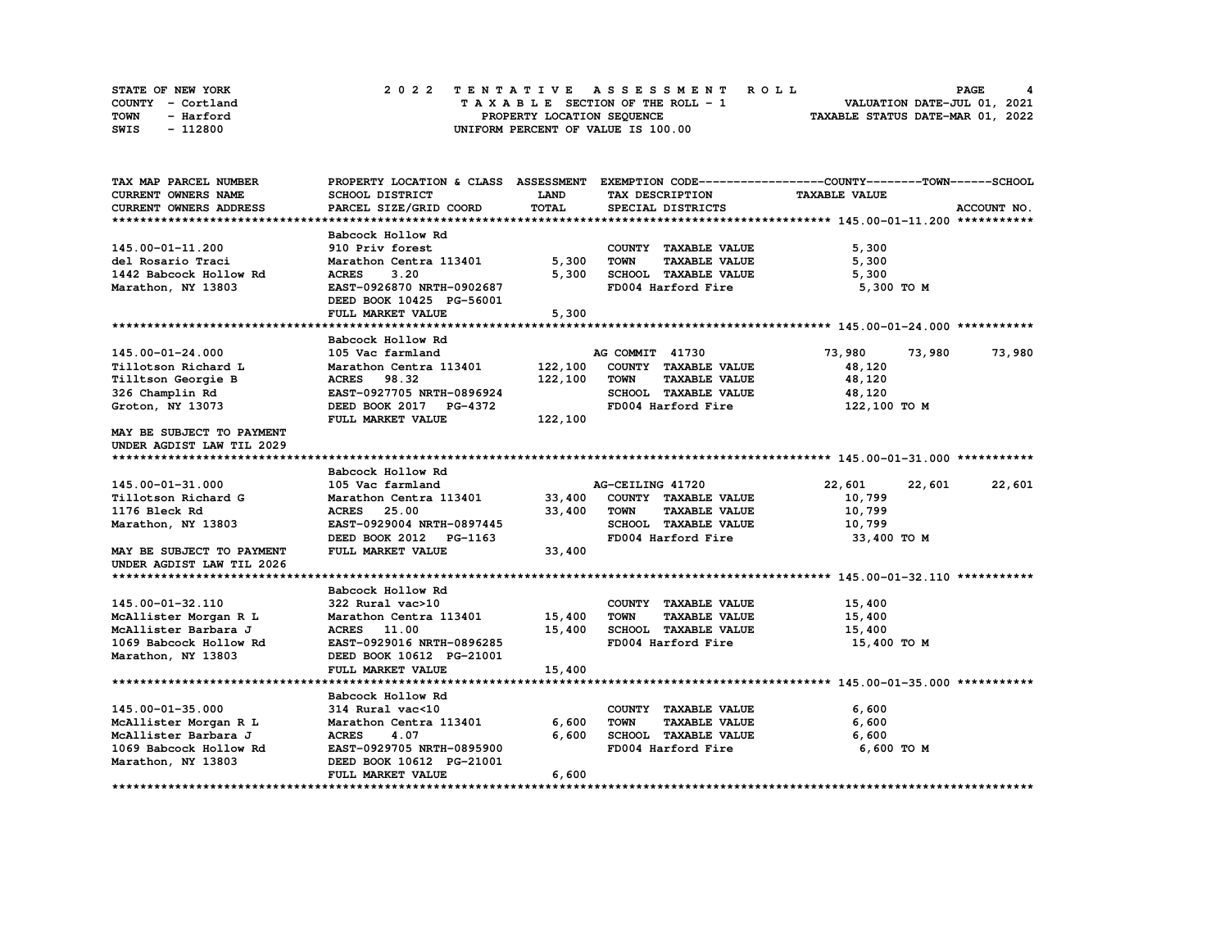| STATE OF NEW YORK | 2022 TENTATIVE ASSESSMENT ROLL     | PAGE                             |
|-------------------|------------------------------------|----------------------------------|
| COUNTY - Cortland | TAXABLE SECTION OF THE ROLL - 1    | VALUATION DATE-JUL 01, 2021      |
| TOWN<br>- Harford | PROPERTY LOCATION SEQUENCE         | TAXABLE STATUS DATE-MAR 01, 2022 |
| - 112800<br>SWIS  | UNIFORM PERCENT OF VALUE IS 100.00 |                                  |

| TAX MAP PARCEL NUMBER     |                                            |             |                                                             | PROPERTY LOCATION & CLASS ASSESSMENT EXEMPTION CODE----------------COUNTY-------TOWN-----SCHOOL |  |
|---------------------------|--------------------------------------------|-------------|-------------------------------------------------------------|-------------------------------------------------------------------------------------------------|--|
| CURRENT OWNERS NAME       | SCHOOL DISTRICT                            | <b>LAND</b> | TAX DESCRIPTION                                             | <b>TAXABLE VALUE</b>                                                                            |  |
| CURRENT OWNERS ADDRESS    | PARCEL SIZE/GRID COORD                     | TOTAL       | SPECIAL DISTRICTS                                           | ACCOUNT NO.                                                                                     |  |
|                           |                                            |             |                                                             |                                                                                                 |  |
|                           | Babcock Hollow Rd                          |             |                                                             |                                                                                                 |  |
| 145.00-01-11.200          | 910 Priv forest                            |             | COUNTY TAXABLE VALUE                                        | 5,300                                                                                           |  |
| del Rosario Traci         | Marathon Centra 113401                     | 5,300       | <b>TAXABLE VALUE</b><br><b>TOWN</b>                         | 5,300                                                                                           |  |
| 1442 Babcock Hollow Rd    | <b>ACRES</b><br>3.20                       | 5,300       | SCHOOL TAXABLE VALUE                                        | 5,300                                                                                           |  |
| Marathon, NY 13803        | EAST-0926870 NRTH-0902687                  |             | FD004 Harford Fire                                          | 5,300 TO M                                                                                      |  |
|                           | DEED BOOK 10425 PG-56001                   |             |                                                             |                                                                                                 |  |
|                           | FULL MARKET VALUE                          | 5,300       |                                                             |                                                                                                 |  |
|                           |                                            |             |                                                             |                                                                                                 |  |
|                           | Babcock Hollow Rd                          |             |                                                             |                                                                                                 |  |
| 145.00-01-24.000          | 105 Vac farmland                           |             | AG COMMIT 41730                                             | 73,980<br>73,980<br>73,980                                                                      |  |
| Tillotson Richard L       | Marathon Centra 113401                     | 122,100     | COUNTY TAXABLE VALUE                                        | 48,120                                                                                          |  |
| Tilltson Georgie B        | <b>ACRES</b> 98.32                         | 122,100     | <b>TAXABLE VALUE</b><br><b>TOWN</b>                         | 48,120                                                                                          |  |
| 326 Champlin Rd           | EAST-0927705 NRTH-0896924                  |             | SCHOOL TAXABLE VALUE                                        | 48,120                                                                                          |  |
| Groton, NY 13073          | DEED BOOK 2017 PG-4372                     |             | FD004 Harford Fire                                          | 122,100 TO M                                                                                    |  |
|                           | FULL MARKET VALUE                          | 122,100     |                                                             |                                                                                                 |  |
| MAY BE SUBJECT TO PAYMENT |                                            |             |                                                             |                                                                                                 |  |
| UNDER AGDIST LAW TIL 2029 |                                            |             |                                                             |                                                                                                 |  |
|                           |                                            |             |                                                             |                                                                                                 |  |
|                           | Babcock Hollow Rd                          |             |                                                             |                                                                                                 |  |
| 145.00-01-31.000          | 105 Vac farmland                           |             | AG-CEILING 41720                                            | 22,601<br>22,601<br>22,601                                                                      |  |
| Tillotson Richard G       | Marathon Centra 113401 33,400              |             | COUNTY TAXABLE VALUE                                        | 10,799                                                                                          |  |
| 1176 Bleck Rd             | <b>ACRES</b> 25.00                         | 33,400      | TOWN<br><b>TAXABLE VALUE</b>                                | 10,799                                                                                          |  |
| Marathon, NY 13803        | EAST-0929004 NRTH-0897445                  |             | SCHOOL TAXABLE VALUE                                        | 10,799                                                                                          |  |
|                           | DEED BOOK 2012 PG-1163                     |             | FD004 Harford Fire                                          | 33,400 TO M                                                                                     |  |
| MAY BE SUBJECT TO PAYMENT | FULL MARKET VALUE                          | 33,400      |                                                             |                                                                                                 |  |
| UNDER AGDIST LAW TIL 2026 |                                            |             |                                                             |                                                                                                 |  |
|                           |                                            |             |                                                             |                                                                                                 |  |
|                           | Babcock Hollow Rd                          |             |                                                             |                                                                                                 |  |
| 145.00-01-32.110          | 322 Rural vac>10                           |             | COUNTY TAXABLE VALUE                                        | 15,400                                                                                          |  |
| McAllister Morgan R L     | Marathon Centra 113401 15,400              |             | <b>TOWN</b><br><b>TAXABLE VALUE</b>                         | 15,400                                                                                          |  |
| McAllister Barbara J      | <b>ACRES</b> 11.00                         | 15,400      | SCHOOL TAXABLE VALUE                                        | 15,400                                                                                          |  |
| 1069 Babcock Hollow Rd    | EAST-0929016 NRTH-0896285                  |             | FD004 Harford Fire                                          | 15,400 TO M                                                                                     |  |
| Marathon, NY 13803        | DEED BOOK 10612 PG-21001                   |             |                                                             |                                                                                                 |  |
|                           | FULL MARKET VALUE                          | 15,400      |                                                             |                                                                                                 |  |
|                           |                                            |             |                                                             |                                                                                                 |  |
|                           | Babcock Hollow Rd                          |             |                                                             |                                                                                                 |  |
| 145.00-01-35.000          | 314 Rural vac<10<br>Marathon Centra 113401 |             | COUNTY TAXABLE VALUE                                        | 6,600                                                                                           |  |
| McAllister Morgan R L     |                                            | 6,600       | <b>TAXABLE VALUE</b><br><b>TOWN</b><br>SCHOOL TAXABLE VALUE | 6,600                                                                                           |  |
| McAllister Barbara J      | <b>ACRES</b><br>4.07                       | 6,600       | FD004 Harford Fire                                          | 6,600<br>6,600 TO M                                                                             |  |
| 1069 Babcock Hollow Rd    | EAST-0929705 NRTH-0895900                  |             |                                                             |                                                                                                 |  |
| Marathon, NY 13803        | DEED BOOK 10612 PG-21001                   | 6,600       |                                                             |                                                                                                 |  |
|                           | FULL MARKET VALUE                          |             |                                                             |                                                                                                 |  |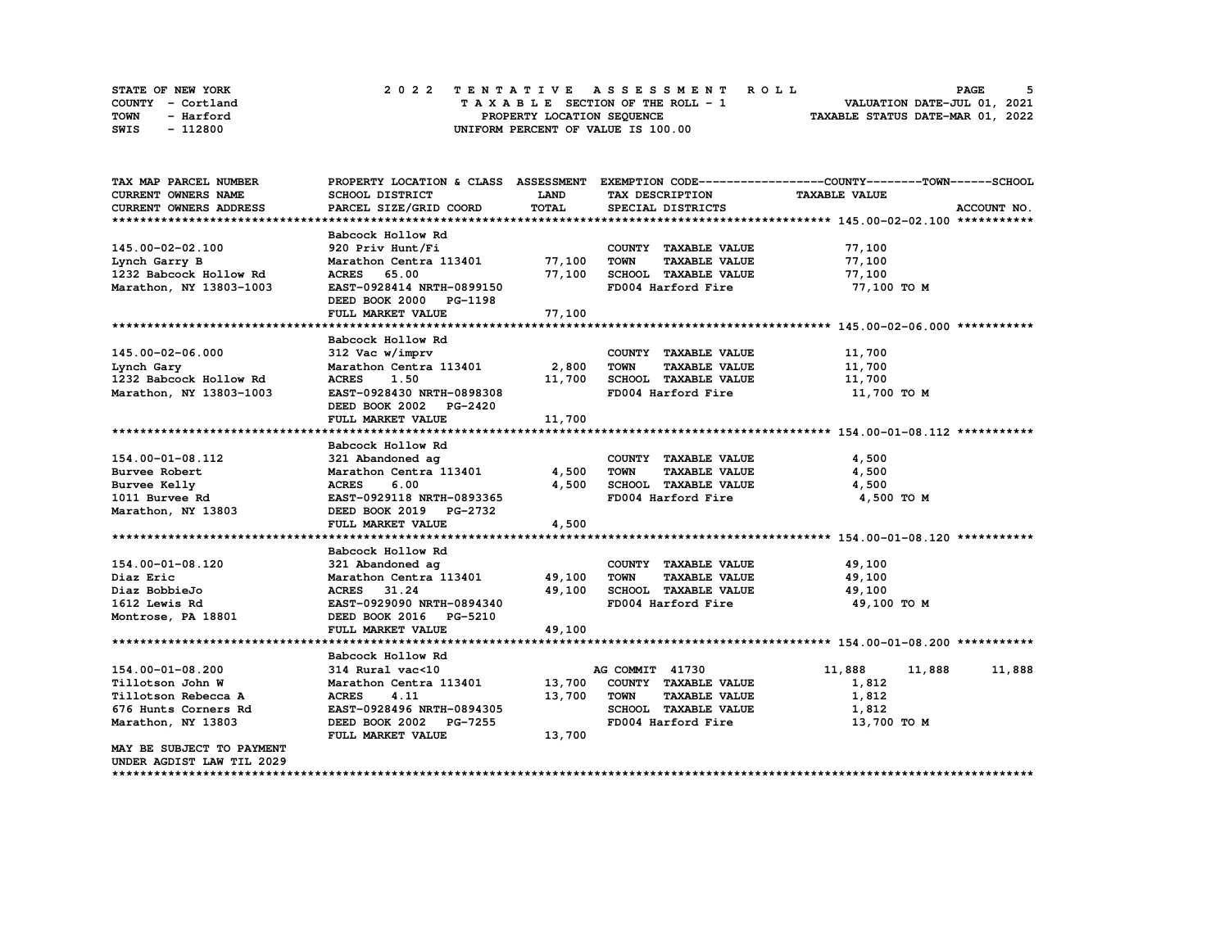| STATE OF NEW YORK | 2022 TENTATIVE ASSESSMENT ROLL     | PAGE                             |
|-------------------|------------------------------------|----------------------------------|
| COUNTY - Cortland | TAXABLE SECTION OF THE ROLL - 1    | VALUATION DATE-JUL 01, 2021      |
| TOWN<br>- Harford | PROPERTY LOCATION SEQUENCE         | TAXABLE STATUS DATE-MAR 01, 2022 |
| - 112800<br>SWIS  | UNIFORM PERCENT OF VALUE IS 100.00 |                                  |

| TAX MAP PARCEL NUMBER         |                                            |             |                                              | PROPERTY LOCATION & CLASS ASSESSMENT EXEMPTION CODE----------------COUNTY-------TOWN-----SCHOOL |             |
|-------------------------------|--------------------------------------------|-------------|----------------------------------------------|-------------------------------------------------------------------------------------------------|-------------|
| <b>CURRENT OWNERS NAME</b>    | SCHOOL DISTRICT                            | <b>LAND</b> | TAX DESCRIPTION                              | <b>TAXABLE VALUE</b>                                                                            |             |
| <b>CURRENT OWNERS ADDRESS</b> | PARCEL SIZE/GRID COORD                     | TOTAL       | SPECIAL DISTRICTS                            |                                                                                                 | ACCOUNT NO. |
|                               |                                            |             |                                              |                                                                                                 |             |
|                               | Babcock Hollow Rd                          |             |                                              |                                                                                                 |             |
| 145.00-02-02.100              | 920 Priv Hunt/Fi                           |             | COUNTY TAXABLE VALUE                         | 77,100                                                                                          |             |
| Lynch Garry B                 | Marathon Centra 113401 77,100              |             | <b>TOWN</b><br><b>TAXABLE VALUE</b>          | 77,100                                                                                          |             |
| 1232 Babcock Hollow Rd        | <b>ACRES</b><br>65.00                      | 77,100      | SCHOOL TAXABLE VALUE                         | 77,100                                                                                          |             |
| Marathon, NY 13803-1003       | EAST-0928414 NRTH-0899150                  |             | FD004 Harford Fire                           | 77,100 TO M                                                                                     |             |
|                               | DEED BOOK 2000 PG-1198                     |             |                                              |                                                                                                 |             |
|                               | FULL MARKET VALUE                          | 77,100      |                                              |                                                                                                 |             |
|                               |                                            |             |                                              |                                                                                                 |             |
|                               | Babcock Hollow Rd                          |             |                                              |                                                                                                 |             |
| 145.00-02-06.000              | 312 Vac w/imprv                            |             | COUNTY TAXABLE VALUE                         | 11,700                                                                                          |             |
| Lynch Gary                    | Marathon Centra 113401                     | 2,800       | <b>TOWN</b><br><b>TAXABLE VALUE</b>          | 11,700                                                                                          |             |
| 1232 Babcock Hollow Rd        | <b>ACRES</b><br>1.50                       | 11,700      | SCHOOL TAXABLE VALUE                         | 11,700                                                                                          |             |
| Marathon, NY 13803-1003       | EAST-0928430 NRTH-0898308                  |             | FD004 Harford Fire                           | 11,700 TO M                                                                                     |             |
|                               | DEED BOOK 2002 PG-2420                     |             |                                              |                                                                                                 |             |
|                               | FULL MARKET VALUE                          | 11,700      |                                              |                                                                                                 |             |
|                               |                                            |             |                                              |                                                                                                 |             |
|                               | Babcock Hollow Rd                          |             |                                              |                                                                                                 |             |
| 154.00-01-08.112              |                                            |             |                                              |                                                                                                 |             |
|                               | 321 Abandoned ag<br>Marathon Centra 113401 | 4,500       | COUNTY TAXABLE VALUE<br><b>TAXABLE VALUE</b> | 4,500<br>4,500                                                                                  |             |
| Burvee Robert                 |                                            |             | <b>TOWN</b>                                  |                                                                                                 |             |
| Burvee Kelly                  | 6.00<br><b>ACRES</b>                       | 4,500       | SCHOOL TAXABLE VALUE                         | 4,500                                                                                           |             |
| 1011 Burvee Rd                | EAST-0929118 NRTH-0893365                  |             | FD004 Harford Fire                           | 4,500 TO M                                                                                      |             |
| Marathon, NY 13803            | DEED BOOK 2019 PG-2732                     |             |                                              |                                                                                                 |             |
|                               | FULL MARKET VALUE                          | 4,500       |                                              |                                                                                                 |             |
|                               |                                            |             |                                              |                                                                                                 |             |
|                               | Babcock Hollow Rd                          |             |                                              |                                                                                                 |             |
| 154.00-01-08.120              | 321 Abandoned ag                           |             | COUNTY TAXABLE VALUE                         | 49,100                                                                                          |             |
| Diaz Eric                     | Marathon Centra 113401                     | 49,100      | TOWN<br><b>TAXABLE VALUE</b>                 | 49,100                                                                                          |             |
| Diaz BobbieJo                 | ACRES 31.24                                | 49,100      | SCHOOL TAXABLE VALUE                         | 49,100                                                                                          |             |
| 1612 Lewis Rd                 | EAST-0929090 NRTH-0894340                  |             | FD004 Harford Fire                           | 49,100 TO M                                                                                     |             |
| Montrose, PA 18801            | DEED BOOK 2016 PG-5210                     |             |                                              |                                                                                                 |             |
|                               | FULL MARKET VALUE                          | 49,100      |                                              |                                                                                                 |             |
|                               |                                            |             |                                              |                                                                                                 |             |
|                               | Babcock Hollow Rd                          |             |                                              |                                                                                                 |             |
| 154.00-01-08.200              | 314 Rural vac<10                           |             | AG COMMIT 41730                              | 11,888<br>11,888                                                                                | 11,888      |
| Tillotson John W              | Marathon Centra 113401 13,700              |             | COUNTY TAXABLE VALUE                         | 1,812                                                                                           |             |
| Tillotson Rebecca A           | <b>ACRES</b><br>4.11                       | 13,700      | <b>TOWN</b><br><b>TAXABLE VALUE</b>          | 1,812                                                                                           |             |
| 676 Hunts Corners Rd          | EAST-0928496 NRTH-0894305                  |             | SCHOOL TAXABLE VALUE                         | 1,812                                                                                           |             |
| Marathon, NY 13803            | DEED BOOK 2002 PG-7255                     |             | FD004 Harford Fire                           | 13,700 TO M                                                                                     |             |
|                               | FULL MARKET VALUE                          | 13,700      |                                              |                                                                                                 |             |
| MAY BE SUBJECT TO PAYMENT     |                                            |             |                                              |                                                                                                 |             |
| UNDER AGDIST LAW TIL 2029     |                                            |             |                                              |                                                                                                 |             |
|                               |                                            |             |                                              |                                                                                                 |             |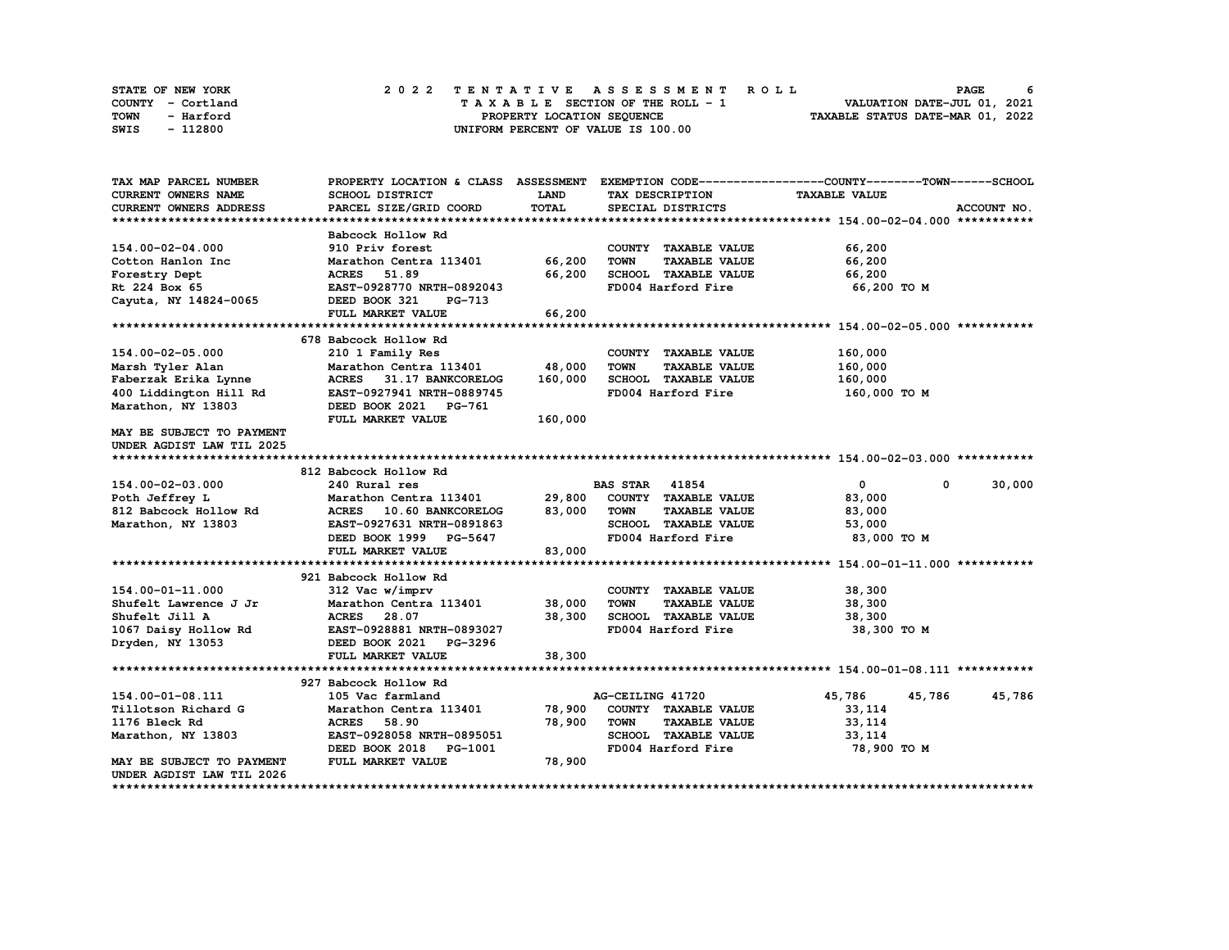| STATE OF NEW YORK | 2022 TENTATIVE ASSESSMENT ROLL     | PAGE                             |
|-------------------|------------------------------------|----------------------------------|
| COUNTY - Cortland | TAXABLE SECTION OF THE ROLL - 1    | VALUATION DATE-JUL 01, 2021      |
| TOWN<br>- Harford | PROPERTY LOCATION SEQUENCE         | TAXABLE STATUS DATE-MAR 01, 2022 |
| - 112800<br>SWIS  | UNIFORM PERCENT OF VALUE IS 100.00 |                                  |

| TAX MAP PARCEL NUMBER         | PROPERTY LOCATION & CLASS ASSESSMENT |              |                                     | EXEMPTION CODE-----------------COUNTY-------TOWN------SCHOOL |
|-------------------------------|--------------------------------------|--------------|-------------------------------------|--------------------------------------------------------------|
| <b>CURRENT OWNERS NAME</b>    | SCHOOL DISTRICT                      | LAND         | TAX DESCRIPTION                     | <b>TAXABLE VALUE</b>                                         |
| <b>CURRENT OWNERS ADDRESS</b> | PARCEL SIZE/GRID COORD               | <b>TOTAL</b> | SPECIAL DISTRICTS                   | ACCOUNT NO.                                                  |
|                               |                                      |              |                                     |                                                              |
|                               | Babcock Hollow Rd                    |              |                                     |                                                              |
| 154.00-02-04.000              | 910 Priv forest                      |              | COUNTY TAXABLE VALUE                | 66,200                                                       |
| Cotton Hanlon Inc             | Marathon Centra 113401               | 66,200       | <b>TOWN</b><br><b>TAXABLE VALUE</b> | 66,200                                                       |
| Forestry Dept                 | 51.89<br><b>ACRES</b>                | 66,200       | SCHOOL TAXABLE VALUE                | 66,200                                                       |
| Rt 224 Box 65                 | EAST-0928770 NRTH-0892043            |              | FD004 Harford Fire                  | 66,200 TO M                                                  |
| Cayuta, NY 14824-0065         | DEED BOOK 321<br><b>PG-713</b>       |              |                                     |                                                              |
|                               | FULL MARKET VALUE                    | 66,200       |                                     |                                                              |
|                               |                                      |              |                                     |                                                              |
|                               | 678 Babcock Hollow Rd                |              |                                     |                                                              |
| 154.00-02-05.000              | 210 1 Family Res                     |              | COUNTY TAXABLE VALUE                | 160,000                                                      |
| Marsh Tyler Alan              | Marathon Centra 113401               | 48,000       | <b>TOWN</b><br><b>TAXABLE VALUE</b> | 160,000                                                      |
| Faberzak Erika Lynne          | <b>ACRES</b><br>31.17 BANKCORELOG    | 160,000      | <b>SCHOOL TAXABLE VALUE</b>         | 160,000                                                      |
| 400 Liddington Hill Rd        | EAST-0927941 NRTH-0889745            |              | FD004 Harford Fire                  | 160,000 TO M                                                 |
| Marathon, NY 13803            | DEED BOOK 2021 PG-761                |              |                                     |                                                              |
|                               | FULL MARKET VALUE                    | 160,000      |                                     |                                                              |
| MAY BE SUBJECT TO PAYMENT     |                                      |              |                                     |                                                              |
| UNDER AGDIST LAW TIL 2025     |                                      |              |                                     |                                                              |
|                               |                                      |              |                                     |                                                              |
|                               | 812 Babcock Hollow Rd                |              |                                     |                                                              |
| 154.00-02-03.000              | 240 Rural res                        |              | <b>BAS STAR 41854</b>               | $\mathbf 0$<br>30,000<br>0                                   |
| Poth Jeffrey L                | Marathon Centra 113401               | 29,800       | COUNTY TAXABLE VALUE                | 83,000                                                       |
| 812 Babcock Hollow Rd         | <b>ACRES</b><br>10.60 BANKCORELOG    | 83,000       | <b>TOWN</b><br><b>TAXABLE VALUE</b> | 83,000                                                       |
| Marathon, NY 13803            | EAST-0927631 NRTH-0891863            |              | SCHOOL TAXABLE VALUE                | 53,000                                                       |
|                               | DEED BOOK 1999 PG-5647               |              | FD004 Harford Fire                  | 83,000 TO M                                                  |
|                               | FULL MARKET VALUE                    | 83,000       |                                     |                                                              |
|                               |                                      |              |                                     |                                                              |
|                               | 921 Babcock Hollow Rd                |              |                                     |                                                              |
| 154.00-01-11.000              | 312 Vac w/imprv                      |              | COUNTY TAXABLE VALUE                | 38,300                                                       |
| Shufelt Lawrence J Jr         | Marathon Centra 113401               | 38,000       | <b>TOWN</b><br><b>TAXABLE VALUE</b> | 38,300                                                       |
| Shufelt Jill A                | <b>ACRES</b><br>28.07                | 38,300       | SCHOOL TAXABLE VALUE                | 38,300                                                       |
| 1067 Daisy Hollow Rd          | EAST-0928881 NRTH-0893027            |              | FD004 Harford Fire                  | 38,300 TO M                                                  |
| Dryden, NY 13053              | DEED BOOK 2021 PG-3296               |              |                                     |                                                              |
|                               | FULL MARKET VALUE                    | 38,300       |                                     |                                                              |
|                               |                                      |              |                                     |                                                              |
|                               | 927 Babcock Hollow Rd                |              |                                     |                                                              |
| 154.00-01-08.111              | 105 Vac farmland                     |              | AG-CEILING 41720                    | 45,786<br>45,786<br>45,786                                   |
| Tillotson Richard G           | Marathon Centra 113401               | 78,900       | COUNTY TAXABLE VALUE                | 33,114                                                       |
| 1176 Bleck Rd                 | <b>ACRES</b><br>58.90                | 78,900       | <b>TOWN</b><br><b>TAXABLE VALUE</b> | 33,114                                                       |
| Marathon, NY 13803            | EAST-0928058 NRTH-0895051            |              | <b>SCHOOL TAXABLE VALUE</b>         | 33,114                                                       |
|                               | DEED BOOK 2018<br>PG-1001            |              | FD004 Harford Fire                  | 78,900 TO M                                                  |
| MAY BE SUBJECT TO PAYMENT     | FULL MARKET VALUE                    | 78,900       |                                     |                                                              |
| UNDER AGDIST LAW TIL 2026     |                                      |              |                                     |                                                              |
| *********************         |                                      |              |                                     |                                                              |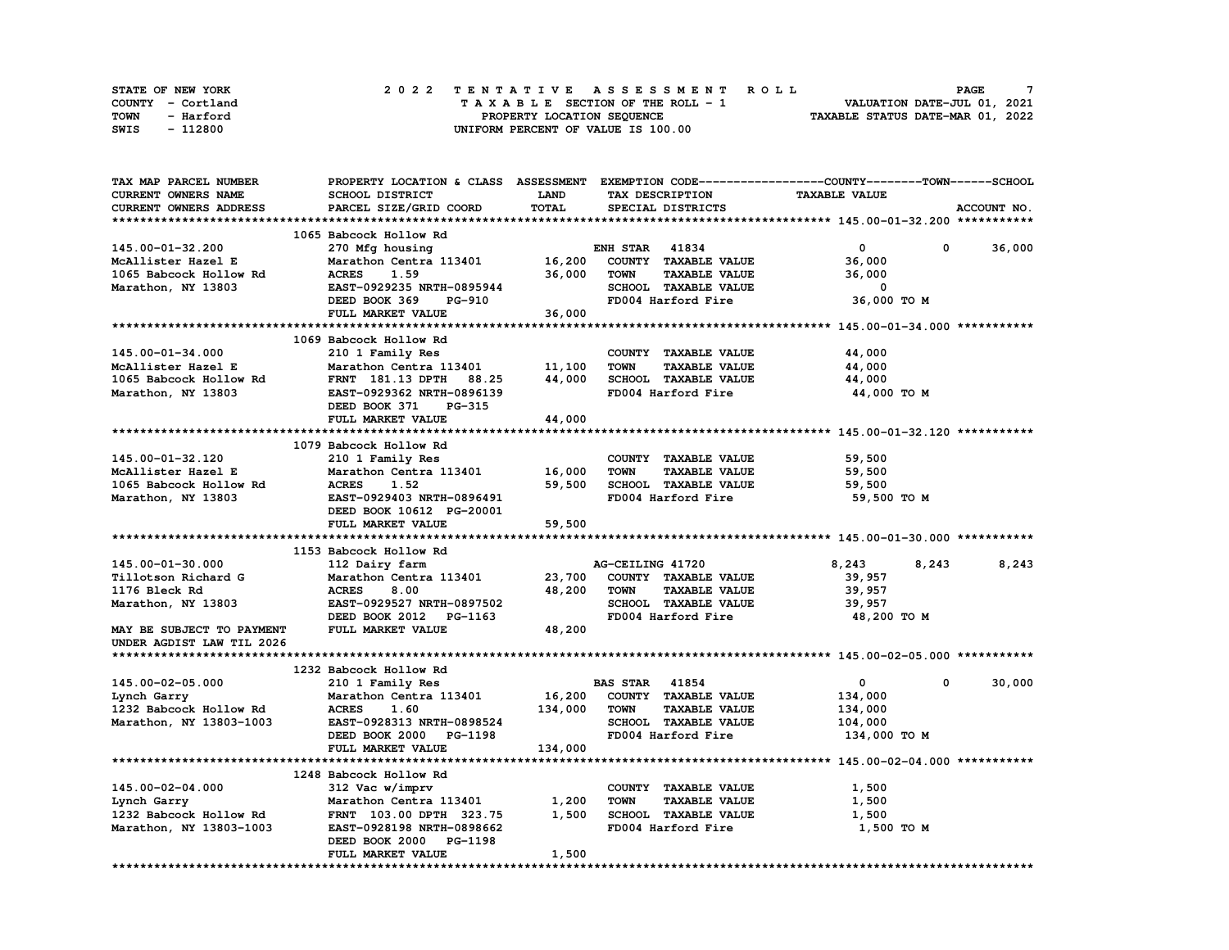| STATE OF NEW YORK | 2022 TENTATIVE ASSESSMENT ROLL     | <b>PAGE</b>                      |
|-------------------|------------------------------------|----------------------------------|
| COUNTY - Cortland | TAXABLE SECTION OF THE ROLL - 1    | VALUATION DATE-JUL 01, 2021      |
| TOWN<br>- Harford | PROPERTY LOCATION SEQUENCE         | TAXABLE STATUS DATE-MAR 01, 2022 |
| - 112800<br>SWIS  | UNIFORM PERCENT OF VALUE IS 100.00 |                                  |

| <b>TAX MAP PARCEL NUMBER</b> | PROPERTY LOCATION & CLASS ASSESSMENT EXEMPTION CODE----------------COUNTY-------TOWN------SCHOOL |         |                       |                      |                      |              |             |
|------------------------------|--------------------------------------------------------------------------------------------------|---------|-----------------------|----------------------|----------------------|--------------|-------------|
| CURRENT OWNERS NAME          | SCHOOL DISTRICT                                                                                  | LAND    | TAX DESCRIPTION       |                      | <b>TAXABLE VALUE</b> |              |             |
| CURRENT OWNERS ADDRESS       | PARCEL SIZE/GRID COORD                                                                           | TOTAL   | SPECIAL DISTRICTS     |                      |                      |              | ACCOUNT NO. |
|                              |                                                                                                  |         |                       |                      |                      |              |             |
|                              | 1065 Babcock Hollow Rd                                                                           |         |                       |                      |                      |              |             |
| 145.00-01-32.200             | 270 Mfg housing                                                                                  |         | <b>ENH STAR 41834</b> |                      | $\mathbf{0}$         | 0            | 36,000      |
| McAllister Hazel E           | Marathon Centra 113401                                                                           | 16,200  | COUNTY TAXABLE VALUE  |                      | 36,000               |              |             |
| 1065 Babcock Hollow Rd       | <b>ACRES</b><br>1.59                                                                             | 36,000  | <b>TOWN</b>           | <b>TAXABLE VALUE</b> | 36,000               |              |             |
| Marathon, NY 13803           | EAST-0929235 NRTH-0895944                                                                        |         | SCHOOL TAXABLE VALUE  |                      | 0                    |              |             |
|                              | DEED BOOK 369<br>PG-910                                                                          |         | FD004 Harford Fire    |                      | 36,000 TO M          |              |             |
|                              |                                                                                                  |         |                       |                      |                      |              |             |
|                              | FULL MARKET VALUE                                                                                | 36,000  |                       |                      |                      |              |             |
|                              |                                                                                                  |         |                       |                      |                      |              |             |
|                              | 1069 Babcock Hollow Rd                                                                           |         |                       |                      |                      |              |             |
| 145.00-01-34.000             | 210 1 Family Res                                                                                 |         | COUNTY TAXABLE VALUE  |                      | 44,000               |              |             |
| McAllister Hazel E           | Marathon Centra 113401                                                                           | 11,100  | <b>TOWN</b>           | <b>TAXABLE VALUE</b> | 44,000               |              |             |
| 1065 Babcock Hollow Rd       | FRNT 181.13 DPTH 88.25                                                                           | 44,000  | SCHOOL TAXABLE VALUE  |                      | 44,000               |              |             |
| Marathon, NY 13803           | EAST-0929362 NRTH-0896139                                                                        |         | FD004 Harford Fire    |                      | 44,000 TO M          |              |             |
|                              | DEED BOOK 371<br><b>PG-315</b>                                                                   |         |                       |                      |                      |              |             |
|                              | FULL MARKET VALUE                                                                                | 44,000  |                       |                      |                      |              |             |
|                              |                                                                                                  |         |                       |                      |                      |              |             |
|                              | 1079 Babcock Hollow Rd                                                                           |         |                       |                      |                      |              |             |
| 145.00-01-32.120             | 210 1 Family Res                                                                                 |         | COUNTY TAXABLE VALUE  |                      | 59,500               |              |             |
| McAllister Hazel E           | Marathon Centra 113401                                                                           | 16,000  | <b>TOWN</b>           | <b>TAXABLE VALUE</b> | 59,500               |              |             |
| 1065 Babcock Hollow Rd       | <b>ACRES</b><br>1.52                                                                             | 59,500  | SCHOOL TAXABLE VALUE  |                      | 59,500               |              |             |
| Marathon, NY 13803           | EAST-0929403 NRTH-0896491                                                                        |         | FD004 Harford Fire    |                      | 59,500 TO M          |              |             |
|                              | DEED BOOK 10612 PG-20001                                                                         |         |                       |                      |                      |              |             |
|                              | FULL MARKET VALUE                                                                                | 59,500  |                       |                      |                      |              |             |
|                              |                                                                                                  |         |                       |                      |                      |              |             |
|                              |                                                                                                  |         |                       |                      |                      |              |             |
|                              | 1153 Babcock Hollow Rd                                                                           |         |                       |                      |                      |              |             |
| 145.00-01-30.000             | 112 Dairy farm                                                                                   |         | AG-CEILING 41720      |                      | 8,243                | 8,243        | 8,243       |
| Tillotson Richard G          | Marathon Centra 113401                                                                           | 23,700  | COUNTY TAXABLE VALUE  |                      | 39,957               |              |             |
| 1176 Bleck Rd                | 8.00<br><b>ACRES</b>                                                                             | 48,200  | <b>TOWN</b>           | <b>TAXABLE VALUE</b> | 39,957               |              |             |
| Marathon, NY 13803           | EAST-0929527 NRTH-0897502                                                                        |         | SCHOOL TAXABLE VALUE  |                      | 39,957               |              |             |
|                              | DEED BOOK 2012 PG-1163                                                                           |         | FD004 Harford Fire    |                      | 48,200 TO M          |              |             |
| MAY BE SUBJECT TO PAYMENT    | FULL MARKET VALUE                                                                                | 48,200  |                       |                      |                      |              |             |
| UNDER AGDIST LAW TIL 2026    |                                                                                                  |         |                       |                      |                      |              |             |
|                              |                                                                                                  |         |                       |                      |                      |              |             |
|                              | 1232 Babcock Hollow Rd                                                                           |         |                       |                      |                      |              |             |
| 145.00-02-05.000             | 210 1 Family Res                                                                                 |         | <b>BAS STAR 41854</b> |                      | $\overline{0}$       | $\mathbf{0}$ | 30,000      |
| Lynch Garry                  | Marathon Centra 113401                                                                           | 16,200  | COUNTY TAXABLE VALUE  |                      | 134,000              |              |             |
| 1232 Babcock Hollow Rd       | <b>ACRES</b><br>1.60                                                                             | 134,000 | <b>TOWN</b>           | <b>TAXABLE VALUE</b> | 134,000              |              |             |
| Marathon, NY 13803-1003      | EAST-0928313 NRTH-0898524                                                                        |         | SCHOOL TAXABLE VALUE  |                      | 104,000              |              |             |
|                              | DEED BOOK 2000 PG-1198                                                                           |         | FD004 Harford Fire    |                      | 134,000 TO M         |              |             |
|                              | FULL MARKET VALUE                                                                                | 134,000 |                       |                      |                      |              |             |
|                              |                                                                                                  |         |                       |                      |                      |              |             |
|                              |                                                                                                  |         |                       |                      |                      |              |             |
|                              | 1248 Babcock Hollow Rd                                                                           |         |                       |                      |                      |              |             |
| 145.00-02-04.000             | 312 Vac w/imprv                                                                                  |         | COUNTY TAXABLE VALUE  |                      | 1,500                |              |             |
| Lynch Garry                  | Marathon Centra 113401                                                                           | 1,200   | <b>TOWN</b>           | <b>TAXABLE VALUE</b> | 1,500                |              |             |
| 1232 Babcock Hollow Rd       | FRNT 103.00 DPTH 323.75                                                                          | 1,500   | SCHOOL TAXABLE VALUE  |                      | 1,500                |              |             |
| Marathon, NY 13803-1003      | EAST-0928198 NRTH-0898662                                                                        |         | FD004 Harford Fire    |                      | 1,500 TO M           |              |             |
|                              | DEED BOOK 2000 PG-1198                                                                           |         |                       |                      |                      |              |             |
|                              | FULL MARKET VALUE                                                                                | 1,500   |                       |                      |                      |              |             |
|                              |                                                                                                  |         |                       |                      |                      |              |             |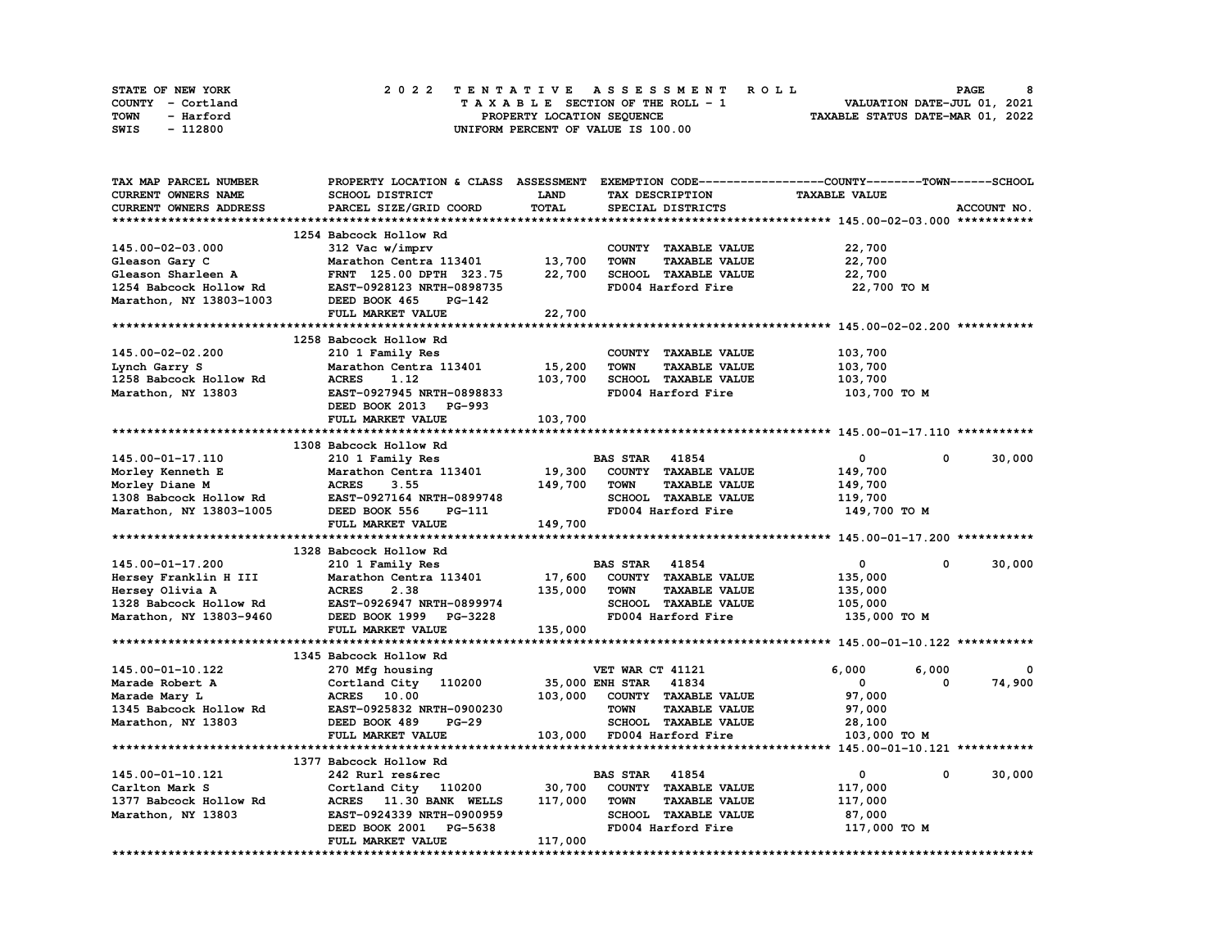| STATE OF NEW YORK | 2022 TENTATIVE ASSESSMENT ROLL          | 8<br><b>PAGE</b>                 |
|-------------------|-----------------------------------------|----------------------------------|
| COUNTY - Cortland | $T A X A B L E$ SECTION OF THE ROLL - 1 | VALUATION DATE-JUL 01, 2021      |
| TOWN<br>- Harford | PROPERTY LOCATION SEQUENCE              | TAXABLE STATUS DATE-MAR 01, 2022 |
| - 112800<br>SWIS  | UNIFORM PERCENT OF VALUE IS 100.00      |                                  |

| TAX MAP PARCEL NUMBER      | PROPERTY LOCATION & CLASS ASSESSMENT |             | EXEMPTION CODE-----------------COUNTY-------TOWN-----SCHOOL |                             |             |
|----------------------------|--------------------------------------|-------------|-------------------------------------------------------------|-----------------------------|-------------|
| <b>CURRENT OWNERS NAME</b> | <b>SCHOOL DISTRICT</b>               | <b>LAND</b> | TAX DESCRIPTION                                             | <b>TAXABLE VALUE</b>        |             |
| CURRENT OWNERS ADDRESS     | PARCEL SIZE/GRID COORD               | TOTAL       | SPECIAL DISTRICTS                                           |                             | ACCOUNT NO. |
|                            |                                      |             |                                                             |                             |             |
|                            | 1254 Babcock Hollow Rd               |             |                                                             |                             |             |
| 145.00-02-03.000           | 312 Vac w/imprv                      |             | COUNTY TAXABLE VALUE                                        | 22,700                      |             |
| Gleason Gary C             | Marathon Centra 113401               | 13,700      | <b>TOWN</b><br><b>TAXABLE VALUE</b>                         | 22,700                      |             |
| Gleason Sharleen A         | FRNT 125.00 DPTH 323.75              | 22,700      | SCHOOL TAXABLE VALUE                                        | 22,700                      |             |
| 1254 Babcock Hollow Rd     | EAST-0928123 NRTH-0898735            |             | FD004 Harford Fire                                          | 22,700 TO M                 |             |
|                            |                                      |             |                                                             |                             |             |
| Marathon, NY 13803-1003    | DEED BOOK 465<br>PG-142              |             |                                                             |                             |             |
|                            | FULL MARKET VALUE                    | 22,700      |                                                             |                             |             |
|                            |                                      |             |                                                             |                             |             |
|                            | 1258 Babcock Hollow Rd               |             |                                                             |                             |             |
| 145.00-02-02.200           | 210 1 Family Res                     |             | COUNTY TAXABLE VALUE                                        | 103,700                     |             |
| Lynch Garry S              | Marathon Centra 113401               | 15,200      | <b>TOWN</b><br><b>TAXABLE VALUE</b>                         | 103,700                     |             |
| 1258 Babcock Hollow Rd     | <b>ACRES</b><br>1.12                 | 103,700     | SCHOOL TAXABLE VALUE                                        | 103,700                     |             |
| Marathon, NY 13803         | EAST-0927945 NRTH-0898833            |             | FD004 Harford Fire                                          | 103,700 TO M                |             |
|                            | DEED BOOK 2013 PG-993                |             |                                                             |                             |             |
|                            | FULL MARKET VALUE                    | 103,700     |                                                             |                             |             |
|                            |                                      |             |                                                             |                             |             |
|                            | 1308 Babcock Hollow Rd               |             |                                                             |                             |             |
| 145.00-01-17.110           | 210 1 Family Res                     |             | <b>BAS STAR 41854</b>                                       | $\mathbf 0$<br>$\mathbf{0}$ | 30,000      |
| Morley Kenneth E           | Marathon Centra 113401               | 19,300      | COUNTY TAXABLE VALUE                                        | 149,700                     |             |
| Morley Diane M             | <b>ACRES</b><br>3.55                 | 149,700     | <b>TOWN</b><br><b>TAXABLE VALUE</b>                         | 149,700                     |             |
| 1308 Babcock Hollow Rd     | EAST-0927164 NRTH-0899748            |             | SCHOOL TAXABLE VALUE                                        | 119,700                     |             |
| Marathon, NY 13803-1005    | DEED BOOK 556<br>PG-111              |             | FD004 Harford Fire                                          | 149,700 TO M                |             |
|                            | FULL MARKET VALUE                    | 149,700     |                                                             |                             |             |
|                            |                                      |             |                                                             |                             |             |
|                            | 1328 Babcock Hollow Rd               |             |                                                             |                             |             |
| 145.00-01-17.200           | 210 1 Family Res                     |             | <b>BAS STAR 41854</b>                                       | $\mathbf{0}$<br>0           | 30,000      |
| Hersey Franklin H III      | Marathon Centra 113401               | 17,600      | COUNTY TAXABLE VALUE                                        | 135,000                     |             |
| Hersey Olivia A            | <b>ACRES</b><br>2.38                 | 135,000     | <b>TOWN</b><br><b>TAXABLE VALUE</b>                         |                             |             |
|                            |                                      |             |                                                             | 135,000                     |             |
| 1328 Babcock Hollow Rd     | EAST-0926947 NRTH-0899974            |             | SCHOOL TAXABLE VALUE                                        | 105,000                     |             |
| Marathon, NY 13803-9460    | DEED BOOK 1999 PG-3228               |             | FD004 Harford Fire                                          | 135,000 TO M                |             |
|                            | FULL MARKET VALUE                    | 135,000     |                                                             |                             |             |
|                            |                                      |             |                                                             |                             |             |
|                            | 1345 Babcock Hollow Rd               |             |                                                             |                             |             |
| 145.00-01-10.122           | 270 Mfg housing                      |             | VET WAR CT 41121                                            | 6,000<br>6,000              | 0           |
| Marade Robert A            | Cortland City 110200                 |             | 35,000 ENH STAR 41834                                       | 0<br>$\mathbf{o}$           | 74,900      |
| Marade Mary L              | <b>ACRES</b> 10.00                   | 103,000     | COUNTY TAXABLE VALUE                                        | 97,000                      |             |
| 1345 Babcock Hollow Rd     | EAST-0925832 NRTH-0900230            |             | <b>TOWN</b><br><b>TAXABLE VALUE</b>                         | 97,000                      |             |
| Marathon, NY 13803         | DEED BOOK 489<br>$PG-29$             |             | SCHOOL TAXABLE VALUE                                        | 28,100                      |             |
|                            | FULL MARKET VALUE                    |             | 103,000 FD004 Harford Fire                                  | 103,000 TO M                |             |
|                            |                                      |             |                                                             |                             |             |
|                            | 1377 Babcock Hollow Rd               |             |                                                             |                             |             |
| 145.00-01-10.121           | 242 Rurl res&rec                     |             | <b>BAS STAR</b><br>41854                                    | 0<br>$\Omega$               | 30,000      |
| Carlton Mark S             | Cortland City 110200                 | 30,700      | COUNTY TAXABLE VALUE                                        | 117,000                     |             |
| 1377 Babcock Hollow Rd     | ACRES 11.30 BANK WELLS               | 117,000     | <b>TOWN</b><br><b>TAXABLE VALUE</b>                         | 117,000                     |             |
| Marathon, NY 13803         | EAST-0924339 NRTH-0900959            |             | SCHOOL TAXABLE VALUE                                        | 87,000                      |             |
|                            | DEED BOOK 2001<br>PG-5638            |             | FD004 Harford Fire                                          | 117,000 TO M                |             |
|                            | FULL MARKET VALUE                    | 117,000     |                                                             |                             |             |
|                            |                                      |             |                                                             |                             |             |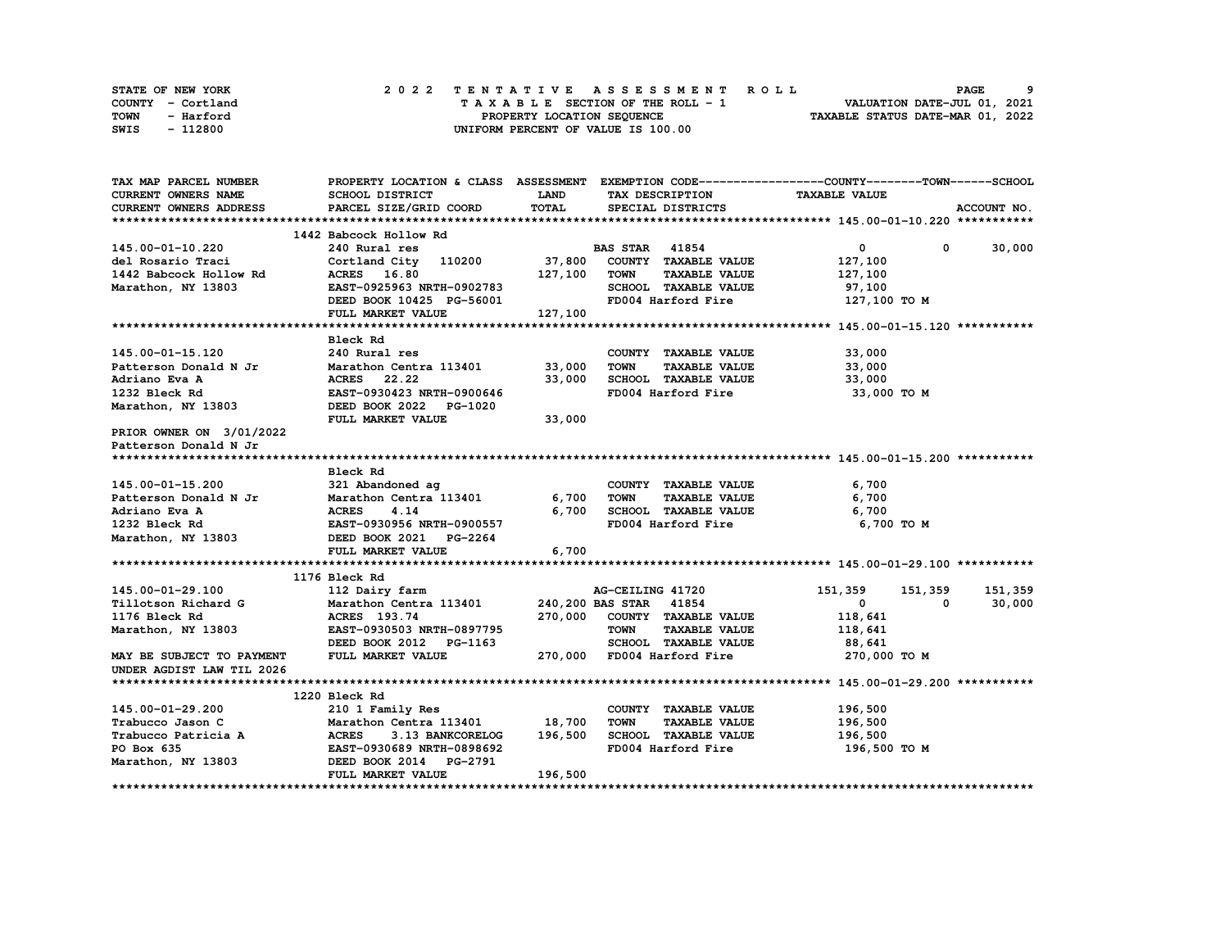| STATE OF NEW YORK | 2022 TENTATIVE ASSESSMENT ROLL     | <b>PAGE</b>                      |
|-------------------|------------------------------------|----------------------------------|
| COUNTY - Cortland | TAXABLE SECTION OF THE ROLL - 1    | VALUATION DATE-JUL 01, 2021      |
| TOWN<br>- Harford | PROPERTY LOCATION SEQUENCE         | TAXABLE STATUS DATE-MAR 01, 2022 |
| SWIS<br>- 112800  | UNIFORM PERCENT OF VALUE IS 100.00 |                                  |

| TAX MAP PARCEL NUMBER                              |                                                |         |                                     | PROPERTY LOCATION & CLASS ASSESSMENT EXEMPTION CODE----------------COUNTY-------TOWN-----SCHOOL |             |
|----------------------------------------------------|------------------------------------------------|---------|-------------------------------------|-------------------------------------------------------------------------------------------------|-------------|
| <b>CURRENT OWNERS NAME</b>                         | SCHOOL DISTRICT                                | LAND    | TAX DESCRIPTION                     | <b>TAXABLE VALUE</b>                                                                            |             |
| CURRENT OWNERS ADDRESS                             | PARCEL SIZE/GRID COORD                         | TOTAL   | SPECIAL DISTRICTS                   |                                                                                                 | ACCOUNT NO. |
|                                                    |                                                |         |                                     |                                                                                                 |             |
|                                                    | 1442 Babcock Hollow Rd                         |         |                                     |                                                                                                 |             |
| 145.00-01-10.220                                   | 240 Rural res                                  |         | <b>BAS STAR</b> 41854               | $\overline{0}$<br>$\mathbf 0$                                                                   | 30,000      |
| del Rosario Traci                                  | Cortland City 110200 37,800                    |         | COUNTY TAXABLE VALUE                | 127,100                                                                                         |             |
| 1442 Babcock Hollow Rd                             | ACRES 16.80                                    | 127,100 | <b>TOWN</b><br><b>TAXABLE VALUE</b> | 127,100                                                                                         |             |
| Marathon, NY 13803                                 | EAST-0925963 NRTH-0902783                      |         | SCHOOL TAXABLE VALUE                | 97,100                                                                                          |             |
|                                                    | DEED BOOK 10425 PG-56001                       |         | FD004 Harford Fire                  | 127,100 TO M                                                                                    |             |
|                                                    | FULL MARKET VALUE                              | 127,100 |                                     |                                                                                                 |             |
|                                                    |                                                |         |                                     |                                                                                                 |             |
|                                                    | Bleck Rd                                       |         |                                     |                                                                                                 |             |
| 145.00-01-15.120                                   | 240 Rural res                                  |         | COUNTY TAXABLE VALUE                | 33,000                                                                                          |             |
| Patterson Donald N Jr                              | Marathon Centra 113401                         | 33,000  | <b>TOWN</b><br><b>TAXABLE VALUE</b> | 33,000                                                                                          |             |
| Adriano Eva A                                      | ACRES 22.22                                    | 33,000  | SCHOOL TAXABLE VALUE                | 33,000                                                                                          |             |
| 1232 Bleck Rd                                      | EAST-0930423 NRTH-0900646                      |         | FD004 Harford Fire                  | 33,000 TO M                                                                                     |             |
| Marathon, NY 13803                                 | DEED BOOK 2022 PG-1020                         |         |                                     |                                                                                                 |             |
|                                                    | FULL MARKET VALUE                              | 33,000  |                                     |                                                                                                 |             |
| PRIOR OWNER ON 3/01/2022                           |                                                |         |                                     |                                                                                                 |             |
| Patterson Donald N Jr                              |                                                |         |                                     |                                                                                                 |             |
|                                                    |                                                |         |                                     |                                                                                                 |             |
|                                                    | Bleck Rd                                       |         |                                     |                                                                                                 |             |
| 145.00-01-15.200                                   | 321 Abandoned ag                               |         | COUNTY TAXABLE VALUE                | 6,700                                                                                           |             |
| Patterson Donald N Jr Marathon Centra 113401 6,700 |                                                |         | <b>TOWN</b><br><b>TAXABLE VALUE</b> | 6,700                                                                                           |             |
| Adriano Eva A                                      | <b>ACRES</b><br>4.14                           | 6,700   | SCHOOL TAXABLE VALUE                | 6,700                                                                                           |             |
| 1232 Bleck Rd                                      | EAST-0930956 NRTH-0900557                      |         | FD004 Harford Fire                  | 6,700 TO M                                                                                      |             |
| Marathon, NY 13803                                 | DEED BOOK 2021 PG-2264                         |         |                                     |                                                                                                 |             |
|                                                    | FULL MARKET VALUE                              | 6,700   |                                     |                                                                                                 |             |
|                                                    |                                                |         |                                     |                                                                                                 |             |
|                                                    | 1176 Bleck Rd                                  |         |                                     |                                                                                                 |             |
| 145.00-01-29.100                                   | 112 Dairy farm                                 |         | AG-CEILING 41720                    | 151,359<br>151,359                                                                              | 151,359     |
| Tillotson Richard G                                | Marathon Centra 113401 240, 200 BAS STAR 41854 |         |                                     | $\mathbf{0}$<br>0                                                                               | 30,000      |
| 1176 Bleck Rd                                      | ACRES 193.74                                   |         | 270,000 COUNTY TAXABLE VALUE        | 118,641                                                                                         |             |
| Marathon, NY 13803                                 | EAST-0930503 NRTH-0897795                      |         | <b>TOWN</b><br><b>TAXABLE VALUE</b> | 118,641                                                                                         |             |
|                                                    | DEED BOOK 2012 PG-1163                         |         | SCHOOL TAXABLE VALUE                | 88,641                                                                                          |             |
| MAY BE SUBJECT TO PAYMENT                          | FULL MARKET VALUE                              |         | 270,000 FD004 Harford Fire          | 270,000 TO M                                                                                    |             |
| UNDER AGDIST LAW TIL 2026                          |                                                |         |                                     |                                                                                                 |             |
|                                                    |                                                |         |                                     |                                                                                                 |             |
| 145.00-01-29.200                                   | 1220 Bleck Rd<br>210 1 Family Res              |         | COUNTY TAXABLE VALUE                | 196,500                                                                                         |             |
| Trabucco Jason C                                   | Marathon Centra 113401 18,700                  |         | <b>TOWN</b><br><b>TAXABLE VALUE</b> | 196,500                                                                                         |             |
| Trabucco Patricia A                                | <b>ACRES</b><br>3.13 BANKCORELOG               | 196,500 | SCHOOL TAXABLE VALUE                | 196,500                                                                                         |             |
| PO Box 635                                         | EAST-0930689 NRTH-0898692                      |         | FD004 Harford Fire                  | 196,500 то м                                                                                    |             |
| Marathon, NY 13803                                 | DEED BOOK 2014 PG-2791                         |         |                                     |                                                                                                 |             |
|                                                    | FULL MARKET VALUE                              | 196,500 |                                     |                                                                                                 |             |
|                                                    |                                                |         |                                     |                                                                                                 |             |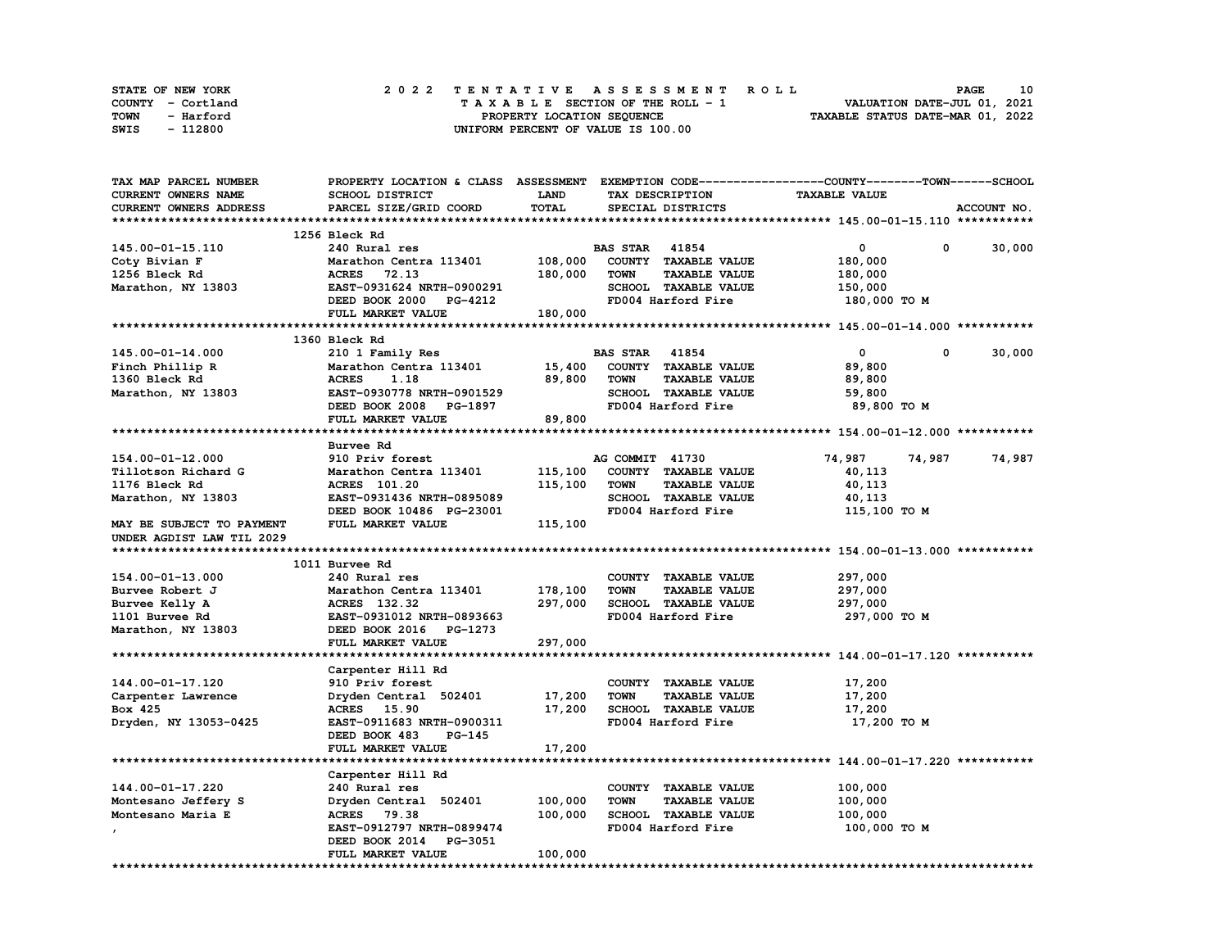| STATE OF NEW YORK | 2022 TENTATIVE ASSESSMENT ROLL     | 10<br><b>PAGE</b>                |
|-------------------|------------------------------------|----------------------------------|
| COUNTY - Cortland | TAXABLE SECTION OF THE ROLL - 1    | VALUATION DATE-JUL 01, 2021      |
| TOWN<br>- Harford | PROPERTY LOCATION SEQUENCE         | TAXABLE STATUS DATE-MAR 01, 2022 |
| - 112800<br>SWIS  | UNIFORM PERCENT OF VALUE IS 100.00 |                                  |

| TAX MAP PARCEL NUMBER     | PROPERTY LOCATION & CLASS ASSESSMENT EXEMPTION CODE----------------COUNTY-------TOWN-----SCHOOL |         |                                     |                         |             |
|---------------------------|-------------------------------------------------------------------------------------------------|---------|-------------------------------------|-------------------------|-------------|
| CURRENT OWNERS NAME       | SCHOOL DISTRICT                                                                                 | LAND    | TAX DESCRIPTION                     | <b>TAXABLE VALUE</b>    |             |
| CURRENT OWNERS ADDRESS    | PARCEL SIZE/GRID COORD                                                                          | TOTAL   | SPECIAL DISTRICTS                   |                         | ACCOUNT NO. |
|                           |                                                                                                 |         |                                     |                         |             |
|                           | 1256 Bleck Rd                                                                                   |         |                                     |                         |             |
| 145.00-01-15.110          | 240 Rural res                                                                                   |         | <b>BAS STAR 41854</b>               | 0<br>0                  | 30,000      |
| Coty Bivian F             | Marathon Centra 113401                                                                          | 108,000 | COUNTY TAXABLE VALUE                | 180,000                 |             |
| 1256 Bleck Rd             | <b>ACRES</b><br>72.13                                                                           | 180,000 | <b>TOWN</b><br><b>TAXABLE VALUE</b> | 180,000                 |             |
| Marathon, NY 13803        | EAST-0931624 NRTH-0900291                                                                       |         | SCHOOL TAXABLE VALUE                | 150,000                 |             |
|                           | DEED BOOK 2000 PG-4212                                                                          |         | FD004 Harford Fire                  | 180,000 TO M            |             |
|                           | FULL MARKET VALUE                                                                               | 180,000 |                                     |                         |             |
|                           |                                                                                                 |         |                                     |                         |             |
|                           | 1360 Bleck Rd                                                                                   |         |                                     |                         |             |
| 145.00-01-14.000          | 210 1 Family Res                                                                                |         | <b>BAS STAR</b><br>41854            | $\mathbf 0$<br>$\Omega$ | 30,000      |
| Finch Phillip R           | Marathon Centra 113401                                                                          | 15,400  | COUNTY TAXABLE VALUE                | 89,800                  |             |
| 1360 Bleck Rd             | <b>ACRES</b><br>1.18                                                                            | 89,800  | <b>TAXABLE VALUE</b><br><b>TOWN</b> | 89,800                  |             |
| Marathon, NY 13803        | EAST-0930778 NRTH-0901529                                                                       |         | SCHOOL TAXABLE VALUE                | 59,800                  |             |
|                           | DEED BOOK 2008 PG-1897                                                                          |         | FD004 Harford Fire                  | 89,800 TO M             |             |
|                           |                                                                                                 |         |                                     |                         |             |
|                           | FULL MARKET VALUE                                                                               | 89,800  |                                     |                         |             |
|                           |                                                                                                 |         |                                     |                         |             |
|                           | Burvee Rd                                                                                       |         |                                     |                         |             |
| 154.00-01-12.000          | 910 Priv forest                                                                                 |         | AG COMMIT 41730                     | 74,987<br>74,987        | 74,987      |
| Tillotson Richard G       | Marathon Centra 113401                                                                          | 115,100 | COUNTY TAXABLE VALUE                | 40,113                  |             |
| 1176 Bleck Rd             | <b>ACRES</b> 101.20                                                                             | 115,100 | <b>TAXABLE VALUE</b><br><b>TOWN</b> | 40,113                  |             |
| Marathon, NY 13803        | EAST-0931436 NRTH-0895089                                                                       |         | SCHOOL TAXABLE VALUE                | 40,113                  |             |
|                           | DEED BOOK 10486 PG-23001                                                                        |         | FD004 Harford Fire                  | 115,100 TO M            |             |
| MAY BE SUBJECT TO PAYMENT | FULL MARKET VALUE                                                                               | 115,100 |                                     |                         |             |
| UNDER AGDIST LAW TIL 2029 |                                                                                                 |         |                                     |                         |             |
|                           |                                                                                                 |         |                                     |                         |             |
|                           | 1011 Burvee Rd                                                                                  |         |                                     |                         |             |
| 154.00-01-13.000          | 240 Rural res                                                                                   |         | COUNTY TAXABLE VALUE                | 297,000                 |             |
| Burvee Robert J           | Marathon Centra 113401                                                                          | 178,100 | <b>TOWN</b><br><b>TAXABLE VALUE</b> | 297,000                 |             |
| Burvee Kelly A            | ACRES 132.32                                                                                    | 297,000 | SCHOOL TAXABLE VALUE                | 297,000                 |             |
| 1101 Burvee Rd            | EAST-0931012 NRTH-0893663                                                                       |         | FD004 Harford Fire                  | 297,000 TO M            |             |
| Marathon, NY 13803        | DEED BOOK 2016 PG-1273                                                                          |         |                                     |                         |             |
|                           | FULL MARKET VALUE                                                                               | 297,000 |                                     |                         |             |
|                           |                                                                                                 |         |                                     |                         |             |
|                           | Carpenter Hill Rd                                                                               |         |                                     |                         |             |
| 144.00-01-17.120          | 910 Priv forest                                                                                 |         | COUNTY TAXABLE VALUE                | 17,200                  |             |
| Carpenter Lawrence        | Dryden Central 502401                                                                           | 17,200  | <b>TOWN</b><br><b>TAXABLE VALUE</b> | 17,200                  |             |
| Box 425                   | ACRES 15.90                                                                                     | 17,200  | SCHOOL TAXABLE VALUE                | 17,200                  |             |
| Dryden, NY 13053-0425     | EAST-0911683 NRTH-0900311                                                                       |         | FD004 Harford Fire                  | 17,200 TO M             |             |
|                           | DEED BOOK 483<br>PG-145                                                                         |         |                                     |                         |             |
|                           | FULL MARKET VALUE                                                                               | 17,200  |                                     |                         |             |
|                           |                                                                                                 |         |                                     |                         |             |
|                           | Carpenter Hill Rd                                                                               |         |                                     |                         |             |
| 144.00-01-17.220          | 240 Rural res                                                                                   |         | COUNTY TAXABLE VALUE                | 100,000                 |             |
|                           |                                                                                                 |         |                                     |                         |             |
| Montesano Jeffery S       | Dryden Central 502401                                                                           | 100,000 | <b>TAXABLE VALUE</b><br>TOWN        | 100,000                 |             |
| Montesano Maria E         | <b>ACRES</b> 79.38                                                                              | 100,000 | <b>SCHOOL TAXABLE VALUE</b>         | 100,000                 |             |
|                           | EAST-0912797 NRTH-0899474                                                                       |         | FD004 Harford Fire                  | 100,000 TO M            |             |
|                           | DEED BOOK 2014<br><b>PG-3051</b>                                                                |         |                                     |                         |             |
|                           | FULL MARKET VALUE                                                                               | 100,000 |                                     |                         |             |
|                           |                                                                                                 |         |                                     |                         |             |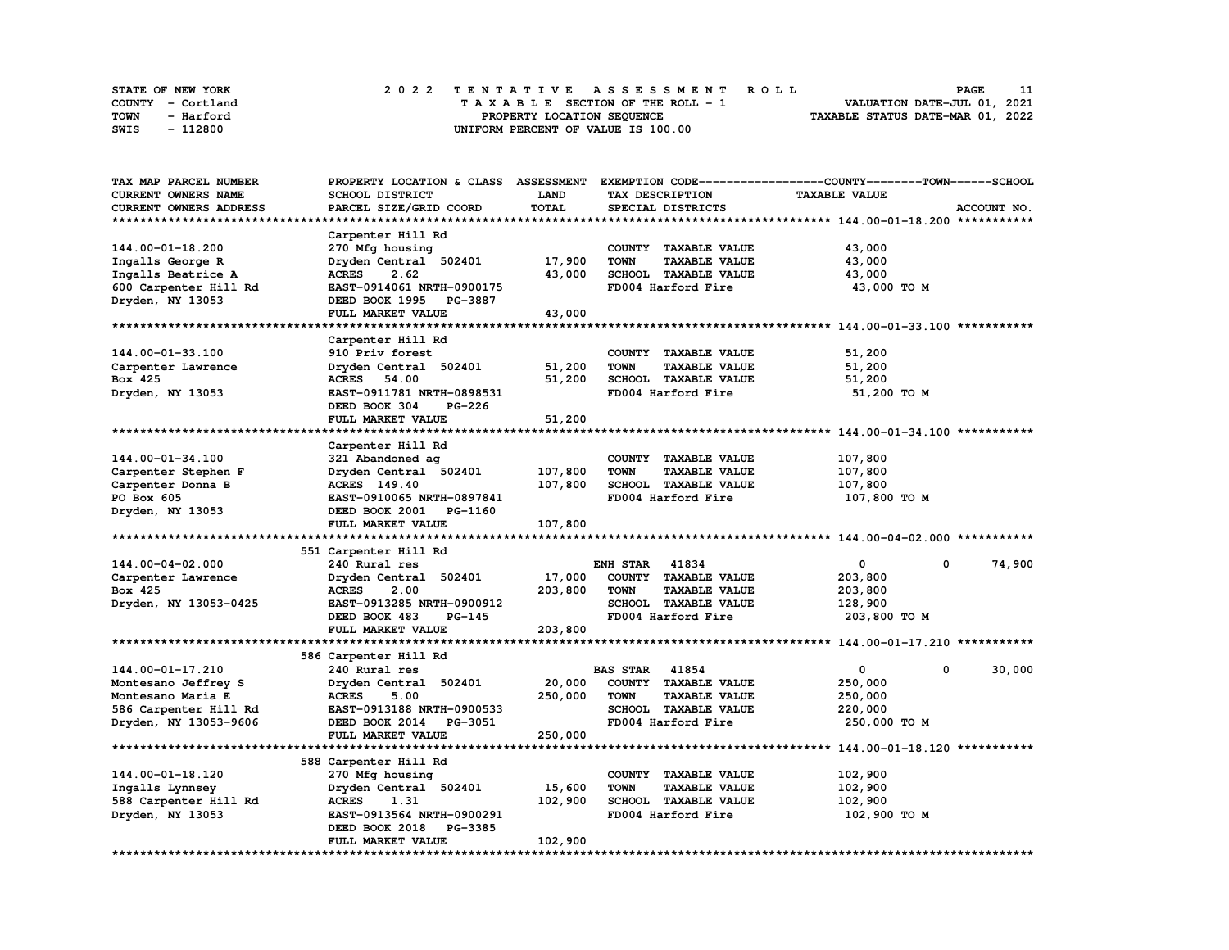| STATE OF NEW YORK | 2022 TENTATIVE ASSESSMENT ROLL     | <b>PAGE</b>                      |
|-------------------|------------------------------------|----------------------------------|
| COUNTY - Cortland | TAXABLE SECTION OF THE ROLL - 1    | VALUATION DATE-JUL 01, 2021      |
| TOWN<br>- Harford | PROPERTY LOCATION SEQUENCE         | TAXABLE STATUS DATE-MAR 01, 2022 |
| - 112800<br>SWIS  | UNIFORM PERCENT OF VALUE IS 100.00 |                                  |

| TAX MAP PARCEL NUMBER      | PROPERTY LOCATION & CLASS      | <b>ASSESSMENT</b> |                                     | EXEMPTION CODE-----------------COUNTY-------TOWN------SCHOOL |             |
|----------------------------|--------------------------------|-------------------|-------------------------------------|--------------------------------------------------------------|-------------|
| <b>CURRENT OWNERS NAME</b> | SCHOOL DISTRICT                | LAND              | TAX DESCRIPTION                     | <b>TAXABLE VALUE</b>                                         |             |
| CURRENT OWNERS ADDRESS     | PARCEL SIZE/GRID COORD         | TOTAL             | SPECIAL DISTRICTS                   |                                                              | ACCOUNT NO. |
| *************************  |                                |                   |                                     |                                                              |             |
|                            | Carpenter Hill Rd              |                   |                                     |                                                              |             |
| 144.00-01-18.200           | 270 Mfg housing                |                   | COUNTY TAXABLE VALUE                | 43,000                                                       |             |
| Ingalls George R           | Dryden Central 502401          | 17,900            | <b>TAXABLE VALUE</b><br><b>TOWN</b> | 43,000                                                       |             |
| Ingalls Beatrice A         | <b>ACRES</b><br>2.62           | 43,000            | SCHOOL TAXABLE VALUE                | 43,000                                                       |             |
|                            | EAST-0914061 NRTH-0900175      |                   | FD004 Harford Fire                  | 43,000 TO M                                                  |             |
| 600 Carpenter Hill Rd      |                                |                   |                                     |                                                              |             |
| Dryden, NY 13053           | DEED BOOK 1995 PG-3887         |                   |                                     |                                                              |             |
| *************************  | FULL MARKET VALUE              | 43,000            |                                     |                                                              |             |
|                            |                                |                   |                                     |                                                              |             |
|                            | Carpenter Hill Rd              |                   |                                     |                                                              |             |
| 144.00-01-33.100           | 910 Priv forest                |                   | <b>TAXABLE VALUE</b><br>COUNTY      | 51,200                                                       |             |
| Carpenter Lawrence         | Dryden Central 502401          | 51,200            | <b>TOWN</b><br><b>TAXABLE VALUE</b> | 51,200                                                       |             |
| Box 425                    | 54.00<br><b>ACRES</b>          | 51,200            | SCHOOL TAXABLE VALUE                | 51,200                                                       |             |
| Dryden, NY 13053           | EAST-0911781 NRTH-0898531      |                   | FD004 Harford Fire                  | 51,200 TO M                                                  |             |
|                            | DEED BOOK 304<br><b>PG-226</b> |                   |                                     |                                                              |             |
|                            | FULL MARKET VALUE              | 51,200            |                                     |                                                              |             |
|                            |                                |                   |                                     |                                                              |             |
|                            | Carpenter Hill Rd              |                   |                                     |                                                              |             |
| 144.00-01-34.100           | 321 Abandoned ag               |                   | COUNTY TAXABLE VALUE                | 107,800                                                      |             |
| Carpenter Stephen F        | Dryden Central 502401          | 107,800           | <b>TOWN</b><br><b>TAXABLE VALUE</b> | 107,800                                                      |             |
| Carpenter Donna B          | ACRES 149.40                   | 107,800           | SCHOOL TAXABLE VALUE                | 107,800                                                      |             |
| PO Box 605                 | EAST-0910065 NRTH-0897841      |                   | FD004 Harford Fire                  | 107,800 TO M                                                 |             |
| Dryden, NY 13053           | DEED BOOK 2001<br>PG-1160      |                   |                                     |                                                              |             |
|                            | FULL MARKET VALUE              | 107,800           |                                     |                                                              |             |
|                            |                                |                   |                                     |                                                              |             |
|                            | 551 Carpenter Hill Rd          |                   |                                     |                                                              |             |
| 144.00-04-02.000           | 240 Rural res                  |                   | 41834<br><b>ENH STAR</b>            | 0<br>0                                                       | 74,900      |
|                            |                                |                   | COUNTY TAXABLE VALUE                | 203,800                                                      |             |
| Carpenter Lawrence         | Dryden Central 502401          | 17,000            |                                     |                                                              |             |
| Box 425                    | 2.00<br><b>ACRES</b>           | 203,800           | <b>TOWN</b><br><b>TAXABLE VALUE</b> | 203,800                                                      |             |
| Dryden, NY 13053-0425      | EAST-0913285 NRTH-0900912      |                   | SCHOOL TAXABLE VALUE                | 128,900                                                      |             |
|                            | DEED BOOK 483<br><b>PG-145</b> |                   | FD004 Harford Fire                  | 203,800 TO M                                                 |             |
|                            | FULL MARKET VALUE              | 203,800           |                                     |                                                              |             |
|                            |                                |                   |                                     |                                                              |             |
|                            | 586 Carpenter Hill Rd          |                   |                                     |                                                              |             |
| 144.00-01-17.210           | 240 Rural res                  |                   | <b>BAS STAR</b><br>41854            | 0<br>0                                                       | 30,000      |
| Montesano Jeffrey S        | Dryden Central 502401          | 20,000            | COUNTY TAXABLE VALUE                | 250,000                                                      |             |
| Montesano Maria E          | <b>ACRES</b><br>5.00           | 250,000           | <b>TAXABLE VALUE</b><br><b>TOWN</b> | 250,000                                                      |             |
| 586 Carpenter Hill Rd      | EAST-0913188 NRTH-0900533      |                   | SCHOOL TAXABLE VALUE                | 220,000                                                      |             |
| Dryden, NY 13053-9606      | DEED BOOK 2014<br>PG-3051      |                   | FD004 Harford Fire                  | 250,000 TO M                                                 |             |
|                            | FULL MARKET VALUE              | 250,000           |                                     |                                                              |             |
|                            |                                |                   |                                     |                                                              |             |
|                            | 588 Carpenter Hill Rd          |                   |                                     |                                                              |             |
| 144.00-01-18.120           | 270 Mfg housing                |                   | COUNTY TAXABLE VALUE                | 102,900                                                      |             |
| Ingalls Lynnsey            | Dryden Central 502401          | 15,600            | <b>TOWN</b><br><b>TAXABLE VALUE</b> | 102,900                                                      |             |
| 588 Carpenter Hill Rd      | <b>ACRES</b><br>1.31           | 102,900           | SCHOOL TAXABLE VALUE                | 102,900                                                      |             |
| Dryden, NY 13053           | EAST-0913564 NRTH-0900291      |                   | FD004 Harford Fire                  | 102,900 TO M                                                 |             |
|                            | DEED BOOK 2018<br>PG-3385      |                   |                                     |                                                              |             |
|                            | FULL MARKET VALUE              | 102,900           |                                     |                                                              |             |
|                            |                                |                   |                                     |                                                              |             |
|                            |                                |                   |                                     |                                                              |             |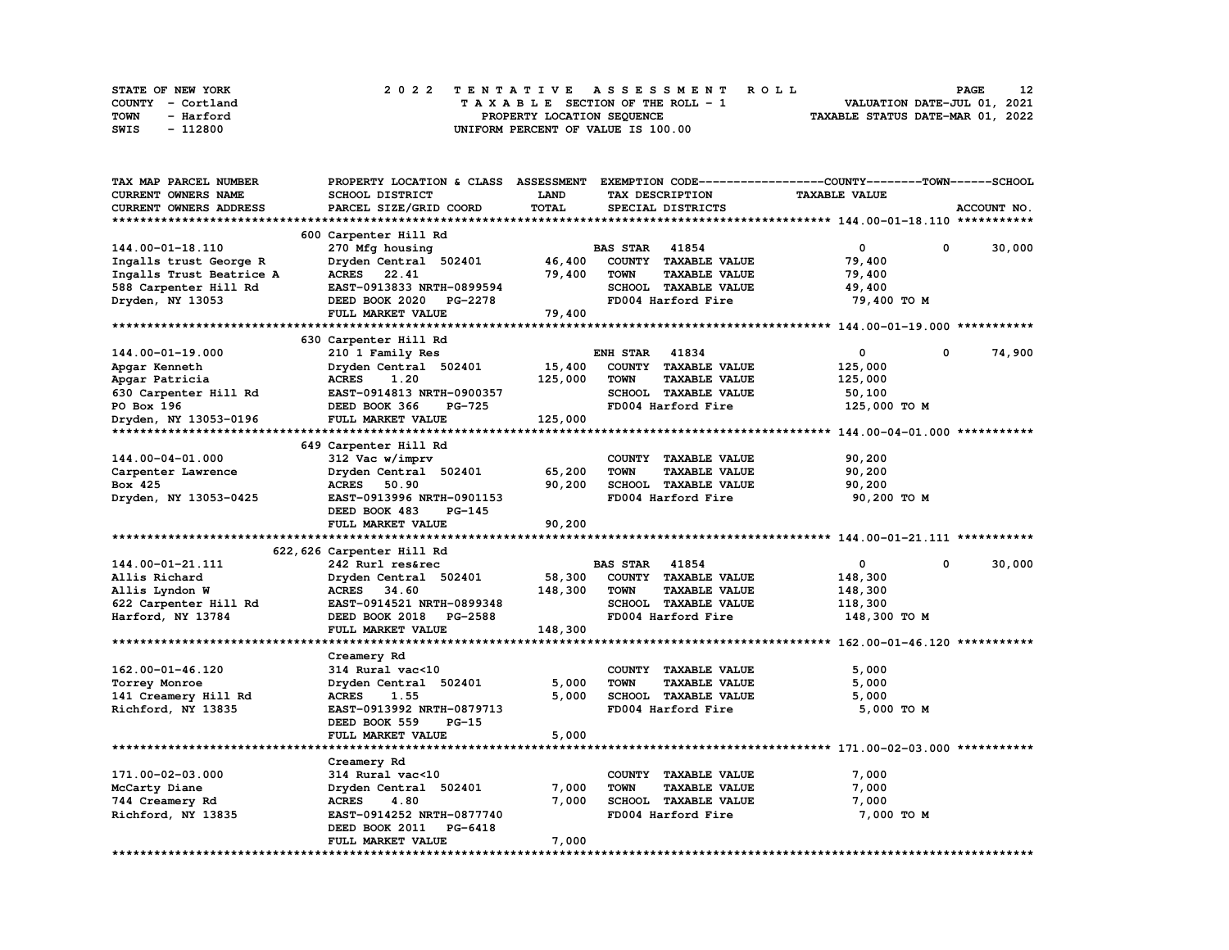| STATE OF NEW YORK | 2022 TENTATIVE ASSESSMENT ROLL          | 12<br><b>PAGE</b>                |
|-------------------|-----------------------------------------|----------------------------------|
| COUNTY - Cortland | $T A X A B L E$ SECTION OF THE ROLL - 1 | VALUATION DATE-JUL 01, 2021      |
| TOWN<br>- Harford | PROPERTY LOCATION SEQUENCE              | TAXABLE STATUS DATE-MAR 01, 2022 |
| - 112800<br>SWIS  | UNIFORM PERCENT OF VALUE IS 100.00      |                                  |

| TAX MAP PARCEL NUMBER    | PROPERTY LOCATION & CLASS        | <b>ASSESSMENT</b> | EXEMPTION CODE-----                 | ------------COUNTY--------TOWN------SCHOOL |   |             |
|--------------------------|----------------------------------|-------------------|-------------------------------------|--------------------------------------------|---|-------------|
| CURRENT OWNERS NAME      | <b>SCHOOL DISTRICT</b>           | LAND              | TAX DESCRIPTION                     | <b>TAXABLE VALUE</b>                       |   |             |
| CURRENT OWNERS ADDRESS   | PARCEL SIZE/GRID COORD           | TOTAL             | SPECIAL DISTRICTS                   |                                            |   | ACCOUNT NO. |
|                          |                                  |                   |                                     |                                            |   |             |
|                          | 600 Carpenter Hill Rd            |                   |                                     |                                            |   |             |
| 144.00-01-18.110         | 270 Mfg housing                  |                   | <b>BAS STAR 41854</b>               | 0                                          | 0 | 30,000      |
| Ingalls trust George R   | Dryden Central 502401            | 46,400            | COUNTY TAXABLE VALUE                | 79,400                                     |   |             |
| Ingalls Trust Beatrice A | <b>ACRES</b><br>22.41            | 79,400            | <b>TOWN</b><br><b>TAXABLE VALUE</b> | 79,400                                     |   |             |
| 588 Carpenter Hill Rd    | EAST-0913833 NRTH-0899594        |                   | SCHOOL TAXABLE VALUE                | 49,400                                     |   |             |
| Dryden, NY 13053         | DEED BOOK 2020 PG-2278           |                   | FD004 Harford Fire                  | 79,400 TO M                                |   |             |
|                          | FULL MARKET VALUE                | 79,400            |                                     |                                            |   |             |
|                          |                                  |                   |                                     |                                            |   |             |
|                          |                                  |                   |                                     |                                            |   |             |
|                          | 630 Carpenter Hill Rd            |                   |                                     |                                            |   |             |
| 144.00-01-19.000         | 210 1 Family Res                 |                   | <b>ENH STAR 41834</b>               | 0                                          | 0 | 74,900      |
| Apgar Kenneth            | Dryden Central 502401            | 15,400            | COUNTY TAXABLE VALUE                | 125,000                                    |   |             |
| Apgar Patricia           | <b>ACRES</b><br>1.20             | 125,000           | <b>TOWN</b><br><b>TAXABLE VALUE</b> | 125,000                                    |   |             |
| 630 Carpenter Hill Rd    | EAST-0914813 NRTH-0900357        |                   | SCHOOL TAXABLE VALUE                | 50,100                                     |   |             |
| PO Box 196               | DEED BOOK 366<br>PG-725          |                   | FD004 Harford Fire                  | 125,000 TO M                               |   |             |
| Dryden, NY 13053-0196    | FULL MARKET VALUE                | 125,000           |                                     |                                            |   |             |
|                          |                                  |                   |                                     |                                            |   |             |
|                          | 649 Carpenter Hill Rd            |                   |                                     |                                            |   |             |
| 144.00-04-01.000         | 312 Vac w/imprv                  |                   | COUNTY TAXABLE VALUE                | 90,200                                     |   |             |
| Carpenter Lawrence       | Dryden Central 502401            | 65,200            | <b>TOWN</b><br><b>TAXABLE VALUE</b> | 90,200                                     |   |             |
| Box 425                  | ACRES 50.90                      | 90,200            | SCHOOL TAXABLE VALUE                | 90,200                                     |   |             |
| Dryden, NY 13053-0425    | EAST-0913996 NRTH-0901153        |                   | FD004 Harford Fire                  | 90,200 TO M                                |   |             |
|                          | DEED BOOK 483<br>PG-145          |                   |                                     |                                            |   |             |
|                          |                                  |                   |                                     |                                            |   |             |
|                          | FULL MARKET VALUE                |                   |                                     |                                            |   |             |
|                          |                                  | 90,200            |                                     |                                            |   |             |
|                          |                                  |                   |                                     |                                            |   |             |
|                          | 622, 626 Carpenter Hill Rd       |                   |                                     |                                            | 0 |             |
| 144.00-01-21.111         | 242 Rurl res&rec                 |                   | <b>BAS STAR 41854</b>               | $\mathbf{0}$                               |   | 30,000      |
| Allis Richard            | Dryden Central 502401            | 58,300            | COUNTY TAXABLE VALUE                | 148,300                                    |   |             |
| Allis Lyndon W           | ACRES 34.60                      | 148,300           | <b>TOWN</b><br><b>TAXABLE VALUE</b> | 148,300                                    |   |             |
| 622 Carpenter Hill Rd    | EAST-0914521 NRTH-0899348        |                   | SCHOOL TAXABLE VALUE                | 118,300                                    |   |             |
| Harford, NY 13784        | DEED BOOK 2018<br><b>PG-2588</b> |                   | FD004 Harford Fire                  | 148,300 TO M                               |   |             |
|                          | FULL MARKET VALUE                | 148,300           |                                     |                                            |   |             |
|                          |                                  |                   |                                     |                                            |   |             |
|                          | Creamery Rd                      |                   |                                     |                                            |   |             |
| 162.00-01-46.120         | 314 Rural vac<10                 |                   | COUNTY TAXABLE VALUE                | 5,000                                      |   |             |
| Torrey Monroe            | Dryden Central 502401            | 5,000             | <b>TOWN</b><br><b>TAXABLE VALUE</b> | 5,000                                      |   |             |
| 141 Creamery Hill Rd     | <b>ACRES</b><br>1.55             | 5,000             | SCHOOL TAXABLE VALUE                | 5,000                                      |   |             |
| Richford, NY 13835       | EAST-0913992 NRTH-0879713        |                   | FD004 Harford Fire                  | 5,000 TO M                                 |   |             |
|                          | DEED BOOK 559<br>PG-15           |                   |                                     |                                            |   |             |
|                          | FULL MARKET VALUE                | 5,000             |                                     |                                            |   |             |
|                          |                                  |                   |                                     |                                            |   |             |
|                          | Creamery Rd                      |                   |                                     |                                            |   |             |
| 171.00-02-03.000         | 314 Rural vac<10                 |                   | COUNTY TAXABLE VALUE                | 7,000                                      |   |             |
| McCarty Diane            | Dryden Central 502401            | 7,000             | <b>TOWN</b><br><b>TAXABLE VALUE</b> | 7,000                                      |   |             |
| 744 Creamery Rd          | <b>ACRES</b><br>4.80             | 7,000             | SCHOOL TAXABLE VALUE                | 7,000                                      |   |             |
| Richford, NY 13835       | EAST-0914252 NRTH-0877740        |                   | FD004 Harford Fire                  | 7,000 TO M                                 |   |             |
|                          | DEED BOOK 2011<br>PG-6418        |                   |                                     |                                            |   |             |
|                          | FULL MARKET VALUE                | 7,000             |                                     |                                            |   |             |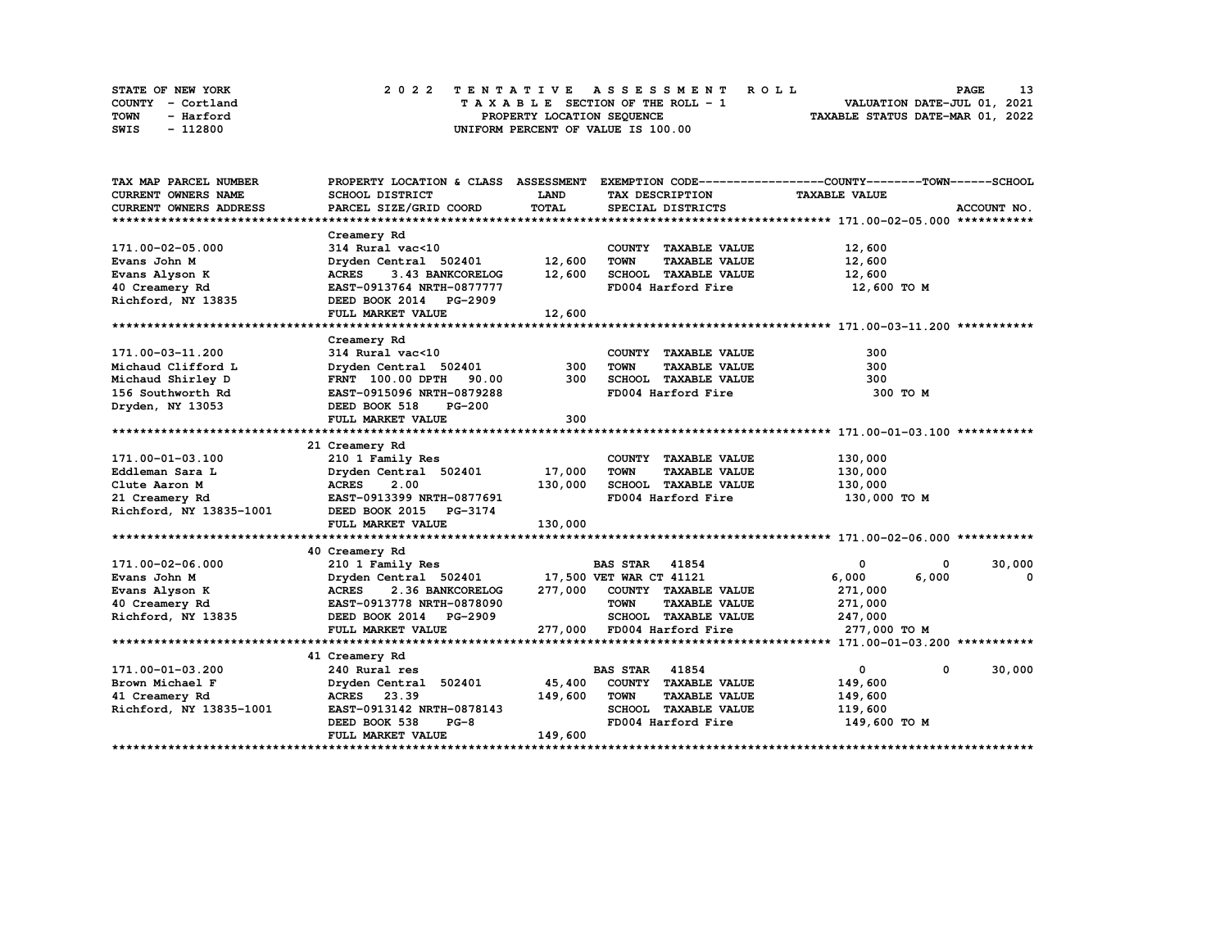| <b>STATE OF NEW YORK</b> | 2022 TENTATIVE ASSESSMENT ROLL     | <b>PAGE</b>                      |
|--------------------------|------------------------------------|----------------------------------|
| COUNTY - Cortland        | TAXABLE SECTION OF THE ROLL - 1    | VALUATION DATE-JUL 01, 2021      |
| TOWN<br>- Harford        | PROPERTY LOCATION SEOUENCE         | TAXABLE STATUS DATE-MAR 01, 2022 |
| - 112800<br>SWIS         | UNIFORM PERCENT OF VALUE IS 100.00 |                                  |

| TAX MAP PARCEL NUMBER                                                                      | PROPERTY LOCATION & CLASS ASSESSMENT          |             |                                     | EXEMPTION CODE-----------------COUNTY-------TOWN------SCHOOL |
|--------------------------------------------------------------------------------------------|-----------------------------------------------|-------------|-------------------------------------|--------------------------------------------------------------|
| <b>CURRENT OWNERS NAME</b>                                                                 | SCHOOL DISTRICT                               | <b>LAND</b> | TAX DESCRIPTION                     | <b>TAXABLE VALUE</b>                                         |
| <b>CURRENT OWNERS ADDRESS</b>                                                              | PARCEL SIZE/GRID COORD                        | TOTAL       | SPECIAL DISTRICTS                   | ACCOUNT NO.                                                  |
|                                                                                            |                                               |             |                                     |                                                              |
|                                                                                            | Creamery Rd                                   |             |                                     |                                                              |
| 171.00-02-05.000                                                                           | 314 Rural vac<10                              |             | COUNTY TAXABLE VALUE                | 12,600                                                       |
| Evans John M                                                                               | Dryden Central 502401                         | 12,600      | <b>TOWN</b><br><b>TAXABLE VALUE</b> | 12,600                                                       |
| Evans Alyson K                                                                             | ACRES 3.43 BANKCORELOG                        | 12,600      | SCHOOL TAXABLE VALUE                | 12,600                                                       |
| 40 Creamery Rd                                                                             | EAST-0913764 NRTH-0877777                     |             | FD004 Harford Fire                  | 12,600 TO M                                                  |
| Richford, NY 13835                                                                         | DEED BOOK 2014 PG-2909                        |             |                                     |                                                              |
|                                                                                            | FULL MARKET VALUE                             | 12,600      |                                     |                                                              |
|                                                                                            |                                               |             |                                     |                                                              |
|                                                                                            | Creamery Rd                                   |             |                                     |                                                              |
| 171.00-03-11.200                                                                           | 314 Rural vac<10                              |             | COUNTY TAXABLE VALUE                | 300                                                          |
| Michaud Clifford L                                                                         | Dryden Central 502401                         | 300         | <b>TOWN</b><br><b>TAXABLE VALUE</b> | 300                                                          |
| Michaud Shirley D                                                                          | FRNT 100.00 DPTH 90.00                        | 300         | SCHOOL TAXABLE VALUE                | 300                                                          |
| 156 Southworth Rd                                                                          | EAST-0915096 NRTH-0879288                     |             | FD004 Harford Fire                  | 300 TO M                                                     |
| Dryden, NY 13053                                                                           | DEED BOOK 518<br><b>PG-200</b>                |             |                                     |                                                              |
|                                                                                            | FULL MARKET VALUE                             | 300         |                                     |                                                              |
|                                                                                            |                                               |             |                                     |                                                              |
|                                                                                            | 21 Creamery Rd                                |             |                                     |                                                              |
| 171.00-01-03.100                                                                           | 210 1 Family Res                              |             | COUNTY TAXABLE VALUE                | 130,000                                                      |
| Eddleman Sara L                                                                            | Dryden Central 502401 17,000                  |             | <b>TOWN</b><br><b>TAXABLE VALUE</b> | 130,000                                                      |
| Clute Aaron M                                                                              | <b>ACRES</b><br>2.00                          | 130,000     | SCHOOL TAXABLE VALUE                | 130,000                                                      |
|                                                                                            | EAST-0913399 NRTH-0877691                     |             | FD004 Harford Fire                  | 130,000 TO M                                                 |
| 21 Creamery Rd EAST-0913399 NRTH-0877691<br>Richford, NY 13835-1001 DEED BOOK 2015 PG-3174 |                                               |             |                                     |                                                              |
|                                                                                            | FULL MARKET VALUE                             | 130,000     |                                     |                                                              |
|                                                                                            |                                               |             |                                     |                                                              |
|                                                                                            | 40 Creamery Rd                                |             |                                     |                                                              |
| 171.00-02-06.000                                                                           | 210 1 Family Res                              |             | <b>BAS STAR</b> 41854               | 30,000<br>$\mathbf 0$<br>0                                   |
| Evans John M                                                                               | Dryden Central 502401 17,500 VET WAR CT 41121 |             |                                     | 6,000<br>6,000<br>$\mathbf 0$                                |
| Evans Alyson K                                                                             | <b>ACRES</b><br>2.36 BANKCORELOG              |             | 277,000 COUNTY TAXABLE VALUE        | 271,000                                                      |
| 40 Creamery Rd                                                                             | EAST-0913778 NRTH-0878090                     |             | <b>TOWN</b><br><b>TAXABLE VALUE</b> | 271,000                                                      |
| Richford, NY 13835                                                                         | DEED BOOK 2014 PG-2909                        |             | SCHOOL TAXABLE VALUE 247,000        |                                                              |
|                                                                                            | FULL MARKET VALUE                             |             | 277,000 FD004 Harford Fire          | 277,000 TO M                                                 |
|                                                                                            |                                               |             |                                     |                                                              |
|                                                                                            | 41 Creamery Rd                                |             |                                     |                                                              |
| 171.00-01-03.200                                                                           | 240 Rural res                                 |             | <b>BAS STAR 41854</b>               | 30,000<br>$\mathbf{0}$<br>$^{\circ}$                         |
| Brown Michael F                                                                            | Dryden Central 502401                         | 45,400      | COUNTY TAXABLE VALUE                | 149,600                                                      |
| 41 Creamery Rd                                                                             | ACRES 23.39                                   | 149,600     | <b>TOWN</b><br><b>TAXABLE VALUE</b> | 149,600                                                      |
| Richford, NY 13835-1001                                                                    | EAST-0913142 NRTH-0878143                     |             | SCHOOL TAXABLE VALUE                | 119,600                                                      |
|                                                                                            | DEED BOOK 538<br>$PG-8$                       |             | FD004 Harford Fire                  | 149,600 TO M                                                 |
|                                                                                            | FULL MARKET VALUE                             | 149,600     |                                     |                                                              |
|                                                                                            |                                               |             |                                     |                                                              |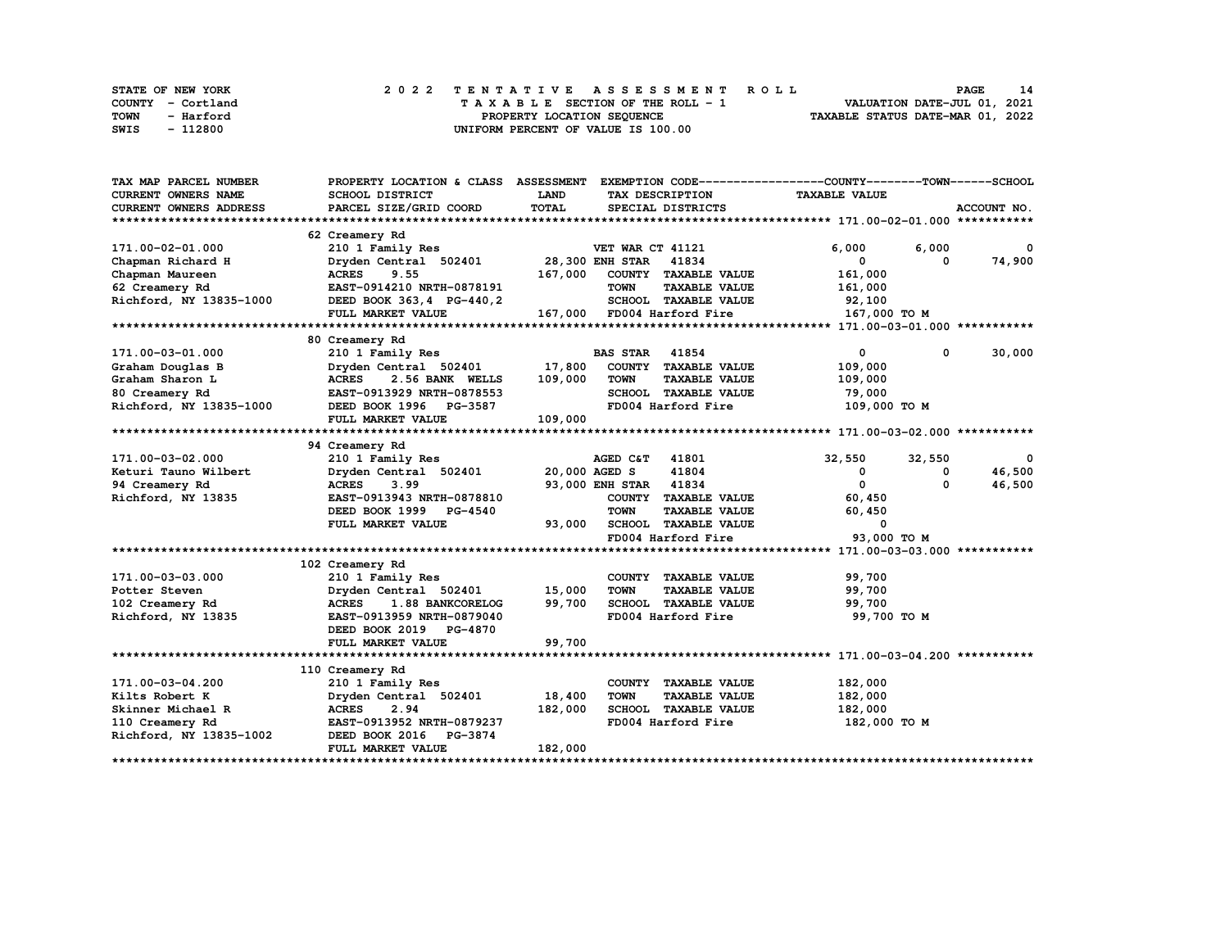| <b>STATE OF NEW YORK</b> | 2022 TENTATIVE ASSESSMENT ROLL     | 14<br><b>PAGE</b>                |
|--------------------------|------------------------------------|----------------------------------|
| COUNTY - Cortland        | TAXABLE SECTION OF THE ROLL - 1    | VALUATION DATE-JUL 01, 2021      |
| TOWN<br>- Harford        | PROPERTY LOCATION SEOUENCE         | TAXABLE STATUS DATE-MAR 01, 2022 |
| - 112800<br>SWIS         | UNIFORM PERCENT OF VALUE IS 100.00 |                                  |

| SCHOOL DISTRICT<br>LAND<br><b>TAXABLE VALUE</b><br><b>CURRENT OWNERS NAME</b><br>TAX DESCRIPTION<br>TOTAL<br>CURRENT OWNERS ADDRESS<br>PARCEL SIZE/GRID COORD<br>SPECIAL DISTRICTS<br>ACCOUNT NO.<br>62 Creamery Rd<br>171.00-02-01.000<br>210 1 Family Res<br>VET WAR CT 41121<br>6,000<br>6,000<br>$^{\circ}$<br>41834<br>74,900<br>Dryden Central 502401<br><b>28,300 ENH STAR</b><br>0<br>Chapman Richard H<br>0<br>167,000<br>COUNTY TAXABLE VALUE<br>Chapman Maureen<br><b>ACRES</b><br>9.55<br>161,000<br>62 Creamery Rd<br>EAST-0914210 NRTH-0878191<br><b>TOWN</b><br><b>TAXABLE VALUE</b><br>161,000<br>Richford, NY 13835-1000<br>SCHOOL TAXABLE VALUE<br>DEED BOOK 363, 4 PG-440, 2<br>92,100<br>167,000 FD004 Harford Fire<br>167,000 TO M<br>FULL MARKET VALUE<br>80 Creamery Rd<br>30,000<br>171.00-03-01.000<br>210 1 Family Res<br><b>BAS STAR</b><br>41854<br>$\mathbf 0$<br>0<br>17,800<br>Dryden Central 502401<br>COUNTY TAXABLE VALUE<br>109,000<br>Graham Douglas B<br><b>ACRES</b><br>2.56 BANK WELLS<br>109,000<br><b>TOWN</b><br><b>TAXABLE VALUE</b><br>Graham Sharon L<br>109,000<br>80 Creamery Rd<br>SCHOOL TAXABLE VALUE<br>79,000<br>EAST-0913929 NRTH-0878553<br>Richford, NY 13835-1000<br>FD004 Harford Fire<br>109,000 TO M<br>DEED BOOK 1996 PG-3587<br>109,000<br>FULL MARKET VALUE<br>94 Creamery Rd<br>210 1 Family Res<br>171.00-03-02.000<br>AGED C&T 41801<br>32,550<br>32,550<br>0<br>20,000 AGED S<br>41804<br>46,500<br>Keturi Tauno Wilbert<br>Dryden Central 502401<br>0<br>0<br>41834<br>0<br><b>ACRES</b><br>3.99<br>93,000 ENH STAR<br>$\Omega$<br>46,500<br>94 Creamery Rd<br>Richford, NY 13835<br>EAST-0913943 NRTH-0878810<br>COUNTY TAXABLE VALUE<br>60,450<br>DEED BOOK 1999 PG-4540<br><b>TOWN</b><br><b>TAXABLE VALUE</b><br>60,450<br><b>SCHOOL</b><br>FULL MARKET VALUE<br>93,000<br><b>TAXABLE VALUE</b><br>0<br>FD004 Harford Fire<br>93,000 TO M<br>102 Creamery Rd<br>171.00-03-03.000<br>99,700<br>210 1 Family Res<br>COUNTY TAXABLE VALUE<br>15,000<br><b>TAXABLE VALUE</b><br>99,700<br>Potter Steven<br>Dryden Central 502401<br><b>TOWN</b><br>99,700<br>102 Creamery Rd<br><b>ACRES</b><br>1.88 BANKCORELOG<br>SCHOOL TAXABLE VALUE<br>99,700<br>FD004 Harford Fire<br>99,700 TO M<br>Richford, NY 13835<br>EAST-0913959 NRTH-0879040<br>DEED BOOK 2019 PG-4870<br>99,700<br>FULL MARKET VALUE<br>110 Creamery Rd<br>182,000<br>171.00-03-04.200<br>210 1 Family Res<br>COUNTY TAXABLE VALUE<br>18,400<br>Kilts Robert K<br>Dryden Central 502401<br><b>TOWN</b><br><b>TAXABLE VALUE</b><br>182,000<br>2.94<br>182,000<br>SCHOOL TAXABLE VALUE<br>182,000<br>Skinner Michael R<br><b>ACRES</b><br>EAST-0913952 NRTH-0879237<br>FD004 Harford Fire<br>182,000 TO M<br>110 Creamery Rd<br>Richford, NY 13835-1002<br>DEED BOOK 2016<br>PG-3874<br>182,000<br>FULL MARKET VALUE | TAX MAP PARCEL NUMBER | PROPERTY LOCATION & CLASS ASSESSMENT |  | EXEMPTION CODE-----------------COUNTY-------TOWN------SCHOOL |  |
|------------------------------------------------------------------------------------------------------------------------------------------------------------------------------------------------------------------------------------------------------------------------------------------------------------------------------------------------------------------------------------------------------------------------------------------------------------------------------------------------------------------------------------------------------------------------------------------------------------------------------------------------------------------------------------------------------------------------------------------------------------------------------------------------------------------------------------------------------------------------------------------------------------------------------------------------------------------------------------------------------------------------------------------------------------------------------------------------------------------------------------------------------------------------------------------------------------------------------------------------------------------------------------------------------------------------------------------------------------------------------------------------------------------------------------------------------------------------------------------------------------------------------------------------------------------------------------------------------------------------------------------------------------------------------------------------------------------------------------------------------------------------------------------------------------------------------------------------------------------------------------------------------------------------------------------------------------------------------------------------------------------------------------------------------------------------------------------------------------------------------------------------------------------------------------------------------------------------------------------------------------------------------------------------------------------------------------------------------------------------------------------------------------------------------------------------------------------------------------------------------------------------------------------------------------------------------------------------------------------------------------------------------------------------------------------------------------------------------------------------------------------------------------------------------------------------------------------------------|-----------------------|--------------------------------------|--|--------------------------------------------------------------|--|
|                                                                                                                                                                                                                                                                                                                                                                                                                                                                                                                                                                                                                                                                                                                                                                                                                                                                                                                                                                                                                                                                                                                                                                                                                                                                                                                                                                                                                                                                                                                                                                                                                                                                                                                                                                                                                                                                                                                                                                                                                                                                                                                                                                                                                                                                                                                                                                                                                                                                                                                                                                                                                                                                                                                                                                                                                                                      |                       |                                      |  |                                                              |  |
|                                                                                                                                                                                                                                                                                                                                                                                                                                                                                                                                                                                                                                                                                                                                                                                                                                                                                                                                                                                                                                                                                                                                                                                                                                                                                                                                                                                                                                                                                                                                                                                                                                                                                                                                                                                                                                                                                                                                                                                                                                                                                                                                                                                                                                                                                                                                                                                                                                                                                                                                                                                                                                                                                                                                                                                                                                                      |                       |                                      |  |                                                              |  |
|                                                                                                                                                                                                                                                                                                                                                                                                                                                                                                                                                                                                                                                                                                                                                                                                                                                                                                                                                                                                                                                                                                                                                                                                                                                                                                                                                                                                                                                                                                                                                                                                                                                                                                                                                                                                                                                                                                                                                                                                                                                                                                                                                                                                                                                                                                                                                                                                                                                                                                                                                                                                                                                                                                                                                                                                                                                      |                       |                                      |  |                                                              |  |
|                                                                                                                                                                                                                                                                                                                                                                                                                                                                                                                                                                                                                                                                                                                                                                                                                                                                                                                                                                                                                                                                                                                                                                                                                                                                                                                                                                                                                                                                                                                                                                                                                                                                                                                                                                                                                                                                                                                                                                                                                                                                                                                                                                                                                                                                                                                                                                                                                                                                                                                                                                                                                                                                                                                                                                                                                                                      |                       |                                      |  |                                                              |  |
|                                                                                                                                                                                                                                                                                                                                                                                                                                                                                                                                                                                                                                                                                                                                                                                                                                                                                                                                                                                                                                                                                                                                                                                                                                                                                                                                                                                                                                                                                                                                                                                                                                                                                                                                                                                                                                                                                                                                                                                                                                                                                                                                                                                                                                                                                                                                                                                                                                                                                                                                                                                                                                                                                                                                                                                                                                                      |                       |                                      |  |                                                              |  |
|                                                                                                                                                                                                                                                                                                                                                                                                                                                                                                                                                                                                                                                                                                                                                                                                                                                                                                                                                                                                                                                                                                                                                                                                                                                                                                                                                                                                                                                                                                                                                                                                                                                                                                                                                                                                                                                                                                                                                                                                                                                                                                                                                                                                                                                                                                                                                                                                                                                                                                                                                                                                                                                                                                                                                                                                                                                      |                       |                                      |  |                                                              |  |
|                                                                                                                                                                                                                                                                                                                                                                                                                                                                                                                                                                                                                                                                                                                                                                                                                                                                                                                                                                                                                                                                                                                                                                                                                                                                                                                                                                                                                                                                                                                                                                                                                                                                                                                                                                                                                                                                                                                                                                                                                                                                                                                                                                                                                                                                                                                                                                                                                                                                                                                                                                                                                                                                                                                                                                                                                                                      |                       |                                      |  |                                                              |  |
|                                                                                                                                                                                                                                                                                                                                                                                                                                                                                                                                                                                                                                                                                                                                                                                                                                                                                                                                                                                                                                                                                                                                                                                                                                                                                                                                                                                                                                                                                                                                                                                                                                                                                                                                                                                                                                                                                                                                                                                                                                                                                                                                                                                                                                                                                                                                                                                                                                                                                                                                                                                                                                                                                                                                                                                                                                                      |                       |                                      |  |                                                              |  |
|                                                                                                                                                                                                                                                                                                                                                                                                                                                                                                                                                                                                                                                                                                                                                                                                                                                                                                                                                                                                                                                                                                                                                                                                                                                                                                                                                                                                                                                                                                                                                                                                                                                                                                                                                                                                                                                                                                                                                                                                                                                                                                                                                                                                                                                                                                                                                                                                                                                                                                                                                                                                                                                                                                                                                                                                                                                      |                       |                                      |  |                                                              |  |
|                                                                                                                                                                                                                                                                                                                                                                                                                                                                                                                                                                                                                                                                                                                                                                                                                                                                                                                                                                                                                                                                                                                                                                                                                                                                                                                                                                                                                                                                                                                                                                                                                                                                                                                                                                                                                                                                                                                                                                                                                                                                                                                                                                                                                                                                                                                                                                                                                                                                                                                                                                                                                                                                                                                                                                                                                                                      |                       |                                      |  |                                                              |  |
|                                                                                                                                                                                                                                                                                                                                                                                                                                                                                                                                                                                                                                                                                                                                                                                                                                                                                                                                                                                                                                                                                                                                                                                                                                                                                                                                                                                                                                                                                                                                                                                                                                                                                                                                                                                                                                                                                                                                                                                                                                                                                                                                                                                                                                                                                                                                                                                                                                                                                                                                                                                                                                                                                                                                                                                                                                                      |                       |                                      |  |                                                              |  |
|                                                                                                                                                                                                                                                                                                                                                                                                                                                                                                                                                                                                                                                                                                                                                                                                                                                                                                                                                                                                                                                                                                                                                                                                                                                                                                                                                                                                                                                                                                                                                                                                                                                                                                                                                                                                                                                                                                                                                                                                                                                                                                                                                                                                                                                                                                                                                                                                                                                                                                                                                                                                                                                                                                                                                                                                                                                      |                       |                                      |  |                                                              |  |
|                                                                                                                                                                                                                                                                                                                                                                                                                                                                                                                                                                                                                                                                                                                                                                                                                                                                                                                                                                                                                                                                                                                                                                                                                                                                                                                                                                                                                                                                                                                                                                                                                                                                                                                                                                                                                                                                                                                                                                                                                                                                                                                                                                                                                                                                                                                                                                                                                                                                                                                                                                                                                                                                                                                                                                                                                                                      |                       |                                      |  |                                                              |  |
|                                                                                                                                                                                                                                                                                                                                                                                                                                                                                                                                                                                                                                                                                                                                                                                                                                                                                                                                                                                                                                                                                                                                                                                                                                                                                                                                                                                                                                                                                                                                                                                                                                                                                                                                                                                                                                                                                                                                                                                                                                                                                                                                                                                                                                                                                                                                                                                                                                                                                                                                                                                                                                                                                                                                                                                                                                                      |                       |                                      |  |                                                              |  |
|                                                                                                                                                                                                                                                                                                                                                                                                                                                                                                                                                                                                                                                                                                                                                                                                                                                                                                                                                                                                                                                                                                                                                                                                                                                                                                                                                                                                                                                                                                                                                                                                                                                                                                                                                                                                                                                                                                                                                                                                                                                                                                                                                                                                                                                                                                                                                                                                                                                                                                                                                                                                                                                                                                                                                                                                                                                      |                       |                                      |  |                                                              |  |
|                                                                                                                                                                                                                                                                                                                                                                                                                                                                                                                                                                                                                                                                                                                                                                                                                                                                                                                                                                                                                                                                                                                                                                                                                                                                                                                                                                                                                                                                                                                                                                                                                                                                                                                                                                                                                                                                                                                                                                                                                                                                                                                                                                                                                                                                                                                                                                                                                                                                                                                                                                                                                                                                                                                                                                                                                                                      |                       |                                      |  |                                                              |  |
|                                                                                                                                                                                                                                                                                                                                                                                                                                                                                                                                                                                                                                                                                                                                                                                                                                                                                                                                                                                                                                                                                                                                                                                                                                                                                                                                                                                                                                                                                                                                                                                                                                                                                                                                                                                                                                                                                                                                                                                                                                                                                                                                                                                                                                                                                                                                                                                                                                                                                                                                                                                                                                                                                                                                                                                                                                                      |                       |                                      |  |                                                              |  |
|                                                                                                                                                                                                                                                                                                                                                                                                                                                                                                                                                                                                                                                                                                                                                                                                                                                                                                                                                                                                                                                                                                                                                                                                                                                                                                                                                                                                                                                                                                                                                                                                                                                                                                                                                                                                                                                                                                                                                                                                                                                                                                                                                                                                                                                                                                                                                                                                                                                                                                                                                                                                                                                                                                                                                                                                                                                      |                       |                                      |  |                                                              |  |
|                                                                                                                                                                                                                                                                                                                                                                                                                                                                                                                                                                                                                                                                                                                                                                                                                                                                                                                                                                                                                                                                                                                                                                                                                                                                                                                                                                                                                                                                                                                                                                                                                                                                                                                                                                                                                                                                                                                                                                                                                                                                                                                                                                                                                                                                                                                                                                                                                                                                                                                                                                                                                                                                                                                                                                                                                                                      |                       |                                      |  |                                                              |  |
|                                                                                                                                                                                                                                                                                                                                                                                                                                                                                                                                                                                                                                                                                                                                                                                                                                                                                                                                                                                                                                                                                                                                                                                                                                                                                                                                                                                                                                                                                                                                                                                                                                                                                                                                                                                                                                                                                                                                                                                                                                                                                                                                                                                                                                                                                                                                                                                                                                                                                                                                                                                                                                                                                                                                                                                                                                                      |                       |                                      |  |                                                              |  |
|                                                                                                                                                                                                                                                                                                                                                                                                                                                                                                                                                                                                                                                                                                                                                                                                                                                                                                                                                                                                                                                                                                                                                                                                                                                                                                                                                                                                                                                                                                                                                                                                                                                                                                                                                                                                                                                                                                                                                                                                                                                                                                                                                                                                                                                                                                                                                                                                                                                                                                                                                                                                                                                                                                                                                                                                                                                      |                       |                                      |  |                                                              |  |
|                                                                                                                                                                                                                                                                                                                                                                                                                                                                                                                                                                                                                                                                                                                                                                                                                                                                                                                                                                                                                                                                                                                                                                                                                                                                                                                                                                                                                                                                                                                                                                                                                                                                                                                                                                                                                                                                                                                                                                                                                                                                                                                                                                                                                                                                                                                                                                                                                                                                                                                                                                                                                                                                                                                                                                                                                                                      |                       |                                      |  |                                                              |  |
|                                                                                                                                                                                                                                                                                                                                                                                                                                                                                                                                                                                                                                                                                                                                                                                                                                                                                                                                                                                                                                                                                                                                                                                                                                                                                                                                                                                                                                                                                                                                                                                                                                                                                                                                                                                                                                                                                                                                                                                                                                                                                                                                                                                                                                                                                                                                                                                                                                                                                                                                                                                                                                                                                                                                                                                                                                                      |                       |                                      |  |                                                              |  |
|                                                                                                                                                                                                                                                                                                                                                                                                                                                                                                                                                                                                                                                                                                                                                                                                                                                                                                                                                                                                                                                                                                                                                                                                                                                                                                                                                                                                                                                                                                                                                                                                                                                                                                                                                                                                                                                                                                                                                                                                                                                                                                                                                                                                                                                                                                                                                                                                                                                                                                                                                                                                                                                                                                                                                                                                                                                      |                       |                                      |  |                                                              |  |
|                                                                                                                                                                                                                                                                                                                                                                                                                                                                                                                                                                                                                                                                                                                                                                                                                                                                                                                                                                                                                                                                                                                                                                                                                                                                                                                                                                                                                                                                                                                                                                                                                                                                                                                                                                                                                                                                                                                                                                                                                                                                                                                                                                                                                                                                                                                                                                                                                                                                                                                                                                                                                                                                                                                                                                                                                                                      |                       |                                      |  |                                                              |  |
|                                                                                                                                                                                                                                                                                                                                                                                                                                                                                                                                                                                                                                                                                                                                                                                                                                                                                                                                                                                                                                                                                                                                                                                                                                                                                                                                                                                                                                                                                                                                                                                                                                                                                                                                                                                                                                                                                                                                                                                                                                                                                                                                                                                                                                                                                                                                                                                                                                                                                                                                                                                                                                                                                                                                                                                                                                                      |                       |                                      |  |                                                              |  |
|                                                                                                                                                                                                                                                                                                                                                                                                                                                                                                                                                                                                                                                                                                                                                                                                                                                                                                                                                                                                                                                                                                                                                                                                                                                                                                                                                                                                                                                                                                                                                                                                                                                                                                                                                                                                                                                                                                                                                                                                                                                                                                                                                                                                                                                                                                                                                                                                                                                                                                                                                                                                                                                                                                                                                                                                                                                      |                       |                                      |  |                                                              |  |
|                                                                                                                                                                                                                                                                                                                                                                                                                                                                                                                                                                                                                                                                                                                                                                                                                                                                                                                                                                                                                                                                                                                                                                                                                                                                                                                                                                                                                                                                                                                                                                                                                                                                                                                                                                                                                                                                                                                                                                                                                                                                                                                                                                                                                                                                                                                                                                                                                                                                                                                                                                                                                                                                                                                                                                                                                                                      |                       |                                      |  |                                                              |  |
|                                                                                                                                                                                                                                                                                                                                                                                                                                                                                                                                                                                                                                                                                                                                                                                                                                                                                                                                                                                                                                                                                                                                                                                                                                                                                                                                                                                                                                                                                                                                                                                                                                                                                                                                                                                                                                                                                                                                                                                                                                                                                                                                                                                                                                                                                                                                                                                                                                                                                                                                                                                                                                                                                                                                                                                                                                                      |                       |                                      |  |                                                              |  |
|                                                                                                                                                                                                                                                                                                                                                                                                                                                                                                                                                                                                                                                                                                                                                                                                                                                                                                                                                                                                                                                                                                                                                                                                                                                                                                                                                                                                                                                                                                                                                                                                                                                                                                                                                                                                                                                                                                                                                                                                                                                                                                                                                                                                                                                                                                                                                                                                                                                                                                                                                                                                                                                                                                                                                                                                                                                      |                       |                                      |  |                                                              |  |
|                                                                                                                                                                                                                                                                                                                                                                                                                                                                                                                                                                                                                                                                                                                                                                                                                                                                                                                                                                                                                                                                                                                                                                                                                                                                                                                                                                                                                                                                                                                                                                                                                                                                                                                                                                                                                                                                                                                                                                                                                                                                                                                                                                                                                                                                                                                                                                                                                                                                                                                                                                                                                                                                                                                                                                                                                                                      |                       |                                      |  |                                                              |  |
|                                                                                                                                                                                                                                                                                                                                                                                                                                                                                                                                                                                                                                                                                                                                                                                                                                                                                                                                                                                                                                                                                                                                                                                                                                                                                                                                                                                                                                                                                                                                                                                                                                                                                                                                                                                                                                                                                                                                                                                                                                                                                                                                                                                                                                                                                                                                                                                                                                                                                                                                                                                                                                                                                                                                                                                                                                                      |                       |                                      |  |                                                              |  |
|                                                                                                                                                                                                                                                                                                                                                                                                                                                                                                                                                                                                                                                                                                                                                                                                                                                                                                                                                                                                                                                                                                                                                                                                                                                                                                                                                                                                                                                                                                                                                                                                                                                                                                                                                                                                                                                                                                                                                                                                                                                                                                                                                                                                                                                                                                                                                                                                                                                                                                                                                                                                                                                                                                                                                                                                                                                      |                       |                                      |  |                                                              |  |
|                                                                                                                                                                                                                                                                                                                                                                                                                                                                                                                                                                                                                                                                                                                                                                                                                                                                                                                                                                                                                                                                                                                                                                                                                                                                                                                                                                                                                                                                                                                                                                                                                                                                                                                                                                                                                                                                                                                                                                                                                                                                                                                                                                                                                                                                                                                                                                                                                                                                                                                                                                                                                                                                                                                                                                                                                                                      |                       |                                      |  |                                                              |  |
|                                                                                                                                                                                                                                                                                                                                                                                                                                                                                                                                                                                                                                                                                                                                                                                                                                                                                                                                                                                                                                                                                                                                                                                                                                                                                                                                                                                                                                                                                                                                                                                                                                                                                                                                                                                                                                                                                                                                                                                                                                                                                                                                                                                                                                                                                                                                                                                                                                                                                                                                                                                                                                                                                                                                                                                                                                                      |                       |                                      |  |                                                              |  |
|                                                                                                                                                                                                                                                                                                                                                                                                                                                                                                                                                                                                                                                                                                                                                                                                                                                                                                                                                                                                                                                                                                                                                                                                                                                                                                                                                                                                                                                                                                                                                                                                                                                                                                                                                                                                                                                                                                                                                                                                                                                                                                                                                                                                                                                                                                                                                                                                                                                                                                                                                                                                                                                                                                                                                                                                                                                      |                       |                                      |  |                                                              |  |
|                                                                                                                                                                                                                                                                                                                                                                                                                                                                                                                                                                                                                                                                                                                                                                                                                                                                                                                                                                                                                                                                                                                                                                                                                                                                                                                                                                                                                                                                                                                                                                                                                                                                                                                                                                                                                                                                                                                                                                                                                                                                                                                                                                                                                                                                                                                                                                                                                                                                                                                                                                                                                                                                                                                                                                                                                                                      |                       |                                      |  |                                                              |  |
|                                                                                                                                                                                                                                                                                                                                                                                                                                                                                                                                                                                                                                                                                                                                                                                                                                                                                                                                                                                                                                                                                                                                                                                                                                                                                                                                                                                                                                                                                                                                                                                                                                                                                                                                                                                                                                                                                                                                                                                                                                                                                                                                                                                                                                                                                                                                                                                                                                                                                                                                                                                                                                                                                                                                                                                                                                                      |                       |                                      |  |                                                              |  |
|                                                                                                                                                                                                                                                                                                                                                                                                                                                                                                                                                                                                                                                                                                                                                                                                                                                                                                                                                                                                                                                                                                                                                                                                                                                                                                                                                                                                                                                                                                                                                                                                                                                                                                                                                                                                                                                                                                                                                                                                                                                                                                                                                                                                                                                                                                                                                                                                                                                                                                                                                                                                                                                                                                                                                                                                                                                      |                       |                                      |  |                                                              |  |
|                                                                                                                                                                                                                                                                                                                                                                                                                                                                                                                                                                                                                                                                                                                                                                                                                                                                                                                                                                                                                                                                                                                                                                                                                                                                                                                                                                                                                                                                                                                                                                                                                                                                                                                                                                                                                                                                                                                                                                                                                                                                                                                                                                                                                                                                                                                                                                                                                                                                                                                                                                                                                                                                                                                                                                                                                                                      |                       |                                      |  |                                                              |  |
|                                                                                                                                                                                                                                                                                                                                                                                                                                                                                                                                                                                                                                                                                                                                                                                                                                                                                                                                                                                                                                                                                                                                                                                                                                                                                                                                                                                                                                                                                                                                                                                                                                                                                                                                                                                                                                                                                                                                                                                                                                                                                                                                                                                                                                                                                                                                                                                                                                                                                                                                                                                                                                                                                                                                                                                                                                                      |                       |                                      |  |                                                              |  |
|                                                                                                                                                                                                                                                                                                                                                                                                                                                                                                                                                                                                                                                                                                                                                                                                                                                                                                                                                                                                                                                                                                                                                                                                                                                                                                                                                                                                                                                                                                                                                                                                                                                                                                                                                                                                                                                                                                                                                                                                                                                                                                                                                                                                                                                                                                                                                                                                                                                                                                                                                                                                                                                                                                                                                                                                                                                      |                       |                                      |  |                                                              |  |
|                                                                                                                                                                                                                                                                                                                                                                                                                                                                                                                                                                                                                                                                                                                                                                                                                                                                                                                                                                                                                                                                                                                                                                                                                                                                                                                                                                                                                                                                                                                                                                                                                                                                                                                                                                                                                                                                                                                                                                                                                                                                                                                                                                                                                                                                                                                                                                                                                                                                                                                                                                                                                                                                                                                                                                                                                                                      |                       |                                      |  |                                                              |  |
|                                                                                                                                                                                                                                                                                                                                                                                                                                                                                                                                                                                                                                                                                                                                                                                                                                                                                                                                                                                                                                                                                                                                                                                                                                                                                                                                                                                                                                                                                                                                                                                                                                                                                                                                                                                                                                                                                                                                                                                                                                                                                                                                                                                                                                                                                                                                                                                                                                                                                                                                                                                                                                                                                                                                                                                                                                                      |                       |                                      |  |                                                              |  |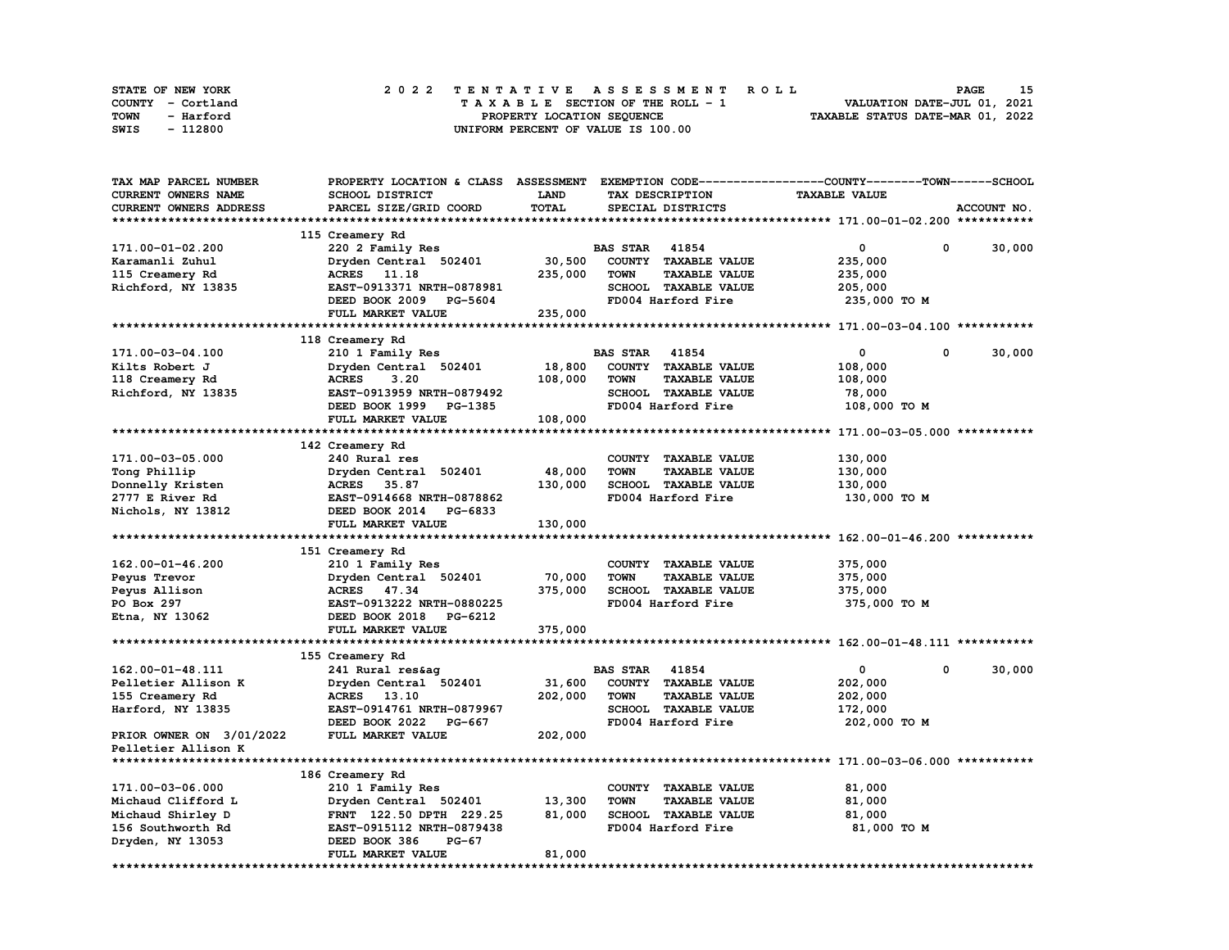| STATE OF NEW YORK | 2022 TENTATIVE ASSESSMENT ROLL     | 15<br><b>PAGE</b>                |
|-------------------|------------------------------------|----------------------------------|
| COUNTY - Cortland | TAXABLE SECTION OF THE ROLL - 1    | VALUATION DATE-JUL 01, 2021      |
| TOWN<br>- Harford | PROPERTY LOCATION SEQUENCE         | TAXABLE STATUS DATE-MAR 01, 2022 |
| - 112800<br>SWIS  | UNIFORM PERCENT OF VALUE IS 100.00 |                                  |

| TAX MAP PARCEL NUMBER    | PROPERTY LOCATION & CLASS ASSESSMENT EXEMPTION CODE-----------------COUNTY-------TOWN------SCHOOL |             |                       |                      |                      |                    |
|--------------------------|---------------------------------------------------------------------------------------------------|-------------|-----------------------|----------------------|----------------------|--------------------|
| CURRENT OWNERS NAME      | <b>SCHOOL DISTRICT</b>                                                                            | <b>LAND</b> |                       | TAX DESCRIPTION      | <b>TAXABLE VALUE</b> |                    |
| CURRENT OWNERS ADDRESS   | PARCEL SIZE/GRID COORD                                                                            | TOTAL       |                       | SPECIAL DISTRICTS    |                      | ACCOUNT NO.        |
|                          |                                                                                                   |             |                       |                      |                      |                    |
|                          | 115 Creamery Rd                                                                                   |             |                       |                      |                      |                    |
| 171.00-01-02.200         | 220 2 Family Res                                                                                  |             | <b>BAS STAR 41854</b> |                      | 0                    | 0<br>30,000        |
| Karamanli Zuhul          | Dryden Central 502401                                                                             | 30,500      |                       | COUNTY TAXABLE VALUE | 235,000              |                    |
| 115 Creamery Rd          | ACRES 11.18                                                                                       | 235,000     | <b>TOWN</b>           | <b>TAXABLE VALUE</b> | 235,000              |                    |
| Richford, NY 13835       | EAST-0913371 NRTH-0878981                                                                         |             |                       | SCHOOL TAXABLE VALUE | 205,000              |                    |
|                          | DEED BOOK 2009 PG-5604                                                                            |             |                       | FD004 Harford Fire   | 235,000 TO M         |                    |
|                          | FULL MARKET VALUE                                                                                 | 235,000     |                       |                      |                      |                    |
|                          |                                                                                                   |             |                       |                      |                      |                    |
|                          | 118 Creamery Rd                                                                                   |             |                       |                      |                      |                    |
| 171.00-03-04.100         | 210 1 Family Res                                                                                  |             | <b>BAS STAR</b>       | 41854                | 0                    | $\Omega$<br>30,000 |
| Kilts Robert J           | Dryden Central 502401                                                                             | 18,800      |                       | COUNTY TAXABLE VALUE | 108,000              |                    |
|                          | <b>ACRES</b><br>3.20                                                                              | 108,000     | <b>TOWN</b>           | <b>TAXABLE VALUE</b> |                      |                    |
| 118 Creamery Rd          |                                                                                                   |             |                       |                      | 108,000              |                    |
| Richford, NY 13835       | EAST-0913959 NRTH-0879492                                                                         |             |                       | SCHOOL TAXABLE VALUE | 78,000               |                    |
|                          | DEED BOOK 1999 PG-1385                                                                            |             |                       | FD004 Harford Fire   | 108,000 TO M         |                    |
|                          | FULL MARKET VALUE                                                                                 | 108,000     |                       |                      |                      |                    |
|                          |                                                                                                   |             |                       |                      |                      |                    |
|                          | 142 Creamery Rd                                                                                   |             |                       |                      |                      |                    |
| 171.00-03-05.000         | 240 Rural res                                                                                     |             |                       | COUNTY TAXABLE VALUE | 130,000              |                    |
| Tong Phillip             | Dryden Central 502401                                                                             | 48,000      | <b>TOWN</b>           | <b>TAXABLE VALUE</b> | 130,000              |                    |
| Donnelly Kristen         | ACRES 35.87                                                                                       | 130,000     |                       | SCHOOL TAXABLE VALUE | 130,000              |                    |
| 2777 E River Rd          | EAST-0914668 NRTH-0878862                                                                         |             |                       | FD004 Harford Fire   | 130,000 TO M         |                    |
| Nichols, NY 13812        | DEED BOOK 2014 PG-6833                                                                            |             |                       |                      |                      |                    |
|                          | FULL MARKET VALUE                                                                                 | 130,000     |                       |                      |                      |                    |
|                          |                                                                                                   |             |                       |                      |                      |                    |
|                          | 151 Creamery Rd                                                                                   |             |                       |                      |                      |                    |
| $162.00 - 01 - 46.200$   | 210 1 Family Res                                                                                  |             |                       | COUNTY TAXABLE VALUE | 375,000              |                    |
| Peyus Trevor             | Dryden Central 502401                                                                             | 70,000      | <b>TOWN</b>           | <b>TAXABLE VALUE</b> | 375,000              |                    |
| Peyus Allison            | ACRES 47.34                                                                                       | 375,000     |                       | SCHOOL TAXABLE VALUE | 375,000              |                    |
| PO Box 297               | EAST-0913222 NRTH-0880225                                                                         |             |                       | FD004 Harford Fire   | 375,000 TO M         |                    |
| Etna, NY 13062           | DEED BOOK 2018 PG-6212                                                                            |             |                       |                      |                      |                    |
|                          | FULL MARKET VALUE                                                                                 | 375,000     |                       |                      |                      |                    |
|                          |                                                                                                   |             |                       |                      |                      |                    |
|                          | 155 Creamery Rd                                                                                   |             |                       |                      |                      |                    |
| 162.00-01-48.111         | 241 Rural res&ag                                                                                  |             | <b>BAS STAR</b> 41854 |                      | 0                    | 30,000<br>0        |
| Pelletier Allison K      | Dryden Central 502401                                                                             | 31,600      |                       | COUNTY TAXABLE VALUE | 202,000              |                    |
| 155 Creamery Rd          | ACRES 13.10                                                                                       | 202,000     | <b>TOWN</b>           | <b>TAXABLE VALUE</b> | 202,000              |                    |
| Harford, NY 13835        | EAST-0914761 NRTH-0879967                                                                         |             |                       | SCHOOL TAXABLE VALUE | 172,000              |                    |
|                          | DEED BOOK 2022 PG-667                                                                             |             |                       | FD004 Harford Fire   | 202,000 TO M         |                    |
| PRIOR OWNER ON 3/01/2022 | FULL MARKET VALUE                                                                                 | 202,000     |                       |                      |                      |                    |
| Pelletier Allison K      |                                                                                                   |             |                       |                      |                      |                    |
|                          |                                                                                                   |             |                       |                      |                      |                    |
|                          | 186 Creamery Rd                                                                                   |             |                       |                      |                      |                    |
| 171.00-03-06.000         | 210 1 Family Res                                                                                  |             |                       | COUNTY TAXABLE VALUE | 81,000               |                    |
| Michaud Clifford L       | Dryden Central 502401                                                                             | 13,300      | <b>TOWN</b>           | <b>TAXABLE VALUE</b> | 81,000               |                    |
| Michaud Shirley D        | FRNT 122.50 DPTH 229.25                                                                           | 81,000      |                       | SCHOOL TAXABLE VALUE | 81,000               |                    |
| 156 Southworth Rd        | EAST-0915112 NRTH-0879438                                                                         |             |                       | FD004 Harford Fire   | 81,000 TO M          |                    |
| Dryden, NY 13053         | DEED BOOK 386<br><b>PG-67</b>                                                                     |             |                       |                      |                      |                    |
|                          | FULL MARKET VALUE                                                                                 | 81,000      |                       |                      |                      |                    |
|                          |                                                                                                   |             |                       |                      |                      |                    |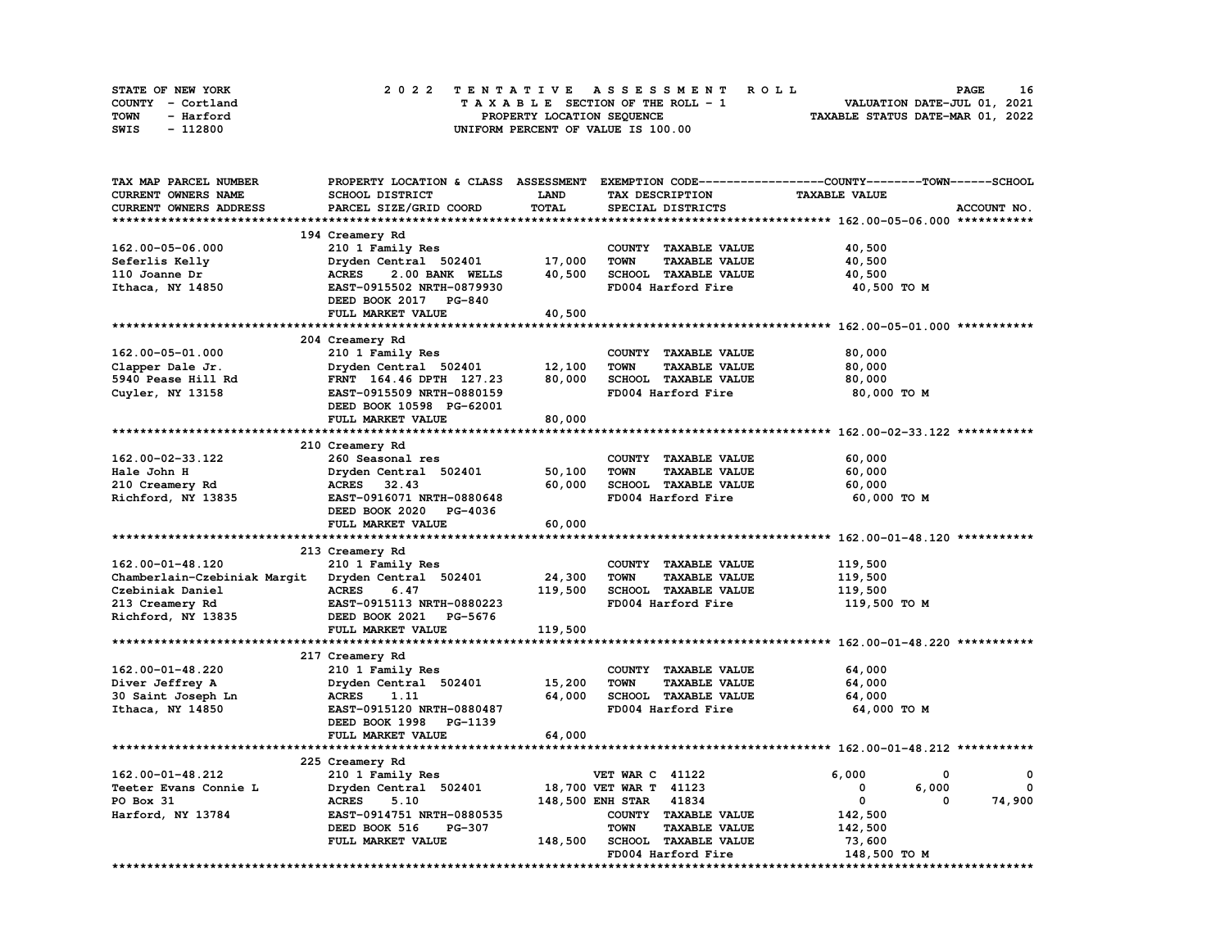| STATE OF NEW YORK | 2022 TENTATIVE ASSESSMENT ROLL     | 16<br><b>PAGE</b>                |
|-------------------|------------------------------------|----------------------------------|
| COUNTY - Cortland | TAXABLE SECTION OF THE ROLL - 1    | VALUATION DATE-JUL 01, 2021      |
| TOWN<br>- Harford | PROPERTY LOCATION SEQUENCE         | TAXABLE STATUS DATE-MAR 01, 2022 |
| - 112800<br>SWIS  | UNIFORM PERCENT OF VALUE IS 100.00 |                                  |

| <b>SCHOOL DISTRICT</b><br><b>LAND</b><br>TAX DESCRIPTION<br><b>TAXABLE VALUE</b><br>TOTAL<br>PARCEL SIZE/GRID COORD<br>SPECIAL DISTRICTS<br>ACCOUNT NO.<br>194 Creamery Rd<br>210 1 Family Res<br>COUNTY TAXABLE VALUE<br>40,500<br>17,000<br>40,500<br>Dryden Central 502401<br><b>TOWN</b><br><b>TAXABLE VALUE</b><br>40,500<br>2.00 BANK WELLS<br>SCHOOL TAXABLE VALUE<br>40,500<br><b>ACRES</b><br>EAST-0915502 NRTH-0879930<br>FD004 Harford Fire<br>40,500 TO M<br>DEED BOOK 2017 PG-840<br>40,500<br>FULL MARKET VALUE<br>204 Creamery Rd<br>80,000<br>210 1 Family Res<br>COUNTY TAXABLE VALUE<br>12,100<br>Dryden Central 502401<br><b>TOWN</b><br><b>TAXABLE VALUE</b><br>80,000<br>Clapper Dale Jr.<br>80,000<br>5940 Pease Hill Rd<br>FRNT 164.46 DPTH 127.23<br>SCHOOL TAXABLE VALUE<br>80,000<br>Cuyler, NY 13158<br>EAST-0915509 NRTH-0880159<br>FD004 Harford Fire<br>80,000 TO M<br>DEED BOOK 10598 PG-62001<br>80,000<br>FULL MARKET VALUE<br>210 Creamery Rd<br>162.00-02-33.122<br>260 Seasonal res<br>COUNTY TAXABLE VALUE<br>60,000<br>50, 100<br>60,000<br>Dryden Central 502401<br><b>TOWN</b><br><b>TAXABLE VALUE</b><br>Hale John H<br>60,000<br>SCHOOL TAXABLE VALUE<br>210 Creamery Rd<br>ACRES 32.43<br>60,000<br>Richford, NY 13835<br>EAST-0916071 NRTH-0880648<br>FD004 Harford Fire<br>60,000 TO M<br>DEED BOOK 2020 PG-4036<br>60,000<br>FULL MARKET VALUE<br>213 Creamery Rd<br>162.00-01-48.120<br>210 1 Family Res<br>COUNTY TAXABLE VALUE<br>119,500<br>24,300<br><b>TOWN</b><br><b>TAXABLE VALUE</b><br>119,500<br>Chamberlain-Czebiniak Margit<br>Dryden Central 502401<br>119,500<br>Czebiniak Daniel<br><b>ACRES</b><br>SCHOOL TAXABLE VALUE<br>119,500<br>6.47<br>EAST-0915113 NRTH-0880223<br>FD004 Harford Fire<br>213 Creamery Rd<br>119,500 TO M<br>DEED BOOK 2021 PG-5676<br>Richford, NY 13835<br>119,500<br>FULL MARKET VALUE<br>217 Creamery Rd<br>162.00-01-48.220<br>64,000<br>210 1 Family Res<br>COUNTY TAXABLE VALUE<br>Dryden Central 502401<br>15,200<br><b>TAXABLE VALUE</b><br>64,000<br>Diver Jeffrey A<br><b>TOWN</b><br>64,000<br>30 Saint Joseph Ln<br><b>ACRES</b><br>1.11<br>SCHOOL TAXABLE VALUE<br>64,000<br>Ithaca, NY 14850<br>EAST-0915120 NRTH-0880487<br>FD004 Harford Fire<br>64,000 TO M<br>DEED BOOK 1998 PG-1139<br>64,000<br>FULL MARKET VALUE<br>225 Creamery Rd<br>162.00-01-48.212<br><b>VET WAR C 41122</b><br>6,000<br>210 1 Family Res<br>0<br>0<br>18,700 VET WAR T 41123<br>6,000<br>Teeter Evans Connie L<br>Dryden Central 502401<br>0<br>$^{\circ}$<br>148,500 ENH STAR 41834<br>$\mathbf{0}$<br>74,900<br>PO Box 31<br>5.10<br>0<br><b>ACRES</b><br>EAST-0914751 NRTH-0880535<br>COUNTY TAXABLE VALUE<br>142,500<br>Harford, NY 13784<br><b>TOWN</b><br><b>TAXABLE VALUE</b><br>DEED BOOK 516<br><b>PG-307</b><br>142,500 | CURRENT OWNERS NAME<br>CURRENT OWNERS ADDRESS<br>162.00-05-06.000<br>Seferlis Kelly<br>110 Joanne Dr<br>Ithaca, NY 14850<br>162.00-05-01.000 |  |
|---------------------------------------------------------------------------------------------------------------------------------------------------------------------------------------------------------------------------------------------------------------------------------------------------------------------------------------------------------------------------------------------------------------------------------------------------------------------------------------------------------------------------------------------------------------------------------------------------------------------------------------------------------------------------------------------------------------------------------------------------------------------------------------------------------------------------------------------------------------------------------------------------------------------------------------------------------------------------------------------------------------------------------------------------------------------------------------------------------------------------------------------------------------------------------------------------------------------------------------------------------------------------------------------------------------------------------------------------------------------------------------------------------------------------------------------------------------------------------------------------------------------------------------------------------------------------------------------------------------------------------------------------------------------------------------------------------------------------------------------------------------------------------------------------------------------------------------------------------------------------------------------------------------------------------------------------------------------------------------------------------------------------------------------------------------------------------------------------------------------------------------------------------------------------------------------------------------------------------------------------------------------------------------------------------------------------------------------------------------------------------------------------------------------------------------------------------------------------------------------------------------------------------------------------------------------------------------------------------------------------------------------------------------------------------------------------------------------------------------------------------------------------------------------------------------------|----------------------------------------------------------------------------------------------------------------------------------------------|--|
|                                                                                                                                                                                                                                                                                                                                                                                                                                                                                                                                                                                                                                                                                                                                                                                                                                                                                                                                                                                                                                                                                                                                                                                                                                                                                                                                                                                                                                                                                                                                                                                                                                                                                                                                                                                                                                                                                                                                                                                                                                                                                                                                                                                                                                                                                                                                                                                                                                                                                                                                                                                                                                                                                                                                                                                                                     |                                                                                                                                              |  |
|                                                                                                                                                                                                                                                                                                                                                                                                                                                                                                                                                                                                                                                                                                                                                                                                                                                                                                                                                                                                                                                                                                                                                                                                                                                                                                                                                                                                                                                                                                                                                                                                                                                                                                                                                                                                                                                                                                                                                                                                                                                                                                                                                                                                                                                                                                                                                                                                                                                                                                                                                                                                                                                                                                                                                                                                                     |                                                                                                                                              |  |
|                                                                                                                                                                                                                                                                                                                                                                                                                                                                                                                                                                                                                                                                                                                                                                                                                                                                                                                                                                                                                                                                                                                                                                                                                                                                                                                                                                                                                                                                                                                                                                                                                                                                                                                                                                                                                                                                                                                                                                                                                                                                                                                                                                                                                                                                                                                                                                                                                                                                                                                                                                                                                                                                                                                                                                                                                     |                                                                                                                                              |  |
|                                                                                                                                                                                                                                                                                                                                                                                                                                                                                                                                                                                                                                                                                                                                                                                                                                                                                                                                                                                                                                                                                                                                                                                                                                                                                                                                                                                                                                                                                                                                                                                                                                                                                                                                                                                                                                                                                                                                                                                                                                                                                                                                                                                                                                                                                                                                                                                                                                                                                                                                                                                                                                                                                                                                                                                                                     |                                                                                                                                              |  |
|                                                                                                                                                                                                                                                                                                                                                                                                                                                                                                                                                                                                                                                                                                                                                                                                                                                                                                                                                                                                                                                                                                                                                                                                                                                                                                                                                                                                                                                                                                                                                                                                                                                                                                                                                                                                                                                                                                                                                                                                                                                                                                                                                                                                                                                                                                                                                                                                                                                                                                                                                                                                                                                                                                                                                                                                                     |                                                                                                                                              |  |
|                                                                                                                                                                                                                                                                                                                                                                                                                                                                                                                                                                                                                                                                                                                                                                                                                                                                                                                                                                                                                                                                                                                                                                                                                                                                                                                                                                                                                                                                                                                                                                                                                                                                                                                                                                                                                                                                                                                                                                                                                                                                                                                                                                                                                                                                                                                                                                                                                                                                                                                                                                                                                                                                                                                                                                                                                     |                                                                                                                                              |  |
|                                                                                                                                                                                                                                                                                                                                                                                                                                                                                                                                                                                                                                                                                                                                                                                                                                                                                                                                                                                                                                                                                                                                                                                                                                                                                                                                                                                                                                                                                                                                                                                                                                                                                                                                                                                                                                                                                                                                                                                                                                                                                                                                                                                                                                                                                                                                                                                                                                                                                                                                                                                                                                                                                                                                                                                                                     |                                                                                                                                              |  |
|                                                                                                                                                                                                                                                                                                                                                                                                                                                                                                                                                                                                                                                                                                                                                                                                                                                                                                                                                                                                                                                                                                                                                                                                                                                                                                                                                                                                                                                                                                                                                                                                                                                                                                                                                                                                                                                                                                                                                                                                                                                                                                                                                                                                                                                                                                                                                                                                                                                                                                                                                                                                                                                                                                                                                                                                                     |                                                                                                                                              |  |
|                                                                                                                                                                                                                                                                                                                                                                                                                                                                                                                                                                                                                                                                                                                                                                                                                                                                                                                                                                                                                                                                                                                                                                                                                                                                                                                                                                                                                                                                                                                                                                                                                                                                                                                                                                                                                                                                                                                                                                                                                                                                                                                                                                                                                                                                                                                                                                                                                                                                                                                                                                                                                                                                                                                                                                                                                     |                                                                                                                                              |  |
|                                                                                                                                                                                                                                                                                                                                                                                                                                                                                                                                                                                                                                                                                                                                                                                                                                                                                                                                                                                                                                                                                                                                                                                                                                                                                                                                                                                                                                                                                                                                                                                                                                                                                                                                                                                                                                                                                                                                                                                                                                                                                                                                                                                                                                                                                                                                                                                                                                                                                                                                                                                                                                                                                                                                                                                                                     |                                                                                                                                              |  |
|                                                                                                                                                                                                                                                                                                                                                                                                                                                                                                                                                                                                                                                                                                                                                                                                                                                                                                                                                                                                                                                                                                                                                                                                                                                                                                                                                                                                                                                                                                                                                                                                                                                                                                                                                                                                                                                                                                                                                                                                                                                                                                                                                                                                                                                                                                                                                                                                                                                                                                                                                                                                                                                                                                                                                                                                                     |                                                                                                                                              |  |
|                                                                                                                                                                                                                                                                                                                                                                                                                                                                                                                                                                                                                                                                                                                                                                                                                                                                                                                                                                                                                                                                                                                                                                                                                                                                                                                                                                                                                                                                                                                                                                                                                                                                                                                                                                                                                                                                                                                                                                                                                                                                                                                                                                                                                                                                                                                                                                                                                                                                                                                                                                                                                                                                                                                                                                                                                     |                                                                                                                                              |  |
|                                                                                                                                                                                                                                                                                                                                                                                                                                                                                                                                                                                                                                                                                                                                                                                                                                                                                                                                                                                                                                                                                                                                                                                                                                                                                                                                                                                                                                                                                                                                                                                                                                                                                                                                                                                                                                                                                                                                                                                                                                                                                                                                                                                                                                                                                                                                                                                                                                                                                                                                                                                                                                                                                                                                                                                                                     |                                                                                                                                              |  |
|                                                                                                                                                                                                                                                                                                                                                                                                                                                                                                                                                                                                                                                                                                                                                                                                                                                                                                                                                                                                                                                                                                                                                                                                                                                                                                                                                                                                                                                                                                                                                                                                                                                                                                                                                                                                                                                                                                                                                                                                                                                                                                                                                                                                                                                                                                                                                                                                                                                                                                                                                                                                                                                                                                                                                                                                                     |                                                                                                                                              |  |
|                                                                                                                                                                                                                                                                                                                                                                                                                                                                                                                                                                                                                                                                                                                                                                                                                                                                                                                                                                                                                                                                                                                                                                                                                                                                                                                                                                                                                                                                                                                                                                                                                                                                                                                                                                                                                                                                                                                                                                                                                                                                                                                                                                                                                                                                                                                                                                                                                                                                                                                                                                                                                                                                                                                                                                                                                     |                                                                                                                                              |  |
|                                                                                                                                                                                                                                                                                                                                                                                                                                                                                                                                                                                                                                                                                                                                                                                                                                                                                                                                                                                                                                                                                                                                                                                                                                                                                                                                                                                                                                                                                                                                                                                                                                                                                                                                                                                                                                                                                                                                                                                                                                                                                                                                                                                                                                                                                                                                                                                                                                                                                                                                                                                                                                                                                                                                                                                                                     |                                                                                                                                              |  |
|                                                                                                                                                                                                                                                                                                                                                                                                                                                                                                                                                                                                                                                                                                                                                                                                                                                                                                                                                                                                                                                                                                                                                                                                                                                                                                                                                                                                                                                                                                                                                                                                                                                                                                                                                                                                                                                                                                                                                                                                                                                                                                                                                                                                                                                                                                                                                                                                                                                                                                                                                                                                                                                                                                                                                                                                                     |                                                                                                                                              |  |
|                                                                                                                                                                                                                                                                                                                                                                                                                                                                                                                                                                                                                                                                                                                                                                                                                                                                                                                                                                                                                                                                                                                                                                                                                                                                                                                                                                                                                                                                                                                                                                                                                                                                                                                                                                                                                                                                                                                                                                                                                                                                                                                                                                                                                                                                                                                                                                                                                                                                                                                                                                                                                                                                                                                                                                                                                     |                                                                                                                                              |  |
|                                                                                                                                                                                                                                                                                                                                                                                                                                                                                                                                                                                                                                                                                                                                                                                                                                                                                                                                                                                                                                                                                                                                                                                                                                                                                                                                                                                                                                                                                                                                                                                                                                                                                                                                                                                                                                                                                                                                                                                                                                                                                                                                                                                                                                                                                                                                                                                                                                                                                                                                                                                                                                                                                                                                                                                                                     |                                                                                                                                              |  |
|                                                                                                                                                                                                                                                                                                                                                                                                                                                                                                                                                                                                                                                                                                                                                                                                                                                                                                                                                                                                                                                                                                                                                                                                                                                                                                                                                                                                                                                                                                                                                                                                                                                                                                                                                                                                                                                                                                                                                                                                                                                                                                                                                                                                                                                                                                                                                                                                                                                                                                                                                                                                                                                                                                                                                                                                                     |                                                                                                                                              |  |
|                                                                                                                                                                                                                                                                                                                                                                                                                                                                                                                                                                                                                                                                                                                                                                                                                                                                                                                                                                                                                                                                                                                                                                                                                                                                                                                                                                                                                                                                                                                                                                                                                                                                                                                                                                                                                                                                                                                                                                                                                                                                                                                                                                                                                                                                                                                                                                                                                                                                                                                                                                                                                                                                                                                                                                                                                     |                                                                                                                                              |  |
|                                                                                                                                                                                                                                                                                                                                                                                                                                                                                                                                                                                                                                                                                                                                                                                                                                                                                                                                                                                                                                                                                                                                                                                                                                                                                                                                                                                                                                                                                                                                                                                                                                                                                                                                                                                                                                                                                                                                                                                                                                                                                                                                                                                                                                                                                                                                                                                                                                                                                                                                                                                                                                                                                                                                                                                                                     |                                                                                                                                              |  |
|                                                                                                                                                                                                                                                                                                                                                                                                                                                                                                                                                                                                                                                                                                                                                                                                                                                                                                                                                                                                                                                                                                                                                                                                                                                                                                                                                                                                                                                                                                                                                                                                                                                                                                                                                                                                                                                                                                                                                                                                                                                                                                                                                                                                                                                                                                                                                                                                                                                                                                                                                                                                                                                                                                                                                                                                                     |                                                                                                                                              |  |
|                                                                                                                                                                                                                                                                                                                                                                                                                                                                                                                                                                                                                                                                                                                                                                                                                                                                                                                                                                                                                                                                                                                                                                                                                                                                                                                                                                                                                                                                                                                                                                                                                                                                                                                                                                                                                                                                                                                                                                                                                                                                                                                                                                                                                                                                                                                                                                                                                                                                                                                                                                                                                                                                                                                                                                                                                     |                                                                                                                                              |  |
|                                                                                                                                                                                                                                                                                                                                                                                                                                                                                                                                                                                                                                                                                                                                                                                                                                                                                                                                                                                                                                                                                                                                                                                                                                                                                                                                                                                                                                                                                                                                                                                                                                                                                                                                                                                                                                                                                                                                                                                                                                                                                                                                                                                                                                                                                                                                                                                                                                                                                                                                                                                                                                                                                                                                                                                                                     |                                                                                                                                              |  |
|                                                                                                                                                                                                                                                                                                                                                                                                                                                                                                                                                                                                                                                                                                                                                                                                                                                                                                                                                                                                                                                                                                                                                                                                                                                                                                                                                                                                                                                                                                                                                                                                                                                                                                                                                                                                                                                                                                                                                                                                                                                                                                                                                                                                                                                                                                                                                                                                                                                                                                                                                                                                                                                                                                                                                                                                                     |                                                                                                                                              |  |
|                                                                                                                                                                                                                                                                                                                                                                                                                                                                                                                                                                                                                                                                                                                                                                                                                                                                                                                                                                                                                                                                                                                                                                                                                                                                                                                                                                                                                                                                                                                                                                                                                                                                                                                                                                                                                                                                                                                                                                                                                                                                                                                                                                                                                                                                                                                                                                                                                                                                                                                                                                                                                                                                                                                                                                                                                     |                                                                                                                                              |  |
|                                                                                                                                                                                                                                                                                                                                                                                                                                                                                                                                                                                                                                                                                                                                                                                                                                                                                                                                                                                                                                                                                                                                                                                                                                                                                                                                                                                                                                                                                                                                                                                                                                                                                                                                                                                                                                                                                                                                                                                                                                                                                                                                                                                                                                                                                                                                                                                                                                                                                                                                                                                                                                                                                                                                                                                                                     |                                                                                                                                              |  |
|                                                                                                                                                                                                                                                                                                                                                                                                                                                                                                                                                                                                                                                                                                                                                                                                                                                                                                                                                                                                                                                                                                                                                                                                                                                                                                                                                                                                                                                                                                                                                                                                                                                                                                                                                                                                                                                                                                                                                                                                                                                                                                                                                                                                                                                                                                                                                                                                                                                                                                                                                                                                                                                                                                                                                                                                                     |                                                                                                                                              |  |
|                                                                                                                                                                                                                                                                                                                                                                                                                                                                                                                                                                                                                                                                                                                                                                                                                                                                                                                                                                                                                                                                                                                                                                                                                                                                                                                                                                                                                                                                                                                                                                                                                                                                                                                                                                                                                                                                                                                                                                                                                                                                                                                                                                                                                                                                                                                                                                                                                                                                                                                                                                                                                                                                                                                                                                                                                     |                                                                                                                                              |  |
|                                                                                                                                                                                                                                                                                                                                                                                                                                                                                                                                                                                                                                                                                                                                                                                                                                                                                                                                                                                                                                                                                                                                                                                                                                                                                                                                                                                                                                                                                                                                                                                                                                                                                                                                                                                                                                                                                                                                                                                                                                                                                                                                                                                                                                                                                                                                                                                                                                                                                                                                                                                                                                                                                                                                                                                                                     |                                                                                                                                              |  |
|                                                                                                                                                                                                                                                                                                                                                                                                                                                                                                                                                                                                                                                                                                                                                                                                                                                                                                                                                                                                                                                                                                                                                                                                                                                                                                                                                                                                                                                                                                                                                                                                                                                                                                                                                                                                                                                                                                                                                                                                                                                                                                                                                                                                                                                                                                                                                                                                                                                                                                                                                                                                                                                                                                                                                                                                                     |                                                                                                                                              |  |
|                                                                                                                                                                                                                                                                                                                                                                                                                                                                                                                                                                                                                                                                                                                                                                                                                                                                                                                                                                                                                                                                                                                                                                                                                                                                                                                                                                                                                                                                                                                                                                                                                                                                                                                                                                                                                                                                                                                                                                                                                                                                                                                                                                                                                                                                                                                                                                                                                                                                                                                                                                                                                                                                                                                                                                                                                     |                                                                                                                                              |  |
|                                                                                                                                                                                                                                                                                                                                                                                                                                                                                                                                                                                                                                                                                                                                                                                                                                                                                                                                                                                                                                                                                                                                                                                                                                                                                                                                                                                                                                                                                                                                                                                                                                                                                                                                                                                                                                                                                                                                                                                                                                                                                                                                                                                                                                                                                                                                                                                                                                                                                                                                                                                                                                                                                                                                                                                                                     |                                                                                                                                              |  |
|                                                                                                                                                                                                                                                                                                                                                                                                                                                                                                                                                                                                                                                                                                                                                                                                                                                                                                                                                                                                                                                                                                                                                                                                                                                                                                                                                                                                                                                                                                                                                                                                                                                                                                                                                                                                                                                                                                                                                                                                                                                                                                                                                                                                                                                                                                                                                                                                                                                                                                                                                                                                                                                                                                                                                                                                                     |                                                                                                                                              |  |
|                                                                                                                                                                                                                                                                                                                                                                                                                                                                                                                                                                                                                                                                                                                                                                                                                                                                                                                                                                                                                                                                                                                                                                                                                                                                                                                                                                                                                                                                                                                                                                                                                                                                                                                                                                                                                                                                                                                                                                                                                                                                                                                                                                                                                                                                                                                                                                                                                                                                                                                                                                                                                                                                                                                                                                                                                     |                                                                                                                                              |  |
|                                                                                                                                                                                                                                                                                                                                                                                                                                                                                                                                                                                                                                                                                                                                                                                                                                                                                                                                                                                                                                                                                                                                                                                                                                                                                                                                                                                                                                                                                                                                                                                                                                                                                                                                                                                                                                                                                                                                                                                                                                                                                                                                                                                                                                                                                                                                                                                                                                                                                                                                                                                                                                                                                                                                                                                                                     |                                                                                                                                              |  |
|                                                                                                                                                                                                                                                                                                                                                                                                                                                                                                                                                                                                                                                                                                                                                                                                                                                                                                                                                                                                                                                                                                                                                                                                                                                                                                                                                                                                                                                                                                                                                                                                                                                                                                                                                                                                                                                                                                                                                                                                                                                                                                                                                                                                                                                                                                                                                                                                                                                                                                                                                                                                                                                                                                                                                                                                                     |                                                                                                                                              |  |
|                                                                                                                                                                                                                                                                                                                                                                                                                                                                                                                                                                                                                                                                                                                                                                                                                                                                                                                                                                                                                                                                                                                                                                                                                                                                                                                                                                                                                                                                                                                                                                                                                                                                                                                                                                                                                                                                                                                                                                                                                                                                                                                                                                                                                                                                                                                                                                                                                                                                                                                                                                                                                                                                                                                                                                                                                     |                                                                                                                                              |  |
|                                                                                                                                                                                                                                                                                                                                                                                                                                                                                                                                                                                                                                                                                                                                                                                                                                                                                                                                                                                                                                                                                                                                                                                                                                                                                                                                                                                                                                                                                                                                                                                                                                                                                                                                                                                                                                                                                                                                                                                                                                                                                                                                                                                                                                                                                                                                                                                                                                                                                                                                                                                                                                                                                                                                                                                                                     |                                                                                                                                              |  |
|                                                                                                                                                                                                                                                                                                                                                                                                                                                                                                                                                                                                                                                                                                                                                                                                                                                                                                                                                                                                                                                                                                                                                                                                                                                                                                                                                                                                                                                                                                                                                                                                                                                                                                                                                                                                                                                                                                                                                                                                                                                                                                                                                                                                                                                                                                                                                                                                                                                                                                                                                                                                                                                                                                                                                                                                                     |                                                                                                                                              |  |
|                                                                                                                                                                                                                                                                                                                                                                                                                                                                                                                                                                                                                                                                                                                                                                                                                                                                                                                                                                                                                                                                                                                                                                                                                                                                                                                                                                                                                                                                                                                                                                                                                                                                                                                                                                                                                                                                                                                                                                                                                                                                                                                                                                                                                                                                                                                                                                                                                                                                                                                                                                                                                                                                                                                                                                                                                     |                                                                                                                                              |  |
|                                                                                                                                                                                                                                                                                                                                                                                                                                                                                                                                                                                                                                                                                                                                                                                                                                                                                                                                                                                                                                                                                                                                                                                                                                                                                                                                                                                                                                                                                                                                                                                                                                                                                                                                                                                                                                                                                                                                                                                                                                                                                                                                                                                                                                                                                                                                                                                                                                                                                                                                                                                                                                                                                                                                                                                                                     |                                                                                                                                              |  |
|                                                                                                                                                                                                                                                                                                                                                                                                                                                                                                                                                                                                                                                                                                                                                                                                                                                                                                                                                                                                                                                                                                                                                                                                                                                                                                                                                                                                                                                                                                                                                                                                                                                                                                                                                                                                                                                                                                                                                                                                                                                                                                                                                                                                                                                                                                                                                                                                                                                                                                                                                                                                                                                                                                                                                                                                                     |                                                                                                                                              |  |
|                                                                                                                                                                                                                                                                                                                                                                                                                                                                                                                                                                                                                                                                                                                                                                                                                                                                                                                                                                                                                                                                                                                                                                                                                                                                                                                                                                                                                                                                                                                                                                                                                                                                                                                                                                                                                                                                                                                                                                                                                                                                                                                                                                                                                                                                                                                                                                                                                                                                                                                                                                                                                                                                                                                                                                                                                     |                                                                                                                                              |  |
|                                                                                                                                                                                                                                                                                                                                                                                                                                                                                                                                                                                                                                                                                                                                                                                                                                                                                                                                                                                                                                                                                                                                                                                                                                                                                                                                                                                                                                                                                                                                                                                                                                                                                                                                                                                                                                                                                                                                                                                                                                                                                                                                                                                                                                                                                                                                                                                                                                                                                                                                                                                                                                                                                                                                                                                                                     |                                                                                                                                              |  |
|                                                                                                                                                                                                                                                                                                                                                                                                                                                                                                                                                                                                                                                                                                                                                                                                                                                                                                                                                                                                                                                                                                                                                                                                                                                                                                                                                                                                                                                                                                                                                                                                                                                                                                                                                                                                                                                                                                                                                                                                                                                                                                                                                                                                                                                                                                                                                                                                                                                                                                                                                                                                                                                                                                                                                                                                                     |                                                                                                                                              |  |
|                                                                                                                                                                                                                                                                                                                                                                                                                                                                                                                                                                                                                                                                                                                                                                                                                                                                                                                                                                                                                                                                                                                                                                                                                                                                                                                                                                                                                                                                                                                                                                                                                                                                                                                                                                                                                                                                                                                                                                                                                                                                                                                                                                                                                                                                                                                                                                                                                                                                                                                                                                                                                                                                                                                                                                                                                     |                                                                                                                                              |  |
|                                                                                                                                                                                                                                                                                                                                                                                                                                                                                                                                                                                                                                                                                                                                                                                                                                                                                                                                                                                                                                                                                                                                                                                                                                                                                                                                                                                                                                                                                                                                                                                                                                                                                                                                                                                                                                                                                                                                                                                                                                                                                                                                                                                                                                                                                                                                                                                                                                                                                                                                                                                                                                                                                                                                                                                                                     |                                                                                                                                              |  |
|                                                                                                                                                                                                                                                                                                                                                                                                                                                                                                                                                                                                                                                                                                                                                                                                                                                                                                                                                                                                                                                                                                                                                                                                                                                                                                                                                                                                                                                                                                                                                                                                                                                                                                                                                                                                                                                                                                                                                                                                                                                                                                                                                                                                                                                                                                                                                                                                                                                                                                                                                                                                                                                                                                                                                                                                                     |                                                                                                                                              |  |
| 148,500<br><b>SCHOOL TAXABLE VALUE</b><br>FULL MARKET VALUE<br>73,600                                                                                                                                                                                                                                                                                                                                                                                                                                                                                                                                                                                                                                                                                                                                                                                                                                                                                                                                                                                                                                                                                                                                                                                                                                                                                                                                                                                                                                                                                                                                                                                                                                                                                                                                                                                                                                                                                                                                                                                                                                                                                                                                                                                                                                                                                                                                                                                                                                                                                                                                                                                                                                                                                                                                               |                                                                                                                                              |  |
| FD004 Harford Fire<br>148,500 TO M                                                                                                                                                                                                                                                                                                                                                                                                                                                                                                                                                                                                                                                                                                                                                                                                                                                                                                                                                                                                                                                                                                                                                                                                                                                                                                                                                                                                                                                                                                                                                                                                                                                                                                                                                                                                                                                                                                                                                                                                                                                                                                                                                                                                                                                                                                                                                                                                                                                                                                                                                                                                                                                                                                                                                                                  |                                                                                                                                              |  |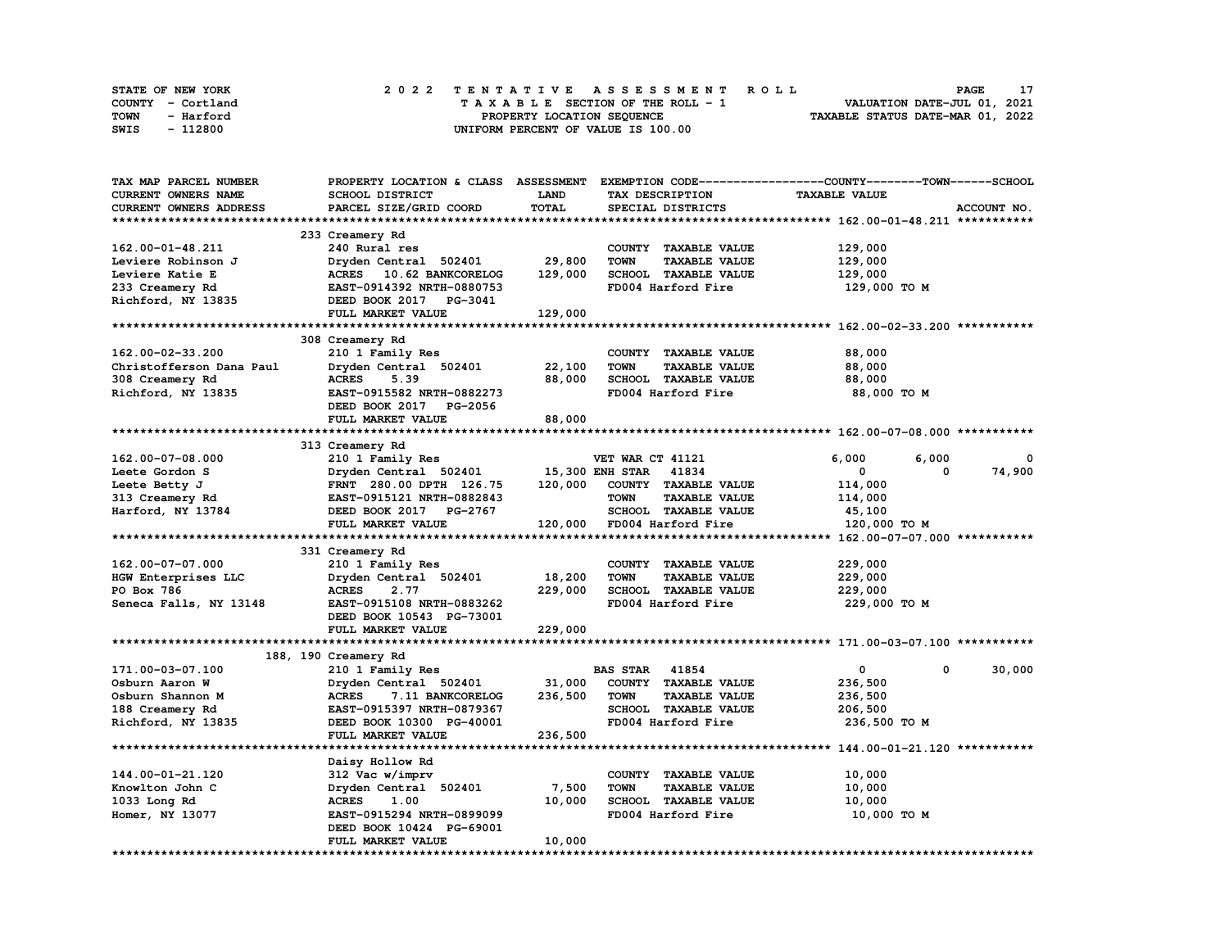| <b>STATE OF NEW YORK</b> | 2022 TENTATIVE ASSESSMENT ROLL     | PAGE                             |
|--------------------------|------------------------------------|----------------------------------|
| COUNTY - Cortland        | TAXABLE SECTION OF THE ROLL - 1    | VALUATION DATE-JUL 01, 2021      |
| TOWN<br>- Harford        | PROPERTY LOCATION SEQUENCE         | TAXABLE STATUS DATE-MAR 01, 2022 |
| - 112800<br>SWIS         | UNIFORM PERCENT OF VALUE IS 100.00 |                                  |

| TAX MAP PARCEL NUMBER      | PROPERTY LOCATION & CLASS               | <b>ASSESSMENT</b>      | EXEMPTION CODE-----------------COUNTY-------TOWN-----SCHOOL |                      |             |
|----------------------------|-----------------------------------------|------------------------|-------------------------------------------------------------|----------------------|-------------|
| <b>CURRENT OWNERS NAME</b> | SCHOOL DISTRICT                         | LAND                   | TAX DESCRIPTION                                             | <b>TAXABLE VALUE</b> |             |
| CURRENT OWNERS ADDRESS     | PARCEL SIZE/GRID COORD                  | <b>TOTAL</b>           | SPECIAL DISTRICTS                                           |                      | ACCOUNT NO. |
|                            |                                         |                        |                                                             |                      |             |
|                            | 233 Creamery Rd                         |                        |                                                             |                      |             |
| 162.00-01-48.211           | 240 Rural res                           |                        | COUNTY TAXABLE VALUE                                        | 129,000              |             |
| Leviere Robinson J         | Dryden Central 502401                   | 29,800                 | <b>TOWN</b><br><b>TAXABLE VALUE</b>                         | 129,000              |             |
| Leviere Katie E            | ACRES 10.62 BANKCORELOG                 | 129,000                | SCHOOL TAXABLE VALUE                                        | 129,000              |             |
| 233 Creamery Rd            | EAST-0914392 NRTH-0880753               |                        | FD004 Harford Fire                                          | 129,000 TO M         |             |
| Richford, NY 13835         | DEED BOOK 2017 PG-3041                  |                        |                                                             |                      |             |
|                            | FULL MARKET VALUE                       | 129,000                |                                                             |                      |             |
|                            |                                         |                        |                                                             |                      |             |
|                            |                                         |                        |                                                             |                      |             |
|                            | 308 Creamery Rd                         |                        |                                                             |                      |             |
| 162.00-02-33.200           | 210 1 Family Res                        |                        | COUNTY TAXABLE VALUE                                        | 88,000               |             |
| Christofferson Dana Paul   | Dryden Central 502401                   | 22,100                 | <b>TOWN</b><br><b>TAXABLE VALUE</b>                         | 88,000               |             |
| 308 Creamery Rd            | <b>ACRES</b><br>5.39                    | 88,000                 | SCHOOL TAXABLE VALUE                                        | 88,000               |             |
| Richford, NY 13835         | EAST-0915582 NRTH-0882273               |                        | FD004 Harford Fire                                          | 88,000 TO M          |             |
|                            | DEED BOOK 2017 PG-2056                  |                        |                                                             |                      |             |
|                            | FULL MARKET VALUE                       | 88,000                 |                                                             |                      |             |
|                            |                                         |                        |                                                             |                      |             |
|                            | 313 Creamery Rd                         |                        |                                                             |                      |             |
| 162.00-07-08.000           | 210 1 Family Res                        |                        | VET WAR CT 41121                                            | 6,000<br>6,000       |             |
| Leete Gordon S             | Dryden Central 502401                   | <b>15,300 ENH STAR</b> | 41834                                                       | 0<br>0               | 74,900      |
| Leete Betty J              | FRNT 280.00 DPTH 126.75                 | 120,000                | COUNTY TAXABLE VALUE                                        | 114,000              |             |
| 313 Creamery Rd            | EAST-0915121 NRTH-0882843               |                        | <b>TOWN</b><br><b>TAXABLE VALUE</b>                         | 114,000              |             |
| Harford, NY 13784          | DEED BOOK 2017 PG-2767                  |                        | SCHOOL TAXABLE VALUE                                        | 45,100               |             |
|                            |                                         |                        |                                                             |                      |             |
|                            |                                         |                        |                                                             |                      |             |
|                            | FULL MARKET VALUE                       | 120,000                | FD004 Harford Fire                                          | 120,000 TO M         |             |
|                            |                                         |                        |                                                             |                      |             |
|                            | 331 Creamery Rd                         |                        |                                                             |                      |             |
| 162.00-07-07.000           | 210 1 Family Res                        |                        | COUNTY TAXABLE VALUE                                        | 229,000              |             |
| HGW Enterprises LLC        | Dryden Central 502401                   | 18,200                 | <b>TOWN</b><br><b>TAXABLE VALUE</b>                         | 229,000              |             |
| PO Box 786                 | <b>ACRES</b><br>2.77                    | 229,000                | SCHOOL TAXABLE VALUE                                        | 229,000              |             |
| Seneca Falls, NY 13148     | EAST-0915108 NRTH-0883262               |                        | FD004 Harford Fire                                          | 229,000 TO M         |             |
|                            | DEED BOOK 10543 PG-73001                |                        |                                                             |                      |             |
|                            | FULL MARKET VALUE                       | 229,000                |                                                             |                      |             |
|                            |                                         |                        |                                                             |                      |             |
|                            | 188, 190 Creamery Rd                    |                        |                                                             |                      |             |
| 171.00-03-07.100           | 210 1 Family Res                        |                        | <b>BAS STAR 41854</b>                                       | $\mathbf 0$<br>0     | 30,000      |
| Osburn Aaron W             | Dryden Central 502401                   | 31,000                 | COUNTY TAXABLE VALUE                                        | 236,500              |             |
| Osburn Shannon M           | <b>ACRES</b><br><b>7.11 BANKCORELOG</b> | 236,500                | <b>TAXABLE VALUE</b><br><b>TOWN</b>                         | 236,500              |             |
| 188 Creamery Rd            | EAST-0915397 NRTH-0879367               |                        | SCHOOL TAXABLE VALUE                                        | 206,500              |             |
| Richford, NY 13835         | DEED BOOK 10300 PG-40001                |                        | FD004 Harford Fire                                          | 236,500 TO M         |             |
|                            | FULL MARKET VALUE                       | 236,500                |                                                             |                      |             |
|                            |                                         |                        |                                                             |                      |             |
|                            | Daisy Hollow Rd                         |                        |                                                             |                      |             |
| 144.00-01-21.120           | 312 Vac w/imprv                         |                        | COUNTY TAXABLE VALUE                                        | 10,000               |             |
| Knowlton John C            | Dryden Central 502401                   | 7,500                  | <b>TOWN</b><br><b>TAXABLE VALUE</b>                         | 10,000               |             |
| 1033 Long Rd               | <b>ACRES</b><br>1.00                    | 10,000                 | SCHOOL TAXABLE VALUE                                        | 10,000               |             |
| Homer, NY 13077            | EAST-0915294 NRTH-0899099               |                        | FD004 Harford Fire                                          | 10,000 TO M          |             |
|                            | DEED BOOK 10424 PG-69001                |                        |                                                             |                      |             |
|                            | FULL MARKET VALUE                       | 10,000                 |                                                             |                      |             |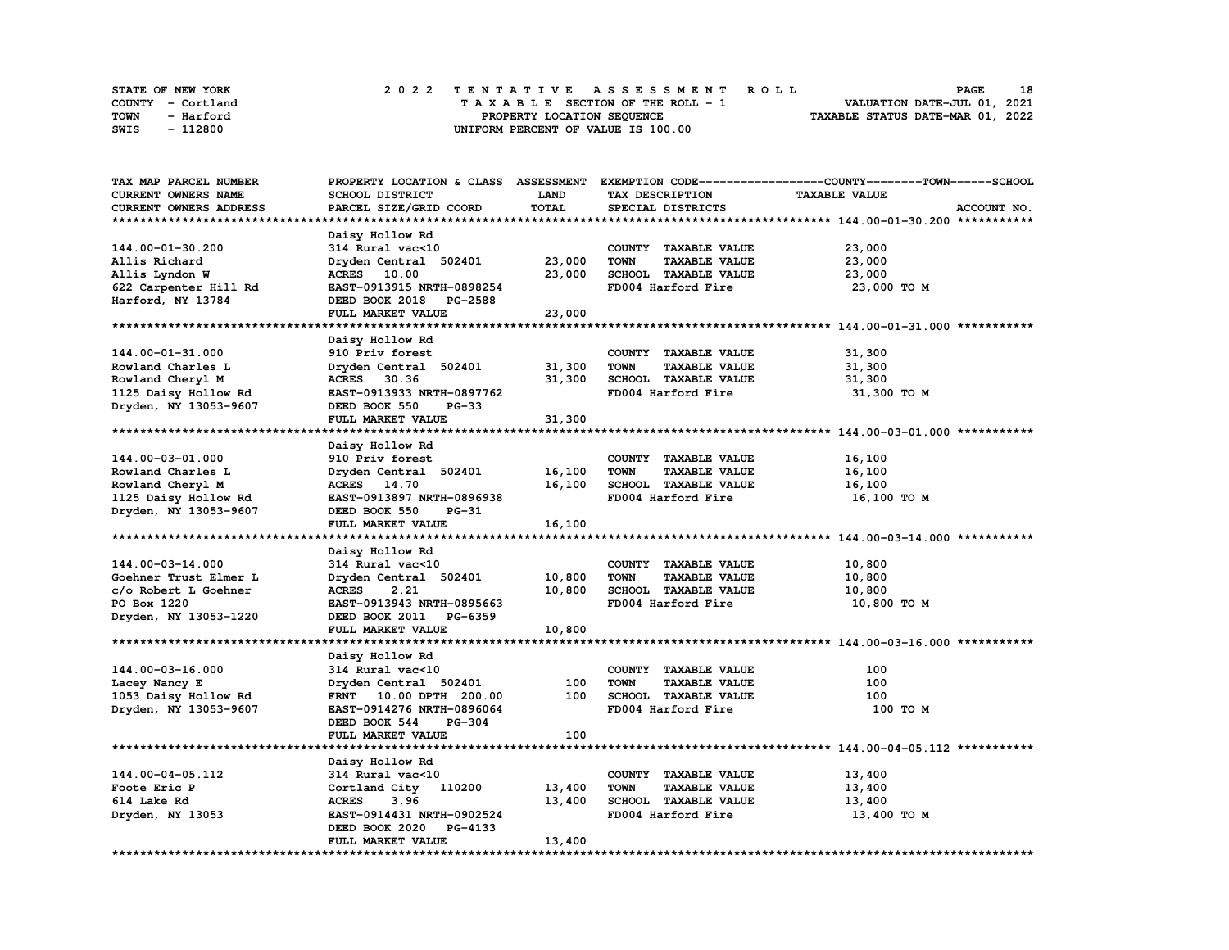| <b>STATE OF NEW YORK</b> | 2022 TENTATIVE ASSESSMENT ROLL     | 18<br><b>PAGE</b>                |
|--------------------------|------------------------------------|----------------------------------|
| COUNTY - Cortland        | TAXABLE SECTION OF THE ROLL - 1    | VALUATION DATE-JUL 01, 2021      |
| TOWN<br>- Harford        | PROPERTY LOCATION SEOUENCE         | TAXABLE STATUS DATE-MAR 01, 2022 |
| - 112800<br>SWIS         | UNIFORM PERCENT OF VALUE IS 100.00 |                                  |

| TAX MAP PARCEL NUMBER  |                                  |        |                                     | PROPERTY LOCATION & CLASS ASSESSMENT EXEMPTION CODE-----------------COUNTY-------TOWN-----SCHOOL |
|------------------------|----------------------------------|--------|-------------------------------------|--------------------------------------------------------------------------------------------------|
| CURRENT OWNERS NAME    | SCHOOL DISTRICT                  | LAND   | TAX DESCRIPTION                     | <b>TAXABLE VALUE</b>                                                                             |
| CURRENT OWNERS ADDRESS | PARCEL SIZE/GRID COORD           | TOTAL  | SPECIAL DISTRICTS                   | ACCOUNT NO.                                                                                      |
|                        |                                  |        |                                     |                                                                                                  |
|                        | Daisy Hollow Rd                  |        |                                     |                                                                                                  |
| 144.00-01-30.200       | 314 Rural vac<10                 |        | COUNTY TAXABLE VALUE                | 23,000                                                                                           |
| Allis Richard          | Dryden Central 502401            | 23,000 | <b>TOWN</b><br><b>TAXABLE VALUE</b> | 23,000                                                                                           |
|                        |                                  |        |                                     |                                                                                                  |
| Allis Lyndon W         | ACRES 10.00                      | 23,000 | SCHOOL TAXABLE VALUE                | 23,000                                                                                           |
| 622 Carpenter Hill Rd  | EAST-0913915 NRTH-0898254        |        | FD004 Harford Fire                  | 23,000 TO M                                                                                      |
| Harford, NY 13784      | DEED BOOK 2018 PG-2588           |        |                                     |                                                                                                  |
|                        | FULL MARKET VALUE                | 23,000 |                                     |                                                                                                  |
|                        |                                  |        |                                     |                                                                                                  |
|                        | Daisy Hollow Rd                  |        |                                     |                                                                                                  |
| 144.00-01-31.000       | 910 Priv forest                  |        | COUNTY TAXABLE VALUE                | 31,300                                                                                           |
| Rowland Charles L      | Dryden Central 502401            | 31,300 | <b>TOWN</b><br><b>TAXABLE VALUE</b> | 31,300                                                                                           |
| Rowland Cheryl M       | ACRES 30.36                      | 31,300 | SCHOOL TAXABLE VALUE                | 31,300                                                                                           |
| 1125 Daisy Hollow Rd   | EAST-0913933 NRTH-0897762        |        | FD004 Harford Fire                  | 31,300 TO M                                                                                      |
| Dryden, NY 13053-9607  | DEED BOOK 550<br>$PG-33$         |        |                                     |                                                                                                  |
|                        | FULL MARKET VALUE                | 31,300 |                                     |                                                                                                  |
|                        |                                  |        |                                     |                                                                                                  |
|                        |                                  |        |                                     |                                                                                                  |
|                        | Daisy Hollow Rd                  |        |                                     |                                                                                                  |
| 144.00-03-01.000       | 910 Priv forest                  |        | COUNTY TAXABLE VALUE                | 16,100                                                                                           |
| Rowland Charles L      | Dryden Central 502401            | 16,100 | <b>TOWN</b><br><b>TAXABLE VALUE</b> | 16,100                                                                                           |
| Rowland Cheryl M       | ACRES 14.70                      | 16,100 | SCHOOL TAXABLE VALUE                | 16,100                                                                                           |
| 1125 Daisy Hollow Rd   | EAST-0913897 NRTH-0896938        |        | FD004 Harford Fire                  | 16,100 TO M                                                                                      |
| Dryden, NY 13053-9607  | DEED BOOK 550<br><b>PG-31</b>    |        |                                     |                                                                                                  |
|                        | FULL MARKET VALUE                | 16,100 |                                     |                                                                                                  |
|                        |                                  |        |                                     |                                                                                                  |
|                        | Daisy Hollow Rd                  |        |                                     |                                                                                                  |
| 144.00-03-14.000       | 314 Rural vac<10                 |        | COUNTY TAXABLE VALUE                | 10,800                                                                                           |
| Goehner Trust Elmer L  | Dryden Central 502401            | 10,800 | <b>TOWN</b><br><b>TAXABLE VALUE</b> | 10,800                                                                                           |
| c/o Robert L Goehner   | <b>ACRES</b><br>2.21             | 10,800 | SCHOOL TAXABLE VALUE                | 10,800                                                                                           |
|                        |                                  |        |                                     |                                                                                                  |
| PO Box 1220            | EAST-0913943 NRTH-0895663        |        | FD004 Harford Fire                  | 10,800 TO M                                                                                      |
| Dryden, NY 13053-1220  | DEED BOOK 2011 PG-6359           |        |                                     |                                                                                                  |
|                        | FULL MARKET VALUE                | 10,800 |                                     |                                                                                                  |
|                        |                                  |        |                                     |                                                                                                  |
|                        | Daisy Hollow Rd                  |        |                                     |                                                                                                  |
| 144.00-03-16.000       | 314 Rural vac<10                 |        | COUNTY TAXABLE VALUE                | 100                                                                                              |
| Lacey Nancy E          | Dryden Central 502401            | 100    | <b>TOWN</b><br><b>TAXABLE VALUE</b> | 100                                                                                              |
| 1053 Daisy Hollow Rd   | FRNT 10.00 DPTH 200.00           | 100    | SCHOOL TAXABLE VALUE                | 100                                                                                              |
| Dryden, NY 13053-9607  | EAST-0914276 NRTH-0896064        |        | FD004 Harford Fire                  | 100 TO M                                                                                         |
|                        | DEED BOOK 544<br><b>PG-304</b>   |        |                                     |                                                                                                  |
|                        | FULL MARKET VALUE                | 100    |                                     |                                                                                                  |
|                        |                                  |        |                                     |                                                                                                  |
|                        |                                  |        |                                     |                                                                                                  |
|                        | Daisy Hollow Rd                  |        |                                     |                                                                                                  |
| 144.00-04-05.112       | 314 Rural vac<10                 |        | COUNTY TAXABLE VALUE                | 13,400                                                                                           |
| Foote Eric P           | Cortland City 110200             | 13,400 | <b>TOWN</b><br><b>TAXABLE VALUE</b> | 13,400                                                                                           |
| 614 Lake Rd            | <b>ACRES</b><br>3.96             | 13,400 | SCHOOL TAXABLE VALUE                | 13,400                                                                                           |
| Dryden, NY 13053       | EAST-0914431 NRTH-0902524        |        | FD004 Harford Fire                  | 13,400 TO M                                                                                      |
|                        | DEED BOOK 2020<br><b>PG-4133</b> |        |                                     |                                                                                                  |
|                        | FULL MARKET VALUE                | 13,400 |                                     |                                                                                                  |
|                        |                                  |        |                                     |                                                                                                  |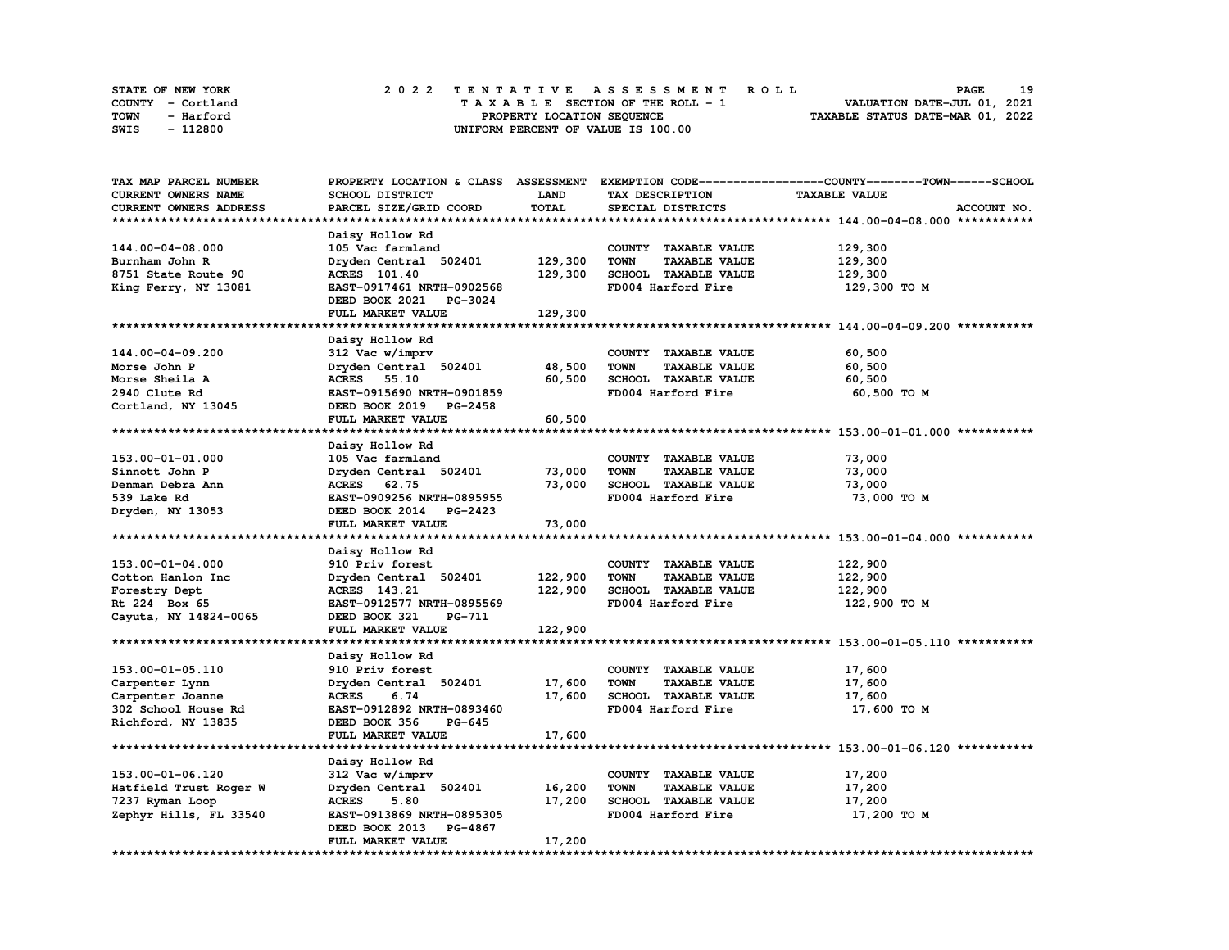| STATE OF NEW YORK | 2022 TENTATIVE ASSESSMENT ROLL     | 19<br><b>PAGE</b>                |
|-------------------|------------------------------------|----------------------------------|
| COUNTY - Cortland | TAXABLE SECTION OF THE ROLL - 1    | VALUATION DATE-JUL 01, 2021      |
| TOWN<br>- Harford | PROPERTY LOCATION SEQUENCE         | TAXABLE STATUS DATE-MAR 01, 2022 |
| - 112800<br>SWIS  | UNIFORM PERCENT OF VALUE IS 100.00 |                                  |

| TAX MAP PARCEL NUMBER      |                           |             |                                     | PROPERTY LOCATION & CLASS ASSESSMENT EXEMPTION CODE----------------COUNTY-------TOWN------SCHOOL |
|----------------------------|---------------------------|-------------|-------------------------------------|--------------------------------------------------------------------------------------------------|
| CURRENT OWNERS NAME        | SCHOOL DISTRICT           | <b>LAND</b> | TAX DESCRIPTION                     | <b>TAXABLE VALUE</b>                                                                             |
| CURRENT OWNERS ADDRESS     | PARCEL SIZE/GRID COORD    | TOTAL       | SPECIAL DISTRICTS                   | ACCOUNT NO.                                                                                      |
|                            |                           |             |                                     |                                                                                                  |
|                            | Daisy Hollow Rd           |             |                                     |                                                                                                  |
| 144.00-04-08.000           |                           |             |                                     |                                                                                                  |
|                            | 105 Vac farmland          |             | COUNTY TAXABLE VALUE                | 129,300                                                                                          |
| Burnham John R             | Dryden Central 502401     | 129,300     | <b>TAXABLE VALUE</b><br>TOWN        | 129,300                                                                                          |
| 8751 State Route 90        | <b>ACRES</b> 101.40       | 129,300     | SCHOOL TAXABLE VALUE                | 129,300                                                                                          |
| King Ferry, NY 13081       | EAST-0917461 NRTH-0902568 |             | FD004 Harford Fire                  | 129,300 то м                                                                                     |
|                            | DEED BOOK 2021<br>PG-3024 |             |                                     |                                                                                                  |
|                            | FULL MARKET VALUE         | 129,300     |                                     |                                                                                                  |
| ************************** |                           |             |                                     |                                                                                                  |
|                            | Daisy Hollow Rd           |             |                                     |                                                                                                  |
| 144.00-04-09.200           | 312 Vac w/imprv           |             | COUNTY TAXABLE VALUE                | 60,500                                                                                           |
| Morse John P               | Dryden Central 502401     | 48,500      | <b>TOWN</b><br><b>TAXABLE VALUE</b> | 60,500                                                                                           |
|                            |                           |             |                                     |                                                                                                  |
| Morse Sheila A             | <b>ACRES</b> 55.10        | 60,500      | SCHOOL TAXABLE VALUE                | 60,500                                                                                           |
| 2940 Clute Rd              | EAST-0915690 NRTH-0901859 |             | FD004 Harford Fire                  | 60,500 TO M                                                                                      |
| Cortland, NY 13045         | DEED BOOK 2019 PG-2458    |             |                                     |                                                                                                  |
|                            | FULL MARKET VALUE         | 60,500      |                                     |                                                                                                  |
|                            |                           |             |                                     |                                                                                                  |
|                            | Daisy Hollow Rd           |             |                                     |                                                                                                  |
| 153.00-01-01.000           | 105 Vac farmland          |             | COUNTY TAXABLE VALUE                | 73,000                                                                                           |
| Sinnott John P             | Dryden Central 502401     | 73,000      | <b>TOWN</b><br><b>TAXABLE VALUE</b> | 73,000                                                                                           |
| Denman Debra Ann           | <b>ACRES</b><br>62.75     | 73,000      | SCHOOL TAXABLE VALUE                | 73,000                                                                                           |
| 539 Lake Rd                | EAST-0909256 NRTH-0895955 |             | FD004 Harford Fire                  | 73,000 TO M                                                                                      |
| Dryden, NY 13053           | DEED BOOK 2014 PG-2423    |             |                                     |                                                                                                  |
|                            | FULL MARKET VALUE         | 73,000      |                                     |                                                                                                  |
|                            |                           |             |                                     |                                                                                                  |
|                            |                           |             |                                     |                                                                                                  |
|                            | Daisy Hollow Rd           |             |                                     |                                                                                                  |
| 153.00-01-04.000           | 910 Priv forest           |             | COUNTY TAXABLE VALUE                | 122,900                                                                                          |
| Cotton Hanlon Inc          | Dryden Central 502401     | 122,900     | <b>TOWN</b><br><b>TAXABLE VALUE</b> | 122,900                                                                                          |
| Forestry Dept              | ACRES 143.21              | 122,900     | SCHOOL TAXABLE VALUE                | 122,900                                                                                          |
| Rt 224 Box 65              | EAST-0912577 NRTH-0895569 |             | FD004 Harford Fire                  | 122,900 TO M                                                                                     |
| Cayuta, NY 14824-0065      | DEED BOOK 321<br>PG-711   |             |                                     |                                                                                                  |
|                            | FULL MARKET VALUE         | 122,900     |                                     |                                                                                                  |
| ************************   |                           |             |                                     |                                                                                                  |
|                            | Daisy Hollow Rd           |             |                                     |                                                                                                  |
| 153.00-01-05.110           | 910 Priv forest           |             | COUNTY TAXABLE VALUE                | 17,600                                                                                           |
| Carpenter Lynn             | Dryden Central 502401     | 17,600      | <b>TOWN</b><br><b>TAXABLE VALUE</b> | 17,600                                                                                           |
|                            | <b>ACRES</b><br>6.74      |             |                                     |                                                                                                  |
| Carpenter Joanne           |                           | 17,600      | SCHOOL TAXABLE VALUE                | 17,600                                                                                           |
| 302 School House Rd        | EAST-0912892 NRTH-0893460 |             | FD004 Harford Fire                  | 17,600 TO M                                                                                      |
| Richford, NY 13835         | DEED BOOK 356<br>PG-645   |             |                                     |                                                                                                  |
|                            | FULL MARKET VALUE         | 17,600      |                                     |                                                                                                  |
|                            |                           |             |                                     |                                                                                                  |
|                            | Daisy Hollow Rd           |             |                                     |                                                                                                  |
| 153.00-01-06.120           | 312 Vac w/imprv           |             | COUNTY TAXABLE VALUE                | 17,200                                                                                           |
| Hatfield Trust Roger W     | Dryden Central 502401     | 16,200      | TOWN<br><b>TAXABLE VALUE</b>        | 17,200                                                                                           |
| 7237 Ryman Loop            | <b>ACRES</b><br>5.80      | 17,200      | SCHOOL TAXABLE VALUE                | 17,200                                                                                           |
| Zephyr Hills, FL 33540     | EAST-0913869 NRTH-0895305 |             | FD004 Harford Fire                  | 17,200 TO M                                                                                      |
|                            | DEED BOOK 2013 PG-4867    |             |                                     |                                                                                                  |
|                            | FULL MARKET VALUE         | 17,200      |                                     |                                                                                                  |
| ********************       |                           |             |                                     |                                                                                                  |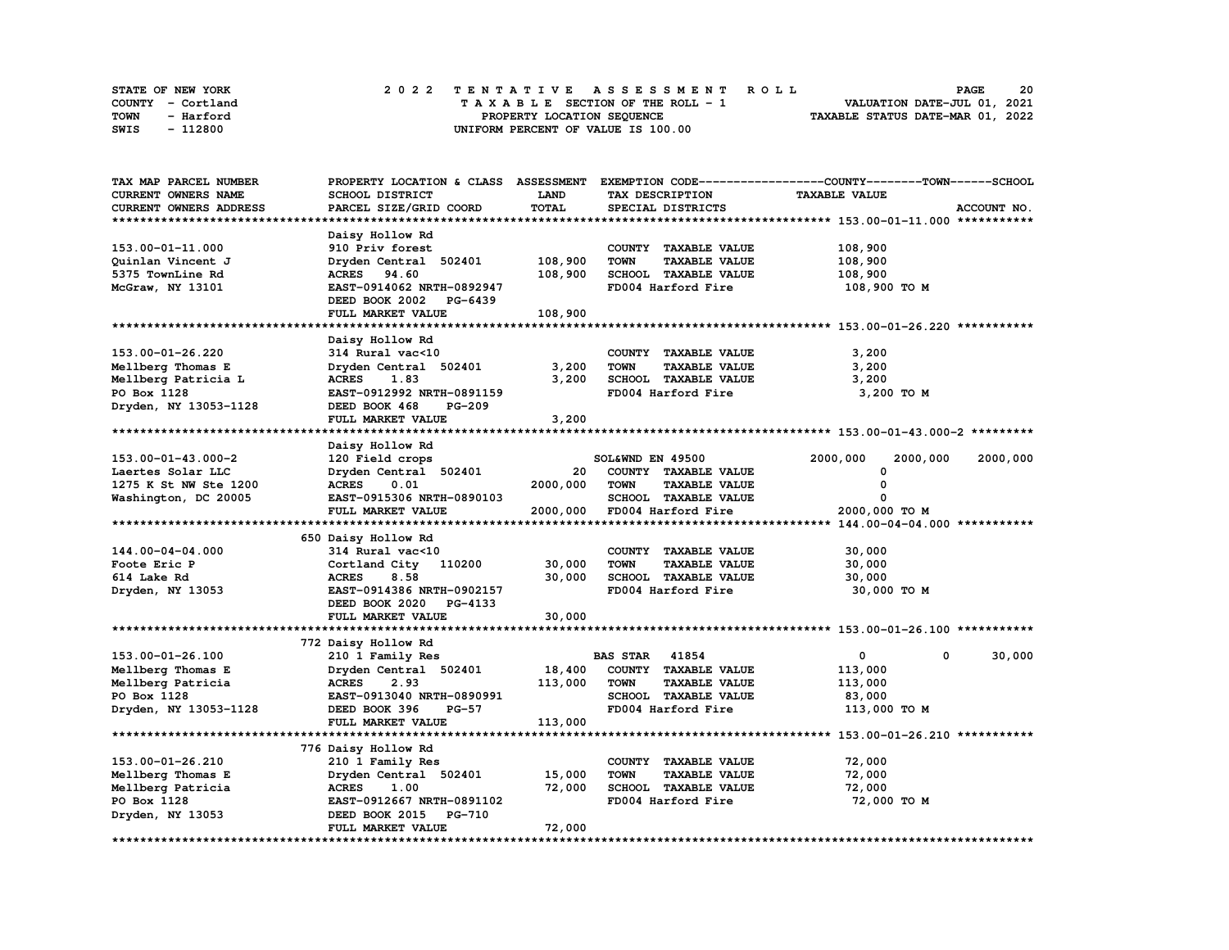| STATE OF NEW YORK | 2022 TENTATIVE ASSESSMENT ROLL     | 20<br><b>PAGE</b>                |
|-------------------|------------------------------------|----------------------------------|
| COUNTY - Cortland | TAXABLE SECTION OF THE ROLL - 1    | VALUATION DATE-JUL 01, 2021      |
| TOWN<br>- Harford | PROPERTY LOCATION SEQUENCE         | TAXABLE STATUS DATE-MAR 01, 2022 |
| - 112800<br>SWIS  | UNIFORM PERCENT OF VALUE IS 100.00 |                                  |

| TAX MAP PARCEL NUMBER  | PROPERTY LOCATION & CLASS ASSESSMENT |              |                                     | EXEMPTION CODE-----------------COUNTY-------TOWN------SCHOOL |             |
|------------------------|--------------------------------------|--------------|-------------------------------------|--------------------------------------------------------------|-------------|
| CURRENT OWNERS NAME    | <b>SCHOOL DISTRICT</b>               | <b>LAND</b>  | TAX DESCRIPTION                     | <b>TAXABLE VALUE</b>                                         |             |
| CURRENT OWNERS ADDRESS | PARCEL SIZE/GRID COORD               | <b>TOTAL</b> | SPECIAL DISTRICTS                   |                                                              | ACCOUNT NO. |
|                        |                                      |              |                                     |                                                              |             |
|                        | Daisy Hollow Rd                      |              |                                     |                                                              |             |
| 153.00-01-11.000       | 910 Priv forest                      |              | COUNTY TAXABLE VALUE                | 108,900                                                      |             |
| Quinlan Vincent J      | Dryden Central 502401                | 108,900      | <b>TOWN</b><br><b>TAXABLE VALUE</b> | 108,900                                                      |             |
| 5375 TownLine Rd       | ACRES 94.60                          | 108,900      | SCHOOL TAXABLE VALUE                | 108,900                                                      |             |
| McGraw, NY 13101       | EAST-0914062 NRTH-0892947            |              | FD004 Harford Fire                  | 108,900 TO M                                                 |             |
|                        | DEED BOOK 2002 PG-6439               |              |                                     |                                                              |             |
|                        | FULL MARKET VALUE                    | 108,900      |                                     |                                                              |             |
|                        |                                      |              |                                     |                                                              |             |
|                        | Daisy Hollow Rd                      |              |                                     |                                                              |             |
| 153.00-01-26.220       | 314 Rural vac<10                     |              | COUNTY TAXABLE VALUE                | 3,200                                                        |             |
| Mellberg Thomas E      | Dryden Central 502401                | 3,200        | <b>TOWN</b><br><b>TAXABLE VALUE</b> | 3,200                                                        |             |
|                        |                                      |              |                                     |                                                              |             |
| Mellberg Patricia L    | ACRES 1.83                           | 3,200        | SCHOOL TAXABLE VALUE                | 3,200                                                        |             |
| PO Box 1128            | EAST-0912992 NRTH-0891159            |              | FD004 Harford Fire                  | 3,200 TO M                                                   |             |
| Dryden, NY 13053-1128  | <b>PG-209</b><br>DEED BOOK 468       |              |                                     |                                                              |             |
|                        | FULL MARKET VALUE                    | 3,200        |                                     |                                                              |             |
|                        |                                      |              |                                     |                                                              |             |
|                        | Daisy Hollow Rd                      |              |                                     |                                                              |             |
| 153.00-01-43.000-2     | 120 Field crops                      |              | SOL&WND EN 49500                    | 2000,000<br>2000,000                                         | 2000,000    |
| Laertes Solar LLC      | Dryden Central 502401                | 20           | COUNTY TAXABLE VALUE                | 0                                                            |             |
| 1275 K St NW Ste 1200  | <b>ACRES</b><br>0.01                 | 2000,000     | <b>TOWN</b><br><b>TAXABLE VALUE</b> | 0                                                            |             |
| Washington, DC 20005   | EAST-0915306 NRTH-0890103            |              | SCHOOL TAXABLE VALUE                | 0                                                            |             |
|                        | FULL MARKET VALUE                    | 2000,000     | FD004 Harford Fire                  | 2000,000 TO M                                                |             |
|                        |                                      |              |                                     |                                                              |             |
|                        | 650 Daisy Hollow Rd                  |              |                                     |                                                              |             |
| 144.00-04-04.000       | 314 Rural vac<10                     |              | COUNTY TAXABLE VALUE                | 30,000                                                       |             |
| Foote Eric P           | Cortland City<br>110200              | 30,000       | <b>TOWN</b><br><b>TAXABLE VALUE</b> | 30,000                                                       |             |
| 614 Lake Rd            | <b>ACRES</b><br>8.58                 | 30,000       | SCHOOL TAXABLE VALUE                | 30,000                                                       |             |
| Dryden, NY 13053       | EAST-0914386 NRTH-0902157            |              | FD004 Harford Fire                  | 30,000 TO M                                                  |             |
|                        | DEED BOOK 2020 PG-4133               |              |                                     |                                                              |             |
|                        |                                      |              |                                     |                                                              |             |
|                        |                                      |              |                                     |                                                              |             |
|                        | FULL MARKET VALUE                    | 30,000       |                                     |                                                              |             |
|                        |                                      |              |                                     |                                                              |             |
|                        | 772 Daisy Hollow Rd                  |              |                                     |                                                              |             |
| 153.00-01-26.100       | 210 1 Family Res                     |              | <b>BAS STAR</b> 41854               | $\mathbf 0$<br>0                                             | 30,000      |
| Mellberg Thomas E      | Dryden Central 502401                | 18,400       | COUNTY TAXABLE VALUE                | 113,000                                                      |             |
| Mellberg Patricia      | <b>ACRES</b><br>2.93                 | 113,000      | <b>TOWN</b><br><b>TAXABLE VALUE</b> | 113,000                                                      |             |
| PO Box 1128            | EAST-0913040 NRTH-0890991            |              | SCHOOL TAXABLE VALUE                | 83,000                                                       |             |
| Dryden, NY 13053-1128  | DEED BOOK 396<br><b>PG-57</b>        |              | FD004 Harford Fire                  | 113,000 TO M                                                 |             |
|                        | FULL MARKET VALUE                    | 113,000      |                                     |                                                              |             |
|                        |                                      |              |                                     |                                                              |             |
|                        | 776 Daisy Hollow Rd                  |              |                                     |                                                              |             |
| 153.00-01-26.210       | 210 1 Family Res                     |              | COUNTY TAXABLE VALUE                | 72,000                                                       |             |
| Mellberg Thomas E      | Dryden Central 502401                | 15,000       | <b>TOWN</b><br><b>TAXABLE VALUE</b> | 72,000                                                       |             |
| Mellberg Patricia      | <b>ACRES</b><br>1.00                 | 72,000       | SCHOOL TAXABLE VALUE                | 72,000                                                       |             |
| PO Box 1128            | EAST-0912667 NRTH-0891102            |              | FD004 Harford Fire                  | 72,000 TO M                                                  |             |
| Dryden, NY 13053       | DEED BOOK 2015<br><b>PG-710</b>      |              |                                     |                                                              |             |
|                        | FULL MARKET VALUE                    | 72,000       |                                     |                                                              |             |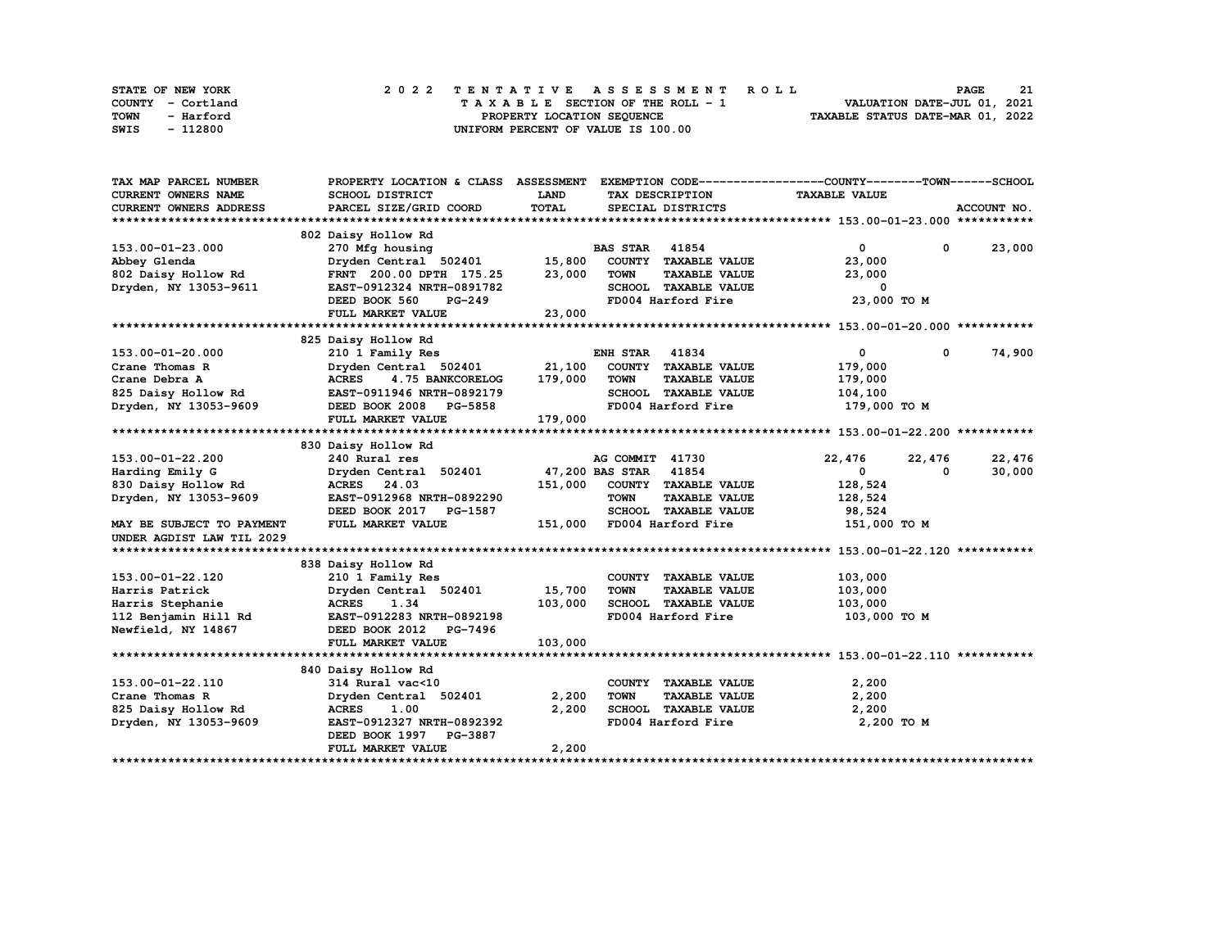| STATE OF NEW YORK | 2022 TENTATIVE ASSESSMENT ROLL     | 21<br><b>PAGE</b>                |
|-------------------|------------------------------------|----------------------------------|
| COUNTY - Cortland | TAXABLE SECTION OF THE ROLL - 1    | VALUATION DATE-JUL 01, 2021      |
| TOWN<br>- Harford | PROPERTY LOCATION SEQUENCE         | TAXABLE STATUS DATE-MAR 01, 2022 |
| - 112800<br>SWIS  | UNIFORM PERCENT OF VALUE IS 100.00 |                                  |

| TAX MAP PARCEL NUMBER      | PROPERTY LOCATION & CLASS ASSESSMENT |             |                                     | EXEMPTION CODE-----------------COUNTY-------TOWN------SCHOOL |             |
|----------------------------|--------------------------------------|-------------|-------------------------------------|--------------------------------------------------------------|-------------|
| <b>CURRENT OWNERS NAME</b> | SCHOOL DISTRICT                      | <b>LAND</b> | TAX DESCRIPTION                     | <b>TAXABLE VALUE</b>                                         |             |
| CURRENT OWNERS ADDRESS     | PARCEL SIZE/GRID COORD               | TOTAL       | SPECIAL DISTRICTS                   |                                                              | ACCOUNT NO. |
|                            |                                      |             |                                     |                                                              |             |
|                            | 802 Daisy Hollow Rd                  |             |                                     |                                                              |             |
| 153.00-01-23.000           | 270 Mfg housing                      |             | <b>BAS STAR 41854</b>               | $\mathbf{0}$<br>$^{\circ}$                                   | 23,000      |
| Abbey Glenda               | Dryden Central 502401                | 15,800      | COUNTY TAXABLE VALUE                | 23,000                                                       |             |
| 802 Daisy Hollow Rd        | FRNT 200.00 DPTH 175.25              | 23,000      | <b>TAXABLE VALUE</b><br><b>TOWN</b> | 23,000                                                       |             |
| Dryden, NY 13053-9611      | EAST-0912324 NRTH-0891782            |             | SCHOOL TAXABLE VALUE                | 0                                                            |             |
|                            | DEED BOOK 560<br>PG-249              |             | FD004 Harford Fire                  | 23,000 TO M                                                  |             |
|                            | FULL MARKET VALUE                    | 23,000      |                                     |                                                              |             |
|                            |                                      |             |                                     |                                                              |             |
|                            | 825 Daisy Hollow Rd                  |             |                                     |                                                              |             |
| 153.00-01-20.000           | 210 1 Family Res                     |             | 41834<br>ENH STAR                   | 0<br>0                                                       | 74,900      |
| Crane Thomas R             | Dryden Central 502401                | 21,100      | COUNTY TAXABLE VALUE                | 179,000                                                      |             |
| Crane Debra A              | <b>ACRES</b><br>4.75 BANKCORELOG     | 179,000     | <b>TOWN</b><br><b>TAXABLE VALUE</b> | 179,000                                                      |             |
| 825 Daisy Hollow Rd        | EAST-0911946 NRTH-0892179            |             | SCHOOL TAXABLE VALUE                | 104,100                                                      |             |
| Dryden, NY 13053-9609      | DEED BOOK 2008 PG-5858               |             | FD004 Harford Fire                  | 179,000 TO M                                                 |             |
|                            | FULL MARKET VALUE                    | 179,000     |                                     |                                                              |             |
|                            |                                      |             |                                     |                                                              |             |
|                            | 830 Daisy Hollow Rd                  |             |                                     |                                                              |             |
| 153.00-01-22.200           | 240 Rural res                        |             | AG COMMIT 41730                     | 22,476<br>22,476                                             | 22,476      |
| Harding Emily G            | Dryden Central 502401                |             | 47,200 BAS STAR 41854               | $\mathbf{0}$<br>0                                            | 30,000      |
| 830 Daisy Hollow Rd        | ACRES 24.03                          | 151,000     | COUNTY TAXABLE VALUE                | 128,524                                                      |             |
| Dryden, NY 13053-9609      | EAST-0912968 NRTH-0892290            |             | <b>TOWN</b><br><b>TAXABLE VALUE</b> | 128,524                                                      |             |
|                            | DEED BOOK 2017 PG-1587               |             | SCHOOL TAXABLE VALUE                | 98,524                                                       |             |
| MAY BE SUBJECT TO PAYMENT  | FULL MARKET VALUE                    | 151,000     | FD004 Harford Fire                  | 151,000 TO M                                                 |             |
| UNDER AGDIST LAW TIL 2029  |                                      |             |                                     |                                                              |             |
|                            |                                      |             |                                     |                                                              |             |
|                            | 838 Daisy Hollow Rd                  |             |                                     |                                                              |             |
| 153.00-01-22.120           | 210 1 Family Res                     |             | COUNTY TAXABLE VALUE                | 103,000                                                      |             |
| Harris Patrick             | Dryden Central 502401                | 15,700      | <b>TOWN</b><br><b>TAXABLE VALUE</b> | 103,000                                                      |             |
| Harris Stephanie           | 1.34<br><b>ACRES</b>                 | 103,000     | SCHOOL TAXABLE VALUE                | 103,000                                                      |             |
| 112 Benjamin Hill Rd       | EAST-0912283 NRTH-0892198            |             | FD004 Harford Fire                  | 103,000 TO M                                                 |             |
| Newfield, NY 14867         | DEED BOOK 2012 PG-7496               |             |                                     |                                                              |             |
|                            | FULL MARKET VALUE                    | 103,000     |                                     |                                                              |             |
|                            |                                      |             |                                     |                                                              |             |
|                            | 840 Daisy Hollow Rd                  |             |                                     |                                                              |             |
| 153.00-01-22.110           | 314 Rural vac<10                     |             | COUNTY TAXABLE VALUE                | 2,200                                                        |             |
| Crane Thomas R             | Dryden Central 502401                | 2,200       | <b>TOWN</b><br><b>TAXABLE VALUE</b> | 2,200                                                        |             |
| 825 Daisy Hollow Rd        | <b>ACRES</b><br>1.00                 | 2,200       | SCHOOL TAXABLE VALUE                | 2,200                                                        |             |
| Dryden, NY 13053-9609      | EAST-0912327 NRTH-0892392            |             | FD004 Harford Fire                  | 2,200 TO M                                                   |             |
|                            | DEED BOOK 1997 PG-3887               |             |                                     |                                                              |             |
|                            | <b>FULL MARKET VALUE</b>             | 2,200       |                                     |                                                              |             |
|                            |                                      |             |                                     |                                                              |             |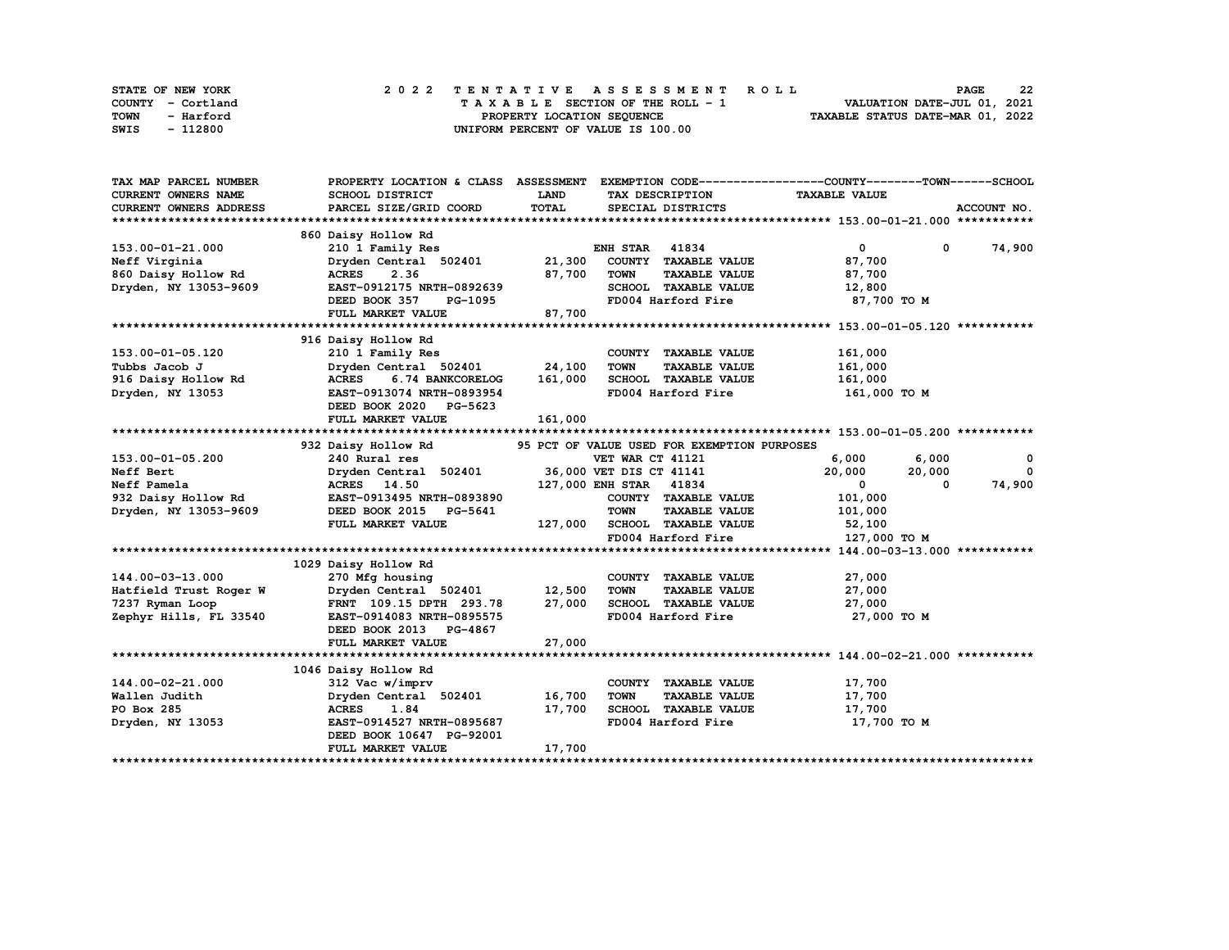| STATE OF NEW YORK | 2022 TENTATIVE ASSESSMENT ROLL          | 22<br><b>PAGE</b>                |
|-------------------|-----------------------------------------|----------------------------------|
| COUNTY - Cortland | $T A X A B L E$ SECTION OF THE ROLL - 1 | VALUATION DATE-JUL 01, 2021      |
| TOWN<br>- Harford | PROPERTY LOCATION SEQUENCE              | TAXABLE STATUS DATE-MAR 01, 2022 |
| - 112800<br>SWIS  | UNIFORM PERCENT OF VALUE IS 100.00      |                                  |

| TAX MAP PARCEL NUMBER  | PROPERTY LOCATION & CLASS ASSESSMENT |             |                                             | EXEMPTION CODE-----------------COUNTY-------TOWN------SCHOOL |             |
|------------------------|--------------------------------------|-------------|---------------------------------------------|--------------------------------------------------------------|-------------|
| CURRENT OWNERS NAME    | SCHOOL DISTRICT                      | <b>LAND</b> | TAX DESCRIPTION                             | <b>TAXABLE VALUE</b>                                         |             |
| CURRENT OWNERS ADDRESS | PARCEL SIZE/GRID COORD               | TOTAL       | SPECIAL DISTRICTS                           |                                                              | ACCOUNT NO. |
|                        |                                      |             |                                             |                                                              |             |
|                        | 860 Daisy Hollow Rd                  |             |                                             |                                                              |             |
| 153.00-01-21.000       | 210 1 Family Res                     |             | <b>ENH STAR 41834</b>                       | $\overline{0}$<br>$\mathbf 0$                                | 74,900      |
| Neff Virginia          | Dryden Central 502401                | 21,300      | COUNTY TAXABLE VALUE                        | 87,700                                                       |             |
| 860 Daisy Hollow Rd    | 2.36<br><b>ACRES</b>                 | 87,700      | <b>TOWN</b><br><b>TAXABLE VALUE</b>         | 87,700                                                       |             |
| Dryden, NY 13053-9609  | EAST-0912175 NRTH-0892639            |             | SCHOOL TAXABLE VALUE                        | 12,800                                                       |             |
|                        | DEED BOOK 357<br>PG-1095             |             | FD004 Harford Fire                          | 87,700 TO M                                                  |             |
|                        |                                      |             |                                             |                                                              |             |
|                        | FULL MARKET VALUE                    | 87,700      |                                             |                                                              |             |
|                        |                                      |             |                                             |                                                              |             |
|                        | 916 Daisy Hollow Rd                  |             |                                             |                                                              |             |
| 153.00-01-05.120       | 210 1 Family Res                     |             | COUNTY TAXABLE VALUE                        | 161,000                                                      |             |
| Tubbs Jacob J          | Dryden Central 502401 24,100         |             | <b>TOWN</b><br><b>TAXABLE VALUE</b>         | 161,000                                                      |             |
| 916 Daisy Hollow Rd    | <b>ACRES</b><br>6.74 BANKCORELOG     | 161,000     | SCHOOL TAXABLE VALUE                        | 161,000                                                      |             |
| Dryden, NY 13053       | EAST-0913074 NRTH-0893954            |             | FD004 Harford Fire                          | 161,000 TO M                                                 |             |
|                        | DEED BOOK 2020 PG-5623               |             |                                             |                                                              |             |
|                        | FULL MARKET VALUE                    | 161,000     |                                             |                                                              |             |
|                        |                                      |             |                                             |                                                              |             |
|                        | 932 Daisy Hollow Rd                  |             | 95 PCT OF VALUE USED FOR EXEMPTION PURPOSES |                                                              |             |
| 153.00-01-05.200       | 240 Rural res                        |             | <b>VET WAR CT 41121</b>                     | 6,000<br>6,000                                               | 0           |
| Neff Bert              | Dryden Central 502401                |             | 36,000 VET DIS CT 41141                     | 20,000<br>20,000                                             | $^{\circ}$  |
| Neff Pamela            | ACRES 14.50                          |             | 127,000 ENH STAR 41834                      | $\mathbf{0}$<br>0                                            | 74,900      |
| 932 Daisy Hollow Rd    | EAST-0913495 NRTH-0893890            |             | COUNTY TAXABLE VALUE                        | 101,000                                                      |             |
| Dryden, NY 13053-9609  | DEED BOOK 2015 PG-5641               |             | <b>TOWN</b><br><b>TAXABLE VALUE</b>         | 101,000                                                      |             |
|                        | FULL MARKET VALUE                    | 127,000     | SCHOOL TAXABLE VALUE                        | 52,100                                                       |             |
|                        |                                      |             | FD004 Harford Fire                          | 127,000 TO M                                                 |             |
|                        |                                      |             |                                             |                                                              |             |
|                        | 1029 Daisy Hollow Rd                 |             |                                             |                                                              |             |
|                        |                                      |             |                                             |                                                              |             |
| 144.00-03-13.000       | 270 Mfg housing                      |             | COUNTY TAXABLE VALUE                        | 27,000                                                       |             |
| Hatfield Trust Roger W | Dryden Central 502401                | 12,500      | <b>TOWN</b><br><b>TAXABLE VALUE</b>         | 27,000                                                       |             |
| 7237 Ryman Loop        | FRNT 109.15 DPTH 293.78              | 27,000      | SCHOOL TAXABLE VALUE                        | 27,000                                                       |             |
| Zephyr Hills, FL 33540 | EAST-0914083 NRTH-0895575            |             | FD004 Harford Fire                          | 27,000 TO M                                                  |             |
|                        | DEED BOOK 2013 PG-4867               |             |                                             |                                                              |             |
|                        | FULL MARKET VALUE                    | 27,000      |                                             |                                                              |             |
|                        |                                      |             |                                             |                                                              |             |
|                        | 1046 Daisy Hollow Rd                 |             |                                             |                                                              |             |
| 144.00-02-21.000       | 312 Vac w/imprv                      |             | COUNTY TAXABLE VALUE                        | 17,700                                                       |             |
| Wallen Judith          | Dryden Central 502401                | 16,700      | <b>TOWN</b><br><b>TAXABLE VALUE</b>         | 17,700                                                       |             |
| PO Box 285             | <b>ACRES</b><br>1.84                 | 17,700      | SCHOOL TAXABLE VALUE                        | 17,700                                                       |             |
| Dryden, NY 13053       | EAST-0914527 NRTH-0895687            |             | FD004 Harford Fire                          | 17,700 TO M                                                  |             |
|                        | DEED BOOK 10647 PG-92001             |             |                                             |                                                              |             |
|                        | FULL MARKET VALUE                    | 17,700      |                                             |                                                              |             |
|                        |                                      |             |                                             |                                                              |             |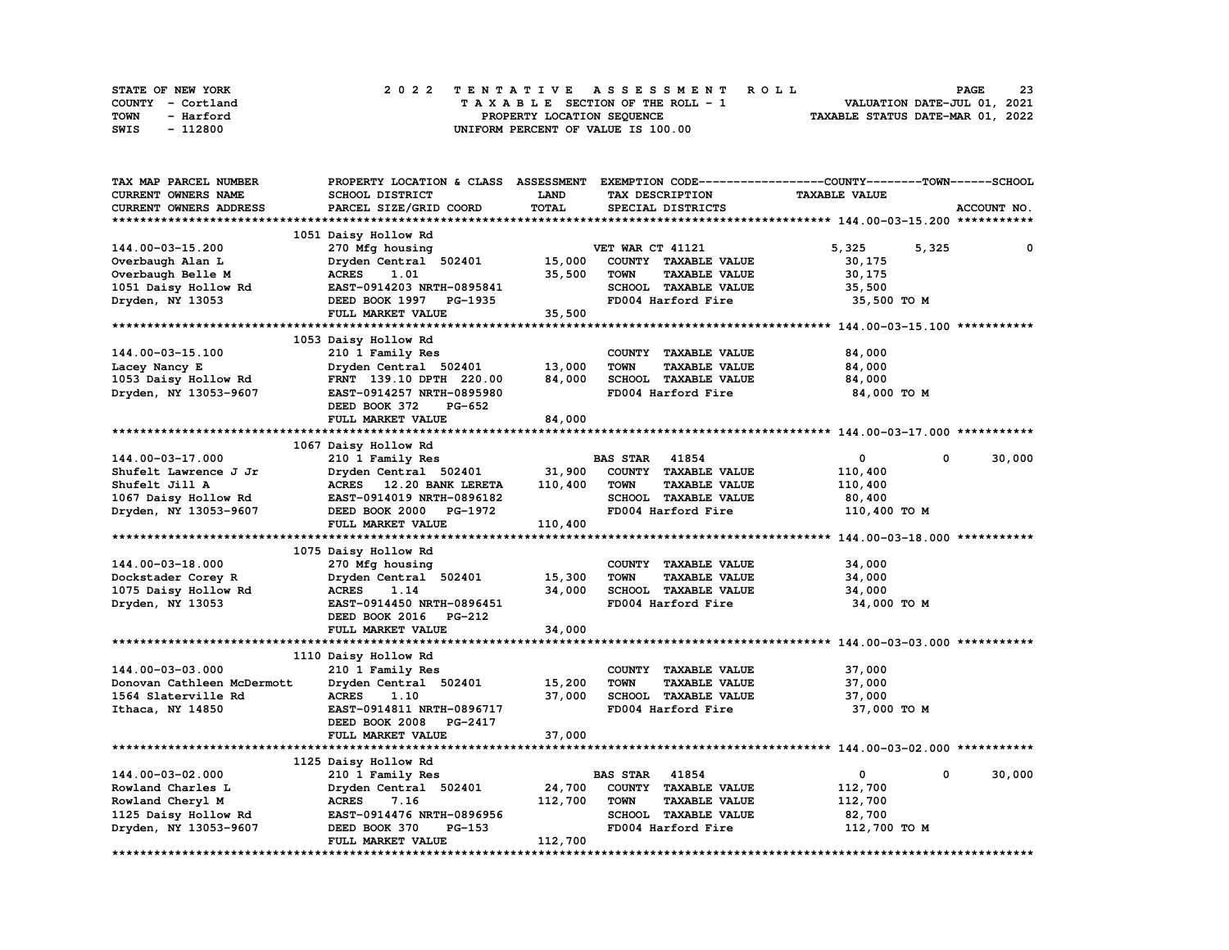| STATE OF NEW YORK | 2022 TENTATIVE ASSESSMENT ROLL          | 23<br><b>PAGE</b>                |
|-------------------|-----------------------------------------|----------------------------------|
| COUNTY - Cortland | $T A X A B L E$ SECTION OF THE ROLL - 1 | VALUATION DATE-JUL 01, 2021      |
| TOWN<br>- Harford | PROPERTY LOCATION SEQUENCE              | TAXABLE STATUS DATE-MAR 01, 2022 |
| - 112800<br>SWIS  | UNIFORM PERCENT OF VALUE IS 100.00      |                                  |

| TAX MAP PARCEL NUMBER      | PROPERTY LOCATION & CLASS       | <b>ASSESSMENT</b> |                                     | EXEMPTION CODE-----------------COUNTY-------TOWN-----SCHOOL |             |
|----------------------------|---------------------------------|-------------------|-------------------------------------|-------------------------------------------------------------|-------------|
| <b>CURRENT OWNERS NAME</b> | SCHOOL DISTRICT                 | <b>LAND</b>       | TAX DESCRIPTION                     | <b>TAXABLE VALUE</b>                                        |             |
| CURRENT OWNERS ADDRESS     | PARCEL SIZE/GRID COORD          | TOTAL             | SPECIAL DISTRICTS                   |                                                             | ACCOUNT NO. |
|                            |                                 |                   |                                     |                                                             |             |
|                            |                                 |                   |                                     |                                                             |             |
|                            | 1051 Daisy Hollow Rd            |                   |                                     |                                                             |             |
| 144.00-03-15.200           | 270 Mfg housing                 |                   | VET WAR CT 41121                    | 5,325<br>5,325                                              | 0           |
| Overbaugh Alan L           | Dryden Central 502401           | 15,000            | COUNTY TAXABLE VALUE                | 30,175                                                      |             |
| Overbaugh Belle M          | <b>ACRES</b><br>1.01            | 35,500            | <b>TAXABLE VALUE</b><br><b>TOWN</b> | 30,175                                                      |             |
| 1051 Daisy Hollow Rd       | EAST-0914203 NRTH-0895841       |                   | SCHOOL TAXABLE VALUE                | 35,500                                                      |             |
| Dryden, NY 13053           | DEED BOOK 1997 PG-1935          |                   | FD004 Harford Fire                  | 35,500 TO M                                                 |             |
|                            | FULL MARKET VALUE               | 35,500            |                                     |                                                             |             |
| *************************  |                                 |                   |                                     |                                                             |             |
|                            |                                 |                   |                                     |                                                             |             |
|                            | 1053 Daisy Hollow Rd            |                   |                                     |                                                             |             |
| 144.00-03-15.100           | 210 1 Family Res                |                   | COUNTY TAXABLE VALUE                | 84,000                                                      |             |
| Lacey Nancy E              | Dryden Central 502401           | 13,000            | <b>TOWN</b><br><b>TAXABLE VALUE</b> | 84,000                                                      |             |
| 1053 Daisy Hollow Rd       | FRNT 139.10 DPTH 220.00         | 84,000            | SCHOOL TAXABLE VALUE                | 84,000                                                      |             |
| Dryden, NY 13053-9607      | EAST-0914257 NRTH-0895980       |                   | FD004 Harford Fire                  | 84,000 TO M                                                 |             |
|                            | DEED BOOK 372<br>PG-652         |                   |                                     |                                                             |             |
|                            | FULL MARKET VALUE               | 84,000            |                                     |                                                             |             |
|                            |                                 |                   |                                     |                                                             |             |
|                            |                                 |                   |                                     |                                                             |             |
|                            | 1067 Daisy Hollow Rd            |                   |                                     |                                                             |             |
| 144.00-03-17.000           | 210 1 Family Res                |                   | <b>BAS STAR 41854</b>               | $\mathbf 0$<br>$\Omega$                                     | 30,000      |
| Shufelt Lawrence J Jr      | Dryden Central 502401           | 31,900            | COUNTY TAXABLE VALUE                | 110,400                                                     |             |
| Shufelt Jill A             | ACRES 12.20 BANK LERETA         | 110,400           | <b>TAXABLE VALUE</b><br><b>TOWN</b> | 110,400                                                     |             |
| 1067 Daisy Hollow Rd       | EAST-0914019 NRTH-0896182       |                   | SCHOOL TAXABLE VALUE                | 80,400                                                      |             |
| Dryden, NY 13053-9607      | DEED BOOK 2000 PG-1972          |                   | FD004 Harford Fire                  | 110,400 TO M                                                |             |
|                            | FULL MARKET VALUE               | 110,400           |                                     |                                                             |             |
|                            |                                 |                   |                                     |                                                             |             |
|                            |                                 |                   |                                     |                                                             |             |
|                            | 1075 Daisy Hollow Rd            |                   |                                     |                                                             |             |
| 144.00-03-18.000           | 270 Mfg housing                 |                   | COUNTY TAXABLE VALUE                | 34,000                                                      |             |
| Dockstader Corey R         | Dryden Central 502401           | 15,300            | <b>TAXABLE VALUE</b><br><b>TOWN</b> | 34,000                                                      |             |
| 1075 Daisy Hollow Rd       | <b>ACRES</b><br>1.14            | 34,000            | SCHOOL TAXABLE VALUE                | 34,000                                                      |             |
| Dryden, NY 13053           | EAST-0914450 NRTH-0896451       |                   | FD004 Harford Fire                  | 34,000 TO M                                                 |             |
|                            | DEED BOOK 2016<br><b>PG-212</b> |                   |                                     |                                                             |             |
|                            | FULL MARKET VALUE               | 34,000            |                                     |                                                             |             |
|                            |                                 |                   |                                     |                                                             |             |
|                            |                                 |                   |                                     |                                                             |             |
|                            | 1110 Daisy Hollow Rd            |                   |                                     |                                                             |             |
| 144.00-03-03.000           | 210 1 Family Res                |                   | COUNTY TAXABLE VALUE                | 37,000                                                      |             |
| Donovan Cathleen McDermott | Dryden Central 502401           | 15,200            | <b>TOWN</b><br><b>TAXABLE VALUE</b> | 37,000                                                      |             |
| 1564 Slaterville Rd        | <b>ACRES</b><br>1.10            | 37,000            | SCHOOL TAXABLE VALUE                | 37,000                                                      |             |
| Ithaca, NY 14850           | EAST-0914811 NRTH-0896717       |                   | FD004 Harford Fire                  | 37,000 TO M                                                 |             |
|                            | DEED BOOK 2008 PG-2417          |                   |                                     |                                                             |             |
|                            | FULL MARKET VALUE               | 37,000            |                                     |                                                             |             |
|                            |                                 |                   |                                     |                                                             |             |
|                            |                                 |                   |                                     |                                                             |             |
|                            | 1125 Daisy Hollow Rd            |                   |                                     |                                                             |             |
| 144.00-03-02.000           | 210 1 Family Res                |                   | <b>BAS STAR</b><br>41854            | 0<br>0                                                      | 30,000      |
| Rowland Charles L          | Dryden Central 502401           | 24,700            | COUNTY TAXABLE VALUE                | 112,700                                                     |             |
| Rowland Cheryl M           | <b>ACRES</b><br>7.16            | 112,700           | <b>TOWN</b><br><b>TAXABLE VALUE</b> | 112,700                                                     |             |
| 1125 Daisy Hollow Rd       | EAST-0914476 NRTH-0896956       |                   | SCHOOL TAXABLE VALUE                | 82,700                                                      |             |
| Dryden, NY 13053-9607      | DEED BOOK 370<br>PG-153         |                   | FD004 Harford Fire                  | 112,700 TO M                                                |             |
|                            | FULL MARKET VALUE               | 112,700           |                                     |                                                             |             |
|                            |                                 |                   |                                     |                                                             |             |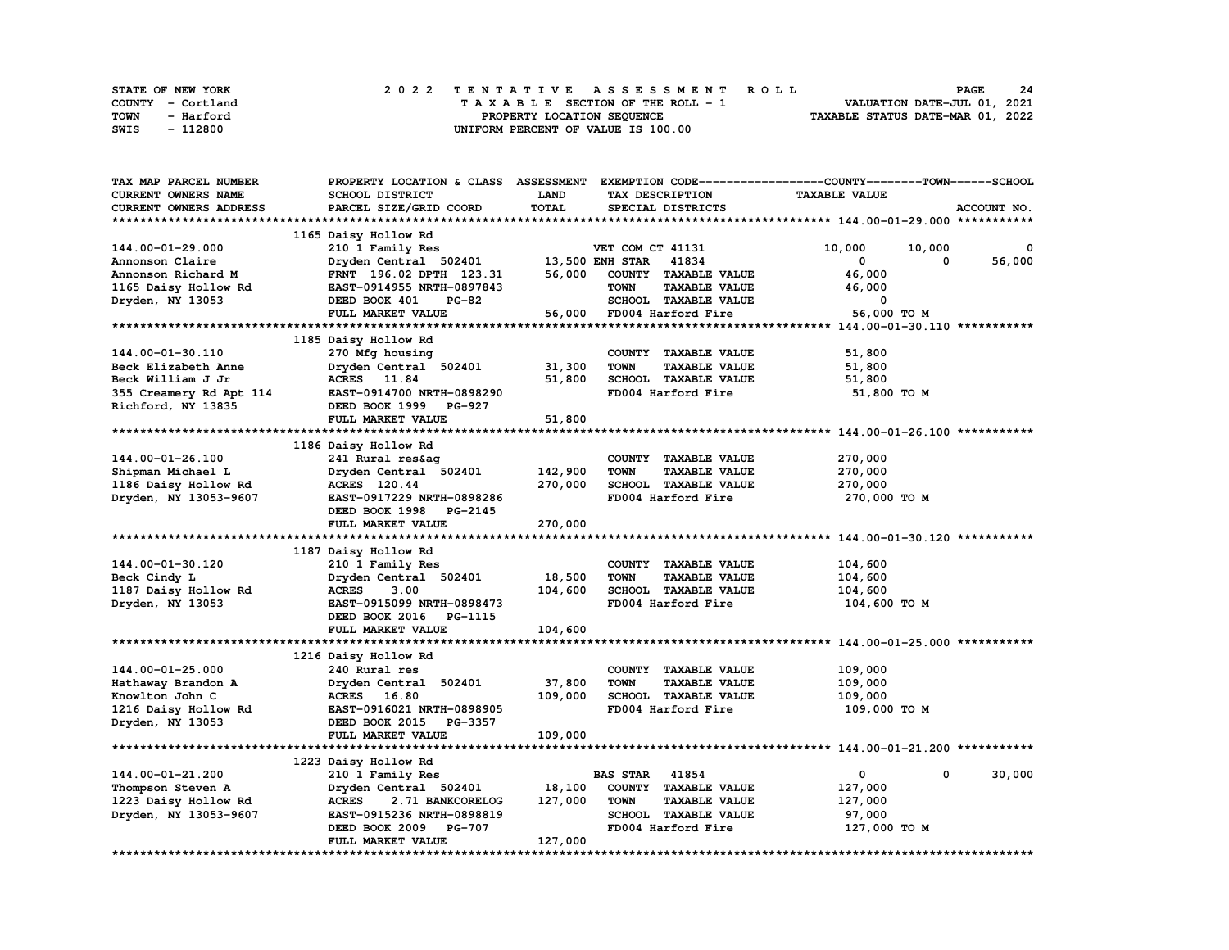| STATE OF NEW YORK | 2022 TENTATIVE ASSESSMENT ROLL          | -24<br><b>PAGE</b>               |
|-------------------|-----------------------------------------|----------------------------------|
| COUNTY - Cortland | $T A X A B L E$ SECTION OF THE ROLL - 1 | VALUATION DATE-JUL 01, 2021      |
| TOWN<br>- Harford | PROPERTY LOCATION SEQUENCE              | TAXABLE STATUS DATE-MAR 01, 2022 |
| - 112800<br>SWIS  | UNIFORM PERCENT OF VALUE IS 100.00      |                                  |

| TAX MAP PARCEL NUMBER   | PROPERTY LOCATION & CLASS ASSESSMENT |                        |                                     | EXEMPTION CODE-----------------COUNTY-------TOWN------SCHOOL |
|-------------------------|--------------------------------------|------------------------|-------------------------------------|--------------------------------------------------------------|
| CURRENT OWNERS NAME     | SCHOOL DISTRICT                      | <b>LAND</b>            | TAX DESCRIPTION                     | <b>TAXABLE VALUE</b>                                         |
| CURRENT OWNERS ADDRESS  | PARCEL SIZE/GRID COORD               | TOTAL                  | SPECIAL DISTRICTS                   | ACCOUNT NO.                                                  |
|                         |                                      |                        |                                     |                                                              |
|                         | 1165 Daisy Hollow Rd                 |                        |                                     |                                                              |
| 144.00-01-29.000        | 210 1 Family Res                     |                        | VET COM CT 41131                    | 10,000<br>10,000<br>0                                        |
| Annonson Claire         | Dryden Central 502401                | <b>13,500 ENH STAR</b> | 41834                               | 56,000<br>0<br>0                                             |
| Annonson Richard M      | FRNT 196.02 DPTH 123.31              | 56,000                 | COUNTY TAXABLE VALUE                | 46,000                                                       |
| 1165 Daisy Hollow Rd    | EAST-0914955 NRTH-0897843            |                        | <b>TOWN</b><br><b>TAXABLE VALUE</b> | 46,000                                                       |
|                         | <b>PG-82</b>                         |                        | SCHOOL TAXABLE VALUE                | 0                                                            |
| Dryden, NY 13053        | DEED BOOK 401                        |                        |                                     |                                                              |
|                         | FULL MARKET VALUE                    | 56,000                 | FD004 Harford Fire                  | 56,000 TO M                                                  |
|                         |                                      |                        |                                     |                                                              |
|                         | 1185 Daisy Hollow Rd                 |                        |                                     |                                                              |
| 144.00-01-30.110        | 270 Mfg housing                      |                        | COUNTY TAXABLE VALUE                | 51,800                                                       |
| Beck Elizabeth Anne     | Dryden Central 502401                | 31,300                 | <b>TOWN</b><br><b>TAXABLE VALUE</b> | 51,800                                                       |
| Beck William J Jr       | ACRES 11.84                          | 51,800                 | SCHOOL TAXABLE VALUE                | 51,800                                                       |
| 355 Creamery Rd Apt 114 | EAST-0914700 NRTH-0898290            |                        | FD004 Harford Fire                  | 51,800 TO M                                                  |
| Richford, NY 13835      | DEED BOOK 1999 PG-927                |                        |                                     |                                                              |
|                         | FULL MARKET VALUE                    | 51,800                 |                                     |                                                              |
|                         |                                      |                        |                                     |                                                              |
|                         | 1186 Daisy Hollow Rd                 |                        |                                     |                                                              |
| 144.00-01-26.100        | 241 Rural res&ag                     |                        | COUNTY TAXABLE VALUE                | 270,000                                                      |
| Shipman Michael L       | Dryden Central 502401                | 142,900                | <b>TOWN</b><br><b>TAXABLE VALUE</b> | 270,000                                                      |
| 1186 Daisy Hollow Rd    | ACRES 120.44                         | 270,000                | SCHOOL TAXABLE VALUE                | 270,000                                                      |
|                         |                                      |                        |                                     |                                                              |
| Dryden, NY 13053-9607   | EAST-0917229 NRTH-0898286            |                        | FD004 Harford Fire                  | 270,000 TO M                                                 |
|                         | DEED BOOK 1998 PG-2145               |                        |                                     |                                                              |
|                         | FULL MARKET VALUE                    | 270,000                |                                     |                                                              |
|                         |                                      |                        |                                     |                                                              |
|                         | 1187 Daisy Hollow Rd                 |                        |                                     |                                                              |
| 144.00-01-30.120        | 210 1 Family Res                     |                        | COUNTY TAXABLE VALUE                | 104,600                                                      |
| Beck Cindy L            | Dryden Central 502401                | 18,500                 | <b>TOWN</b><br><b>TAXABLE VALUE</b> | 104,600                                                      |
| 1187 Daisy Hollow Rd    | <b>ACRES</b><br>3.00                 | 104,600                | SCHOOL TAXABLE VALUE                | 104,600                                                      |
| Dryden, NY 13053        | EAST-0915099 NRTH-0898473            |                        | FD004 Harford Fire                  | 104,600 TO M                                                 |
|                         | DEED BOOK 2016<br>PG-1115            |                        |                                     |                                                              |
|                         | FULL MARKET VALUE                    | 104,600                |                                     |                                                              |
|                         |                                      |                        |                                     |                                                              |
|                         | 1216 Daisy Hollow Rd                 |                        |                                     |                                                              |
| 144.00-01-25.000        | 240 Rural res                        |                        | COUNTY TAXABLE VALUE                | 109,000                                                      |
| Hathaway Brandon A      | Dryden Central 502401                | 37,800                 | <b>TOWN</b><br><b>TAXABLE VALUE</b> | 109,000                                                      |
| Knowlton John C         | <b>ACRES</b> 16.80                   | 109,000                | SCHOOL TAXABLE VALUE                | 109,000                                                      |
| 1216 Daisy Hollow Rd    | EAST-0916021 NRTH-0898905            |                        | FD004 Harford Fire                  | 109,000 то м                                                 |
|                         |                                      |                        |                                     |                                                              |
| Dryden, NY 13053        | DEED BOOK 2015 PG-3357               |                        |                                     |                                                              |
|                         | FULL MARKET VALUE                    | 109,000                |                                     |                                                              |
|                         |                                      |                        |                                     |                                                              |
|                         | 1223 Daisy Hollow Rd                 |                        |                                     |                                                              |
| 144.00-01-21.200        | 210 1 Family Res                     |                        | <b>BAS STAR</b><br>41854            | 0<br>30,000<br>0                                             |
| Thompson Steven A       | Dryden Central 502401                | 18,100                 | COUNTY TAXABLE VALUE                | 127,000                                                      |
| 1223 Daisy Hollow Rd    | <b>ACRES</b><br>2.71 BANKCORELOG     | 127,000                | <b>TOWN</b><br><b>TAXABLE VALUE</b> | 127,000                                                      |
| Dryden, NY 13053-9607   | EAST-0915236 NRTH-0898819            |                        | SCHOOL TAXABLE VALUE                | 97,000                                                       |
|                         | DEED BOOK 2009 PG-707                |                        | FD004 Harford Fire                  | 127,000 TO M                                                 |
|                         | FULL MARKET VALUE                    | 127,000                |                                     |                                                              |
|                         |                                      |                        |                                     |                                                              |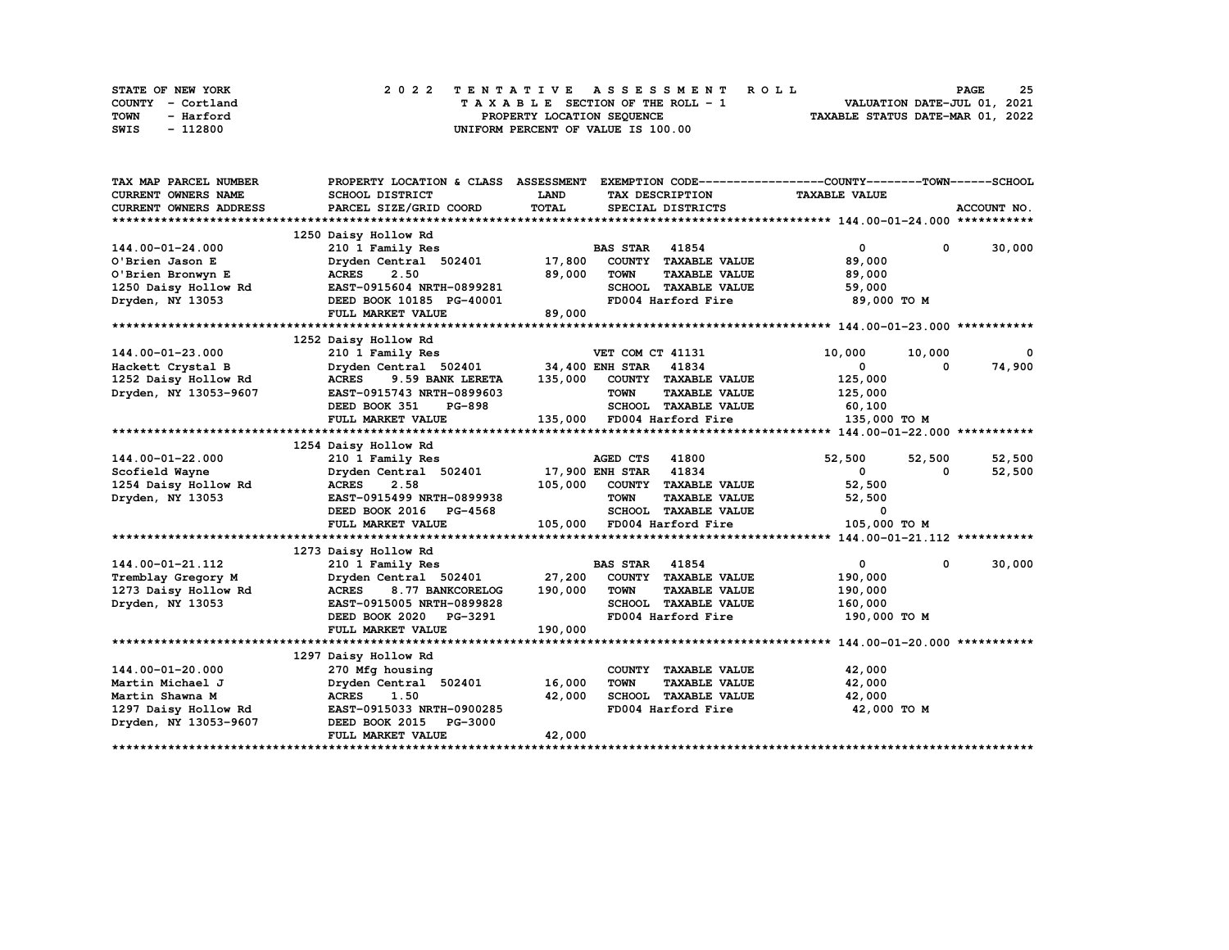| STATE OF NEW YORK | 2022 TENTATIVE ASSESSMENT ROLL     | 25<br><b>PAGE</b>                |
|-------------------|------------------------------------|----------------------------------|
| COUNTY - Cortland | TAXABLE SECTION OF THE ROLL - 1    | VALUATION DATE-JUL 01, 2021      |
| TOWN<br>- Harford | PROPERTY LOCATION SEQUENCE         | TAXABLE STATUS DATE-MAR 01, 2022 |
| - 112800<br>SWIS  | UNIFORM PERCENT OF VALUE IS 100.00 |                                  |

| TAX MAP PARCEL NUMBER         | PROPERTY LOCATION & CLASS        | <b>ASSESSMENT</b>                              | EXEMPTION CODE-----------------COUNTY-------TOWN------SCHOOL |
|-------------------------------|----------------------------------|------------------------------------------------|--------------------------------------------------------------|
| <b>CURRENT OWNERS NAME</b>    | SCHOOL DISTRICT                  | LAND<br>TAX DESCRIPTION                        | <b>TAXABLE VALUE</b>                                         |
| <b>CURRENT OWNERS ADDRESS</b> | PARCEL SIZE/GRID COORD           | TOTAL<br>SPECIAL DISTRICTS                     | ACCOUNT NO.                                                  |
|                               |                                  |                                                |                                                              |
|                               | 1250 Daisy Hollow Rd             |                                                |                                                              |
| 144.00-01-24.000              | 210 1 Family Res                 | <b>BAS STAR 41854</b>                          | $\mathbf{0}$<br>30,000<br>$^{\circ}$                         |
| O'Brien Jason E               | Dryden Central 502401            | 17,800<br>COUNTY TAXABLE VALUE                 | 89,000                                                       |
| O'Brien Bronwyn E             | 2.50<br><b>ACRES</b>             | 89,000<br><b>TOWN</b><br><b>TAXABLE VALUE</b>  | 89,000                                                       |
| 1250 Daisy Hollow Rd          | EAST-0915604 NRTH-0899281        | SCHOOL TAXABLE VALUE                           | 59,000                                                       |
| Dryden, NY 13053              | DEED BOOK 10185 PG-40001         | FD004 Harford Fire                             | 89,000 TO M                                                  |
|                               | FULL MARKET VALUE                | 89,000                                         |                                                              |
|                               |                                  |                                                |                                                              |
|                               | 1252 Daisy Hollow Rd             |                                                |                                                              |
| 144.00-01-23.000              | 210 1 Family Res                 | VET COM CT 41131                               | 10,000<br>10,000<br>0                                        |
| Hackett Crystal B             | Dryden Central 502401            | 34,400 ENH STAR 41834                          | 74,900<br>$\mathbf{0}$<br>0                                  |
| 1252 Daisy Hollow Rd          | <b>ACRES</b><br>9.59 BANK LERETA | 135,000<br>COUNTY TAXABLE VALUE                | 125,000                                                      |
| Dryden, NY 13053-9607         | EAST-0915743 NRTH-0899603        | <b>TOWN</b><br><b>TAXABLE VALUE</b>            | 125,000                                                      |
|                               | <b>PG-898</b><br>DEED BOOK 351   | SCHOOL TAXABLE VALUE                           | 60,100                                                       |
|                               | FULL MARKET VALUE                | 135,000<br>FD004 Harford Fire                  | 135,000 TO M                                                 |
|                               |                                  |                                                |                                                              |
|                               | 1254 Daisy Hollow Rd             |                                                |                                                              |
| 144.00-01-22.000              | 210 1 Family Res                 | 41800<br>AGED CTS                              | 52,500<br>52,500<br>52,500                                   |
| Scofield Wayne                | Dryden Central 502401            | 41834<br><b>17,900 ENH STAR</b>                | $\mathbf{0}$<br>52,500<br>0                                  |
| 1254 Daisy Hollow Rd          | <b>ACRES</b><br>2.58             | 105,000 COUNTY TAXABLE VALUE                   | 52,500                                                       |
| Dryden, NY 13053              | EAST-0915499 NRTH-0899938        | <b>TOWN</b><br><b>TAXABLE VALUE</b>            | 52,500                                                       |
|                               | DEED BOOK 2016 PG-4568           | SCHOOL TAXABLE VALUE                           | 0                                                            |
|                               | FULL MARKET VALUE                | 105,000<br>FD004 Harford Fire                  | 105,000 TO M                                                 |
|                               |                                  |                                                |                                                              |
|                               | 1273 Daisy Hollow Rd             |                                                |                                                              |
| 144.00-01-21.112              | 210 1 Family Res                 | 41854<br><b>BAS STAR</b>                       | 30,000<br>0<br>0                                             |
| Tremblay Gregory M            | Dryden Central 502401            | 27,200<br>COUNTY TAXABLE VALUE                 | 190,000                                                      |
| 1273 Daisy Hollow Rd          | <b>ACRES</b><br>8.77 BANKCORELOG | 190,000<br><b>TOWN</b><br><b>TAXABLE VALUE</b> | 190,000                                                      |
| Dryden, NY 13053              | EAST-0915005 NRTH-0899828        | SCHOOL TAXABLE VALUE                           | 160,000                                                      |
|                               | DEED BOOK 2020 PG-3291           | FD004 Harford Fire                             | 190,000 TO M                                                 |
|                               | FULL MARKET VALUE                | 190,000                                        |                                                              |
|                               |                                  |                                                |                                                              |
|                               | 1297 Daisy Hollow Rd             |                                                |                                                              |
| 144.00-01-20.000              | 270 Mfg housing                  | COUNTY TAXABLE VALUE                           | 42,000                                                       |
| Martin Michael J              | Dryden Central 502401            | 16,000<br><b>TOWN</b><br><b>TAXABLE VALUE</b>  | 42,000                                                       |
| Martin Shawna M               | <b>ACRES</b><br>1.50             | 42,000<br>SCHOOL TAXABLE VALUE                 | 42,000                                                       |
| 1297 Daisy Hollow Rd          | EAST-0915033 NRTH-0900285        | FD004 Harford Fire                             | 42,000 TO M                                                  |
| Dryden, NY 13053-9607         | DEED BOOK 2015<br><b>PG-3000</b> |                                                |                                                              |
|                               | FULL MARKET VALUE                | 42,000                                         |                                                              |
|                               |                                  |                                                |                                                              |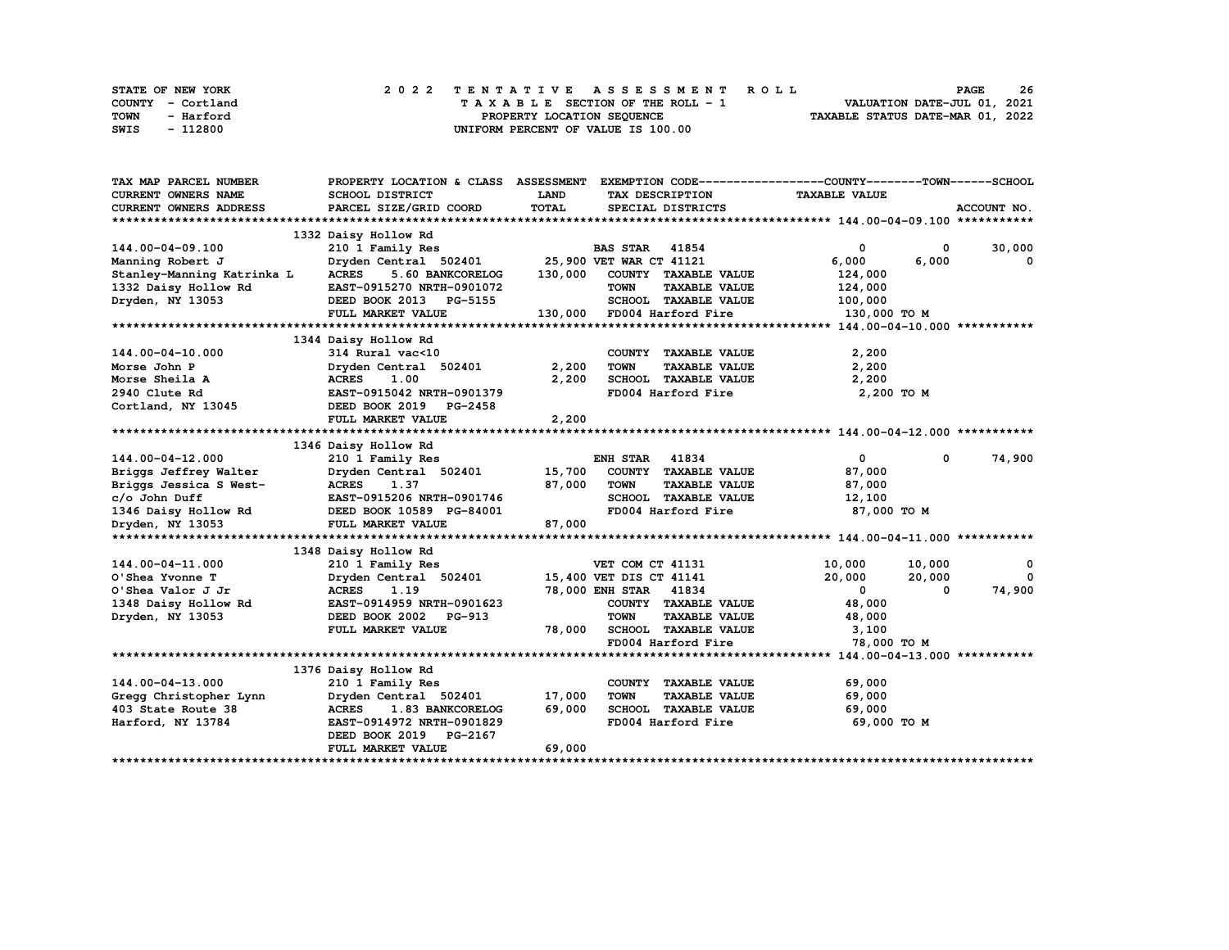| STATE OF NEW YORK | 2022 TENTATIVE ASSESSMENT ROLL     | 26<br><b>PAGE</b>                |
|-------------------|------------------------------------|----------------------------------|
| COUNTY - Cortland | TAXABLE SECTION OF THE ROLL - 1    | VALUATION DATE-JUL 01, 2021      |
| TOWN<br>- Harford | PROPERTY LOCATION SEQUENCE         | TAXABLE STATUS DATE-MAR 01, 2022 |
| - 112800<br>SWIS  | UNIFORM PERCENT OF VALUE IS 100.00 |                                  |

| TAX MAP PARCEL NUMBER      | PROPERTY LOCATION & CLASS ASSESSMENT |             |                                          | EXEMPTION CODE------------------COUNTY-------TOWN------SCHOOL |             |
|----------------------------|--------------------------------------|-------------|------------------------------------------|---------------------------------------------------------------|-------------|
| CURRENT OWNERS NAME        | SCHOOL DISTRICT                      | <b>LAND</b> | TAX DESCRIPTION                          | <b>TAXABLE VALUE</b>                                          |             |
| CURRENT OWNERS ADDRESS     | PARCEL SIZE/GRID COORD               | TOTAL       | SPECIAL DISTRICTS                        |                                                               | ACCOUNT NO. |
|                            |                                      |             |                                          |                                                               |             |
|                            | 1332 Daisy Hollow Rd                 |             |                                          |                                                               |             |
| 144.00-04-09.100           | 210 1 Family Res                     |             | <b>BAS STAR</b> 41854                    | 0<br>$^{\circ}$                                               | 30,000      |
| Manning Robert J           | Dryden Central 502401                |             | 25,900 VET WAR CT 41121                  | 6,000<br>6,000                                                | 0           |
| Stanley-Manning Katrinka L | <b>ACRES</b><br>5.60 BANKCORELOG     | 130,000     | COUNTY TAXABLE VALUE                     | 124,000                                                       |             |
| 1332 Daisy Hollow Rd       | EAST-0915270 NRTH-0901072            |             | <b>TOWN</b><br><b>TAXABLE VALUE</b>      | 124,000                                                       |             |
| Dryden, NY 13053           | DEED BOOK 2013 PG-5155               |             | SCHOOL TAXABLE VALUE                     | 100,000                                                       |             |
|                            | FULL MARKET VALUE                    |             | 130,000 FD004 Harford Fire               | 130,000 TO M                                                  |             |
|                            |                                      |             |                                          |                                                               |             |
|                            | 1344 Daisy Hollow Rd                 |             |                                          |                                                               |             |
| 144.00-04-10.000           | 314 Rural vac<10                     |             | COUNTY TAXABLE VALUE                     | 2,200                                                         |             |
| Morse John P               | Dryden Central 502401                | 2,200       | <b>TOWN</b><br><b>TAXABLE VALUE</b>      | 2,200                                                         |             |
| Morse Sheila A             | <b>ACRES</b><br>1.00                 | 2,200       | TOWN FRAME VALUE<br>SCHOOL TAXABLE VALUE | 2,200                                                         |             |
| 2940 Clute Rd              | EAST-0915042 NRTH-0901379            |             | FD004 Harford Fire                       | 2,200 TO M                                                    |             |
| Cortland, NY 13045         | DEED BOOK 2019 PG-2458               |             |                                          |                                                               |             |
|                            | FULL MARKET VALUE                    | 2,200       |                                          |                                                               |             |
|                            |                                      |             |                                          |                                                               |             |
|                            | 1346 Daisy Hollow Rd                 |             |                                          |                                                               |             |
| 144.00-04-12.000           | 210 1 Family Res                     |             | <b>ENH STAR 41834</b>                    | $\mathbf{0}$<br>$\mathbf 0$                                   | 74,900      |
| Briggs Jeffrey Walter      | Dryden Central 502401                | 15,700      | COUNTY TAXABLE VALUE                     | 87,000                                                        |             |
| Briggs Jessica S West-     | <b>ACRES</b><br>1.37                 | 87,000      | <b>TOWN</b><br><b>TAXABLE VALUE</b>      | 87,000                                                        |             |
| c/o John Duff              | EAST-0915206 NRTH-0901746            |             | SCHOOL TAXABLE VALUE                     | 12,100                                                        |             |
| 1346 Daisy Hollow Rd       | DEED BOOK 10589 PG-84001             |             | FD004 Harford Fire                       | 87,000 TO M                                                   |             |
| Dryden, NY 13053           | FULL MARKET VALUE                    | 87,000      |                                          |                                                               |             |
|                            |                                      |             |                                          |                                                               |             |
|                            | 1348 Daisy Hollow Rd                 |             |                                          |                                                               |             |
| 144.00-04-11.000           | 210 1 Family Res                     |             | VET COM CT 41131                         | 10,000<br>10,000                                              | 0           |
| O'Shea Yvonne T            | Dryden Central 502401                |             | 15,400 VET DIS CT 41141                  | 20,000<br>20,000                                              | $\Omega$    |
| O'Shea Valor J Jr          | <b>ACRES</b><br>1.19                 |             | 78,000 ENH STAR 41834                    | $\mathbf{0}$<br>0                                             | 74,900      |
| 1348 Daisy Hollow Rd       | EAST-0914959 NRTH-0901623            |             | COUNTY TAXABLE VALUE                     | 48,000                                                        |             |
| Dryden, NY 13053           | DEED BOOK 2002 PG-913                |             | <b>TOWN</b><br><b>TAXABLE VALUE</b>      | 48,000                                                        |             |
|                            | FULL MARKET VALUE                    | 78,000      | SCHOOL TAXABLE VALUE                     | 3,100                                                         |             |
|                            |                                      |             | FD004 Harford Fire                       | 78,000 TO M                                                   |             |
|                            |                                      |             |                                          |                                                               |             |
|                            | 1376 Daisy Hollow Rd                 |             |                                          |                                                               |             |
| 144.00-04-13.000           | 210 1 Family Res                     |             | COUNTY TAXABLE VALUE                     | 69,000                                                        |             |
| Gregg Christopher Lynn     | Dryden Central 502401                | 17,000      | <b>TOWN</b><br><b>TAXABLE VALUE</b>      | 69,000                                                        |             |
| 403 State Route 38         | <b>ACRES</b><br>1.83 BANKCORELOG     | 69,000      | SCHOOL TAXABLE VALUE                     | 69,000                                                        |             |
| Harford, NY 13784          | EAST-0914972 NRTH-0901829            |             | FD004 Harford Fire                       | 69,000 TO M                                                   |             |
|                            | DEED BOOK 2019 PG-2167               |             |                                          |                                                               |             |
|                            | FULL MARKET VALUE                    | 69,000      |                                          |                                                               |             |
|                            |                                      |             |                                          |                                                               |             |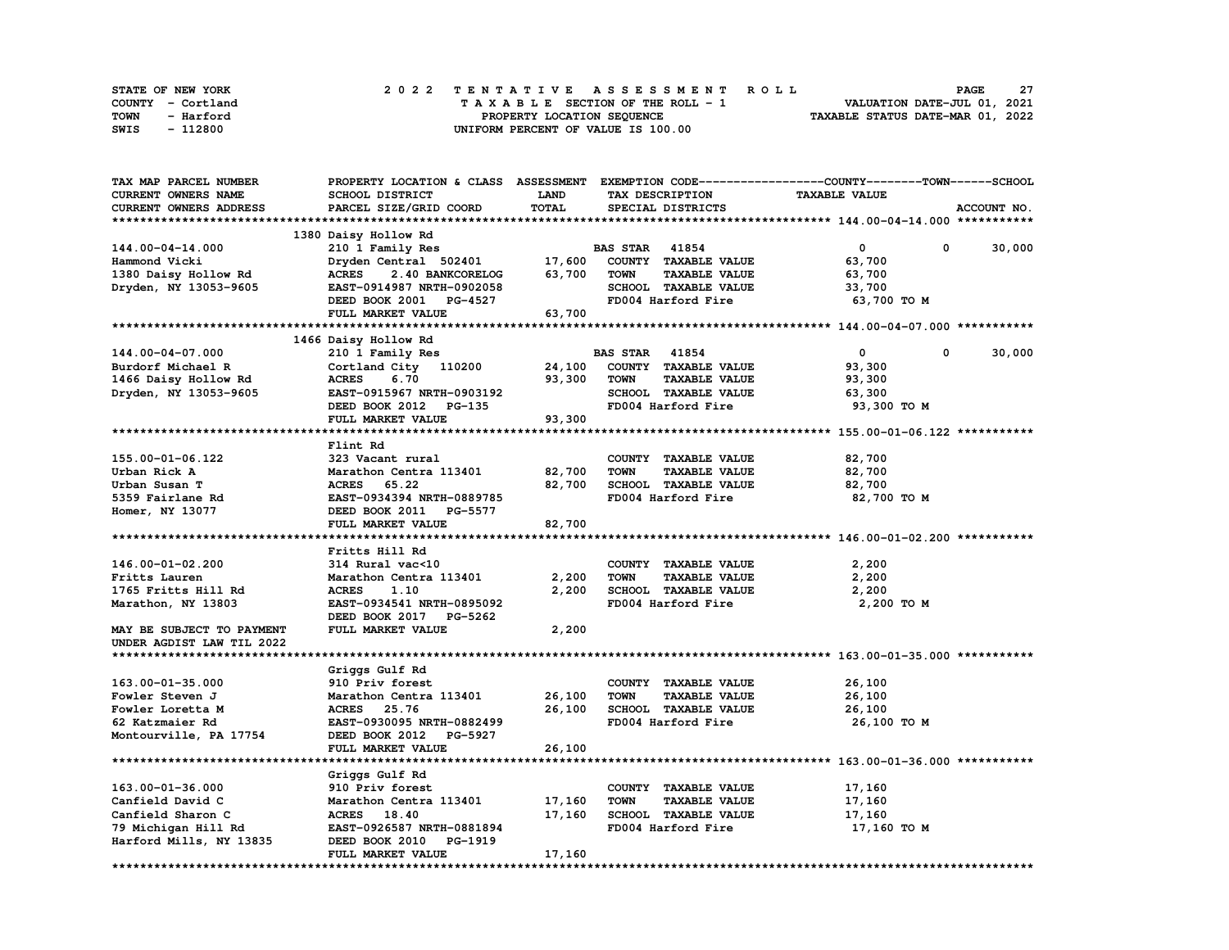| STATE OF NEW YORK | 2022 TENTATIVE ASSESSMENT ROLL     | 27<br><b>PAGE</b>                |
|-------------------|------------------------------------|----------------------------------|
| COUNTY - Cortland | TAXABLE SECTION OF THE ROLL - 1    | VALUATION DATE-JUL 01, 2021      |
| TOWN<br>- Harford | PROPERTY LOCATION SEQUENCE         | TAXABLE STATUS DATE-MAR 01, 2022 |
| - 112800<br>SWIS  | UNIFORM PERCENT OF VALUE IS 100.00 |                                  |

| TAX MAP PARCEL NUMBER     | PROPERTY LOCATION & CLASS ASSESSMENT               |        |                                     | EXEMPTION CODE-----------------COUNTY-------TOWN-----SCHOOL |
|---------------------------|----------------------------------------------------|--------|-------------------------------------|-------------------------------------------------------------|
| CURRENT OWNERS NAME       | SCHOOL DISTRICT                                    | LAND   | TAX DESCRIPTION                     | <b>TAXABLE VALUE</b>                                        |
| CURRENT OWNERS ADDRESS    | PARCEL SIZE/GRID COORD                             | TOTAL  | SPECIAL DISTRICTS                   | ACCOUNT NO.                                                 |
|                           |                                                    |        |                                     |                                                             |
|                           | 1380 Daisy Hollow Rd                               |        |                                     |                                                             |
| 144.00-04-14.000          | 210 1 Family Res                                   |        | <b>BAS STAR 41854</b>               | $\mathbf 0$<br>30,000<br>0                                  |
| Hammond Vicki             | Dryden Central 502401                              | 17,600 | COUNTY TAXABLE VALUE                | 63,700                                                      |
| 1380 Daisy Hollow Rd      | <b>ACRES</b><br>2.40 BANKCORELOG                   | 63,700 | <b>TOWN</b><br><b>TAXABLE VALUE</b> | 63,700                                                      |
| Dryden, NY 13053-9605     | EAST-0914987 NRTH-0902058                          |        | SCHOOL TAXABLE VALUE                | 33,700                                                      |
|                           | DEED BOOK 2001 PG-4527                             |        | FD004 Harford Fire                  | 63,700 TO M                                                 |
|                           | FULL MARKET VALUE                                  | 63,700 |                                     |                                                             |
|                           |                                                    |        |                                     |                                                             |
|                           | 1466 Daisy Hollow Rd                               |        |                                     |                                                             |
|                           |                                                    |        |                                     | $\mathbf 0$<br>0                                            |
| 144.00-04-07.000          | 210 1 Family Res                                   |        | <b>BAS STAR 41854</b>               | 30,000                                                      |
| Burdorf Michael R         | Cortland City 110200                               | 24,100 | COUNTY TAXABLE VALUE                | 93,300                                                      |
| 1466 Daisy Hollow Rd      | <b>ACRES</b><br>6.70                               | 93,300 | <b>TOWN</b><br><b>TAXABLE VALUE</b> | 93,300                                                      |
| Dryden, NY 13053-9605     | EAST-0915967 NRTH-0903192                          |        | SCHOOL TAXABLE VALUE                | 63,300                                                      |
|                           | DEED BOOK 2012 PG-135                              |        | FD004 Harford Fire                  | 93,300 TO M                                                 |
|                           | FULL MARKET VALUE                                  | 93,300 |                                     |                                                             |
|                           |                                                    |        |                                     |                                                             |
|                           | Flint Rd                                           |        |                                     |                                                             |
| 155.00-01-06.122          | 323 Vacant rural                                   |        | COUNTY TAXABLE VALUE                | 82,700                                                      |
| Urban Rick A              | Marathon Centra 113401                             | 82,700 | <b>TOWN</b><br><b>TAXABLE VALUE</b> | 82,700                                                      |
| Urban Susan T             | <b>ACRES</b><br>65.22                              | 82,700 | SCHOOL TAXABLE VALUE                | 82,700                                                      |
| 5359 Fairlane Rd          | EAST-0934394 NRTH-0889785                          |        | FD004 Harford Fire                  | 82,700 TO M                                                 |
| Homer, NY 13077           | DEED BOOK 2011 PG-5577                             |        |                                     |                                                             |
|                           | FULL MARKET VALUE                                  | 82,700 |                                     |                                                             |
|                           |                                                    |        |                                     |                                                             |
|                           | Fritts Hill Rd                                     |        |                                     |                                                             |
| 146.00-01-02.200          | 314 Rural vac<10                                   |        | COUNTY TAXABLE VALUE                | 2,200                                                       |
| Fritts Lauren             | Marathon Centra 113401                             | 2,200  | <b>TOWN</b><br><b>TAXABLE VALUE</b> | 2,200                                                       |
| 1765 Fritts Hill Rd       | <b>ACRES</b><br>1.10                               | 2,200  | SCHOOL TAXABLE VALUE                | 2,200                                                       |
| Marathon, NY 13803        | EAST-0934541 NRTH-0895092                          |        | FD004 Harford Fire                  | 2,200 TO M                                                  |
|                           | DEED BOOK 2017 PG-5262                             |        |                                     |                                                             |
| MAY BE SUBJECT TO PAYMENT | FULL MARKET VALUE                                  | 2,200  |                                     |                                                             |
| UNDER AGDIST LAW TIL 2022 |                                                    |        |                                     |                                                             |
|                           |                                                    |        |                                     |                                                             |
|                           | Griggs Gulf Rd                                     |        |                                     |                                                             |
| 163.00-01-35.000          | 910 Priv forest                                    |        | COUNTY TAXABLE VALUE                | 26,100                                                      |
| Fowler Steven J           | Marathon Centra 113401                             | 26,100 | <b>TOWN</b><br><b>TAXABLE VALUE</b> | 26,100                                                      |
| Fowler Loretta M          | <b>ACRES</b><br>25.76                              | 26,100 | SCHOOL TAXABLE VALUE                | 26,100                                                      |
| 62 Katzmaier Rd           | EAST-0930095 NRTH-0882499                          |        | FD004 Harford Fire                  | 26,100 TO M                                                 |
|                           |                                                    |        |                                     |                                                             |
| Montourville, PA 17754    | DEED BOOK 2012 PG-5927                             |        |                                     |                                                             |
| ***********************   | FULL MARKET VALUE<br>***************************** | 26,100 |                                     |                                                             |
|                           |                                                    |        |                                     |                                                             |
|                           | Griggs Gulf Rd                                     |        |                                     |                                                             |
| 163.00-01-36.000          | 910 Priv forest                                    |        | COUNTY TAXABLE VALUE                | 17,160                                                      |
| Canfield David C          | Marathon Centra 113401                             | 17,160 | TOWN<br><b>TAXABLE VALUE</b>        | 17,160                                                      |
| Canfield Sharon C         | ACRES 18.40                                        | 17,160 | SCHOOL TAXABLE VALUE                | 17,160                                                      |
| 79 Michigan Hill Rd       | EAST-0926587 NRTH-0881894                          |        | FD004 Harford Fire                  | 17,160 TO M                                                 |
| Harford Mills, NY 13835   | DEED BOOK 2010<br><b>PG-1919</b>                   |        |                                     |                                                             |
|                           | FULL MARKET VALUE                                  | 17,160 |                                     |                                                             |
| *****************         |                                                    |        |                                     |                                                             |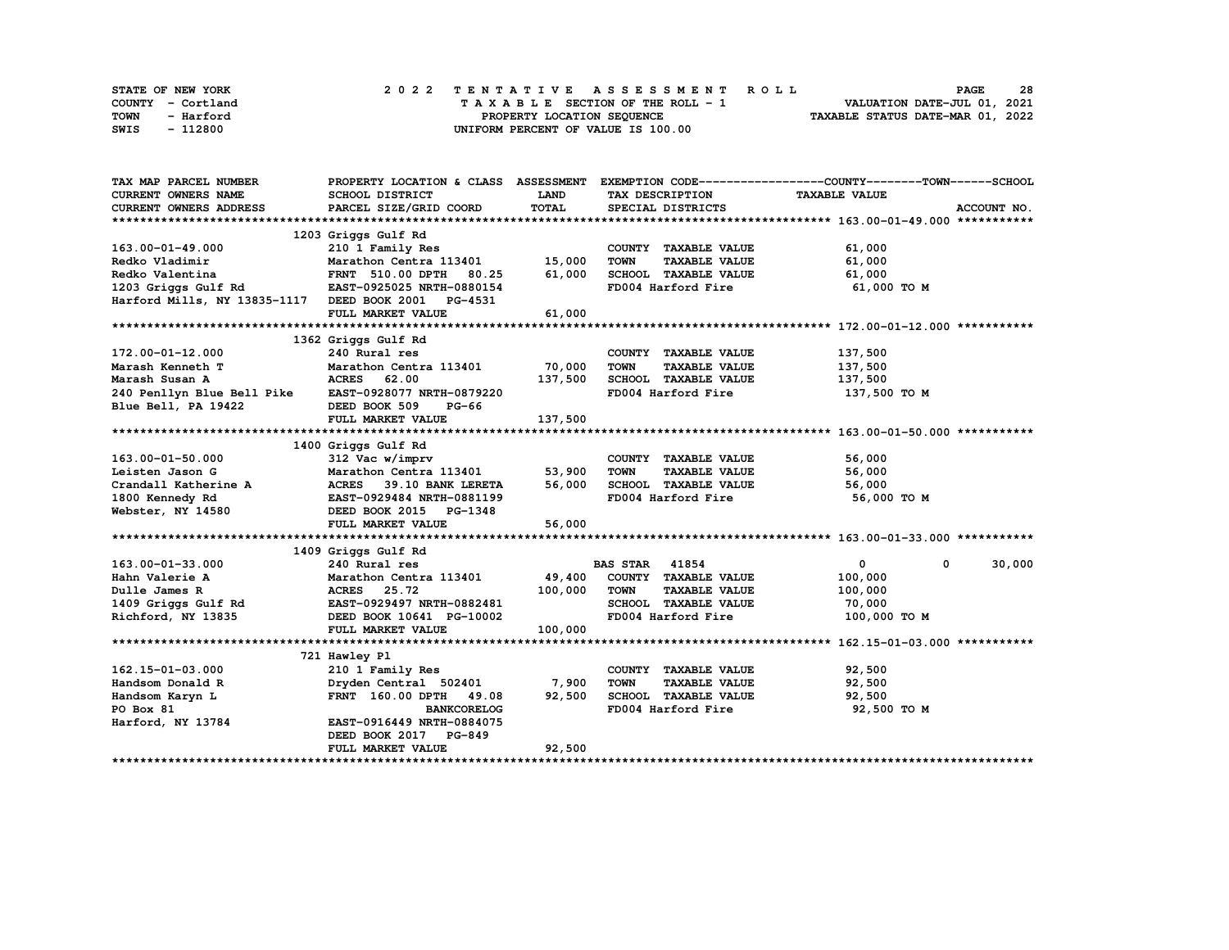| STATE OF NEW YORK |           |  |  |  |  | 2022 TENTATIVE ASSESSMENT ROLL     |  |  |  |  |  |  |                                  | <b>PAGE</b> | 28 |  |
|-------------------|-----------|--|--|--|--|------------------------------------|--|--|--|--|--|--|----------------------------------|-------------|----|--|
| COUNTY - Cortland |           |  |  |  |  | TAXABLE SECTION OF THE ROLL - 1    |  |  |  |  |  |  | VALUATION DATE-JUL 01, 2021      |             |    |  |
| TOWN              | - Harford |  |  |  |  | PROPERTY LOCATION SEQUENCE         |  |  |  |  |  |  | TAXABLE STATUS DATE-MAR 01, 2022 |             |    |  |
| SWIS              | - 112800  |  |  |  |  | UNIFORM PERCENT OF VALUE IS 100.00 |  |  |  |  |  |  |                                  |             |    |  |

| TAX MAP PARCEL NUMBER                               |                                  |         |                                     | PROPERTY LOCATION & CLASS ASSESSMENT EXEMPTION CODE----------------COUNTY-------TOWN-----SCHOOL |
|-----------------------------------------------------|----------------------------------|---------|-------------------------------------|-------------------------------------------------------------------------------------------------|
| <b>CURRENT OWNERS NAME</b>                          | <b>SCHOOL DISTRICT</b>           | LAND    | TAX DESCRIPTION                     | <b>TAXABLE VALUE</b>                                                                            |
| CURRENT OWNERS ADDRESS                              | PARCEL SIZE/GRID COORD           | TOTAL   | SPECIAL DISTRICTS                   | ACCOUNT NO.                                                                                     |
|                                                     |                                  |         |                                     |                                                                                                 |
|                                                     | 1203 Griggs Gulf Rd              |         |                                     |                                                                                                 |
| 163.00-01-49.000                                    | 210 1 Family Res                 |         | COUNTY TAXABLE VALUE                | 61,000                                                                                          |
| Redko Vladimir                                      | Marathon Centra 113401           | 15,000  | <b>TOWN</b><br><b>TAXABLE VALUE</b> | 61,000                                                                                          |
| Redko Valentina                                     | <b>FRNT 510.00 DPTH</b><br>80.25 | 61,000  | SCHOOL TAXABLE VALUE                | 61,000                                                                                          |
| 1203 Griggs Gulf Rd                                 | EAST-0925025 NRTH-0880154        |         | FD004 Harford Fire                  | 61,000 TO M                                                                                     |
| Harford Mills, NY 13835-1117 DEED BOOK 2001 PG-4531 |                                  |         |                                     |                                                                                                 |
|                                                     | FULL MARKET VALUE                | 61,000  |                                     |                                                                                                 |
|                                                     |                                  |         |                                     |                                                                                                 |
|                                                     | 1362 Griggs Gulf Rd              |         |                                     |                                                                                                 |
| 172.00-01-12.000                                    | 240 Rural res                    |         | COUNTY TAXABLE VALUE                | 137,500                                                                                         |
| Marash Kenneth T                                    | Marathon Centra 113401           | 70,000  | <b>TOWN</b><br><b>TAXABLE VALUE</b> | 137,500                                                                                         |
| Marash Susan A                                      | <b>ACRES</b><br>62.00            | 137,500 | SCHOOL TAXABLE VALUE                | 137,500                                                                                         |
| 240 Penllyn Blue Bell Pike                          | EAST-0928077 NRTH-0879220        |         | FD004 Harford Fire                  | 137,500 TO M                                                                                    |
| Blue Bell, PA 19422                                 | DEED BOOK 509<br>PG-66           |         |                                     |                                                                                                 |
|                                                     | FULL MARKET VALUE                | 137,500 |                                     |                                                                                                 |
|                                                     |                                  |         |                                     |                                                                                                 |
|                                                     | 1400 Griggs Gulf Rd              |         |                                     |                                                                                                 |
| 163.00-01-50.000                                    | 312 Vac w/imprv                  |         | COUNTY TAXABLE VALUE                | 56,000                                                                                          |
| Leisten Jason G                                     | Marathon Centra 113401           | 53,900  | <b>TAXABLE VALUE</b><br><b>TOWN</b> | 56,000                                                                                          |
|                                                     | ACRES 39.10 BANK LERETA          | 56,000  | SCHOOL TAXABLE VALUE                | 56,000                                                                                          |
|                                                     |                                  |         | FD004 Harford Fire                  | 56,000 TO M                                                                                     |
| Webster, NY 14580                                   | DEED BOOK 2015 PG-1348           |         |                                     |                                                                                                 |
|                                                     | FULL MARKET VALUE                | 56,000  |                                     |                                                                                                 |
|                                                     |                                  |         |                                     |                                                                                                 |
|                                                     | 1409 Griggs Gulf Rd              |         |                                     |                                                                                                 |
| 163.00-01-33.000                                    | 240 Rural res                    |         | <b>BAS STAR 41854</b>               | $\mathbf{0}$<br>30,000<br>$\mathbf{0}$                                                          |
| Hahn Valerie A                                      | Marathon Centra 113401 49,400    |         | COUNTY TAXABLE VALUE                | 100,000                                                                                         |
| Dulle James R                                       | ACRES 25.72                      | 100,000 | <b>TAXABLE VALUE</b><br><b>TOWN</b> | 100,000                                                                                         |
| 1409 Griggs Gulf Rd                                 | EAST-0929497 NRTH-0882481        |         | SCHOOL TAXABLE VALUE                | 70,000                                                                                          |
| Richford, NY 13835                                  | DEED BOOK 10641 PG-10002         |         | FD004 Harford Fire                  | 100,000 TO M                                                                                    |
|                                                     | FULL MARKET VALUE                | 100,000 |                                     |                                                                                                 |
|                                                     |                                  |         |                                     |                                                                                                 |
|                                                     | 721 Hawley Pl                    |         |                                     |                                                                                                 |
| 162.15-01-03.000                                    | 210 1 Family Res                 |         | COUNTY TAXABLE VALUE                | 92,500                                                                                          |
| Handsom Donald R                                    | Dryden Central 502401            | 7,900   | <b>TOWN</b><br><b>TAXABLE VALUE</b> | 92,500                                                                                          |
| Handsom Karyn L                                     | FRNT 160.00 DPTH 49.08           | 92,500  | SCHOOL TAXABLE VALUE                | 92,500                                                                                          |
| PO Box 81                                           | <b>BANKCORELOG</b>               |         | FD004 Harford Fire                  | 92,500 TO M                                                                                     |
| Harford, NY 13784                                   | EAST-0916449 NRTH-0884075        |         |                                     |                                                                                                 |
|                                                     | DEED BOOK 2017 PG-849            |         |                                     |                                                                                                 |
|                                                     | FULL MARKET VALUE                | 92,500  |                                     |                                                                                                 |
|                                                     |                                  |         |                                     |                                                                                                 |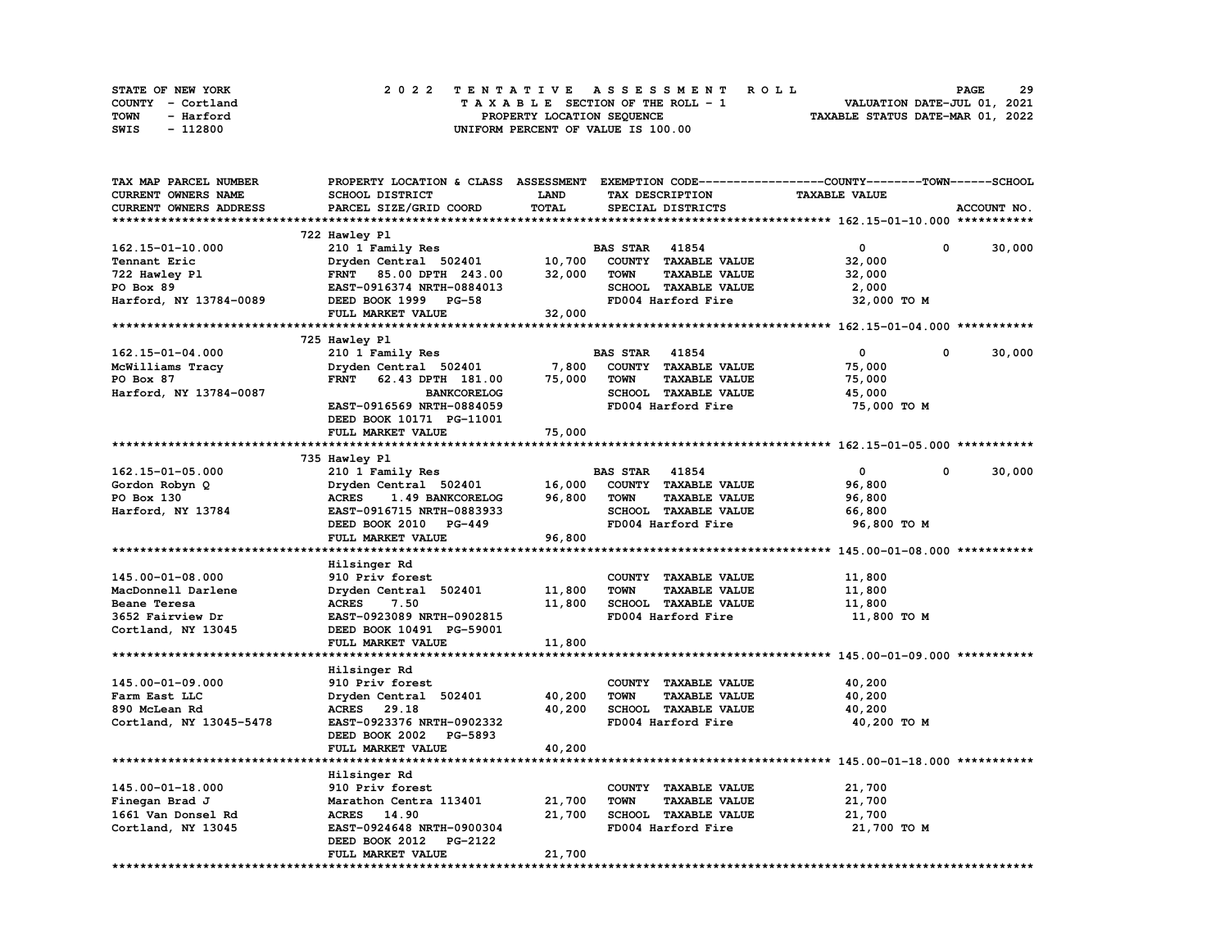| STATE OF NEW YORK | 2022 TENTATIVE ASSESSMENT ROLL     | 29<br><b>PAGE</b>                |
|-------------------|------------------------------------|----------------------------------|
| COUNTY - Cortland | TAXABLE SECTION OF THE ROLL - 1    | VALUATION DATE-JUL 01, 2021      |
| TOWN<br>- Harford | PROPERTY LOCATION SEQUENCE         | TAXABLE STATUS DATE-MAR 01, 2022 |
| - 112800<br>SWIS  | UNIFORM PERCENT OF VALUE IS 100.00 |                                  |

| TAX MAP PARCEL NUMBER   |                                  |             |                                     | PROPERTY LOCATION & CLASS ASSESSMENT EXEMPTION CODE-----------------COUNTY-------TOWN------SCHOOL |             |
|-------------------------|----------------------------------|-------------|-------------------------------------|---------------------------------------------------------------------------------------------------|-------------|
| CURRENT OWNERS NAME     | SCHOOL DISTRICT                  | <b>LAND</b> | TAX DESCRIPTION                     | <b>TAXABLE VALUE</b>                                                                              |             |
| CURRENT OWNERS ADDRESS  | PARCEL SIZE/GRID COORD           | TOTAL       | SPECIAL DISTRICTS                   |                                                                                                   | ACCOUNT NO. |
|                         |                                  |             |                                     |                                                                                                   |             |
|                         | 722 Hawley Pl                    |             |                                     |                                                                                                   |             |
| 162.15-01-10.000        | 210 1 Family Res                 |             | <b>BAS STAR</b> 41854               | $\mathbf{0}$<br>0                                                                                 | 30,000      |
| Tennant Eric            | Dryden Central 502401            | 10,700      | COUNTY TAXABLE VALUE                | 32,000                                                                                            |             |
| 722 Hawley Pl           | FRNT 85.00 DPTH 243.00           | 32,000      | <b>TOWN</b><br><b>TAXABLE VALUE</b> | 32,000                                                                                            |             |
| PO Box 89               | EAST-0916374 NRTH-0884013        |             | SCHOOL TAXABLE VALUE                | 2,000                                                                                             |             |
| Harford, NY 13784-0089  | DEED BOOK 1999 PG-58             |             | FD004 Harford Fire                  | 32,000 TO M                                                                                       |             |
|                         | FULL MARKET VALUE                | 32,000      |                                     |                                                                                                   |             |
|                         |                                  |             |                                     |                                                                                                   |             |
|                         | 725 Hawley Pl                    |             |                                     |                                                                                                   |             |
| 162.15-01-04.000        | 210 1 Family Res                 |             | <b>BAS STAR 41854</b>               | $\mathbf{0}$<br>$^{\circ}$                                                                        | 30,000      |
| McWilliams Tracy        | Dryden Central 502401            | 7,800       | COUNTY TAXABLE VALUE                | 75,000                                                                                            |             |
| PO Box 87               | FRNT 62.43 DPTH 181.00           | 75,000      | <b>TOWN</b><br><b>TAXABLE VALUE</b> | 75,000                                                                                            |             |
| Harford, NY 13784-0087  | <b>BANKCORELOG</b>               |             | SCHOOL TAXABLE VALUE                | 45,000                                                                                            |             |
|                         | EAST-0916569 NRTH-0884059        |             | FD004 Harford Fire                  | 75,000 TO M                                                                                       |             |
|                         | DEED BOOK 10171 PG-11001         |             |                                     |                                                                                                   |             |
|                         | FULL MARKET VALUE                | 75,000      |                                     |                                                                                                   |             |
|                         |                                  |             |                                     |                                                                                                   |             |
|                         | 735 Hawley Pl                    |             |                                     |                                                                                                   |             |
|                         |                                  |             | <b>BAS STAR</b> 41854               | $\mathbf 0$<br>0                                                                                  | 30,000      |
| $162.15 - 01 - 05.000$  | 210 1 Family Res                 |             | COUNTY TAXABLE VALUE                |                                                                                                   |             |
| Gordon Robyn Q          | Dryden Central 502401            | 16,000      |                                     | 96,800                                                                                            |             |
| PO Box 130              | <b>ACRES</b><br>1.49 BANKCORELOG | 96,800      | <b>TOWN</b><br><b>TAXABLE VALUE</b> | 96,800                                                                                            |             |
| Harford, NY 13784       | EAST-0916715 NRTH-0883933        |             | SCHOOL TAXABLE VALUE                | 66,800                                                                                            |             |
|                         | DEED BOOK 2010 PG-449            |             | FD004 Harford Fire                  | 96,800 TO M                                                                                       |             |
|                         | FULL MARKET VALUE                | 96,800      |                                     |                                                                                                   |             |
|                         |                                  |             |                                     |                                                                                                   |             |
|                         | Hilsinger Rd                     |             |                                     |                                                                                                   |             |
| 145.00-01-08.000        | 910 Priv forest                  |             | COUNTY TAXABLE VALUE                | 11,800                                                                                            |             |
| MacDonnell Darlene      | Dryden Central 502401            | 11,800      | <b>TOWN</b><br><b>TAXABLE VALUE</b> | 11,800                                                                                            |             |
| Beane Teresa            | 7.50<br><b>ACRES</b>             | 11,800      | SCHOOL TAXABLE VALUE                | 11,800                                                                                            |             |
| 3652 Fairview Dr        | EAST-0923089 NRTH-0902815        |             | FD004 Harford Fire                  | 11,800 TO M                                                                                       |             |
| Cortland, NY 13045      | DEED BOOK 10491 PG-59001         |             |                                     |                                                                                                   |             |
|                         | FULL MARKET VALUE                | 11,800      |                                     |                                                                                                   |             |
|                         |                                  |             |                                     |                                                                                                   |             |
|                         | Hilsinger Rd                     |             |                                     |                                                                                                   |             |
| 145.00-01-09.000        | 910 Priv forest                  |             | COUNTY TAXABLE VALUE                | 40,200                                                                                            |             |
| Farm East LLC           | Dryden Central 502401            | 40,200      | <b>TOWN</b><br><b>TAXABLE VALUE</b> | 40,200                                                                                            |             |
| 890 McLean Rd           | ACRES 29.18                      | 40,200      | SCHOOL TAXABLE VALUE                | 40,200                                                                                            |             |
| Cortland, NY 13045-5478 | EAST-0923376 NRTH-0902332        |             | FD004 Harford Fire                  | 40,200 TO M                                                                                       |             |
|                         | DEED BOOK 2002 PG-5893           |             |                                     |                                                                                                   |             |
|                         | FULL MARKET VALUE                | 40,200      |                                     |                                                                                                   |             |
|                         |                                  |             |                                     |                                                                                                   |             |
|                         | Hilsinger Rd                     |             |                                     |                                                                                                   |             |
| $145.00 - 01 - 18.000$  | 910 Priv forest                  |             | COUNTY TAXABLE VALUE                | 21,700                                                                                            |             |
| Finegan Brad J          | Marathon Centra 113401           | 21,700      | <b>TOWN</b><br><b>TAXABLE VALUE</b> | 21,700                                                                                            |             |
| 1661 Van Donsel Rd      | ACRES 14.90                      | 21,700      | SCHOOL TAXABLE VALUE                | 21,700                                                                                            |             |
| Cortland, NY 13045      | EAST-0924648 NRTH-0900304        |             | FD004 Harford Fire                  | 21,700 TO M                                                                                       |             |
|                         | DEED BOOK 2012 PG-2122           |             |                                     |                                                                                                   |             |
|                         | FULL MARKET VALUE                | 21,700      |                                     |                                                                                                   |             |
|                         |                                  |             |                                     |                                                                                                   |             |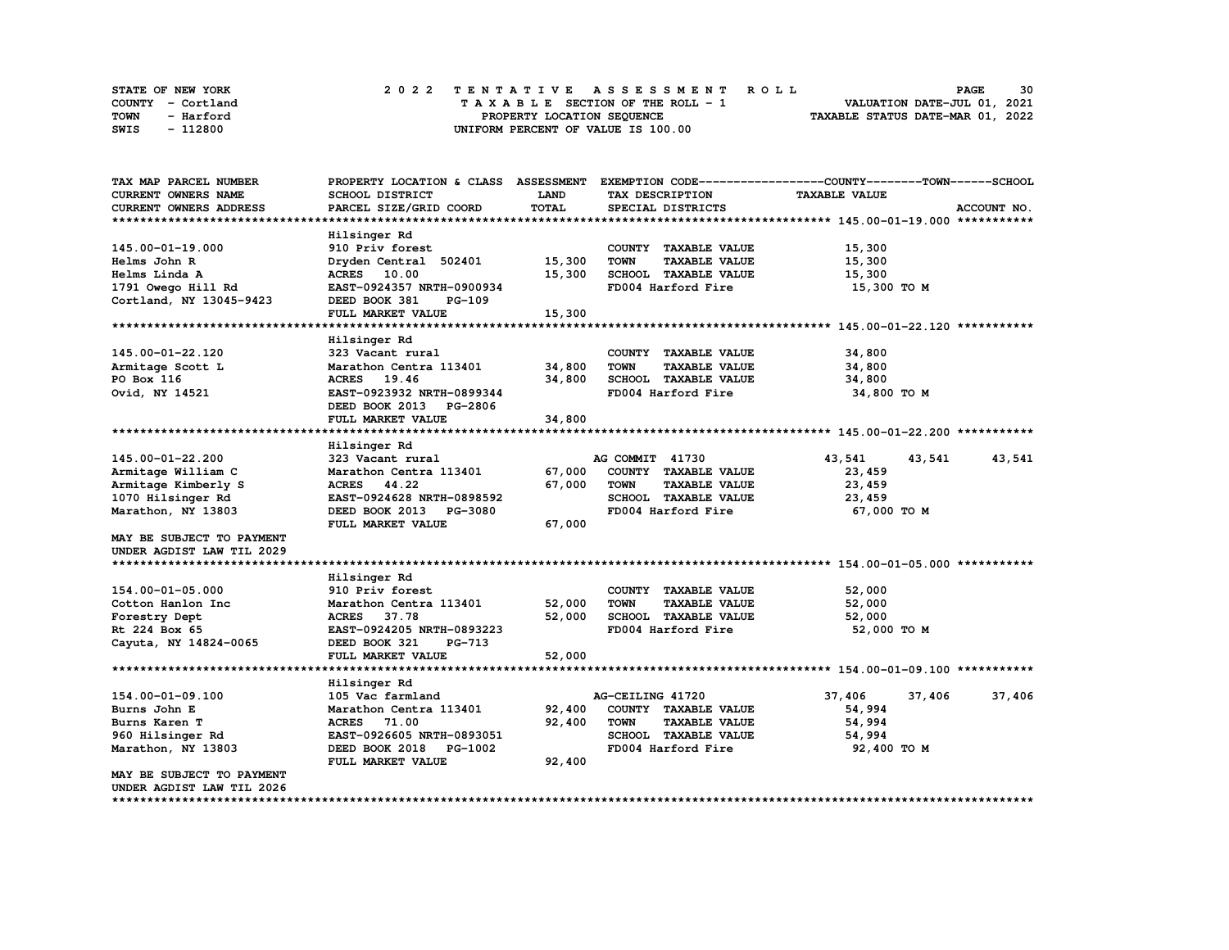| STATE OF NEW YORK |           |  |  |  |  | 2022 TENTATIVE ASSESSMENT ROLL     |  |  |  |  |  |  |                                  | <b>PAGE</b> | 30 |
|-------------------|-----------|--|--|--|--|------------------------------------|--|--|--|--|--|--|----------------------------------|-------------|----|
| COUNTY - Cortland |           |  |  |  |  | TAXABLE SECTION OF THE ROLL - 1    |  |  |  |  |  |  | VALUATION DATE-JUL 01, 2021      |             |    |
| TOWN              | - Harford |  |  |  |  | PROPERTY LOCATION SEQUENCE         |  |  |  |  |  |  | TAXABLE STATUS DATE-MAR 01, 2022 |             |    |
| SWIS              | - 112800  |  |  |  |  | UNIFORM PERCENT OF VALUE IS 100.00 |  |  |  |  |  |  |                                  |             |    |

| TAX MAP PARCEL NUMBER      | PROPERTY LOCATION & CLASS ASSESSMENT |             |                                     | EXEMPTION CODE-----------------COUNTY-------TOWN------SCHOOL |             |
|----------------------------|--------------------------------------|-------------|-------------------------------------|--------------------------------------------------------------|-------------|
| <b>CURRENT OWNERS NAME</b> | SCHOOL DISTRICT                      | <b>LAND</b> | TAX DESCRIPTION                     | <b>TAXABLE VALUE</b>                                         |             |
| CURRENT OWNERS ADDRESS     | PARCEL SIZE/GRID COORD               | TOTAL       | SPECIAL DISTRICTS                   |                                                              | ACCOUNT NO. |
|                            |                                      |             |                                     |                                                              |             |
|                            | Hilsinger Rd                         |             |                                     |                                                              |             |
| 145.00-01-19.000           | 910 Priv forest                      |             | COUNTY TAXABLE VALUE                | 15,300                                                       |             |
| Helms John R               | Dryden Central 502401                | 15,300      | <b>TOWN</b><br><b>TAXABLE VALUE</b> | 15,300                                                       |             |
| Helms Linda A              | ACRES 10.00                          | 15,300      | SCHOOL TAXABLE VALUE                | 15,300                                                       |             |
| 1791 Owego Hill Rd         | EAST-0924357 NRTH-0900934            |             | FD004 Harford Fire                  | 15,300 TO M                                                  |             |
| Cortland, NY 13045-9423    | DEED BOOK 381<br>PG-109              |             |                                     |                                                              |             |
|                            | FULL MARKET VALUE                    | 15,300      |                                     |                                                              |             |
|                            |                                      |             |                                     |                                                              |             |
|                            |                                      |             |                                     |                                                              |             |
|                            | Hilsinger Rd                         |             |                                     |                                                              |             |
| 145.00-01-22.120           | 323 Vacant rural                     |             | COUNTY TAXABLE VALUE                | 34,800                                                       |             |
| Armitage Scott L           | Marathon Centra 113401               | 34,800      | <b>TOWN</b><br><b>TAXABLE VALUE</b> | 34,800                                                       |             |
| PO Box 116                 | ACRES 19.46                          | 34,800      | SCHOOL TAXABLE VALUE                | 34,800                                                       |             |
| Ovid, NY 14521             | EAST-0923932 NRTH-0899344            |             | FD004 Harford Fire                  | 34,800 TO M                                                  |             |
|                            | DEED BOOK 2013 PG-2806               |             |                                     |                                                              |             |
|                            | FULL MARKET VALUE                    | 34,800      |                                     |                                                              |             |
|                            |                                      |             |                                     |                                                              |             |
|                            | Hilsinger Rd                         |             |                                     |                                                              |             |
| 145.00-01-22.200           | 323 Vacant rural                     |             | AG COMMIT 41730                     | 43,541<br>43,541                                             | 43,541      |
| Armitage William C         | Marathon Centra 113401               | 67,000      | COUNTY TAXABLE VALUE                | 23,459                                                       |             |
| Armitage Kimberly S        | ACRES 44.22                          | 67,000      | <b>TOWN</b><br><b>TAXABLE VALUE</b> | 23,459                                                       |             |
| 1070 Hilsinger Rd          | EAST-0924628 NRTH-0898592            |             | SCHOOL TAXABLE VALUE                | 23,459                                                       |             |
| Marathon, NY 13803         | DEED BOOK 2013 PG-3080               |             | FD004 Harford Fire                  | 67,000 TO M                                                  |             |
|                            | FULL MARKET VALUE                    | 67,000      |                                     |                                                              |             |
| MAY BE SUBJECT TO PAYMENT  |                                      |             |                                     |                                                              |             |
| UNDER AGDIST LAW TIL 2029  |                                      |             |                                     |                                                              |             |
|                            |                                      |             |                                     |                                                              |             |
|                            |                                      |             |                                     |                                                              |             |
| 154.00-01-05.000           | Hilsinger Rd<br>910 Priv forest      |             |                                     |                                                              |             |
|                            |                                      |             | COUNTY TAXABLE VALUE                | 52,000                                                       |             |
| Cotton Hanlon Inc          | Marathon Centra 113401               | 52,000      | <b>TOWN</b><br><b>TAXABLE VALUE</b> | 52,000                                                       |             |
| Forestry Dept              | <b>ACRES</b><br>37.78                | 52,000      | SCHOOL TAXABLE VALUE                | 52,000                                                       |             |
| Rt 224 Box 65              | EAST-0924205 NRTH-0893223            |             | FD004 Harford Fire                  | 52,000 TO M                                                  |             |
| Cayuta, NY 14824-0065      | DEED BOOK 321<br><b>PG-713</b>       |             |                                     |                                                              |             |
|                            | FULL MARKET VALUE                    | 52,000      |                                     |                                                              |             |
|                            |                                      |             |                                     |                                                              |             |
|                            | Hilsinger Rd                         |             |                                     |                                                              |             |
| 154.00-01-09.100           | 105 Vac farmland                     |             | AG-CEILING 41720                    | 37,406<br>37,406                                             | 37,406      |
| Burns John E               | Marathon Centra 113401               | 92,400      | COUNTY TAXABLE VALUE                | 54,994                                                       |             |
| Burns Karen T              | ACRES 71.00                          | 92,400      | <b>TOWN</b><br><b>TAXABLE VALUE</b> | 54,994                                                       |             |
| 960 Hilsinger Rd           | EAST-0926605 NRTH-0893051            |             | SCHOOL TAXABLE VALUE                | 54,994                                                       |             |
| Marathon, NY 13803         | DEED BOOK 2018 PG-1002               |             | FD004 Harford Fire                  | 92,400 TO M                                                  |             |
|                            | FULL MARKET VALUE                    | 92,400      |                                     |                                                              |             |
| MAY BE SUBJECT TO PAYMENT  |                                      |             |                                     |                                                              |             |
| UNDER AGDIST LAW TIL 2026  |                                      |             |                                     |                                                              |             |
|                            |                                      |             |                                     |                                                              |             |
|                            |                                      |             |                                     |                                                              |             |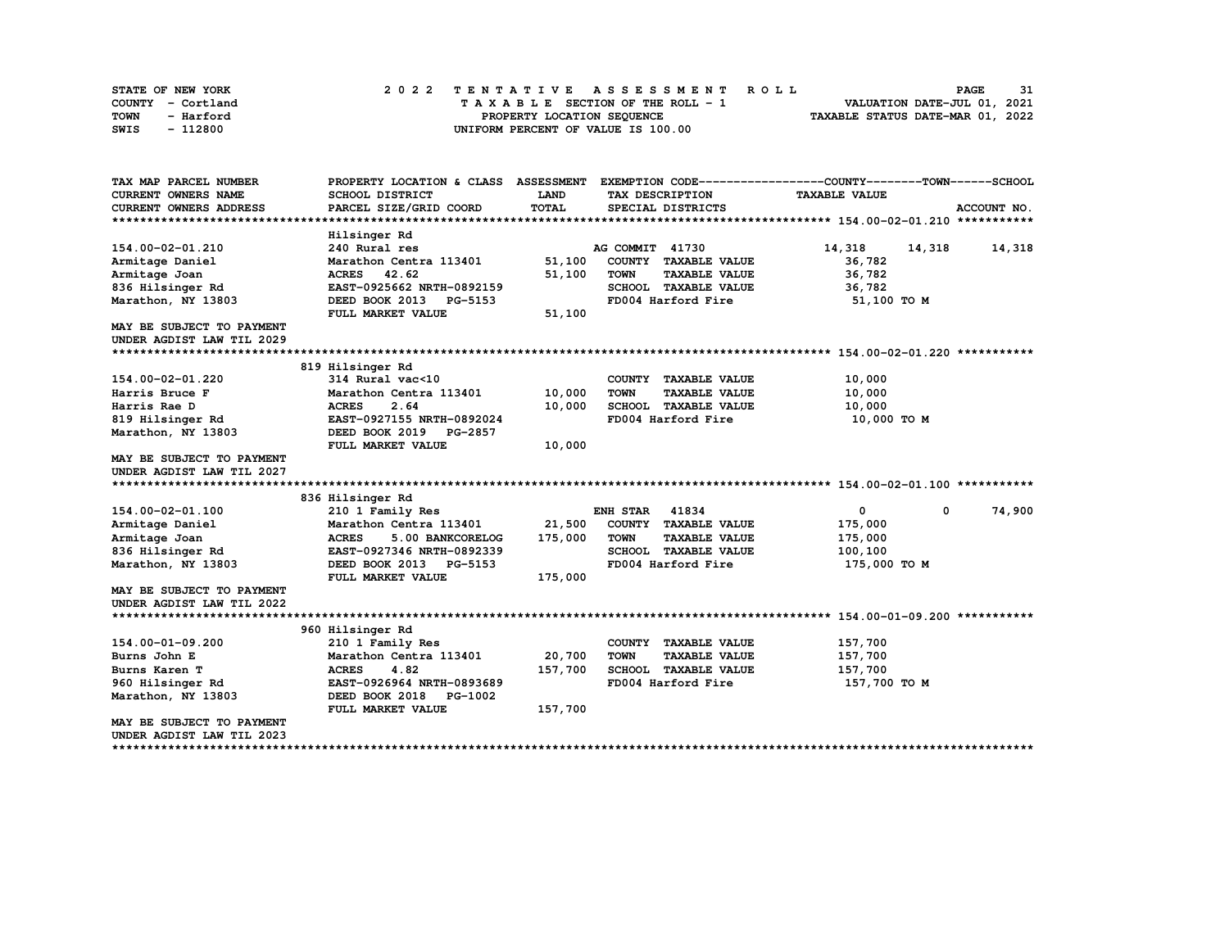| STATE OF NEW YORK | 2022 TENTATIVE ASSESSMENT ROLL     | 31<br><b>PAGE</b>                |
|-------------------|------------------------------------|----------------------------------|
| COUNTY - Cortland | TAXABLE SECTION OF THE ROLL - 1    | VALUATION DATE-JUL 01, 2021      |
| TOWN<br>- Harford | PROPERTY LOCATION SEOUENCE         | TAXABLE STATUS DATE-MAR 01, 2022 |
| - 112800<br>SWIS  | UNIFORM PERCENT OF VALUE IS 100.00 |                                  |

| TAX MAP PARCEL NUMBER                                  |                                      |             |                                     | PROPERTY LOCATION & CLASS ASSESSMENT EXEMPTION CODE----------------COUNTY-------TOWN-----SCHOOL |
|--------------------------------------------------------|--------------------------------------|-------------|-------------------------------------|-------------------------------------------------------------------------------------------------|
| <b>CURRENT OWNERS NAME</b>                             | <b>SCHOOL DISTRICT</b>               | <b>LAND</b> | TAX DESCRIPTION                     | <b>TAXABLE VALUE</b>                                                                            |
| CURRENT OWNERS ADDRESS                                 | PARCEL SIZE/GRID COORD               | TOTAL       | SPECIAL DISTRICTS                   | ACCOUNT NO.                                                                                     |
|                                                        |                                      |             |                                     |                                                                                                 |
|                                                        | Hilsinger Rd                         |             |                                     |                                                                                                 |
| 154.00-02-01.210                                       | 240 Rural res                        |             | AG COMMIT 41730                     | 14,318<br>14,318<br>14,318                                                                      |
| Armitage Daniel                                        | Marathon Centra 113401               | 51,100      | COUNTY TAXABLE VALUE                | 36,782                                                                                          |
| Armitage Joan                                          | ACRES 42.62                          | 51,100      | <b>TOWN</b><br><b>TAXABLE VALUE</b> | 36,782                                                                                          |
| 836 Hilsinger Rd                                       | EAST-0925662 NRTH-0892159            |             | SCHOOL TAXABLE VALUE                | 36,782                                                                                          |
| Marathon, NY 13803                                     | DEED BOOK 2013 PG-5153               |             | FD004 Harford Fire                  | 51,100 TO M                                                                                     |
|                                                        | FULL MARKET VALUE                    | 51,100      |                                     |                                                                                                 |
| MAY BE SUBJECT TO PAYMENT                              |                                      |             |                                     |                                                                                                 |
| UNDER AGDIST LAW TIL 2029                              |                                      |             |                                     |                                                                                                 |
|                                                        |                                      |             |                                     |                                                                                                 |
|                                                        | 819 Hilsinger Rd                     |             |                                     |                                                                                                 |
| 154.00-02-01.220                                       | 314 Rural vac<10                     |             | COUNTY TAXABLE VALUE                | 10,000                                                                                          |
| Harris Bruce F                                         | Marathon Centra 113401               | 10,000      | <b>TOWN</b><br><b>TAXABLE VALUE</b> | 10,000                                                                                          |
| Harris Rae D                                           | <b>ACRES</b><br>2.64                 | 10,000      | SCHOOL TAXABLE VALUE                | 10,000                                                                                          |
| 819 Hilsinger Rd                                       | EAST-0927155 NRTH-0892024            |             | FD004 Harford Fire                  | 10,000 TO M                                                                                     |
| Marathon, NY 13803                                     | DEED BOOK 2019 PG-2857               |             |                                     |                                                                                                 |
|                                                        | FULL MARKET VALUE                    | 10,000      |                                     |                                                                                                 |
| <b>MAY BE SUBJECT TO PAYMENT</b>                       |                                      |             |                                     |                                                                                                 |
| UNDER AGDIST LAW TIL 2027                              |                                      |             |                                     |                                                                                                 |
|                                                        |                                      |             |                                     |                                                                                                 |
|                                                        | 836 Hilsinger Rd                     |             |                                     |                                                                                                 |
| 154.00-02-01.100                                       | 210 1 Family Res                     |             | <b>ENH STAR</b><br>41834            | 74,900<br>0<br>$^{\circ}$                                                                       |
| Armitage Daniel                                        | Marathon Centra 113401               | 21,500      | COUNTY TAXABLE VALUE                | 175,000                                                                                         |
| Armitage Joan                                          | <b>ACRES</b><br>5.00 BANKCORELOG     | 175,000     | <b>TOWN</b><br><b>TAXABLE VALUE</b> | 175,000                                                                                         |
| 836 Hilsinger Rd                                       | EAST-0927346 NRTH-0892339            |             | SCHOOL TAXABLE VALUE                | 100,100                                                                                         |
| Marathon, NY 13803                                     | DEED BOOK 2013 PG-5153               |             | FD004 Harford Fire                  | 175,000 TO M                                                                                    |
|                                                        | FULL MARKET VALUE                    | 175,000     |                                     |                                                                                                 |
| MAY BE SUBJECT TO PAYMENT                              |                                      |             |                                     |                                                                                                 |
| UNDER AGDIST LAW TIL 2022                              |                                      |             |                                     |                                                                                                 |
|                                                        |                                      |             |                                     |                                                                                                 |
| 154.00-01-09.200                                       | 960 Hilsinger Rd<br>210 1 Family Res |             | COUNTY TAXABLE VALUE                | 157,700                                                                                         |
|                                                        | Marathon Centra 113401               | 20,700      | <b>TOWN</b><br><b>TAXABLE VALUE</b> | 157,700                                                                                         |
| Burns John E<br>Burns Karen T                          | <b>ACRES</b><br>4.82                 | 157,700     | SCHOOL TAXABLE VALUE                | 157,700                                                                                         |
| 960 Hilsinger Rd                                       | EAST-0926964 NRTH-0893689            |             | FD004 Harford Fire                  | 157,700 TO M                                                                                    |
| Marathon, NY 13803                                     | DEED BOOK 2018 PG-1002               |             |                                     |                                                                                                 |
|                                                        | FULL MARKET VALUE                    | 157,700     |                                     |                                                                                                 |
|                                                        |                                      |             |                                     |                                                                                                 |
|                                                        |                                      |             |                                     |                                                                                                 |
| MAY BE SUBJECT TO PAYMENT<br>UNDER AGDIST LAW TIL 2023 |                                      |             |                                     |                                                                                                 |

**\*\*\*\*\*\*\*\*\*\*\*\*\*\*\*\*\*\*\*\*\*\*\*\*\*\*\*\*\*\*\*\*\*\*\*\*\*\*\*\*\*\*\*\*\*\*\*\*\*\*\*\*\*\*\*\*\*\*\*\*\*\*\*\*\*\*\*\*\*\*\*\*\*\*\*\*\*\*\*\*\*\*\*\*\*\*\*\*\*\*\*\*\*\*\*\*\*\*\*\*\*\*\*\*\*\*\*\*\*\*\*\*\*\*\*\*\*\*\*\*\*\*\*\*\*\*\*\*\*\*\*\***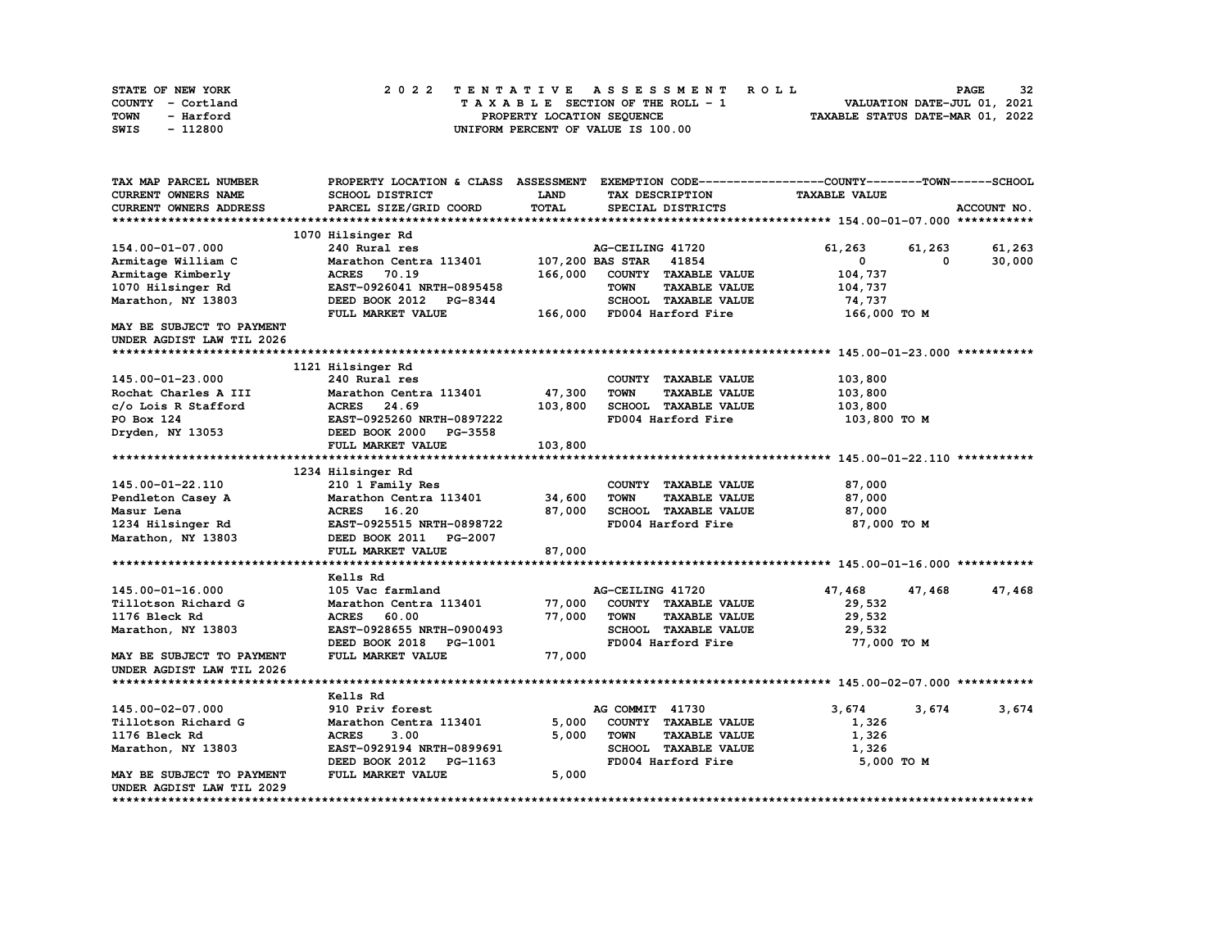| STATE OF NEW YORK | 2022 TENTATIVE ASSESSMENT ROLL     | 32<br><b>PAGE</b>                |
|-------------------|------------------------------------|----------------------------------|
| COUNTY - Cortland | TAXABLE SECTION OF THE ROLL - 1    | VALUATION DATE-JUL 01, 2021      |
| TOWN<br>- Harford | PROPERTY LOCATION SEQUENCE         | TAXABLE STATUS DATE-MAR 01, 2022 |
| - 112800<br>SWIS  | UNIFORM PERCENT OF VALUE IS 100.00 |                                  |

| TAX MAP PARCEL NUMBER            |                           |             |                                     | PROPERTY LOCATION & CLASS ASSESSMENT EXEMPTION CODE----------------COUNTY-------TOWN-----SCHOOL |             |
|----------------------------------|---------------------------|-------------|-------------------------------------|-------------------------------------------------------------------------------------------------|-------------|
| CURRENT OWNERS NAME              | SCHOOL DISTRICT           | <b>LAND</b> | TAX DESCRIPTION                     | <b>TAXABLE VALUE</b>                                                                            |             |
| CURRENT OWNERS ADDRESS           | PARCEL SIZE/GRID COORD    | TOTAL       | SPECIAL DISTRICTS                   |                                                                                                 | ACCOUNT NO. |
|                                  |                           |             |                                     |                                                                                                 |             |
|                                  | 1070 Hilsinger Rd         |             |                                     |                                                                                                 |             |
| 154.00-01-07.000                 | 240 Rural res             |             | AG-CEILING 41720                    | 61,263<br>61,263                                                                                | 61,263      |
| Armitage William C               | Marathon Centra 113401    |             | 107,200 BAS STAR 41854              | $^{\circ}$<br>0                                                                                 | 30,000      |
| Armitage Kimberly                | 70.19<br><b>ACRES</b>     | 166,000     | COUNTY TAXABLE VALUE                | 104,737                                                                                         |             |
| 1070 Hilsinger Rd                | EAST-0926041 NRTH-0895458 |             | <b>TAXABLE VALUE</b><br><b>TOWN</b> | 104,737                                                                                         |             |
| Marathon, NY 13803               | DEED BOOK 2012 PG-8344    |             | SCHOOL TAXABLE VALUE                | 74,737                                                                                          |             |
|                                  | FULL MARKET VALUE         |             | 166,000 FD004 Harford Fire          | 166,000 TO M                                                                                    |             |
| <b>MAY BE SUBJECT TO PAYMENT</b> |                           |             |                                     |                                                                                                 |             |
| UNDER AGDIST LAW TIL 2026        |                           |             |                                     |                                                                                                 |             |
|                                  |                           |             |                                     |                                                                                                 |             |
|                                  | 1121 Hilsinger Rd         |             |                                     |                                                                                                 |             |
| 145.00-01-23.000                 | 240 Rural res             |             | COUNTY TAXABLE VALUE                | 103,800                                                                                         |             |
| Rochat Charles A III             | Marathon Centra 113401    | 47,300      | <b>TOWN</b><br><b>TAXABLE VALUE</b> | 103,800                                                                                         |             |
| c/o Lois R Stafford              | <b>ACRES</b><br>24.69     | 103,800     | SCHOOL TAXABLE VALUE                | 103,800                                                                                         |             |
| PO Box 124                       | EAST-0925260 NRTH-0897222 |             | FD004 Harford Fire                  | 103,800 то м                                                                                    |             |
| Dryden, NY 13053                 | DEED BOOK 2000<br>PG-3558 |             |                                     |                                                                                                 |             |
|                                  | FULL MARKET VALUE         | 103,800     |                                     |                                                                                                 |             |
|                                  |                           |             |                                     |                                                                                                 |             |
|                                  | 1234 Hilsinger Rd         |             |                                     |                                                                                                 |             |
| 145.00-01-22.110                 | 210 1 Family Res          |             | COUNTY TAXABLE VALUE                | 87,000                                                                                          |             |
| Pendleton Casey A                | Marathon Centra 113401    | 34,600      | <b>TOWN</b><br><b>TAXABLE VALUE</b> | 87,000                                                                                          |             |
| Masur Lena                       | ACRES 16.20               | 87,000      | SCHOOL TAXABLE VALUE                | 87,000                                                                                          |             |
| 1234 Hilsinger Rd                | EAST-0925515 NRTH-0898722 |             | FD004 Harford Fire                  | 87,000 TO M                                                                                     |             |
| Marathon, NY 13803               | DEED BOOK 2011 PG-2007    |             |                                     |                                                                                                 |             |
|                                  | FULL MARKET VALUE         | 87,000      |                                     |                                                                                                 |             |
|                                  |                           |             |                                     |                                                                                                 |             |
|                                  | Kells Rd                  |             |                                     |                                                                                                 |             |
| 145.00-01-16.000                 | 105 Vac farmland          |             | AG-CEILING 41720                    | 47,468<br>47,468                                                                                | 47,468      |
| Tillotson Richard G              | Marathon Centra 113401    | 77,000      | COUNTY TAXABLE VALUE                | 29,532                                                                                          |             |
| 1176 Bleck Rd                    | <b>ACRES</b><br>60.00     | 77,000      | <b>TOWN</b><br><b>TAXABLE VALUE</b> | 29,532                                                                                          |             |
| Marathon, NY 13803               | EAST-0928655 NRTH-0900493 |             | SCHOOL TAXABLE VALUE                | 29,532                                                                                          |             |
|                                  | DEED BOOK 2018 PG-1001    |             | FD004 Harford Fire                  | 77,000 TO M                                                                                     |             |
| MAY BE SUBJECT TO PAYMENT        | FULL MARKET VALUE         | 77,000      |                                     |                                                                                                 |             |
| UNDER AGDIST LAW TIL 2026        |                           |             |                                     |                                                                                                 |             |
|                                  |                           |             |                                     |                                                                                                 |             |
|                                  | Kells Rd                  |             |                                     |                                                                                                 |             |
| 145.00-02-07.000                 | 910 Priv forest           |             | AG COMMIT 41730                     | 3,674<br>3,674                                                                                  | 3,674       |
| Tillotson Richard G              | Marathon Centra 113401    | 5,000       | COUNTY TAXABLE VALUE                | 1,326                                                                                           |             |
| 1176 Bleck Rd                    | <b>ACRES</b><br>3.00      | 5,000       | <b>TAXABLE VALUE</b><br><b>TOWN</b> | 1,326                                                                                           |             |
| Marathon, NY 13803               | EAST-0929194 NRTH-0899691 |             | SCHOOL TAXABLE VALUE                | 1,326                                                                                           |             |
|                                  | DEED BOOK 2012 PG-1163    |             | FD004 Harford Fire                  | 5,000 TO M                                                                                      |             |
| MAY BE SUBJECT TO PAYMENT        | FULL MARKET VALUE         | 5,000       |                                     |                                                                                                 |             |
| UNDER AGDIST LAW TIL 2029        |                           |             |                                     |                                                                                                 |             |
|                                  |                           |             |                                     |                                                                                                 |             |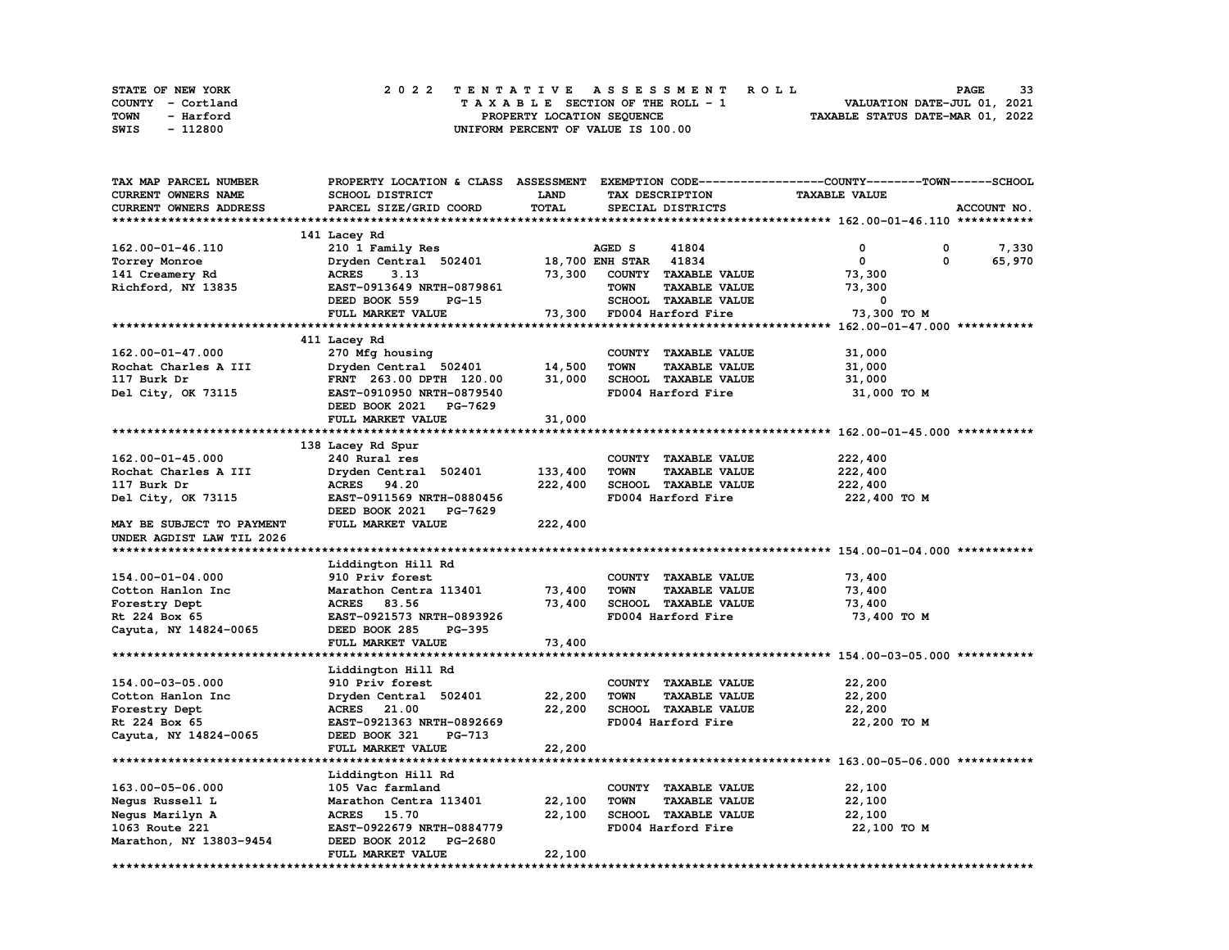| STATE OF NEW YORK | 2022 TENTATIVE ASSESSMENT ROLL     | 33<br><b>PAGE</b>                |
|-------------------|------------------------------------|----------------------------------|
| COUNTY - Cortland | TAXABLE SECTION OF THE ROLL - 1    | VALUATION DATE-JUL 01, 2021      |
| TOWN<br>- Harford | PROPERTY LOCATION SEQUENCE         | TAXABLE STATUS DATE-MAR 01, 2022 |
| - 112800<br>SWIS  | UNIFORM PERCENT OF VALUE IS 100.00 |                                  |

| TAX MAP PARCEL NUMBER     |                                  |         |                                     | PROPERTY LOCATION & CLASS ASSESSMENT EXEMPTION CODE----------------COUNTY-------TOWN------SCHOOL |             |
|---------------------------|----------------------------------|---------|-------------------------------------|--------------------------------------------------------------------------------------------------|-------------|
| CURRENT OWNERS NAME       | SCHOOL DISTRICT                  | LAND    | TAX DESCRIPTION                     | <b>TAXABLE VALUE</b>                                                                             |             |
| CURRENT OWNERS ADDRESS    | PARCEL SIZE/GRID COORD           | TOTAL   | SPECIAL DISTRICTS                   |                                                                                                  | ACCOUNT NO. |
|                           |                                  |         |                                     |                                                                                                  |             |
|                           | 141 Lacey Rd                     |         |                                     |                                                                                                  |             |
| 162.00-01-46.110          | 210 1 Family Res                 |         | 41804<br>AGED S                     | 0<br>0                                                                                           | 7,330       |
| Torrey Monroe             | Dryden Central 502401            |         | <b>18,700 ENH STAR</b><br>41834     | 0<br>0                                                                                           | 65,970      |
| 141 Creamery Rd           | <b>ACRES</b><br>3.13             | 73,300  | COUNTY TAXABLE VALUE                | 73,300                                                                                           |             |
| Richford, NY 13835        | EAST-0913649 NRTH-0879861        |         | TOWN<br><b>TAXABLE VALUE</b>        | 73,300                                                                                           |             |
|                           | DEED BOOK 559<br><b>PG-15</b>    |         | SCHOOL TAXABLE VALUE                | 0                                                                                                |             |
|                           | FULL MARKET VALUE                |         | 73,300 FD004 Harford Fire           | 73,300 TO M                                                                                      |             |
|                           |                                  |         |                                     |                                                                                                  |             |
|                           |                                  |         |                                     |                                                                                                  |             |
|                           | 411 Lacey Rd                     |         |                                     |                                                                                                  |             |
| 162.00-01-47.000          | 270 Mfg housing                  |         | COUNTY TAXABLE VALUE                | 31,000                                                                                           |             |
| Rochat Charles A III      | Dryden Central 502401            | 14,500  | <b>TOWN</b><br><b>TAXABLE VALUE</b> | 31,000                                                                                           |             |
| 117 Burk Dr               | FRNT 263.00 DPTH 120.00          | 31,000  | SCHOOL TAXABLE VALUE                | 31,000                                                                                           |             |
| Del City, OK 73115        | EAST-0910950 NRTH-0879540        |         | FD004 Harford Fire                  | 31,000 TO M                                                                                      |             |
|                           | DEED BOOK 2021 PG-7629           |         |                                     |                                                                                                  |             |
|                           | FULL MARKET VALUE                | 31,000  |                                     |                                                                                                  |             |
|                           |                                  |         |                                     |                                                                                                  |             |
|                           | 138 Lacey Rd Spur                |         |                                     |                                                                                                  |             |
| $162.00 - 01 - 45.000$    | 240 Rural res                    |         | COUNTY TAXABLE VALUE                | 222,400                                                                                          |             |
| Rochat Charles A III      | Dryden Central 502401            | 133,400 | <b>TOWN</b><br><b>TAXABLE VALUE</b> | 222,400                                                                                          |             |
| 117 Burk Dr               | ACRES 94.20                      | 222,400 | SCHOOL TAXABLE VALUE                | 222,400                                                                                          |             |
| Del City, OK 73115        | EAST-0911569 NRTH-0880456        |         | FD004 Harford Fire                  | 222,400 TO M                                                                                     |             |
|                           | DEED BOOK 2021<br>PG-7629        |         |                                     |                                                                                                  |             |
| MAY BE SUBJECT TO PAYMENT | FULL MARKET VALUE                | 222,400 |                                     |                                                                                                  |             |
| UNDER AGDIST LAW TIL 2026 |                                  |         |                                     |                                                                                                  |             |
|                           |                                  |         |                                     |                                                                                                  |             |
|                           | Liddington Hill Rd               |         |                                     |                                                                                                  |             |
| 154.00-01-04.000          | 910 Priv forest                  |         | COUNTY TAXABLE VALUE                | 73,400                                                                                           |             |
| Cotton Hanlon Inc         | Marathon Centra 113401           | 73,400  | <b>TOWN</b><br><b>TAXABLE VALUE</b> | 73,400                                                                                           |             |
| Forestry Dept             | ACRES 83.56                      | 73,400  | <b>SCHOOL TAXABLE VALUE</b>         | 73,400                                                                                           |             |
| Rt 224 Box 65             | EAST-0921573 NRTH-0893926        |         | FD004 Harford Fire                  | 73,400 TO M                                                                                      |             |
|                           |                                  |         |                                     |                                                                                                  |             |
| Cayuta, NY 14824-0065     | DEED BOOK 285<br>PG-395          |         |                                     |                                                                                                  |             |
|                           | FULL MARKET VALUE                | 73,400  |                                     |                                                                                                  |             |
|                           |                                  |         |                                     |                                                                                                  |             |
|                           | Liddington Hill Rd               |         |                                     |                                                                                                  |             |
| 154.00-03-05.000          | 910 Priv forest                  |         | COUNTY TAXABLE VALUE                | 22,200                                                                                           |             |
| Cotton Hanlon Inc         | Dryden Central 502401            | 22,200  | <b>TOWN</b><br><b>TAXABLE VALUE</b> | 22,200                                                                                           |             |
| Forestry Dept             | ACRES 21.00                      | 22,200  | SCHOOL TAXABLE VALUE                | 22,200                                                                                           |             |
| Rt 224 Box 65             | EAST-0921363 NRTH-0892669        |         | FD004 Harford Fire                  | 22,200 TO M                                                                                      |             |
| Cayuta, NY 14824-0065     | DEED BOOK 321<br>PG-713          |         |                                     |                                                                                                  |             |
|                           | <b>FULL MARKET VALUE</b>         | 22,200  |                                     |                                                                                                  |             |
| ************************* |                                  |         |                                     |                                                                                                  |             |
|                           | Liddington Hill Rd               |         |                                     |                                                                                                  |             |
| 163.00-05-06.000          | 105 Vac farmland                 |         | COUNTY TAXABLE VALUE                | 22,100                                                                                           |             |
| Negus Russell L           | Marathon Centra 113401           | 22,100  | TOWN<br><b>TAXABLE VALUE</b>        | 22,100                                                                                           |             |
| Negus Marilyn A           | ACRES 15.70                      | 22,100  | SCHOOL TAXABLE VALUE                | 22,100                                                                                           |             |
| 1063 Route 221            | EAST-0922679 NRTH-0884779        |         | FD004 Harford Fire                  | 22,100 TO M                                                                                      |             |
| Marathon, NY 13803-9454   | DEED BOOK 2012<br><b>PG-2680</b> |         |                                     |                                                                                                  |             |
|                           | FULL MARKET VALUE                | 22,100  |                                     |                                                                                                  |             |
| *************             |                                  |         |                                     |                                                                                                  |             |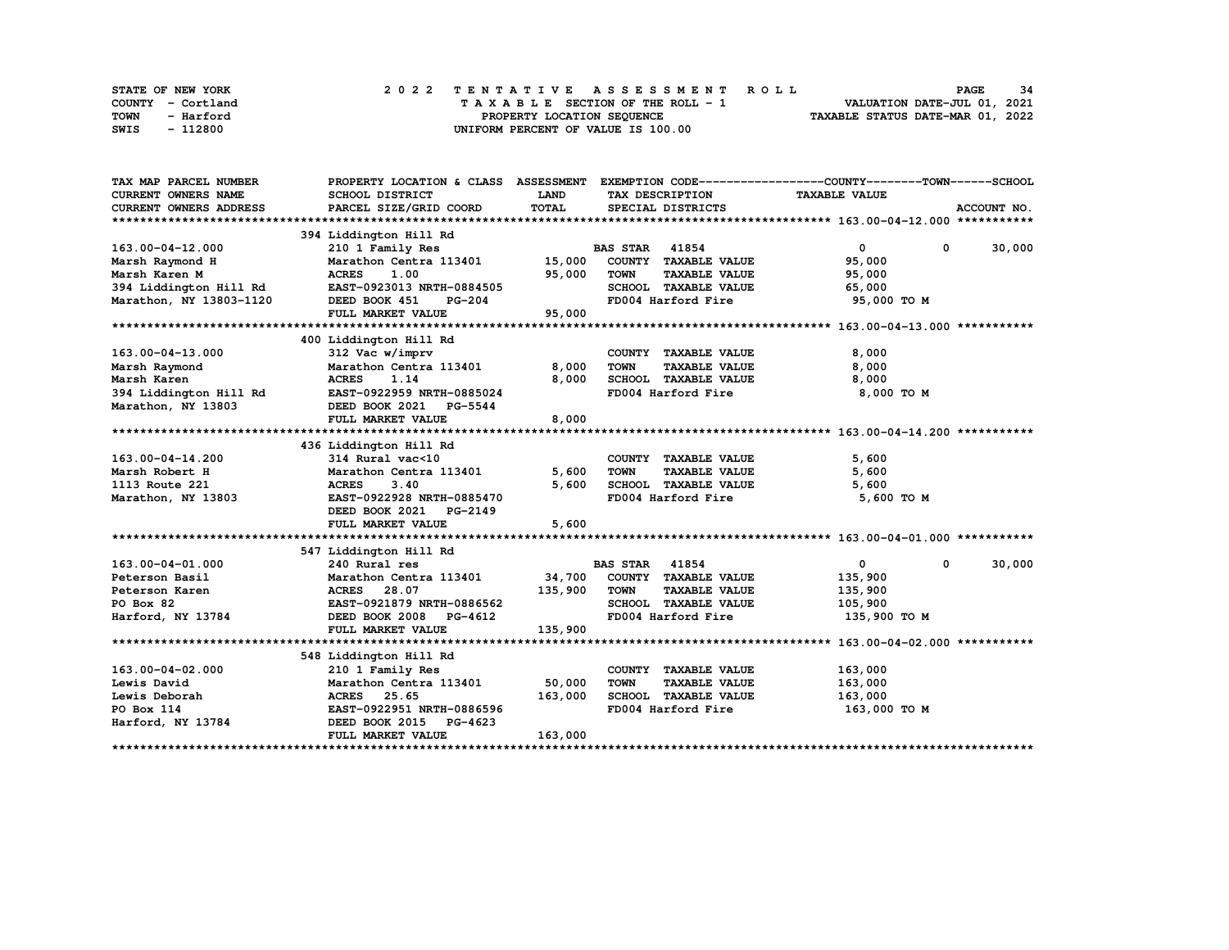| STATE OF NEW YORK | 2022 TENTATIVE ASSESSMENT ROLL     | 34<br><b>PAGE</b>                |
|-------------------|------------------------------------|----------------------------------|
| COUNTY - Cortland | TAXABLE SECTION OF THE ROLL - 1    | VALUATION DATE-JUL 01, 2021      |
| TOWN<br>- Harford | PROPERTY LOCATION SEQUENCE         | TAXABLE STATUS DATE-MAR 01, 2022 |
| - 112800<br>SWIS  | UNIFORM PERCENT OF VALUE IS 100.00 |                                  |

| TAX MAP PARCEL NUMBER                 |                                                                                               |             |                                     | PROPERTY LOCATION & CLASS ASSESSMENT EXEMPTION CODE----------------COUNTY-------TOWN------SCHOOL |             |
|---------------------------------------|-----------------------------------------------------------------------------------------------|-------------|-------------------------------------|--------------------------------------------------------------------------------------------------|-------------|
| <b>CURRENT OWNERS NAME</b>            | SCHOOL DISTRICT                                                                               | <b>LAND</b> | TAX DESCRIPTION                     | <b>TAXABLE VALUE</b>                                                                             |             |
| <b>CURRENT OWNERS ADDRESS</b>         | PARCEL SIZE/GRID COORD                                                                        | TOTAL       | SPECIAL DISTRICTS                   |                                                                                                  | ACCOUNT NO. |
|                                       |                                                                                               |             |                                     |                                                                                                  |             |
|                                       | 394 Liddington Hill Rd                                                                        |             |                                     |                                                                                                  |             |
| 163.00-04-12.000                      | 210 1 Family Res                                                                              |             | <b>BAS STAR</b> 41854               | $\bullet$<br>$\mathbf{0}$                                                                        | 30,000      |
| Marsh Raymond H                       | Marathon Centra 113401 15,000 COUNTY TAXABLE VALUE                                            |             |                                     | 95,000                                                                                           |             |
| Marsh Karen M                         | <b>ACRES</b><br>1.00                                                                          | 95,000      | <b>TAXABLE VALUE</b><br><b>TOWN</b> | 95,000                                                                                           |             |
|                                       | 394 Liddington Hill Rd EAST-0923013 NRTH-0884505                                              |             | SCHOOL TAXABLE VALUE                | 65,000                                                                                           |             |
| Marathon, NY 13803-1120 DEED BOOK 451 | <b>PG-204</b>                                                                                 |             | FD004 Harford Fire                  | 95,000 TO M                                                                                      |             |
|                                       | FULL MARKET VALUE                                                                             | 95,000      |                                     |                                                                                                  |             |
|                                       |                                                                                               |             |                                     |                                                                                                  |             |
|                                       | 400 Liddington Hill Rd                                                                        |             |                                     |                                                                                                  |             |
| 163.00-04-13.000                      | 312 Vac w/imprv                                                                               |             | COUNTY TAXABLE VALUE                | 8,000                                                                                            |             |
| Marsh Raymond                         | Marathon Centra 113401                                                                        | 8,000       | TOWN<br><b>TAXABLE VALUE</b>        | 8,000                                                                                            |             |
| Marsh Karen                           | 1.14<br><b>ACRES</b>                                                                          | 8,000       | SCHOOL TAXABLE VALUE                | 8,000                                                                                            |             |
|                                       | 394 Liddington Hill Rd EAST-0922959 NRTH-0885024<br>Marathon, NY 13803 DEED BOOK 2021 PG-5544 |             | FD004 Harford Fire                  | 8,000 TO M                                                                                       |             |
| Marathon, NY 13803                    |                                                                                               |             |                                     |                                                                                                  |             |
|                                       | FULL MARKET VALUE                                                                             | 8,000       |                                     |                                                                                                  |             |
|                                       |                                                                                               |             |                                     |                                                                                                  |             |
|                                       | 436 Liddington Hill Rd                                                                        |             |                                     |                                                                                                  |             |
| 163.00-04-14.200                      | 314 Rural vac<10                                                                              |             | COUNTY TAXABLE VALUE                | 5,600                                                                                            |             |
| Marsh Robert H                        | Marathon Centra 113401                                                                        | 5,600       | <b>TOWN</b><br><b>TAXABLE VALUE</b> | 5,600                                                                                            |             |
| 1113 Route 221                        | <b>ACRES</b><br>3.40                                                                          | 5,600       | SCHOOL TAXABLE VALUE                | 5,600                                                                                            |             |
| Marathon, NY 13803                    | EAST-0922928 NRTH-0885470                                                                     |             | FD004 Harford Fire                  | 5,600 TO M                                                                                       |             |
|                                       | DEED BOOK 2021 PG-2149                                                                        |             |                                     |                                                                                                  |             |
|                                       | FULL MARKET VALUE                                                                             | 5,600       |                                     |                                                                                                  |             |
|                                       |                                                                                               |             |                                     |                                                                                                  |             |
|                                       | 547 Liddington Hill Rd                                                                        |             |                                     |                                                                                                  |             |
| 163.00-04-01.000                      | 240 Rural res                                                                                 |             | <b>BAS STAR 41854</b>               | $\overline{0}$<br>$^{\circ}$                                                                     | 30,000      |
| Peterson Basil                        | Marathon Centra 113401 34,700                                                                 |             | COUNTY TAXABLE VALUE                | 135,900                                                                                          |             |
| Peterson Karen                        | ACRES 28.07                                                                                   | 135,900     | <b>TOWN</b><br><b>TAXABLE VALUE</b> | 135,900                                                                                          |             |
| PO Box 82                             | EAST-0921879 NRTH-0886562                                                                     |             | SCHOOL TAXABLE VALUE                | 105,900                                                                                          |             |
| Harford, NY 13784                     | DEED BOOK 2008 PG-4612                                                                        |             | FD004 Harford Fire                  | 135,900 то м                                                                                     |             |
|                                       | FULL MARKET VALUE                                                                             | 135,900     |                                     |                                                                                                  |             |
|                                       |                                                                                               |             |                                     |                                                                                                  |             |
|                                       | 548 Liddington Hill Rd                                                                        |             |                                     |                                                                                                  |             |
| 163.00-04-02.000                      | 210 1 Family Res                                                                              |             | COUNTY TAXABLE VALUE                | 163,000                                                                                          |             |
| Lewis David                           | Marathon Centra 113401                                                                        | 50,000      | <b>TOWN</b><br><b>TAXABLE VALUE</b> | 163,000                                                                                          |             |
| Lewis Deborah                         | ACRES 25.65                                                                                   | 163,000     | SCHOOL TAXABLE VALUE                | 163,000                                                                                          |             |
| PO Box 114                            | EAST-0922951 NRTH-0886596                                                                     |             | FD004 Harford Fire                  | 163,000 то м                                                                                     |             |
| Harford, NY 13784                     | DEED BOOK 2015<br>PG-4623                                                                     |             |                                     |                                                                                                  |             |
|                                       | FULL MARKET VALUE                                                                             | 163,000     |                                     |                                                                                                  |             |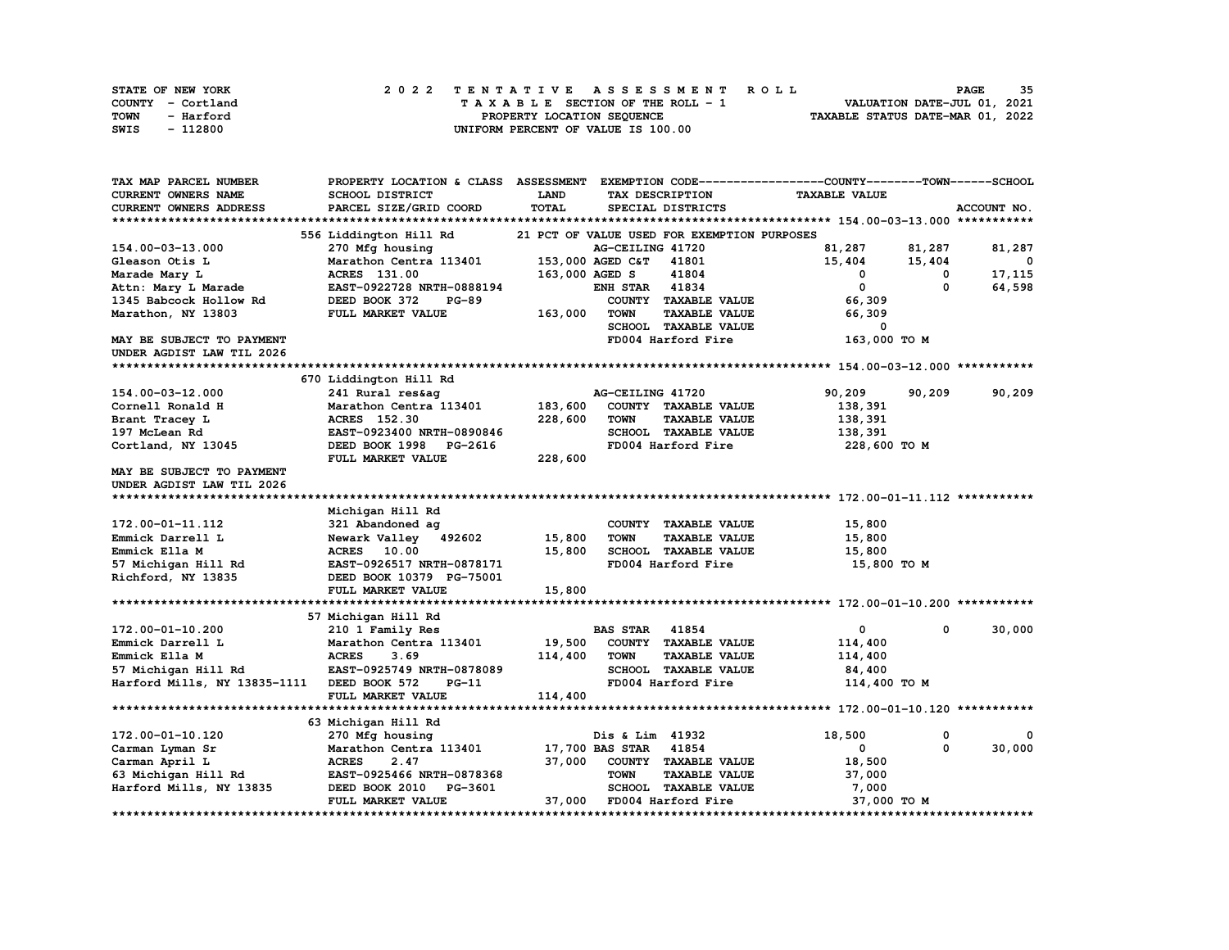| STATE OF NEW YORK | 2022 TENTATIVE ASSESSMENT ROLL     | 35<br><b>PAGE</b>                |
|-------------------|------------------------------------|----------------------------------|
| COUNTY - Cortland | TAXABLE SECTION OF THE ROLL - 1    | VALUATION DATE-JUL 01, 2021      |
| TOWN<br>- Harford | PROPERTY LOCATION SEQUENCE         | TAXABLE STATUS DATE-MAR 01, 2022 |
| - 112800<br>SWIS  | UNIFORM PERCENT OF VALUE IS 100.00 |                                  |

| TAX MAP PARCEL NUMBER        | PROPERTY LOCATION & CLASS     | <b>ASSESSMENT</b> |                  |                                             | EXEMPTION CODE-----------------COUNTY-------TOWN------SCHOOL |          |              |
|------------------------------|-------------------------------|-------------------|------------------|---------------------------------------------|--------------------------------------------------------------|----------|--------------|
| CURRENT OWNERS NAME          | SCHOOL DISTRICT               | <b>LAND</b>       |                  | TAX DESCRIPTION                             | <b>TAXABLE VALUE</b>                                         |          |              |
| CURRENT OWNERS ADDRESS       | PARCEL SIZE/GRID COORD        | <b>TOTAL</b>      |                  | SPECIAL DISTRICTS                           |                                                              |          | ACCOUNT NO.  |
|                              |                               |                   |                  |                                             |                                                              |          |              |
|                              | 556 Liddington Hill Rd        |                   |                  | 21 PCT OF VALUE USED FOR EXEMPTION PURPOSES |                                                              |          |              |
| 154.00-03-13.000             | 270 Mfg housing               |                   | AG-CEILING 41720 |                                             | 81,287                                                       | 81,287   | 81,287       |
| Gleason Otis L               | Marathon Centra 113401        |                   | 153,000 AGED C&T | 41801                                       | 15,404                                                       | 15,404   | $\mathbf{o}$ |
| Marade Mary L                | ACRES 131.00                  | 163,000 AGED S    |                  | 41804                                       | 0                                                            | 0        | 17,115       |
| Attn: Mary L Marade          | EAST-0922728 NRTH-0888194     |                   | <b>ENH STAR</b>  | 41834                                       | 0                                                            | 0        | 64,598       |
| 1345 Babcock Hollow Rd       | DEED BOOK 372<br><b>PG-89</b> |                   |                  | COUNTY TAXABLE VALUE                        | 66,309                                                       |          |              |
| Marathon, NY 13803           | FULL MARKET VALUE             | 163,000           | TOWN             | <b>TAXABLE VALUE</b>                        | 66,309                                                       |          |              |
|                              |                               |                   |                  | SCHOOL TAXABLE VALUE                        | 0                                                            |          |              |
| MAY BE SUBJECT TO PAYMENT    |                               |                   |                  | FD004 Harford Fire                          | 163,000 TO M                                                 |          |              |
| UNDER AGDIST LAW TIL 2026    |                               |                   |                  |                                             |                                                              |          |              |
|                              |                               |                   |                  |                                             |                                                              |          |              |
|                              | 670 Liddington Hill Rd        |                   |                  |                                             |                                                              |          |              |
| 154.00-03-12.000             | 241 Rural res&aq              |                   | AG-CEILING 41720 |                                             | 90,209                                                       | 90,209   | 90,209       |
| Cornell Ronald H             | Marathon Centra 113401        | 183,600           |                  | COUNTY TAXABLE VALUE                        | 138,391                                                      |          |              |
| Brant Tracey L               | <b>ACRES</b> 152.30           | 228,600           | <b>TOWN</b>      | <b>TAXABLE VALUE</b>                        | 138,391                                                      |          |              |
| 197 McLean Rd                | EAST-0923400 NRTH-0890846     |                   |                  | SCHOOL TAXABLE VALUE                        | 138,391                                                      |          |              |
| Cortland, NY 13045           | DEED BOOK 1998 PG-2616        |                   |                  | FD004 Harford Fire                          | 228,600 то м                                                 |          |              |
|                              | FULL MARKET VALUE             | 228,600           |                  |                                             |                                                              |          |              |
| MAY BE SUBJECT TO PAYMENT    |                               |                   |                  |                                             |                                                              |          |              |
| UNDER AGDIST LAW TIL 2026    |                               |                   |                  |                                             |                                                              |          |              |
|                              |                               |                   |                  |                                             |                                                              |          |              |
|                              | Michigan Hill Rd              |                   |                  |                                             |                                                              |          |              |
| 172.00-01-11.112             | 321 Abandoned ag              |                   |                  | COUNTY TAXABLE VALUE                        | 15,800                                                       |          |              |
| Emmick Darrell L             | Newark Valley 492602          | 15,800            | <b>TOWN</b>      | <b>TAXABLE VALUE</b>                        | 15,800                                                       |          |              |
| Emmick Ella M                | <b>ACRES</b> 10.00            | 15,800            |                  | SCHOOL TAXABLE VALUE                        | 15,800                                                       |          |              |
| 57 Michigan Hill Rd          | EAST-0926517 NRTH-0878171     |                   |                  | FD004 Harford Fire                          | 15,800 TO M                                                  |          |              |
| Richford, NY 13835           | DEED BOOK 10379 PG-75001      |                   |                  |                                             |                                                              |          |              |
|                              | FULL MARKET VALUE             | 15,800            |                  |                                             |                                                              |          |              |
|                              |                               |                   |                  |                                             |                                                              |          |              |
|                              | 57 Michigan Hill Rd           |                   |                  |                                             |                                                              |          |              |
| 172.00-01-10.200             | 210 1 Family Res              |                   | <b>BAS STAR</b>  | 41854                                       | $\mathbf{0}$                                                 | 0        | 30,000       |
| Emmick Darrell L             | Marathon Centra 113401        | 19,500            |                  | COUNTY TAXABLE VALUE                        | 114,400                                                      |          |              |
| Emmick Ella M                | <b>ACRES</b><br>3.69          | 114,400           | <b>TOWN</b>      | <b>TAXABLE VALUE</b>                        | 114,400                                                      |          |              |
| 57 Michigan Hill Rd          | EAST-0925749 NRTH-0878089     |                   |                  | <b>SCHOOL TAXABLE VALUE</b>                 | 84,400                                                       |          |              |
| Harford Mills, NY 13835-1111 | DEED BOOK 572<br>$PG-11$      |                   |                  | FD004 Harford Fire                          | 114,400 TO M                                                 |          |              |
|                              | FULL MARKET VALUE             | 114,400           |                  |                                             |                                                              |          |              |
|                              |                               |                   |                  |                                             |                                                              |          |              |
|                              | 63 Michigan Hill Rd           |                   |                  |                                             |                                                              |          |              |
| 172.00-01-10.120             | 270 Mfg housing               |                   | Dis & Lim 41932  |                                             | 18,500                                                       | 0        |              |
| Carman Lyman Sr              | Marathon Centra 113401        |                   | 17,700 BAS STAR  | 41854                                       | 0                                                            | $\Omega$ | 30,000       |
| Carman April L               | <b>ACRES</b><br>2.47          | 37,000            |                  | COUNTY TAXABLE VALUE                        | 18,500                                                       |          |              |
| 63 Michigan Hill Rd          | EAST-0925466 NRTH-0878368     |                   | <b>TOWN</b>      | <b>TAXABLE VALUE</b>                        | 37,000                                                       |          |              |
| Harford Mills, NY 13835      | DEED BOOK 2010<br>PG-3601     |                   |                  | <b>SCHOOL TAXABLE VALUE</b>                 | 7,000                                                        |          |              |
|                              | FULL MARKET VALUE             | 37,000            |                  | FD004 Harford Fire                          | 37,000 TO M                                                  |          |              |
| *******************          |                               |                   |                  |                                             |                                                              |          |              |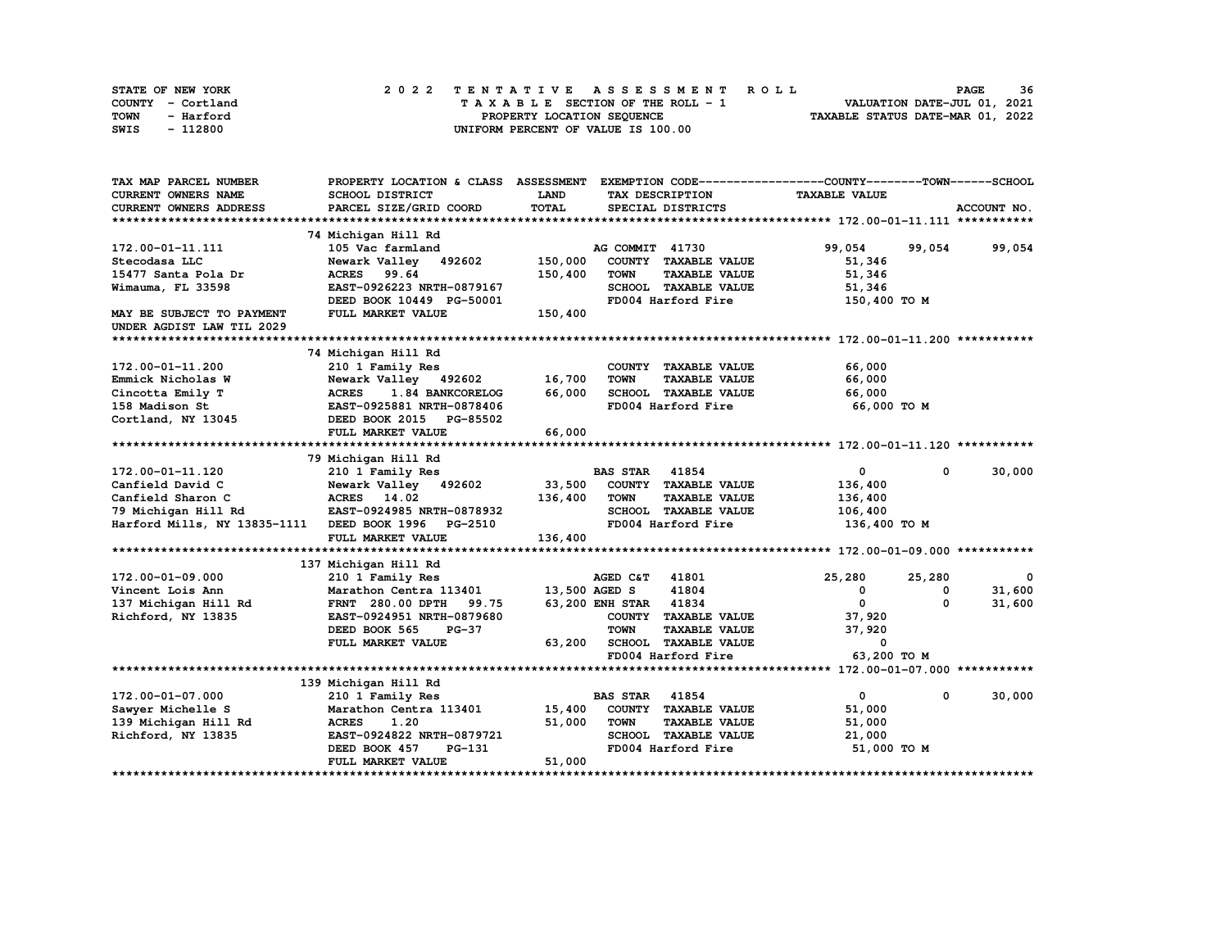| STATE OF NEW YORK | 2022 TENTATIVE ASSESSMENT ROLL     | 36<br><b>PAGE</b>                |
|-------------------|------------------------------------|----------------------------------|
| COUNTY - Cortland | TAXABLE SECTION OF THE ROLL - 1    | VALUATION DATE-JUL 01, 2021      |
| TOWN<br>- Harford | PROPERTY LOCATION SEQUENCE         | TAXABLE STATUS DATE-MAR 01, 2022 |
| - 112800<br>SWIS  | UNIFORM PERCENT OF VALUE IS 100.00 |                                  |

| TAX MAP PARCEL NUMBER         | PROPERTY LOCATION & CLASS ASSESSMENT    |         |                       |                      | EXEMPTION CODE-----------------COUNTY-------TOWN------SCHOOL |             |             |
|-------------------------------|-----------------------------------------|---------|-----------------------|----------------------|--------------------------------------------------------------|-------------|-------------|
| CURRENT OWNERS NAME           | SCHOOL DISTRICT                         | LAND    |                       | TAX DESCRIPTION      | <b>TAXABLE VALUE</b>                                         |             |             |
| <b>CURRENT OWNERS ADDRESS</b> | PARCEL SIZE/GRID COORD                  | TOTAL   |                       | SPECIAL DISTRICTS    |                                                              |             | ACCOUNT NO. |
|                               |                                         |         |                       |                      |                                                              |             |             |
|                               | 74 Michigan Hill Rd                     |         |                       |                      |                                                              |             |             |
| 172.00-01-11.111              | 105 Vac farmland                        |         | AG COMMIT 41730       |                      | 99,054                                                       | 99,054      | 99,054      |
| Stecodasa LLC                 | Newark Valley 492602                    | 150,000 |                       | COUNTY TAXABLE VALUE | 51,346                                                       |             |             |
| 15477 Santa Pola Dr           | ACRES 99.64                             | 150,400 | <b>TOWN</b>           | <b>TAXABLE VALUE</b> | 51,346                                                       |             |             |
| Wimauma, FL 33598             | EAST-0926223 NRTH-0879167               |         |                       | SCHOOL TAXABLE VALUE | 51,346                                                       |             |             |
|                               | DEED BOOK 10449 PG-50001                |         |                       | FD004 Harford Fire   | 150,400 TO M                                                 |             |             |
| MAY BE SUBJECT TO PAYMENT     | FULL MARKET VALUE                       | 150,400 |                       |                      |                                                              |             |             |
| UNDER AGDIST LAW TIL 2029     |                                         |         |                       |                      |                                                              |             |             |
|                               |                                         |         |                       |                      |                                                              |             |             |
|                               | 74 Michigan Hill Rd                     |         |                       |                      |                                                              |             |             |
| 172.00-01-11.200              | 210 1 Family Res                        |         |                       | COUNTY TAXABLE VALUE | 66,000                                                       |             |             |
| Emmick Nicholas W             | Newark Valley 492602                    | 16,700  | <b>TOWN</b>           | <b>TAXABLE VALUE</b> | 66,000                                                       |             |             |
| Cincotta Emily T              | <b>1.84 BANKCORELOG</b><br><b>ACRES</b> | 66,000  |                       | SCHOOL TAXABLE VALUE | 66,000                                                       |             |             |
| 158 Madison St                | EAST-0925881 NRTH-0878406               |         |                       | FD004 Harford Fire   | 66,000 TO M                                                  |             |             |
|                               |                                         |         |                       |                      |                                                              |             |             |
| Cortland, NY 13045            | DEED BOOK 2015 PG-85502                 |         |                       |                      |                                                              |             |             |
|                               | FULL MARKET VALUE                       | 66,000  |                       |                      |                                                              |             |             |
|                               |                                         |         |                       |                      |                                                              |             |             |
|                               | 79 Michigan Hill Rd                     |         |                       |                      |                                                              |             |             |
| 172.00-01-11.120              | 210 1 Family Res                        |         | <b>BAS STAR 41854</b> |                      | $\overline{0}$                                               | $^{\circ}$  | 30,000      |
| Canfield David C              | Newark Valley 492602                    | 33,500  |                       | COUNTY TAXABLE VALUE | 136,400                                                      |             |             |
| Canfield Sharon C             | ACRES 14.02                             | 136,400 | <b>TOWN</b>           | <b>TAXABLE VALUE</b> | 136,400                                                      |             |             |
| 79 Michigan Hill Rd           | EAST-0924985 NRTH-0878932               |         |                       | SCHOOL TAXABLE VALUE | 106,400                                                      |             |             |
| Harford Mills, NY 13835-1111  | DEED BOOK 1996 PG-2510                  |         |                       | FD004 Harford Fire   | 136,400 TO M                                                 |             |             |
|                               | FULL MARKET VALUE                       | 136,400 |                       |                      |                                                              |             |             |
|                               |                                         |         |                       |                      |                                                              |             |             |
|                               | 137 Michigan Hill Rd                    |         |                       |                      |                                                              |             |             |
| 172.00-01-09.000              | 210 1 Family Res                        |         | AGED C&T 41801        |                      | 25,280                                                       | 25,280      | $^{\circ}$  |
| Vincent Lois Ann              | Marathon Centra 113401                  |         | 13,500 AGED S         | 41804                | $^{\circ}$                                                   | 0           | 31,600      |
| 137 Michigan Hill Rd          | <b>FRNT</b> 280.00 DPTH<br>99.75        |         | 63,200 ENH STAR 41834 |                      | 0                                                            | $\Omega$    | 31,600      |
| Richford, NY 13835            | EAST-0924951 NRTH-0879680               |         |                       | COUNTY TAXABLE VALUE | 37,920                                                       |             |             |
|                               | DEED BOOK 565<br>$PG-37$                |         | <b>TOWN</b>           | <b>TAXABLE VALUE</b> | 37,920                                                       |             |             |
|                               | FULL MARKET VALUE                       | 63,200  |                       | SCHOOL TAXABLE VALUE | 0                                                            |             |             |
|                               |                                         |         |                       | FD004 Harford Fire   | 63,200 TO M                                                  |             |             |
|                               |                                         |         |                       |                      |                                                              |             |             |
|                               | 139 Michigan Hill Rd                    |         |                       |                      |                                                              |             |             |
| 172.00-01-07.000              | 210 1 Family Res                        |         | <b>BAS STAR 41854</b> |                      | $\mathbf{0}$                                                 | $\mathbf 0$ | 30,000      |
| Sawyer Michelle S             | Marathon Centra 113401                  | 15,400  |                       | COUNTY TAXABLE VALUE | 51,000                                                       |             |             |
| 139 Michigan Hill Rd          | <b>ACRES</b><br>1.20                    | 51,000  | <b>TOWN</b>           | <b>TAXABLE VALUE</b> | 51,000                                                       |             |             |
| Richford, NY 13835            | EAST-0924822 NRTH-0879721               |         |                       | SCHOOL TAXABLE VALUE | 21,000                                                       |             |             |
|                               | DEED BOOK 457<br>PG-131                 |         |                       | FD004 Harford Fire   | 51,000 TO M                                                  |             |             |
|                               | FULL MARKET VALUE                       | 51,000  |                       |                      |                                                              |             |             |
|                               |                                         |         |                       |                      |                                                              |             |             |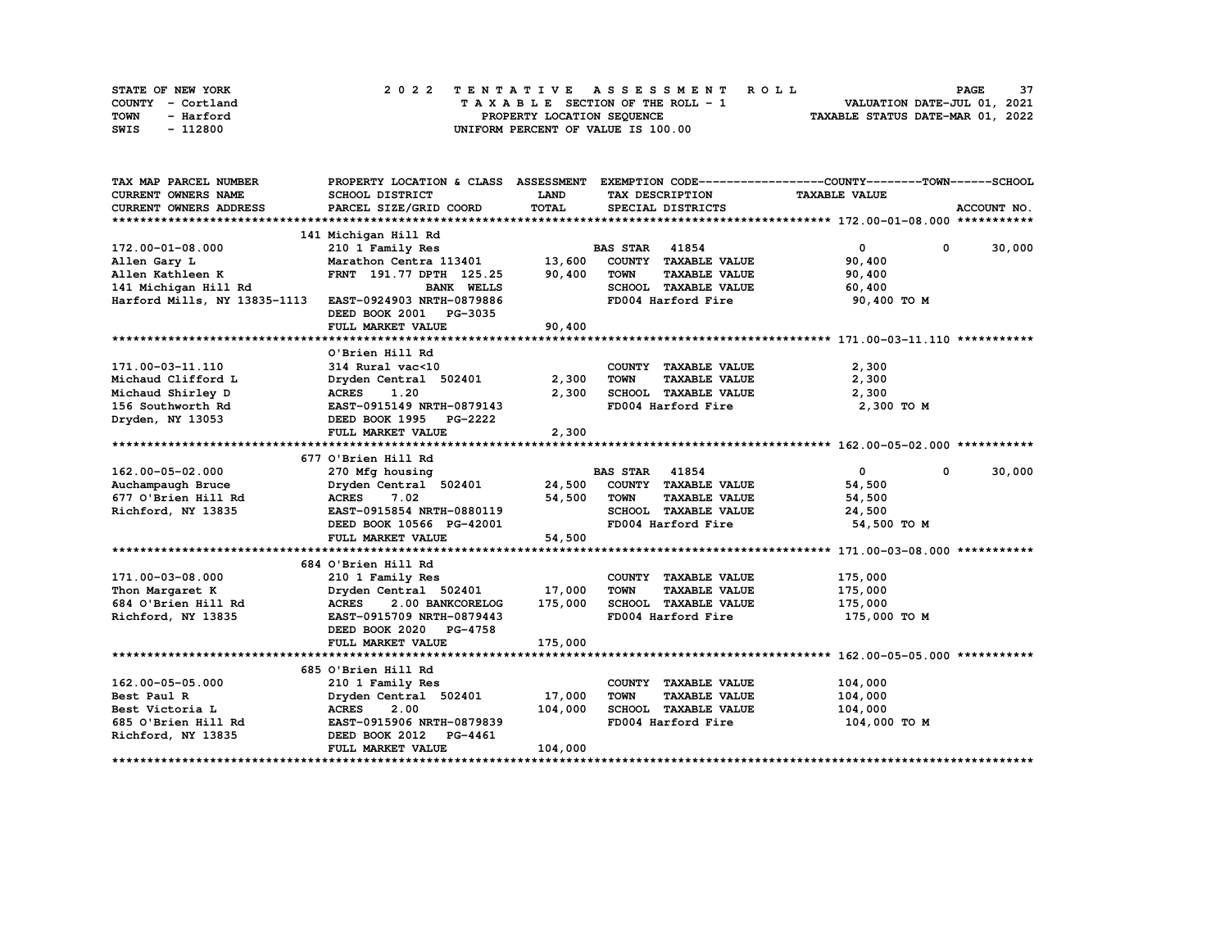| STATE OF NEW YORK | 2022 TENTATIVE ASSESSMENT ROLL     | 37<br><b>PAGE</b>                |
|-------------------|------------------------------------|----------------------------------|
| COUNTY - Cortland | TAXABLE SECTION OF THE ROLL - 1    | VALUATION DATE-JUL 01, 2021      |
| TOWN<br>- Harford | PROPERTY LOCATION SEQUENCE         | TAXABLE STATUS DATE-MAR 01, 2022 |
| - 112800<br>SWIS  | UNIFORM PERCENT OF VALUE IS 100.00 |                                  |

| TAX MAP PARCEL NUMBER        |                                  |             |                                     | PROPERTY LOCATION & CLASS ASSESSMENT EXEMPTION CODE-----------------COUNTY-------TOWN-----SCHOOL |
|------------------------------|----------------------------------|-------------|-------------------------------------|--------------------------------------------------------------------------------------------------|
| <b>CURRENT OWNERS NAME</b>   | SCHOOL DISTRICT                  | <b>LAND</b> | TAX DESCRIPTION                     | <b>TAXABLE VALUE</b>                                                                             |
| CURRENT OWNERS ADDRESS       | PARCEL SIZE/GRID COORD           | TOTAL       | SPECIAL DISTRICTS                   | ACCOUNT NO.                                                                                      |
|                              |                                  |             |                                     |                                                                                                  |
|                              | 141 Michigan Hill Rd             |             |                                     |                                                                                                  |
| 172.00-01-08.000             | 210 1 Family Res                 |             | <b>BAS STAR</b> 41854               | $\mathbf{0}$<br>30,000<br>$^{\circ}$                                                             |
| Allen Gary L                 | Marathon Centra 113401           | 13,600      | COUNTY TAXABLE VALUE                | 90,400                                                                                           |
| Allen Kathleen K             | FRNT 191.77 DPTH 125.25          | 90,400      | <b>TAXABLE VALUE</b><br><b>TOWN</b> | 90,400                                                                                           |
| 141 Michigan Hill Rd         | <b>BANK WELLS</b>                |             | SCHOOL TAXABLE VALUE                | 60,400                                                                                           |
| Harford Mills, NY 13835-1113 | EAST-0924903 NRTH-0879886        |             | FD004 Harford Fire                  | 90,400 TO M                                                                                      |
|                              | DEED BOOK 2001 PG-3035           |             |                                     |                                                                                                  |
|                              | FULL MARKET VALUE                | 90,400      |                                     |                                                                                                  |
|                              |                                  |             |                                     |                                                                                                  |
|                              | O'Brien Hill Rd                  |             |                                     |                                                                                                  |
| 171.00-03-11.110             | 314 Rural vac<10                 |             | COUNTY TAXABLE VALUE                | 2,300                                                                                            |
| Michaud Clifford L           | Dryden Central 502401            | 2,300       | <b>TOWN</b><br><b>TAXABLE VALUE</b> | 2,300                                                                                            |
| Michaud Shirley D            | 1.20<br><b>ACRES</b>             | 2,300       | SCHOOL TAXABLE VALUE                | 2,300                                                                                            |
| 156 Southworth Rd            | EAST-0915149 NRTH-0879143        |             | FD004 Harford Fire                  | 2,300 TO M                                                                                       |
| Dryden, NY 13053             | DEED BOOK 1995 PG-2222           |             |                                     |                                                                                                  |
|                              | FULL MARKET VALUE                | 2,300       |                                     |                                                                                                  |
|                              |                                  |             |                                     |                                                                                                  |
|                              | 677 O'Brien Hill Rd              |             |                                     |                                                                                                  |
| 162.00-05-02.000             | 270 Mfg housing                  |             | <b>BAS STAR 41854</b>               | $\mathbf{0}$<br>$\mathbf{0}$<br>30,000                                                           |
| Auchampaugh Bruce            | Dryden Central 502401 24,500     |             | COUNTY TAXABLE VALUE                | 54,500                                                                                           |
| 677 O'Brien Hill Rd          | ACRES 7.02                       | 54,500      | <b>TOWN</b><br><b>TAXABLE VALUE</b> | 54,500                                                                                           |
| Richford, NY 13835           | EAST-0915854 NRTH-0880119        |             | SCHOOL TAXABLE VALUE                | 24,500                                                                                           |
|                              | DEED BOOK 10566 PG-42001         |             | FD004 Harford Fire                  | 54,500 TO M                                                                                      |
|                              | FULL MARKET VALUE                | 54,500      |                                     |                                                                                                  |
|                              |                                  |             |                                     |                                                                                                  |
|                              | 684 O'Brien Hill Rd              |             |                                     |                                                                                                  |
| 171.00-03-08.000             | 210 1 Family Res                 |             | COUNTY TAXABLE VALUE                | 175,000                                                                                          |
| Thon Margaret K              | Dryden Central 502401            | 17,000      | <b>TOWN</b><br><b>TAXABLE VALUE</b> | 175,000                                                                                          |
| 684 O'Brien Hill Rd          | 2.00 BANKCORELOG<br><b>ACRES</b> | 175,000     | SCHOOL TAXABLE VALUE                | 175,000                                                                                          |
| Richford, NY 13835           | EAST-0915709 NRTH-0879443        |             | FD004 Harford Fire                  | 175,000 TO M                                                                                     |
|                              | DEED BOOK 2020 PG-4758           |             |                                     |                                                                                                  |
|                              | FULL MARKET VALUE                | 175,000     |                                     |                                                                                                  |
|                              |                                  |             |                                     |                                                                                                  |
|                              | 685 O'Brien Hill Rd              |             |                                     |                                                                                                  |
| 162.00-05-05.000             | 210 1 Family Res                 |             | COUNTY TAXABLE VALUE                | 104,000                                                                                          |
| Best Paul R                  | Dryden Central 502401            | 17,000      | <b>TOWN</b><br><b>TAXABLE VALUE</b> | 104,000                                                                                          |
| Best Victoria L              | 2.00<br><b>ACRES</b>             | 104,000     | SCHOOL TAXABLE VALUE                | 104,000                                                                                          |
| 685 O'Brien Hill Rd          | EAST-0915906 NRTH-0879839        |             | FD004 Harford Fire                  | 104,000 TO M                                                                                     |
| Richford, NY 13835           | DEED BOOK 2012 PG-4461           |             |                                     |                                                                                                  |
|                              | FULL MARKET VALUE                | 104,000     |                                     |                                                                                                  |
|                              |                                  |             |                                     |                                                                                                  |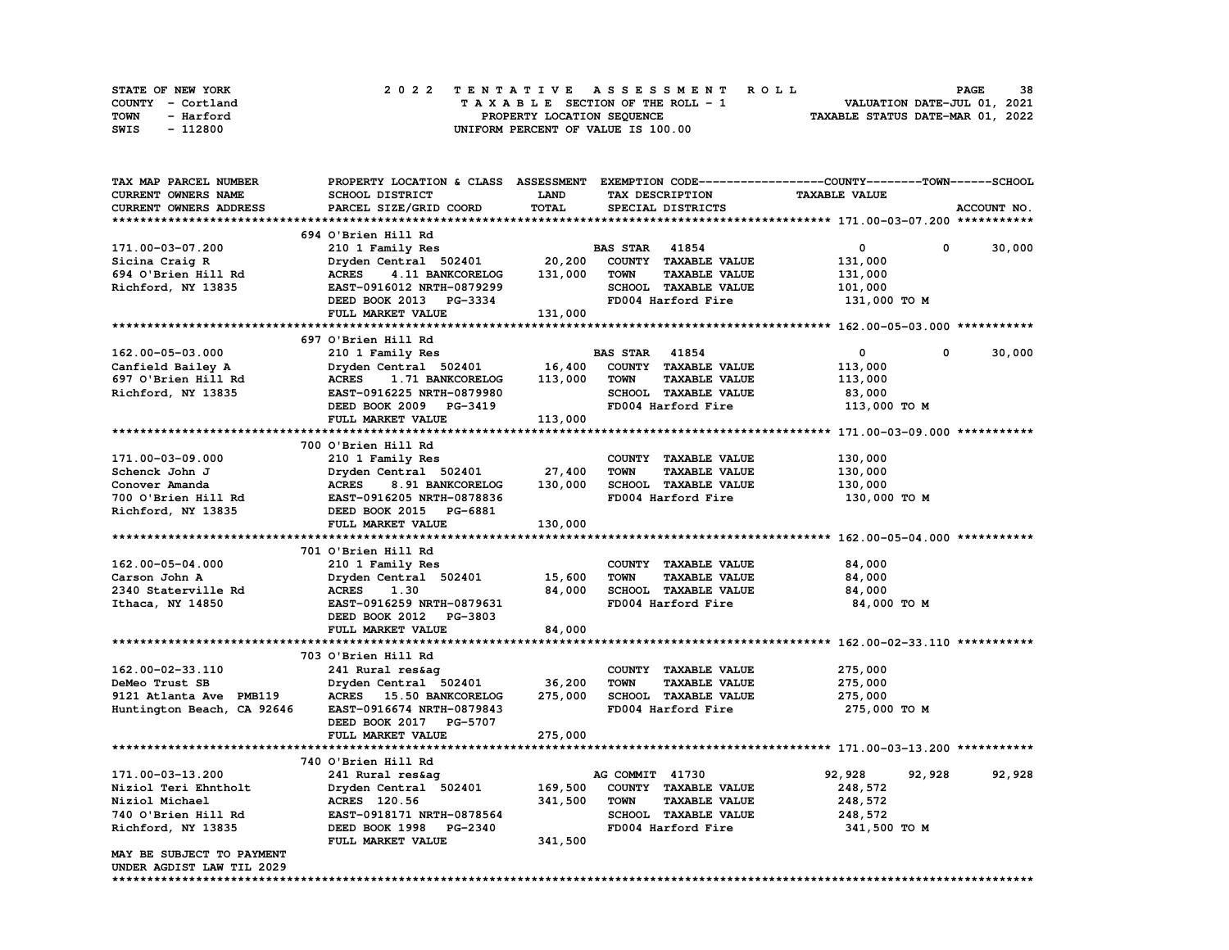| STATE OF NEW YORK |           |  | 2022 TENTATIVE ASSESSMENT ROLL |  |  |                                    |  |  |  |  |  |  |                                  | <b>PAGE</b>                 | 38 |
|-------------------|-----------|--|--------------------------------|--|--|------------------------------------|--|--|--|--|--|--|----------------------------------|-----------------------------|----|
| COUNTY - Cortland |           |  |                                |  |  | TAXABLE SECTION OF THE ROLL - 1    |  |  |  |  |  |  |                                  | VALUATION DATE-JUL 01, 2021 |    |
| TOWN              | - Harford |  |                                |  |  | PROPERTY LOCATION SEQUENCE         |  |  |  |  |  |  | TAXABLE STATUS DATE-MAR 01, 2022 |                             |    |
| SWIS              | - 112800  |  |                                |  |  | UNIFORM PERCENT OF VALUE IS 100.00 |  |  |  |  |  |  |                                  |                             |    |

| TAX MAP PARCEL NUMBER         |                                         |             |                                     | PROPERTY LOCATION & CLASS ASSESSMENT EXEMPTION CODE----------------COUNTY-------TOWN-----SCHOOL |             |
|-------------------------------|-----------------------------------------|-------------|-------------------------------------|-------------------------------------------------------------------------------------------------|-------------|
| CURRENT OWNERS NAME           | <b>SCHOOL DISTRICT</b>                  | <b>LAND</b> | TAX DESCRIPTION                     | <b>TAXABLE VALUE</b>                                                                            |             |
| <b>CURRENT OWNERS ADDRESS</b> | PARCEL SIZE/GRID COORD                  | TOTAL       | SPECIAL DISTRICTS                   |                                                                                                 | ACCOUNT NO. |
|                               |                                         |             |                                     |                                                                                                 |             |
|                               | 694 O'Brien Hill Rd                     |             |                                     |                                                                                                 |             |
| 171.00-03-07.200              | 210 1 Family Res                        |             | <b>BAS STAR 41854</b>               | $\mathbf{0}$<br>0                                                                               | 30,000      |
| Sicina Craig R                | Dryden Central 502401                   | 20,200      | COUNTY TAXABLE VALUE                | 131,000                                                                                         |             |
| 694 O'Brien Hill Rd           | <b>ACRES</b><br>4.11 BANKCORELOG        | 131,000     | <b>TAXABLE VALUE</b><br><b>TOWN</b> |                                                                                                 |             |
|                               |                                         |             |                                     | 131,000                                                                                         |             |
| Richford, NY 13835            | EAST-0916012 NRTH-0879299               |             | SCHOOL TAXABLE VALUE                | 101,000                                                                                         |             |
|                               | DEED BOOK 2013 PG-3334                  |             | FD004 Harford Fire                  | 131,000 TO M                                                                                    |             |
|                               | FULL MARKET VALUE                       | 131,000     |                                     |                                                                                                 |             |
|                               |                                         |             |                                     |                                                                                                 |             |
|                               | 697 O'Brien Hill Rd                     |             |                                     |                                                                                                 |             |
| 162.00-05-03.000              | 210 1 Family Res                        |             | <b>BAS STAR</b> 41854               | $\mathbf{0}$<br>$\mathbf 0$                                                                     | 30,000      |
| Canfield Bailey A             | Dryden Central 502401                   |             | 16,400 COUNTY TAXABLE VALUE         | 113,000                                                                                         |             |
| 697 O'Brien Hill Rd           | <b>ACRES</b><br><b>1.71 BANKCORELOG</b> | 113,000     | <b>TOWN</b><br><b>TAXABLE VALUE</b> | 113,000                                                                                         |             |
| Richford, NY 13835            | EAST-0916225 NRTH-0879980               |             | SCHOOL TAXABLE VALUE                | 83,000                                                                                          |             |
|                               | DEED BOOK 2009 PG-3419                  |             | FD004 Harford Fire                  | 113,000 TO M                                                                                    |             |
|                               | FULL MARKET VALUE                       | 113,000     |                                     |                                                                                                 |             |
|                               |                                         |             |                                     |                                                                                                 |             |
|                               | 700 O'Brien Hill Rd                     |             |                                     |                                                                                                 |             |
|                               |                                         |             |                                     |                                                                                                 |             |
| 171.00-03-09.000              | 210 1 Family Res                        |             | COUNTY TAXABLE VALUE                | 130,000                                                                                         |             |
| Schenck John J                | Dryden Central 502401                   | 27,400      | <b>TAXABLE VALUE</b><br><b>TOWN</b> | 130,000                                                                                         |             |
| Conover Amanda                | <b>ACRES</b><br>8.91 BANKCORELOG        | 130,000     | SCHOOL TAXABLE VALUE                | 130,000                                                                                         |             |
| 700 O'Brien Hill Rd           | EAST-0916205 NRTH-0878836               |             | FD004 Harford Fire                  | 130,000 TO M                                                                                    |             |
| Richford, NY 13835            | DEED BOOK 2015 PG-6881                  |             |                                     |                                                                                                 |             |
|                               | FULL MARKET VALUE                       | 130,000     |                                     |                                                                                                 |             |
|                               |                                         |             |                                     |                                                                                                 |             |
|                               | 701 O'Brien Hill Rd                     |             |                                     |                                                                                                 |             |
| 162.00-05-04.000              | 210 1 Family Res                        |             | COUNTY TAXABLE VALUE                | 84,000                                                                                          |             |
| Carson John A                 | Dryden Central 502401                   | 15,600      | TOWN<br><b>TAXABLE VALUE</b>        | 84,000                                                                                          |             |
| 2340 Staterville Rd           | <b>ACRES</b><br>1.30                    | 84,000      | SCHOOL TAXABLE VALUE                | 84,000                                                                                          |             |
| Ithaca, NY 14850              | EAST-0916259 NRTH-0879631               |             | FD004 Harford Fire                  | 84,000 TO M                                                                                     |             |
|                               |                                         |             |                                     |                                                                                                 |             |
|                               | DEED BOOK 2012 PG-3803                  |             |                                     |                                                                                                 |             |
|                               | FULL MARKET VALUE                       | 84,000      |                                     |                                                                                                 |             |
|                               |                                         |             |                                     |                                                                                                 |             |
|                               | 703 O'Brien Hill Rd                     |             |                                     |                                                                                                 |             |
| 162.00-02-33.110              | 241 Rural res&ag                        |             | COUNTY TAXABLE VALUE                | 275,000                                                                                         |             |
| DeMeo Trust SB                | Dryden Central 502401                   | 36,200      | <b>TOWN</b><br><b>TAXABLE VALUE</b> | 275,000                                                                                         |             |
| 9121 Atlanta Ave PMB119       | ACRES 15.50 BANKCORELOG                 | 275,000     | SCHOOL TAXABLE VALUE                | 275,000                                                                                         |             |
| Huntington Beach, CA 92646    | EAST-0916674 NRTH-0879843               |             | FD004 Harford Fire                  | 275,000 TO M                                                                                    |             |
|                               | DEED BOOK 2017 PG-5707                  |             |                                     |                                                                                                 |             |
|                               | FULL MARKET VALUE                       | 275,000     |                                     |                                                                                                 |             |
|                               |                                         |             |                                     |                                                                                                 |             |
|                               | 740 O'Brien Hill Rd                     |             |                                     |                                                                                                 |             |
| 171.00-03-13.200              | 241 Rural res&aq                        |             | AG COMMIT 41730                     | 92,928<br>92,928                                                                                | 92,928      |
|                               |                                         | 169,500     | COUNTY TAXABLE VALUE                |                                                                                                 |             |
| Niziol Teri Ehntholt          | Dryden Central 502401                   |             |                                     | 248,572                                                                                         |             |
| Niziol Michael                | ACRES 120.56                            | 341,500     | <b>TOWN</b><br><b>TAXABLE VALUE</b> | 248,572                                                                                         |             |
| 740 O'Brien Hill Rd           | EAST-0918171 NRTH-0878564               |             | SCHOOL TAXABLE VALUE                | 248,572                                                                                         |             |
| Richford, NY 13835            | DEED BOOK 1998 PG-2340                  |             | FD004 Harford Fire                  | 341,500 TO M                                                                                    |             |
|                               | FULL MARKET VALUE                       | 341,500     |                                     |                                                                                                 |             |
| MAY BE SUBJECT TO PAYMENT     |                                         |             |                                     |                                                                                                 |             |
| UNDER AGDIST LAW TIL 2029     |                                         |             |                                     |                                                                                                 |             |
|                               |                                         |             |                                     |                                                                                                 |             |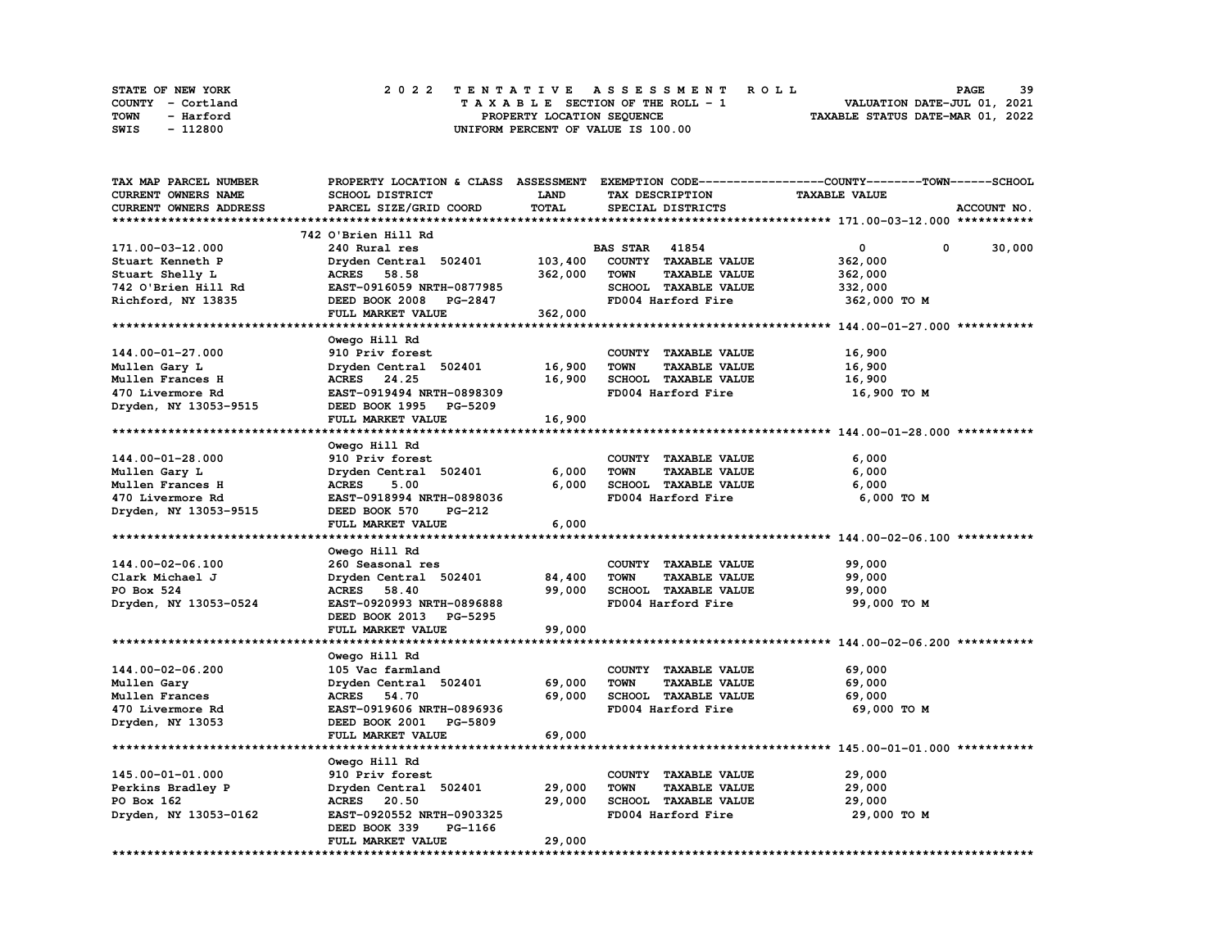| <b>STATE OF NEW YORK</b> | 2022 TENTATIVE ASSESSMENT ROLL          | 39<br><b>PAGE</b>                |
|--------------------------|-----------------------------------------|----------------------------------|
| COUNTY - Cortland        | $T A X A B L E$ SECTION OF THE ROLL - 1 | VALUATION DATE-JUL 01, 2021      |
| TOWN<br>- Harford        | PROPERTY LOCATION SEQUENCE              | TAXABLE STATUS DATE-MAR 01, 2022 |
| - 112800<br>SWIS         | UNIFORM PERCENT OF VALUE IS 100.00      |                                  |

| <b>TAX MAP PARCEL NUMBER</b> | PROPERTY LOCATION & CLASS ASSESSMENT |              |                                     | EXEMPTION CODE-----------------COUNTY-------TOWN------SCHOOL |
|------------------------------|--------------------------------------|--------------|-------------------------------------|--------------------------------------------------------------|
| CURRENT OWNERS NAME          | <b>SCHOOL DISTRICT</b>               | <b>LAND</b>  | TAX DESCRIPTION                     | <b>TAXABLE VALUE</b>                                         |
| CURRENT OWNERS ADDRESS       | PARCEL SIZE/GRID COORD               | <b>TOTAL</b> | SPECIAL DISTRICTS                   | ACCOUNT NO.                                                  |
|                              |                                      |              |                                     |                                                              |
|                              | 742 O'Brien Hill Rd                  |              |                                     |                                                              |
| 171.00-03-12.000             | 240 Rural res                        |              | <b>BAS STAR 41854</b>               | 0<br>30,000<br>0                                             |
| Stuart Kenneth P             | Dryden Central 502401                | 103,400      | COUNTY TAXABLE VALUE                | 362,000                                                      |
|                              |                                      |              |                                     |                                                              |
| Stuart Shelly L              | 58.58<br><b>ACRES</b>                | 362,000      | <b>TOWN</b><br><b>TAXABLE VALUE</b> | 362,000                                                      |
| 742 O'Brien Hill Rd          | EAST-0916059 NRTH-0877985            |              | SCHOOL TAXABLE VALUE                | 332,000                                                      |
| Richford, NY 13835           | DEED BOOK 2008 PG-2847               |              | FD004 Harford Fire                  | 362,000 TO M                                                 |
|                              | FULL MARKET VALUE                    | 362,000      |                                     |                                                              |
|                              |                                      |              |                                     |                                                              |
|                              | Owego Hill Rd                        |              |                                     |                                                              |
| 144.00-01-27.000             | 910 Priv forest                      |              | COUNTY TAXABLE VALUE                | 16,900                                                       |
| Mullen Gary L                | Dryden Central 502401                | 16,900       | <b>TOWN</b><br><b>TAXABLE VALUE</b> | 16,900                                                       |
| Mullen Frances H             | ACRES 24.25                          | 16,900       | SCHOOL TAXABLE VALUE                | 16,900                                                       |
| 470 Livermore Rd             | EAST-0919494 NRTH-0898309            |              | FD004 Harford Fire                  | 16,900 TO M                                                  |
| Dryden, NY 13053-9515        | DEED BOOK 1995 PG-5209               |              |                                     |                                                              |
|                              | FULL MARKET VALUE                    | 16,900       |                                     |                                                              |
|                              |                                      |              |                                     |                                                              |
|                              |                                      |              |                                     |                                                              |
|                              | Owego Hill Rd                        |              |                                     |                                                              |
| 144.00-01-28.000             | 910 Priv forest                      |              | COUNTY TAXABLE VALUE                | 6,000                                                        |
| Mullen Gary L                | Dryden Central 502401                | 6,000        | <b>TOWN</b><br><b>TAXABLE VALUE</b> | 6,000                                                        |
| Mullen Frances H             | <b>ACRES</b><br>5.00                 | 6,000        | SCHOOL TAXABLE VALUE                | 6,000                                                        |
| 470 Livermore Rd             | EAST-0918994 NRTH-0898036            |              | FD004 Harford Fire                  | 6,000 TO M                                                   |
| Dryden, NY 13053-9515        | DEED BOOK 570<br><b>PG-212</b>       |              |                                     |                                                              |
|                              | FULL MARKET VALUE                    | 6,000        |                                     |                                                              |
|                              |                                      |              |                                     |                                                              |
|                              | Owego Hill Rd                        |              |                                     |                                                              |
| 144.00-02-06.100             | 260 Seasonal res                     |              | COUNTY TAXABLE VALUE                | 99,000                                                       |
| Clark Michael J              | Dryden Central 502401                | 84,400       | <b>TOWN</b><br><b>TAXABLE VALUE</b> | 99,000                                                       |
| PO Box 524                   | 58.40<br><b>ACRES</b>                | 99,000       | SCHOOL TAXABLE VALUE                | 99,000                                                       |
| Dryden, NY 13053-0524        | EAST-0920993 NRTH-0896888            |              | FD004 Harford Fire                  | 99,000 TO M                                                  |
|                              | DEED BOOK 2013 PG-5295               |              |                                     |                                                              |
|                              | FULL MARKET VALUE                    | 99,000       |                                     |                                                              |
| ************************     | *************************            | *********    |                                     |                                                              |
|                              |                                      |              |                                     |                                                              |
|                              | Owego Hill Rd                        |              |                                     |                                                              |
| 144.00-02-06.200             | 105 Vac farmland                     |              | COUNTY TAXABLE VALUE                | 69,000                                                       |
| Mullen Gary                  | Dryden Central 502401                | 69,000       | <b>TOWN</b><br><b>TAXABLE VALUE</b> | 69,000                                                       |
| Mullen Frances               | ACRES 54.70                          | 69,000       | SCHOOL TAXABLE VALUE                | 69,000                                                       |
| 470 Livermore Rd             | EAST-0919606 NRTH-0896936            |              | FD004 Harford Fire                  | 69,000 TO M                                                  |
| Dryden, NY 13053             | DEED BOOK 2001 PG-5809               |              |                                     |                                                              |
|                              | FULL MARKET VALUE                    | 69,000       |                                     |                                                              |
|                              |                                      |              |                                     |                                                              |
|                              | Owego Hill Rd                        |              |                                     |                                                              |
| 145.00-01-01.000             | 910 Priv forest                      |              | COUNTY TAXABLE VALUE                | 29,000                                                       |
| Perkins Bradley P            | Dryden Central 502401                | 29,000       | <b>TOWN</b><br><b>TAXABLE VALUE</b> | 29,000                                                       |
| PO Box 162                   | ACRES 20.50                          | 29,000       | SCHOOL TAXABLE VALUE                | 29,000                                                       |
|                              |                                      |              |                                     |                                                              |
| Dryden, NY 13053-0162        | EAST-0920552 NRTH-0903325            |              | FD004 Harford Fire                  | 29,000 TO M                                                  |
|                              | DEED BOOK 339<br>PG-1166             |              |                                     |                                                              |
|                              | FULL MARKET VALUE                    | 29,000       |                                     |                                                              |
|                              |                                      |              |                                     |                                                              |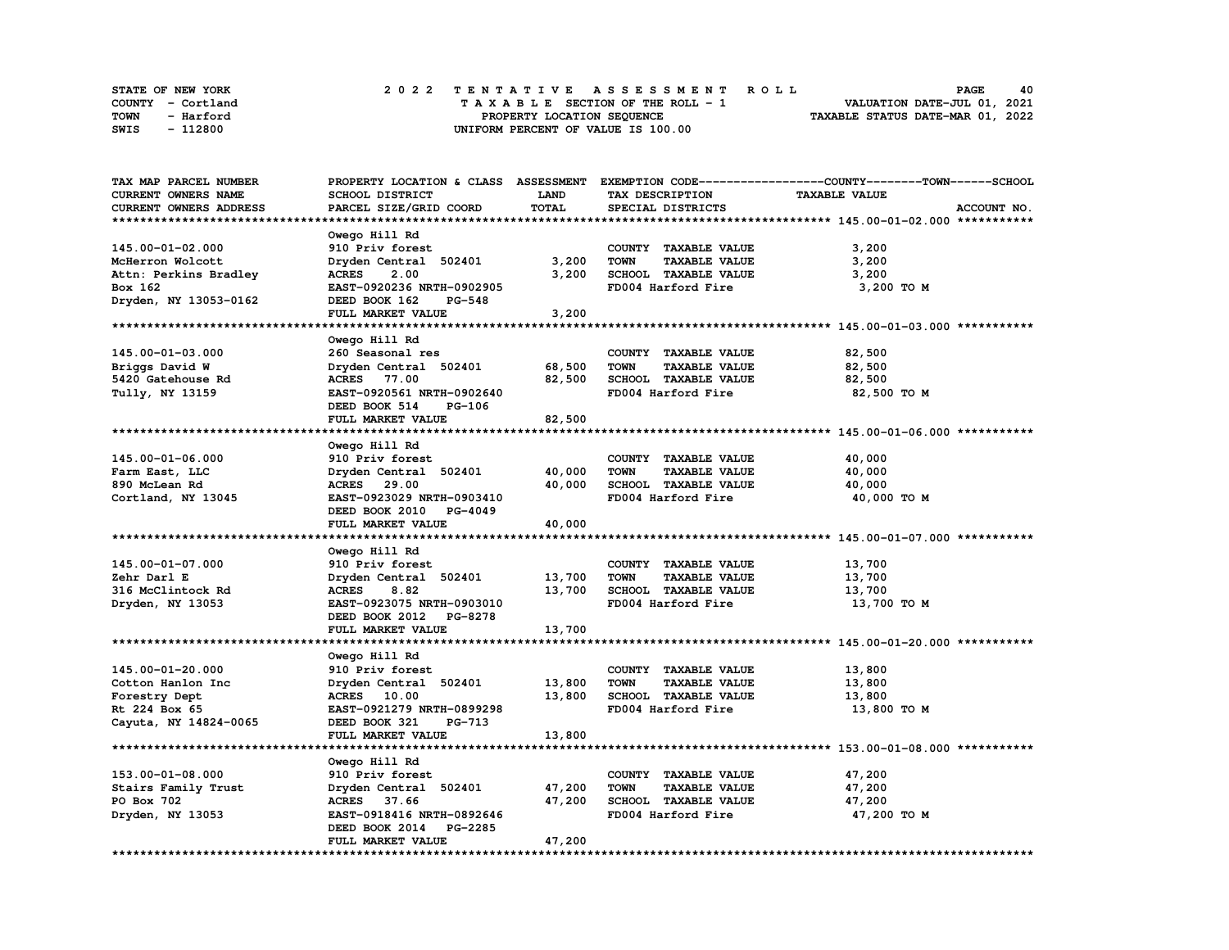| <b>STATE OF NEW YORK</b> | 2022 TENTATIVE ASSESSMENT ROLL          | 40<br><b>PAGE</b>                |
|--------------------------|-----------------------------------------|----------------------------------|
| COUNTY - Cortland        | $T A X A B L E$ SECTION OF THE ROLL - 1 | VALUATION DATE-JUL 01, 2021      |
| TOWN<br>- Harford        | PROPERTY LOCATION SEQUENCE              | TAXABLE STATUS DATE-MAR 01, 2022 |
| - 112800<br>SWIS         | UNIFORM PERCENT OF VALUE IS 100.00      |                                  |

| TAX MAP PARCEL NUMBER           |                                |             |                                     | PROPERTY LOCATION & CLASS ASSESSMENT EXEMPTION CODE----------------COUNTY-------TOWN-----SCHOOL |
|---------------------------------|--------------------------------|-------------|-------------------------------------|-------------------------------------------------------------------------------------------------|
| CURRENT OWNERS NAME             | SCHOOL DISTRICT                | <b>LAND</b> | TAX DESCRIPTION                     | <b>TAXABLE VALUE</b>                                                                            |
| CURRENT OWNERS ADDRESS          | PARCEL SIZE/GRID COORD         | TOTAL       | SPECIAL DISTRICTS                   | ACCOUNT NO.                                                                                     |
|                                 |                                |             |                                     |                                                                                                 |
|                                 | Owego Hill Rd                  |             |                                     |                                                                                                 |
| 145.00-01-02.000                | 910 Priv forest                |             | COUNTY TAXABLE VALUE                | 3,200                                                                                           |
| McHerron Wolcott                | Dryden Central 502401          | 3,200       | TAXABLE VALUE<br><b>TOWN</b>        | 3,200                                                                                           |
| Attn: Perkins Bradley           | <b>ACRES</b><br>2.00           | 3,200       | SCHOOL TAXABLE VALUE                | 3,200                                                                                           |
| Box 162                         | EAST-0920236 NRTH-0902905      |             | FD004 Harford Fire                  | 3,200 TO M                                                                                      |
| Dryden, NY 13053-0162           | DEED BOOK 162<br><b>PG-548</b> |             |                                     |                                                                                                 |
|                                 | FULL MARKET VALUE              | 3,200       |                                     |                                                                                                 |
|                                 |                                |             |                                     |                                                                                                 |
|                                 | Owego Hill Rd                  |             |                                     |                                                                                                 |
| 145.00-01-03.000                | 260 Seasonal res               |             | COUNTY TAXABLE VALUE                | 82,500                                                                                          |
| Briggs David W                  | Dryden Central 502401          | 68,500      | <b>TOWN</b><br><b>TAXABLE VALUE</b> | 82,500                                                                                          |
| 5420 Gatehouse Rd               | <b>ACRES</b> 77.00             | 82,500      | SCHOOL TAXABLE VALUE                | 82,500                                                                                          |
| Tully, NY 13159                 | EAST-0920561 NRTH-0902640      |             | FD004 Harford Fire                  | 82,500 TO M                                                                                     |
|                                 | DEED BOOK 514<br>PG-106        |             |                                     |                                                                                                 |
|                                 | FULL MARKET VALUE              | 82,500      |                                     |                                                                                                 |
|                                 |                                |             |                                     |                                                                                                 |
|                                 | Owego Hill Rd                  |             |                                     |                                                                                                 |
| 145.00-01-06.000                | 910 Priv forest                |             | COUNTY TAXABLE VALUE                | 40,000                                                                                          |
|                                 | Dryden Central 502401          | 40,000      | <b>TOWN</b><br><b>TAXABLE VALUE</b> |                                                                                                 |
| Farm East, LLC<br>890 McLean Rd | ACRES 29.00                    | 40,000      | SCHOOL TAXABLE VALUE                | 40,000<br>40,000                                                                                |
|                                 | EAST-0923029 NRTH-0903410      |             | FD004 Harford Fire                  |                                                                                                 |
| Cortland, NY 13045              |                                |             |                                     | 40,000 TO M                                                                                     |
|                                 | DEED BOOK 2010 PG-4049         |             |                                     |                                                                                                 |
|                                 | FULL MARKET VALUE              | 40,000      |                                     |                                                                                                 |
|                                 |                                |             |                                     |                                                                                                 |
|                                 | Owego Hill Rd                  |             |                                     |                                                                                                 |
| 145.00-01-07.000                | 910 Priv forest                |             | COUNTY TAXABLE VALUE                | 13,700                                                                                          |
| Zehr Darl E                     | Dryden Central 502401          | 13,700      | <b>TOWN</b><br><b>TAXABLE VALUE</b> | 13,700                                                                                          |
| 316 McClintock Rd               | 8.82<br><b>ACRES</b>           | 13,700      | SCHOOL TAXABLE VALUE                | 13,700                                                                                          |
| Dryden, NY 13053                | EAST-0923075 NRTH-0903010      |             | FD004 Harford Fire                  | 13,700 TO M                                                                                     |
|                                 | DEED BOOK 2012 PG-8278         |             |                                     |                                                                                                 |
|                                 | FULL MARKET VALUE              | 13,700      |                                     |                                                                                                 |
|                                 |                                |             |                                     |                                                                                                 |
|                                 | Owego Hill Rd                  |             |                                     |                                                                                                 |
| 145.00-01-20.000                | 910 Priv forest                |             | COUNTY TAXABLE VALUE                | 13,800                                                                                          |
| Cotton Hanlon Inc               | Dryden Central 502401          | 13,800      | <b>TOWN</b><br><b>TAXABLE VALUE</b> | 13,800                                                                                          |
| Forestry Dept                   | ACRES 10.00                    | 13,800      | SCHOOL TAXABLE VALUE                | 13,800                                                                                          |
| Rt 224 Box 65                   | EAST-0921279 NRTH-0899298      |             | FD004 Harford Fire                  | 13,800 TO M                                                                                     |
| Cayuta, NY 14824-0065           | DEED BOOK 321<br>PG-713        |             |                                     |                                                                                                 |
|                                 | FULL MARKET VALUE              | 13,800      |                                     |                                                                                                 |
|                                 |                                |             |                                     |                                                                                                 |
|                                 | Owego Hill Rd                  |             |                                     |                                                                                                 |
| 153.00-01-08.000                | 910 Priv forest                |             | COUNTY TAXABLE VALUE                | 47,200                                                                                          |
| Stairs Family Trust             | Dryden Central 502401          | 47,200      | <b>TOWN</b><br><b>TAXABLE VALUE</b> | 47,200                                                                                          |
| PO Box 702                      | ACRES 37.66                    | 47,200      | SCHOOL TAXABLE VALUE                | 47,200                                                                                          |
| Dryden, NY 13053                | EAST-0918416 NRTH-0892646      |             | FD004 Harford Fire                  | 47,200 TO M                                                                                     |
|                                 | DEED BOOK 2014 PG-2285         |             |                                     |                                                                                                 |
|                                 | FULL MARKET VALUE              | 47,200      |                                     |                                                                                                 |
|                                 |                                |             |                                     |                                                                                                 |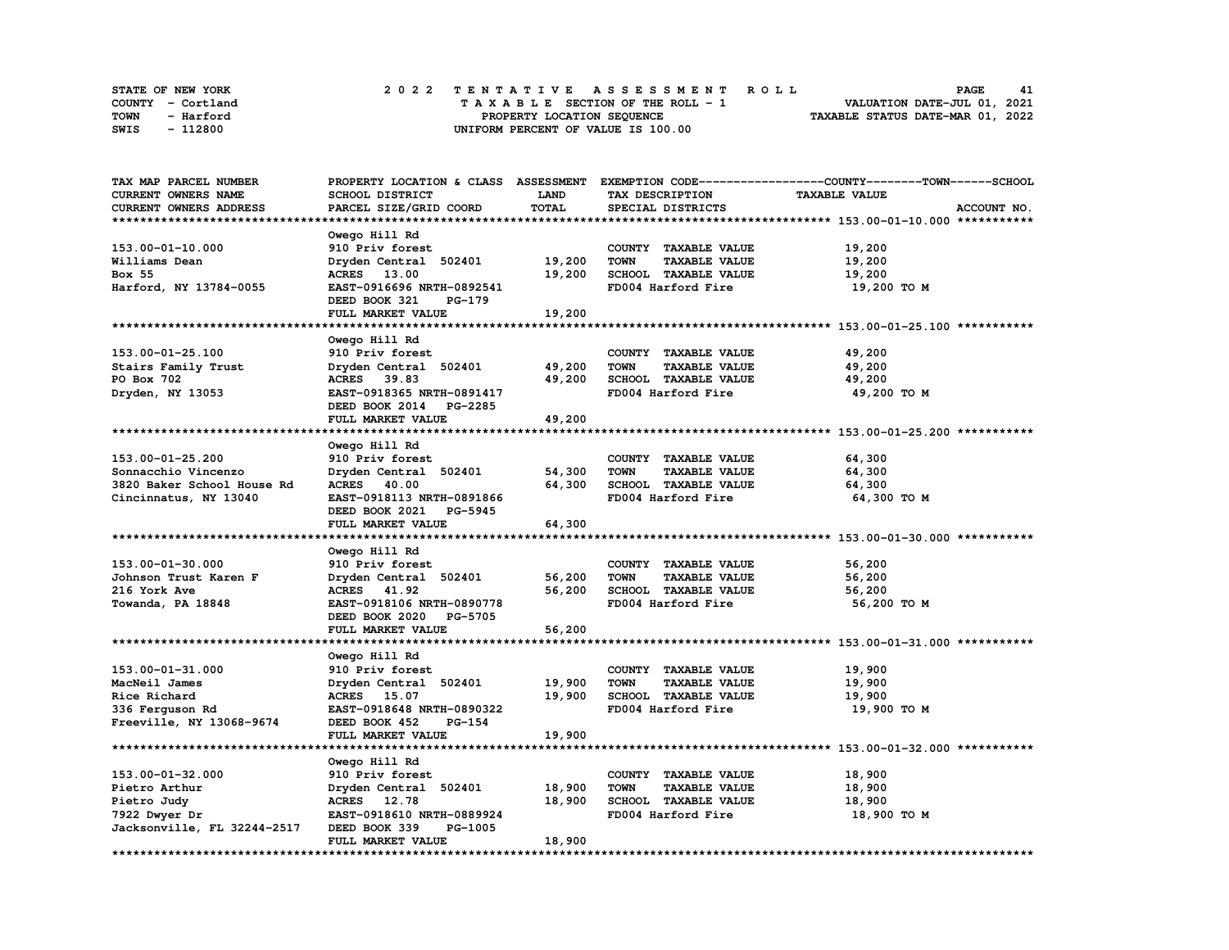| STATE OF NEW YORK | 2022 TENTATIVE ASSESSMENT ROLL     | 41<br><b>PAGE</b>                |
|-------------------|------------------------------------|----------------------------------|
| COUNTY - Cortland | TAXABLE SECTION OF THE ROLL - 1    | VALUATION DATE-JUL 01, 2021      |
| TOWN<br>- Harford | PROPERTY LOCATION SEQUENCE         | TAXABLE STATUS DATE-MAR 01, 2022 |
| - 112800<br>SWIS  | UNIFORM PERCENT OF VALUE IS 100.00 |                                  |

| TAX MAP PARCEL NUMBER       |                                  |        |                                     | PROPERTY LOCATION & CLASS ASSESSMENT EXEMPTION CODE----------------COUNTY-------TOWN-----SCHOOL |
|-----------------------------|----------------------------------|--------|-------------------------------------|-------------------------------------------------------------------------------------------------|
| <b>CURRENT OWNERS NAME</b>  | SCHOOL DISTRICT                  | LAND   | TAX DESCRIPTION                     | <b>TAXABLE VALUE</b>                                                                            |
| CURRENT OWNERS ADDRESS      | PARCEL SIZE/GRID COORD           | TOTAL  | SPECIAL DISTRICTS                   | ACCOUNT NO.                                                                                     |
|                             |                                  |        |                                     |                                                                                                 |
|                             | Owego Hill Rd                    |        |                                     |                                                                                                 |
| 153.00-01-10.000            | 910 Priv forest                  |        | COUNTY TAXABLE VALUE                | 19,200                                                                                          |
| Williams Dean               | Dryden Central 502401            | 19,200 | <b>TOWN</b><br><b>TAXABLE VALUE</b> | 19,200                                                                                          |
| Box 55                      | ACRES 13.00                      | 19,200 | SCHOOL TAXABLE VALUE                | 19,200                                                                                          |
| Harford, NY 13784-0055      | EAST-0916696 NRTH-0892541        |        | FD004 Harford Fire                  | 19,200 TO M                                                                                     |
|                             | DEED BOOK 321<br><b>PG-179</b>   |        |                                     |                                                                                                 |
|                             | FULL MARKET VALUE                | 19,200 |                                     |                                                                                                 |
|                             |                                  |        |                                     |                                                                                                 |
|                             | Owego Hill Rd                    |        |                                     |                                                                                                 |
| 153.00-01-25.100            | 910 Priv forest                  |        | COUNTY TAXABLE VALUE                | 49,200                                                                                          |
| Stairs Family Trust         | Dryden Central 502401            | 49,200 | <b>TOWN</b><br><b>TAXABLE VALUE</b> | 49,200                                                                                          |
| PO Box 702                  | ACRES 39.83                      | 49,200 | SCHOOL TAXABLE VALUE                | 49,200                                                                                          |
| Dryden, NY 13053            | EAST-0918365 NRTH-0891417        |        | FD004 Harford Fire                  | 49,200 TO M                                                                                     |
|                             | DEED BOOK 2014 PG-2285           |        |                                     |                                                                                                 |
|                             | FULL MARKET VALUE                | 49,200 |                                     |                                                                                                 |
|                             |                                  |        |                                     |                                                                                                 |
|                             | Owego Hill Rd                    |        |                                     |                                                                                                 |
| 153.00-01-25.200            | 910 Priv forest                  |        | COUNTY TAXABLE VALUE                | 64,300                                                                                          |
| Sonnacchio Vincenzo         | Dryden Central 502401            | 54,300 | <b>TOWN</b><br><b>TAXABLE VALUE</b> | 64,300                                                                                          |
| 3820 Baker School House Rd  | ACRES 40.00                      | 64,300 | SCHOOL TAXABLE VALUE                | 64,300                                                                                          |
|                             | EAST-0918113 NRTH-0891866        |        | FD004 Harford Fire                  |                                                                                                 |
| Cincinnatus, NY 13040       | DEED BOOK 2021 PG-5945           |        |                                     | 64,300 TO M                                                                                     |
|                             |                                  | 64,300 |                                     |                                                                                                 |
|                             | FULL MARKET VALUE                |        |                                     |                                                                                                 |
|                             |                                  |        |                                     |                                                                                                 |
|                             | Owego Hill Rd                    |        |                                     |                                                                                                 |
| 153.00-01-30.000            | 910 Priv forest                  |        | COUNTY TAXABLE VALUE                | 56,200                                                                                          |
| Johnson Trust Karen F       | Dryden Central 502401            | 56,200 | <b>TOWN</b><br><b>TAXABLE VALUE</b> | 56,200                                                                                          |
| 216 York Ave                | ACRES 41.92                      | 56,200 | SCHOOL TAXABLE VALUE                | 56,200                                                                                          |
| Towanda, PA 18848           | EAST-0918106 NRTH-0890778        |        | FD004 Harford Fire                  | 56,200 TO M                                                                                     |
|                             | DEED BOOK 2020<br><b>PG-5705</b> |        |                                     |                                                                                                 |
|                             | FULL MARKET VALUE                | 56,200 |                                     |                                                                                                 |
| *************************   |                                  |        |                                     |                                                                                                 |
|                             | Owego Hill Rd                    |        |                                     |                                                                                                 |
| 153.00-01-31.000            | 910 Priv forest                  |        | COUNTY TAXABLE VALUE                | 19,900                                                                                          |
| MacNeil James               | Dryden Central 502401            | 19,900 | <b>TOWN</b><br><b>TAXABLE VALUE</b> | 19,900                                                                                          |
| Rice Richard                | ACRES 15.07                      | 19,900 | SCHOOL TAXABLE VALUE                | 19,900                                                                                          |
| 336 Ferguson Rd             | EAST-0918648 NRTH-0890322        |        | FD004 Harford Fire                  | 19,900 TO M                                                                                     |
| Freeville, NY 13068-9674    | DEED BOOK 452<br>PG-154          |        |                                     |                                                                                                 |
|                             | FULL MARKET VALUE                | 19,900 |                                     |                                                                                                 |
|                             |                                  |        |                                     |                                                                                                 |
|                             | Owego Hill Rd                    |        |                                     |                                                                                                 |
| 153.00-01-32.000            | 910 Priv forest                  |        | COUNTY TAXABLE VALUE                | 18,900                                                                                          |
| Pietro Arthur               | Dryden Central 502401            | 18,900 | <b>TOWN</b><br><b>TAXABLE VALUE</b> | 18,900                                                                                          |
| Pietro Judy                 | ACRES 12.78                      | 18,900 | <b>SCHOOL TAXABLE VALUE</b>         | 18,900                                                                                          |
| 7922 Dwyer Dr               | EAST-0918610 NRTH-0889924        |        | FD004 Harford Fire                  | 18,900 TO M                                                                                     |
| Jacksonville, FL 32244-2517 | DEED BOOK 339<br>PG-1005         |        |                                     |                                                                                                 |
|                             | FULL MARKET VALUE                | 18,900 |                                     |                                                                                                 |
|                             |                                  |        |                                     |                                                                                                 |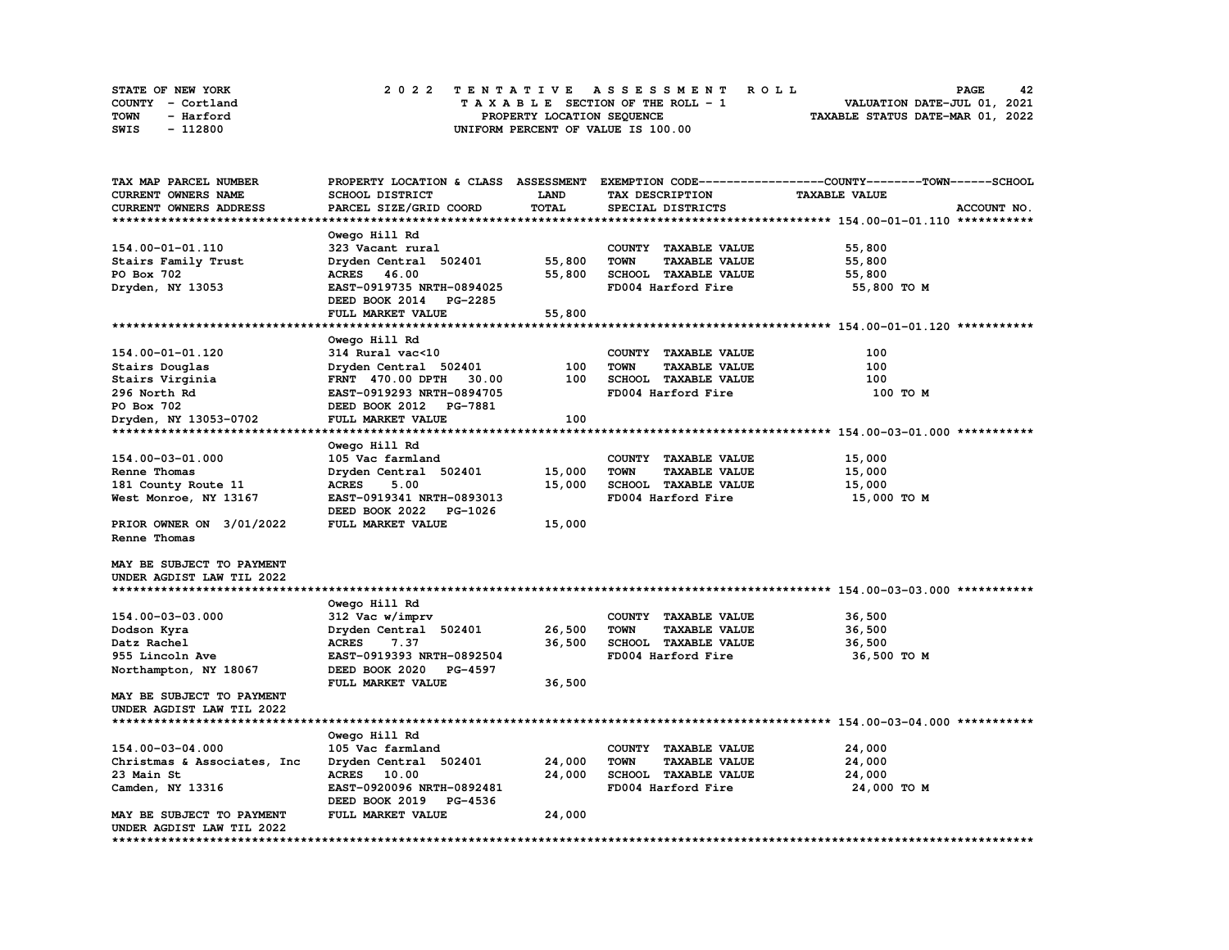| STATE OF NEW YORK | 2022 TENTATIVE ASSESSMENT ROLL     | 42<br><b>PAGE</b>                |
|-------------------|------------------------------------|----------------------------------|
| COUNTY - Cortland | TAXABLE SECTION OF THE ROLL - 1    | VALUATION DATE-JUL 01, 2021      |
| TOWN<br>- Harford | PROPERTY LOCATION SEQUENCE         | TAXABLE STATUS DATE-MAR 01, 2022 |
| - 112800<br>SWIS  | UNIFORM PERCENT OF VALUE IS 100.00 |                                  |

| <b>SCHOOL DISTRICT</b><br><b>LAND</b><br>TAX DESCRIPTION<br><b>TAXABLE VALUE</b><br><b>TOTAL</b><br>PARCEL SIZE/GRID COORD<br>SPECIAL DISTRICTS<br>ACCOUNT NO.<br>Owego Hill Rd<br>323 Vacant rural<br>COUNTY TAXABLE VALUE<br>55,800<br>Dryden Central 502401<br>55,800<br><b>TOWN</b><br><b>TAXABLE VALUE</b><br>55,800<br>SCHOOL TAXABLE VALUE<br>ACRES 46.00<br>55,800<br>55,800<br>Dryden, NY 13053<br>EAST-0919735 NRTH-0894025<br>FD004 Harford Fire<br>55,800 TO M<br>DEED BOOK 2014 PG-2285<br>FULL MARKET VALUE<br>55,800<br>Owego Hill Rd<br>314 Rural vac<10<br>100<br>COUNTY TAXABLE VALUE<br>100<br>Dryden Central 502401<br>100<br><b>TOWN</b><br><b>TAXABLE VALUE</b><br>30.00<br>100<br>SCHOOL TAXABLE VALUE<br>100<br><b>FRNT</b> 470.00 DPTH<br>EAST-0919293 NRTH-0894705<br>FD004 Harford Fire<br>100 TO M<br>DEED BOOK 2012 PG-7881<br>FULL MARKET VALUE<br>100<br>Owego Hill Rd<br>105 Vac farmland<br>COUNTY TAXABLE VALUE<br>15,000<br>Dryden Central 502401<br>15,000<br><b>TOWN</b><br><b>TAXABLE VALUE</b><br>15,000<br>5.00<br>15,000<br>SCHOOL TAXABLE VALUE<br><b>ACRES</b><br>15,000<br>EAST-0919341 NRTH-0893013<br>FD004 Harford Fire<br>15,000 то м<br>DEED BOOK 2022 PG-1026<br>FULL MARKET VALUE<br>15,000<br>Owego Hill Rd<br>312 Vac w/imprv<br>COUNTY TAXABLE VALUE<br>36,500<br>Dryden Central 502401<br>26,500<br><b>TOWN</b><br><b>TAXABLE VALUE</b><br>36,500<br>7.37<br>36,500<br>SCHOOL TAXABLE VALUE<br><b>ACRES</b><br>36,500<br>EAST-0919393 NRTH-0892504<br>FD004 Harford Fire<br>955 Lincoln Ave<br>36,500 TO M<br>Northampton, NY 18067<br>DEED BOOK 2020 PG-4597<br>36,500<br>FULL MARKET VALUE<br>MAY BE SUBJECT TO PAYMENT<br>UNDER AGDIST LAW TIL 2022<br>Owego Hill Rd<br>154.00-03-04.000<br>24,000<br>105 Vac farmland<br>COUNTY TAXABLE VALUE<br>24,000<br><b>TOWN</b><br><b>TAXABLE VALUE</b><br>24,000<br>Christmas & Associates, Inc.<br>Dryden Central 502401<br>24,000<br>SCHOOL TAXABLE VALUE<br>24,000<br>23 Main St<br>ACRES 10.00<br>FD004 Harford Fire<br>Camden, NY 13316<br>EAST-0920096 NRTH-0892481<br>24,000 TO M<br>DEED BOOK 2019 PG-4536<br>FULL MARKET VALUE<br>24,000<br>MAY BE SUBJECT TO PAYMENT<br>UNDER AGDIST LAW TIL 2022 | TAX MAP PARCEL NUMBER     |  | PROPERTY LOCATION & CLASS ASSESSMENT EXEMPTION CODE-----------------COUNTY-------TOWN-----SCHOOL |
|----------------------------------------------------------------------------------------------------------------------------------------------------------------------------------------------------------------------------------------------------------------------------------------------------------------------------------------------------------------------------------------------------------------------------------------------------------------------------------------------------------------------------------------------------------------------------------------------------------------------------------------------------------------------------------------------------------------------------------------------------------------------------------------------------------------------------------------------------------------------------------------------------------------------------------------------------------------------------------------------------------------------------------------------------------------------------------------------------------------------------------------------------------------------------------------------------------------------------------------------------------------------------------------------------------------------------------------------------------------------------------------------------------------------------------------------------------------------------------------------------------------------------------------------------------------------------------------------------------------------------------------------------------------------------------------------------------------------------------------------------------------------------------------------------------------------------------------------------------------------------------------------------------------------------------------------------------------------------------------------------------------------------------------------------------------------------------------------------------------------------------------------------------------------------------------------------------------|---------------------------|--|--------------------------------------------------------------------------------------------------|
|                                                                                                                                                                                                                                                                                                                                                                                                                                                                                                                                                                                                                                                                                                                                                                                                                                                                                                                                                                                                                                                                                                                                                                                                                                                                                                                                                                                                                                                                                                                                                                                                                                                                                                                                                                                                                                                                                                                                                                                                                                                                                                                                                                                                                | CURRENT OWNERS NAME       |  |                                                                                                  |
|                                                                                                                                                                                                                                                                                                                                                                                                                                                                                                                                                                                                                                                                                                                                                                                                                                                                                                                                                                                                                                                                                                                                                                                                                                                                                                                                                                                                                                                                                                                                                                                                                                                                                                                                                                                                                                                                                                                                                                                                                                                                                                                                                                                                                | CURRENT OWNERS ADDRESS    |  |                                                                                                  |
|                                                                                                                                                                                                                                                                                                                                                                                                                                                                                                                                                                                                                                                                                                                                                                                                                                                                                                                                                                                                                                                                                                                                                                                                                                                                                                                                                                                                                                                                                                                                                                                                                                                                                                                                                                                                                                                                                                                                                                                                                                                                                                                                                                                                                |                           |  |                                                                                                  |
|                                                                                                                                                                                                                                                                                                                                                                                                                                                                                                                                                                                                                                                                                                                                                                                                                                                                                                                                                                                                                                                                                                                                                                                                                                                                                                                                                                                                                                                                                                                                                                                                                                                                                                                                                                                                                                                                                                                                                                                                                                                                                                                                                                                                                |                           |  |                                                                                                  |
|                                                                                                                                                                                                                                                                                                                                                                                                                                                                                                                                                                                                                                                                                                                                                                                                                                                                                                                                                                                                                                                                                                                                                                                                                                                                                                                                                                                                                                                                                                                                                                                                                                                                                                                                                                                                                                                                                                                                                                                                                                                                                                                                                                                                                | 154.00-01-01.110          |  |                                                                                                  |
|                                                                                                                                                                                                                                                                                                                                                                                                                                                                                                                                                                                                                                                                                                                                                                                                                                                                                                                                                                                                                                                                                                                                                                                                                                                                                                                                                                                                                                                                                                                                                                                                                                                                                                                                                                                                                                                                                                                                                                                                                                                                                                                                                                                                                | Stairs Family Trust       |  |                                                                                                  |
|                                                                                                                                                                                                                                                                                                                                                                                                                                                                                                                                                                                                                                                                                                                                                                                                                                                                                                                                                                                                                                                                                                                                                                                                                                                                                                                                                                                                                                                                                                                                                                                                                                                                                                                                                                                                                                                                                                                                                                                                                                                                                                                                                                                                                | PO Box 702                |  |                                                                                                  |
|                                                                                                                                                                                                                                                                                                                                                                                                                                                                                                                                                                                                                                                                                                                                                                                                                                                                                                                                                                                                                                                                                                                                                                                                                                                                                                                                                                                                                                                                                                                                                                                                                                                                                                                                                                                                                                                                                                                                                                                                                                                                                                                                                                                                                |                           |  |                                                                                                  |
|                                                                                                                                                                                                                                                                                                                                                                                                                                                                                                                                                                                                                                                                                                                                                                                                                                                                                                                                                                                                                                                                                                                                                                                                                                                                                                                                                                                                                                                                                                                                                                                                                                                                                                                                                                                                                                                                                                                                                                                                                                                                                                                                                                                                                |                           |  |                                                                                                  |
|                                                                                                                                                                                                                                                                                                                                                                                                                                                                                                                                                                                                                                                                                                                                                                                                                                                                                                                                                                                                                                                                                                                                                                                                                                                                                                                                                                                                                                                                                                                                                                                                                                                                                                                                                                                                                                                                                                                                                                                                                                                                                                                                                                                                                |                           |  |                                                                                                  |
|                                                                                                                                                                                                                                                                                                                                                                                                                                                                                                                                                                                                                                                                                                                                                                                                                                                                                                                                                                                                                                                                                                                                                                                                                                                                                                                                                                                                                                                                                                                                                                                                                                                                                                                                                                                                                                                                                                                                                                                                                                                                                                                                                                                                                |                           |  |                                                                                                  |
|                                                                                                                                                                                                                                                                                                                                                                                                                                                                                                                                                                                                                                                                                                                                                                                                                                                                                                                                                                                                                                                                                                                                                                                                                                                                                                                                                                                                                                                                                                                                                                                                                                                                                                                                                                                                                                                                                                                                                                                                                                                                                                                                                                                                                |                           |  |                                                                                                  |
|                                                                                                                                                                                                                                                                                                                                                                                                                                                                                                                                                                                                                                                                                                                                                                                                                                                                                                                                                                                                                                                                                                                                                                                                                                                                                                                                                                                                                                                                                                                                                                                                                                                                                                                                                                                                                                                                                                                                                                                                                                                                                                                                                                                                                | 154.00-01-01.120          |  |                                                                                                  |
|                                                                                                                                                                                                                                                                                                                                                                                                                                                                                                                                                                                                                                                                                                                                                                                                                                                                                                                                                                                                                                                                                                                                                                                                                                                                                                                                                                                                                                                                                                                                                                                                                                                                                                                                                                                                                                                                                                                                                                                                                                                                                                                                                                                                                | Stairs Douglas            |  |                                                                                                  |
|                                                                                                                                                                                                                                                                                                                                                                                                                                                                                                                                                                                                                                                                                                                                                                                                                                                                                                                                                                                                                                                                                                                                                                                                                                                                                                                                                                                                                                                                                                                                                                                                                                                                                                                                                                                                                                                                                                                                                                                                                                                                                                                                                                                                                | Stairs Virginia           |  |                                                                                                  |
|                                                                                                                                                                                                                                                                                                                                                                                                                                                                                                                                                                                                                                                                                                                                                                                                                                                                                                                                                                                                                                                                                                                                                                                                                                                                                                                                                                                                                                                                                                                                                                                                                                                                                                                                                                                                                                                                                                                                                                                                                                                                                                                                                                                                                | 296 North Rd              |  |                                                                                                  |
|                                                                                                                                                                                                                                                                                                                                                                                                                                                                                                                                                                                                                                                                                                                                                                                                                                                                                                                                                                                                                                                                                                                                                                                                                                                                                                                                                                                                                                                                                                                                                                                                                                                                                                                                                                                                                                                                                                                                                                                                                                                                                                                                                                                                                | PO Box 702                |  |                                                                                                  |
|                                                                                                                                                                                                                                                                                                                                                                                                                                                                                                                                                                                                                                                                                                                                                                                                                                                                                                                                                                                                                                                                                                                                                                                                                                                                                                                                                                                                                                                                                                                                                                                                                                                                                                                                                                                                                                                                                                                                                                                                                                                                                                                                                                                                                | Dryden, NY 13053-0702     |  |                                                                                                  |
|                                                                                                                                                                                                                                                                                                                                                                                                                                                                                                                                                                                                                                                                                                                                                                                                                                                                                                                                                                                                                                                                                                                                                                                                                                                                                                                                                                                                                                                                                                                                                                                                                                                                                                                                                                                                                                                                                                                                                                                                                                                                                                                                                                                                                |                           |  |                                                                                                  |
|                                                                                                                                                                                                                                                                                                                                                                                                                                                                                                                                                                                                                                                                                                                                                                                                                                                                                                                                                                                                                                                                                                                                                                                                                                                                                                                                                                                                                                                                                                                                                                                                                                                                                                                                                                                                                                                                                                                                                                                                                                                                                                                                                                                                                |                           |  |                                                                                                  |
|                                                                                                                                                                                                                                                                                                                                                                                                                                                                                                                                                                                                                                                                                                                                                                                                                                                                                                                                                                                                                                                                                                                                                                                                                                                                                                                                                                                                                                                                                                                                                                                                                                                                                                                                                                                                                                                                                                                                                                                                                                                                                                                                                                                                                | 154.00-03-01.000          |  |                                                                                                  |
|                                                                                                                                                                                                                                                                                                                                                                                                                                                                                                                                                                                                                                                                                                                                                                                                                                                                                                                                                                                                                                                                                                                                                                                                                                                                                                                                                                                                                                                                                                                                                                                                                                                                                                                                                                                                                                                                                                                                                                                                                                                                                                                                                                                                                | Renne Thomas              |  |                                                                                                  |
|                                                                                                                                                                                                                                                                                                                                                                                                                                                                                                                                                                                                                                                                                                                                                                                                                                                                                                                                                                                                                                                                                                                                                                                                                                                                                                                                                                                                                                                                                                                                                                                                                                                                                                                                                                                                                                                                                                                                                                                                                                                                                                                                                                                                                | 181 County Route 11       |  |                                                                                                  |
|                                                                                                                                                                                                                                                                                                                                                                                                                                                                                                                                                                                                                                                                                                                                                                                                                                                                                                                                                                                                                                                                                                                                                                                                                                                                                                                                                                                                                                                                                                                                                                                                                                                                                                                                                                                                                                                                                                                                                                                                                                                                                                                                                                                                                | West Monroe, NY 13167     |  |                                                                                                  |
|                                                                                                                                                                                                                                                                                                                                                                                                                                                                                                                                                                                                                                                                                                                                                                                                                                                                                                                                                                                                                                                                                                                                                                                                                                                                                                                                                                                                                                                                                                                                                                                                                                                                                                                                                                                                                                                                                                                                                                                                                                                                                                                                                                                                                |                           |  |                                                                                                  |
|                                                                                                                                                                                                                                                                                                                                                                                                                                                                                                                                                                                                                                                                                                                                                                                                                                                                                                                                                                                                                                                                                                                                                                                                                                                                                                                                                                                                                                                                                                                                                                                                                                                                                                                                                                                                                                                                                                                                                                                                                                                                                                                                                                                                                | PRIOR OWNER ON 3/01/2022  |  |                                                                                                  |
|                                                                                                                                                                                                                                                                                                                                                                                                                                                                                                                                                                                                                                                                                                                                                                                                                                                                                                                                                                                                                                                                                                                                                                                                                                                                                                                                                                                                                                                                                                                                                                                                                                                                                                                                                                                                                                                                                                                                                                                                                                                                                                                                                                                                                | Renne Thomas              |  |                                                                                                  |
|                                                                                                                                                                                                                                                                                                                                                                                                                                                                                                                                                                                                                                                                                                                                                                                                                                                                                                                                                                                                                                                                                                                                                                                                                                                                                                                                                                                                                                                                                                                                                                                                                                                                                                                                                                                                                                                                                                                                                                                                                                                                                                                                                                                                                |                           |  |                                                                                                  |
|                                                                                                                                                                                                                                                                                                                                                                                                                                                                                                                                                                                                                                                                                                                                                                                                                                                                                                                                                                                                                                                                                                                                                                                                                                                                                                                                                                                                                                                                                                                                                                                                                                                                                                                                                                                                                                                                                                                                                                                                                                                                                                                                                                                                                | MAY BE SUBJECT TO PAYMENT |  |                                                                                                  |
|                                                                                                                                                                                                                                                                                                                                                                                                                                                                                                                                                                                                                                                                                                                                                                                                                                                                                                                                                                                                                                                                                                                                                                                                                                                                                                                                                                                                                                                                                                                                                                                                                                                                                                                                                                                                                                                                                                                                                                                                                                                                                                                                                                                                                | UNDER AGDIST LAW TIL 2022 |  |                                                                                                  |
|                                                                                                                                                                                                                                                                                                                                                                                                                                                                                                                                                                                                                                                                                                                                                                                                                                                                                                                                                                                                                                                                                                                                                                                                                                                                                                                                                                                                                                                                                                                                                                                                                                                                                                                                                                                                                                                                                                                                                                                                                                                                                                                                                                                                                |                           |  |                                                                                                  |
|                                                                                                                                                                                                                                                                                                                                                                                                                                                                                                                                                                                                                                                                                                                                                                                                                                                                                                                                                                                                                                                                                                                                                                                                                                                                                                                                                                                                                                                                                                                                                                                                                                                                                                                                                                                                                                                                                                                                                                                                                                                                                                                                                                                                                |                           |  |                                                                                                  |
|                                                                                                                                                                                                                                                                                                                                                                                                                                                                                                                                                                                                                                                                                                                                                                                                                                                                                                                                                                                                                                                                                                                                                                                                                                                                                                                                                                                                                                                                                                                                                                                                                                                                                                                                                                                                                                                                                                                                                                                                                                                                                                                                                                                                                | 154.00-03-03.000          |  |                                                                                                  |
|                                                                                                                                                                                                                                                                                                                                                                                                                                                                                                                                                                                                                                                                                                                                                                                                                                                                                                                                                                                                                                                                                                                                                                                                                                                                                                                                                                                                                                                                                                                                                                                                                                                                                                                                                                                                                                                                                                                                                                                                                                                                                                                                                                                                                | Dodson Kyra               |  |                                                                                                  |
|                                                                                                                                                                                                                                                                                                                                                                                                                                                                                                                                                                                                                                                                                                                                                                                                                                                                                                                                                                                                                                                                                                                                                                                                                                                                                                                                                                                                                                                                                                                                                                                                                                                                                                                                                                                                                                                                                                                                                                                                                                                                                                                                                                                                                | Datz Rachel               |  |                                                                                                  |
|                                                                                                                                                                                                                                                                                                                                                                                                                                                                                                                                                                                                                                                                                                                                                                                                                                                                                                                                                                                                                                                                                                                                                                                                                                                                                                                                                                                                                                                                                                                                                                                                                                                                                                                                                                                                                                                                                                                                                                                                                                                                                                                                                                                                                |                           |  |                                                                                                  |
|                                                                                                                                                                                                                                                                                                                                                                                                                                                                                                                                                                                                                                                                                                                                                                                                                                                                                                                                                                                                                                                                                                                                                                                                                                                                                                                                                                                                                                                                                                                                                                                                                                                                                                                                                                                                                                                                                                                                                                                                                                                                                                                                                                                                                |                           |  |                                                                                                  |
|                                                                                                                                                                                                                                                                                                                                                                                                                                                                                                                                                                                                                                                                                                                                                                                                                                                                                                                                                                                                                                                                                                                                                                                                                                                                                                                                                                                                                                                                                                                                                                                                                                                                                                                                                                                                                                                                                                                                                                                                                                                                                                                                                                                                                |                           |  |                                                                                                  |
|                                                                                                                                                                                                                                                                                                                                                                                                                                                                                                                                                                                                                                                                                                                                                                                                                                                                                                                                                                                                                                                                                                                                                                                                                                                                                                                                                                                                                                                                                                                                                                                                                                                                                                                                                                                                                                                                                                                                                                                                                                                                                                                                                                                                                |                           |  |                                                                                                  |
|                                                                                                                                                                                                                                                                                                                                                                                                                                                                                                                                                                                                                                                                                                                                                                                                                                                                                                                                                                                                                                                                                                                                                                                                                                                                                                                                                                                                                                                                                                                                                                                                                                                                                                                                                                                                                                                                                                                                                                                                                                                                                                                                                                                                                |                           |  |                                                                                                  |
|                                                                                                                                                                                                                                                                                                                                                                                                                                                                                                                                                                                                                                                                                                                                                                                                                                                                                                                                                                                                                                                                                                                                                                                                                                                                                                                                                                                                                                                                                                                                                                                                                                                                                                                                                                                                                                                                                                                                                                                                                                                                                                                                                                                                                |                           |  |                                                                                                  |
|                                                                                                                                                                                                                                                                                                                                                                                                                                                                                                                                                                                                                                                                                                                                                                                                                                                                                                                                                                                                                                                                                                                                                                                                                                                                                                                                                                                                                                                                                                                                                                                                                                                                                                                                                                                                                                                                                                                                                                                                                                                                                                                                                                                                                |                           |  |                                                                                                  |
|                                                                                                                                                                                                                                                                                                                                                                                                                                                                                                                                                                                                                                                                                                                                                                                                                                                                                                                                                                                                                                                                                                                                                                                                                                                                                                                                                                                                                                                                                                                                                                                                                                                                                                                                                                                                                                                                                                                                                                                                                                                                                                                                                                                                                |                           |  |                                                                                                  |
|                                                                                                                                                                                                                                                                                                                                                                                                                                                                                                                                                                                                                                                                                                                                                                                                                                                                                                                                                                                                                                                                                                                                                                                                                                                                                                                                                                                                                                                                                                                                                                                                                                                                                                                                                                                                                                                                                                                                                                                                                                                                                                                                                                                                                |                           |  |                                                                                                  |
|                                                                                                                                                                                                                                                                                                                                                                                                                                                                                                                                                                                                                                                                                                                                                                                                                                                                                                                                                                                                                                                                                                                                                                                                                                                                                                                                                                                                                                                                                                                                                                                                                                                                                                                                                                                                                                                                                                                                                                                                                                                                                                                                                                                                                |                           |  |                                                                                                  |
|                                                                                                                                                                                                                                                                                                                                                                                                                                                                                                                                                                                                                                                                                                                                                                                                                                                                                                                                                                                                                                                                                                                                                                                                                                                                                                                                                                                                                                                                                                                                                                                                                                                                                                                                                                                                                                                                                                                                                                                                                                                                                                                                                                                                                |                           |  |                                                                                                  |
|                                                                                                                                                                                                                                                                                                                                                                                                                                                                                                                                                                                                                                                                                                                                                                                                                                                                                                                                                                                                                                                                                                                                                                                                                                                                                                                                                                                                                                                                                                                                                                                                                                                                                                                                                                                                                                                                                                                                                                                                                                                                                                                                                                                                                |                           |  |                                                                                                  |
|                                                                                                                                                                                                                                                                                                                                                                                                                                                                                                                                                                                                                                                                                                                                                                                                                                                                                                                                                                                                                                                                                                                                                                                                                                                                                                                                                                                                                                                                                                                                                                                                                                                                                                                                                                                                                                                                                                                                                                                                                                                                                                                                                                                                                |                           |  |                                                                                                  |
|                                                                                                                                                                                                                                                                                                                                                                                                                                                                                                                                                                                                                                                                                                                                                                                                                                                                                                                                                                                                                                                                                                                                                                                                                                                                                                                                                                                                                                                                                                                                                                                                                                                                                                                                                                                                                                                                                                                                                                                                                                                                                                                                                                                                                |                           |  |                                                                                                  |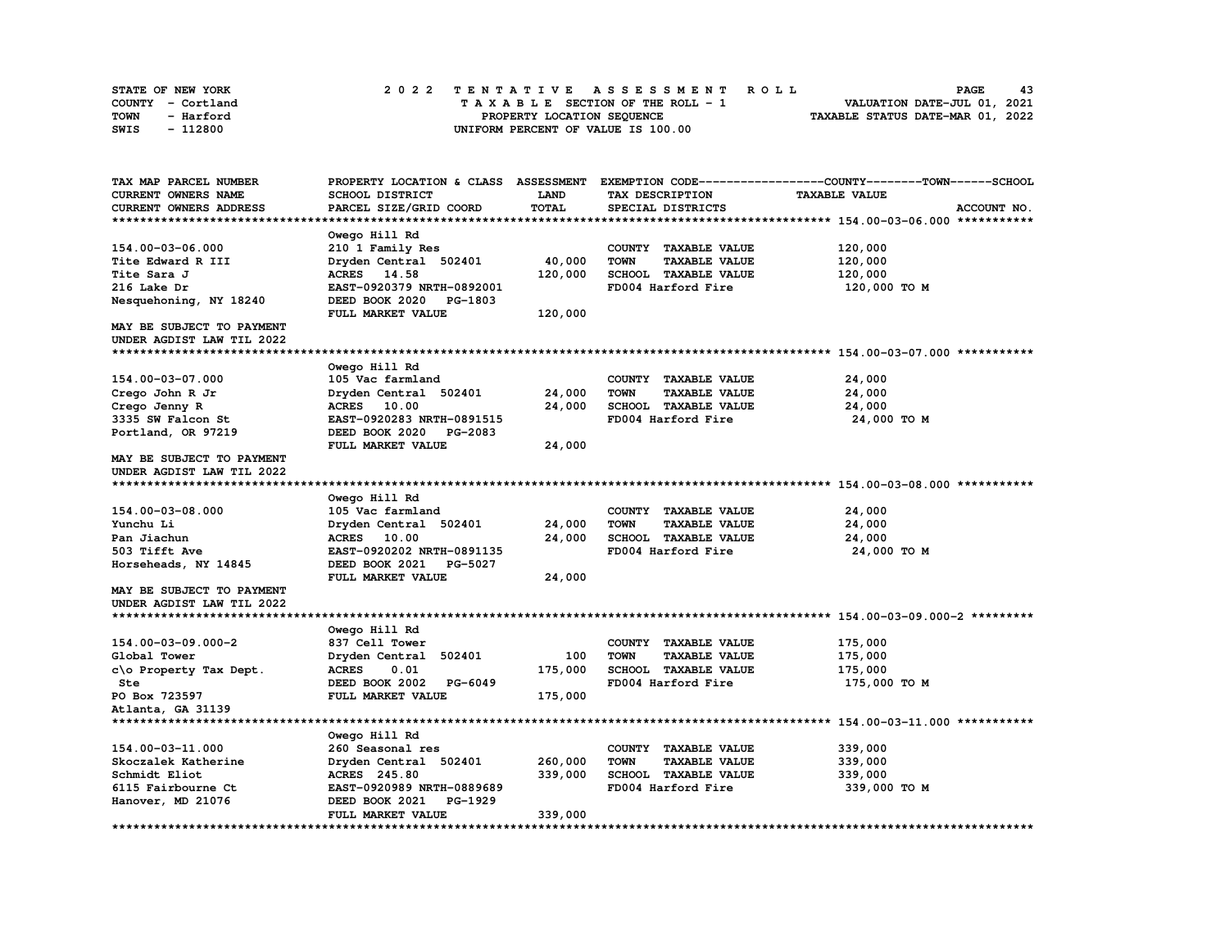| <b>STATE OF NEW YORK</b> | 2022 TENTATIVE ASSESSMENT ROLL          | 43<br><b>PAGE</b>                |
|--------------------------|-----------------------------------------|----------------------------------|
| COUNTY - Cortland        | $T A X A B L E$ SECTION OF THE ROLL - 1 | VALUATION DATE-JUL 01, 2021      |
| TOWN<br>- Harford        | PROPERTY LOCATION SEQUENCE              | TAXABLE STATUS DATE-MAR 01, 2022 |
| - 112800<br>SWIS         | UNIFORM PERCENT OF VALUE IS 100.00      |                                  |

| TAX MAP PARCEL NUMBER      | PROPERTY LOCATION & CLASS ASSESSMENT |         |                                     | EXEMPTION CODE-----------------COUNTY-------TOWN------SCHOOL |
|----------------------------|--------------------------------------|---------|-------------------------------------|--------------------------------------------------------------|
| <b>CURRENT OWNERS NAME</b> | SCHOOL DISTRICT                      | LAND    | TAX DESCRIPTION                     | <b>TAXABLE VALUE</b>                                         |
| CURRENT OWNERS ADDRESS     | PARCEL SIZE/GRID COORD               | TOTAL   | SPECIAL DISTRICTS                   | ACCOUNT NO.                                                  |
|                            |                                      |         |                                     |                                                              |
|                            | Owego Hill Rd                        |         |                                     |                                                              |
| 154.00-03-06.000           | 210 1 Family Res                     |         | COUNTY TAXABLE VALUE                | 120,000                                                      |
| Tite Edward R III          | Dryden Central 502401                | 40,000  | <b>TOWN</b><br><b>TAXABLE VALUE</b> | 120,000                                                      |
| Tite Sara J                | ACRES 14.58                          | 120,000 | SCHOOL TAXABLE VALUE                | 120,000                                                      |
| 216 Lake Dr                | EAST-0920379 NRTH-0892001            |         | FD004 Harford Fire                  | 120,000 TO M                                                 |
| Nesquehoning, NY 18240     | DEED BOOK 2020<br>PG-1803            |         |                                     |                                                              |
|                            | FULL MARKET VALUE                    | 120,000 |                                     |                                                              |
| MAY BE SUBJECT TO PAYMENT  |                                      |         |                                     |                                                              |
| UNDER AGDIST LAW TIL 2022  |                                      |         |                                     |                                                              |
|                            |                                      |         |                                     |                                                              |
|                            | Owego Hill Rd                        |         |                                     |                                                              |
| 154.00-03-07.000           | 105 Vac farmland                     |         | COUNTY TAXABLE VALUE                | 24,000                                                       |
| Crego John R Jr            | Dryden Central 502401                | 24,000  | <b>TOWN</b><br><b>TAXABLE VALUE</b> | 24,000                                                       |
| Crego Jenny R              | ACRES 10.00                          | 24,000  | SCHOOL TAXABLE VALUE                | 24,000                                                       |
| 3335 SW Falcon St          | EAST-0920283 NRTH-0891515            |         | FD004 Harford Fire                  | 24,000 TO M                                                  |
| Portland, OR 97219         | DEED BOOK 2020<br>PG-2083            |         |                                     |                                                              |
|                            | FULL MARKET VALUE                    | 24,000  |                                     |                                                              |
| MAY BE SUBJECT TO PAYMENT  |                                      |         |                                     |                                                              |
| UNDER AGDIST LAW TIL 2022  |                                      |         |                                     |                                                              |
|                            |                                      |         |                                     |                                                              |
|                            | Owego Hill Rd                        |         |                                     |                                                              |
| 154.00-03-08.000           | 105 Vac farmland                     |         | COUNTY TAXABLE VALUE                | 24,000                                                       |
| Yunchu Li                  | Dryden Central 502401                | 24,000  | <b>TOWN</b><br><b>TAXABLE VALUE</b> | 24,000                                                       |
| Pan Jiachun                | ACRES 10.00                          | 24,000  | SCHOOL TAXABLE VALUE                | 24,000                                                       |
| 503 Tifft Ave              | EAST-0920202 NRTH-0891135            |         | FD004 Harford Fire                  | 24,000 TO M                                                  |
| Horseheads, NY 14845       | DEED BOOK 2021<br>PG-5027            |         |                                     |                                                              |
|                            | FULL MARKET VALUE                    | 24,000  |                                     |                                                              |
| MAY BE SUBJECT TO PAYMENT  |                                      |         |                                     |                                                              |
| UNDER AGDIST LAW TIL 2022  |                                      |         |                                     |                                                              |
|                            |                                      |         |                                     |                                                              |
|                            | Owego Hill Rd                        |         |                                     |                                                              |
| 154.00-03-09.000-2         | 837 Cell Tower                       |         | COUNTY TAXABLE VALUE                | 175,000                                                      |
| Global Tower               | Dryden Central 502401                | 100     | <b>TOWN</b><br><b>TAXABLE VALUE</b> | 175,000                                                      |
| c\o Property Tax Dept.     | <b>ACRES</b><br>0.01                 | 175,000 | SCHOOL TAXABLE VALUE                | 175,000                                                      |
| Ste                        | DEED BOOK 2002 PG-6049               |         | FD004 Harford Fire                  | 175,000 TO M                                                 |
| PO Box 723597              | FULL MARKET VALUE                    | 175,000 |                                     |                                                              |
| Atlanta, GA 31139          |                                      |         |                                     |                                                              |
|                            |                                      |         |                                     |                                                              |
|                            | Owego Hill Rd                        |         |                                     |                                                              |
| 154.00-03-11.000           | 260 Seasonal res                     |         | COUNTY TAXABLE VALUE                | 339,000                                                      |
| Skoczalek Katherine        | Dryden Central 502401                | 260,000 | <b>TOWN</b><br><b>TAXABLE VALUE</b> | 339,000                                                      |
| Schmidt Eliot              | <b>ACRES</b> 245.80                  | 339,000 | <b>SCHOOL TAXABLE VALUE</b>         | 339,000                                                      |
| 6115 Fairbourne Ct         | EAST-0920989 NRTH-0889689            |         | FD004 Harford Fire                  | 339,000 то м                                                 |
| Hanover, MD 21076          | DEED BOOK 2021<br>PG-1929            |         |                                     |                                                              |
|                            | FULL MARKET VALUE                    | 339,000 |                                     |                                                              |
|                            |                                      |         |                                     |                                                              |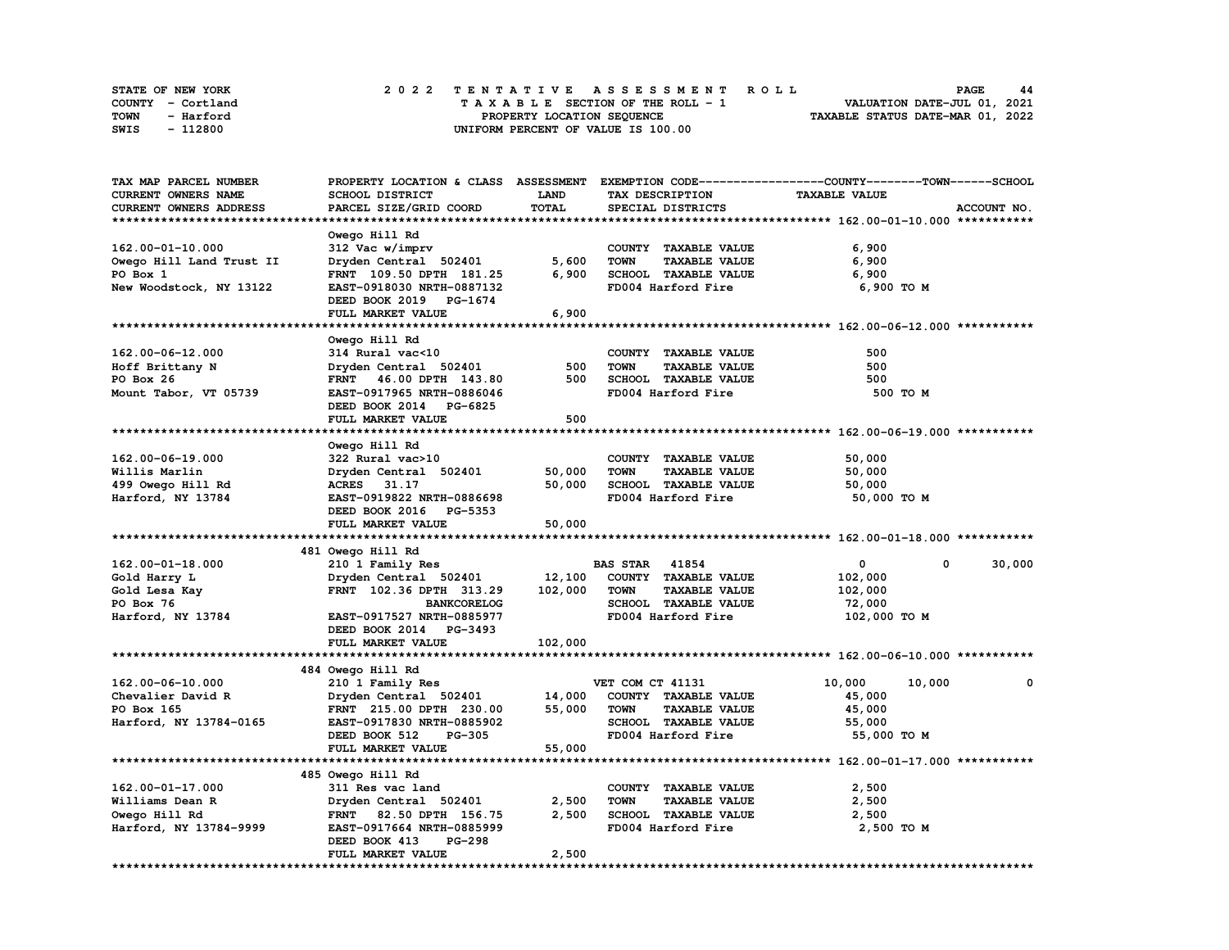| STATE OF NEW YORK | 2022 TENTATIVE ASSESSMENT ROLL     | 44<br><b>PAGE</b>                |
|-------------------|------------------------------------|----------------------------------|
| COUNTY - Cortland | TAXABLE SECTION OF THE ROLL - 1    | VALUATION DATE-JUL 01, 2021      |
| TOWN<br>- Harford | PROPERTY LOCATION SEQUENCE         | TAXABLE STATUS DATE-MAR 01, 2022 |
| - 112800<br>SWIS  | UNIFORM PERCENT OF VALUE IS 100.00 |                                  |

| TAX MAP PARCEL NUMBER    |                                                     |             |                                     | PROPERTY LOCATION & CLASS ASSESSMENT EXEMPTION CODE-----------------COUNTY-------TOWN------SCHOOL |              |
|--------------------------|-----------------------------------------------------|-------------|-------------------------------------|---------------------------------------------------------------------------------------------------|--------------|
| CURRENT OWNERS NAME      | <b>SCHOOL DISTRICT</b>                              | <b>LAND</b> | TAX DESCRIPTION                     | <b>TAXABLE VALUE</b>                                                                              |              |
| CURRENT OWNERS ADDRESS   | PARCEL SIZE/GRID COORD                              | TOTAL       | SPECIAL DISTRICTS                   |                                                                                                   | ACCOUNT NO.  |
|                          |                                                     |             |                                     |                                                                                                   |              |
|                          | Owego Hill Rd                                       |             |                                     |                                                                                                   |              |
| 162.00-01-10.000         | 312 Vac w/imprv                                     |             | COUNTY TAXABLE VALUE                | 6,900                                                                                             |              |
| Owego Hill Land Trust II | Dryden Central 502401                               | 5,600       | <b>TOWN</b><br><b>TAXABLE VALUE</b> | 6,900                                                                                             |              |
| PO Box 1                 | FRNT 109.50 DPTH 181.25                             | 6,900       | SCHOOL TAXABLE VALUE                | 6,900                                                                                             |              |
| New Woodstock, NY 13122  | EAST-0918030 NRTH-0887132                           |             | FD004 Harford Fire                  | 6,900 TO M                                                                                        |              |
|                          | DEED BOOK 2019 PG-1674                              |             |                                     |                                                                                                   |              |
|                          | FULL MARKET VALUE                                   | 6,900       |                                     |                                                                                                   |              |
|                          |                                                     |             |                                     |                                                                                                   |              |
|                          | Owego Hill Rd                                       |             |                                     |                                                                                                   |              |
| 162.00-06-12.000         | 314 Rural vac<10                                    |             | COUNTY TAXABLE VALUE                | 500                                                                                               |              |
| Hoff Brittany N          | Dryden Central 502401                               | 500         | <b>TOWN</b><br><b>TAXABLE VALUE</b> | 500                                                                                               |              |
| PO Box 26                | FRNT 46.00 DPTH 143.80                              | 500         | SCHOOL TAXABLE VALUE                | 500                                                                                               |              |
| Mount Tabor, VT 05739    | EAST-0917965 NRTH-0886046                           |             | FD004 Harford Fire                  | 500 TO M                                                                                          |              |
|                          | DEED BOOK 2014 PG-6825                              |             |                                     |                                                                                                   |              |
|                          | FULL MARKET VALUE                                   | 500         |                                     |                                                                                                   |              |
|                          |                                                     |             |                                     |                                                                                                   |              |
|                          | Owego Hill Rd                                       |             |                                     |                                                                                                   |              |
| 162.00-06-19.000         | 322 Rural vac>10                                    |             | COUNTY TAXABLE VALUE                | 50,000                                                                                            |              |
| Willis Marlin            | Dryden Central 502401                               | 50,000      | <b>TOWN</b><br><b>TAXABLE VALUE</b> | 50,000                                                                                            |              |
| 499 Owego Hill Rd        | ACRES 31.17                                         | 50,000      | SCHOOL TAXABLE VALUE                | 50,000                                                                                            |              |
| Harford, NY 13784        | EAST-0919822 NRTH-0886698                           |             | FD004 Harford Fire                  | 50,000 TO M                                                                                       |              |
|                          | DEED BOOK 2016 PG-5353                              |             |                                     |                                                                                                   |              |
|                          | FULL MARKET VALUE                                   | 50,000      |                                     |                                                                                                   |              |
|                          |                                                     |             |                                     |                                                                                                   |              |
|                          | 481 Owego Hill Rd                                   |             |                                     |                                                                                                   |              |
| 162.00-01-18.000         | 210 1 Family Res                                    |             | <b>BAS STAR</b> 41854               | $\mathbf 0$<br>$\mathbf{0}$                                                                       | 30,000       |
| Gold Harry L             | Dryden Central 502401                               | 12,100      | COUNTY TAXABLE VALUE                | 102,000                                                                                           |              |
| Gold Lesa Kay            | FRNT 102.36 DPTH 313.29                             | 102,000     | <b>TOWN</b><br><b>TAXABLE VALUE</b> | 102,000                                                                                           |              |
| PO Box 76                | <b>BANKCORELOG</b>                                  |             | SCHOOL TAXABLE VALUE                | 72,000                                                                                            |              |
| Harford, NY 13784        | EAST-0917527 NRTH-0885977                           |             | FD004 Harford Fire                  | 102,000 TO M                                                                                      |              |
|                          | DEED BOOK 2014 PG-3493                              |             |                                     |                                                                                                   |              |
|                          | FULL MARKET VALUE                                   | 102,000     |                                     |                                                                                                   |              |
|                          |                                                     |             |                                     |                                                                                                   |              |
|                          | 484 Owego Hill Rd                                   |             |                                     |                                                                                                   |              |
| 162.00-06-10.000         | 210 1 Family Res                                    |             | VET COM CT 41131                    | 10,000<br>10,000                                                                                  | $\mathbf{0}$ |
| Chevalier David R        | Dryden Central 502401                               | 14,000      | COUNTY TAXABLE VALUE                | 45,000                                                                                            |              |
| PO Box 165               | FRNT 215.00 DPTH 230.00                             | 55,000      | TOWN<br><b>TAXABLE VALUE</b>        | 45,000                                                                                            |              |
| Harford, NY 13784-0165   | EAST-0917830 NRTH-0885902                           |             | SCHOOL TAXABLE VALUE                | 55,000                                                                                            |              |
|                          | DEED BOOK 512<br><b>PG-305</b>                      |             | FD004 Harford Fire                  | 55,000 TO M                                                                                       |              |
|                          | FULL MARKET VALUE                                   | 55,000      |                                     |                                                                                                   |              |
|                          |                                                     |             |                                     |                                                                                                   |              |
|                          | 485 Owego Hill Rd                                   |             |                                     |                                                                                                   |              |
| $162.00 - 01 - 17.000$   | 311 Res vac land                                    |             | COUNTY TAXABLE VALUE                | 2,500                                                                                             |              |
| Williams Dean R          | Dryden Central 502401                               | 2,500       | <b>TOWN</b><br><b>TAXABLE VALUE</b> | 2,500                                                                                             |              |
| Owego Hill Rd            | FRNT 82.50 DPTH 156.75                              | 2,500       | SCHOOL TAXABLE VALUE                | 2,500                                                                                             |              |
| Harford, NY 13784-9999   | EAST-0917664 NRTH-0885999                           |             | FD004 Harford Fire                  | 2,500 TO M                                                                                        |              |
|                          |                                                     |             |                                     |                                                                                                   |              |
|                          |                                                     |             |                                     |                                                                                                   |              |
|                          | <b>PG-298</b><br>DEED BOOK 413<br>FULL MARKET VALUE | 2,500       |                                     |                                                                                                   |              |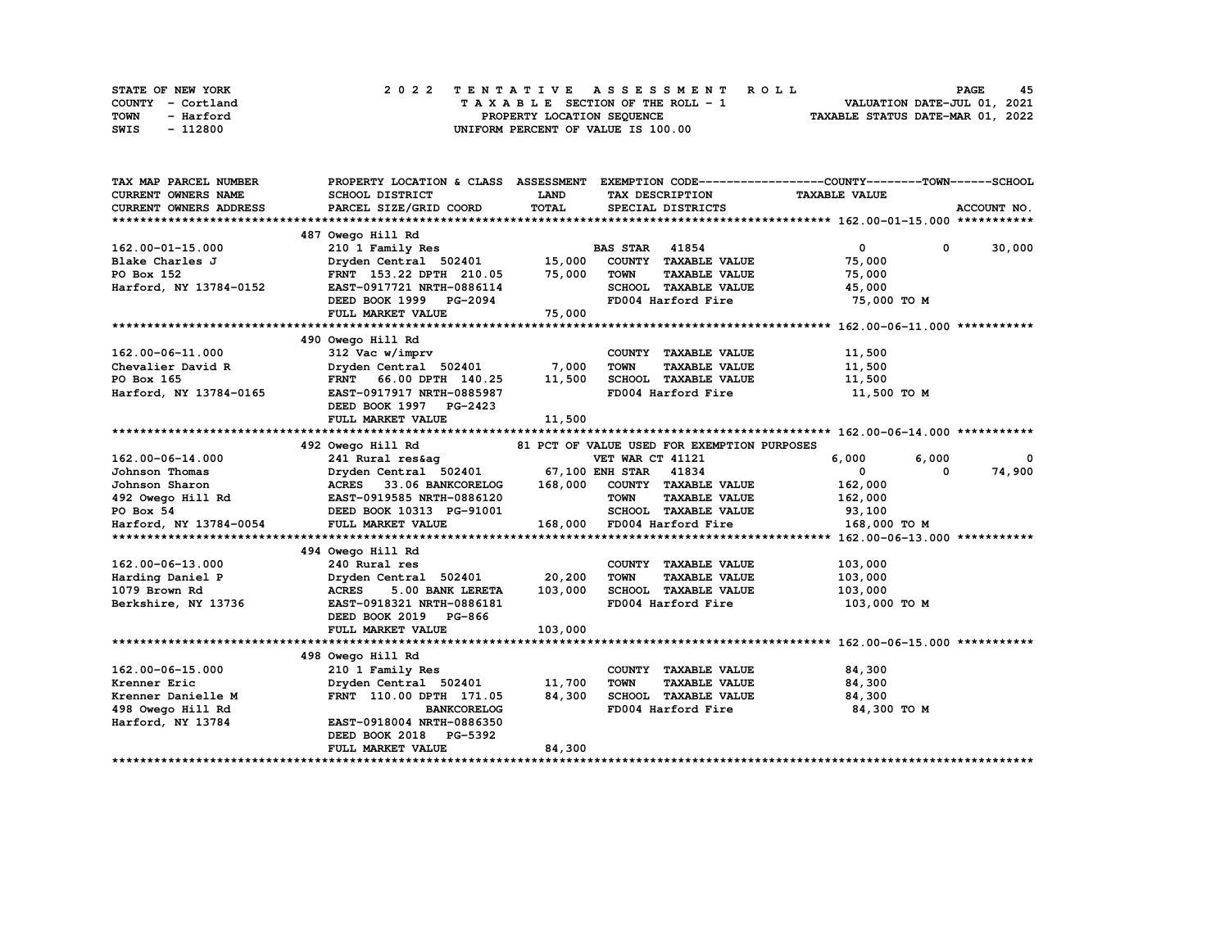| STATE OF NEW YORK |                   |  |  |  |  | 2022 TENTATIVE ASSESSMENT ROLL     |  |  |  |  |  |  |                                  | <b>PAGE</b> | 45 |
|-------------------|-------------------|--|--|--|--|------------------------------------|--|--|--|--|--|--|----------------------------------|-------------|----|
|                   | COUNTY - Cortland |  |  |  |  | TAXABLE SECTION OF THE ROLL - 1    |  |  |  |  |  |  | VALUATION DATE-JUL 01, 2021      |             |    |
| TOWN              | - Harford         |  |  |  |  | PROPERTY LOCATION SEQUENCE         |  |  |  |  |  |  | TAXABLE STATUS DATE-MAR 01, 2022 |             |    |
| SWIS              | - 112800          |  |  |  |  | UNIFORM PERCENT OF VALUE IS 100.00 |  |  |  |  |  |  |                                  |             |    |

| TAX MAP PARCEL NUMBER      |                                                                                                                                                                                                                                                          |             |                                               | PROPERTY LOCATION & CLASS ASSESSMENT EXEMPTION CODE----------------COUNTY-------TOWN-----SCHOOL                                                                                                                                               |
|----------------------------|----------------------------------------------------------------------------------------------------------------------------------------------------------------------------------------------------------------------------------------------------------|-------------|-----------------------------------------------|-----------------------------------------------------------------------------------------------------------------------------------------------------------------------------------------------------------------------------------------------|
| <b>CURRENT OWNERS NAME</b> | <b>SCHOOL DISTRICT</b>                                                                                                                                                                                                                                   | <b>LAND</b> | TAX DESCRIPTION                               | <b>TAXABLE VALUE</b>                                                                                                                                                                                                                          |
| CURRENT OWNERS ADDRESS     | PARCEL SIZE/GRID COORD                                                                                                                                                                                                                                   | TOTAL       | SPECIAL DISTRICTS                             | ACCOUNT NO.                                                                                                                                                                                                                                   |
|                            |                                                                                                                                                                                                                                                          |             |                                               |                                                                                                                                                                                                                                               |
|                            | 487 Owego Hill Rd                                                                                                                                                                                                                                        |             |                                               |                                                                                                                                                                                                                                               |
| 162.00-01-15.000           | 210 1 Family Res                                                                                                                                                                                                                                         |             | <b>BAS STAR 41854</b>                         | $\overline{0}$<br>$0 \t 30,000$                                                                                                                                                                                                               |
| Blake Charles J            | Dryden Central 502401 15,000                                                                                                                                                                                                                             |             | COUNTY TAXABLE VALUE                          | 75,000                                                                                                                                                                                                                                        |
| PO Box 152                 | FRNT 153.22 DPTH 210.05 75,000                                                                                                                                                                                                                           |             | <b>TOWN</b><br><b>TAXABLE VALUE</b>           | 75,000                                                                                                                                                                                                                                        |
| Harford, NY 13784-0152     | EAST-0917721 NRTH-0886114                                                                                                                                                                                                                                |             | SCHOOL TAXABLE VALUE                          | 45,000                                                                                                                                                                                                                                        |
|                            | DEED BOOK 1999 PG-2094                                                                                                                                                                                                                                   |             | FD004 Harford Fire                            | 75,000 TO M                                                                                                                                                                                                                                   |
|                            | FULL MARKET VALUE                                                                                                                                                                                                                                        | 75,000      |                                               |                                                                                                                                                                                                                                               |
|                            |                                                                                                                                                                                                                                                          |             |                                               |                                                                                                                                                                                                                                               |
|                            | 490 Owego Hill Rd                                                                                                                                                                                                                                        |             |                                               |                                                                                                                                                                                                                                               |
| 162.00-06-11.000           | 312 Vac w/imprv                                                                                                                                                                                                                                          |             | COUNTY TAXABLE VALUE                          | 11,500                                                                                                                                                                                                                                        |
| Chevalier David R          | Dryden Central 502401 7,000                                                                                                                                                                                                                              |             | TOWN<br><b>TAXABLE VALUE</b>                  | 11,500                                                                                                                                                                                                                                        |
| PO Box 165                 | FRNT 66.00 DPTH 140.25 11,500                                                                                                                                                                                                                            |             | SCHOOL TAXABLE VALUE                          | 11,500                                                                                                                                                                                                                                        |
| Harford, NY 13784-0165     | EAST-0917917 NRTH-0885987                                                                                                                                                                                                                                |             | FD004 Harford Fire                            | 11,500 TO M                                                                                                                                                                                                                                   |
|                            | DEED BOOK 1997 PG-2423                                                                                                                                                                                                                                   |             |                                               |                                                                                                                                                                                                                                               |
|                            | FULL MARKET VALUE                                                                                                                                                                                                                                        | 11,500      |                                               |                                                                                                                                                                                                                                               |
|                            |                                                                                                                                                                                                                                                          |             |                                               |                                                                                                                                                                                                                                               |
|                            | 492 Owego Hill Rd                                                                                                                                                                                                                                        |             | 81 PCT OF VALUE USED FOR EXEMPTION PURPOSES   |                                                                                                                                                                                                                                               |
| 162.00-06-14.000           | 241 Rural res&ag                                                                                                                                                                                                                                         |             | VET WAR CT 41121                              | 6,000 6,000 6,000 6,000 6,000 6,000 6,000 6,000 6,000 6,000 6,000 6,000 6,000 6,000 6,000 6,000 6,000 6,000 6,000 6,000 6,000 6,000 6,000 6,000 6,000 6,000 6,000 6,000 6,000 6,000 6,000 6,000 6,000 6,000 6,000 6,000 6,000 6<br>6,000<br>0 |
|                            | Dryden Central 502401                                                                                                                                                                                                                                    |             |                                               | 74,900                                                                                                                                                                                                                                        |
|                            | 30 Johnson Thomas<br>30 Johnson Sharon<br>30 Johnson Sharon<br>30 Johnson Sharon<br>30 Johnson Sharon<br>30 Johnson Sharon<br>30 Johnson Sharon<br>30 Johnson Sharon<br>30 Johnson<br>30 Johnson<br>30 Johnson<br>30 Johnson<br>30 Johnson<br>30 Johnson |             | 67,100 ENH STAR 41834<br>COUNTY TAXABLE VALUE | $\mathbf{0}$<br>0                                                                                                                                                                                                                             |
|                            |                                                                                                                                                                                                                                                          |             | <b>TOWN</b>                                   | 162,000                                                                                                                                                                                                                                       |
|                            |                                                                                                                                                                                                                                                          |             | <b>TAXABLE VALUE</b>                          | 162,000                                                                                                                                                                                                                                       |
|                            | DEED BOOK 10313 PG-91001                                                                                                                                                                                                                                 |             | SCHOOL TAXABLE VALUE                          | 93,100                                                                                                                                                                                                                                        |
| Harford, NY 13784-0054     | FULL MARKET VALUE                                                                                                                                                                                                                                        |             | 168,000 FD004 Harford Fire                    | 168,000 то м                                                                                                                                                                                                                                  |
|                            |                                                                                                                                                                                                                                                          |             |                                               |                                                                                                                                                                                                                                               |
|                            | 494 Owego Hill Rd                                                                                                                                                                                                                                        |             |                                               |                                                                                                                                                                                                                                               |
| 162.00-06-13.000           | 240 Rural res                                                                                                                                                                                                                                            |             | COUNTY TAXABLE VALUE                          | 103,000                                                                                                                                                                                                                                       |
| Harding Daniel P           | Dryden Central 502401 20,200                                                                                                                                                                                                                             |             | <b>TOWN</b><br><b>TAXABLE VALUE</b>           | 103,000                                                                                                                                                                                                                                       |
| 1079 Brown Rd              | <b>ACRES</b><br>5.00 BANK LERETA                                                                                                                                                                                                                         | 103,000     | SCHOOL TAXABLE VALUE                          | 103,000                                                                                                                                                                                                                                       |
| Berkshire, NY 13736        | EAST-0918321 NRTH-0886181                                                                                                                                                                                                                                |             | FD004 Harford Fire                            | 103,000 то м                                                                                                                                                                                                                                  |
|                            | DEED BOOK 2019 PG-866                                                                                                                                                                                                                                    |             |                                               |                                                                                                                                                                                                                                               |
|                            | FULL MARKET VALUE                                                                                                                                                                                                                                        | 103,000     |                                               |                                                                                                                                                                                                                                               |
|                            |                                                                                                                                                                                                                                                          |             |                                               |                                                                                                                                                                                                                                               |
|                            | 498 Owego Hill Rd                                                                                                                                                                                                                                        |             |                                               |                                                                                                                                                                                                                                               |
| 162.00-06-15.000           | 210 1 Family Res                                                                                                                                                                                                                                         |             | COUNTY TAXABLE VALUE                          | 84,300                                                                                                                                                                                                                                        |
| Krenner Eric               | Dryden Central 502401                                                                                                                                                                                                                                    | 11,700      | <b>TOWN</b><br><b>TAXABLE VALUE</b>           | 84,300                                                                                                                                                                                                                                        |
| Krenner Danielle M         | FRNT 110.00 DPTH 171.05                                                                                                                                                                                                                                  | 84,300      | SCHOOL TAXABLE VALUE                          | 84,300                                                                                                                                                                                                                                        |
| 498 Owego Hill Rd          | <b>BANKCORELOG</b>                                                                                                                                                                                                                                       |             | FD004 Harford Fire                            | 84,300 то м                                                                                                                                                                                                                                   |
| Harford, NY 13784          | EAST-0918004 NRTH-0886350                                                                                                                                                                                                                                |             |                                               |                                                                                                                                                                                                                                               |
|                            | DEED BOOK 2018 PG-5392                                                                                                                                                                                                                                   |             |                                               |                                                                                                                                                                                                                                               |
|                            | FULL MARKET VALUE                                                                                                                                                                                                                                        | 84,300      |                                               |                                                                                                                                                                                                                                               |
|                            |                                                                                                                                                                                                                                                          |             |                                               |                                                                                                                                                                                                                                               |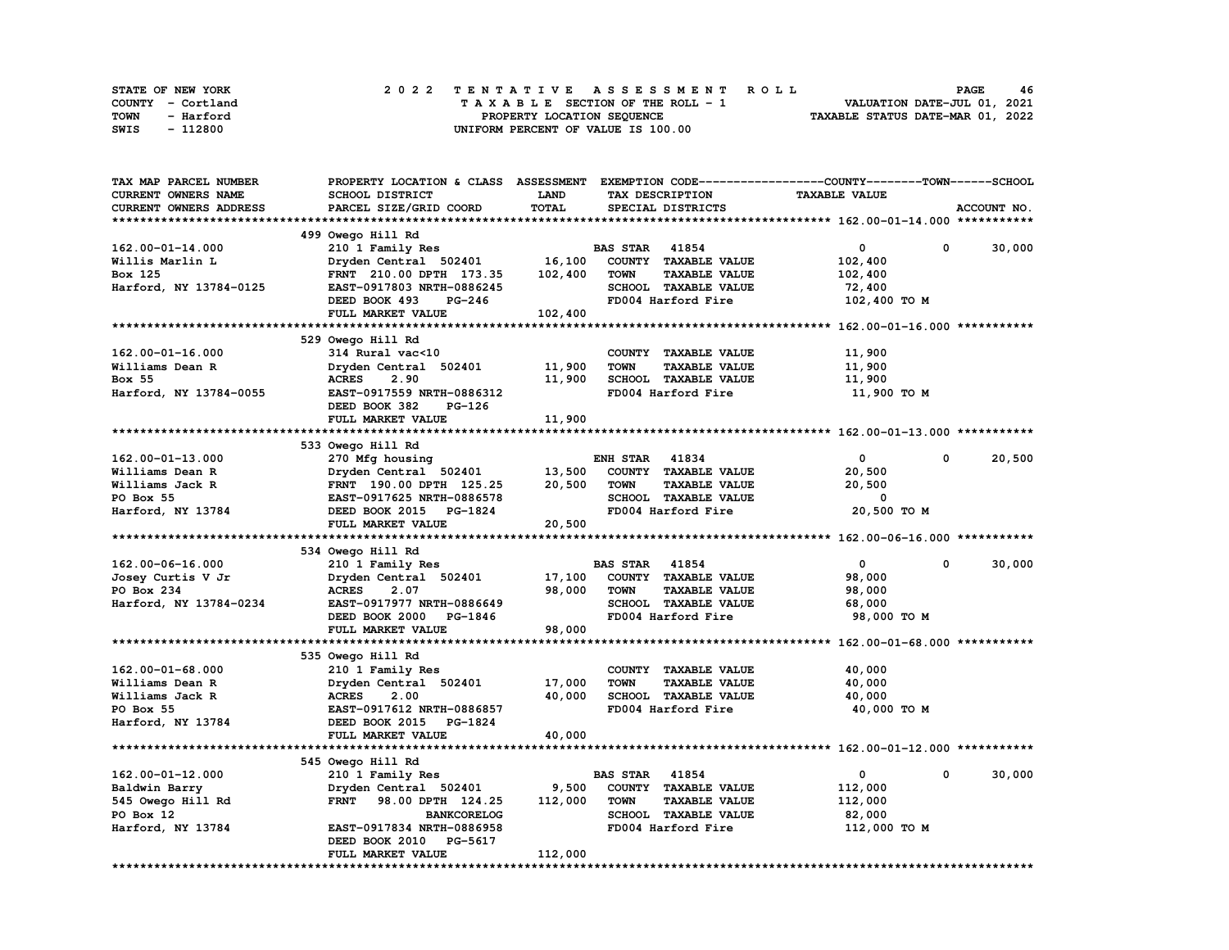| STATE OF NEW YORK | 2022 TENTATIVE ASSESSMENT ROLL     | 46<br><b>PAGE</b>                |
|-------------------|------------------------------------|----------------------------------|
| COUNTY - Cortland | TAXABLE SECTION OF THE ROLL - 1    | VALUATION DATE-JUL 01, 2021      |
| TOWN<br>- Harford | PROPERTY LOCATION SEQUENCE         | TAXABLE STATUS DATE-MAR 01, 2022 |
| - 112800<br>SWIS  | UNIFORM PERCENT OF VALUE IS 100.00 |                                  |

| TAX MAP PARCEL NUMBER  | PROPERTY LOCATION & CLASS ASSESSMENT EXEMPTION CODE-----------------COUNTY-------TOWN-----SCHOOL |             |                                     |                      |             |
|------------------------|--------------------------------------------------------------------------------------------------|-------------|-------------------------------------|----------------------|-------------|
| CURRENT OWNERS NAME    | SCHOOL DISTRICT                                                                                  | <b>LAND</b> | TAX DESCRIPTION                     | <b>TAXABLE VALUE</b> |             |
| CURRENT OWNERS ADDRESS | PARCEL SIZE/GRID COORD                                                                           | TOTAL       | SPECIAL DISTRICTS                   |                      | ACCOUNT NO. |
|                        |                                                                                                  |             |                                     |                      |             |
|                        | 499 Owego Hill Rd                                                                                |             |                                     |                      |             |
| $162.00 - 01 - 14.000$ | 210 1 Family Res                                                                                 |             | <b>BAS STAR 41854</b>               | $\mathbf 0$          | 30,000<br>0 |
| Willis Marlin L        | Dryden Central 502401                                                                            | 16,100      | COUNTY TAXABLE VALUE                | 102,400              |             |
| Box 125                | FRNT 210.00 DPTH 173.35                                                                          | 102,400     | <b>TOWN</b><br><b>TAXABLE VALUE</b> | 102,400              |             |
| Harford, NY 13784-0125 | EAST-0917803 NRTH-0886245                                                                        |             | SCHOOL TAXABLE VALUE                | 72,400               |             |
|                        | DEED BOOK 493<br>PG-246                                                                          |             | FD004 Harford Fire                  | 102,400 TO M         |             |
|                        | FULL MARKET VALUE                                                                                | 102,400     |                                     |                      |             |
|                        |                                                                                                  |             |                                     |                      |             |
|                        | 529 Owego Hill Rd                                                                                |             |                                     |                      |             |
| $162.00 - 01 - 16.000$ | 314 Rural vac<10                                                                                 |             | COUNTY TAXABLE VALUE                | 11,900               |             |
|                        |                                                                                                  |             | <b>TOWN</b><br><b>TAXABLE VALUE</b> |                      |             |
| Williams Dean R        | Dryden Central 502401                                                                            | 11,900      |                                     | 11,900               |             |
| Box 55                 | 2.90<br><b>ACRES</b>                                                                             | 11,900      | SCHOOL TAXABLE VALUE                | 11,900               |             |
| Harford, NY 13784-0055 | EAST-0917559 NRTH-0886312                                                                        |             | FD004 Harford Fire                  | 11,900 TO M          |             |
|                        | DEED BOOK 382<br>PG-126                                                                          |             |                                     |                      |             |
|                        | FULL MARKET VALUE                                                                                | 11,900      |                                     |                      |             |
|                        |                                                                                                  |             |                                     |                      |             |
|                        | 533 Owego Hill Rd                                                                                |             |                                     |                      |             |
| $162.00 - 01 - 13.000$ | 270 Mfg housing                                                                                  |             | 41834<br><b>ENH STAR</b>            | $\mathbf{0}$         | 20,500<br>0 |
| Williams Dean R        | Dryden Central 502401                                                                            | 13,500      | COUNTY TAXABLE VALUE                | 20,500               |             |
| Williams Jack R        | FRNT 190.00 DPTH 125.25                                                                          | 20,500      | <b>TOWN</b><br><b>TAXABLE VALUE</b> | 20,500               |             |
| PO Box 55              | EAST-0917625 NRTH-0886578                                                                        |             | SCHOOL TAXABLE VALUE                | 0                    |             |
| Harford, NY 13784      | DEED BOOK 2015 PG-1824                                                                           |             | FD004 Harford Fire                  | 20,500 TO M          |             |
|                        |                                                                                                  |             |                                     |                      |             |
|                        | FULL MARKET VALUE                                                                                | 20,500      |                                     |                      |             |
|                        |                                                                                                  |             |                                     |                      |             |
|                        | 534 Owego Hill Rd                                                                                |             |                                     |                      |             |
| 162.00-06-16.000       | 210 1 Family Res                                                                                 |             | <b>BAS STAR 41854</b>               | $\mathbf{o}$         | 0<br>30,000 |
| Josey Curtis V Jr      | Dryden Central 502401                                                                            | 17,100      | COUNTY TAXABLE VALUE                | 98,000               |             |
| PO Box 234             | <b>ACRES</b><br>2.07                                                                             | 98,000      | <b>TOWN</b><br><b>TAXABLE VALUE</b> | 98,000               |             |
| Harford, NY 13784-0234 | EAST-0917977 NRTH-0886649                                                                        |             | SCHOOL TAXABLE VALUE                | 68,000               |             |
|                        | DEED BOOK 2000<br>PG-1846                                                                        |             | FD004 Harford Fire                  | 98,000 TO M          |             |
|                        | FULL MARKET VALUE                                                                                | 98,000      |                                     |                      |             |
|                        |                                                                                                  |             |                                     |                      |             |
|                        | 535 Owego Hill Rd                                                                                |             |                                     |                      |             |
| $162.00 - 01 - 68.000$ |                                                                                                  |             | COUNTY TAXABLE VALUE                | 40,000               |             |
| Williams Dean R        | 210 1 Family Res<br>Dryden Central 502401                                                        | 17,000      | <b>TOWN</b><br><b>TAXABLE VALUE</b> | 40,000               |             |
|                        |                                                                                                  |             |                                     |                      |             |
| Williams Jack R        | <b>ACRES</b><br>2.00                                                                             | 40,000      | SCHOOL TAXABLE VALUE                | 40,000               |             |
| PO Box 55              | EAST-0917612 NRTH-0886857                                                                        |             | FD004 Harford Fire                  | 40,000 TO M          |             |
| Harford, NY 13784      | DEED BOOK 2015 PG-1824                                                                           |             |                                     |                      |             |
|                        | FULL MARKET VALUE                                                                                | 40,000      |                                     |                      |             |
|                        |                                                                                                  |             |                                     |                      |             |
|                        | 545 Owego Hill Rd                                                                                |             |                                     |                      | $^{\circ}$  |
| $162.00 - 01 - 12.000$ | 210 1 Family Res                                                                                 |             | <b>BAS STAR 41854</b>               | $\mathbf{0}$         | 30,000      |
| Baldwin Barry          | Dryden Central 502401                                                                            | 9,500       | COUNTY TAXABLE VALUE                | 112,000              |             |
| 545 Owego Hill Rd      | FRNT 98.00 DPTH 124.25                                                                           | 112,000     | <b>TOWN</b><br><b>TAXABLE VALUE</b> | 112,000              |             |
| PO Box 12              | <b>BANKCORELOG</b>                                                                               |             | SCHOOL TAXABLE VALUE                | 82,000               |             |
| Harford, NY 13784      | EAST-0917834 NRTH-0886958                                                                        |             | FD004 Harford Fire                  | 112,000 TO M         |             |
|                        | DEED BOOK 2010<br><b>PG-5617</b><br>FULL MARKET VALUE                                            | 112,000     |                                     |                      |             |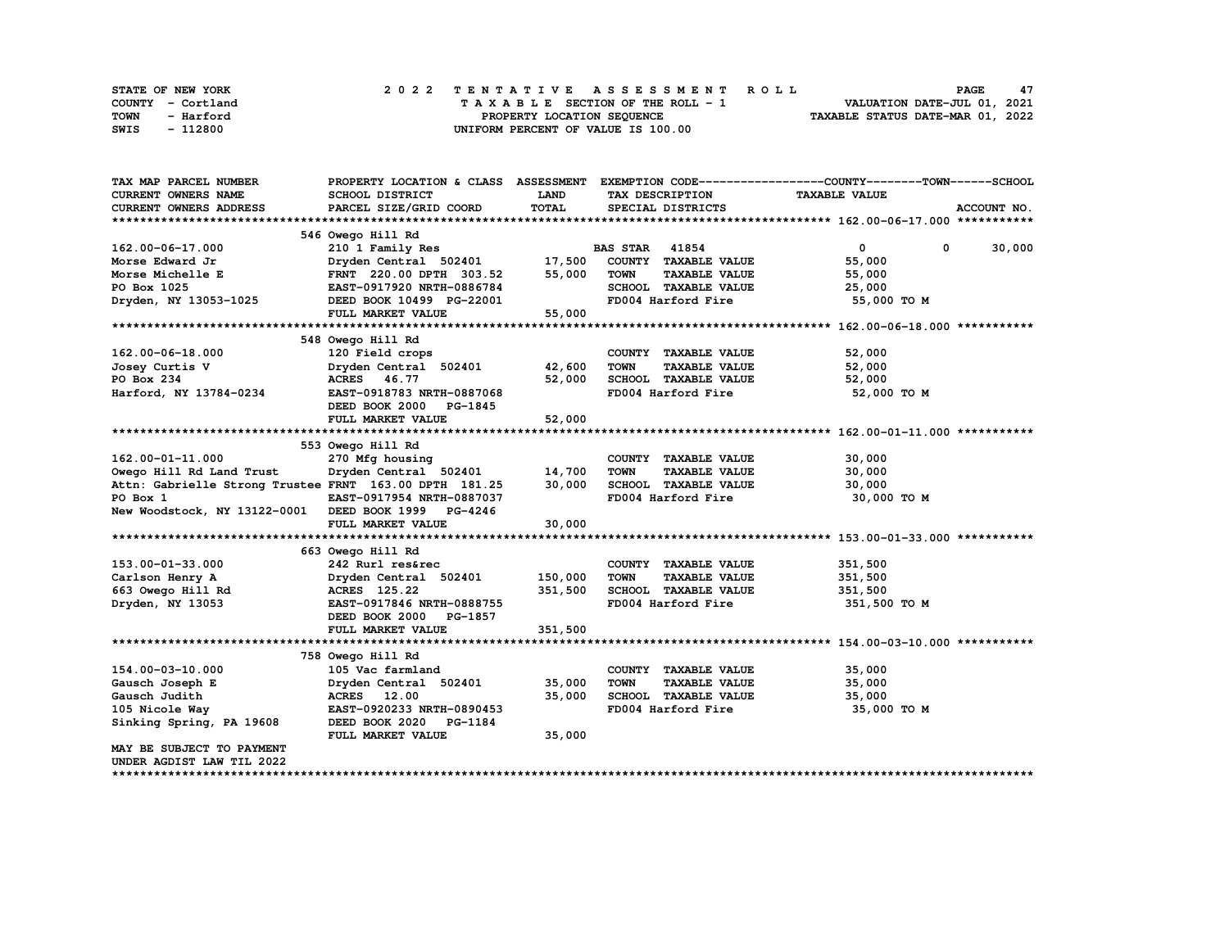| STATE OF NEW YORK | 2022 TENTATIVE ASSESSMENT ROLL     | 47<br><b>PAGE</b>                |
|-------------------|------------------------------------|----------------------------------|
| COUNTY - Cortland | TAXABLE SECTION OF THE ROLL - 1    | VALUATION DATE-JUL 01, 2021      |
| TOWN<br>- Harford | PROPERTY LOCATION SEQUENCE         | TAXABLE STATUS DATE-MAR 01, 2022 |
| - 112800<br>SWIS  | UNIFORM PERCENT OF VALUE IS 100.00 |                                  |

| TAX MAP PARCEL NUMBER                                  | PROPERTY LOCATION & CLASS ASSESSMENT |             |                       |                      | EXEMPTION CODE-----------------COUNTY-------TOWN------SCHOOL |                        |
|--------------------------------------------------------|--------------------------------------|-------------|-----------------------|----------------------|--------------------------------------------------------------|------------------------|
| <b>CURRENT OWNERS NAME</b>                             | SCHOOL DISTRICT                      | <b>LAND</b> | TAX DESCRIPTION       |                      | <b>TAXABLE VALUE</b>                                         |                        |
| CURRENT OWNERS ADDRESS                                 | PARCEL SIZE/GRID COORD               | TOTAL       |                       | SPECIAL DISTRICTS    |                                                              | ACCOUNT NO.            |
|                                                        |                                      |             |                       |                      |                                                              |                        |
|                                                        | 546 Owego Hill Rd                    |             |                       |                      |                                                              |                        |
| 162.00-06-17.000                                       | 210 1 Family Res                     |             | <b>BAS STAR 41854</b> |                      | $\mathbf{0}$                                                 | $\mathbf{0}$<br>30,000 |
| Morse Edward Jr                                        | Dryden Central 502401                | 17,500      |                       | COUNTY TAXABLE VALUE | 55,000                                                       |                        |
| Morse Michelle E                                       | FRNT 220.00 DPTH 303.52              | 55,000      | <b>TOWN</b>           | <b>TAXABLE VALUE</b> | 55,000                                                       |                        |
| PO Box 1025                                            | EAST-0917920 NRTH-0886784            |             |                       | SCHOOL TAXABLE VALUE | 25,000                                                       |                        |
| Dryden, NY 13053-1025                                  | DEED BOOK 10499 PG-22001             |             |                       | FD004 Harford Fire   | 55,000 TO M                                                  |                        |
|                                                        | FULL MARKET VALUE                    | 55,000      |                       |                      |                                                              |                        |
|                                                        |                                      |             |                       |                      |                                                              |                        |
|                                                        | 548 Owego Hill Rd                    |             |                       |                      |                                                              |                        |
| 162.00-06-18.000                                       | 120 Field crops                      |             |                       | COUNTY TAXABLE VALUE | 52,000                                                       |                        |
| Josey Curtis V                                         | Dryden Central 502401                | 42,600      | <b>TOWN</b>           | <b>TAXABLE VALUE</b> | 52,000                                                       |                        |
| PO Box 234                                             | ACRES 46.77                          | 52,000      |                       | SCHOOL TAXABLE VALUE | 52,000                                                       |                        |
| Harford, NY 13784-0234                                 | EAST-0918783 NRTH-0887068            |             |                       | FD004 Harford Fire   | 52,000 TO M                                                  |                        |
|                                                        | DEED BOOK 2000<br>PG-1845            |             |                       |                      |                                                              |                        |
|                                                        | FULL MARKET VALUE                    | 52,000      |                       |                      |                                                              |                        |
|                                                        |                                      |             |                       |                      |                                                              |                        |
|                                                        | 553 Owego Hill Rd                    |             |                       |                      |                                                              |                        |
| 162.00-01-11.000                                       | 270 Mfg housing                      |             |                       | COUNTY TAXABLE VALUE | 30,000                                                       |                        |
| Owego Hill Rd Land Trust                               | Dryden Central 502401                | 14,700      | <b>TOWN</b>           | <b>TAXABLE VALUE</b> | 30,000                                                       |                        |
| Attn: Gabrielle Strong Trustee FRNT 163.00 DPTH 181.25 |                                      | 30,000      |                       | SCHOOL TAXABLE VALUE | 30,000                                                       |                        |
| PO Box 1                                               | EAST-0917954 NRTH-0887037            |             |                       | FD004 Harford Fire   | 30,000 TO M                                                  |                        |
| New Woodstock, NY 13122-0001 DEED BOOK 1999 PG-4246    |                                      |             |                       |                      |                                                              |                        |
|                                                        | FULL MARKET VALUE                    | 30,000      |                       |                      |                                                              |                        |
|                                                        |                                      |             |                       |                      |                                                              |                        |
|                                                        | 663 Owego Hill Rd                    |             |                       |                      |                                                              |                        |
| 153.00-01-33.000                                       | 242 Rurl res&rec                     |             |                       | COUNTY TAXABLE VALUE | 351,500                                                      |                        |
| Carlson Henry A                                        | Dryden Central 502401                | 150,000     | <b>TOWN</b>           | <b>TAXABLE VALUE</b> | 351,500                                                      |                        |
| 663 Owego Hill Rd                                      | ACRES 125.22                         | 351,500     |                       | SCHOOL TAXABLE VALUE | 351,500                                                      |                        |
| Dryden, NY 13053                                       | EAST-0917846 NRTH-0888755            |             |                       | FD004 Harford Fire   | 351,500 TO M                                                 |                        |
|                                                        | DEED BOOK 2000<br>PG-1857            |             |                       |                      |                                                              |                        |
|                                                        | FULL MARKET VALUE                    | 351,500     |                       |                      |                                                              |                        |
|                                                        |                                      |             |                       |                      |                                                              |                        |
|                                                        | 758 Owego Hill Rd                    |             |                       |                      |                                                              |                        |
| 154.00-03-10.000                                       | 105 Vac farmland                     |             |                       | COUNTY TAXABLE VALUE | 35,000                                                       |                        |
| Gausch Joseph E                                        | Dryden Central 502401                | 35,000      | <b>TOWN</b>           | <b>TAXABLE VALUE</b> | 35,000                                                       |                        |
| Gausch Judith                                          | ACRES 12.00                          | 35,000      |                       | SCHOOL TAXABLE VALUE | 35,000                                                       |                        |
| 105 Nicole Way                                         | EAST-0920233 NRTH-0890453            |             |                       | FD004 Harford Fire   | 35,000 TO M                                                  |                        |
| Sinking Spring, PA 19608                               | DEED BOOK 2020 PG-1184               |             |                       |                      |                                                              |                        |
|                                                        | FULL MARKET VALUE                    | 35,000      |                       |                      |                                                              |                        |
| MAY BE SUBJECT TO PAYMENT                              |                                      |             |                       |                      |                                                              |                        |
| UNDER AGDIST LAW TIL 2022                              |                                      |             |                       |                      |                                                              |                        |
|                                                        |                                      |             |                       |                      |                                                              |                        |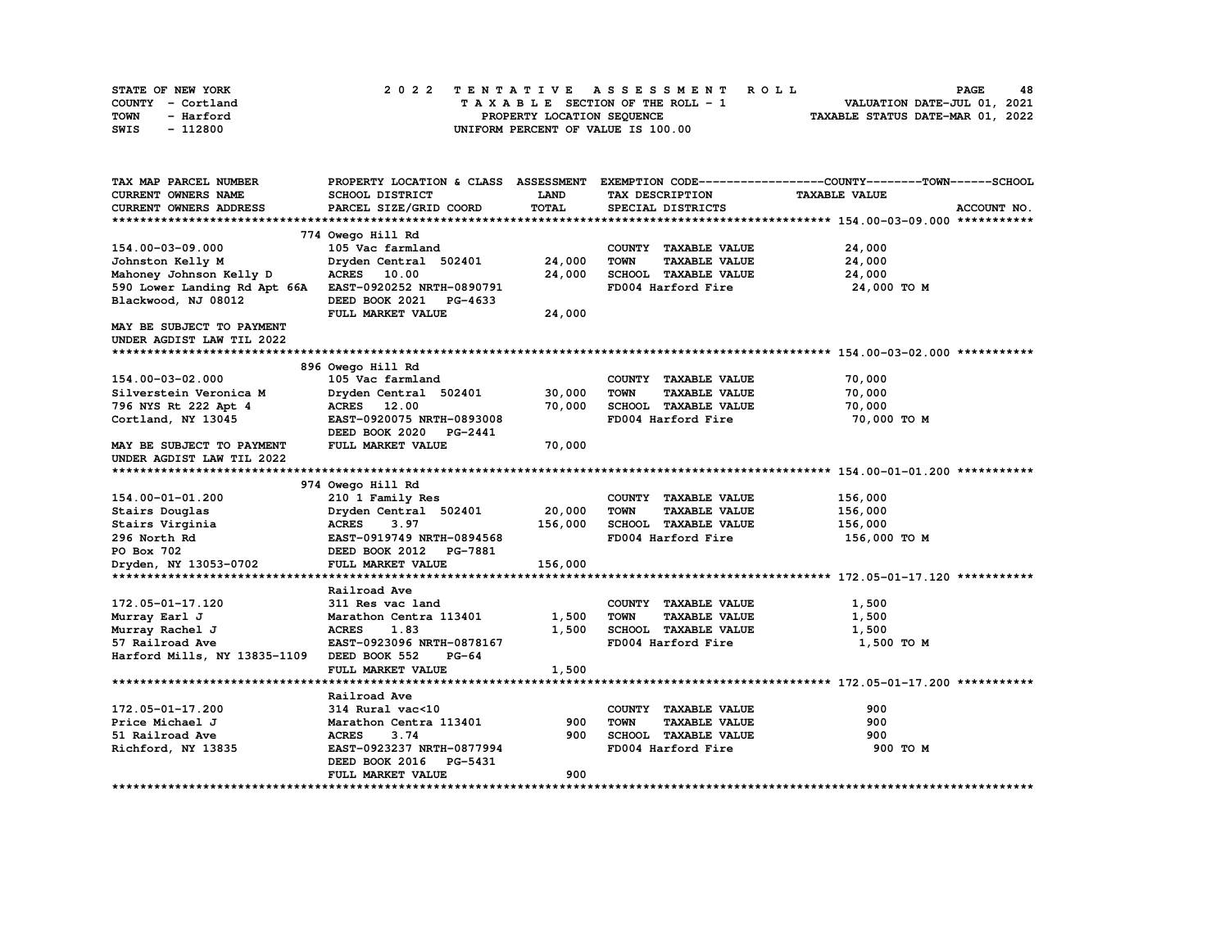| STATE OF NEW YORK | 2022 TENTATIVE ASSESSMENT ROLL     | 48<br><b>PAGE</b>                |
|-------------------|------------------------------------|----------------------------------|
| COUNTY - Cortland | TAXABLE SECTION OF THE ROLL - 1    | VALUATION DATE-JUL 01, 2021      |
| TOWN<br>- Harford | PROPERTY LOCATION SEQUENCE         | TAXABLE STATUS DATE-MAR 01, 2022 |
| - 112800<br>SWIS  | UNIFORM PERCENT OF VALUE IS 100.00 |                                  |

| TAX MAP PARCEL NUMBER        |                                  |              |                                     | PROPERTY LOCATION & CLASS ASSESSMENT EXEMPTION CODE----------------COUNTY-------TOWN-----SCHOOL |
|------------------------------|----------------------------------|--------------|-------------------------------------|-------------------------------------------------------------------------------------------------|
| <b>CURRENT OWNERS NAME</b>   | SCHOOL DISTRICT                  | LAND         | <b>TAX DESCRIPTION</b>              | <b>TAXABLE VALUE</b>                                                                            |
| CURRENT OWNERS ADDRESS       | PARCEL SIZE/GRID COORD           | <b>TOTAL</b> | SPECIAL DISTRICTS                   | ACCOUNT NO.                                                                                     |
|                              |                                  |              |                                     |                                                                                                 |
|                              | 774 Owego Hill Rd                |              |                                     |                                                                                                 |
| 154.00-03-09.000             | 105 Vac farmland                 |              | COUNTY TAXABLE VALUE                | 24,000                                                                                          |
| Johnston Kelly M             | Dryden Central 502401            | 24,000       | TOWN<br><b>TAXABLE VALUE</b>        | 24,000                                                                                          |
| Mahoney Johnson Kelly D      | <b>ACRES</b> 10.00               | 24,000       | SCHOOL TAXABLE VALUE                | 24,000                                                                                          |
| 590 Lower Landing Rd Apt 66A | EAST-0920252 NRTH-0890791        |              | FD004 Harford Fire                  | 24,000 TO M                                                                                     |
| Blackwood, NJ 08012          | DEED BOOK 2021<br><b>PG-4633</b> |              |                                     |                                                                                                 |
|                              | FULL MARKET VALUE                | 24,000       |                                     |                                                                                                 |
| MAY BE SUBJECT TO PAYMENT    |                                  |              |                                     |                                                                                                 |
| UNDER AGDIST LAW TIL 2022    |                                  |              |                                     |                                                                                                 |
|                              |                                  |              |                                     |                                                                                                 |
|                              | 896 Owego Hill Rd                |              |                                     |                                                                                                 |
| 154.00-03-02.000             | 105 Vac farmland                 |              | COUNTY TAXABLE VALUE                | 70,000                                                                                          |
| Silverstein Veronica M       | Dryden Central 502401            | 30,000       | <b>TOWN</b><br><b>TAXABLE VALUE</b> | 70,000                                                                                          |
| 796 NYS Rt 222 Apt 4         | ACRES 12.00                      | 70,000       | SCHOOL TAXABLE VALUE                | 70,000                                                                                          |
| Cortland, NY 13045           | EAST-0920075 NRTH-0893008        |              | FD004 Harford Fire                  | 70,000 TO M                                                                                     |
|                              | DEED BOOK 2020<br><b>PG-2441</b> |              |                                     |                                                                                                 |
| MAY BE SUBJECT TO PAYMENT    | FULL MARKET VALUE                | 70,000       |                                     |                                                                                                 |
| UNDER AGDIST LAW TIL 2022    |                                  |              |                                     |                                                                                                 |
|                              |                                  |              |                                     |                                                                                                 |
|                              | 974 Owego Hill Rd                |              |                                     |                                                                                                 |
| 154.00-01-01.200             | 210 1 Family Res                 |              | COUNTY TAXABLE VALUE                | 156,000                                                                                         |
| Stairs Douglas               | Dryden Central 502401            | 20,000       | <b>TOWN</b><br><b>TAXABLE VALUE</b> | 156,000                                                                                         |
| Stairs Virginia              | <b>ACRES</b><br>3.97             | 156,000      | SCHOOL TAXABLE VALUE                | 156,000                                                                                         |
| 296 North Rd                 | EAST-0919749 NRTH-0894568        |              | FD004 Harford Fire                  | 156,000 то м                                                                                    |
| PO Box 702                   | DEED BOOK 2012 PG-7881           |              |                                     |                                                                                                 |
| Dryden, NY 13053-0702        | FULL MARKET VALUE                | 156,000      |                                     |                                                                                                 |
|                              |                                  |              |                                     |                                                                                                 |
|                              | Railroad Ave                     |              |                                     |                                                                                                 |
| 172.05-01-17.120             | 311 Res vac land                 |              | COUNTY TAXABLE VALUE                | 1,500                                                                                           |
| Murray Earl J                | Marathon Centra 113401           | 1,500        | <b>TOWN</b><br><b>TAXABLE VALUE</b> | 1,500                                                                                           |
| Murray Rachel J              | <b>ACRES</b><br>1.83             | 1,500        | SCHOOL TAXABLE VALUE                | 1,500                                                                                           |
| 57 Railroad Ave              | EAST-0923096 NRTH-0878167        |              | FD004 Harford Fire                  | 1,500 TO M                                                                                      |
| Harford Mills, NY 13835-1109 | DEED BOOK 552<br>$PG-64$         |              |                                     |                                                                                                 |
|                              | FULL MARKET VALUE                | 1,500        |                                     |                                                                                                 |
|                              |                                  |              |                                     |                                                                                                 |
|                              | Railroad Ave                     |              |                                     |                                                                                                 |
| 172.05-01-17.200             | 314 Rural vac<10                 |              | COUNTY TAXABLE VALUE                | 900                                                                                             |
| Price Michael J              | Marathon Centra 113401           | 900          | <b>TOWN</b><br><b>TAXABLE VALUE</b> | 900                                                                                             |
| 51 Railroad Ave              | <b>ACRES</b><br>3.74             | 900          | SCHOOL TAXABLE VALUE                | 900                                                                                             |
| Richford, NY 13835           | EAST-0923237 NRTH-0877994        |              | FD004 Harford Fire                  | 900 TO M                                                                                        |
|                              | DEED BOOK 2016<br>PG-5431        | 900          |                                     |                                                                                                 |
|                              | FULL MARKET VALUE                |              |                                     |                                                                                                 |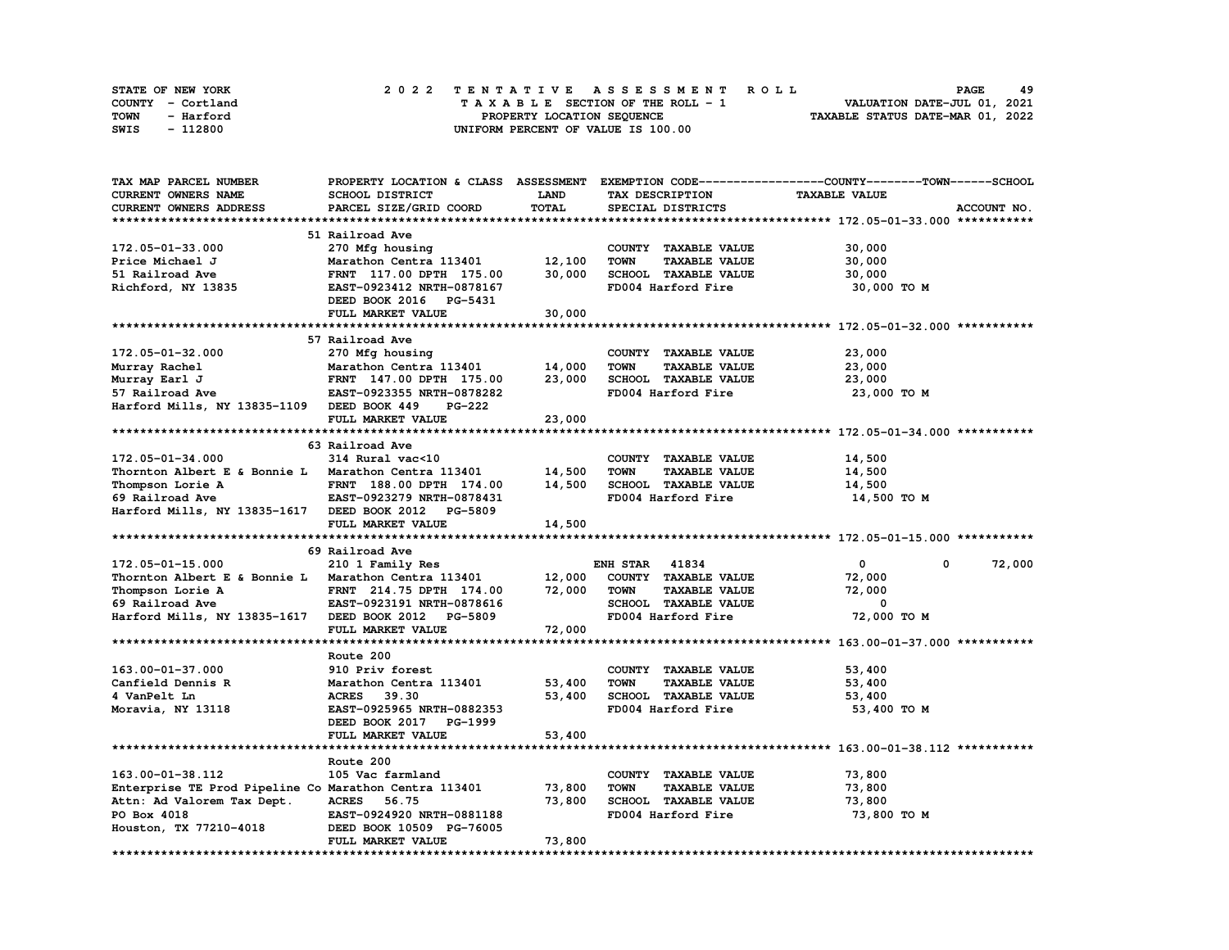| STATE OF NEW YORK | 2022 TENTATIVE ASSESSMENT ROLL          | 49<br><b>PAGE</b>                |
|-------------------|-----------------------------------------|----------------------------------|
| COUNTY - Cortland | $T A X A B L E$ SECTION OF THE ROLL - 1 | VALUATION DATE-JUL 01, 2021      |
| TOWN<br>- Harford | PROPERTY LOCATION SEQUENCE              | TAXABLE STATUS DATE-MAR 01, 2022 |
| - 112800<br>SWIS  | UNIFORM PERCENT OF VALUE IS 100.00      |                                  |

| TAX MAP PARCEL NUMBER                                 |                           |             |                                     | PROPERTY LOCATION & CLASS ASSESSMENT EXEMPTION CODE-----------------COUNTY-------TOWN------SCHOOL |
|-------------------------------------------------------|---------------------------|-------------|-------------------------------------|---------------------------------------------------------------------------------------------------|
| CURRENT OWNERS NAME                                   | SCHOOL DISTRICT           | <b>LAND</b> | TAX DESCRIPTION                     | <b>TAXABLE VALUE</b>                                                                              |
| CURRENT OWNERS ADDRESS                                | PARCEL SIZE/GRID COORD    | TOTAL       | SPECIAL DISTRICTS                   | ACCOUNT NO.                                                                                       |
|                                                       |                           |             |                                     |                                                                                                   |
|                                                       | 51 Railroad Ave           |             |                                     |                                                                                                   |
| 172.05-01-33.000                                      | 270 Mfg housing           |             | COUNTY TAXABLE VALUE                | 30,000                                                                                            |
| Price Michael J                                       | Marathon Centra 113401    | 12,100      | <b>TAXABLE VALUE</b><br><b>TOWN</b> | 30,000                                                                                            |
| 51 Railroad Ave                                       | FRNT 117.00 DPTH 175.00   | 30,000      | SCHOOL TAXABLE VALUE                | 30,000                                                                                            |
| Richford, NY 13835                                    | EAST-0923412 NRTH-0878167 |             | FD004 Harford Fire                  | 30,000 TO M                                                                                       |
|                                                       | DEED BOOK 2016 PG-5431    |             |                                     |                                                                                                   |
|                                                       |                           |             |                                     |                                                                                                   |
|                                                       | FULL MARKET VALUE         | 30,000      |                                     |                                                                                                   |
|                                                       |                           |             |                                     |                                                                                                   |
|                                                       | 57 Railroad Ave           |             |                                     |                                                                                                   |
| 172.05-01-32.000                                      | 270 Mfg housing           |             | COUNTY TAXABLE VALUE                | 23,000                                                                                            |
| Murray Rachel                                         | Marathon Centra 113401    | 14,000      | <b>TOWN</b><br><b>TAXABLE VALUE</b> | 23,000                                                                                            |
| Murray Earl J                                         | FRNT 147.00 DPTH 175.00   | 23,000      | SCHOOL TAXABLE VALUE                | 23,000                                                                                            |
| 57 Railroad Ave                                       | EAST-0923355 NRTH-0878282 |             | FD004 Harford Fire                  | 23,000 TO M                                                                                       |
| Harford Mills, NY 13835-1109                          | DEED BOOK 449<br>PG-222   |             |                                     |                                                                                                   |
|                                                       | FULL MARKET VALUE         | 23,000      |                                     |                                                                                                   |
|                                                       |                           |             |                                     |                                                                                                   |
|                                                       | 63 Railroad Ave           |             |                                     |                                                                                                   |
| 172.05-01-34.000                                      | 314 Rural vac<10          |             | COUNTY TAXABLE VALUE                | 14,500                                                                                            |
| Thornton Albert E & Bonnie L Marathon Centra 113401   |                           | 14,500      | <b>TOWN</b><br><b>TAXABLE VALUE</b> | 14,500                                                                                            |
| Thompson Lorie A                                      | FRNT 188.00 DPTH 174.00   | 14,500      | SCHOOL TAXABLE VALUE                | 14,500                                                                                            |
| 69 Railroad Ave                                       | EAST-0923279 NRTH-0878431 |             | FD004 Harford Fire                  | 14,500 TO M                                                                                       |
| Harford Mills, NY 13835-1617 DEED BOOK 2012 PG-5809   |                           |             |                                     |                                                                                                   |
|                                                       | FULL MARKET VALUE         | 14,500      |                                     |                                                                                                   |
|                                                       |                           |             |                                     |                                                                                                   |
|                                                       | 69 Railroad Ave           |             |                                     |                                                                                                   |
| 172.05-01-15.000                                      | 210 1 Family Res          |             | 41834<br><b>ENH STAR</b>            | 72,000<br>$\mathbf 0$<br>$\mathbf{0}$                                                             |
| Thornton Albert E & Bonnie L                          | Marathon Centra 113401    | 12,000      | COUNTY TAXABLE VALUE                | 72,000                                                                                            |
| Thompson Lorie A                                      | FRNT 214.75 DPTH 174.00   | 72,000      | <b>TAXABLE VALUE</b><br><b>TOWN</b> | 72,000                                                                                            |
| 69 Railroad Ave                                       | EAST-0923191 NRTH-0878616 |             | <b>SCHOOL TAXABLE VALUE</b>         | 0                                                                                                 |
| Harford Mills, NY 13835-1617                          | DEED BOOK 2012 PG-5809    |             | FD004 Harford Fire                  | 72,000 TO M                                                                                       |
|                                                       | FULL MARKET VALUE         | 72,000      |                                     |                                                                                                   |
|                                                       |                           |             |                                     |                                                                                                   |
|                                                       | Route 200                 |             |                                     |                                                                                                   |
| 163.00-01-37.000                                      | 910 Priv forest           |             | COUNTY TAXABLE VALUE                | 53,400                                                                                            |
| Canfield Dennis R                                     | Marathon Centra 113401    | 53,400      | <b>TOWN</b><br><b>TAXABLE VALUE</b> |                                                                                                   |
|                                                       |                           |             |                                     | 53,400                                                                                            |
| 4 VanPelt Ln                                          | <b>ACRES</b><br>39.30     | 53,400      | SCHOOL TAXABLE VALUE                | 53,400                                                                                            |
| Moravia, NY 13118                                     | EAST-0925965 NRTH-0882353 |             | FD004 Harford Fire                  | 53,400 TO M                                                                                       |
|                                                       | DEED BOOK 2017 PG-1999    |             |                                     |                                                                                                   |
|                                                       | FULL MARKET VALUE         | 53,400      |                                     |                                                                                                   |
|                                                       |                           |             |                                     |                                                                                                   |
|                                                       | Route 200                 |             |                                     |                                                                                                   |
| 163.00-01-38.112                                      | 105 Vac farmland          |             | COUNTY TAXABLE VALUE                | 73,800                                                                                            |
| Enterprise TE Prod Pipeline Co Marathon Centra 113401 |                           | 73,800      | <b>TAXABLE VALUE</b><br><b>TOWN</b> | 73,800                                                                                            |
| Attn: Ad Valorem Tax Dept.                            | <b>ACRES</b><br>56.75     | 73,800      | SCHOOL TAXABLE VALUE                | 73,800                                                                                            |
| PO Box 4018                                           | EAST-0924920 NRTH-0881188 |             | FD004 Harford Fire                  | 73,800 TO M                                                                                       |
| Houston, TX 77210-4018                                | DEED BOOK 10509 PG-76005  |             |                                     |                                                                                                   |
|                                                       | FULL MARKET VALUE         | 73,800      |                                     |                                                                                                   |
|                                                       |                           |             |                                     |                                                                                                   |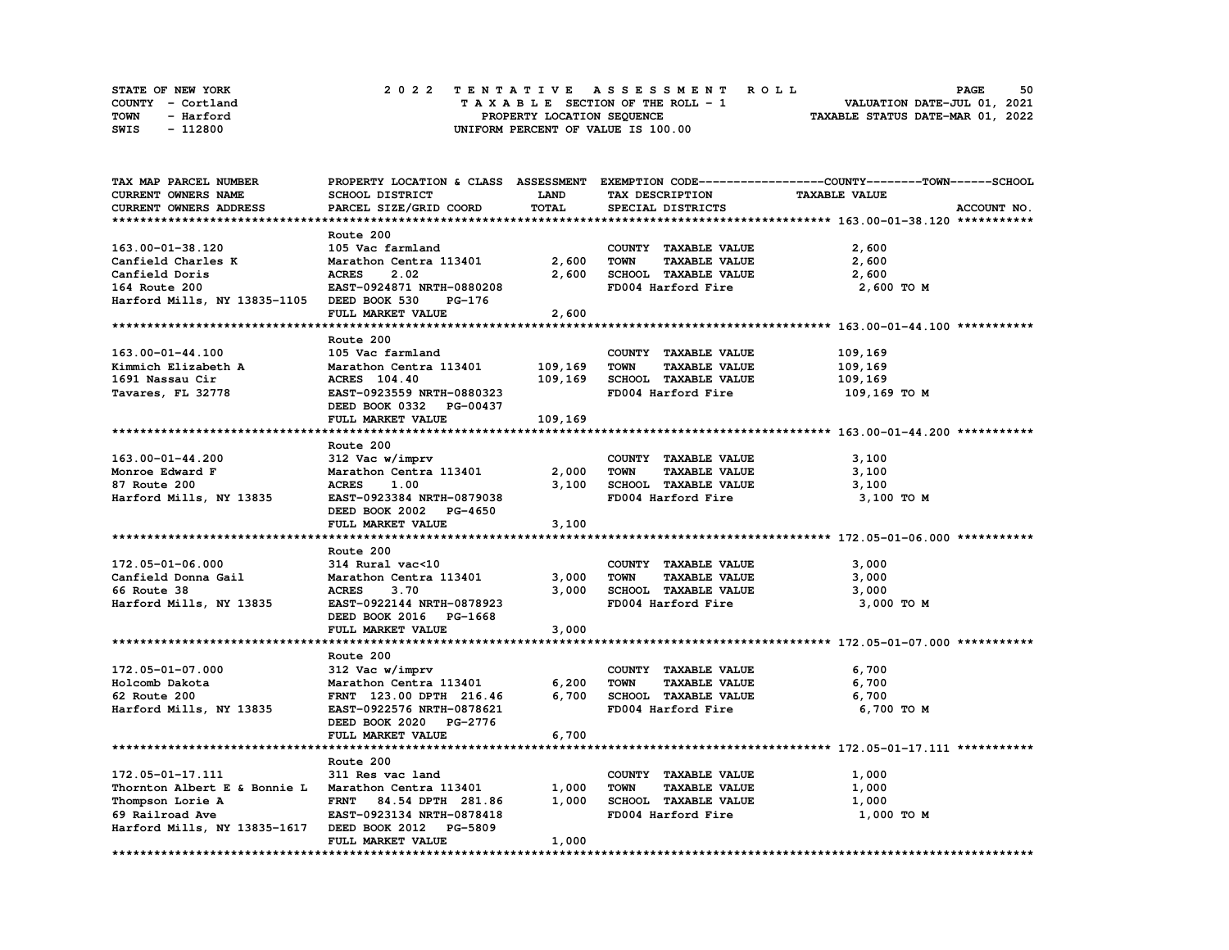| STATE OF NEW YORK | 2022 TENTATIVE ASSESSMENT ROLL     | 50<br><b>PAGE</b>                |
|-------------------|------------------------------------|----------------------------------|
| COUNTY - Cortland | TAXABLE SECTION OF THE ROLL - 1    | VALUATION DATE-JUL 01, 2021      |
| TOWN<br>- Harford | PROPERTY LOCATION SEQUENCE         | TAXABLE STATUS DATE-MAR 01, 2022 |
| - 112800<br>SWIS  | UNIFORM PERCENT OF VALUE IS 100.00 |                                  |

| TAX MAP PARCEL NUMBER                               |                           |             |                                     | PROPERTY LOCATION & CLASS ASSESSMENT EXEMPTION CODE-----------------COUNTY-------TOWN-----SCHOOL |
|-----------------------------------------------------|---------------------------|-------------|-------------------------------------|--------------------------------------------------------------------------------------------------|
| CURRENT OWNERS NAME                                 | SCHOOL DISTRICT           | <b>LAND</b> | TAX DESCRIPTION                     | <b>TAXABLE VALUE</b>                                                                             |
| CURRENT OWNERS ADDRESS                              | PARCEL SIZE/GRID COORD    | TOTAL       | SPECIAL DISTRICTS                   | ACCOUNT NO.                                                                                      |
|                                                     |                           |             |                                     |                                                                                                  |
|                                                     | Route 200                 |             |                                     |                                                                                                  |
| 163.00-01-38.120                                    | 105 Vac farmland          |             | COUNTY TAXABLE VALUE                | 2,600                                                                                            |
| Canfield Charles K                                  | Marathon Centra 113401    | 2,600       | <b>TAXABLE VALUE</b><br><b>TOWN</b> | 2,600                                                                                            |
| Canfield Doris                                      | <b>ACRES</b><br>2.02      | 2,600       | SCHOOL TAXABLE VALUE                | 2,600                                                                                            |
|                                                     | EAST-0924871 NRTH-0880208 |             | FD004 Harford Fire                  |                                                                                                  |
| 164 Route 200                                       |                           |             |                                     | 2,600 TO M                                                                                       |
| Harford Mills, NY 13835-1105 DEED BOOK 530          | PG-176                    |             |                                     |                                                                                                  |
|                                                     | FULL MARKET VALUE         | 2,600       |                                     |                                                                                                  |
|                                                     |                           |             |                                     |                                                                                                  |
|                                                     | Route 200                 |             |                                     |                                                                                                  |
| 163.00-01-44.100                                    | 105 Vac farmland          |             | COUNTY TAXABLE VALUE                | 109,169                                                                                          |
| Kimmich Elizabeth A                                 | Marathon Centra 113401    | 109,169     | <b>TOWN</b><br><b>TAXABLE VALUE</b> | 109,169                                                                                          |
| 1691 Nassau Cir                                     | ACRES 104.40              | 109,169     | SCHOOL TAXABLE VALUE                | 109,169                                                                                          |
| Tavares, FL 32778                                   | EAST-0923559 NRTH-0880323 |             | FD004 Harford Fire                  | 109,169 то м                                                                                     |
|                                                     | DEED BOOK 0332 PG-00437   |             |                                     |                                                                                                  |
|                                                     | FULL MARKET VALUE         | 109,169     |                                     |                                                                                                  |
|                                                     |                           |             |                                     |                                                                                                  |
|                                                     | Route 200                 |             |                                     |                                                                                                  |
| 163.00-01-44.200                                    | 312 Vac w/imprv           |             | COUNTY TAXABLE VALUE                | 3,100                                                                                            |
| Monroe Edward F                                     | Marathon Centra 113401    | 2,000       | <b>TOWN</b><br><b>TAXABLE VALUE</b> | 3,100                                                                                            |
| 87 Route 200                                        | <b>ACRES</b><br>1.00      | 3,100       | SCHOOL TAXABLE VALUE                | 3,100                                                                                            |
|                                                     |                           |             |                                     |                                                                                                  |
| Harford Mills, NY 13835                             | EAST-0923384 NRTH-0879038 |             | FD004 Harford Fire                  | 3,100 TO M                                                                                       |
|                                                     | DEED BOOK 2002 PG-4650    |             |                                     |                                                                                                  |
|                                                     | FULL MARKET VALUE         | 3,100       |                                     |                                                                                                  |
|                                                     |                           |             |                                     |                                                                                                  |
|                                                     | Route 200                 |             |                                     |                                                                                                  |
| 172.05-01-06.000                                    | 314 Rural vac<10          |             | COUNTY TAXABLE VALUE                | 3,000                                                                                            |
| Canfield Donna Gail                                 | Marathon Centra 113401    | 3,000       | <b>TOWN</b><br><b>TAXABLE VALUE</b> | 3,000                                                                                            |
| 66 Route 38                                         | <b>ACRES</b><br>3.70      | 3,000       | SCHOOL TAXABLE VALUE                | 3,000                                                                                            |
| Harford Mills, NY 13835                             | EAST-0922144 NRTH-0878923 |             | FD004 Harford Fire                  | 3,000 TO M                                                                                       |
|                                                     | DEED BOOK 2016 PG-1668    |             |                                     |                                                                                                  |
|                                                     | FULL MARKET VALUE         | 3,000       |                                     |                                                                                                  |
|                                                     |                           |             |                                     |                                                                                                  |
|                                                     | Route 200                 |             |                                     |                                                                                                  |
| $172.05 - 01 - 07.000$                              | 312 Vac w/imprv           |             | COUNTY TAXABLE VALUE                | 6,700                                                                                            |
| Holcomb Dakota                                      | Marathon Centra 113401    | 6,200       | <b>TOWN</b><br><b>TAXABLE VALUE</b> | 6,700                                                                                            |
| 62 Route 200                                        | FRNT 123.00 DPTH 216.46   | 6,700       | SCHOOL TAXABLE VALUE                | 6,700                                                                                            |
| Harford Mills, NY 13835                             | EAST-0922576 NRTH-0878621 |             | FD004 Harford Fire                  | 6,700 TO M                                                                                       |
|                                                     | DEED BOOK 2020 PG-2776    |             |                                     |                                                                                                  |
|                                                     | FULL MARKET VALUE         |             |                                     |                                                                                                  |
|                                                     |                           | 6,700       |                                     |                                                                                                  |
|                                                     |                           |             |                                     |                                                                                                  |
|                                                     | Route 200                 |             |                                     |                                                                                                  |
| 172.05-01-17.111                                    | 311 Res vac land          |             | COUNTY TAXABLE VALUE                | 1,000                                                                                            |
| Thornton Albert E & Bonnie L Marathon Centra 113401 |                           | 1,000       | <b>TOWN</b><br><b>TAXABLE VALUE</b> | 1,000                                                                                            |
| Thompson Lorie A                                    | FRNT 84.54 DPTH 281.86    | 1,000       | SCHOOL TAXABLE VALUE                | 1,000                                                                                            |
| 69 Railroad Ave                                     | EAST-0923134 NRTH-0878418 |             | FD004 Harford Fire                  | 1,000 TO M                                                                                       |
| Harford Mills, NY 13835-1617                        | DEED BOOK 2012 PG-5809    |             |                                     |                                                                                                  |
|                                                     | FULL MARKET VALUE         | 1,000       |                                     |                                                                                                  |
|                                                     |                           |             |                                     |                                                                                                  |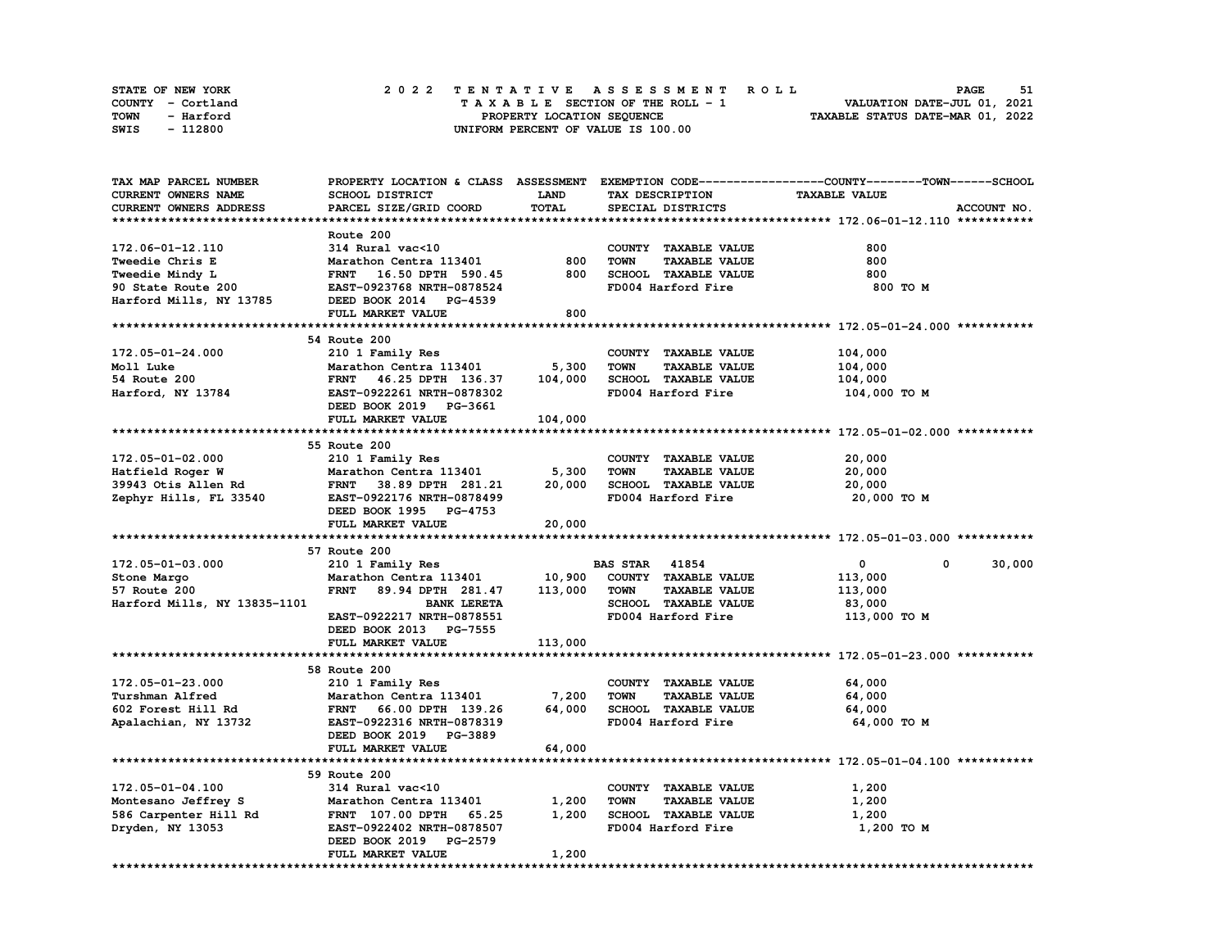| <b>STATE OF NEW YORK</b> | 2022 TENTATIVE ASSESSMENT ROLL          | 51<br><b>PAGE</b>                |
|--------------------------|-----------------------------------------|----------------------------------|
| COUNTY - Cortland        | $T A X A B L E$ SECTION OF THE ROLL - 1 | VALUATION DATE-JUL 01, 2021      |
| TOWN<br>- Harford        | PROPERTY LOCATION SEQUENCE              | TAXABLE STATUS DATE-MAR 01, 2022 |
| - 112800<br>SWIS         | UNIFORM PERCENT OF VALUE IS 100.00      |                                  |

| TAX MAP PARCEL NUMBER        | PROPERTY LOCATION & CLASS ASSESSMENT |         |                                     | EXEMPTION CODE-----------------COUNTY-------TOWN------SCHOOL |
|------------------------------|--------------------------------------|---------|-------------------------------------|--------------------------------------------------------------|
| CURRENT OWNERS NAME          | <b>SCHOOL DISTRICT</b>               | LAND    | TAX DESCRIPTION                     | <b>TAXABLE VALUE</b>                                         |
| CURRENT OWNERS ADDRESS       | PARCEL SIZE/GRID COORD               | TOTAL   | SPECIAL DISTRICTS                   | ACCOUNT NO.                                                  |
|                              |                                      |         |                                     |                                                              |
|                              | Route 200                            |         |                                     |                                                              |
| 172.06-01-12.110             | 314 Rural vac<10                     |         | COUNTY TAXABLE VALUE                | 800                                                          |
| Tweedie Chris E              | Marathon Centra 113401               | 800     | <b>TAXABLE VALUE</b><br><b>TOWN</b> | 800                                                          |
| Tweedie Mindy L              | FRNT 16.50 DPTH 590.45               | 800     | SCHOOL TAXABLE VALUE                | 800                                                          |
| 90 State Route 200           | EAST-0923768 NRTH-0878524            |         | FD004 Harford Fire                  | 800 TO M                                                     |
|                              |                                      |         |                                     |                                                              |
| Harford Mills, NY 13785      | DEED BOOK 2014 PG-4539               |         |                                     |                                                              |
|                              | FULL MARKET VALUE                    | 800     |                                     |                                                              |
|                              |                                      |         |                                     |                                                              |
|                              | 54 Route 200                         |         |                                     |                                                              |
| 172.05-01-24.000             | 210 1 Family Res                     |         | COUNTY TAXABLE VALUE                | 104,000                                                      |
| Moll Luke                    | Marathon Centra 113401               | 5,300   | <b>TOWN</b><br><b>TAXABLE VALUE</b> | 104,000                                                      |
| 54 Route 200                 | 46.25 DPTH 136.37<br><b>FRNT</b>     | 104,000 | SCHOOL TAXABLE VALUE                | 104,000                                                      |
| Harford, NY 13784            | EAST-0922261 NRTH-0878302            |         | FD004 Harford Fire                  | 104,000 TO M                                                 |
|                              | DEED BOOK 2019 PG-3661               |         |                                     |                                                              |
|                              | FULL MARKET VALUE                    | 104,000 |                                     |                                                              |
|                              |                                      |         |                                     |                                                              |
|                              | 55 Route 200                         |         |                                     |                                                              |
| 172.05-01-02.000             | 210 1 Family Res                     |         | COUNTY TAXABLE VALUE                | 20,000                                                       |
| Hatfield Roger W             | Marathon Centra 113401               | 5,300   | <b>TOWN</b><br><b>TAXABLE VALUE</b> | 20,000                                                       |
| 39943 Otis Allen Rd          | <b>FRNT</b><br>38.89 DPTH 281.21     | 20,000  | SCHOOL TAXABLE VALUE                | 20,000                                                       |
| Zephyr Hills, FL 33540       | EAST-0922176 NRTH-0878499            |         | FD004 Harford Fire                  | 20,000 TO M                                                  |
|                              | DEED BOOK 1995 PG-4753               |         |                                     |                                                              |
|                              | FULL MARKET VALUE                    | 20,000  |                                     |                                                              |
|                              |                                      |         |                                     |                                                              |
|                              | 57 Route 200                         |         |                                     |                                                              |
| 172.05-01-03.000             |                                      |         |                                     |                                                              |
|                              |                                      |         |                                     | 0                                                            |
|                              | 210 1 Family Res                     |         | <b>BAS STAR 41854</b>               | 30,000<br>0                                                  |
| Stone Margo                  | Marathon Centra 113401               | 10,900  | COUNTY TAXABLE VALUE                | 113,000                                                      |
| 57 Route 200                 | <b>FRNT</b><br>89.94 DPTH 281.47     | 113,000 | <b>TOWN</b><br><b>TAXABLE VALUE</b> | 113,000                                                      |
| Harford Mills, NY 13835-1101 | <b>BANK LERETA</b>                   |         | SCHOOL TAXABLE VALUE                | 83,000                                                       |
|                              | EAST-0922217 NRTH-0878551            |         | FD004 Harford Fire                  | 113,000 TO M                                                 |
|                              | DEED BOOK 2013 PG-7555               |         |                                     |                                                              |
|                              | FULL MARKET VALUE                    | 113,000 |                                     |                                                              |
|                              |                                      |         |                                     |                                                              |
|                              | 58 Route 200                         |         |                                     |                                                              |
| 172.05-01-23.000             | 210 1 Family Res                     |         | COUNTY TAXABLE VALUE                | 64,000                                                       |
| Turshman Alfred              | Marathon Centra 113401               | 7,200   | <b>TOWN</b><br><b>TAXABLE VALUE</b> | 64,000                                                       |
| 602 Forest Hill Rd           | <b>FRNT</b><br>66.00 DPTH 139.26     | 64,000  | SCHOOL TAXABLE VALUE                | 64,000                                                       |
| Apalachian, NY 13732         | EAST-0922316 NRTH-0878319            |         | FD004 Harford Fire                  | 64,000 TO M                                                  |
|                              | DEED BOOK 2019 PG-3889               |         |                                     |                                                              |
|                              | FULL MARKET VALUE                    | 64,000  |                                     |                                                              |
|                              |                                      |         |                                     |                                                              |
|                              | 59 Route 200                         |         |                                     |                                                              |
| 172.05-01-04.100             | 314 Rural vac<10                     |         | COUNTY TAXABLE VALUE                | 1,200                                                        |
| Montesano Jeffrey S          | Marathon Centra 113401               | 1,200   | <b>TOWN</b><br><b>TAXABLE VALUE</b> | 1,200                                                        |
| 586 Carpenter Hill Rd        | FRNT 107.00 DPTH<br>65.25            | 1,200   | SCHOOL TAXABLE VALUE                | 1,200                                                        |
| Dryden, NY 13053             | EAST-0922402 NRTH-0878507            |         | FD004 Harford Fire                  | 1,200 TO M                                                   |
|                              | <b>PG-2579</b><br>DEED BOOK 2019     |         |                                     |                                                              |
|                              | FULL MARKET VALUE                    | 1,200   |                                     |                                                              |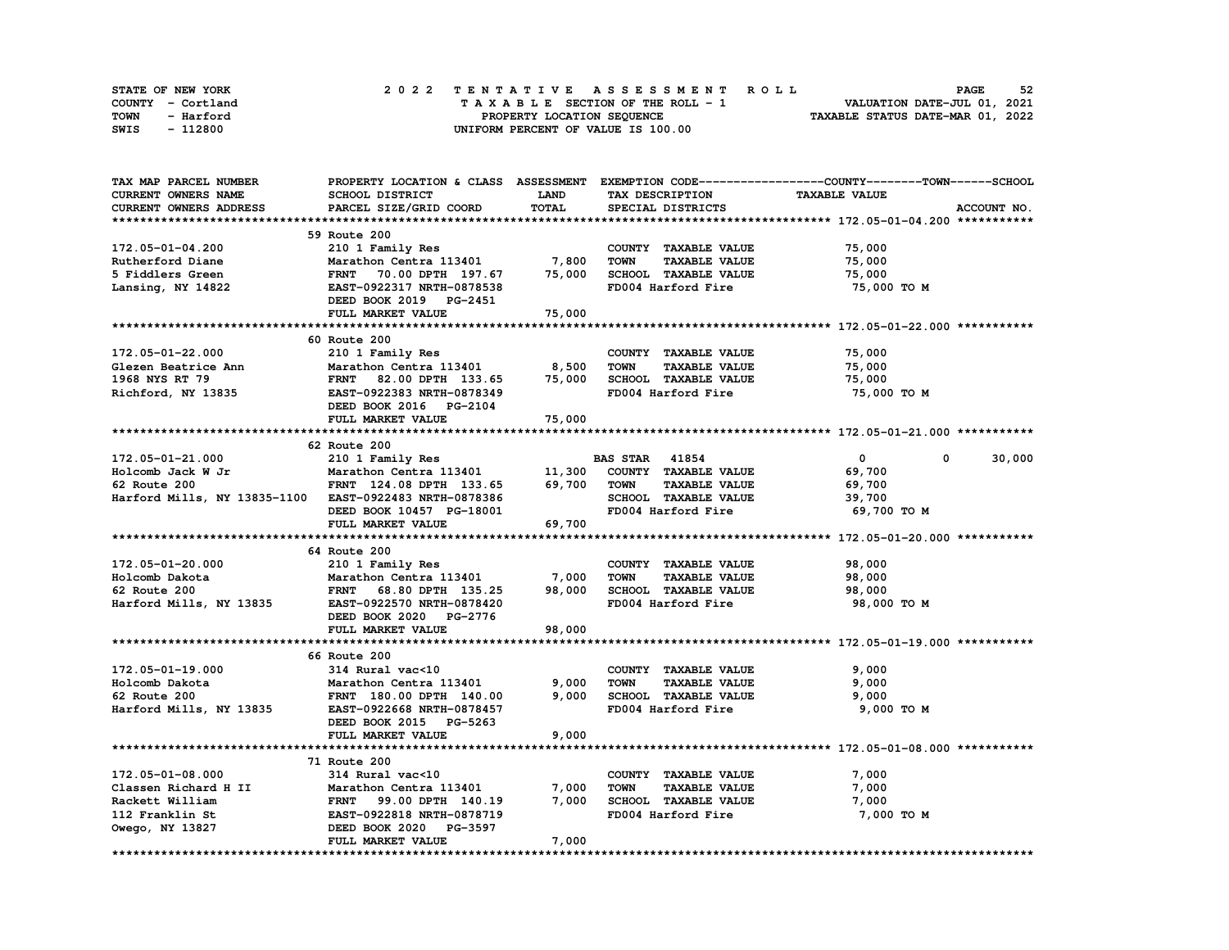| STATE OF NEW YORK |                   |  | 2022 TENTATIVE ASSESSMENT ROLL |  |  |  |                                    |  |  |  |  |  |  |                                  | <b>PAGE</b> | 52 |
|-------------------|-------------------|--|--------------------------------|--|--|--|------------------------------------|--|--|--|--|--|--|----------------------------------|-------------|----|
|                   | COUNTY - Cortland |  |                                |  |  |  | TAXABLE SECTION OF THE ROLL - 1    |  |  |  |  |  |  | VALUATION DATE-JUL 01, 2021      |             |    |
| TOWN              | - Harford         |  |                                |  |  |  | PROPERTY LOCATION SEQUENCE         |  |  |  |  |  |  | TAXABLE STATUS DATE-MAR 01, 2022 |             |    |
| SWIS              | - 112800          |  |                                |  |  |  | UNIFORM PERCENT OF VALUE IS 100.00 |  |  |  |  |  |  |                                  |             |    |

| TAX MAP PARCEL NUMBER                                                                                                                                                                                                  |                                                                                                                |             |                                     | PROPERTY LOCATION & CLASS ASSESSMENT EXEMPTION CODE-----------------COUNTY-------TOWN------SCHOOL |
|------------------------------------------------------------------------------------------------------------------------------------------------------------------------------------------------------------------------|----------------------------------------------------------------------------------------------------------------|-------------|-------------------------------------|---------------------------------------------------------------------------------------------------|
| CURRENT OWNERS NAME                                                                                                                                                                                                    | SCHOOL DISTRICT                                                                                                | <b>LAND</b> | TAX DESCRIPTION                     | <b>TAXABLE VALUE</b>                                                                              |
| CURRENT OWNERS ADDRESS                                                                                                                                                                                                 | PARCEL SIZE/GRID COORD                                                                                         | TOTAL       | SPECIAL DISTRICTS                   | ACCOUNT NO.                                                                                       |
|                                                                                                                                                                                                                        |                                                                                                                |             |                                     |                                                                                                   |
|                                                                                                                                                                                                                        | 59 Route 200                                                                                                   |             |                                     |                                                                                                   |
| 172.05-01-04.200                                                                                                                                                                                                       | 210 1 Family Res                                                                                               |             | COUNTY TAXABLE VALUE                | 75,000                                                                                            |
| Rutherford Diane                                                                                                                                                                                                       |                                                                                                                | 7,800       | <b>TAXABLE VALUE</b><br><b>TOWN</b> | 75,000                                                                                            |
| 5 Fiddlers Green                                                                                                                                                                                                       |                                                                                                                | 75,000      | SCHOOL TAXABLE VALUE                | 75,000                                                                                            |
| Lansing, NY 14822                                                                                                                                                                                                      | Marathon Centra 113401<br>FRNT - 70.00 DPTH - 197.67<br>EAST-0922317 NRTH-0878538<br>EAST-0922317 NRTH-0878538 |             | FD004 Harford Fire                  | 75,000 TO M                                                                                       |
|                                                                                                                                                                                                                        |                                                                                                                |             |                                     |                                                                                                   |
|                                                                                                                                                                                                                        | DEED BOOK 2019 PG-2451                                                                                         |             |                                     |                                                                                                   |
|                                                                                                                                                                                                                        | FULL MARKET VALUE                                                                                              | 75,000      |                                     |                                                                                                   |
|                                                                                                                                                                                                                        |                                                                                                                |             |                                     |                                                                                                   |
|                                                                                                                                                                                                                        | 60 Route 200                                                                                                   |             |                                     |                                                                                                   |
| 172.05-01-22.000                                                                                                                                                                                                       | 210 1 Family Res                                                                                               |             | COUNTY TAXABLE VALUE                | 75,000                                                                                            |
| Glezen Beatrice Ann                                                                                                                                                                                                    | Marathon Centra 113401<br>Marathon Centra 113401<br>FRNT 82.00 DPTH 133.65<br>EAST-0922383 NRTH-0878349        | 8,500       | <b>TOWN</b><br><b>TAXABLE VALUE</b> | 75,000                                                                                            |
| 1968 NYS RT 79                                                                                                                                                                                                         | FRNT 82.00 DPTH 133.65                                                                                         | 75,000      | SCHOOL TAXABLE VALUE                | 75,000                                                                                            |
| Richford, NY 13835                                                                                                                                                                                                     |                                                                                                                |             | FD004 Harford Fire                  | 75,000 TO M                                                                                       |
|                                                                                                                                                                                                                        | DEED BOOK 2016 PG-2104                                                                                         |             |                                     |                                                                                                   |
|                                                                                                                                                                                                                        | FULL MARKET VALUE                                                                                              | 75,000      |                                     |                                                                                                   |
|                                                                                                                                                                                                                        |                                                                                                                |             |                                     |                                                                                                   |
|                                                                                                                                                                                                                        | 62 Route 200                                                                                                   |             |                                     |                                                                                                   |
| 172.05-01-21.000                                                                                                                                                                                                       | 210 1 Family Res                                                                                               |             | <b>BAS STAR</b> 41854               | $\mathbf{0}$<br>$\mathbf{0}$<br>30,000                                                            |
| Holcomb Jack W Jr                                                                                                                                                                                                      | Marathon Centra 113401 11,300                                                                                  |             | COUNTY TAXABLE VALUE                | 69,700                                                                                            |
| 62 Route 200                                                                                                                                                                                                           | FRNT 124.08 DPTH 133.65 69,700 TOWN                                                                            |             | <b>TAXABLE VALUE</b>                | 69,700                                                                                            |
| Harford Mills, NY 13835-1100 EAST-0922483 NRTH-0878386                                                                                                                                                                 |                                                                                                                |             | SCHOOL TAXABLE VALUE                | 39,700                                                                                            |
|                                                                                                                                                                                                                        | DEED BOOK 10457 PG-18001                                                                                       |             | FD004 Harford Fire                  | 69,700 то м                                                                                       |
|                                                                                                                                                                                                                        | FULL MARKET VALUE                                                                                              | 69,700      |                                     |                                                                                                   |
|                                                                                                                                                                                                                        |                                                                                                                |             |                                     |                                                                                                   |
|                                                                                                                                                                                                                        | 64 Route 200                                                                                                   |             |                                     |                                                                                                   |
| 172.05-01-20.000                                                                                                                                                                                                       |                                                                                                                |             | COUNTY TAXABLE VALUE                | 98,000                                                                                            |
| Holcomb Dakota                                                                                                                                                                                                         | 210 1 Family Res                                                                                               |             | <b>TOWN</b><br><b>TAXABLE VALUE</b> |                                                                                                   |
|                                                                                                                                                                                                                        | Marathon Centra 113401                                                                                         | 7,000       |                                     | 98,000                                                                                            |
| 62 Route 200                                                                                                                                                                                                           | FRNT 68.80 DPTH 135.25                                                                                         | 98,000      | SCHOOL TAXABLE VALUE                | 98,000                                                                                            |
| Harford Mills, NY 13835                                                                                                                                                                                                | EAST-0922570 NRTH-0878420                                                                                      |             | FD004 Harford Fire                  | 98,000 TO M                                                                                       |
|                                                                                                                                                                                                                        | DEED BOOK 2020 PG-2776                                                                                         |             |                                     |                                                                                                   |
|                                                                                                                                                                                                                        | FULL MARKET VALUE                                                                                              | 98,000      |                                     |                                                                                                   |
|                                                                                                                                                                                                                        |                                                                                                                |             |                                     |                                                                                                   |
|                                                                                                                                                                                                                        | 66 Route 200                                                                                                   |             |                                     |                                                                                                   |
| 172.05-01-19.000                                                                                                                                                                                                       | 314 Rural vac<10                                                                                               |             | COUNTY TAXABLE VALUE                | 9,000                                                                                             |
| Holcomb Dakota                                                                                                                                                                                                         | Marathon Centra 113401                                                                                         | 9,000       | <b>TOWN</b><br><b>TAXABLE VALUE</b> | 9,000                                                                                             |
| 62 Route 200                                                                                                                                                                                                           | FRNT 180.00 DPTH 140.00                                                                                        | 9,000       | SCHOOL TAXABLE VALUE                | 9,000                                                                                             |
| Harford Mills, NY 13835                                                                                                                                                                                                | EAST-0922668 NRTH-0878457                                                                                      |             | FD004 Harford Fire                  | 9,000 TO M                                                                                        |
|                                                                                                                                                                                                                        | DEED BOOK 2015 PG-5263                                                                                         |             |                                     |                                                                                                   |
|                                                                                                                                                                                                                        | FULL MARKET VALUE                                                                                              | 9,000       |                                     |                                                                                                   |
|                                                                                                                                                                                                                        |                                                                                                                |             |                                     |                                                                                                   |
|                                                                                                                                                                                                                        | 71 Route 200                                                                                                   |             |                                     |                                                                                                   |
| 172.05-01-08.000                                                                                                                                                                                                       | 314 Rural vac<10                                                                                               |             | COUNTY TAXABLE VALUE                | 7,000                                                                                             |
| Classen Richard H II Marathon Centra 113401<br>Rackett William FRNT 99.00 DPTH 140.19<br>112 Franklin St EAST-0922818 NRTH-0878719<br>TRNT 99.00 DPTH 140.19<br>EAST-0922818 NRTH-0878719<br>EAST-0922818 NRTH-0878719 | Marathon Centra 113401                                                                                         | 7,000       | <b>TOWN</b><br><b>TAXABLE VALUE</b> | 7,000                                                                                             |
|                                                                                                                                                                                                                        |                                                                                                                | 7,000       | SCHOOL TAXABLE VALUE                | 7,000                                                                                             |
|                                                                                                                                                                                                                        |                                                                                                                |             | FD004 Harford Fire                  | 7,000 TO M                                                                                        |
| Owego, NY 13827                                                                                                                                                                                                        | DEED BOOK 2020 PG-3597                                                                                         |             |                                     |                                                                                                   |
|                                                                                                                                                                                                                        | FULL MARKET VALUE                                                                                              | 7,000       |                                     |                                                                                                   |
|                                                                                                                                                                                                                        |                                                                                                                |             |                                     |                                                                                                   |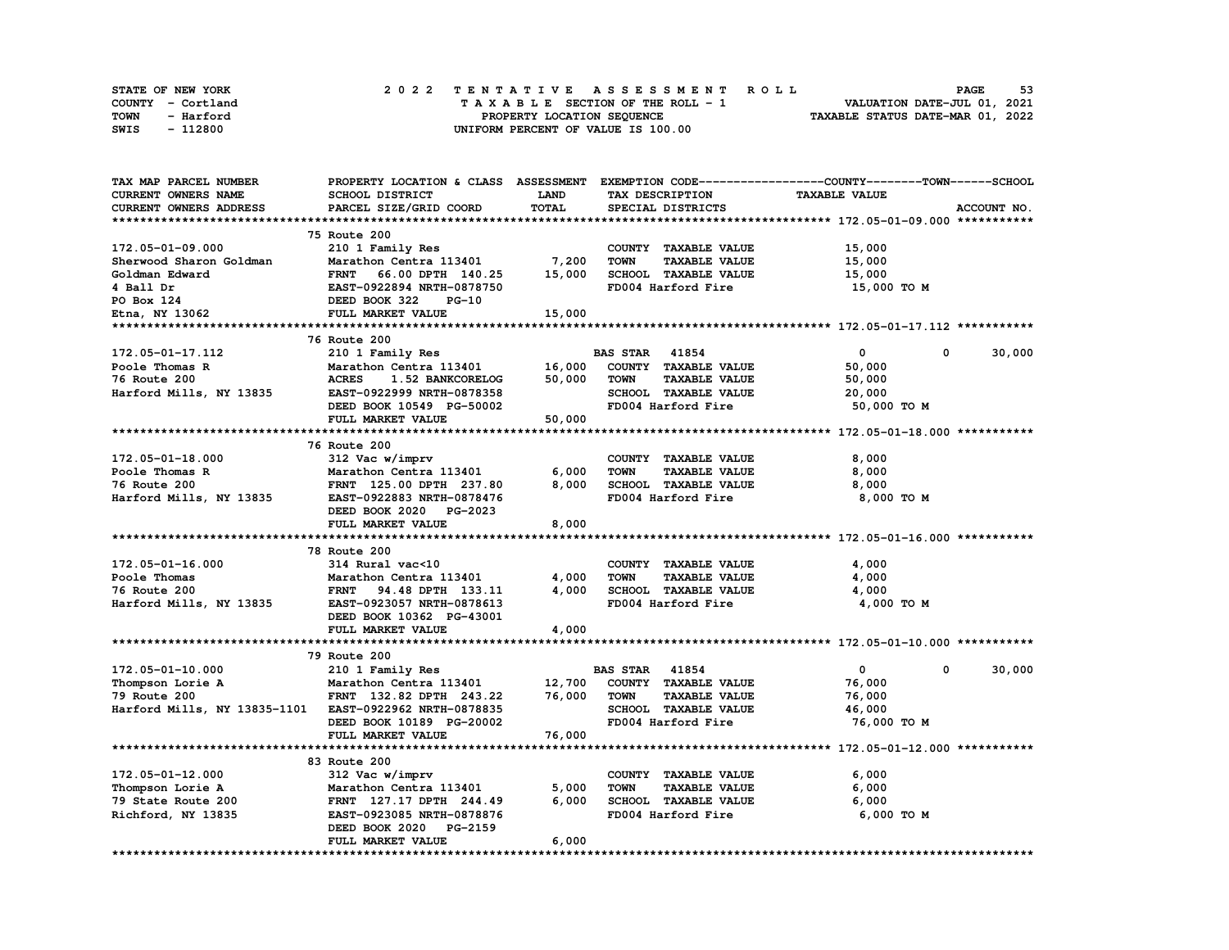| STATE OF NEW YORK | 2022 TENTATIVE ASSESSMENT ROLL          | 53<br><b>PAGE</b>                |
|-------------------|-----------------------------------------|----------------------------------|
| COUNTY - Cortland | $T A X A B L E$ SECTION OF THE ROLL - 1 | VALUATION DATE-JUL 01, 2021      |
| TOWN<br>- Harford | PROPERTY LOCATION SEQUENCE              | TAXABLE STATUS DATE-MAR 01, 2022 |
| - 112800<br>SWIS  | UNIFORM PERCENT OF VALUE IS 100.00      |                                  |

| TAX MAP PARCEL NUMBER                                  | PROPERTY LOCATION & CLASS ASSESSMENT EXEMPTION CODE----------------COUNTY-------TOWN-----SCHOOL |            |                                     |                                                                    |             |
|--------------------------------------------------------|-------------------------------------------------------------------------------------------------|------------|-------------------------------------|--------------------------------------------------------------------|-------------|
| <b>CURRENT OWNERS NAME</b>                             | SCHOOL DISTRICT                                                                                 | LAND       | TAX DESCRIPTION                     | <b>TAXABLE VALUE</b>                                               |             |
| CURRENT OWNERS ADDRESS                                 | PARCEL SIZE/GRID COORD                                                                          | TOTAL      | SPECIAL DISTRICTS                   |                                                                    | ACCOUNT NO. |
|                                                        |                                                                                                 |            |                                     |                                                                    |             |
|                                                        | 75 Route 200                                                                                    |            |                                     |                                                                    |             |
| 172.05-01-09.000                                       | 210 1 Family Res                                                                                |            | COUNTY TAXABLE VALUE                | 15,000                                                             |             |
| Sherwood Sharon Goldman                                | Marathon Centra 113401                                                                          | 7,200      | <b>TAXABLE VALUE</b><br><b>TOWN</b> | 15,000                                                             |             |
| Goldman Edward                                         | <b>FRNT</b><br>66.00 DPTH 140.25                                                                | 15,000     | SCHOOL TAXABLE VALUE                | 15,000                                                             |             |
| 4 Ball Dr                                              | EAST-0922894 NRTH-0878750                                                                       |            | FD004 Harford Fire                  | 15,000 TO M                                                        |             |
| PO Box 124                                             | DEED BOOK 322<br>$PG-10$                                                                        |            |                                     |                                                                    |             |
| Etna, NY 13062                                         | FULL MARKET VALUE                                                                               | 15,000     |                                     |                                                                    |             |
|                                                        |                                                                                                 |            |                                     |                                                                    |             |
|                                                        | 76 Route 200                                                                                    |            |                                     |                                                                    |             |
| 172.05-01-17.112                                       | 210 1 Family Res                                                                                |            | <b>BAS STAR 41854</b>               | $\mathbf{0}$<br>0                                                  | 30,000      |
| Poole Thomas R                                         | Marathon Centra 113401                                                                          | 16,000     | COUNTY TAXABLE VALUE                | 50,000                                                             |             |
| 76 Route 200                                           | <b>ACRES</b><br>1.52 BANKCORELOG                                                                | 50,000     | <b>TAXABLE VALUE</b><br><b>TOWN</b> | 50,000                                                             |             |
| Harford Mills, NY 13835                                | EAST-0922999 NRTH-0878358                                                                       |            | SCHOOL TAXABLE VALUE                | 20,000                                                             |             |
|                                                        | DEED BOOK 10549 PG-50002                                                                        |            | FD004 Harford Fire                  | 50,000 TO M                                                        |             |
|                                                        | FULL MARKET VALUE                                                                               | 50,000     |                                     |                                                                    |             |
|                                                        |                                                                                                 |            |                                     |                                                                    |             |
|                                                        | 76 Route 200                                                                                    |            |                                     |                                                                    |             |
| 172.05-01-18.000                                       | 312 Vac w/imprv                                                                                 |            | COUNTY TAXABLE VALUE                | 8,000                                                              |             |
| Poole Thomas R                                         | Marathon Centra 113401                                                                          | 6,000      | <b>TAXABLE VALUE</b><br><b>TOWN</b> | 8,000                                                              |             |
| 76 Route 200                                           | FRNT 125.00 DPTH 237.80                                                                         | 8,000      | SCHOOL TAXABLE VALUE                | 8,000                                                              |             |
| Harford Mills, NY 13835                                | EAST-0922883 NRTH-0878476                                                                       |            | FD004 Harford Fire                  | 8,000 TO M                                                         |             |
|                                                        | DEED BOOK 2020 PG-2023                                                                          |            |                                     |                                                                    |             |
|                                                        | FULL MARKET VALUE                                                                               | 8,000      |                                     |                                                                    |             |
|                                                        |                                                                                                 |            |                                     |                                                                    |             |
|                                                        | 78 Route 200                                                                                    |            |                                     |                                                                    |             |
| 172.05-01-16.000                                       | 314 Rural vac<10                                                                                |            | COUNTY TAXABLE VALUE                | 4,000                                                              |             |
| Poole Thomas                                           | Marathon Centra 113401                                                                          | 4,000      | <b>TOWN</b><br><b>TAXABLE VALUE</b> | 4,000                                                              |             |
| 76 Route 200                                           | FRNT 94.48 DPTH 133.11                                                                          | 4,000      | SCHOOL TAXABLE VALUE                | 4,000                                                              |             |
| Harford Mills, NY 13835                                | EAST-0923057 NRTH-0878613                                                                       |            | FD004 Harford Fire                  | 4,000 TO M                                                         |             |
|                                                        | DEED BOOK 10362 PG-43001                                                                        |            |                                     |                                                                    |             |
|                                                        | FULL MARKET VALUE                                                                               | 4,000      |                                     |                                                                    |             |
|                                                        |                                                                                                 | ********** |                                     | ************************************* 172.05-01-10.000 *********** |             |
|                                                        | 79 Route 200                                                                                    |            |                                     |                                                                    |             |
| 172.05-01-10.000                                       | 210 1 Family Res                                                                                |            | <b>BAS STAR 41854</b>               | $\mathbf{0}$<br>0                                                  | 30,000      |
| Thompson Lorie A                                       | Marathon Centra 113401                                                                          | 12,700     | COUNTY TAXABLE VALUE                | 76,000                                                             |             |
| 79 Route 200                                           | FRNT 132.82 DPTH 243.22                                                                         | 76,000     | <b>TOWN</b><br><b>TAXABLE VALUE</b> | 76,000                                                             |             |
| Harford Mills, NY 13835-1101 EAST-0922962 NRTH-0878835 |                                                                                                 |            | SCHOOL TAXABLE VALUE                | 46,000                                                             |             |
|                                                        | DEED BOOK 10189 PG-20002                                                                        |            | FD004 Harford Fire                  | 76,000 TO M                                                        |             |
|                                                        | FULL MARKET VALUE                                                                               | 76,000     |                                     |                                                                    |             |
|                                                        |                                                                                                 |            |                                     |                                                                    |             |
|                                                        | 83 Route 200                                                                                    |            |                                     |                                                                    |             |
| 172.05-01-12.000                                       | 312 Vac w/imprv                                                                                 |            | COUNTY TAXABLE VALUE                | 6,000                                                              |             |
| Thompson Lorie A                                       | Marathon Centra 113401                                                                          | 5,000      | <b>TOWN</b><br><b>TAXABLE VALUE</b> | 6,000                                                              |             |
| 79 State Route 200                                     | FRNT 127.17 DPTH 244.49                                                                         | 6,000      | SCHOOL TAXABLE VALUE                | 6,000                                                              |             |
| Richford, NY 13835                                     | EAST-0923085 NRTH-0878876                                                                       |            | FD004 Harford Fire                  | 6,000 TO M                                                         |             |
|                                                        | DEED BOOK 2020<br>PG-2159                                                                       |            |                                     |                                                                    |             |
|                                                        | FULL MARKET VALUE                                                                               | 6,000      |                                     |                                                                    |             |
|                                                        |                                                                                                 |            |                                     |                                                                    |             |
|                                                        |                                                                                                 |            |                                     |                                                                    |             |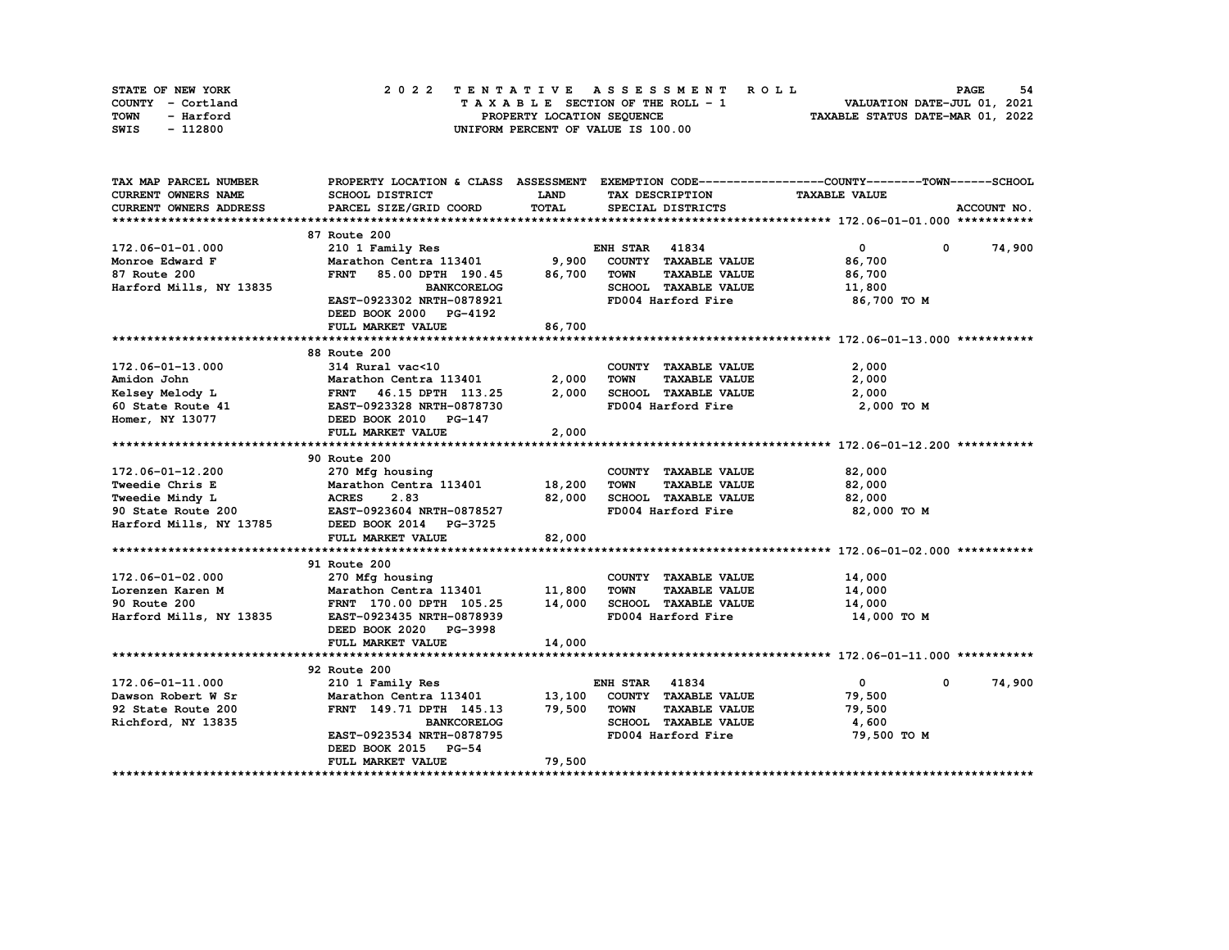| STATE OF NEW YORK | 2022 TENTATIVE ASSESSMENT ROLL     | 54<br><b>PAGE</b>                |
|-------------------|------------------------------------|----------------------------------|
| COUNTY - Cortland | TAXABLE SECTION OF THE ROLL - 1    | VALUATION DATE-JUL 01, 2021      |
| TOWN<br>- Harford | PROPERTY LOCATION SEQUENCE         | TAXABLE STATUS DATE-MAR 01, 2022 |
| - 112800<br>SWIS  | UNIFORM PERCENT OF VALUE IS 100.00 |                                  |

| TAX MAP PARCEL NUMBER         |                                  |             |                                     | PROPERTY LOCATION & CLASS ASSESSMENT EXEMPTION CODE----------------COUNTY-------TOWN-----SCHOOL |               |
|-------------------------------|----------------------------------|-------------|-------------------------------------|-------------------------------------------------------------------------------------------------|---------------|
| <b>CURRENT OWNERS NAME</b>    | SCHOOL DISTRICT                  | <b>LAND</b> | TAX DESCRIPTION                     | <b>TAXABLE VALUE</b>                                                                            |               |
| <b>CURRENT OWNERS ADDRESS</b> | PARCEL SIZE/GRID COORD           | TOTAL       | SPECIAL DISTRICTS                   |                                                                                                 | ACCOUNT NO.   |
|                               |                                  |             |                                     |                                                                                                 |               |
|                               | 87 Route 200                     |             |                                     |                                                                                                 |               |
| 172.06-01-01.000              | 210 1 Family Res                 |             | <b>ENH STAR 41834</b>               | $\mathbf{0}$                                                                                    | $0 \t 74,900$ |
| Monroe Edward F               | Marathon Centra 113401 9,900     |             | COUNTY TAXABLE VALUE                | 86,700                                                                                          |               |
| 87 Route 200                  | <b>FRNT</b><br>85.00 DPTH 190.45 | 86,700      | <b>TOWN</b><br><b>TAXABLE VALUE</b> | 86,700                                                                                          |               |
| Harford Mills, NY 13835       | <b>BANKCORELOG</b>               |             | SCHOOL TAXABLE VALUE                | 11,800                                                                                          |               |
|                               | EAST-0923302 NRTH-0878921        |             | FD004 Harford Fire                  | 86,700 то м                                                                                     |               |
|                               | DEED BOOK 2000 PG-4192           |             |                                     |                                                                                                 |               |
|                               | FULL MARKET VALUE                | 86,700      |                                     |                                                                                                 |               |
|                               |                                  |             |                                     |                                                                                                 |               |
|                               | 88 Route 200                     |             |                                     |                                                                                                 |               |
| 172.06-01-13.000              | 314 Rural vac<10                 |             | COUNTY TAXABLE VALUE                | 2,000                                                                                           |               |
|                               | Marathon Centra 113401           | 2,000       | <b>TAXABLE VALUE</b><br><b>TOWN</b> | 2,000                                                                                           |               |
|                               | FRNT 46.15 DPTH 113.25           | 2,000       | SCHOOL TAXABLE VALUE                | 2,000                                                                                           |               |
|                               |                                  |             | FD004 Harford Fire                  | 2,000 TO M                                                                                      |               |
| Homer, NY 13077               | DEED BOOK 2010 PG-147            |             |                                     |                                                                                                 |               |
|                               | FULL MARKET VALUE                | 2,000       |                                     |                                                                                                 |               |
|                               |                                  |             |                                     |                                                                                                 |               |
|                               | 90 Route 200                     |             |                                     |                                                                                                 |               |
| 172.06-01-12.200              | 270 Mfg housing                  |             | COUNTY TAXABLE VALUE                | 82,000                                                                                          |               |
| Tweedie Chris E               | Marathon Centra 113401 18,200    |             | <b>TOWN</b><br><b>TAXABLE VALUE</b> | 82,000                                                                                          |               |
| <b>Tweedie Mindy L</b>        | <b>ACRES</b><br>2.83             | 82,000      | SCHOOL TAXABLE VALUE                | 82,000                                                                                          |               |
| 90 State Route 200            | EAST-0923604 NRTH-0878527        |             | FD004 Harford Fire                  | 82,000 TO M                                                                                     |               |
| Harford Mills, NY 13785       | DEED BOOK 2014 PG-3725           |             |                                     |                                                                                                 |               |
|                               | FULL MARKET VALUE                | 82,000      |                                     |                                                                                                 |               |
|                               |                                  |             |                                     |                                                                                                 |               |
|                               | 91 Route 200                     |             |                                     |                                                                                                 |               |
| 172.06-01-02.000              | 270 Mfg housing<br>Marathor C    |             | COUNTY TAXABLE VALUE                | 14,000                                                                                          |               |
| Lorenzen Karen M              | Marathon Centra 113401           | 11,800      | <b>TAXABLE VALUE</b><br><b>TOWN</b> | 14,000                                                                                          |               |
| 90 Route 200                  | FRNT 170.00 DPTH 105.25          | 14,000      | SCHOOL TAXABLE VALUE                | 14,000                                                                                          |               |
| Harford Mills, NY 13835       | EAST-0923435 NRTH-0878939        |             | FD004 Harford Fire                  | 14,000 TO M                                                                                     |               |
|                               | DEED BOOK 2020 PG-3998           |             |                                     |                                                                                                 |               |
|                               | FULL MARKET VALUE                | 14,000      |                                     |                                                                                                 |               |
|                               |                                  |             |                                     |                                                                                                 |               |
|                               | 92 Route 200                     |             |                                     |                                                                                                 |               |
| 172.06-01-11.000              | 210 1 Family Res                 |             | <b>ENH STAR 41834</b>               | $\mathbf{0}$<br>$\mathbf 0$                                                                     | 74,900        |
| Dawson Robert W Sr            | Marathon Centra 113401           | 13,100      | COUNTY TAXABLE VALUE                | 79,500                                                                                          |               |
| 92 State Route 200            | FRNT 149.71 DPTH 145.13          | 79,500      | <b>TOWN</b><br><b>TAXABLE VALUE</b> | 79,500                                                                                          |               |
| Richford, NY 13835            | <b>BANKCORELOG</b>               |             | SCHOOL TAXABLE VALUE                | 4,600                                                                                           |               |
|                               | EAST-0923534 NRTH-0878795        |             | FD004 Harford Fire                  | 79,500 TO M                                                                                     |               |
|                               | DEED BOOK 2015 PG-54             |             |                                     |                                                                                                 |               |
|                               | FULL MARKET VALUE                | 79,500      |                                     |                                                                                                 |               |
|                               |                                  |             |                                     |                                                                                                 |               |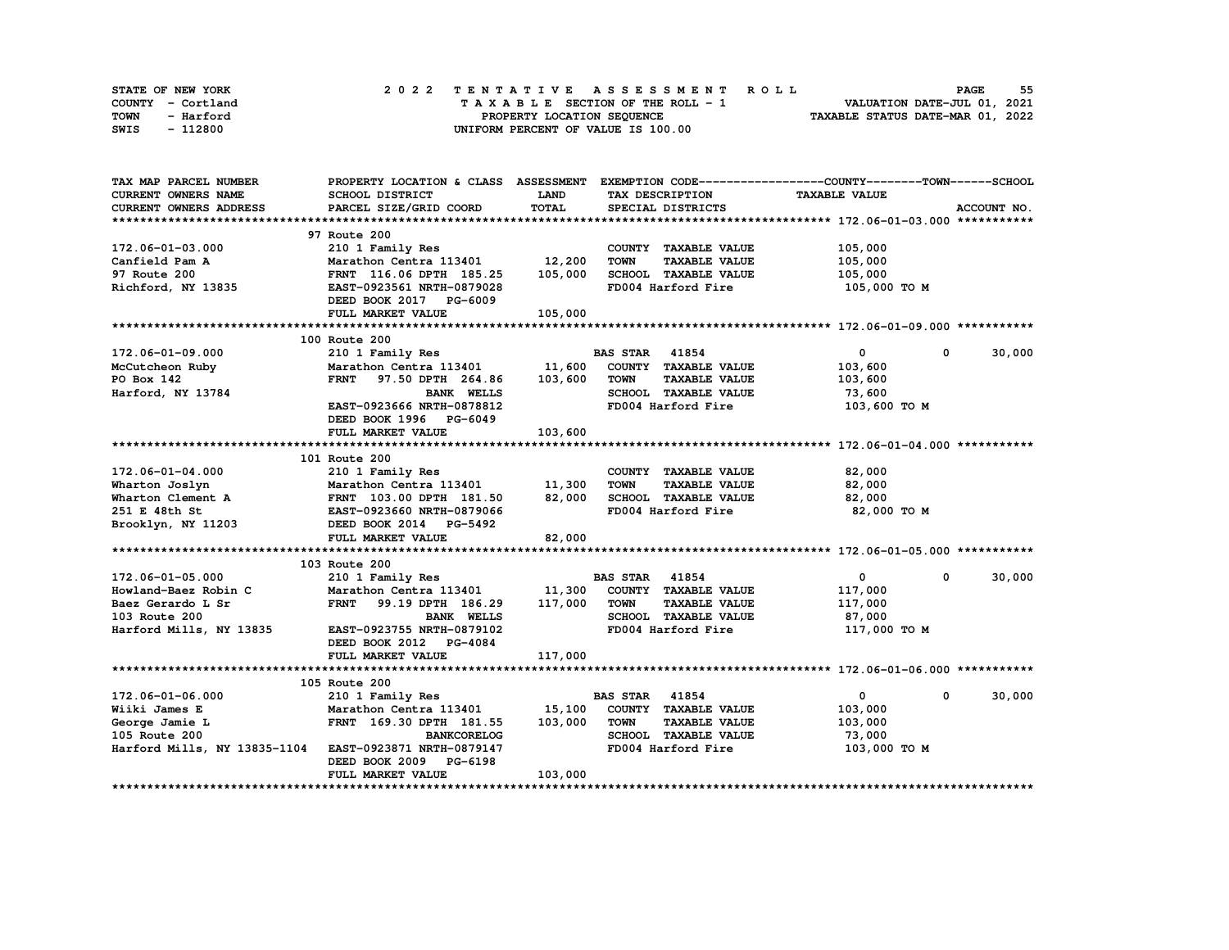| STATE OF NEW YORK | 2022 TENTATIVE ASSESSMENT ROLL     | 55<br><b>PAGE</b>                |
|-------------------|------------------------------------|----------------------------------|
| COUNTY - Cortland | TAXABLE SECTION OF THE ROLL - 1    | VALUATION DATE-JUL 01, 2021      |
| TOWN<br>- Harford | PROPERTY LOCATION SEQUENCE         | TAXABLE STATUS DATE-MAR 01, 2022 |
| - 112800<br>SWIS  | UNIFORM PERCENT OF VALUE IS 100.00 |                                  |

| <b>CURRENT OWNERS NAME</b><br>SCHOOL DISTRICT<br>LAND<br>TAX DESCRIPTION<br><b>TAXABLE VALUE</b><br>TOTAL<br><b>CURRENT OWNERS ADDRESS</b><br>PARCEL SIZE/GRID COORD<br>SPECIAL DISTRICTS<br>ACCOUNT NO.<br>97 Route 200<br>172.06-01-03.000<br>210 1 Family Res<br>COUNTY TAXABLE VALUE<br>105,000<br>12,200<br>Canfield Pam A<br>Marathon Centra 113401<br><b>TOWN</b><br><b>TAXABLE VALUE</b><br>105,000<br>105,000<br>SCHOOL TAXABLE VALUE<br>97 Route 200<br>105,000<br>FRNT 116.06 DPTH 185.25<br>Richford, NY 13835<br>FD004 Harford Fire<br>EAST-0923561 NRTH-0879028<br>105,000 TO M<br>DEED BOOK 2017 PG-6009<br>FULL MARKET VALUE<br>105,000<br>100 Route 200<br>$\mathbf{0}$<br>30,000<br>172.06-01-09.000<br>210 1 Family Res<br><b>BAS STAR</b> 41854<br>0<br>11,600<br>Marathon Centra 113401<br>COUNTY TAXABLE VALUE<br>103,600<br>McCutcheon Ruby<br>97.50 DPTH 264.86<br>103,600<br><b>TAXABLE VALUE</b><br>PO Box 142<br><b>FRNT</b><br>TOWN<br>103,600<br>SCHOOL TAXABLE VALUE<br>73,600<br>Harford, NY 13784<br><b>BANK WELLS</b><br>EAST-0923666 NRTH-0878812<br>FD004 Harford Fire<br>103,600 TO M<br>DEED BOOK 1996 PG-6049<br>FULL MARKET VALUE<br>103,600<br>101 Route 200<br>172.06-01-04.000<br>82,000<br>210 1 Family Res<br>COUNTY TAXABLE VALUE<br>Marathon Centra 113401<br>11,300<br><b>TOWN</b><br><b>TAXABLE VALUE</b><br>82,000<br>82,000<br>SCHOOL TAXABLE VALUE<br>Wharton Joslyn<br>Wharton Clement A<br>FRNT 103.00 DPTH 181.50<br>82,000<br>FD004 Harford Fire<br>251 E 48th St<br>82,000 TO M<br>EAST-0923660 NRTH-0879066<br>Brooklyn, NY 11203<br>DEED BOOK 2014 PG-5492 |
|----------------------------------------------------------------------------------------------------------------------------------------------------------------------------------------------------------------------------------------------------------------------------------------------------------------------------------------------------------------------------------------------------------------------------------------------------------------------------------------------------------------------------------------------------------------------------------------------------------------------------------------------------------------------------------------------------------------------------------------------------------------------------------------------------------------------------------------------------------------------------------------------------------------------------------------------------------------------------------------------------------------------------------------------------------------------------------------------------------------------------------------------------------------------------------------------------------------------------------------------------------------------------------------------------------------------------------------------------------------------------------------------------------------------------------------------------------------------------------------------------------------------------------------------------------------------------------------------------------------------|
|                                                                                                                                                                                                                                                                                                                                                                                                                                                                                                                                                                                                                                                                                                                                                                                                                                                                                                                                                                                                                                                                                                                                                                                                                                                                                                                                                                                                                                                                                                                                                                                                                      |
|                                                                                                                                                                                                                                                                                                                                                                                                                                                                                                                                                                                                                                                                                                                                                                                                                                                                                                                                                                                                                                                                                                                                                                                                                                                                                                                                                                                                                                                                                                                                                                                                                      |
|                                                                                                                                                                                                                                                                                                                                                                                                                                                                                                                                                                                                                                                                                                                                                                                                                                                                                                                                                                                                                                                                                                                                                                                                                                                                                                                                                                                                                                                                                                                                                                                                                      |
|                                                                                                                                                                                                                                                                                                                                                                                                                                                                                                                                                                                                                                                                                                                                                                                                                                                                                                                                                                                                                                                                                                                                                                                                                                                                                                                                                                                                                                                                                                                                                                                                                      |
|                                                                                                                                                                                                                                                                                                                                                                                                                                                                                                                                                                                                                                                                                                                                                                                                                                                                                                                                                                                                                                                                                                                                                                                                                                                                                                                                                                                                                                                                                                                                                                                                                      |
|                                                                                                                                                                                                                                                                                                                                                                                                                                                                                                                                                                                                                                                                                                                                                                                                                                                                                                                                                                                                                                                                                                                                                                                                                                                                                                                                                                                                                                                                                                                                                                                                                      |
|                                                                                                                                                                                                                                                                                                                                                                                                                                                                                                                                                                                                                                                                                                                                                                                                                                                                                                                                                                                                                                                                                                                                                                                                                                                                                                                                                                                                                                                                                                                                                                                                                      |
|                                                                                                                                                                                                                                                                                                                                                                                                                                                                                                                                                                                                                                                                                                                                                                                                                                                                                                                                                                                                                                                                                                                                                                                                                                                                                                                                                                                                                                                                                                                                                                                                                      |
|                                                                                                                                                                                                                                                                                                                                                                                                                                                                                                                                                                                                                                                                                                                                                                                                                                                                                                                                                                                                                                                                                                                                                                                                                                                                                                                                                                                                                                                                                                                                                                                                                      |
|                                                                                                                                                                                                                                                                                                                                                                                                                                                                                                                                                                                                                                                                                                                                                                                                                                                                                                                                                                                                                                                                                                                                                                                                                                                                                                                                                                                                                                                                                                                                                                                                                      |
|                                                                                                                                                                                                                                                                                                                                                                                                                                                                                                                                                                                                                                                                                                                                                                                                                                                                                                                                                                                                                                                                                                                                                                                                                                                                                                                                                                                                                                                                                                                                                                                                                      |
|                                                                                                                                                                                                                                                                                                                                                                                                                                                                                                                                                                                                                                                                                                                                                                                                                                                                                                                                                                                                                                                                                                                                                                                                                                                                                                                                                                                                                                                                                                                                                                                                                      |
|                                                                                                                                                                                                                                                                                                                                                                                                                                                                                                                                                                                                                                                                                                                                                                                                                                                                                                                                                                                                                                                                                                                                                                                                                                                                                                                                                                                                                                                                                                                                                                                                                      |
|                                                                                                                                                                                                                                                                                                                                                                                                                                                                                                                                                                                                                                                                                                                                                                                                                                                                                                                                                                                                                                                                                                                                                                                                                                                                                                                                                                                                                                                                                                                                                                                                                      |
|                                                                                                                                                                                                                                                                                                                                                                                                                                                                                                                                                                                                                                                                                                                                                                                                                                                                                                                                                                                                                                                                                                                                                                                                                                                                                                                                                                                                                                                                                                                                                                                                                      |
|                                                                                                                                                                                                                                                                                                                                                                                                                                                                                                                                                                                                                                                                                                                                                                                                                                                                                                                                                                                                                                                                                                                                                                                                                                                                                                                                                                                                                                                                                                                                                                                                                      |
|                                                                                                                                                                                                                                                                                                                                                                                                                                                                                                                                                                                                                                                                                                                                                                                                                                                                                                                                                                                                                                                                                                                                                                                                                                                                                                                                                                                                                                                                                                                                                                                                                      |
|                                                                                                                                                                                                                                                                                                                                                                                                                                                                                                                                                                                                                                                                                                                                                                                                                                                                                                                                                                                                                                                                                                                                                                                                                                                                                                                                                                                                                                                                                                                                                                                                                      |
|                                                                                                                                                                                                                                                                                                                                                                                                                                                                                                                                                                                                                                                                                                                                                                                                                                                                                                                                                                                                                                                                                                                                                                                                                                                                                                                                                                                                                                                                                                                                                                                                                      |
|                                                                                                                                                                                                                                                                                                                                                                                                                                                                                                                                                                                                                                                                                                                                                                                                                                                                                                                                                                                                                                                                                                                                                                                                                                                                                                                                                                                                                                                                                                                                                                                                                      |
|                                                                                                                                                                                                                                                                                                                                                                                                                                                                                                                                                                                                                                                                                                                                                                                                                                                                                                                                                                                                                                                                                                                                                                                                                                                                                                                                                                                                                                                                                                                                                                                                                      |
|                                                                                                                                                                                                                                                                                                                                                                                                                                                                                                                                                                                                                                                                                                                                                                                                                                                                                                                                                                                                                                                                                                                                                                                                                                                                                                                                                                                                                                                                                                                                                                                                                      |
|                                                                                                                                                                                                                                                                                                                                                                                                                                                                                                                                                                                                                                                                                                                                                                                                                                                                                                                                                                                                                                                                                                                                                                                                                                                                                                                                                                                                                                                                                                                                                                                                                      |
|                                                                                                                                                                                                                                                                                                                                                                                                                                                                                                                                                                                                                                                                                                                                                                                                                                                                                                                                                                                                                                                                                                                                                                                                                                                                                                                                                                                                                                                                                                                                                                                                                      |
|                                                                                                                                                                                                                                                                                                                                                                                                                                                                                                                                                                                                                                                                                                                                                                                                                                                                                                                                                                                                                                                                                                                                                                                                                                                                                                                                                                                                                                                                                                                                                                                                                      |
|                                                                                                                                                                                                                                                                                                                                                                                                                                                                                                                                                                                                                                                                                                                                                                                                                                                                                                                                                                                                                                                                                                                                                                                                                                                                                                                                                                                                                                                                                                                                                                                                                      |
| 82,000<br>FULL MARKET VALUE                                                                                                                                                                                                                                                                                                                                                                                                                                                                                                                                                                                                                                                                                                                                                                                                                                                                                                                                                                                                                                                                                                                                                                                                                                                                                                                                                                                                                                                                                                                                                                                          |
|                                                                                                                                                                                                                                                                                                                                                                                                                                                                                                                                                                                                                                                                                                                                                                                                                                                                                                                                                                                                                                                                                                                                                                                                                                                                                                                                                                                                                                                                                                                                                                                                                      |
| 103 Route 200                                                                                                                                                                                                                                                                                                                                                                                                                                                                                                                                                                                                                                                                                                                                                                                                                                                                                                                                                                                                                                                                                                                                                                                                                                                                                                                                                                                                                                                                                                                                                                                                        |
| $\mathbf 0$<br>30,000<br><b>BAS STAR 41854</b><br>$\mathbf{0}$<br>172.06-01-05.000<br>210 1 Family Res                                                                                                                                                                                                                                                                                                                                                                                                                                                                                                                                                                                                                                                                                                                                                                                                                                                                                                                                                                                                                                                                                                                                                                                                                                                                                                                                                                                                                                                                                                               |
| 11,300<br>Howland-Baez Robin C<br>COUNTY TAXABLE VALUE<br>117,000<br>Marathon Centra 113401                                                                                                                                                                                                                                                                                                                                                                                                                                                                                                                                                                                                                                                                                                                                                                                                                                                                                                                                                                                                                                                                                                                                                                                                                                                                                                                                                                                                                                                                                                                          |
| 117,000<br><b>FRNT</b><br><b>TOWN</b><br><b>TAXABLE VALUE</b>                                                                                                                                                                                                                                                                                                                                                                                                                                                                                                                                                                                                                                                                                                                                                                                                                                                                                                                                                                                                                                                                                                                                                                                                                                                                                                                                                                                                                                                                                                                                                        |
| Baez Gerardo L Sr<br>99.19 DPTH 186.29<br>117,000                                                                                                                                                                                                                                                                                                                                                                                                                                                                                                                                                                                                                                                                                                                                                                                                                                                                                                                                                                                                                                                                                                                                                                                                                                                                                                                                                                                                                                                                                                                                                                    |
| SCHOOL TAXABLE VALUE<br>103 Route 200<br><b>BANK WELLS</b><br>87,000                                                                                                                                                                                                                                                                                                                                                                                                                                                                                                                                                                                                                                                                                                                                                                                                                                                                                                                                                                                                                                                                                                                                                                                                                                                                                                                                                                                                                                                                                                                                                 |
| Harford Mills, NY 13835<br>FD004 Harford Fire<br>EAST-0923755 NRTH-0879102<br>117,000 TO M                                                                                                                                                                                                                                                                                                                                                                                                                                                                                                                                                                                                                                                                                                                                                                                                                                                                                                                                                                                                                                                                                                                                                                                                                                                                                                                                                                                                                                                                                                                           |
| DEED BOOK 2012 PG-4084                                                                                                                                                                                                                                                                                                                                                                                                                                                                                                                                                                                                                                                                                                                                                                                                                                                                                                                                                                                                                                                                                                                                                                                                                                                                                                                                                                                                                                                                                                                                                                                               |
| 117,000<br>FULL MARKET VALUE                                                                                                                                                                                                                                                                                                                                                                                                                                                                                                                                                                                                                                                                                                                                                                                                                                                                                                                                                                                                                                                                                                                                                                                                                                                                                                                                                                                                                                                                                                                                                                                         |
|                                                                                                                                                                                                                                                                                                                                                                                                                                                                                                                                                                                                                                                                                                                                                                                                                                                                                                                                                                                                                                                                                                                                                                                                                                                                                                                                                                                                                                                                                                                                                                                                                      |
| 105 Route 200                                                                                                                                                                                                                                                                                                                                                                                                                                                                                                                                                                                                                                                                                                                                                                                                                                                                                                                                                                                                                                                                                                                                                                                                                                                                                                                                                                                                                                                                                                                                                                                                        |
| $\mathbf{0}$<br>30,000<br>172.06-01-06.000<br>210 1 Family Res<br><b>BAS STAR</b><br>41854<br>0                                                                                                                                                                                                                                                                                                                                                                                                                                                                                                                                                                                                                                                                                                                                                                                                                                                                                                                                                                                                                                                                                                                                                                                                                                                                                                                                                                                                                                                                                                                      |
| 15,100<br>Wiiki James E<br>COUNTY TAXABLE VALUE<br>103,000<br>Marathon Centra 113401                                                                                                                                                                                                                                                                                                                                                                                                                                                                                                                                                                                                                                                                                                                                                                                                                                                                                                                                                                                                                                                                                                                                                                                                                                                                                                                                                                                                                                                                                                                                 |
| FRNT 169.30 DPTH 181.55<br>103,000<br><b>TOWN</b><br><b>TAXABLE VALUE</b><br>George Jamie L<br>103,000                                                                                                                                                                                                                                                                                                                                                                                                                                                                                                                                                                                                                                                                                                                                                                                                                                                                                                                                                                                                                                                                                                                                                                                                                                                                                                                                                                                                                                                                                                               |
| 105 Route 200<br>SCHOOL TAXABLE VALUE<br>73,000<br><b>BANKCORELOG</b>                                                                                                                                                                                                                                                                                                                                                                                                                                                                                                                                                                                                                                                                                                                                                                                                                                                                                                                                                                                                                                                                                                                                                                                                                                                                                                                                                                                                                                                                                                                                                |
| Harford Mills, NY 13835-1104 EAST-0923871 NRTH-0879147<br>FD004 Harford Fire<br>103,000 TO M                                                                                                                                                                                                                                                                                                                                                                                                                                                                                                                                                                                                                                                                                                                                                                                                                                                                                                                                                                                                                                                                                                                                                                                                                                                                                                                                                                                                                                                                                                                         |
| DEED BOOK 2009 PG-6198                                                                                                                                                                                                                                                                                                                                                                                                                                                                                                                                                                                                                                                                                                                                                                                                                                                                                                                                                                                                                                                                                                                                                                                                                                                                                                                                                                                                                                                                                                                                                                                               |
| 103,000<br>FULL MARKET VALUE                                                                                                                                                                                                                                                                                                                                                                                                                                                                                                                                                                                                                                                                                                                                                                                                                                                                                                                                                                                                                                                                                                                                                                                                                                                                                                                                                                                                                                                                                                                                                                                         |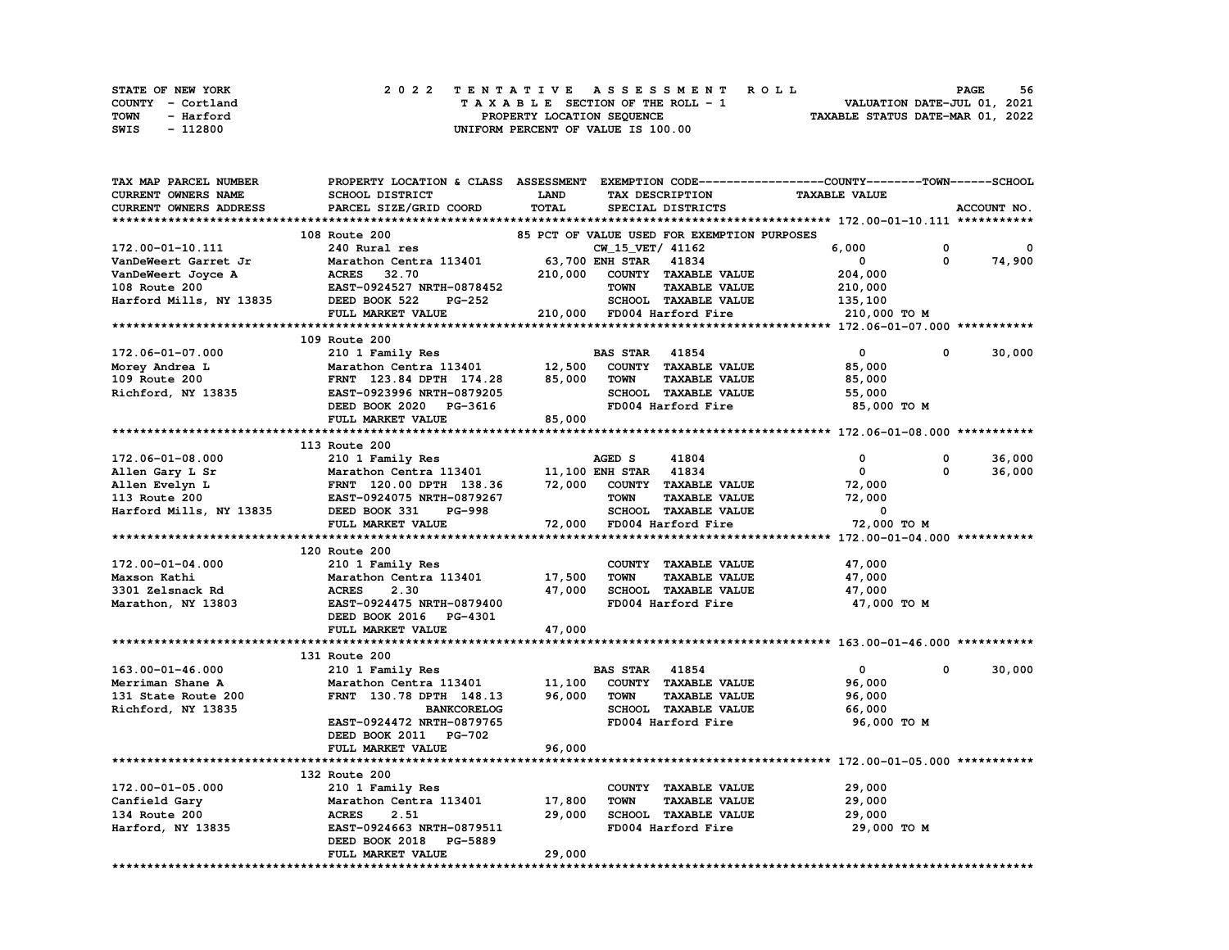| STATE OF NEW YORK | 2022 TENTATIVE ASSESSMENT ROLL     | 56<br><b>PAGE</b>                |
|-------------------|------------------------------------|----------------------------------|
| COUNTY - Cortland | TAXABLE SECTION OF THE ROLL - 1    | VALUATION DATE-JUL 01, 2021      |
| TOWN<br>- Harford | PROPERTY LOCATION SEQUENCE         | TAXABLE STATUS DATE-MAR 01, 2022 |
| SWIS<br>- 112800  | UNIFORM PERCENT OF VALUE IS 100.00 |                                  |

| TAX MAP PARCEL NUMBER   | PROPERTY LOCATION & CLASS ASSESSMENT EXEMPTION CODE-----------------COUNTY-------TOWN------SCHOOL |         |                                             |                      |                        |
|-------------------------|---------------------------------------------------------------------------------------------------|---------|---------------------------------------------|----------------------|------------------------|
| CURRENT OWNERS NAME     | SCHOOL DISTRICT                                                                                   | LAND    | TAX DESCRIPTION                             | <b>TAXABLE VALUE</b> |                        |
| CURRENT OWNERS ADDRESS  | PARCEL SIZE/GRID COORD                                                                            | TOTAL   | SPECIAL DISTRICTS                           |                      | ACCOUNT NO.            |
|                         |                                                                                                   |         |                                             |                      |                        |
|                         | 108 Route 200                                                                                     |         | 85 PCT OF VALUE USED FOR EXEMPTION PURPOSES |                      |                        |
| 172.00-01-10.111        | 240 Rural res                                                                                     |         | CW 15 VET/ 41162                            | 6,000                | 0<br>0                 |
| VanDeWeert Garret Jr    | Marathon Centra 113401                                                                            |         | 63,700 ENH STAR 41834                       | $\mathbf 0$          | $\mathbf{0}$<br>74,900 |
| VanDeWeert Joyce A      | <b>ACRES</b><br>32.70                                                                             | 210,000 | COUNTY TAXABLE VALUE                        | 204,000              |                        |
| 108 Route 200           | EAST-0924527 NRTH-0878452                                                                         |         | <b>TOWN</b><br><b>TAXABLE VALUE</b>         | 210,000              |                        |
| Harford Mills, NY 13835 | DEED BOOK 522<br><b>PG-252</b>                                                                    |         | SCHOOL TAXABLE VALUE                        | 135,100              |                        |
|                         | FULL MARKET VALUE                                                                                 |         | 210,000 FD004 Harford Fire                  | 210,000 TO M         |                        |
|                         |                                                                                                   |         |                                             |                      |                        |
|                         | 109 Route 200                                                                                     |         |                                             |                      |                        |
| 172.06-01-07.000        | 210 1 Family Res                                                                                  |         | <b>BAS STAR</b> 41854                       | $\mathbf{0}$         | 30,000<br>$\Omega$     |
|                         |                                                                                                   | 12,500  | COUNTY TAXABLE VALUE                        |                      |                        |
| Morey Andrea L          | Marathon Centra 113401                                                                            |         | <b>TOWN</b>                                 | 85,000               |                        |
| 109 Route 200           | FRNT 123.84 DPTH 174.28                                                                           | 85,000  | <b>TAXABLE VALUE</b>                        | 85,000               |                        |
| Richford, NY 13835      | EAST-0923996 NRTH-0879205                                                                         |         | SCHOOL TAXABLE VALUE                        | 55,000               |                        |
|                         | DEED BOOK 2020 PG-3616                                                                            |         | FD004 Harford Fire                          | 85,000 TO M          |                        |
|                         | FULL MARKET VALUE                                                                                 | 85,000  |                                             |                      |                        |
|                         |                                                                                                   |         |                                             |                      |                        |
|                         | 113 Route 200                                                                                     |         |                                             |                      |                        |
| $172.06 - 01 - 08.000$  | 210 1 Family Res                                                                                  |         | AGED S<br>41804                             | 0                    | 36,000<br>0            |
| Allen Gary L Sr         | Marathon Centra 113401                                                                            |         | 11,100 ENH STAR 41834                       | $\mathbf 0$          | $\Omega$<br>36,000     |
| Allen Evelyn L          | FRNT 120.00 DPTH 138.36                                                                           | 72,000  | COUNTY TAXABLE VALUE                        | 72,000               |                        |
| 113 Route 200           | EAST-0924075 NRTH-0879267                                                                         |         | <b>TAXABLE VALUE</b><br><b>TOWN</b>         | 72,000               |                        |
| Harford Mills, NY 13835 | DEED BOOK 331<br>PG-998                                                                           |         | <b>SCHOOL TAXABLE VALUE</b>                 | $\mathbf 0$          |                        |
|                         | FULL MARKET VALUE                                                                                 |         | 72,000 FD004 Harford Fire                   | 72,000 TO M          |                        |
|                         |                                                                                                   |         |                                             |                      |                        |
|                         | 120 Route 200                                                                                     |         |                                             |                      |                        |
| 172.00-01-04.000        | 210 1 Family Res                                                                                  |         | COUNTY TAXABLE VALUE                        | 47,000               |                        |
| Maxson Kathi            | Marathon Centra 113401                                                                            | 17,500  | <b>TAXABLE VALUE</b><br><b>TOWN</b>         | 47,000               |                        |
| 3301 Zelsnack Rd        | <b>ACRES</b><br>2.30                                                                              | 47,000  | SCHOOL TAXABLE VALUE                        | 47,000               |                        |
| Marathon, NY 13803      | EAST-0924475 NRTH-0879400                                                                         |         | FD004 Harford Fire                          | 47,000 TO M          |                        |
|                         | DEED BOOK 2016 PG-4301                                                                            |         |                                             |                      |                        |
|                         | FULL MARKET VALUE                                                                                 | 47,000  |                                             |                      |                        |
|                         |                                                                                                   |         |                                             |                      |                        |
|                         | 131 Route 200                                                                                     |         |                                             |                      |                        |
| 163.00-01-46.000        | 210 1 Family Res                                                                                  |         | <b>BAS STAR 41854</b>                       | $\mathbf 0$          | 30,000<br>0            |
| Merriman Shane A        | Marathon Centra 113401                                                                            | 11,100  | COUNTY TAXABLE VALUE                        | 96,000               |                        |
| 131 State Route 200     | FRNT 130.78 DPTH 148.13                                                                           | 96,000  | <b>TOWN</b><br><b>TAXABLE VALUE</b>         | 96,000               |                        |
| Richford, NY 13835      | <b>BANKCORELOG</b>                                                                                |         | SCHOOL TAXABLE VALUE                        | 66,000               |                        |
|                         | EAST-0924472 NRTH-0879765                                                                         |         | FD004 Harford Fire                          | 96,000 TO M          |                        |
|                         | DEED BOOK 2011 PG-702                                                                             |         |                                             |                      |                        |
|                         | FULL MARKET VALUE                                                                                 | 96,000  |                                             |                      |                        |
|                         |                                                                                                   |         |                                             |                      |                        |
|                         | 132 Route 200                                                                                     |         |                                             |                      |                        |
| 172.00-01-05.000        | 210 1 Family Res                                                                                  |         | COUNTY TAXABLE VALUE                        | 29,000               |                        |
| Canfield Gary           | Marathon Centra 113401                                                                            | 17,800  | <b>TOWN</b><br><b>TAXABLE VALUE</b>         | 29,000               |                        |
| 134 Route 200           | <b>ACRES</b><br>2.51                                                                              | 29,000  | SCHOOL TAXABLE VALUE                        | 29,000               |                        |
| Harford, NY 13835       | EAST-0924663 NRTH-0879511                                                                         |         | FD004 Harford Fire                          | 29,000 TO M          |                        |
|                         | DEED BOOK 2018<br><b>PG-5889</b>                                                                  |         |                                             |                      |                        |
|                         | FULL MARKET VALUE                                                                                 | 29,000  |                                             |                      |                        |
|                         |                                                                                                   |         |                                             |                      |                        |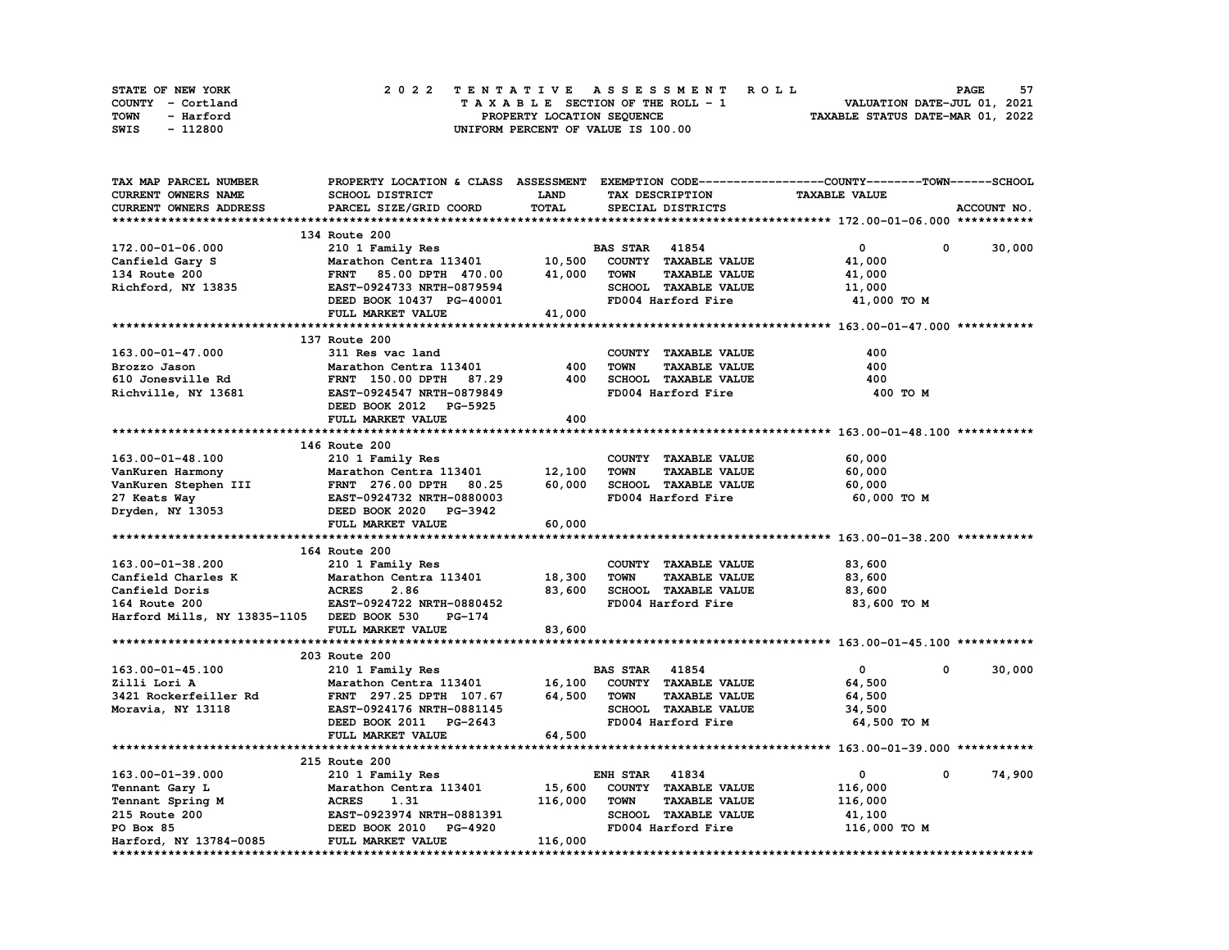| STATE OF NEW YORK | 2022 TENTATIVE ASSESSMENT ROLL     | 57<br><b>PAGE</b>                |
|-------------------|------------------------------------|----------------------------------|
| COUNTY - Cortland | TAXABLE SECTION OF THE ROLL - 1    | VALUATION DATE-JUL 01, 2021      |
| TOWN<br>- Harford | PROPERTY LOCATION SEQUENCE         | TAXABLE STATUS DATE-MAR 01, 2022 |
| - 112800<br>SWIS  | UNIFORM PERCENT OF VALUE IS 100.00 |                                  |

| TAX MAP PARCEL NUMBER                      | PROPERTY LOCATION & CLASS ASSESSMENT EXEMPTION CODE----------------COUNTY-------TOWN-----SCHOOL |             |                       |                      |                      |   |             |
|--------------------------------------------|-------------------------------------------------------------------------------------------------|-------------|-----------------------|----------------------|----------------------|---|-------------|
| <b>CURRENT OWNERS NAME</b>                 | SCHOOL DISTRICT                                                                                 | <b>LAND</b> |                       | TAX DESCRIPTION      | <b>TAXABLE VALUE</b> |   |             |
| CURRENT OWNERS ADDRESS                     | PARCEL SIZE/GRID COORD                                                                          | TOTAL       |                       | SPECIAL DISTRICTS    |                      |   | ACCOUNT NO. |
|                                            |                                                                                                 |             |                       |                      |                      |   |             |
|                                            | 134 Route 200                                                                                   |             |                       |                      |                      |   |             |
| 172.00-01-06.000                           | 210 1 Family Res                                                                                |             | <b>BAS STAR 41854</b> |                      | $\mathbf 0$          | 0 | 30,000      |
| Canfield Gary S                            | Marathon Centra 113401                                                                          | 10,500      |                       | COUNTY TAXABLE VALUE | 41,000               |   |             |
| 134 Route 200                              | 85.00 DPTH 470.00<br><b>FRNT</b>                                                                | 41,000      | <b>TOWN</b>           | <b>TAXABLE VALUE</b> | 41,000               |   |             |
| Richford, NY 13835                         | EAST-0924733 NRTH-0879594                                                                       |             |                       | SCHOOL TAXABLE VALUE | 11,000               |   |             |
|                                            | DEED BOOK 10437 PG-40001                                                                        |             |                       | FD004 Harford Fire   | 41,000 TO M          |   |             |
|                                            | FULL MARKET VALUE                                                                               | 41,000      |                       |                      |                      |   |             |
|                                            |                                                                                                 |             |                       |                      |                      |   |             |
|                                            | 137 Route 200                                                                                   |             |                       |                      |                      |   |             |
| 163.00-01-47.000                           | 311 Res vac land                                                                                |             |                       | COUNTY TAXABLE VALUE | 400                  |   |             |
| Brozzo Jason                               | Marathon Centra 113401                                                                          | 400         | <b>TOWN</b>           | <b>TAXABLE VALUE</b> | 400                  |   |             |
| 610 Jonesville Rd                          | FRNT 150.00 DPTH 87.29                                                                          | 400         |                       | SCHOOL TAXABLE VALUE | 400                  |   |             |
| Richville, NY 13681                        | EAST-0924547 NRTH-0879849                                                                       |             |                       | FD004 Harford Fire   | 400 TO M             |   |             |
|                                            | DEED BOOK 2012 PG-5925                                                                          |             |                       |                      |                      |   |             |
|                                            | FULL MARKET VALUE                                                                               | 400         |                       |                      |                      |   |             |
|                                            |                                                                                                 |             |                       |                      |                      |   |             |
|                                            | 146 Route 200                                                                                   |             |                       |                      |                      |   |             |
|                                            |                                                                                                 |             |                       | COUNTY TAXABLE VALUE |                      |   |             |
| $163.00 - 01 - 48.100$                     | 210 1 Family Res<br>Marathon Centra 113401                                                      | 12,100      | <b>TOWN</b>           |                      | 60,000               |   |             |
| VanKuren Harmony                           |                                                                                                 | 60,000      |                       | <b>TAXABLE VALUE</b> | 60,000               |   |             |
| VanKuren Stephen III                       | FRNT 276.00 DPTH 80.25                                                                          |             |                       | SCHOOL TAXABLE VALUE | 60,000               |   |             |
| ---- way<br>Dryden, NY 13053               | EAST-0924732 NRTH-0880003                                                                       |             |                       | FD004 Harford Fire   | 60,000 TO M          |   |             |
|                                            | DEED BOOK 2020 PG-3942                                                                          |             |                       |                      |                      |   |             |
|                                            | FULL MARKET VALUE                                                                               | 60,000      |                       |                      |                      |   |             |
|                                            |                                                                                                 |             |                       |                      |                      |   |             |
|                                            | 164 Route 200                                                                                   |             |                       |                      |                      |   |             |
| 163.00-01-38.200                           | 210 1 Family Res                                                                                |             |                       | COUNTY TAXABLE VALUE | 83,600               |   |             |
| Canfield Charles K                         | Marathon Centra 113401                                                                          | 18,300      | <b>TOWN</b>           | <b>TAXABLE VALUE</b> | 83,600               |   |             |
| Canfield Doris                             | <b>ACRES</b><br>2.86                                                                            | 83,600      |                       | SCHOOL TAXABLE VALUE | 83,600               |   |             |
| 164 Route 200                              | EAST-0924722 NRTH-0880452                                                                       |             |                       | FD004 Harford Fire   | 83,600 TO M          |   |             |
| Harford Mills, NY 13835-1105 DEED BOOK 530 | PG-174                                                                                          |             |                       |                      |                      |   |             |
|                                            | FULL MARKET VALUE                                                                               | 83,600      |                       |                      |                      |   |             |
|                                            |                                                                                                 |             |                       |                      |                      |   |             |
|                                            | 203 Route 200                                                                                   |             |                       |                      |                      |   |             |
| 163.00-01-45.100                           | 210 1 Family Res                                                                                |             | <b>BAS STAR</b> 41854 |                      | $\mathbf{0}$         | 0 | 30,000      |
| Zilli Lori A                               | Marathon Centra 113401                                                                          | 16,100      |                       | COUNTY TAXABLE VALUE | 64,500               |   |             |
| 3421 Rockerfeiller Rd                      | FRNT 297.25 DPTH 107.67                                                                         | 64,500      | <b>TOWN</b>           | <b>TAXABLE VALUE</b> | 64,500               |   |             |
| Moravia, NY 13118                          | EAST-0924176 NRTH-0881145                                                                       |             |                       | SCHOOL TAXABLE VALUE | 34,500               |   |             |
|                                            | DEED BOOK 2011 PG-2643                                                                          |             |                       | FD004 Harford Fire   | 64,500 TO M          |   |             |
|                                            | FULL MARKET VALUE                                                                               | 64,500      |                       |                      |                      |   |             |
|                                            |                                                                                                 |             |                       |                      |                      |   |             |
|                                            | 215 Route 200                                                                                   |             |                       |                      |                      |   |             |
| 163.00-01-39.000                           | 210 1 Family Res                                                                                |             | <b>ENH STAR 41834</b> |                      | 0                    | 0 | 74,900      |
| Tennant Gary L                             | Marathon Centra 113401                                                                          | 15,600      |                       | COUNTY TAXABLE VALUE | 116,000              |   |             |
| Tennant Spring M                           | <b>ACRES</b><br>1.31                                                                            | 116,000     | <b>TOWN</b>           | <b>TAXABLE VALUE</b> | 116,000              |   |             |
| 215 Route 200                              | EAST-0923974 NRTH-0881391                                                                       |             |                       | SCHOOL TAXABLE VALUE | 41,100               |   |             |
| PO Box 85                                  | DEED BOOK 2010 PG-4920                                                                          |             |                       | FD004 Harford Fire   | 116,000 TO M         |   |             |
| Harford, NY 13784-0085                     | FULL MARKET VALUE                                                                               | 116,000     |                       |                      |                      |   |             |
|                                            |                                                                                                 |             |                       |                      |                      |   |             |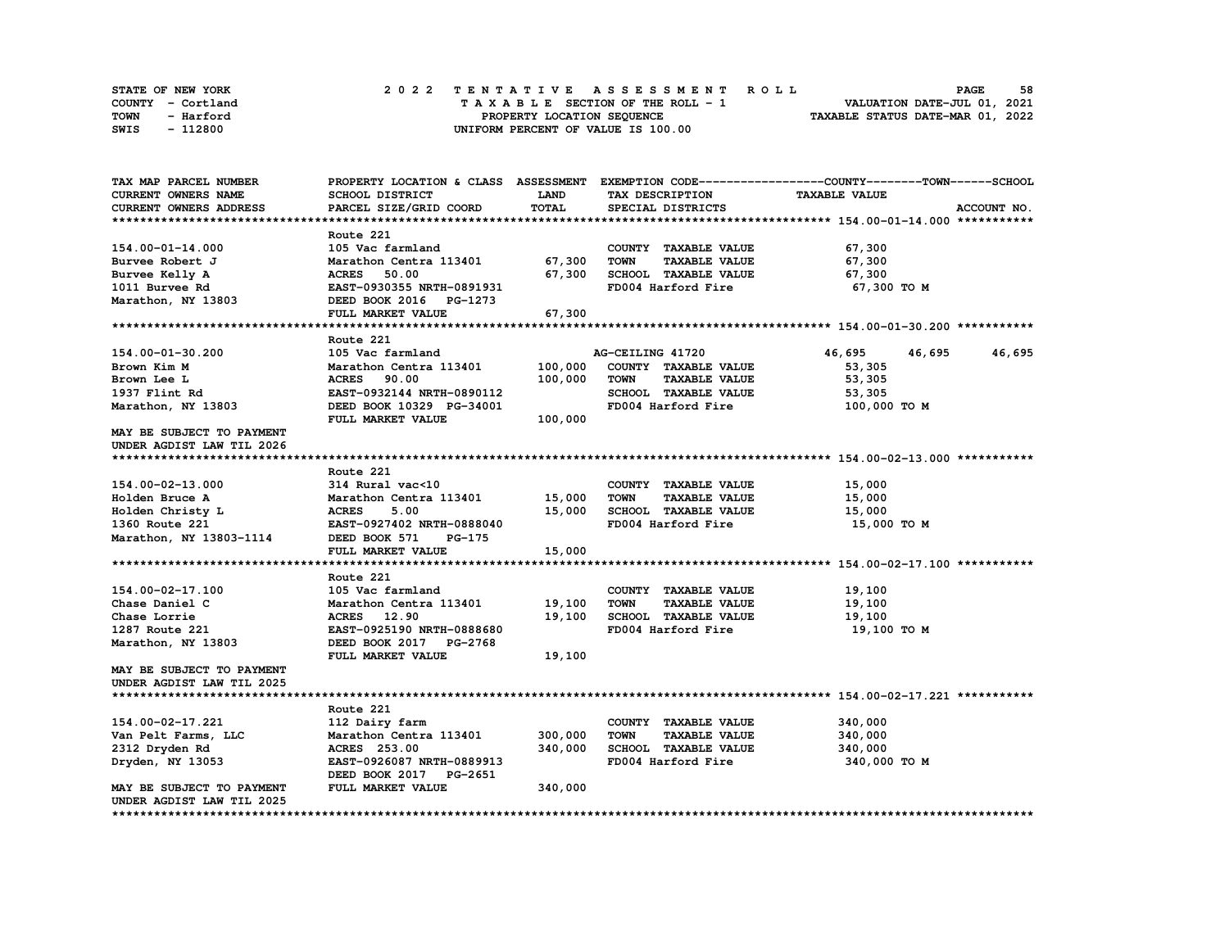| <b>STATE OF NEW YORK</b> | 2022 TENTATIVE ASSESSMENT ROLL     | 58<br><b>PAGE</b>                |
|--------------------------|------------------------------------|----------------------------------|
| COUNTY - Cortland        | TAXABLE SECTION OF THE ROLL - 1    | VALUATION DATE-JUL 01, 2021      |
| TOWN<br>- Harford        | PROPERTY LOCATION SEOUENCE         | TAXABLE STATUS DATE-MAR 01, 2022 |
| - 112800<br>SWIS         | UNIFORM PERCENT OF VALUE IS 100.00 |                                  |

| TAX MAP PARCEL NUMBER      | PROPERTY LOCATION & CLASS ASSESSMENT |               |                                     | EXEMPTION CODE-----------------COUNTY-------TOWN-----SCHOOL         |
|----------------------------|--------------------------------------|---------------|-------------------------------------|---------------------------------------------------------------------|
| <b>CURRENT OWNERS NAME</b> | SCHOOL DISTRICT                      | <b>LAND</b>   | TAX DESCRIPTION                     | <b>TAXABLE VALUE</b>                                                |
| CURRENT OWNERS ADDRESS     | PARCEL SIZE/GRID COORD               | TOTAL         | SPECIAL DISTRICTS                   | ACCOUNT NO.                                                         |
|                            |                                      |               |                                     |                                                                     |
|                            | Route 221                            |               |                                     |                                                                     |
| 154.00-01-14.000           | 105 Vac farmland                     |               | COUNTY TAXABLE VALUE                | 67,300                                                              |
| Burvee Robert J            | Marathon Centra 113401               | 67,300        | <b>TOWN</b><br><b>TAXABLE VALUE</b> | 67,300                                                              |
| Burvee Kelly A             | 50.00<br><b>ACRES</b>                | 67,300        | SCHOOL TAXABLE VALUE                | 67,300                                                              |
| 1011 Burvee Rd             | EAST-0930355 NRTH-0891931            |               | FD004 Harford Fire                  | 67,300 TO M                                                         |
| Marathon, NY 13803         | DEED BOOK 2016<br>PG-1273            |               |                                     |                                                                     |
|                            | FULL MARKET VALUE                    | 67,300        |                                     |                                                                     |
|                            |                                      |               |                                     |                                                                     |
|                            | Route 221                            |               |                                     |                                                                     |
| 154.00-01-30.200           | 105 Vac farmland                     |               | AG-CEILING 41720                    | 46,695<br>46,695<br>46,695                                          |
| Brown Kim M                | Marathon Centra 113401               | 100,000       | COUNTY TAXABLE VALUE                | 53,305                                                              |
| Brown Lee L                | <b>ACRES</b><br>90.00                | 100,000       | <b>TOWN</b><br><b>TAXABLE VALUE</b> | 53,305                                                              |
| 1937 Flint Rd              | EAST-0932144 NRTH-0890112            |               | SCHOOL TAXABLE VALUE                | 53,305                                                              |
| Marathon, NY 13803         | DEED BOOK 10329 PG-34001             |               | FD004 Harford Fire                  | 100,000 TO M                                                        |
|                            |                                      |               |                                     |                                                                     |
|                            | FULL MARKET VALUE                    | 100,000       |                                     |                                                                     |
| MAY BE SUBJECT TO PAYMENT  |                                      |               |                                     |                                                                     |
| UNDER AGDIST LAW TIL 2026  |                                      |               |                                     |                                                                     |
|                            |                                      |               |                                     |                                                                     |
|                            | Route 221                            |               |                                     |                                                                     |
| 154.00-02-13.000           | 314 Rural vac<10                     |               | COUNTY TAXABLE VALUE                | 15,000                                                              |
| Holden Bruce A             | Marathon Centra 113401               | 15,000        | <b>TAXABLE VALUE</b><br><b>TOWN</b> | 15,000                                                              |
| Holden Christy L           | <b>ACRES</b><br>5.00                 | 15,000        | SCHOOL TAXABLE VALUE                | 15,000                                                              |
| 1360 Route 221             | EAST-0927402 NRTH-0888040            |               | FD004 Harford Fire                  | 15,000 TO M                                                         |
| Marathon, NY 13803-1114    | DEED BOOK 571<br>PG-175              |               |                                     |                                                                     |
|                            | FULL MARKET VALUE                    | 15,000        |                                     |                                                                     |
|                            |                                      | ************* |                                     | ************************************* 154.00-02-17.100 ************ |
|                            | Route 221                            |               |                                     |                                                                     |
| 154.00-02-17.100           | 105 Vac farmland                     |               | COUNTY TAXABLE VALUE                | 19,100                                                              |
| Chase Daniel C             | Marathon Centra 113401               | 19,100        | <b>TOWN</b><br><b>TAXABLE VALUE</b> | 19,100                                                              |
| Chase Lorrie               | <b>ACRES</b> 12.90                   | 19,100        | SCHOOL TAXABLE VALUE                | 19,100                                                              |
| 1287 Route 221             | EAST-0925190 NRTH-0888680            |               | FD004 Harford Fire                  | 19,100 TO M                                                         |
| Marathon, NY 13803         | DEED BOOK 2017 PG-2768               |               |                                     |                                                                     |
|                            | FULL MARKET VALUE                    | 19,100        |                                     |                                                                     |
| MAY BE SUBJECT TO PAYMENT  |                                      |               |                                     |                                                                     |
| UNDER AGDIST LAW TIL 2025  |                                      |               |                                     |                                                                     |
|                            |                                      |               |                                     |                                                                     |
|                            | Route 221                            |               |                                     |                                                                     |
| 154.00-02-17.221           | 112 Dairy farm                       |               | COUNTY TAXABLE VALUE                | 340,000                                                             |
| Van Pelt Farms, LLC        | Marathon Centra 113401               | 300,000       | <b>TOWN</b><br><b>TAXABLE VALUE</b> | 340,000                                                             |
| 2312 Dryden Rd             | <b>ACRES</b> 253.00                  | 340,000       | <b>SCHOOL TAXABLE VALUE</b>         | 340,000                                                             |
| Dryden, NY 13053           | EAST-0926087 NRTH-0889913            |               | FD004 Harford Fire                  | 340,000 TO M                                                        |
|                            | DEED BOOK 2017<br>PG-2651            |               |                                     |                                                                     |
| MAY BE SUBJECT TO PAYMENT  | FULL MARKET VALUE                    | 340,000       |                                     |                                                                     |
| UNDER AGDIST LAW TIL 2025  |                                      |               |                                     |                                                                     |
| ********************       |                                      |               |                                     |                                                                     |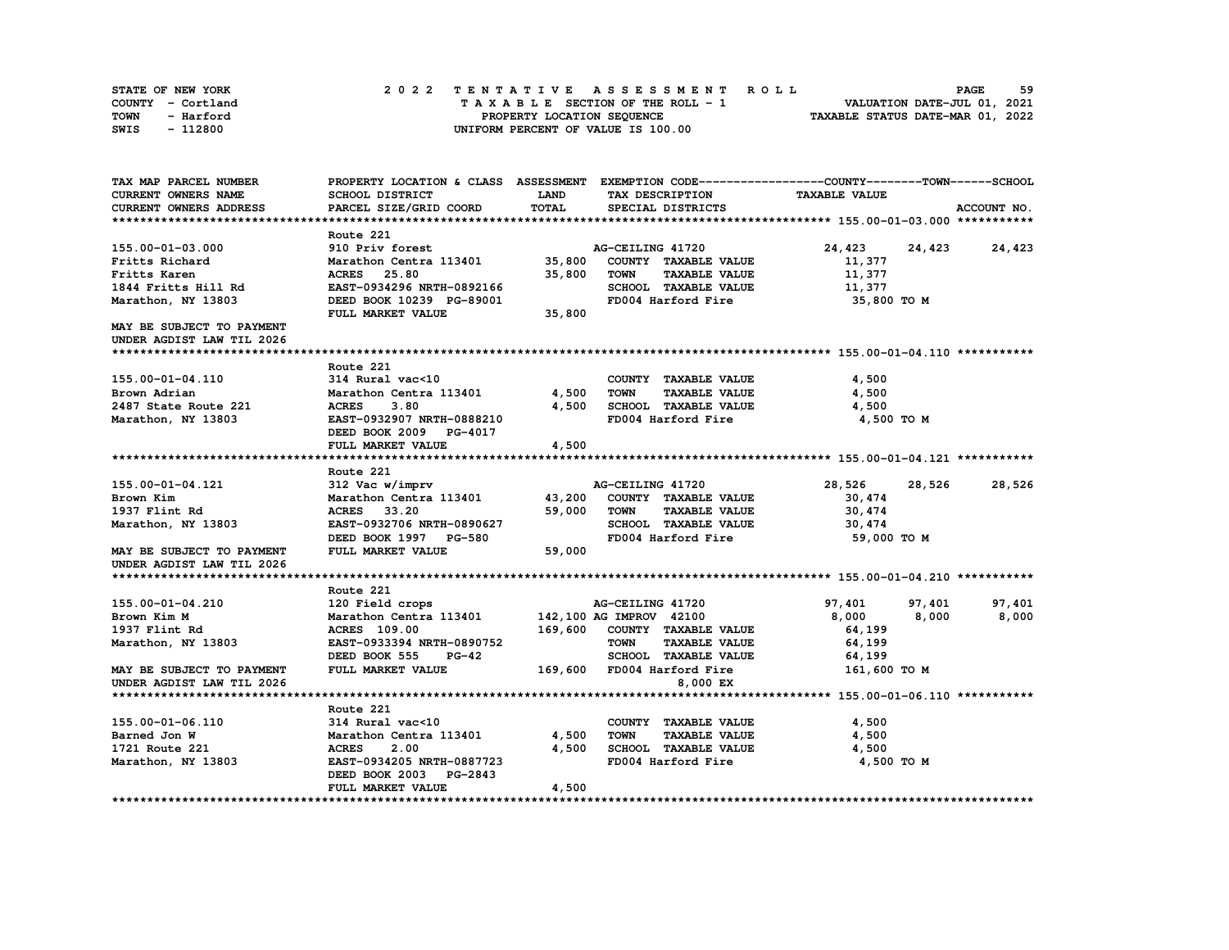| STATE OF NEW YORK | 2022 TENTATIVE ASSESSMENT ROLL     | 59<br><b>PAGE</b>                |
|-------------------|------------------------------------|----------------------------------|
| COUNTY - Cortland | TAXABLE SECTION OF THE ROLL - 1    | VALUATION DATE-JUL 01, 2021      |
| TOWN<br>- Harford | PROPERTY LOCATION SEQUENCE         | TAXABLE STATUS DATE-MAR 01, 2022 |
| - 112800<br>SWIS  | UNIFORM PERCENT OF VALUE IS 100.00 |                                  |

| TAX MAP PARCEL NUMBER                                                                    |                                                |             | PROPERTY LOCATION & CLASS ASSESSMENT EXEMPTION CODE----------------COUNTY-------TOWN------SCHOOL |                      |                  |
|------------------------------------------------------------------------------------------|------------------------------------------------|-------------|--------------------------------------------------------------------------------------------------|----------------------|------------------|
| CURRENT OWNERS NAME                                                                      | SCHOOL DISTRICT                                | <b>LAND</b> | TAX DESCRIPTION                                                                                  | <b>TAXABLE VALUE</b> |                  |
| <b>CURRENT OWNERS ADDRESS</b>                                                            | PARCEL SIZE/GRID COORD                         | TOTAL       | SPECIAL DISTRICTS                                                                                |                      | ACCOUNT NO.      |
|                                                                                          |                                                |             |                                                                                                  |                      |                  |
|                                                                                          | Route 221                                      |             |                                                                                                  |                      |                  |
| 155.00-01-03.000                                                                         | 910 Priv forest                                |             | AG-CEILING 41720                                                                                 | 24,423               | 24,423 24,423    |
| Fritts Richard                                                                           | Marathon Centra 113401 35,800                  |             | COUNTY TAXABLE VALUE                                                                             | 11,377               |                  |
| Fritts Karen                                                                             | <b>ACRES</b> 25.80                             | 35,800      | <b>TOWN</b><br><b>TAXABLE VALUE</b>                                                              | 11,377               |                  |
| 1844 Fritts Hill Rd                                                                      | EAST-0934296 NRTH-0892166                      |             | SCHOOL TAXABLE VALUE                                                                             | 11,377               |                  |
| Marathon, NY 13803                                                                       | DEED BOOK 10239 PG-89001                       |             | FD004 Harford Fire                                                                               | 35,800 TO M          |                  |
|                                                                                          | FULL MARKET VALUE                              | 35,800      |                                                                                                  |                      |                  |
| MAY BE SUBJECT TO PAYMENT                                                                |                                                |             |                                                                                                  |                      |                  |
| UNDER AGDIST LAW TIL 2026                                                                |                                                |             |                                                                                                  |                      |                  |
|                                                                                          |                                                |             |                                                                                                  |                      |                  |
|                                                                                          | Route 221                                      |             |                                                                                                  |                      |                  |
| 155.00-01-04.110                                                                         | 314 Rural vac<10                               |             | COUNTY TAXABLE VALUE                                                                             | 4,500                |                  |
|                                                                                          | Marathon Centra 113401                         | 4,500 TOWN  | <b>TAXABLE VALUE</b>                                                                             | 4,500                |                  |
| External maritim of Marath<br>2487 State Route 221 Marshbar Marshall<br>Marshbar Musical | 3.80                                           |             | 4,500 SCHOOL TAXABLE VALUE                                                                       | 4,500                |                  |
| Marathon, NY 13803                                                                       | EAST-0932907 NRTH-0888210                      |             | FD004 Harford Fire                                                                               | 4,500 TO M           |                  |
|                                                                                          | DEED BOOK 2009 PG-4017                         |             |                                                                                                  |                      |                  |
|                                                                                          | FULL MARKET VALUE                              | 4,500       |                                                                                                  |                      |                  |
|                                                                                          |                                                |             |                                                                                                  |                      |                  |
|                                                                                          | Route 221                                      |             |                                                                                                  |                      |                  |
| 155.00-01-04.121                                                                         | 312 Vac w/imprv                                |             | AG-CEILING 41720                                                                                 | 28,526               | 28,526 28,526    |
| Brown Kim                                                                                | Marathon Centra 113401                         | 43,200      | COUNTY TAXABLE VALUE                                                                             | 30,474               |                  |
| 1937 Flint Rd                                                                            | ACRES 33.20                                    | 59,000      | TOWN<br><b>TAXABLE VALUE</b>                                                                     | 30,474               |                  |
| Marathon, NY 13803                                                                       | EAST-0932706 NRTH-0890627                      |             | SCHOOL TAXABLE VALUE                                                                             | 30,474               |                  |
|                                                                                          | DEED BOOK 1997 PG-580                          |             | FD004 Harford Fire                                                                               | 59,000 TO M          |                  |
| MAY BE SUBJECT TO PAYMENT                                                                | FULL MARKET VALUE                              | 59,000      |                                                                                                  |                      |                  |
| UNDER AGDIST LAW TIL 2026                                                                |                                                |             |                                                                                                  |                      |                  |
|                                                                                          |                                                |             |                                                                                                  |                      |                  |
|                                                                                          | Route 221                                      |             |                                                                                                  |                      |                  |
| 155.00-01-04.210                                                                         | 120 Field crops                                |             | AG-CEILING 41720                                                                                 | 97,401               | 97,401<br>97,401 |
| Brown Kim M                                                                              | Marathon Centra 113401 142,100 AG IMPROV 42100 |             |                                                                                                  | 8,000                | 8,000<br>8,000   |
| 1937 Flint Rd                                                                            | <b>ACRES</b> 109.00                            |             | 169,600 COUNTY TAXABLE VALUE                                                                     | 64,199               |                  |
| Marathon, NY 13803                                                                       | EAST-0933394 NRTH-0890752                      |             | <b>TOWN</b><br><b>TAXABLE VALUE</b>                                                              | 64,199               |                  |
|                                                                                          | DEED BOOK 555 PG-42                            |             | SCHOOL TAXABLE VALUE                                                                             | 64,199               |                  |
| MAY BE SUBJECT TO PAYMENT                                                                | FULL MARKET VALUE 169,600 FD004 Harford Fire   |             |                                                                                                  | 161,600 то м         |                  |
| UNDER AGDIST LAW TIL 2026                                                                |                                                |             | 8,000 EX                                                                                         |                      |                  |
|                                                                                          |                                                |             |                                                                                                  |                      |                  |
|                                                                                          | Route 221                                      |             |                                                                                                  |                      |                  |
| 155.00-01-06.110                                                                         | 314 Rural vac<10                               |             | COUNTY TAXABLE VALUE                                                                             | 4,500                |                  |
| Barned Jon W                                                                             | Marathon Centra 113401                         | 4,500       | <b>TOWN</b><br><b>TAXABLE VALUE</b>                                                              | 4,500                |                  |
| 1721 Route 221                                                                           | 2.00<br><b>ACRES</b>                           | 4,500       | SCHOOL TAXABLE VALUE                                                                             | 4,500                |                  |
| Marathon, NY 13803                                                                       | EAST-0934205 NRTH-0887723                      |             | FD004 Harford Fire                                                                               | 4,500 TO M           |                  |
|                                                                                          | DEED BOOK 2003 PG-2843                         |             |                                                                                                  |                      |                  |
|                                                                                          | FULL MARKET VALUE                              | 4,500       |                                                                                                  |                      |                  |
|                                                                                          |                                                |             |                                                                                                  |                      |                  |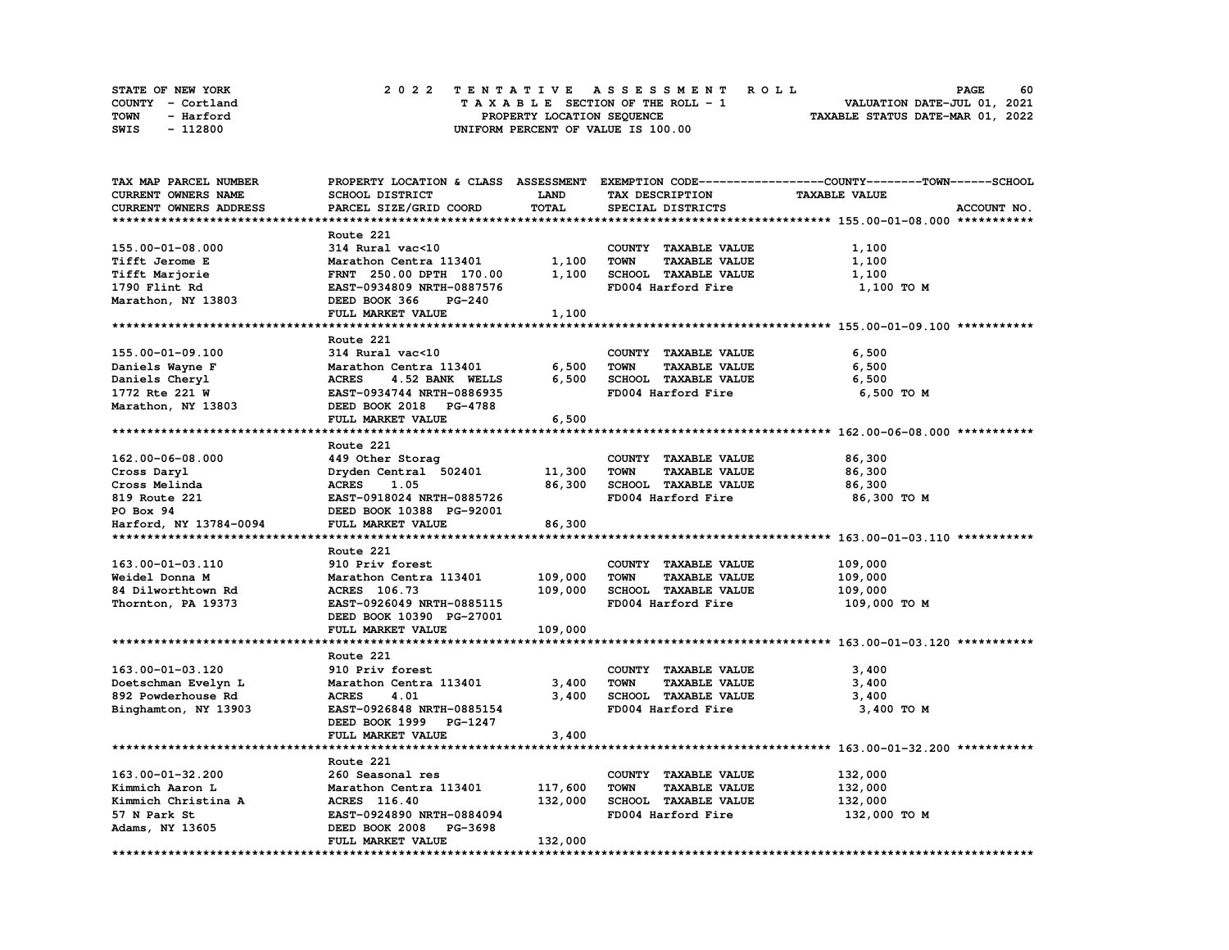| <b>STATE OF NEW YORK</b> | 2022 TENTATIVE ASSESSMENT ROLL     | 60<br><b>PAGE</b>                |
|--------------------------|------------------------------------|----------------------------------|
| COUNTY - Cortland        | TAXABLE SECTION OF THE ROLL - 1    | VALUATION DATE-JUL 01, 2021      |
| TOWN<br>- Harford        | PROPERTY LOCATION SEQUENCE         | TAXABLE STATUS DATE-MAR 01, 2022 |
| - 112800<br>SWIS         | UNIFORM PERCENT OF VALUE IS 100.00 |                                  |

| TAX MAP PARCEL NUMBER      |                                 |             |                                     | PROPERTY LOCATION & CLASS ASSESSMENT EXEMPTION CODE----------------COUNTY-------TOWN-----SCHOOL |
|----------------------------|---------------------------------|-------------|-------------------------------------|-------------------------------------------------------------------------------------------------|
| <b>CURRENT OWNERS NAME</b> | <b>SCHOOL DISTRICT</b>          | <b>LAND</b> | TAX DESCRIPTION                     | <b>TAXABLE VALUE</b>                                                                            |
| CURRENT OWNERS ADDRESS     | PARCEL SIZE/GRID COORD          | TOTAL       | SPECIAL DISTRICTS                   | ACCOUNT NO.                                                                                     |
|                            |                                 |             |                                     |                                                                                                 |
|                            | Route 221                       |             |                                     |                                                                                                 |
| 155.00-01-08.000           | 314 Rural vac<10                |             | COUNTY TAXABLE VALUE                | 1,100                                                                                           |
| Tifft Jerome E             | Marathon Centra 113401          | 1,100       | TAXABLE VALUE<br><b>TOWN</b>        | 1,100                                                                                           |
| Tifft Marjorie             | FRNT 250.00 DPTH 170.00         | 1,100       | SCHOOL TAXABLE VALUE                | 1,100                                                                                           |
| 1790 Flint Rd              | EAST-0934809 NRTH-0887576       |             | FD004 Harford Fire                  | 1,100 TO M                                                                                      |
|                            | DEED BOOK 366<br>$PG-240$       |             |                                     |                                                                                                 |
| Marathon, NY 13803         |                                 |             |                                     |                                                                                                 |
|                            | FULL MARKET VALUE               | 1,100       |                                     |                                                                                                 |
|                            |                                 |             |                                     |                                                                                                 |
|                            | Route 221                       |             |                                     |                                                                                                 |
| 155.00-01-09.100           | 314 Rural vac<10                |             | COUNTY TAXABLE VALUE                | 6,500                                                                                           |
| Daniels Wayne F            | Marathon Centra 113401          | 6,500       | <b>TOWN</b><br><b>TAXABLE VALUE</b> | 6,500                                                                                           |
| Daniels Cheryl             | <b>ACRES</b><br>4.52 BANK WELLS | 6,500       | SCHOOL TAXABLE VALUE                | 6,500                                                                                           |
| 1772 Rte 221 W             | EAST-0934744 NRTH-0886935       |             | FD004 Harford Fire                  | 6,500 TO M                                                                                      |
| Marathon, NY 13803         | DEED BOOK 2018 PG-4788          |             |                                     |                                                                                                 |
|                            | FULL MARKET VALUE               | 6,500       |                                     |                                                                                                 |
|                            |                                 |             |                                     |                                                                                                 |
|                            | Route 221                       |             |                                     |                                                                                                 |
| 162.00-06-08.000           | 449 Other Storag                |             | COUNTY TAXABLE VALUE                | 86,300                                                                                          |
| Cross Daryl                | Dryden Central 502401           | 11,300      | <b>TOWN</b><br><b>TAXABLE VALUE</b> | 86,300                                                                                          |
| Cross Melinda              | <b>ACRES</b><br>1.05            | 86,300      | SCHOOL TAXABLE VALUE                | 86,300                                                                                          |
| 819 Route 221              | EAST-0918024 NRTH-0885726       |             | FD004 Harford Fire                  | 86,300 ТО М                                                                                     |
| PO Box 94                  | DEED BOOK 10388 PG-92001        |             |                                     |                                                                                                 |
| Harford, NY 13784-0094     | FULL MARKET VALUE               | 86,300      |                                     |                                                                                                 |
|                            |                                 |             |                                     |                                                                                                 |
|                            | Route 221                       |             |                                     |                                                                                                 |
| 163.00-01-03.110           | 910 Priv forest                 |             | COUNTY TAXABLE VALUE                | 109,000                                                                                         |
| Weidel Donna M             | Marathon Centra 113401          | 109,000     | <b>TOWN</b><br><b>TAXABLE VALUE</b> | 109,000                                                                                         |
| 84 Dilworthtown Rd         | ACRES 106.73                    | 109,000     | SCHOOL TAXABLE VALUE                | 109,000                                                                                         |
| Thornton, PA 19373         | EAST-0926049 NRTH-0885115       |             | FD004 Harford Fire                  | 109,000 TO M                                                                                    |
|                            | DEED BOOK 10390 PG-27001        |             |                                     |                                                                                                 |
|                            |                                 |             |                                     |                                                                                                 |
|                            | FULL MARKET VALUE               | 109,000     |                                     |                                                                                                 |
|                            |                                 |             |                                     |                                                                                                 |
|                            | Route 221                       |             |                                     |                                                                                                 |
| 163.00-01-03.120           | 910 Priv forest                 |             | COUNTY TAXABLE VALUE                | 3,400                                                                                           |
| Doetschman Evelyn L        | Marathon Centra 113401          | 3,400       | <b>TOWN</b><br><b>TAXABLE VALUE</b> | 3,400                                                                                           |
| 892 Powderhouse Rd         | <b>ACRES</b><br>4.01            | 3,400       | SCHOOL TAXABLE VALUE                | 3,400                                                                                           |
| Binghamton, NY 13903       | EAST-0926848 NRTH-0885154       |             | FD004 Harford Fire                  | 3,400 TO M                                                                                      |
|                            | DEED BOOK 1999 PG-1247          |             |                                     |                                                                                                 |
|                            | FULL MARKET VALUE               | 3,400       |                                     |                                                                                                 |
|                            |                                 |             |                                     |                                                                                                 |
|                            | Route 221                       |             |                                     |                                                                                                 |
| 163.00-01-32.200           | 260 Seasonal res                |             | COUNTY TAXABLE VALUE                | 132,000                                                                                         |
| Kimmich Aaron L            | Marathon Centra 113401          | 117,600     | <b>TOWN</b><br><b>TAXABLE VALUE</b> | 132,000                                                                                         |
| Kimmich Christina A        | <b>ACRES</b> 116.40             | 132,000     | <b>SCHOOL TAXABLE VALUE</b>         | 132,000                                                                                         |
| 57 N Park St               | EAST-0924890 NRTH-0884094       |             | FD004 Harford Fire                  | 132,000 TO M                                                                                    |
| Adams, NY 13605            | DEED BOOK 2008 PG-3698          |             |                                     |                                                                                                 |
|                            | FULL MARKET VALUE               | 132,000     |                                     |                                                                                                 |
|                            |                                 |             |                                     |                                                                                                 |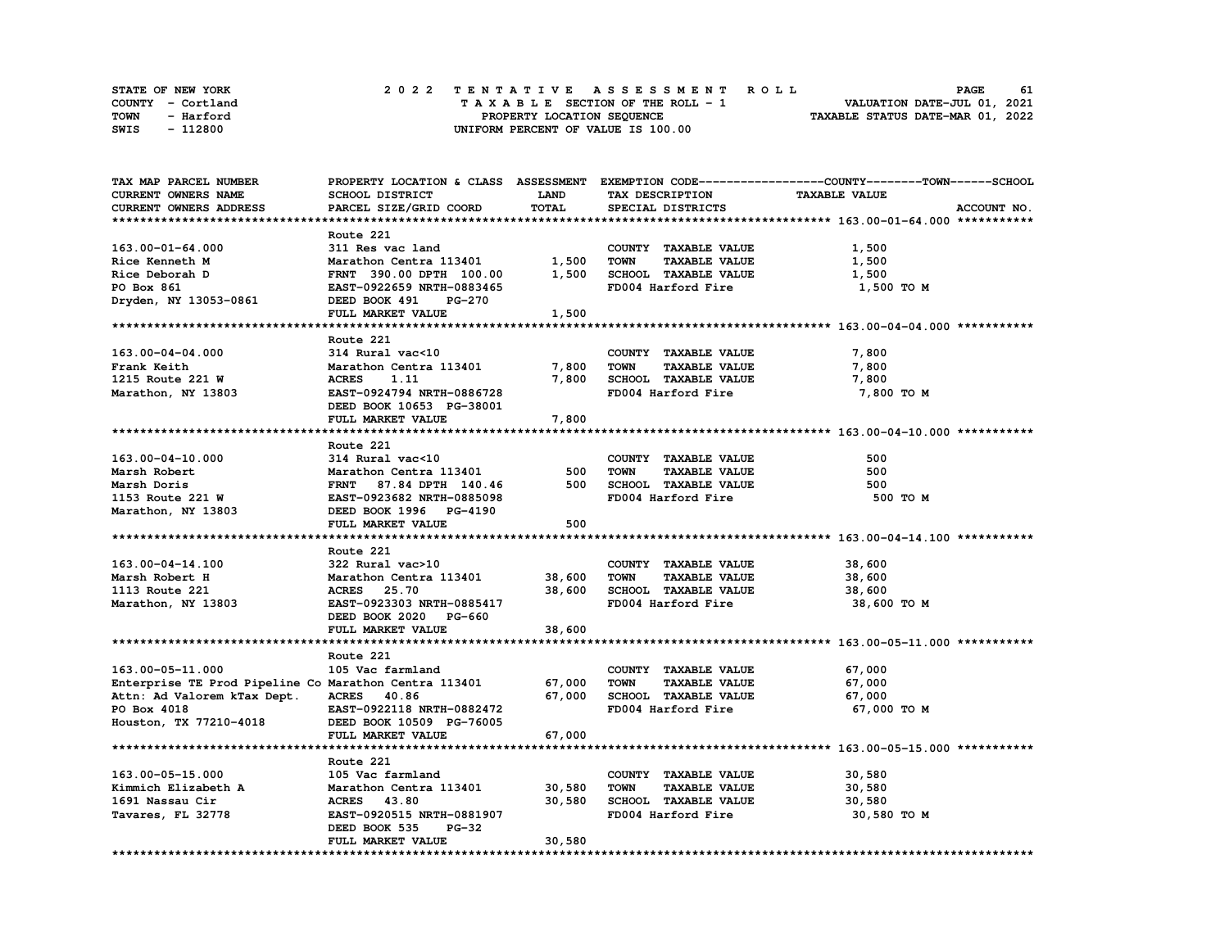| STATE OF NEW YORK | 2022 TENTATIVE ASSESSMENT ROLL     | 61<br><b>PAGE</b>                |
|-------------------|------------------------------------|----------------------------------|
| COUNTY - Cortland | TAXABLE SECTION OF THE ROLL - 1    | VALUATION DATE-JUL 01, 2021      |
| TOWN<br>- Harford | PROPERTY LOCATION SEQUENCE         | TAXABLE STATUS DATE-MAR 01, 2022 |
| - 112800<br>SWIS  | UNIFORM PERCENT OF VALUE IS 100.00 |                                  |

| TAX MAP PARCEL NUMBER                                 |                                |              |                                     | PROPERTY LOCATION & CLASS ASSESSMENT EXEMPTION CODE----------------COUNTY-------TOWN------SCHOOL |
|-------------------------------------------------------|--------------------------------|--------------|-------------------------------------|--------------------------------------------------------------------------------------------------|
| CURRENT OWNERS NAME                                   | SCHOOL DISTRICT                | <b>LAND</b>  | TAX DESCRIPTION                     | <b>TAXABLE VALUE</b>                                                                             |
| CURRENT OWNERS ADDRESS                                | PARCEL SIZE/GRID COORD         | <b>TOTAL</b> | SPECIAL DISTRICTS                   | ACCOUNT NO.                                                                                      |
|                                                       |                                |              |                                     |                                                                                                  |
|                                                       | Route 221                      |              |                                     |                                                                                                  |
| $163.00 - 01 - 64.000$                                | 311 Res vac land               |              | COUNTY TAXABLE VALUE                | 1,500                                                                                            |
| Rice Kenneth M                                        | Marathon Centra 113401         | 1,500        | <b>TOWN</b><br><b>TAXABLE VALUE</b> | 1,500                                                                                            |
|                                                       |                                |              |                                     |                                                                                                  |
| Rice Deborah D                                        | FRNT 390.00 DPTH 100.00        | 1,500        | SCHOOL TAXABLE VALUE                | 1,500                                                                                            |
| PO Box 861                                            | EAST-0922659 NRTH-0883465      |              | FD004 Harford Fire                  | 1,500 TO M                                                                                       |
| Dryden, NY 13053-0861                                 | DEED BOOK 491<br><b>PG-270</b> |              |                                     |                                                                                                  |
|                                                       | FULL MARKET VALUE              | 1,500        |                                     |                                                                                                  |
|                                                       |                                |              |                                     |                                                                                                  |
|                                                       | Route 221                      |              |                                     |                                                                                                  |
| 163.00-04-04.000                                      | 314 Rural vac<10               |              | COUNTY TAXABLE VALUE                | 7,800                                                                                            |
| Frank Keith                                           | Marathon Centra 113401         | 7,800        | TOWN<br><b>TAXABLE VALUE</b>        | 7,800                                                                                            |
| 1215 Route 221 W                                      | <b>ACRES</b><br>1.11           | 7,800        | SCHOOL TAXABLE VALUE                | 7,800                                                                                            |
| Marathon, NY 13803                                    | EAST-0924794 NRTH-0886728      |              | FD004 Harford Fire                  | 7,800 TO M                                                                                       |
|                                                       | DEED BOOK 10653 PG-38001       |              |                                     |                                                                                                  |
|                                                       | FULL MARKET VALUE              | 7,800        |                                     |                                                                                                  |
|                                                       |                                |              |                                     |                                                                                                  |
|                                                       | Route 221                      |              |                                     |                                                                                                  |
|                                                       |                                |              |                                     |                                                                                                  |
| 163.00-04-10.000                                      | 314 Rural vac<10               |              | COUNTY TAXABLE VALUE                | 500                                                                                              |
| Marsh Robert                                          | Marathon Centra 113401         | 500          | <b>TOWN</b><br><b>TAXABLE VALUE</b> | 500                                                                                              |
| Marsh Doris                                           | FRNT 87.84 DPTH 140.46         | 500          | SCHOOL TAXABLE VALUE                | 500                                                                                              |
| 1153 Route 221 W                                      | EAST-0923682 NRTH-0885098      |              | FD004 Harford Fire                  | 500 TO M                                                                                         |
| Marathon, NY 13803                                    | DEED BOOK 1996 PG-4190         |              |                                     |                                                                                                  |
|                                                       | FULL MARKET VALUE              | 500          |                                     |                                                                                                  |
|                                                       |                                |              |                                     |                                                                                                  |
|                                                       | Route 221                      |              |                                     |                                                                                                  |
| 163.00-04-14.100                                      | 322 Rural vac>10               |              | COUNTY TAXABLE VALUE                | 38,600                                                                                           |
| Marsh Robert H                                        | Marathon Centra 113401         | 38,600       | <b>TOWN</b><br><b>TAXABLE VALUE</b> | 38,600                                                                                           |
| 1113 Route 221                                        | <b>ACRES</b> 25.70             | 38,600       | SCHOOL TAXABLE VALUE                | 38,600                                                                                           |
| Marathon, NY 13803                                    | EAST-0923303 NRTH-0885417      |              | FD004 Harford Fire                  | 38,600 TO M                                                                                      |
|                                                       | DEED BOOK 2020 PG-660          |              |                                     |                                                                                                  |
|                                                       | FULL MARKET VALUE              | 38,600       |                                     |                                                                                                  |
|                                                       |                                |              |                                     |                                                                                                  |
|                                                       |                                |              |                                     |                                                                                                  |
|                                                       | Route 221                      |              |                                     |                                                                                                  |
| 163.00-05-11.000                                      | 105 Vac farmland               |              | COUNTY TAXABLE VALUE                | 67,000                                                                                           |
| Enterprise TE Prod Pipeline Co Marathon Centra 113401 |                                | 67,000       | <b>TOWN</b><br><b>TAXABLE VALUE</b> | 67,000                                                                                           |
| Attn: Ad Valorem kTax Dept.                           | <b>ACRES</b> 40.86             | 67,000       | SCHOOL TAXABLE VALUE                | 67,000                                                                                           |
| PO Box 4018                                           | EAST-0922118 NRTH-0882472      |              | FD004 Harford Fire                  | 67,000 TO M                                                                                      |
| Houston, TX 77210-4018                                | DEED BOOK 10509 PG-76005       |              |                                     |                                                                                                  |
|                                                       | FULL MARKET VALUE              | 67,000       |                                     |                                                                                                  |
|                                                       |                                |              |                                     |                                                                                                  |
|                                                       | Route 221                      |              |                                     |                                                                                                  |
| 163.00-05-15.000                                      | 105 Vac farmland               |              | COUNTY TAXABLE VALUE                | 30,580                                                                                           |
| Kimmich Elizabeth A                                   | Marathon Centra 113401         | 30,580       | <b>TOWN</b><br><b>TAXABLE VALUE</b> | 30,580                                                                                           |
| 1691 Nassau Cir                                       | <b>ACRES</b> 43.80             | 30,580       | SCHOOL TAXABLE VALUE                | 30,580                                                                                           |
| Tavares, FL 32778                                     | EAST-0920515 NRTH-0881907      |              | FD004 Harford Fire                  | 30,580 TO M                                                                                      |
|                                                       | DEED BOOK 535<br><b>PG-32</b>  |              |                                     |                                                                                                  |
|                                                       |                                |              |                                     |                                                                                                  |
|                                                       | FULL MARKET VALUE              | 30,580       |                                     |                                                                                                  |
|                                                       |                                |              |                                     |                                                                                                  |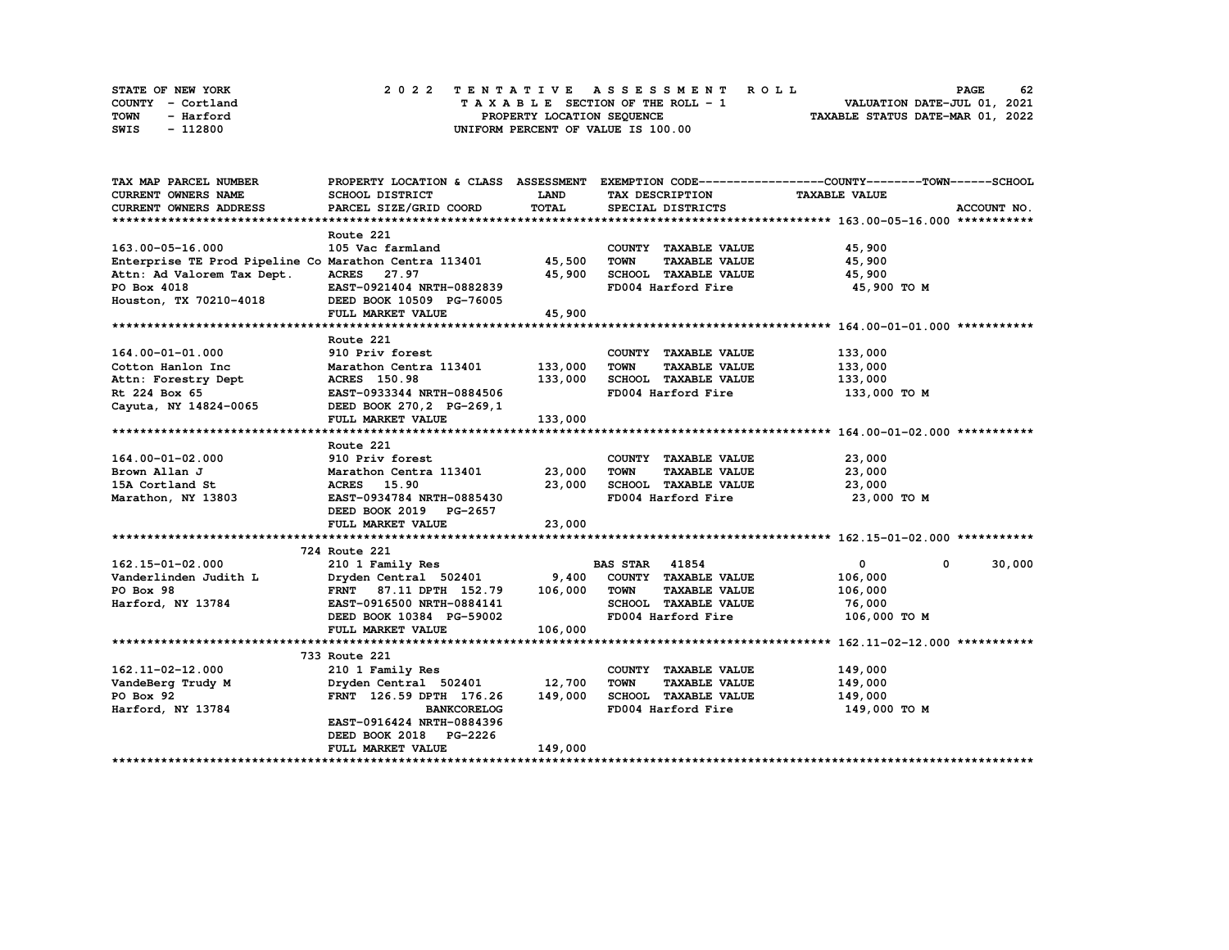| STATE OF NEW YORK | 2022 TENTATIVE ASSESSMENT ROLL     | 62<br><b>PAGE</b>                |
|-------------------|------------------------------------|----------------------------------|
| COUNTY - Cortland | TAXABLE SECTION OF THE ROLL - 1    | VALUATION DATE-JUL 01, 2021      |
| TOWN<br>- Harford | PROPERTY LOCATION SEQUENCE         | TAXABLE STATUS DATE-MAR 01, 2022 |
| - 112800<br>SWIS  | UNIFORM PERCENT OF VALUE IS 100.00 |                                  |

| TAX MAP PARCEL NUMBER                                                                                                |                                                  |             |                                     | PROPERTY LOCATION & CLASS ASSESSMENT EXEMPTION CODE----------------COUNTY-------TOWN------SCHOOL |
|----------------------------------------------------------------------------------------------------------------------|--------------------------------------------------|-------------|-------------------------------------|--------------------------------------------------------------------------------------------------|
| <b>CURRENT OWNERS NAME</b>                                                                                           | SCHOOL DISTRICT                                  | <b>LAND</b> | TAX DESCRIPTION                     | <b>TAXABLE VALUE</b>                                                                             |
| <b>CURRENT OWNERS ADDRESS</b>                                                                                        | PARCEL SIZE/GRID COORD                           | TOTAL       | SPECIAL DISTRICTS                   | ACCOUNT NO.                                                                                      |
|                                                                                                                      |                                                  |             |                                     |                                                                                                  |
|                                                                                                                      | Route 221                                        |             |                                     |                                                                                                  |
| 163.00-05-16.000                                                                                                     | 105 Vac farmland                                 |             | COUNTY TAXABLE VALUE                | 45,900                                                                                           |
| Enterprise TE Prod Pipeline Co Marathon Centra 113401 45,500                                                         |                                                  |             | TOWN<br><b>TAXABLE VALUE</b>        | 45,900                                                                                           |
| Attn: Ad Valorem Tax Dept.                                                                                           | ACRES 27.97                                      | 45,900      | SCHOOL TAXABLE VALUE                | 45,900                                                                                           |
| PO Box 4018                                                                                                          | EAST-0921404 NRTH-0882839                        |             | FD004 Harford Fire                  | 45,900 TO M                                                                                      |
| Houston, TX 70210-4018                                                                                               | DEED BOOK 10509 PG-76005                         |             |                                     |                                                                                                  |
|                                                                                                                      | FULL MARKET VALUE                                | 45,900      |                                     |                                                                                                  |
|                                                                                                                      |                                                  |             |                                     |                                                                                                  |
|                                                                                                                      | Route 221                                        |             |                                     |                                                                                                  |
| 164.00-01-01.000                                                                                                     | 910 Priv forest                                  |             | COUNTY TAXABLE VALUE                | 133,000                                                                                          |
| Cotton Hanlon Inc                                                                                                    | Marathon Centra 113401 133,000                   |             | <b>TOWN</b><br><b>TAXABLE VALUE</b> | 133,000                                                                                          |
| Attn: Forestry Dept                                                                                                  | <b>ACRES</b> 150.98                              | 133,000     | SCHOOL TAXABLE VALUE                | 133,000                                                                                          |
| Rt 224 Box 65                                                                                                        | , در د ACRES 150.96<br>EAST-0933344 NRTH-0884506 |             | FD004 Harford Fire                  | 133,000 TO M                                                                                     |
| Cayuta, NY 14824-0065                                                                                                | DEED BOOK 270, 2 PG-269, 1                       |             |                                     |                                                                                                  |
|                                                                                                                      | FULL MARKET VALUE                                | 133,000     |                                     |                                                                                                  |
|                                                                                                                      |                                                  |             |                                     |                                                                                                  |
|                                                                                                                      | Route 221                                        |             |                                     |                                                                                                  |
| 164.00-01-02.000                                                                                                     | 910 Priv forest                                  |             | COUNTY TAXABLE VALUE                | 23,000                                                                                           |
| Brown Allan J                                                                                                        | Marathon Centra 113401 23,000                    |             | <b>TOWN</b><br><b>TAXABLE VALUE</b> | 23,000                                                                                           |
| 15A Cortland St                                                                                                      | <b>ACRES</b> 15.90                               | 23,000      | SCHOOL TAXABLE VALUE                | 23,000                                                                                           |
| Marathon, NY 13803                                                                                                   | EAST-0934784 NRTH-0885430                        |             | FD004 Harford Fire                  | 23,000 TO M                                                                                      |
|                                                                                                                      | DEED BOOK 2019 PG-2657                           |             |                                     |                                                                                                  |
|                                                                                                                      | FULL MARKET VALUE                                | 23,000      |                                     |                                                                                                  |
|                                                                                                                      |                                                  |             |                                     |                                                                                                  |
|                                                                                                                      | 724 Route 221                                    |             |                                     |                                                                                                  |
| 162.15-01-02.000                                                                                                     | 210 1 Family Res                                 |             | <b>BAS STAR</b> 41854               | $\mathbf{0}$<br>30,000<br>$^{\circ}$                                                             |
|                                                                                                                      |                                                  |             |                                     | 106,000                                                                                          |
| Vanderlinden Judith L<br>Vander Judith L<br>Po Box 98 FRNT 87.11 DPTH 152.79 106,000 TOWN TAXABLE VALUE<br>PO Box 98 |                                                  |             |                                     | 106,000                                                                                          |
| Harford, NY 13784                                                                                                    | EAST-0916500 NRTH-0884141                        |             | SCHOOL TAXABLE VALUE                | 76,000                                                                                           |
|                                                                                                                      | DEED BOOK 10384 PG-59002                         |             | FD004 Harford Fire                  | 106,000 TO M                                                                                     |
|                                                                                                                      |                                                  | 106,000     |                                     |                                                                                                  |
|                                                                                                                      | FULL MARKET VALUE                                |             |                                     |                                                                                                  |
|                                                                                                                      | 733 Route 221                                    |             |                                     |                                                                                                  |
| 162.11-02-12.000                                                                                                     | 210 1 Family Res                                 |             | COUNTY TAXABLE VALUE                | 149,000                                                                                          |
|                                                                                                                      | Dryden Central 502401 12,700                     |             | <b>TOWN</b><br><b>TAXABLE VALUE</b> | 149,000                                                                                          |
| VandeBerg Trudy M<br>PO Box 92                                                                                       | FRNT 126.59 DPTH 176.26                          | 149,000     | SCHOOL TAXABLE VALUE                | 149,000                                                                                          |
| Harford, NY 13784                                                                                                    | <b>BANKCORELOG</b>                               |             | FD004 Harford Fire                  | 149,000 TO M                                                                                     |
|                                                                                                                      |                                                  |             |                                     |                                                                                                  |
|                                                                                                                      | EAST-0916424 NRTH-0884396                        |             |                                     |                                                                                                  |
|                                                                                                                      | DEED BOOK 2018 PG-2226                           |             |                                     |                                                                                                  |
|                                                                                                                      | <b>FULL MARKET VALUE</b>                         | 149,000     |                                     |                                                                                                  |
|                                                                                                                      |                                                  |             |                                     |                                                                                                  |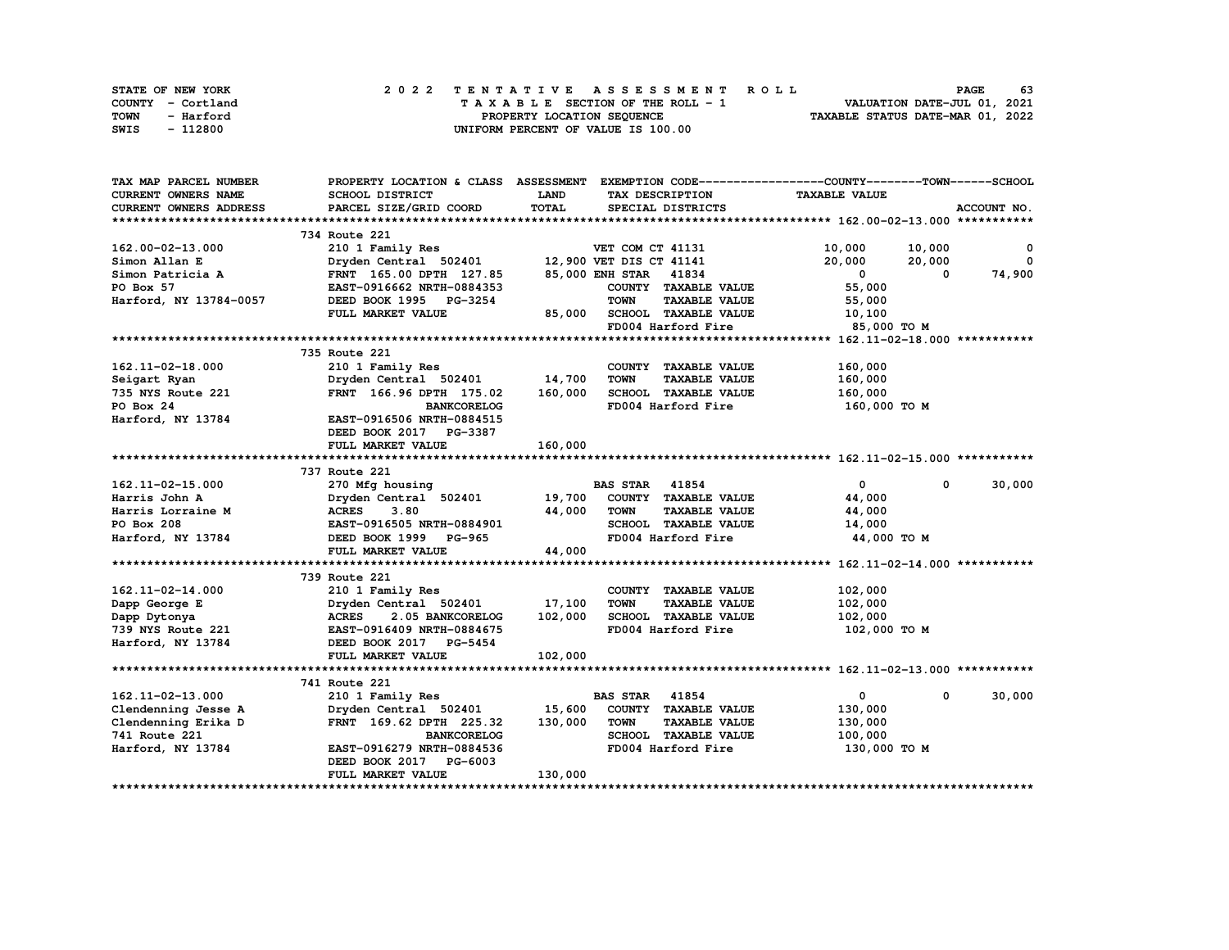| STATE OF NEW YORK | 2022 TENTATIVE ASSESSMENT ROLL     | 63<br><b>PAGE</b>                |
|-------------------|------------------------------------|----------------------------------|
| COUNTY - Cortland | TAXABLE SECTION OF THE ROLL - 1    | VALUATION DATE-JUL 01, 2021      |
| TOWN<br>- Harford | PROPERTY LOCATION SEQUENCE         | TAXABLE STATUS DATE-MAR 01, 2022 |
| - 112800<br>SWIS  | UNIFORM PERCENT OF VALUE IS 100.00 |                                  |

| TAX MAP PARCEL NUMBER  |                                               |         |                                     | PROPERTY LOCATION & CLASS ASSESSMENT EXEMPTION CODE----------------COUNTY-------TOWN------SCHOOL |              |
|------------------------|-----------------------------------------------|---------|-------------------------------------|--------------------------------------------------------------------------------------------------|--------------|
| CURRENT OWNERS NAME    | SCHOOL DISTRICT                               | LAND    | TAX DESCRIPTION                     | <b>TAXABLE VALUE</b>                                                                             |              |
| CURRENT OWNERS ADDRESS | PARCEL SIZE/GRID COORD                        | TOTAL   | SPECIAL DISTRICTS                   |                                                                                                  | ACCOUNT NO.  |
|                        |                                               |         |                                     |                                                                                                  |              |
|                        | 734 Route 221                                 |         |                                     |                                                                                                  |              |
| 162.00-02-13.000       | 210 1 Family Res                              |         | VET COM CT 41131                    | 10,000<br>10,000                                                                                 | $\mathbf{o}$ |
| Simon Allan E          | Dryden Central 502401 12,900 VET DIS CT 41141 |         |                                     | 20,000<br>20,000                                                                                 | 0            |
| Simon Patricia A       | FRNT 165.00 DPTH 127.85                       |         | 85,000 ENH STAR 41834               | $\mathbf{0}$<br>$^{\circ}$                                                                       | 74,900       |
| PO Box 57              | EAST-0916662 NRTH-0884353                     |         | COUNTY TAXABLE VALUE                | 55,000                                                                                           |              |
| Harford, NY 13784-0057 | DEED BOOK 1995 PG-3254                        |         | <b>TOWN</b><br><b>TAXABLE VALUE</b> | 55,000                                                                                           |              |
|                        | FULL MARKET VALUE                             | 85,000  | SCHOOL TAXABLE VALUE                | 10,100                                                                                           |              |
|                        |                                               |         | FD004 Harford Fire                  | 85,000 TO M                                                                                      |              |
|                        |                                               |         |                                     |                                                                                                  |              |
|                        | 735 Route 221                                 |         |                                     |                                                                                                  |              |
| 162.11-02-18.000       | 210 1 Family Res                              |         | COUNTY TAXABLE VALUE                | 160,000                                                                                          |              |
| Seigart Ryan           | Dryden Central 502401                         | 14,700  | <b>TOWN</b><br><b>TAXABLE VALUE</b> | 160,000                                                                                          |              |
| 735 NYS Route 221      | FRNT 166.96 DPTH 175.02                       | 160,000 | SCHOOL TAXABLE VALUE                | 160,000                                                                                          |              |
| PO Box 24              | <b>BANKCORELOG</b>                            |         | FD004 Harford Fire                  | 160,000 то м                                                                                     |              |
| Harford, NY 13784      | EAST-0916506 NRTH-0884515                     |         |                                     |                                                                                                  |              |
|                        | DEED BOOK 2017 PG-3387                        |         |                                     |                                                                                                  |              |
|                        | FULL MARKET VALUE                             | 160,000 |                                     |                                                                                                  |              |
|                        |                                               |         |                                     |                                                                                                  |              |
|                        | 737 Route 221                                 |         |                                     |                                                                                                  |              |
| 162.11-02-15.000       | 270 Mfg housing                               |         | <b>BAS STAR 41854</b>               | $\mathbf{0}$<br>$\mathbf{0}$                                                                     | 30,000       |
| Harris John A          | Dryden Central 502401 19,700                  |         | COUNTY TAXABLE VALUE                | 44,000                                                                                           |              |
| Harris Lorraine M      | <b>ACRES</b><br>3.80                          | 44,000  | <b>TOWN</b><br><b>TAXABLE VALUE</b> | 44,000                                                                                           |              |
| PO Box 208             | EAST-0916505 NRTH-0884901                     |         | SCHOOL TAXABLE VALUE                | 14,000                                                                                           |              |
| Harford, NY 13784      | DEED BOOK 1999 PG-965                         |         | FD004 Harford Fire                  | 44,000 TO M                                                                                      |              |
|                        | FULL MARKET VALUE                             | 44,000  |                                     |                                                                                                  |              |
|                        |                                               |         |                                     |                                                                                                  |              |
|                        | 739 Route 221                                 |         |                                     |                                                                                                  |              |
| 162.11-02-14.000       | 210 1 Family Res                              |         | COUNTY TAXABLE VALUE                | 102,000                                                                                          |              |
| Dapp George E          | Dryden Central 502401 17,100                  |         | <b>TOWN</b><br><b>TAXABLE VALUE</b> | 102,000                                                                                          |              |
| Dapp Dytonya           | <b>ACRES</b><br>2.05 BANKCORELOG              | 102,000 | SCHOOL TAXABLE VALUE                | 102,000                                                                                          |              |
| 739 NYS Route 221      | EAST-0916409 NRTH-0884675                     |         | FD004 Harford Fire                  | 102,000 то м                                                                                     |              |
| Harford, NY 13784      | DEED BOOK 2017 PG-5454                        |         |                                     |                                                                                                  |              |
|                        | FULL MARKET VALUE                             | 102,000 |                                     |                                                                                                  |              |
|                        |                                               |         |                                     |                                                                                                  |              |
|                        | 741 Route 221                                 |         |                                     |                                                                                                  |              |
| 162.11-02-13.000       | 210 1 Family Res                              |         | 41854<br><b>BAS STAR</b>            | $\mathbf{0}$<br>0                                                                                | 30,000       |
| Clendenning Jesse A    | Dryden Central 502401                         | 15,600  | COUNTY TAXABLE VALUE                | 130,000                                                                                          |              |
| Clendenning Erika D    | FRNT 169.62 DPTH 225.32                       | 130,000 | <b>TOWN</b><br><b>TAXABLE VALUE</b> | 130,000                                                                                          |              |
| 741 Route 221          | <b>BANKCORELOG</b>                            |         | SCHOOL TAXABLE VALUE                | 100,000                                                                                          |              |
| Harford, NY 13784      | EAST-0916279 NRTH-0884536                     |         | FD004 Harford Fire                  | 130,000 TO M                                                                                     |              |
|                        | DEED BOOK 2017 PG-6003                        |         |                                     |                                                                                                  |              |
|                        | FULL MARKET VALUE                             | 130,000 |                                     |                                                                                                  |              |
|                        |                                               |         |                                     |                                                                                                  |              |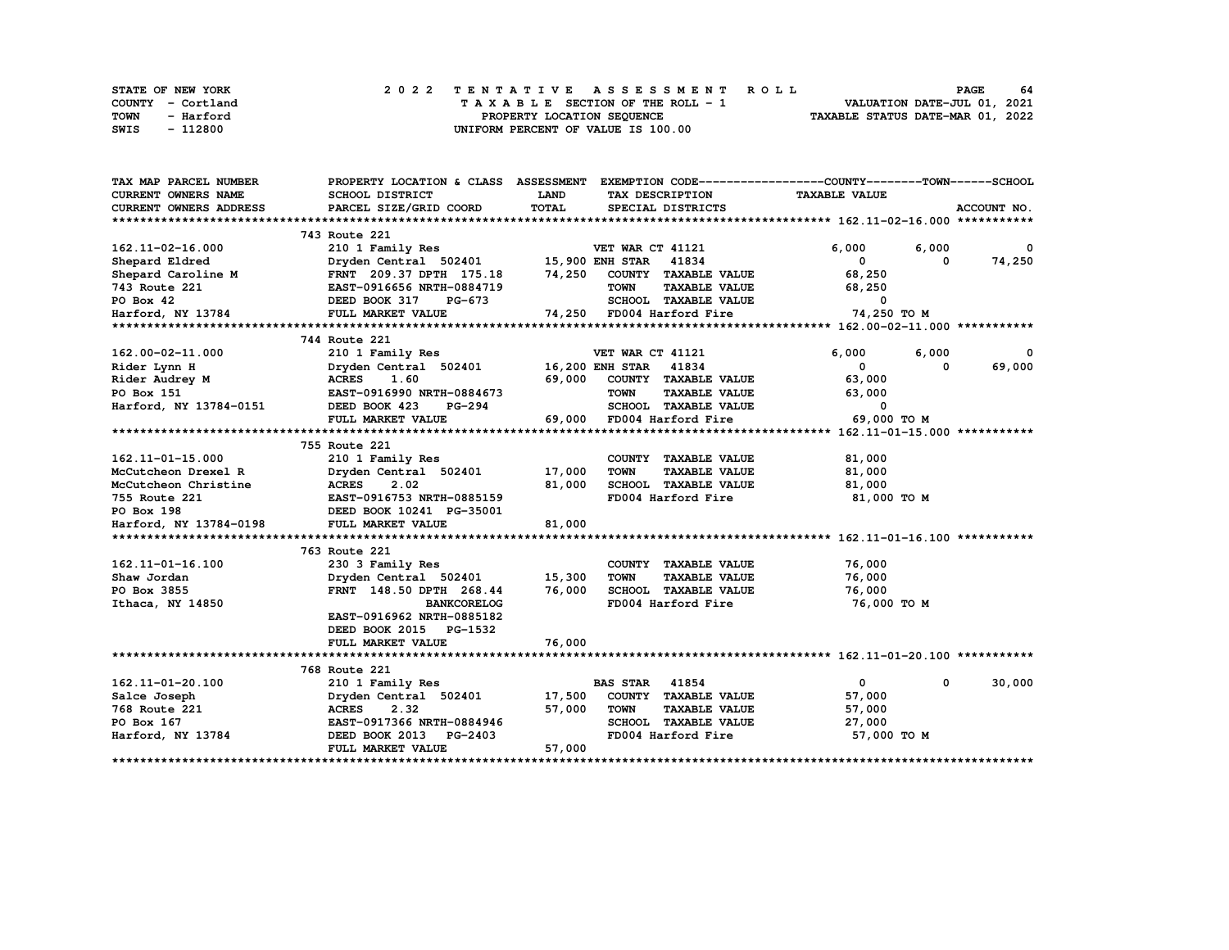| <b>STATE OF NEW YORK</b> | 2022 TENTATIVE ASSESSMENT ROLL     | 64<br><b>PAGE</b>                |
|--------------------------|------------------------------------|----------------------------------|
| COUNTY - Cortland        | TAXABLE SECTION OF THE ROLL - 1    | VALUATION DATE-JUL 01, 2021      |
| TOWN<br>- Harford        | PROPERTY LOCATION SEQUENCE         | TAXABLE STATUS DATE-MAR 01, 2022 |
| - 112800<br>SWIS         | UNIFORM PERCENT OF VALUE IS 100.00 |                                  |

| TAX MAP PARCEL NUMBER         | PROPERTY LOCATION & CLASS ASSESSMENT      |                  | EXEMPTION CODE-----------------COUNTY-------TOWN------SCHOOL |                      |             |
|-------------------------------|-------------------------------------------|------------------|--------------------------------------------------------------|----------------------|-------------|
| <b>CURRENT OWNERS NAME</b>    | SCHOOL DISTRICT                           | LAND             | TAX DESCRIPTION                                              | <b>TAXABLE VALUE</b> |             |
| <b>CURRENT OWNERS ADDRESS</b> | PARCEL SIZE/GRID COORD                    | <b>TOTAL</b>     | SPECIAL DISTRICTS                                            |                      | ACCOUNT NO. |
|                               |                                           |                  |                                                              |                      |             |
|                               | 743 Route 221                             |                  |                                                              |                      |             |
| 162.11-02-16.000              | 210 1 Family Res                          |                  | VET WAR CT 41121                                             | 6,000<br>6,000       | 0           |
| Shepard Eldred                | Dryden Central 502401                     |                  | 15,900 ENH STAR<br>41834                                     | 0                    | 74,250<br>0 |
| Shepard Caroline M            | FRNT 209.37 DPTH 175.18                   | 74,250           | COUNTY TAXABLE VALUE                                         | 68,250               |             |
| 743 Route 221                 | EAST-0916656 NRTH-0884719                 |                  | <b>TOWN</b><br><b>TAXABLE VALUE</b>                          | 68,250               |             |
| PO Box 42                     | DEED BOOK 317<br>PG-673                   |                  | SCHOOL TAXABLE VALUE                                         | $\mathbf{o}$         |             |
| Harford, NY 13784             | FULL MARKET VALUE                         |                  | 74,250 FD004 Harford Fire                                    | 74,250 TO M          |             |
|                               |                                           |                  |                                                              |                      |             |
|                               | 744 Route 221                             |                  |                                                              |                      |             |
| 162.00-02-11.000              | 210 1 Family Res                          |                  | VET WAR CT 41121                                             | 6,000<br>6,000       |             |
| Rider Lynn H                  | Dryden Central 502401                     |                  | <b>16,200 ENH STAR 41834</b>                                 | 0                    | 69,000<br>0 |
| Rider Audrey M                | 1.60<br><b>ACRES</b>                      | 69,000           | COUNTY TAXABLE VALUE                                         | 63,000               |             |
| PO Box 151                    | EAST-0916990 NRTH-0884673                 |                  | <b>TOWN</b><br><b>TAXABLE VALUE</b>                          | 63,000               |             |
| Harford, NY 13784-0151        | DEED BOOK 423<br>PG-294                   |                  | SCHOOL TAXABLE VALUE                                         | 0                    |             |
|                               | FULL MARKET VALUE                         |                  | 69,000 FD004 Harford Fire                                    | 69,000 TO M          |             |
|                               |                                           |                  |                                                              |                      |             |
|                               | 755 Route 221                             |                  |                                                              |                      |             |
| 162.11-01-15.000              | 210 1 Family Res                          |                  | COUNTY TAXABLE VALUE                                         | 81,000               |             |
| McCutcheon Drexel R           | Dryden Central 502401                     | 17,000           | <b>TOWN</b><br><b>TAXABLE VALUE</b>                          | 81,000               |             |
| McCutcheon Christine          | <b>ACRES</b><br>2.02                      | 81,000           | SCHOOL TAXABLE VALUE                                         | 81,000               |             |
| 755 Route 221                 | EAST-0916753 NRTH-0885159                 |                  | FD004 Harford Fire                                           | 81,000 TO M          |             |
| PO Box 198                    | DEED BOOK 10241 PG-35001                  |                  |                                                              |                      |             |
| Harford, NY 13784-0198        | FULL MARKET VALUE                         | 81,000           |                                                              |                      |             |
|                               |                                           |                  |                                                              |                      |             |
|                               | 763 Route 221                             |                  |                                                              |                      |             |
| 162.11-01-16.100              |                                           |                  | COUNTY TAXABLE VALUE                                         | 76,000               |             |
|                               | 230 3 Family Res<br>Dryden Central 502401 |                  |                                                              | 76,000               |             |
| Shaw Jordan<br>PO Box 3855    |                                           | 15,300<br>76,000 | <b>TAXABLE VALUE</b><br><b>TOWN</b><br>SCHOOL TAXABLE VALUE  |                      |             |
|                               | FRNT 148.50 DPTH 268.44                   |                  |                                                              | 76,000               |             |
| Ithaca, NY 14850              | <b>BANKCORELOG</b>                        |                  | FD004 Harford Fire                                           | 76,000 TO M          |             |
|                               | EAST-0916962 NRTH-0885182                 |                  |                                                              |                      |             |
|                               | DEED BOOK 2015 PG-1532                    |                  |                                                              |                      |             |
|                               | FULL MARKET VALUE                         | 76,000           |                                                              |                      |             |
|                               |                                           |                  |                                                              |                      |             |
|                               | 768 Route 221                             |                  |                                                              |                      |             |
| 162.11-01-20.100              | 210 1 Family Res                          |                  | <b>BAS STAR</b><br>41854                                     | 0                    | 30,000<br>0 |
| Salce Joseph                  | Dryden Central 502401                     | 17,500           | COUNTY TAXABLE VALUE                                         | 57,000               |             |
| 768 Route 221                 | 2.32<br><b>ACRES</b>                      | 57,000           | <b>TOWN</b><br><b>TAXABLE VALUE</b>                          | 57,000               |             |
| PO Box 167                    | EAST-0917366 NRTH-0884946                 |                  | <b>SCHOOL</b><br><b>TAXABLE VALUE</b>                        | 27,000               |             |
| Harford, NY 13784             | DEED BOOK 2013 PG-2403                    |                  | FD004 Harford Fire                                           | 57,000 TO M          |             |
|                               | FULL MARKET VALUE                         | 57,000           |                                                              |                      |             |
|                               |                                           |                  |                                                              |                      |             |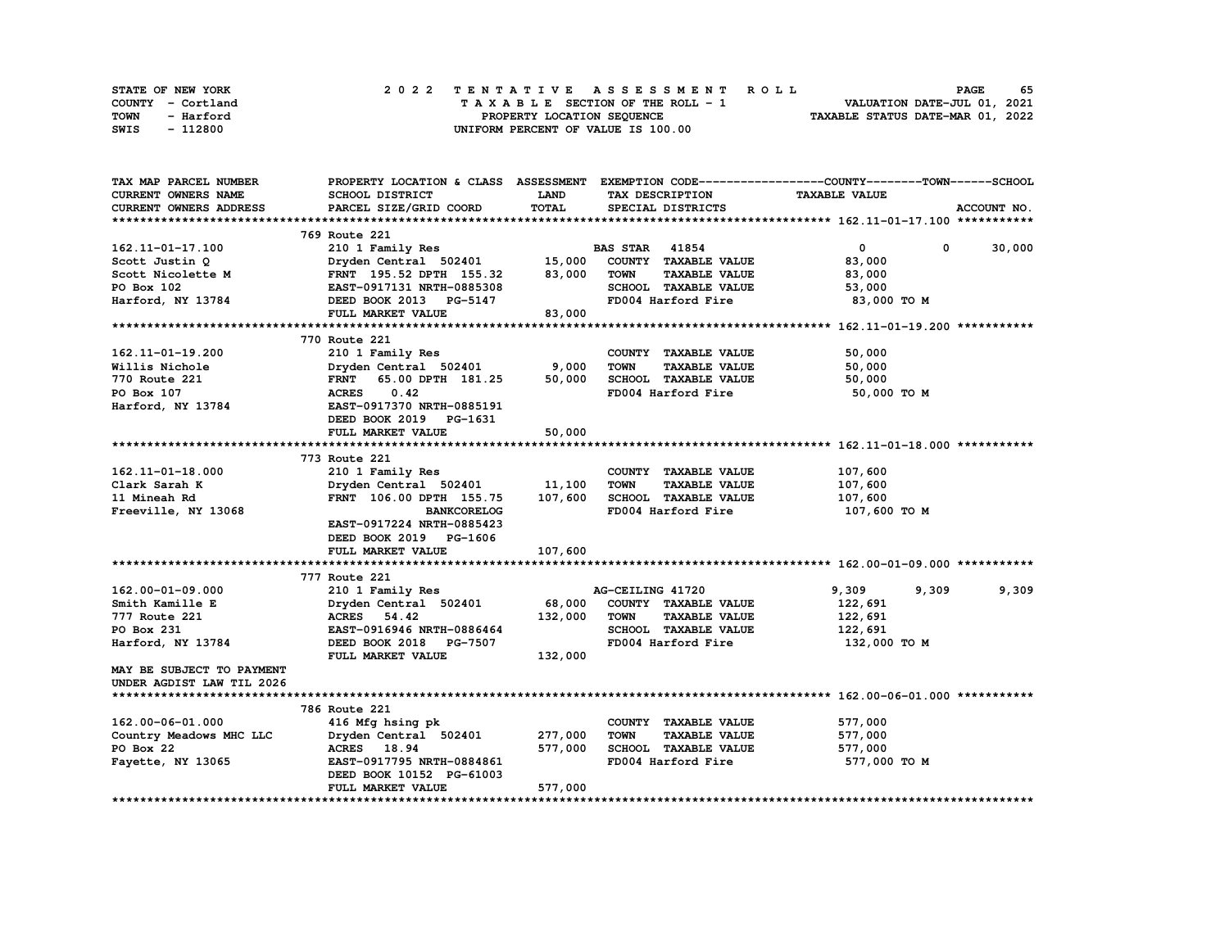| STATE OF NEW YORK | 2022 TENTATIVE ASSESSMENT ROLL     | 65<br><b>PAGE</b>                |
|-------------------|------------------------------------|----------------------------------|
| COUNTY - Cortland | TAXABLE SECTION OF THE ROLL - 1    | VALUATION DATE-JUL 01, 2021      |
| TOWN<br>- Harford | PROPERTY LOCATION SEQUENCE         | TAXABLE STATUS DATE-MAR 01, 2022 |
| - 112800<br>SWIS  | UNIFORM PERCENT OF VALUE IS 100.00 |                                  |

| <b>TAX MAP PARCEL NUMBER</b>     |                                  |             |                                     | PROPERTY LOCATION & CLASS ASSESSMENT EXEMPTION CODE----------------COUNTY-------TOWN-----SCHOOL |
|----------------------------------|----------------------------------|-------------|-------------------------------------|-------------------------------------------------------------------------------------------------|
| CURRENT OWNERS NAME              | <b>SCHOOL DISTRICT</b>           | <b>LAND</b> | TAX DESCRIPTION                     | <b>TAXABLE VALUE</b>                                                                            |
| <b>CURRENT OWNERS ADDRESS</b>    | PARCEL SIZE/GRID COORD           | TOTAL       | SPECIAL DISTRICTS                   | ACCOUNT NO.                                                                                     |
|                                  |                                  |             |                                     |                                                                                                 |
|                                  | 769 Route 221                    |             |                                     |                                                                                                 |
| 162.11-01-17.100                 | 210 1 Family Res                 |             | <b>BAS STAR</b><br>41854            | 30,000<br>$\mathbf{0}$<br>0                                                                     |
| Scott Justin Q                   | Dryden Central 502401 15,000     |             | COUNTY TAXABLE VALUE                | 83,000                                                                                          |
| Scott Nicolette M                | FRNT 195.52 DPTH 155.32          | 83,000      | <b>TOWN</b><br><b>TAXABLE VALUE</b> | 83,000                                                                                          |
| PO Box 102                       | EAST-0917131 NRTH-0885308        |             | SCHOOL TAXABLE VALUE                | 53,000                                                                                          |
| Harford, NY 13784                | DEED BOOK 2013 PG-5147           |             | FD004 Harford Fire                  | 83,000 TO M                                                                                     |
|                                  | FULL MARKET VALUE                | 83,000      |                                     |                                                                                                 |
|                                  |                                  |             |                                     |                                                                                                 |
|                                  | 770 Route 221                    |             |                                     |                                                                                                 |
| 162.11-01-19.200                 | 210 1 Family Res                 |             | COUNTY TAXABLE VALUE                | 50,000                                                                                          |
| Willis Nichole                   | Dryden Central 502401            | 9,000       | <b>TOWN</b><br><b>TAXABLE VALUE</b> | 50,000                                                                                          |
| <b>770 Route 221</b>             | 65.00 DPTH 181.25<br><b>FRNT</b> | 50,000      | SCHOOL TAXABLE VALUE                | 50,000                                                                                          |
| PO Box 107                       | 0.42<br><b>ACRES</b>             |             | FD004 Harford Fire                  | 50,000 TO M                                                                                     |
| Harford, NY 13784                | EAST-0917370 NRTH-0885191        |             |                                     |                                                                                                 |
|                                  | DEED BOOK 2019 PG-1631           |             |                                     |                                                                                                 |
|                                  | FULL MARKET VALUE                | 50,000      |                                     |                                                                                                 |
|                                  |                                  |             |                                     |                                                                                                 |
|                                  | 773 Route 221                    |             |                                     |                                                                                                 |
| 162.11-01-18.000                 | 210 1 Family Res                 |             | COUNTY TAXABLE VALUE                | 107,600                                                                                         |
| Clark Sarah K                    | Dryden Central 502401            | 11,100      | <b>TOWN</b><br><b>TAXABLE VALUE</b> | 107,600                                                                                         |
| 11 Mineah Rd                     | FRNT 106.00 DPTH 155.75          | 107,600     | SCHOOL TAXABLE VALUE                | 107,600                                                                                         |
| Freeville, NY 13068              | <b>BANKCORELOG</b>               |             | FD004 Harford Fire                  | 107,600 то м                                                                                    |
|                                  | EAST-0917224 NRTH-0885423        |             |                                     |                                                                                                 |
|                                  | DEED BOOK 2019 PG-1606           |             |                                     |                                                                                                 |
|                                  | FULL MARKET VALUE                | 107,600     |                                     |                                                                                                 |
|                                  |                                  |             |                                     |                                                                                                 |
|                                  | 777 Route 221                    |             |                                     |                                                                                                 |
| 162.00-01-09.000                 | 210 1 Family Res                 |             | AG-CEILING 41720                    | 9,309<br>9,309<br>9,309                                                                         |
| Smith Kamille E                  | Dryden Central 502401            | 68,000      | COUNTY TAXABLE VALUE                | 122,691                                                                                         |
| 777 Route 221                    | <b>ACRES</b><br>54.42            | 132,000     | <b>TOWN</b><br><b>TAXABLE VALUE</b> | 122,691                                                                                         |
| PO Box 231                       | EAST-0916946 NRTH-0886464        |             | SCHOOL TAXABLE VALUE                | 122,691                                                                                         |
| Harford, NY 13784                | DEED BOOK 2018 PG-7507           |             | FD004 Harford Fire                  | 132,000 TO M                                                                                    |
|                                  | FULL MARKET VALUE                | 132,000     |                                     |                                                                                                 |
| <b>MAY BE SUBJECT TO PAYMENT</b> |                                  |             |                                     |                                                                                                 |
| UNDER AGDIST LAW TIL 2026        |                                  |             |                                     |                                                                                                 |
|                                  |                                  |             |                                     |                                                                                                 |
|                                  | 786 Route 221                    |             |                                     |                                                                                                 |
| 162.00-06-01.000                 | 416 Mfg hsing pk                 |             | COUNTY TAXABLE VALUE                | 577,000                                                                                         |
| Country Meadows MHC LLC          | Dryden Central 502401            | 277,000     | <b>TOWN</b><br><b>TAXABLE VALUE</b> | 577,000                                                                                         |
| PO Box 22                        | ACRES 18.94                      | 577,000     | SCHOOL TAXABLE VALUE                | 577,000                                                                                         |
| Fayette, NY 13065                | EAST-0917795 NRTH-0884861        |             | FD004 Harford Fire                  | 577,000 TO M                                                                                    |
|                                  | DEED BOOK 10152 PG-61003         |             |                                     |                                                                                                 |
|                                  | FULL MARKET VALUE                | 577,000     |                                     |                                                                                                 |
|                                  |                                  |             |                                     |                                                                                                 |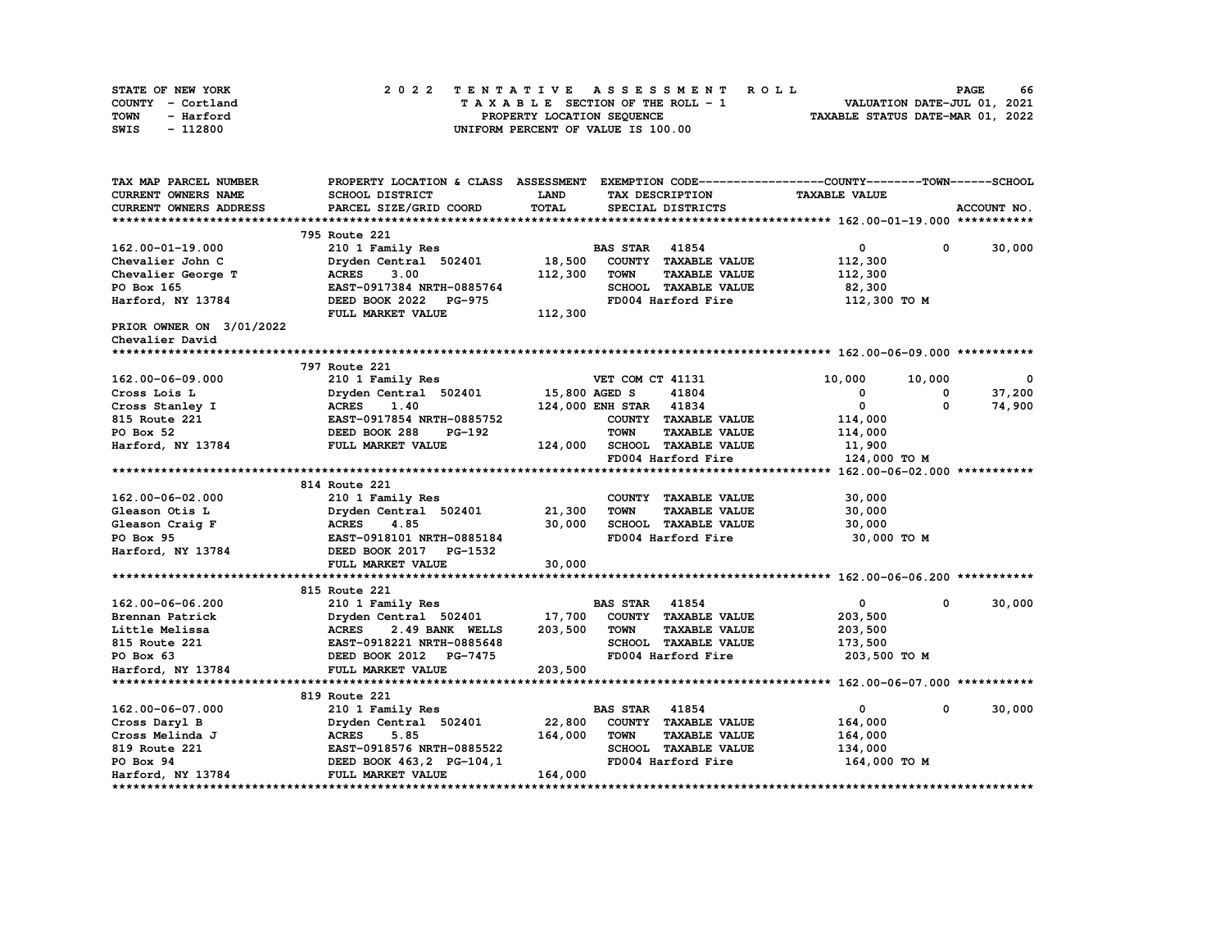| STATE OF NEW YORK | 2022 TENTATIVE ASSESSMENT ROLL     | 66<br><b>PAGE</b>                |
|-------------------|------------------------------------|----------------------------------|
| COUNTY - Cortland | TAXABLE SECTION OF THE ROLL - 1    | VALUATION DATE-JUL 01, 2021      |
| TOWN<br>- Harford | PROPERTY LOCATION SEOUENCE         | TAXABLE STATUS DATE-MAR 01, 2022 |
| - 112800<br>SWIS  | UNIFORM PERCENT OF VALUE IS 100.00 |                                  |

| TAX MAP PARCEL NUMBER           |                                 |               |                                     | PROPERTY LOCATION & CLASS ASSESSMENT EXEMPTION CODE----------------COUNTY-------TOWN-----SCHOOL |                       |
|---------------------------------|---------------------------------|---------------|-------------------------------------|-------------------------------------------------------------------------------------------------|-----------------------|
| CURRENT OWNERS NAME             | SCHOOL DISTRICT                 | LAND          | TAX DESCRIPTION                     | <b>TAXABLE VALUE</b>                                                                            |                       |
| <b>CURRENT OWNERS ADDRESS</b>   | PARCEL SIZE/GRID COORD          | TOTAL         | SPECIAL DISTRICTS                   |                                                                                                 | ACCOUNT NO.           |
|                                 |                                 |               |                                     |                                                                                                 |                       |
|                                 | 795 Route 221                   |               |                                     |                                                                                                 |                       |
| 162.00-01-19.000                | 210 1 Family Res                |               | <b>BAS STAR 41854</b>               | $\mathbf{0}$                                                                                    | 30,000<br>$\mathbf 0$ |
| Chevalier John C                | Dryden Central 502401           | 18,500        | COUNTY TAXABLE VALUE                | 112,300                                                                                         |                       |
| Chevalier George T              | <b>ACRES</b><br>3.00            | 112,300       | <b>TOWN</b><br><b>TAXABLE VALUE</b> | 112,300                                                                                         |                       |
| PO Box 165                      | EAST-0917384 NRTH-0885764       |               | SCHOOL TAXABLE VALUE                | 82,300                                                                                          |                       |
| Harford, NY 13784               | DEED BOOK 2022<br><b>PG-975</b> |               | FD004 Harford Fire                  | 112,300 TO M                                                                                    |                       |
|                                 | FULL MARKET VALUE               | 112,300       |                                     |                                                                                                 |                       |
| <b>PRIOR OWNER ON 3/01/2022</b> |                                 |               |                                     |                                                                                                 |                       |
| Chevalier David                 |                                 |               |                                     |                                                                                                 |                       |
|                                 |                                 |               |                                     |                                                                                                 |                       |
|                                 | 797 Route 221                   |               |                                     |                                                                                                 |                       |
| 162.00-06-09.000                | 210 1 Family Res                |               | VET COM CT 41131                    | 10,000<br>10,000                                                                                | $^{\circ}$            |
| Cross Lois L                    | Dryden Central 502401           | 15,800 AGED S | 41804                               | 0                                                                                               | 37,200<br>0           |
| Cross Stanley I                 | 1.40<br>ACRES                   |               | 124,000 ENH STAR 41834              | $\mathbf 0$                                                                                     | 74,900<br>0           |
| 815 Route 221                   | EAST-0917854 NRTH-0885752       |               | COUNTY TAXABLE VALUE                | 114,000                                                                                         |                       |
| PO Box 52                       | DEED BOOK 288<br>PG-192         |               | <b>TOWN</b><br><b>TAXABLE VALUE</b> | 114,000                                                                                         |                       |
| Harford, NY 13784               | FULL MARKET VALUE               | 124,000       | SCHOOL TAXABLE VALUE                | 11,900                                                                                          |                       |
|                                 |                                 |               | FD004 Harford Fire                  | 124,000 TO M                                                                                    |                       |
|                                 |                                 |               |                                     |                                                                                                 |                       |
|                                 | 814 Route 221                   |               |                                     |                                                                                                 |                       |
| 162.00-06-02.000                | 210 1 Family Res                |               | COUNTY TAXABLE VALUE                | 30,000                                                                                          |                       |
| Gleason Otis L                  | Dryden Central 502401           | 21,300        | <b>TOWN</b><br><b>TAXABLE VALUE</b> | 30,000                                                                                          |                       |
| Gleason Craig F                 | <b>ACRES</b><br>4.85            | 30,000        | SCHOOL TAXABLE VALUE                | 30,000                                                                                          |                       |
| PO Box 95                       | EAST-0918101 NRTH-0885184       |               | FD004 Harford Fire                  | 30,000 TO M                                                                                     |                       |
| Harford, NY 13784               | DEED BOOK 2017 PG-1532          |               |                                     |                                                                                                 |                       |
|                                 | FULL MARKET VALUE               | 30,000        |                                     |                                                                                                 |                       |
|                                 |                                 |               |                                     |                                                                                                 |                       |
|                                 | 815 Route 221                   |               |                                     |                                                                                                 |                       |
| 162.00-06-06.200                | 210 1 Family Res                |               | <b>BAS STAR</b><br>41854            | 0                                                                                               | 30,000<br>0           |
| Brennan Patrick                 | Dryden Central 502401           |               | 17,700 COUNTY TAXABLE VALUE         | 203,500                                                                                         |                       |
| Little Melissa                  | <b>ACRES</b><br>2.49 BANK WELLS | 203,500       | TOWN<br><b>TAXABLE VALUE</b>        | 203,500                                                                                         |                       |
| 815 Route 221                   | EAST-0918221 NRTH-0885648       |               | <b>SCHOOL TAXABLE VALUE</b>         | 173,500                                                                                         |                       |
| PO Box 63                       | DEED BOOK 2012 PG-7475          |               | FD004 Harford Fire                  | 203,500 TO M                                                                                    |                       |
| Harford, NY 13784               | FULL MARKET VALUE               | 203,500       |                                     |                                                                                                 |                       |
|                                 |                                 |               |                                     |                                                                                                 |                       |
|                                 | 819 Route 221                   |               |                                     |                                                                                                 |                       |
| 162.00-06-07.000                | 210 1 Family Res                |               | <b>BAS STAR 41854</b>               | $\mathbf{0}$                                                                                    | 30,000<br>$\mathbf 0$ |
| Cross Daryl B                   | Dryden Central 502401           | 22,800        | COUNTY TAXABLE VALUE                | 164,000                                                                                         |                       |
| Cross Melinda J                 | <b>ACRES</b><br>5.85            | 164,000       | <b>TOWN</b><br><b>TAXABLE VALUE</b> | 164,000                                                                                         |                       |
| 819 Route 221                   | EAST-0918576 NRTH-0885522       |               | SCHOOL TAXABLE VALUE                | 134,000                                                                                         |                       |
| PO Box 94                       | DEED BOOK 463, 2 PG-104, 1      |               | FD004 Harford Fire                  | 164,000 TO M                                                                                    |                       |
| Harford, NY 13784               | FULL MARKET VALUE               | 164,000       |                                     |                                                                                                 |                       |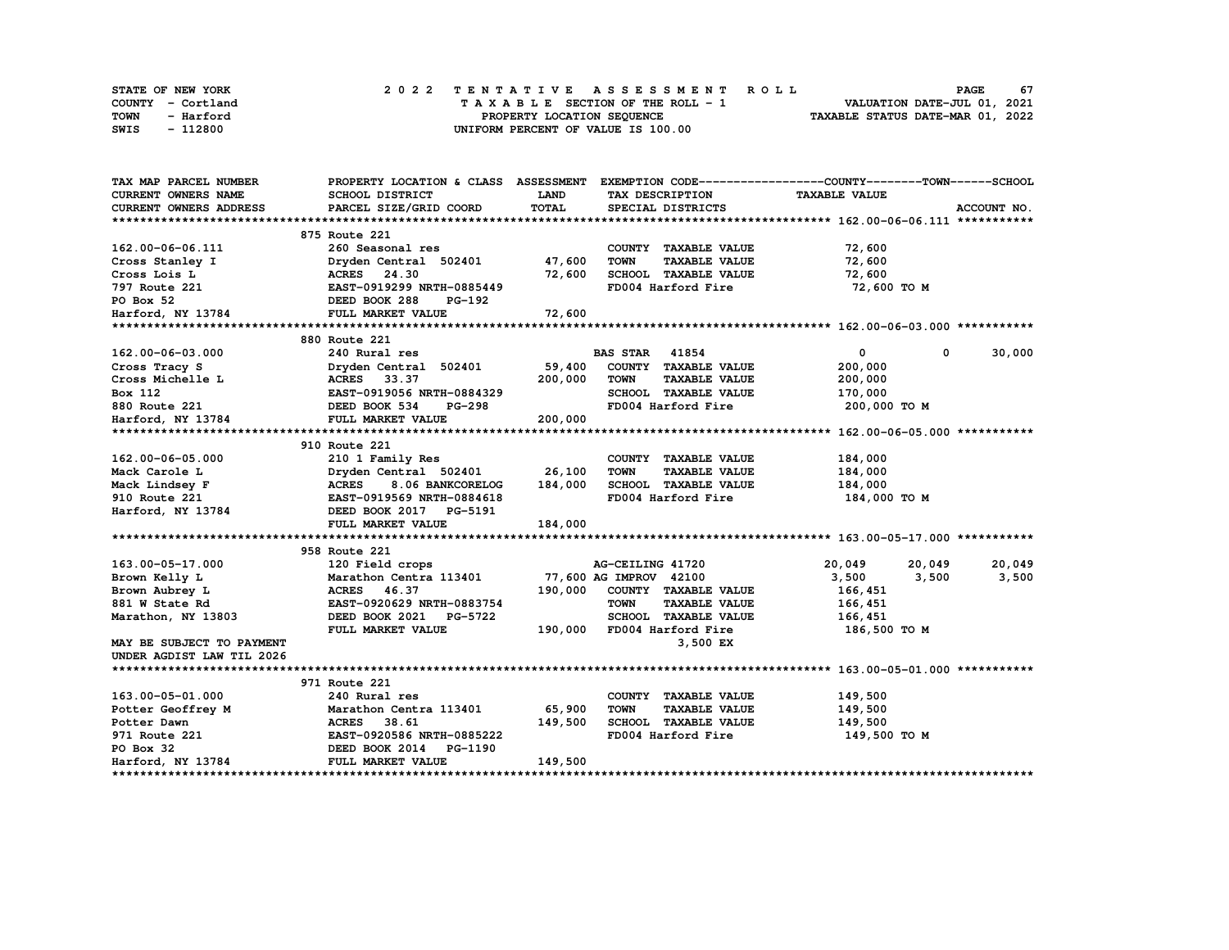| <b>STATE OF NEW YORK</b> | 2022 TENTATIVE ASSESSMENT ROLL     | 67<br>PAGE                       |
|--------------------------|------------------------------------|----------------------------------|
| COUNTY - Cortland        | TAXABLE SECTION OF THE ROLL - 1    | VALUATION DATE-JUL 01, 2021      |
| TOWN<br>- Harford        | PROPERTY LOCATION SEQUENCE         | TAXABLE STATUS DATE-MAR 01, 2022 |
| - 112800<br>SWIS         | UNIFORM PERCENT OF VALUE IS 100.00 |                                  |

| TAX MAP PARCEL NUMBER      |                                                                                    |         |                                                             | PROPERTY LOCATION & CLASS ASSESSMENT EXEMPTION CODE----------------COUNTY-------TOWN-----SCHOOL |
|----------------------------|------------------------------------------------------------------------------------|---------|-------------------------------------------------------------|-------------------------------------------------------------------------------------------------|
| <b>CURRENT OWNERS NAME</b> | SCHOOL DISTRICT                                                                    | LAND    | TAX DESCRIPTION                                             | <b>TAXABLE VALUE</b>                                                                            |
| CURRENT OWNERS ADDRESS     | PARCEL SIZE/GRID COORD                                                             | TOTAL   | SPECIAL DISTRICTS                                           | ACCOUNT NO.                                                                                     |
|                            |                                                                                    |         |                                                             |                                                                                                 |
|                            | 875 Route 221                                                                      |         |                                                             |                                                                                                 |
| 162.00-06-06.111           | 260 Seasonal res                                                                   |         | COUNTY TAXABLE VALUE                                        | 72,600                                                                                          |
| Cross Stanley I            | Dryden Central 502401 47,600                                                       |         | <b>TOWN</b><br><b>TAXABLE VALUE</b>                         | 72,600                                                                                          |
| Cross Lois L               | ACRES 24.30                                                                        | 72,600  | SCHOOL TAXABLE VALUE                                        | 72,600                                                                                          |
| 797 Route 221              | EAST-0919299 NRTH-0885449                                                          |         | FD004 Harford Fire                                          | 72,600 TO M                                                                                     |
| PO Box 52                  | DEED BOOK 288<br>PG-192                                                            |         |                                                             |                                                                                                 |
| Harford, NY 13784          | FULL MARKET VALUE                                                                  | 72,600  |                                                             |                                                                                                 |
|                            |                                                                                    |         |                                                             |                                                                                                 |
|                            | 880 Route 221                                                                      |         |                                                             |                                                                                                 |
| 162.00-06-03.000           | 240 Rural res                                                                      |         | <b>BAS STAR 41854</b>                                       | $\mathbf 0$<br>$\mathbf 0$<br>30,000                                                            |
| Cross Tracy S              | Dryden Central 502401 59,400                                                       |         | COUNTY TAXABLE VALUE                                        | 200,000                                                                                         |
| Cross Michelle L           |                                                                                    | 200,000 | <b>TOWN</b><br><b>TAXABLE VALUE</b>                         | 200,000                                                                                         |
| Box 112                    | ACRES 33.37<br>EAST-0919056 1<br>EAST-0919056 NRTH-0884329                         |         | SCHOOL TAXABLE VALUE                                        | 170,000                                                                                         |
| 880 Route 221              | DEED BOOK 534<br><b>PG-298</b>                                                     |         | FD004 Harford Fire                                          | 200,000 то м                                                                                    |
| Harford, NY 13784          | FULL MARKET VALUE                                                                  | 200,000 |                                                             |                                                                                                 |
|                            |                                                                                    |         |                                                             |                                                                                                 |
|                            | 910 Route 221                                                                      |         |                                                             |                                                                                                 |
| 162.00-06-05.000           | 210 1 Family Res                                                                   |         | COUNTY TAXABLE VALUE                                        | 184,000                                                                                         |
| Mack Carole L              | Dryden Central 502401 26,100                                                       |         | <b>TOWN</b><br><b>TAXABLE VALUE</b>                         | 184,000                                                                                         |
| Mack Lindsey F             | <b>ACRES</b><br>8.06 BANKCORELOG                                                   | 184,000 | SCHOOL TAXABLE VALUE                                        | 184,000                                                                                         |
| 910 Route 221              | EAST-0919569 NRTH-0884618                                                          |         | FD004 Harford Fire                                          | 184,000 то м                                                                                    |
| Harford, NY 13784          | DEED BOOK 2017 PG-5191                                                             |         |                                                             |                                                                                                 |
|                            | FULL MARKET VALUE                                                                  | 184,000 |                                                             |                                                                                                 |
|                            |                                                                                    |         |                                                             |                                                                                                 |
|                            | 958 Route 221                                                                      |         |                                                             |                                                                                                 |
| 163.00-05-17.000           | 120 Field crops                                                                    |         | AG-CEILING 41720                                            | 20,049<br>20,049<br>20,049                                                                      |
| Brown Kelly L              | Marathon Centra 113401                                                             |         | 77,600 AG IMPROV 42100                                      | 3,500<br>3,500<br>3,500                                                                         |
| Brown Aubrey L             | ACRES 46.37                                                                        | 190,000 | COUNTY TAXABLE VALUE                                        | 166,451                                                                                         |
| 881 W State Rd             | EAST-0920629 NRTH-0883754                                                          |         | <b>TAXABLE VALUE</b><br><b>TOWN</b>                         | 166,451                                                                                         |
| Marathon, NY 13803         | DEED BOOK 2021 PG-5722                                                             |         | SCHOOL TAXABLE VALUE                                        | 166,451                                                                                         |
|                            | FULL MARKET VALUE                                                                  |         | 190,000 FD004 Harford Fire                                  | 186,500 то м                                                                                    |
| MAY BE SUBJECT TO PAYMENT  |                                                                                    |         | 3,500 EX                                                    |                                                                                                 |
| UNDER AGDIST LAW TIL 2026  |                                                                                    |         |                                                             |                                                                                                 |
|                            |                                                                                    |         |                                                             |                                                                                                 |
|                            | 971 Route 221                                                                      |         |                                                             |                                                                                                 |
| 163.00-05-01.000           | 240 Rural res                                                                      |         |                                                             | 149,500                                                                                         |
| Potter Geoffrey M          | Marathon Centra 113401 65,900                                                      |         | COUNTY TAXABLE VALUE<br><b>TOWN</b><br><b>TAXABLE VALUE</b> | 149,500                                                                                         |
| Potter Dawn                | ------ centra 113401<br>ACRES 38.61<br>EAST-0920586 NRTH-0885222<br>DEED BOOK 2014 | 149,500 | SCHOOL TAXABLE VALUE                                        | 149,500                                                                                         |
| 971 Route 221              |                                                                                    |         | FD004 Harford Fire                                          | 149,500 TO M                                                                                    |
| PO Box 32                  |                                                                                    |         |                                                             |                                                                                                 |
| Harford, NY 13784          | FULL MARKET VALUE                                                                  | 149,500 |                                                             |                                                                                                 |
|                            |                                                                                    |         |                                                             |                                                                                                 |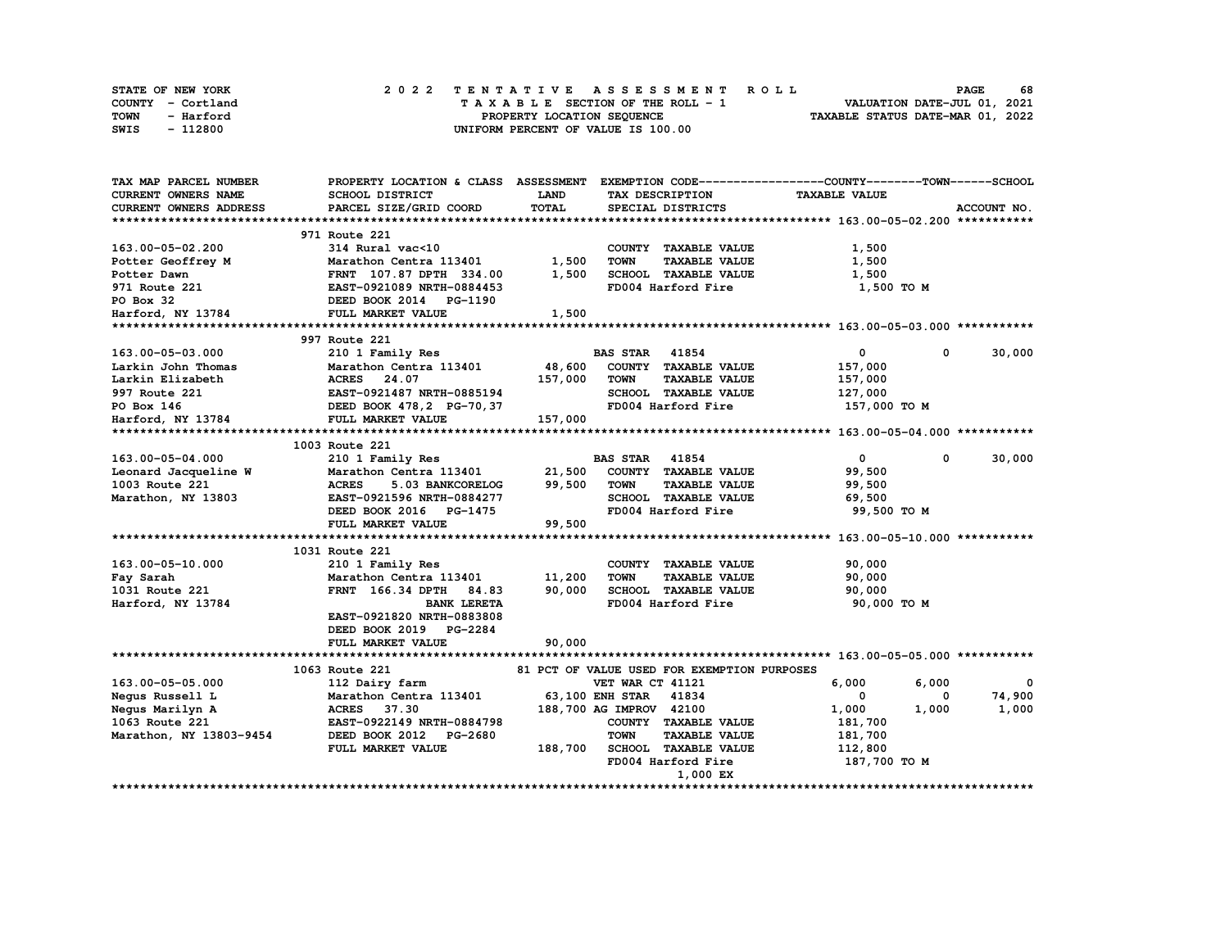| <b>STATE OF NEW YORK</b> | 2022 TENTATIVE ASSESSMENT ROLL     | 68<br><b>PAGE</b>                |
|--------------------------|------------------------------------|----------------------------------|
| COUNTY - Cortland        | TAXABLE SECTION OF THE ROLL - 1    | VALUATION DATE-JUL 01, 2021      |
| TOWN<br>- Harford        | PROPERTY LOCATION SEQUENCE         | TAXABLE STATUS DATE-MAR 01, 2022 |
| - 112800<br>SWIS         | UNIFORM PERCENT OF VALUE IS 100.00 |                                  |

| TAX MAP PARCEL NUMBER         | PROPERTY LOCATION & CLASS ASSESSMENT |             |                                             | EXEMPTION CODE-----------------COUNTY-------TOWN------SCHOOL |             |
|-------------------------------|--------------------------------------|-------------|---------------------------------------------|--------------------------------------------------------------|-------------|
| CURRENT OWNERS NAME           | SCHOOL DISTRICT                      | <b>LAND</b> | TAX DESCRIPTION                             | <b>TAXABLE VALUE</b>                                         |             |
| <b>CURRENT OWNERS ADDRESS</b> | PARCEL SIZE/GRID COORD               | TOTAL       | SPECIAL DISTRICTS                           |                                                              | ACCOUNT NO. |
|                               |                                      |             |                                             |                                                              |             |
|                               | 971 Route 221                        |             |                                             |                                                              |             |
| 163.00-05-02.200              | 314 Rural vac<10                     |             | COUNTY TAXABLE VALUE                        | 1,500                                                        |             |
| Potter Geoffrey M             | Marathon Centra 113401               | 1,500       | <b>TOWN</b><br><b>TAXABLE VALUE</b>         | 1,500                                                        |             |
| Potter Dawn                   | FRNT 107.87 DPTH 334.00              | 1,500       | SCHOOL TAXABLE VALUE                        | 1,500                                                        |             |
| 971 Route 221                 | EAST-0921089 NRTH-0884453            |             | FD004 Harford Fire                          | 1,500 TO M                                                   |             |
| PO Box 32                     | DEED BOOK 2014 PG-1190               |             |                                             |                                                              |             |
| Harford, NY 13784             | FULL MARKET VALUE                    | 1,500       |                                             |                                                              |             |
|                               |                                      |             |                                             |                                                              |             |
|                               | 997 Route 221                        |             |                                             |                                                              |             |
| 163.00-05-03.000              | 210 1 Family Res                     |             | <b>BAS STAR</b><br>41854                    | $\mathbf{o}$<br>$\Omega$                                     | 30,000      |
| Larkin John Thomas            | Marathon Centra 113401               | 48,600      | COUNTY TAXABLE VALUE                        | 157,000                                                      |             |
| Larkin Elizabeth              | ACRES 24.07                          | 157,000     | <b>TOWN</b><br><b>TAXABLE VALUE</b>         | 157,000                                                      |             |
| 997 Route 221                 | EAST-0921487 NRTH-0885194            |             | SCHOOL TAXABLE VALUE                        | 127,000                                                      |             |
| PO Box 146                    | DEED BOOK 478, 2 PG-70, 37           |             | FD004 Harford Fire                          | 157,000 TO M                                                 |             |
|                               | FULL MARKET VALUE                    | 157,000     |                                             |                                                              |             |
| Harford, NY 13784             |                                      |             |                                             |                                                              |             |
|                               | 1003 Route 221                       |             |                                             |                                                              |             |
| 163.00-05-04.000              |                                      |             | <b>BAS STAR</b><br>41854                    | 0<br>0                                                       |             |
|                               | 210 1 Family Res                     |             |                                             |                                                              | 30,000      |
| Leonard Jacqueline W          | Marathon Centra 113401               | 21,500      | COUNTY TAXABLE VALUE                        | 99,500                                                       |             |
| 1003 Route 221                | <b>ACRES</b><br>5.03 BANKCORELOG     | 99,500      | <b>TAXABLE VALUE</b><br>TOWN                | 99,500                                                       |             |
| Marathon, NY 13803            | EAST-0921596 NRTH-0884277            |             | SCHOOL TAXABLE VALUE                        | 69,500                                                       |             |
|                               | DEED BOOK 2016 PG-1475               |             | FD004 Harford Fire                          | 99,500 TO M                                                  |             |
|                               | FULL MARKET VALUE                    | 99,500      |                                             |                                                              |             |
|                               |                                      |             |                                             |                                                              |             |
|                               | 1031 Route 221                       |             |                                             |                                                              |             |
| 163.00-05-10.000              | 210 1 Family Res                     |             | COUNTY TAXABLE VALUE                        | 90,000                                                       |             |
| Fay Sarah                     | Marathon Centra 113401               | 11,200      | <b>TOWN</b><br><b>TAXABLE VALUE</b>         | 90,000                                                       |             |
| 1031 Route 221                | FRNT 166.34 DPTH<br>84.83            | 90,000      | SCHOOL TAXABLE VALUE                        | 90,000                                                       |             |
| Harford, NY 13784             | <b>BANK LERETA</b>                   |             | FD004 Harford Fire                          | 90,000 TO M                                                  |             |
|                               | EAST-0921820 NRTH-0883808            |             |                                             |                                                              |             |
|                               | DEED BOOK 2019 PG-2284               |             |                                             |                                                              |             |
|                               | FULL MARKET VALUE                    | 90,000      |                                             |                                                              |             |
|                               |                                      |             |                                             |                                                              |             |
|                               | 1063 Route 221                       |             | 81 PCT OF VALUE USED FOR EXEMPTION PURPOSES |                                                              |             |
| 163.00-05-05.000              | 112 Dairy farm                       |             | VET WAR CT 41121                            | 6,000<br>6,000                                               | $\mathbf 0$ |
| Negus Russell L               | Marathon Centra 113401               |             | <b>63,100 ENH STAR</b><br>41834             | 0<br>0                                                       | 74,900      |
| Negus Marilyn A               | ACRES 37.30                          |             | 188,700 AG IMPROV 42100                     | 1,000<br>1,000                                               | 1,000       |
| 1063 Route 221                | EAST-0922149 NRTH-0884798            |             | COUNTY TAXABLE VALUE                        | 181,700                                                      |             |
| Marathon, NY 13803-9454       | DEED BOOK 2012<br><b>PG-2680</b>     |             | <b>TOWN</b><br><b>TAXABLE VALUE</b>         | 181,700                                                      |             |
|                               | FULL MARKET VALUE                    | 188,700     | <b>SCHOOL TAXABLE VALUE</b>                 | 112,800                                                      |             |
|                               |                                      |             | FD004 Harford Fire                          | 187,700 TO M                                                 |             |
|                               |                                      |             | 1,000 EX                                    |                                                              |             |
|                               | *********************************    |             |                                             |                                                              |             |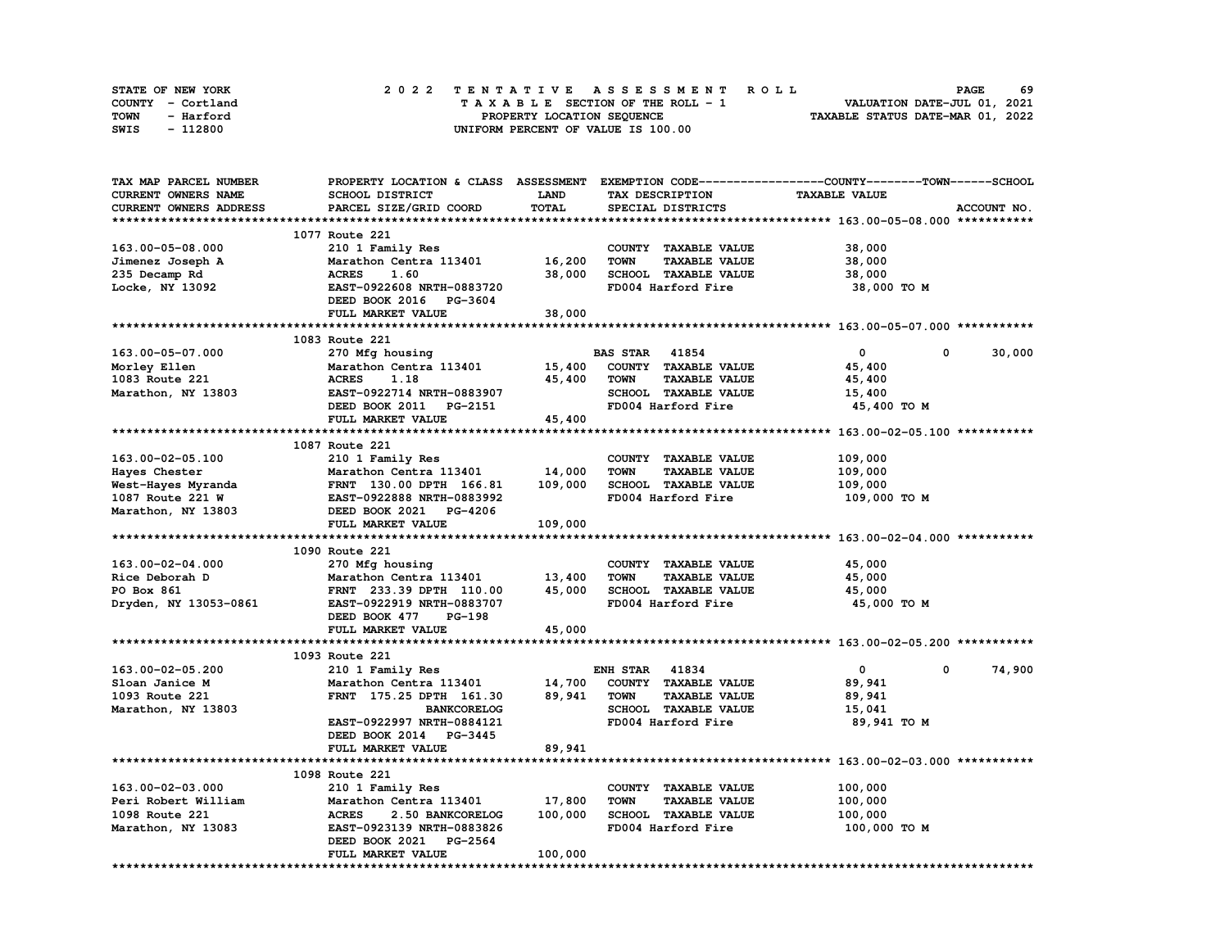| <b>STATE OF NEW YORK</b> | 2022 TENTATIVE ASSESSMENT ROLL          | 69<br><b>PAGE</b>                |
|--------------------------|-----------------------------------------|----------------------------------|
| COUNTY - Cortland        | $T A X A B L E$ SECTION OF THE ROLL - 1 | VALUATION DATE-JUL 01, 2021      |
| TOWN<br>- Harford        | PROPERTY LOCATION SEQUENCE              | TAXABLE STATUS DATE-MAR 01, 2022 |
| - 112800<br>SWIS         | UNIFORM PERCENT OF VALUE IS 100.00      |                                  |

| TAX MAP PARCEL NUMBER  |                                             |             |                                     | PROPERTY LOCATION & CLASS ASSESSMENT EXEMPTION CODE----------------COUNTY-------TOWN-----SCHOOL |
|------------------------|---------------------------------------------|-------------|-------------------------------------|-------------------------------------------------------------------------------------------------|
| CURRENT OWNERS NAME    | SCHOOL DISTRICT                             | <b>LAND</b> | TAX DESCRIPTION                     | <b>TAXABLE VALUE</b>                                                                            |
| CURRENT OWNERS ADDRESS | PARCEL SIZE/GRID COORD                      | TOTAL       | SPECIAL DISTRICTS                   | ACCOUNT NO.                                                                                     |
|                        |                                             |             |                                     |                                                                                                 |
|                        | 1077 Route 221                              |             |                                     |                                                                                                 |
| 163.00-05-08.000       | 210 1 Family Res                            |             | COUNTY TAXABLE VALUE                | 38,000                                                                                          |
| Jimenez Joseph A       | Marathon Centra 113401                      | 16,200      | <b>TOWN</b><br><b>TAXABLE VALUE</b> | 38,000                                                                                          |
| 235 Decamp Rd          | <b>ACRES</b><br>1.60                        | 38,000      | SCHOOL TAXABLE VALUE                | 38,000                                                                                          |
| Locke, NY 13092        | EAST-0922608 NRTH-0883720                   |             | FD004 Harford Fire                  | 38,000 TO M                                                                                     |
|                        | DEED BOOK 2016 PG-3604                      |             |                                     |                                                                                                 |
|                        | FULL MARKET VALUE                           | 38,000      |                                     |                                                                                                 |
|                        |                                             |             |                                     |                                                                                                 |
|                        | 1083 Route 221                              |             |                                     |                                                                                                 |
|                        |                                             |             |                                     | $\mathbf{0}$<br>$^{\circ}$                                                                      |
| 163.00-05-07.000       | 270 Mfg housing                             |             | <b>BAS STAR 41854</b>               | 30,000                                                                                          |
| Morley Ellen           | Marathon Centra 113401                      | 15,400      | COUNTY TAXABLE VALUE                | 45,400                                                                                          |
| 1083 Route 221         | <b>ACRES</b><br>1.18                        | 45,400      | <b>TAXABLE VALUE</b><br><b>TOWN</b> | 45,400                                                                                          |
| Marathon, NY 13803     | EAST-0922714 NRTH-0883907                   |             | SCHOOL TAXABLE VALUE                | 15,400                                                                                          |
|                        | DEED BOOK 2011 PG-2151                      |             | FD004 Harford Fire                  | 45,400 TO M                                                                                     |
|                        | FULL MARKET VALUE                           | 45,400      |                                     |                                                                                                 |
|                        |                                             |             |                                     |                                                                                                 |
|                        | 1087 Route 221                              |             |                                     |                                                                                                 |
| 163.00-02-05.100       | 210 1 Family Res                            |             | COUNTY TAXABLE VALUE                | 109,000                                                                                         |
| Hayes Chester          | Marathon Centra 113401                      | 14,000      | <b>TOWN</b><br><b>TAXABLE VALUE</b> | 109,000                                                                                         |
| West-Hayes Myranda     | FRNT 130.00 DPTH 166.81                     | 109,000     | SCHOOL TAXABLE VALUE                | 109,000                                                                                         |
| 1087 Route 221 W       | EAST-0922888 NRTH-0883992                   |             | FD004 Harford Fire                  | 109,000 TO M                                                                                    |
| Marathon, NY 13803     | DEED BOOK 2021 PG-4206                      |             |                                     |                                                                                                 |
|                        | FULL MARKET VALUE                           | 109,000     |                                     |                                                                                                 |
|                        |                                             |             |                                     |                                                                                                 |
|                        | 1090 Route 221                              |             |                                     |                                                                                                 |
| 163.00-02-04.000       | 270 Mfg housing                             |             | COUNTY TAXABLE VALUE                | 45,000                                                                                          |
| Rice Deborah D         | Marathon Centra 113401                      | 13,400      | <b>TOWN</b><br><b>TAXABLE VALUE</b> | 45,000                                                                                          |
| PO Box 861             | FRNT 233.39 DPTH 110.00                     | 45,000      | SCHOOL TAXABLE VALUE                | 45,000                                                                                          |
| Dryden, NY 13053-0861  | EAST-0922919 NRTH-0883707                   |             | FD004 Harford Fire                  | 45,000 TO M                                                                                     |
|                        | DEED BOOK 477<br><b>PG-198</b>              |             |                                     |                                                                                                 |
|                        | FULL MARKET VALUE                           | 45,000      |                                     |                                                                                                 |
|                        |                                             |             |                                     |                                                                                                 |
|                        | 1093 Route 221                              |             |                                     |                                                                                                 |
| 163.00-02-05.200       | 210 1 Family Res                            |             | <b>ENH STAR 41834</b>               | 74,900<br>$\mathbf 0$<br>0                                                                      |
| Sloan Janice M         | Marathon Centra 113401                      | 14,700      | COUNTY TAXABLE VALUE                | 89,941                                                                                          |
| 1093 Route 221         | FRNT 175.25 DPTH 161.30                     | 89,941      | <b>TOWN</b><br><b>TAXABLE VALUE</b> | 89,941                                                                                          |
| Marathon, NY 13803     | <b>BANKCORELOG</b>                          |             | SCHOOL TAXABLE VALUE                | 15,041                                                                                          |
|                        | EAST-0922997 NRTH-0884121                   |             | FD004 Harford Fire                  | 89,941 TO M                                                                                     |
|                        |                                             |             |                                     |                                                                                                 |
|                        | DEED BOOK 2014 PG-3445<br>FULL MARKET VALUE | 89,941      |                                     |                                                                                                 |
|                        |                                             |             |                                     |                                                                                                 |
|                        |                                             |             |                                     |                                                                                                 |
|                        | 1098 Route 221                              |             |                                     |                                                                                                 |
| 163.00-02-03.000       | 210 1 Family Res                            |             | COUNTY TAXABLE VALUE                | 100,000                                                                                         |
| Peri Robert William    | Marathon Centra 113401                      | 17,800      | <b>TAXABLE VALUE</b><br>TOWN        | 100,000                                                                                         |
| 1098 Route 221         | <b>ACRES</b><br>2.50 BANKCORELOG            | 100,000     | SCHOOL TAXABLE VALUE                | 100,000                                                                                         |
| Marathon, NY 13083     | EAST-0923139 NRTH-0883826                   |             | FD004 Harford Fire                  | 100,000 TO M                                                                                    |
|                        | DEED BOOK 2021 PG-2564                      |             |                                     |                                                                                                 |
|                        | FULL MARKET VALUE                           | 100,000     |                                     |                                                                                                 |
|                        |                                             |             |                                     |                                                                                                 |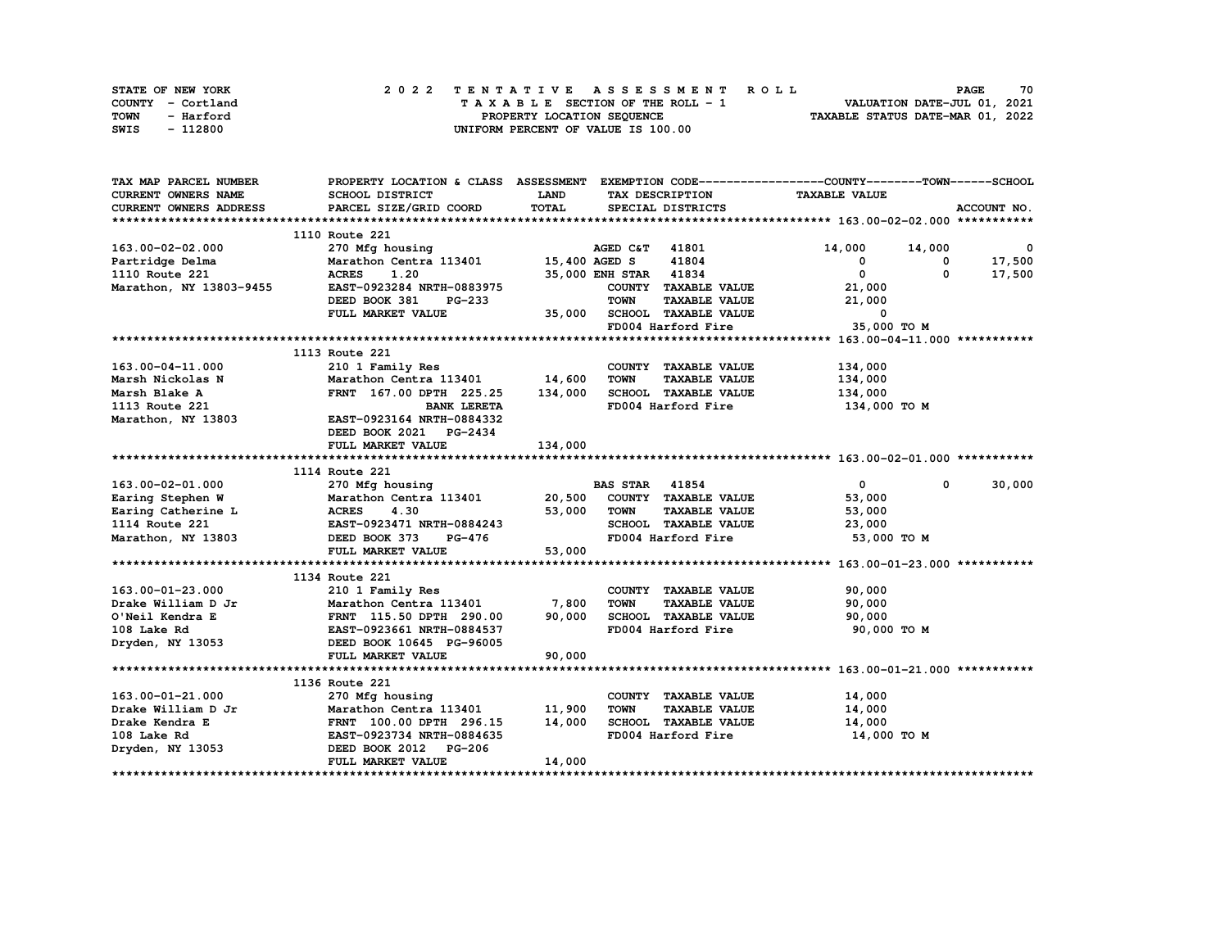| STATE OF NEW YORK | 2022 TENTATIVE ASSESSMENT ROLL     | 70<br><b>PAGE</b>                |
|-------------------|------------------------------------|----------------------------------|
| COUNTY - Cortland | TAXABLE SECTION OF THE ROLL - 1    | VALUATION DATE-JUL 01, 2021      |
| TOWN<br>- Harford | PROPERTY LOCATION SEQUENCE         | TAXABLE STATUS DATE-MAR 01, 2022 |
| - 112800<br>SWIS  | UNIFORM PERCENT OF VALUE IS 100.00 |                                  |

| TAX MAP PARCEL NUMBER            | PROPERTY LOCATION & CLASS ASSESSMENT EXEMPTION CODE----------------COUNTY-------TOWN-----SCHOOL |             |                       |                      |                                |            |              |
|----------------------------------|-------------------------------------------------------------------------------------------------|-------------|-----------------------|----------------------|--------------------------------|------------|--------------|
| CURRENT OWNERS NAME              | SCHOOL DISTRICT                                                                                 | <b>LAND</b> |                       | TAX DESCRIPTION      | <b>TAXABLE VALUE</b>           |            |              |
| <b>CURRENT OWNERS ADDRESS</b>    | PARCEL SIZE/GRID COORD                                                                          | TOTAL       |                       | SPECIAL DISTRICTS    |                                |            | ACCOUNT NO.  |
|                                  |                                                                                                 |             |                       |                      |                                |            |              |
|                                  | 1110 Route 221                                                                                  |             |                       |                      |                                |            |              |
| 163.00-02-02.000                 | 270 Mfg housing                                                                                 |             | AGED C&T 41801        |                      | 14,000 14,000                  |            | $\mathbf{0}$ |
| Partridge Delma                  | Marathon Centra 113401 15,400 AGED S                                                            |             |                       | 41804                | $^{\circ}$                     | 0          | 17,500       |
| 1110 Route 221                   | <b>ACRES</b><br>1.20                                                                            |             | 35,000 ENH STAR 41834 |                      | $\mathbf{0}$                   | 0          | 17,500       |
| Marathon, NY 13803-9455          | EAST-0923284 NRTH-0883975                                                                       |             |                       | COUNTY TAXABLE VALUE | 21,000                         |            |              |
|                                  | DEED BOOK 381<br>PG-233                                                                         |             | <b>TOWN</b>           | <b>TAXABLE VALUE</b> | 21,000                         |            |              |
|                                  | FULL MARKET VALUE                                                                               |             |                       | SCHOOL TAXABLE VALUE | $\mathbf 0$                    |            |              |
|                                  |                                                                                                 | 35,000      |                       | FD004 Harford Fire   | 35,000 TO M                    |            |              |
|                                  |                                                                                                 |             |                       |                      |                                |            |              |
|                                  | 1113 Route 221                                                                                  |             |                       |                      |                                |            |              |
| 163.00-04-11.000                 | 210 1 Family Res                                                                                |             |                       | COUNTY TAXABLE VALUE | 134,000                        |            |              |
| Marsh Nickolas N                 | Marathon Centra 113401 14,600                                                                   |             | <b>TOWN</b>           | <b>TAXABLE VALUE</b> | 134,000                        |            |              |
| Marsh Blake A                    | FRNT 167.00 DPTH 225.25                                                                         | 134,000     |                       | SCHOOL TAXABLE VALUE | 134,000                        |            |              |
| 1113 Route 221                   | <b>BANK LERETA</b>                                                                              |             |                       | FD004 Harford Fire   | 134,000 то м                   |            |              |
| Marathon, NY 13803               |                                                                                                 |             |                       |                      |                                |            |              |
|                                  | EAST-0923164 NRTH-0884332                                                                       |             |                       |                      |                                |            |              |
|                                  | DEED BOOK 2021 PG-2434                                                                          |             |                       |                      |                                |            |              |
|                                  | FULL MARKET VALUE                                                                               | 134,000     |                       |                      |                                |            |              |
|                                  |                                                                                                 |             |                       |                      |                                |            |              |
|                                  | 1114 Route 221<br>270 Mfg housing                                                               |             |                       |                      |                                | $^{\circ}$ |              |
| 163.00-02-01.000                 |                                                                                                 |             | <b>BAS STAR 41854</b> |                      | $\mathbf{0}$                   |            | 30,000       |
| Earing Stephen W                 | Marathon Centra 113401 20,500                                                                   |             |                       | COUNTY TAXABLE VALUE | 53,000                         |            |              |
|                                  |                                                                                                 | 53,000      | <b>TOWN</b>           | <b>TAXABLE VALUE</b> | 53,000                         |            |              |
|                                  | Earing Catherine L<br>Earing Catherine L<br>2014 Boute 221<br>EAST-0923471 NRTH-0884243         |             |                       | SCHOOL TAXABLE VALUE | 23,000                         |            |              |
| Marathon, NY 13803 DEED BOOK 373 | PG-476                                                                                          |             |                       |                      | FD004 Harford Fire 53,000 TO M |            |              |
|                                  | FULL MARKET VALUE                                                                               | 53,000      |                       |                      |                                |            |              |
|                                  |                                                                                                 |             |                       |                      |                                |            |              |
|                                  | 1134 Route 221                                                                                  |             |                       |                      |                                |            |              |
| 163.00-01-23.000                 | 210 1 Family Res                                                                                |             |                       | COUNTY TAXABLE VALUE | 90,000                         |            |              |
| Drake William D Jr               | Marathon Centra 113401                                                                          | 7,800       | <b>TOWN</b>           | <b>TAXABLE VALUE</b> | 90,000                         |            |              |
| O'Neil Kendra E                  | FRNT 115.50 DPTH 290.00<br>EAST-0923661 NRTH-0884537                                            | 90,000      |                       | SCHOOL TAXABLE VALUE | 90,000                         |            |              |
| 108 Lake Rd                      |                                                                                                 |             |                       | FD004 Harford Fire   | 90,000 TO M                    |            |              |
| Dryden, NY 13053                 | DEED BOOK 10645 PG-96005                                                                        |             |                       |                      |                                |            |              |
|                                  | FULL MARKET VALUE                                                                               | 90,000      |                       |                      |                                |            |              |
|                                  |                                                                                                 |             |                       |                      |                                |            |              |
|                                  | 1136 Route 221                                                                                  |             |                       |                      |                                |            |              |
| 163.00-01-21.000                 | 270 Mfg housing                                                                                 |             |                       | COUNTY TAXABLE VALUE | 14,000                         |            |              |
| Drake William D Jr               | Marathon Centra 113401                                                                          | 11,900      | <b>TOWN</b>           | <b>TAXABLE VALUE</b> | 14,000                         |            |              |
| Drake Kendra E                   | FRNT 100.00 DPTH 296.15<br>EAST-0923734 NRTH-0884635                                            | 14,000      |                       | SCHOOL TAXABLE VALUE | 14,000                         |            |              |
| 108 Lake Rd                      |                                                                                                 |             |                       | FD004 Harford Fire   | 14,000 TO M                    |            |              |
| Dryden, NY 13053                 | DEED BOOK 2012 PG-206                                                                           |             |                       |                      |                                |            |              |
|                                  | FULL MARKET VALUE                                                                               | 14,000      |                       |                      |                                |            |              |
|                                  |                                                                                                 |             |                       |                      |                                |            |              |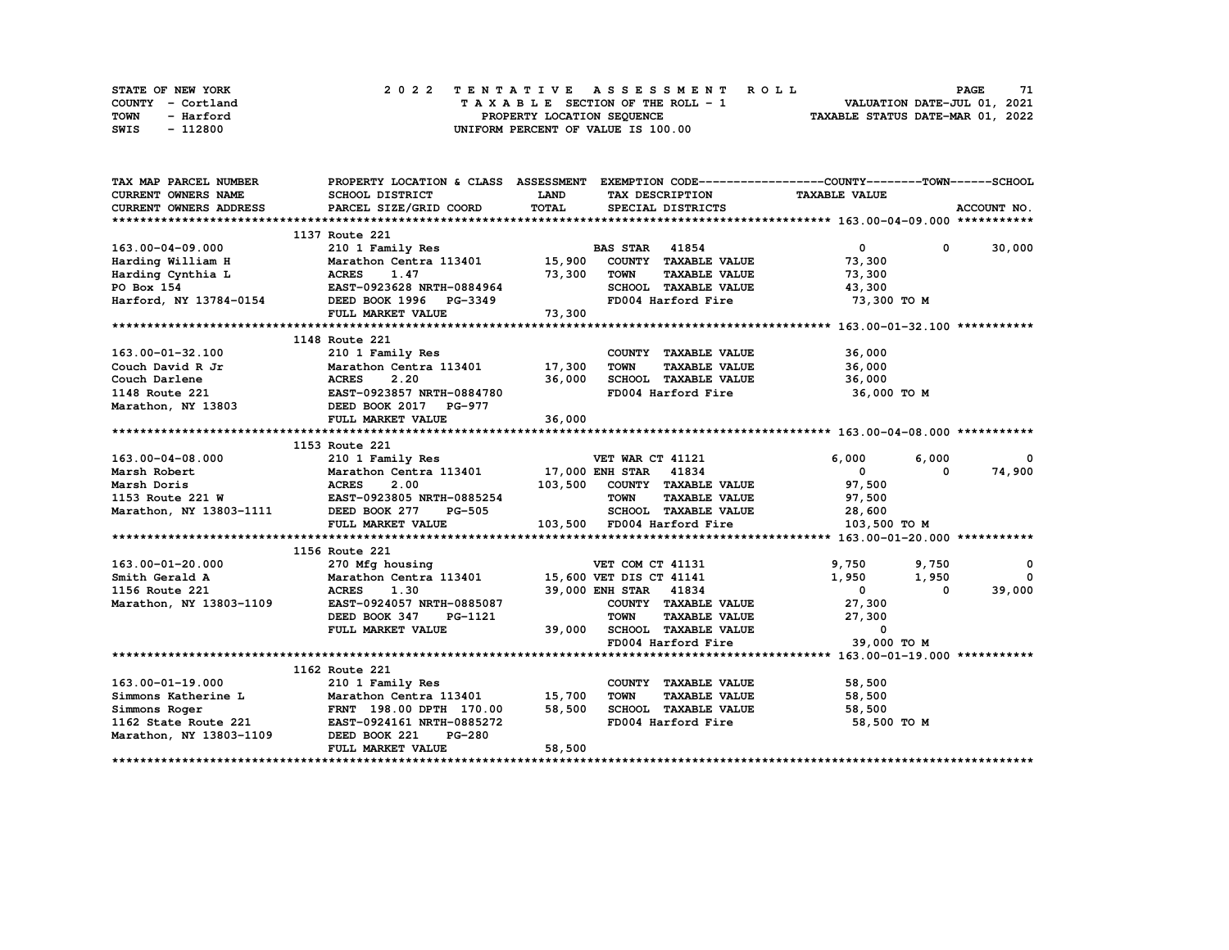| STATE OF NEW YORK | 2022 TENTATIVE ASSESSMENT ROLL          | 71<br><b>PAGE</b>                |
|-------------------|-----------------------------------------|----------------------------------|
| COUNTY - Cortland | $T A X A B L E$ SECTION OF THE ROLL - 1 | VALUATION DATE-JUL 01, 2021      |
| TOWN<br>- Harford | PROPERTY LOCATION SEQUENCE              | TAXABLE STATUS DATE-MAR 01, 2022 |
| - 112800<br>SWIS  | UNIFORM PERCENT OF VALUE IS 100.00      |                                  |

| TAX MAP PARCEL NUMBER                 | PROPERTY LOCATION & CLASS ASSESSMENT EXEMPTION CODE----------------COUNTY-------TOWN------SCHOOL                                                    |             |                                            |                                       |               |
|---------------------------------------|-----------------------------------------------------------------------------------------------------------------------------------------------------|-------------|--------------------------------------------|---------------------------------------|---------------|
| <b>CURRENT OWNERS NAME</b>            | SCHOOL DISTRICT                                                                                                                                     | <b>LAND</b> | TAX DESCRIPTION                            | <b>TAXABLE VALUE</b>                  |               |
| <b>CURRENT OWNERS ADDRESS</b>         | PARCEL SIZE/GRID COORD                                                                                                                              | TOTAL       | SPECIAL DISTRICTS                          |                                       | ACCOUNT NO.   |
|                                       |                                                                                                                                                     |             |                                            |                                       |               |
|                                       | 1137 Route 221                                                                                                                                      |             |                                            |                                       |               |
| 163.00-04-09.000                      | 210 1 Family Res                                                                                                                                    |             | <b>BAS STAR</b> 41854                      | $\overline{0}$                        | $0 \t 30,000$ |
| 163.00-04-09.000<br>Harding William H | Marathon Centra 113401 15,900 COUNTY TAXABLE VALUE                                                                                                  |             |                                            | 73,300                                |               |
|                                       |                                                                                                                                                     | 73,300      | <b>TAXABLE VALUE</b><br><b>TOWN</b>        | 73,300                                |               |
|                                       |                                                                                                                                                     |             | SCHOOL TAXABLE VALUE                       | 43,300                                |               |
|                                       |                                                                                                                                                     |             | FD004 Harford Fire                         | 73,300 TO M                           |               |
|                                       | FULL MARKET VALUE                                                                                                                                   | 73,300      |                                            |                                       |               |
|                                       |                                                                                                                                                     |             |                                            |                                       |               |
|                                       | 1148 Route 221                                                                                                                                      |             |                                            |                                       |               |
| 163.00-01-32.100                      | 210 1 Family Res                                                                                                                                    |             | COUNTY TAXABLE VALUE                       | 36,000                                |               |
| Couch David R Jr                      | Marathon Centra 113401 17,300                                                                                                                       |             | <b>TOWN</b><br>TAXABLE VALUE               | 36,000                                |               |
| Couch Darlene                         |                                                                                                                                                     | 36,000      |                                            | 36,000                                |               |
| 1148 Route 221                        | r Marathon Centra 113401 17,<br>ACRES 2.20 36,<br>EAST-0923857 NRTH-0884780                                                                         |             | SCHOOL TAXABLE VALUE<br>FD004 Harford Fire | 36,000 TO M                           |               |
|                                       | Marathon, NY 13803 DEED BOOK 2017 PG-977                                                                                                            |             |                                            |                                       |               |
|                                       | FULL MARKET VALUE                                                                                                                                   | 36,000      |                                            |                                       |               |
|                                       |                                                                                                                                                     |             |                                            |                                       |               |
|                                       | 1153 Route 221                                                                                                                                      |             |                                            |                                       |               |
|                                       |                                                                                                                                                     |             | VET WAR CT 41121                           | 6,000<br>6,000                        | $\Omega$      |
|                                       |                                                                                                                                                     |             |                                            | $\overline{\mathbf{0}}$<br>$^{\circ}$ | 74,900        |
|                                       |                                                                                                                                                     |             | 103,500 COUNTY TAXABLE VALUE               | 97,500                                |               |
|                                       |                                                                                                                                                     |             | <b>TAXABLE VALUE</b>                       | 97,500                                |               |
|                                       |                                                                                                                                                     | $PG-505$    | SCHOOL TAXABLE VALUE 28,600                |                                       |               |
|                                       | FULL MARKET VALUE                                                                                                                                   |             | 103,500 FD004 Harford Fire 30 103,500 TO M |                                       |               |
|                                       |                                                                                                                                                     |             |                                            |                                       |               |
|                                       | 1156 Route 221                                                                                                                                      |             |                                            |                                       |               |
| 163.00-01-20.000                      | 270 Mfg housing                                                                                                                                     |             | VET COM CT 41131                           | 9,750<br>9,750                        | 0             |
| Smith Gerald A                        | Marathon Centra 113401 15,600 VET DIS CT 41141                                                                                                      |             |                                            | 1,950<br>1,950                        | $\Omega$      |
| 1156 Route 221                        | <b>ACRES</b><br>1.30                                                                                                                                |             | 39,000 ENH STAR 41834                      | $\mathbf{0}$<br>$\Omega$              | 39,000        |
| Marathon, NY 13803-1109               | EAST-0924057 NRTH-0885087                                                                                                                           |             | COUNTY TAXABLE VALUE                       | 27,300                                |               |
|                                       | DEED BOOK 347<br>PG-1121                                                                                                                            |             | <b>TOWN</b><br>TAXABLE VALUE               | 27,300                                |               |
|                                       | FULL MARKET VALUE                                                                                                                                   |             | 39,000 SCHOOL TAXABLE VALUE                | $\overline{0}$                        |               |
|                                       |                                                                                                                                                     |             | FD004 Harford Fire                         | 39,000 TO M                           |               |
|                                       |                                                                                                                                                     |             |                                            |                                       |               |
|                                       | 1162 Route 221                                                                                                                                      |             |                                            |                                       |               |
| 163.00-01-19.000                      | 210 1 Family Res                                                                                                                                    |             | COUNTY TAXABLE VALUE                       | 58,500                                |               |
|                                       | Simmons Katherine L<br>Simmons Roger<br>162 State Route 221<br>162 State Route 221<br>22 EAST-0924161 NRTH-0885272<br>Marathon Centra 113401 15,700 |             | <b>TOWN</b><br>TAXABLE VALUE               | 58,500                                |               |
|                                       |                                                                                                                                                     | 58,500      | SCHOOL TAXABLE VALUE                       | 58,500                                |               |
|                                       |                                                                                                                                                     |             | FD004 Harford Fire                         | 58,500 TO M                           |               |
| Marathon, NY 13803-1109               | DEED BOOK 221<br><b>PG-280</b>                                                                                                                      |             |                                            |                                       |               |
|                                       | FULL MARKET VALUE                                                                                                                                   | 58,500      |                                            |                                       |               |
|                                       |                                                                                                                                                     |             |                                            |                                       |               |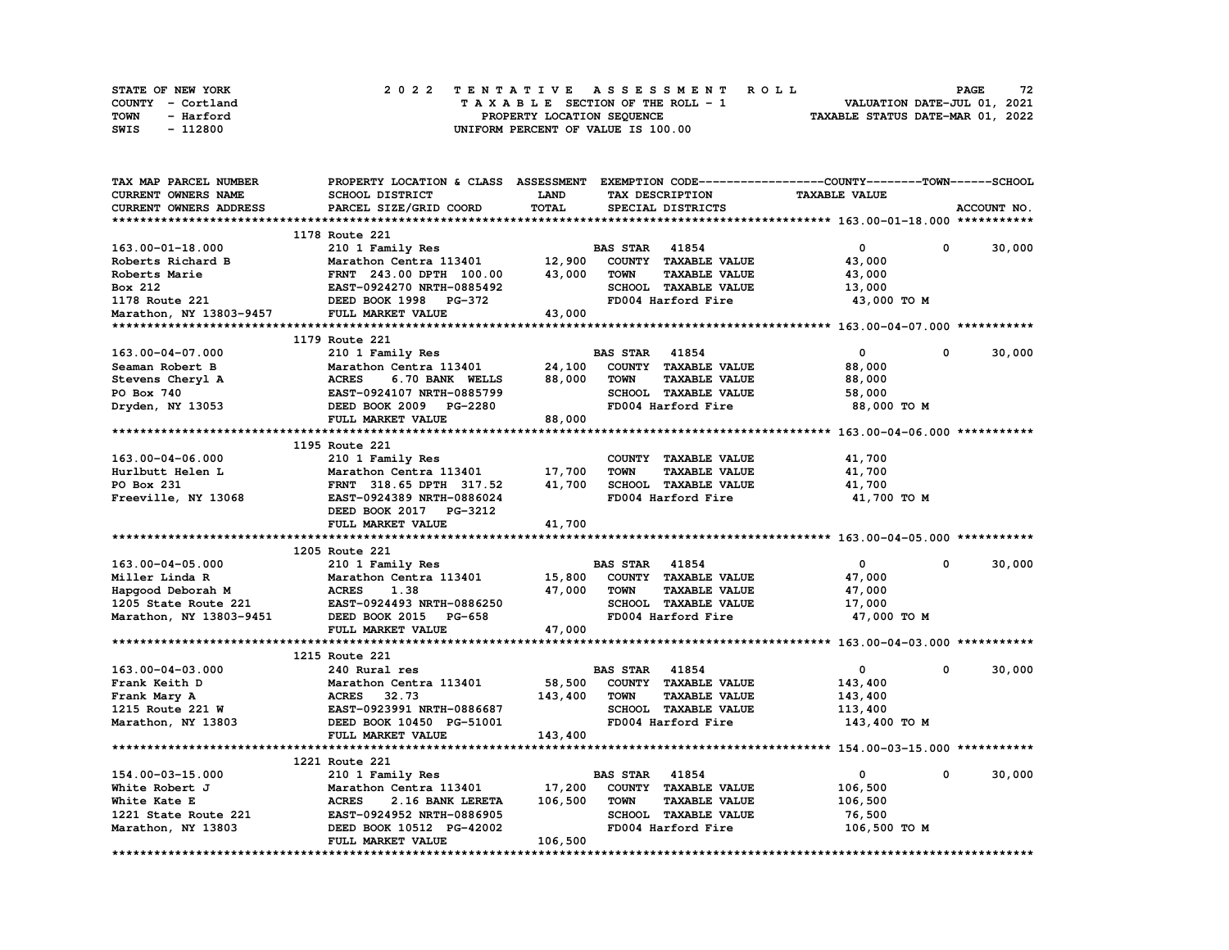| STATE OF NEW YORK | 2022 TENTATIVE ASSESSMENT ROLL     | 72<br><b>PAGE</b>                |
|-------------------|------------------------------------|----------------------------------|
| COUNTY - Cortland | TAXABLE SECTION OF THE ROLL - 1    | VALUATION DATE-JUL 01, 2021      |
| TOWN<br>- Harford | PROPERTY LOCATION SEQUENCE         | TAXABLE STATUS DATE-MAR 01, 2022 |
| - 112800<br>SWIS  | UNIFORM PERCENT OF VALUE IS 100.00 |                                  |

| TAX MAP PARCEL NUMBER      | PROPERTY LOCATION & CLASS ASSESSMENT EXEMPTION CODE----------------COUNTY-------TOWN-----SCHOOL |         |                       |                      |                      |             |             |
|----------------------------|-------------------------------------------------------------------------------------------------|---------|-----------------------|----------------------|----------------------|-------------|-------------|
| <b>CURRENT OWNERS NAME</b> | <b>SCHOOL DISTRICT</b>                                                                          | LAND    |                       | TAX DESCRIPTION      | <b>TAXABLE VALUE</b> |             |             |
| CURRENT OWNERS ADDRESS     | PARCEL SIZE/GRID COORD                                                                          | TOTAL   |                       | SPECIAL DISTRICTS    |                      |             | ACCOUNT NO. |
|                            |                                                                                                 |         |                       |                      |                      |             |             |
|                            | 1178 Route 221                                                                                  |         |                       |                      |                      |             |             |
| 163.00-01-18.000           | 210 1 Family Res                                                                                |         | <b>BAS STAR 41854</b> |                      | $\mathbf{o}$         | 0           | 30,000      |
| Roberts Richard B          | Marathon Centra 113401                                                                          | 12,900  |                       | COUNTY TAXABLE VALUE | 43,000               |             |             |
| Roberts Marie              | FRNT 243.00 DPTH 100.00                                                                         | 43,000  | <b>TOWN</b>           | <b>TAXABLE VALUE</b> | 43,000               |             |             |
| Box 212                    | EAST-0924270 NRTH-0885492                                                                       |         |                       | SCHOOL TAXABLE VALUE | 13,000               |             |             |
| 1178 Route 221             | DEED BOOK 1998 PG-372                                                                           |         |                       | FD004 Harford Fire   | 43,000 TO M          |             |             |
| Marathon, NY 13803-9457    | FULL MARKET VALUE                                                                               | 43,000  |                       |                      |                      |             |             |
|                            |                                                                                                 |         |                       |                      |                      |             |             |
|                            | 1179 Route 221                                                                                  |         |                       |                      |                      |             |             |
| 163.00-04-07.000           | 210 1 Family Res                                                                                |         | <b>BAS STAR 41854</b> |                      | $\mathbf 0$          | 0           | 30,000      |
| Seaman Robert B            | Marathon Centra 113401                                                                          | 24,100  |                       | COUNTY TAXABLE VALUE | 88,000               |             |             |
| Stevens Cheryl A           | <b>ACRES</b><br>6.70 BANK WELLS                                                                 | 88,000  | <b>TOWN</b>           | <b>TAXABLE VALUE</b> | 88,000               |             |             |
| PO Box 740                 | EAST-0924107 NRTH-0885799                                                                       |         |                       | SCHOOL TAXABLE VALUE | 58,000               |             |             |
| Dryden, NY 13053           | DEED BOOK 2009 PG-2280                                                                          |         |                       | FD004 Harford Fire   | 88,000 TO M          |             |             |
|                            | FULL MARKET VALUE                                                                               | 88,000  |                       |                      |                      |             |             |
|                            |                                                                                                 |         |                       |                      |                      |             |             |
|                            | 1195 Route 221                                                                                  |         |                       |                      |                      |             |             |
| $163.00 - 04 - 06.000$     | 210 1 Family Res                                                                                |         |                       | COUNTY TAXABLE VALUE | 41,700               |             |             |
| Hurlbutt Helen L           | Marathon Centra 113401                                                                          | 17,700  | <b>TOWN</b>           | <b>TAXABLE VALUE</b> | 41,700               |             |             |
| PO Box 231                 | FRNT 318.65 DPTH 317.52                                                                         | 41,700  |                       | SCHOOL TAXABLE VALUE | 41,700               |             |             |
| Freeville, NY 13068        | EAST-0924389 NRTH-0886024                                                                       |         |                       | FD004 Harford Fire   | 41,700 TO M          |             |             |
|                            | DEED BOOK 2017 PG-3212                                                                          |         |                       |                      |                      |             |             |
|                            | FULL MARKET VALUE                                                                               | 41,700  |                       |                      |                      |             |             |
|                            |                                                                                                 |         |                       |                      |                      |             |             |
|                            | 1205 Route 221                                                                                  |         |                       |                      |                      |             |             |
| 163.00-04-05.000           |                                                                                                 |         | <b>BAS STAR 41854</b> |                      | $\mathbf{0}$         | $\mathbf 0$ | 30,000      |
| Miller Linda R             | 210 1 Family Res<br>Marathon Centra 113401                                                      | 15,800  |                       | COUNTY TAXABLE VALUE | 47,000               |             |             |
|                            | <b>ACRES</b><br>1.38                                                                            | 47,000  | <b>TOWN</b>           | <b>TAXABLE VALUE</b> | 47,000               |             |             |
| Hapgood Deborah M          |                                                                                                 |         |                       |                      |                      |             |             |
| 1205 State Route 221       | EAST-0924493 NRTH-0886250                                                                       |         |                       | SCHOOL TAXABLE VALUE | 17,000               |             |             |
| Marathon, NY 13803-9451    | DEED BOOK 2015 PG-658                                                                           |         |                       | FD004 Harford Fire   | 47,000 TO M          |             |             |
| **********************     | FULL MARKET VALUE                                                                               | 47,000  |                       |                      |                      |             |             |
|                            |                                                                                                 |         |                       |                      |                      |             |             |
|                            | 1215 Route 221                                                                                  |         |                       |                      |                      | 0           |             |
| 163.00-04-03.000           | 240 Rural res                                                                                   |         | <b>BAS STAR</b>       | 41854                | $\mathbf{0}$         |             | 30,000      |
| Frank Keith D              | Marathon Centra 113401                                                                          | 58,500  |                       | COUNTY TAXABLE VALUE | 143,400              |             |             |
| Frank Mary A               | ACRES 32.73                                                                                     | 143,400 | <b>TOWN</b>           | <b>TAXABLE VALUE</b> | 143,400              |             |             |
| 1215 Route 221 W           | EAST-0923991 NRTH-0886687                                                                       |         |                       | SCHOOL TAXABLE VALUE | 113,400              |             |             |
| Marathon, NY 13803         | DEED BOOK 10450 PG-51001                                                                        |         |                       | FD004 Harford Fire   | 143,400 TO M         |             |             |
|                            | FULL MARKET VALUE                                                                               | 143,400 |                       |                      |                      |             |             |
|                            |                                                                                                 |         |                       |                      |                      |             |             |
|                            | 1221 Route 221                                                                                  |         |                       |                      |                      |             |             |
| 154.00-03-15.000           | 210 1 Family Res                                                                                |         | <b>BAS STAR</b> 41854 |                      | 0                    | 0           | 30,000      |
| White Robert J             | Marathon Centra 113401                                                                          | 17,200  |                       | COUNTY TAXABLE VALUE | 106,500              |             |             |
| White Kate E               | <b>ACRES</b><br>2.16 BANK LERETA                                                                | 106,500 | <b>TOWN</b>           | <b>TAXABLE VALUE</b> | 106,500              |             |             |
| 1221 State Route 221       | EAST-0924952 NRTH-0886905                                                                       |         |                       | SCHOOL TAXABLE VALUE | 76,500               |             |             |
| Marathon, NY 13803         | DEED BOOK 10512 PG-42002                                                                        |         |                       | FD004 Harford Fire   | 106,500 TO M         |             |             |
|                            | FULL MARKET VALUE                                                                               | 106,500 |                       |                      |                      |             |             |
|                            |                                                                                                 |         |                       |                      |                      |             |             |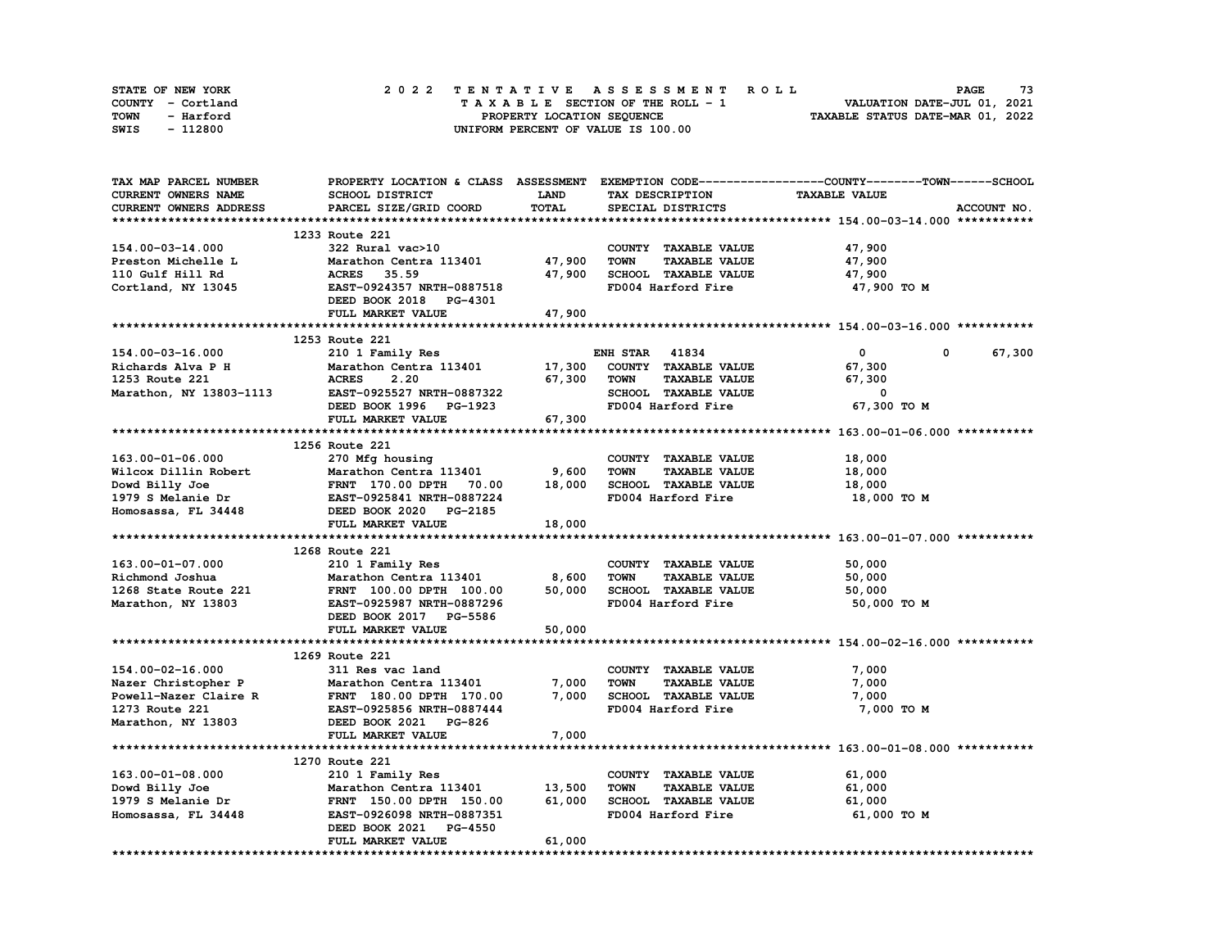| STATE OF NEW YORK | 2022 TENTATIVE ASSESSMENT ROLL     | 73<br><b>PAGE</b>                |
|-------------------|------------------------------------|----------------------------------|
| COUNTY - Cortland | TAXABLE SECTION OF THE ROLL - 1    | VALUATION DATE-JUL 01, 2021      |
| TOWN<br>- Harford | PROPERTY LOCATION SEQUENCE         | TAXABLE STATUS DATE-MAR 01, 2022 |
| - 112800<br>SWIS  | UNIFORM PERCENT OF VALUE IS 100.00 |                                  |

| TAX MAP PARCEL NUMBER                |                                                                                                      |             |                                     | PROPERTY LOCATION & CLASS ASSESSMENT EXEMPTION CODE-----------------COUNTY-------TOWN------SCHOOL |
|--------------------------------------|------------------------------------------------------------------------------------------------------|-------------|-------------------------------------|---------------------------------------------------------------------------------------------------|
| CURRENT OWNERS NAME                  | SCHOOL DISTRICT                                                                                      | <b>LAND</b> | TAX DESCRIPTION                     | <b>TAXABLE VALUE</b>                                                                              |
| CURRENT OWNERS ADDRESS               | PARCEL SIZE/GRID COORD                                                                               | TOTAL       | SPECIAL DISTRICTS                   | ACCOUNT NO.                                                                                       |
|                                      |                                                                                                      |             |                                     |                                                                                                   |
|                                      | 1233 Route 221                                                                                       |             |                                     |                                                                                                   |
| 154.00-03-14.000                     | 322 Rural vac>10                                                                                     |             | COUNTY TAXABLE VALUE                | 47,900                                                                                            |
| Preston Michelle L                   | Marathon Centra 113401 47,900                                                                        |             | <b>TAXABLE VALUE</b><br><b>TOWN</b> | 47,900                                                                                            |
| 110 Gulf Hill Rd                     | Marathon Centr<br>ACRES    35.59                                                                     | 47,900      | SCHOOL TAXABLE VALUE                | 47,900                                                                                            |
| Cortland, NY 13045                   | EAST-0924357 NRTH-0887518                                                                            |             | FD004 Harford Fire                  | 47,900 TO M                                                                                       |
|                                      | DEED BOOK 2018 PG-4301                                                                               |             |                                     |                                                                                                   |
|                                      | FULL MARKET VALUE                                                                                    | 47,900      |                                     |                                                                                                   |
|                                      |                                                                                                      |             |                                     |                                                                                                   |
|                                      |                                                                                                      |             |                                     |                                                                                                   |
|                                      | 1253 Route 221                                                                                       |             |                                     |                                                                                                   |
| 154.00-03-16.000                     | 210 1 Family Res                                                                                     |             | <b>ENH STAR 41834</b>               | $\mathbf{0}$<br>67,300<br>$\mathbf 0$                                                             |
| 154.00-05-10.12<br>Richards Alva P H | Marathon Centra 113401<br><b>Marathon Centra 113401<br/>ACRES 2.20<br/>EAST-0925527 NRTH-0887322</b> |             | 17,300 COUNTY TAXABLE VALUE         | 67,300                                                                                            |
|                                      |                                                                                                      | 67,300      | <b>TAXABLE VALUE</b><br>TOWN        | 67,300                                                                                            |
| Marathon, NY 13803-1113              |                                                                                                      |             | SCHOOL TAXABLE VALUE                | $^{\circ}$                                                                                        |
|                                      | DEED BOOK 1996 PG-1923                                                                               |             | FD004 Harford Fire                  | 67,300 TO M                                                                                       |
|                                      | FULL MARKET VALUE                                                                                    | 67,300      |                                     |                                                                                                   |
|                                      |                                                                                                      |             |                                     |                                                                                                   |
|                                      | 1256 Route 221                                                                                       |             |                                     |                                                                                                   |
| 163.00-01-06.000                     | 270 Mfg housing                                                                                      |             | COUNTY TAXABLE VALUE                | 18,000                                                                                            |
|                                      |                                                                                                      |             | <b>TOWN</b><br><b>TAXABLE VALUE</b> | 18,000                                                                                            |
|                                      |                                                                                                      |             | SCHOOL TAXABLE VALUE                | 18,000                                                                                            |
| 1979 S Melanie Dr                    | EAST-0925841 NRTH-0887224<br>DEED BOOK 2020 PG-2185                                                  |             | FD004 Harford Fire                  | 18,000 TO M                                                                                       |
| Homosassa, FL 34448                  |                                                                                                      |             |                                     |                                                                                                   |
|                                      | FULL MARKET VALUE                                                                                    | 18,000      |                                     |                                                                                                   |
|                                      |                                                                                                      |             |                                     |                                                                                                   |
|                                      | 1268 Route 221                                                                                       |             |                                     |                                                                                                   |
| 163.00-01-07.000                     | 210 1 Family Res                                                                                     |             | COUNTY TAXABLE VALUE                | 50,000                                                                                            |
|                                      | Marathon Centra 113401                                                                               | 8,600       | <b>TOWN</b><br><b>TAXABLE VALUE</b> | 50,000                                                                                            |
|                                      |                                                                                                      | 50,000      | SCHOOL TAXABLE VALUE                | 50,000                                                                                            |
| Marathon, NY 13803                   | EAST-0925987 NRTH-0887296                                                                            |             | FD004 Harford Fire                  | 50,000 TO M                                                                                       |
|                                      | DEED BOOK 2017 PG-5586                                                                               |             |                                     |                                                                                                   |
|                                      | FULL MARKET VALUE                                                                                    | 50,000      |                                     |                                                                                                   |
|                                      |                                                                                                      |             |                                     |                                                                                                   |
|                                      |                                                                                                      |             |                                     |                                                                                                   |
|                                      | 1269 Route 221                                                                                       |             |                                     |                                                                                                   |
| 154.00-02-16.000                     | 311 Res vac land                                                                                     |             | COUNTY TAXABLE VALUE                | 7,000                                                                                             |
| Nazer Christopher P                  | Marathon Centra 113401                                                                               | 7,000       | <b>TOWN</b><br><b>TAXABLE VALUE</b> | 7,000                                                                                             |
|                                      | Powell-Nazer Claire R<br>FRNT 180.00 DPTH 170.00                                                     | 7,000       | SCHOOL TAXABLE VALUE                | 7,000                                                                                             |
| 1273 Route 221                       | <b>EAST-0925856 NRTH-0887444</b>                                                                     |             | FD004 Harford Fire                  | 7,000 TO M                                                                                        |
| Marathon, NY 13803                   | DEED BOOK 2021 PG-826                                                                                |             |                                     |                                                                                                   |
|                                      | FULL MARKET VALUE                                                                                    | 7,000       |                                     |                                                                                                   |
|                                      |                                                                                                      |             |                                     |                                                                                                   |
|                                      | 1270 Route 221                                                                                       |             |                                     |                                                                                                   |
| 163.00-01-08.000                     | 210 1 Family Res                                                                                     |             | COUNTY TAXABLE VALUE                | 61,000                                                                                            |
| Dowd Billy Joe                       | Marathon Centra 113401<br>FRNT 150.00 DPTH 150.00                                                    | 13,500      | <b>TOWN</b><br><b>TAXABLE VALUE</b> | 61,000                                                                                            |
| 1979 S Melanie Dr                    |                                                                                                      | 61,000      | SCHOOL TAXABLE VALUE                | 61,000                                                                                            |
| Homosassa, FL 34448                  | EAST-0926098 NRTH-0887351                                                                            |             | FD004 Harford Fire                  | 61,000 TO M                                                                                       |
|                                      | DEED BOOK 2021 PG-4550                                                                               |             |                                     |                                                                                                   |
|                                      | FULL MARKET VALUE                                                                                    | 61,000      |                                     |                                                                                                   |
|                                      |                                                                                                      |             |                                     |                                                                                                   |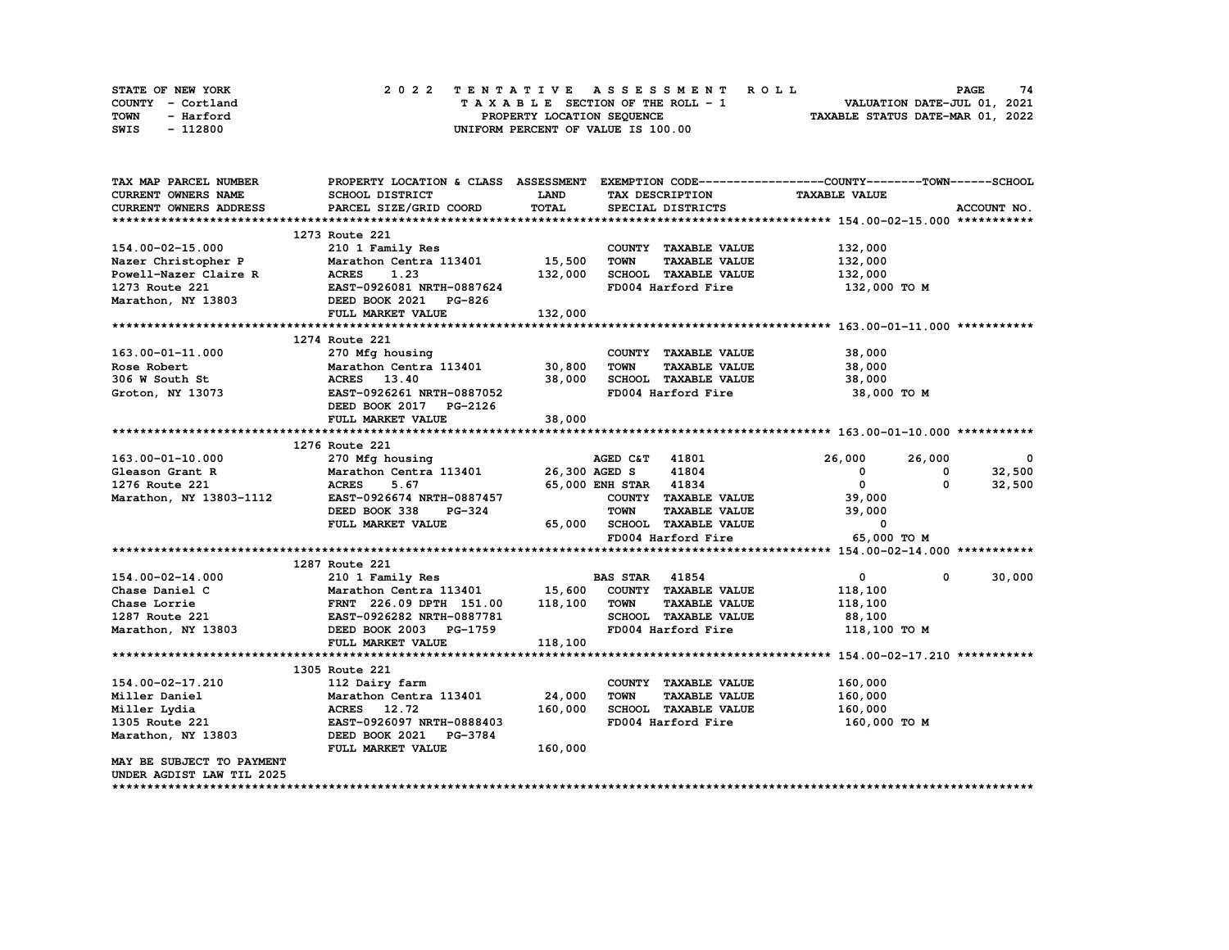| <b>STATE OF NEW YORK</b> | 2022 TENTATIVE ASSESSMENT ROLL          | 74<br><b>PAGE</b>                |
|--------------------------|-----------------------------------------|----------------------------------|
| COUNTY - Cortland        | $T A X A B L E$ SECTION OF THE ROLL - 1 | VALUATION DATE-JUL 01, 2021      |
| TOWN<br>- Harford        | PROPERTY LOCATION SEQUENCE              | TAXABLE STATUS DATE-MAR 01, 2022 |
| - 112800<br>SWIS         | UNIFORM PERCENT OF VALUE IS 100.00      |                                  |

| CURRENT OWNERS NAME<br>SCHOOL DISTRICT<br><b>LAND</b><br><b>TAXABLE VALUE</b><br>TAX DESCRIPTION<br>TOTAL<br><b>CURRENT OWNERS ADDRESS</b><br>PARCEL SIZE/GRID COORD<br>SPECIAL DISTRICTS<br>ACCOUNT NO.<br>1273 Route 221<br>154.00-02-15.000<br>132,000<br>210 1 Family Res<br>COUNTY TAXABLE VALUE<br>15,500<br>Marathon Centra 113401<br><b>TOWN</b><br><b>TAXABLE VALUE</b><br>132,000<br>Nazer Christopher P<br>Powell-Nazer Claire R<br>1073 Boute 221<br>132,000<br>SCHOOL TAXABLE VALUE<br>132,000<br><b>ACRES</b><br>1.23<br>FD004 Harford Fire<br>EAST-0926081 NRTH-0887624<br>132,000 TO M<br>Marathon, NY 13803<br>DEED BOOK 2021 PG-826<br>FULL MARKET VALUE<br>132,000<br>1274 Route 221<br>163.00-01-11.000<br>270 Mfg housing<br>38,000<br>COUNTY TAXABLE VALUE<br>Marathon Centra 113401<br>30,800<br><b>TAXABLE VALUE</b><br>38,000<br>Rose Robert<br><b>TOWN</b><br>ACRES 13.40<br>38,000<br>SCHOOL TAXABLE VALUE<br>38,000<br>306 W South St<br>EAST-0926261 NRTH-0887052<br>FD004 Harford Fire<br>Groton, NY 13073<br>38,000 TO M<br>DEED BOOK 2017 PG-2126<br>FULL MARKET VALUE<br>38,000<br>1276 Route 221<br>270 Mfg housing<br>163.00-01-10.000<br>AGED C&T 41801<br>26,000<br>26,000<br>$\overline{\phantom{0}}$<br>Marathon Centra 113401 26,300 AGED S<br>41804<br>32,500<br>Gleason Grant R<br>$\mathbf{0}$<br>0<br>$\overline{0}$<br><b>ACRES</b><br>65,000 ENH STAR 41834<br>0<br>32,500<br>1276 Route 221<br>5.67<br>Marathon, NY 13803-1112<br>EAST-0926674 NRTH-0887457<br>COUNTY TAXABLE VALUE<br>39,000<br>DEED BOOK 338<br><b>TOWN</b><br><b>TAXABLE VALUE</b><br>39,000<br>PG-324<br>FULL MARKET VALUE<br>65,000<br>SCHOOL TAXABLE VALUE<br>0<br>FD004 Harford Fire<br>65,000 TO M<br>1287 Route 221<br>30,000<br>154.00-02-14.000<br>210 1 Family Res<br><b>BAS STAR 41854</b><br>$\mathbf{0}$<br>$\mathbf 0$<br>Marathon Centra 113401 15,600<br>Chase Daniel C<br>COUNTY TAXABLE VALUE<br>118,100<br>118,100<br>TOWN<br><b>TAXABLE VALUE</b><br>Chase Lorrie<br>FRNT 226.09 DPTH 151.00<br>118,100<br>EAST-0926282 NRTH-0887781<br>SCHOOL TAXABLE VALUE<br>1287 Route 221<br>88,100<br>Marathon, NY 13803<br>FD004 Harford Fire<br>DEED BOOK 2003 PG-1759<br>118,100 TO M<br>118,100<br>FULL MARKET VALUE<br>1305 Route 221<br>154.00-02-17.210<br>COUNTY TAXABLE VALUE<br>160,000<br>112 Dairy farm<br>24,000<br>Miller Daniel<br><b>TOWN</b><br><b>TAXABLE VALUE</b><br>160,000<br>Marathon Centra 113401<br>160,000<br>SCHOOL TAXABLE VALUE<br>Miller Lydia<br>ACRES 12.72<br>160,000<br>FD004 Harford Fire<br>1305 Route 221<br>EAST-0926097 NRTH-0888403<br>160,000 то м<br>Marathon, NY 13803<br>DEED BOOK 2021<br><b>PG-3784</b><br>FULL MARKET VALUE<br>160,000<br>MAY BE SUBJECT TO PAYMENT<br>UNDER AGDIST LAW TIL 2025 | TAX MAP PARCEL NUMBER | PROPERTY LOCATION & CLASS ASSESSMENT |  | EXEMPTION CODE-----------------COUNTY-------TOWN------SCHOOL |  |
|-----------------------------------------------------------------------------------------------------------------------------------------------------------------------------------------------------------------------------------------------------------------------------------------------------------------------------------------------------------------------------------------------------------------------------------------------------------------------------------------------------------------------------------------------------------------------------------------------------------------------------------------------------------------------------------------------------------------------------------------------------------------------------------------------------------------------------------------------------------------------------------------------------------------------------------------------------------------------------------------------------------------------------------------------------------------------------------------------------------------------------------------------------------------------------------------------------------------------------------------------------------------------------------------------------------------------------------------------------------------------------------------------------------------------------------------------------------------------------------------------------------------------------------------------------------------------------------------------------------------------------------------------------------------------------------------------------------------------------------------------------------------------------------------------------------------------------------------------------------------------------------------------------------------------------------------------------------------------------------------------------------------------------------------------------------------------------------------------------------------------------------------------------------------------------------------------------------------------------------------------------------------------------------------------------------------------------------------------------------------------------------------------------------------------------------------------------------------------------------------------------------------------------------------------------------------------------------------------------------------------------------------------------------------------------------------------------------------------------------------------------------------------------|-----------------------|--------------------------------------|--|--------------------------------------------------------------|--|
|                                                                                                                                                                                                                                                                                                                                                                                                                                                                                                                                                                                                                                                                                                                                                                                                                                                                                                                                                                                                                                                                                                                                                                                                                                                                                                                                                                                                                                                                                                                                                                                                                                                                                                                                                                                                                                                                                                                                                                                                                                                                                                                                                                                                                                                                                                                                                                                                                                                                                                                                                                                                                                                                                                                                                                             |                       |                                      |  |                                                              |  |
|                                                                                                                                                                                                                                                                                                                                                                                                                                                                                                                                                                                                                                                                                                                                                                                                                                                                                                                                                                                                                                                                                                                                                                                                                                                                                                                                                                                                                                                                                                                                                                                                                                                                                                                                                                                                                                                                                                                                                                                                                                                                                                                                                                                                                                                                                                                                                                                                                                                                                                                                                                                                                                                                                                                                                                             |                       |                                      |  |                                                              |  |
|                                                                                                                                                                                                                                                                                                                                                                                                                                                                                                                                                                                                                                                                                                                                                                                                                                                                                                                                                                                                                                                                                                                                                                                                                                                                                                                                                                                                                                                                                                                                                                                                                                                                                                                                                                                                                                                                                                                                                                                                                                                                                                                                                                                                                                                                                                                                                                                                                                                                                                                                                                                                                                                                                                                                                                             |                       |                                      |  |                                                              |  |
|                                                                                                                                                                                                                                                                                                                                                                                                                                                                                                                                                                                                                                                                                                                                                                                                                                                                                                                                                                                                                                                                                                                                                                                                                                                                                                                                                                                                                                                                                                                                                                                                                                                                                                                                                                                                                                                                                                                                                                                                                                                                                                                                                                                                                                                                                                                                                                                                                                                                                                                                                                                                                                                                                                                                                                             |                       |                                      |  |                                                              |  |
|                                                                                                                                                                                                                                                                                                                                                                                                                                                                                                                                                                                                                                                                                                                                                                                                                                                                                                                                                                                                                                                                                                                                                                                                                                                                                                                                                                                                                                                                                                                                                                                                                                                                                                                                                                                                                                                                                                                                                                                                                                                                                                                                                                                                                                                                                                                                                                                                                                                                                                                                                                                                                                                                                                                                                                             |                       |                                      |  |                                                              |  |
|                                                                                                                                                                                                                                                                                                                                                                                                                                                                                                                                                                                                                                                                                                                                                                                                                                                                                                                                                                                                                                                                                                                                                                                                                                                                                                                                                                                                                                                                                                                                                                                                                                                                                                                                                                                                                                                                                                                                                                                                                                                                                                                                                                                                                                                                                                                                                                                                                                                                                                                                                                                                                                                                                                                                                                             |                       |                                      |  |                                                              |  |
|                                                                                                                                                                                                                                                                                                                                                                                                                                                                                                                                                                                                                                                                                                                                                                                                                                                                                                                                                                                                                                                                                                                                                                                                                                                                                                                                                                                                                                                                                                                                                                                                                                                                                                                                                                                                                                                                                                                                                                                                                                                                                                                                                                                                                                                                                                                                                                                                                                                                                                                                                                                                                                                                                                                                                                             |                       |                                      |  |                                                              |  |
|                                                                                                                                                                                                                                                                                                                                                                                                                                                                                                                                                                                                                                                                                                                                                                                                                                                                                                                                                                                                                                                                                                                                                                                                                                                                                                                                                                                                                                                                                                                                                                                                                                                                                                                                                                                                                                                                                                                                                                                                                                                                                                                                                                                                                                                                                                                                                                                                                                                                                                                                                                                                                                                                                                                                                                             |                       |                                      |  |                                                              |  |
|                                                                                                                                                                                                                                                                                                                                                                                                                                                                                                                                                                                                                                                                                                                                                                                                                                                                                                                                                                                                                                                                                                                                                                                                                                                                                                                                                                                                                                                                                                                                                                                                                                                                                                                                                                                                                                                                                                                                                                                                                                                                                                                                                                                                                                                                                                                                                                                                                                                                                                                                                                                                                                                                                                                                                                             |                       |                                      |  |                                                              |  |
|                                                                                                                                                                                                                                                                                                                                                                                                                                                                                                                                                                                                                                                                                                                                                                                                                                                                                                                                                                                                                                                                                                                                                                                                                                                                                                                                                                                                                                                                                                                                                                                                                                                                                                                                                                                                                                                                                                                                                                                                                                                                                                                                                                                                                                                                                                                                                                                                                                                                                                                                                                                                                                                                                                                                                                             |                       |                                      |  |                                                              |  |
|                                                                                                                                                                                                                                                                                                                                                                                                                                                                                                                                                                                                                                                                                                                                                                                                                                                                                                                                                                                                                                                                                                                                                                                                                                                                                                                                                                                                                                                                                                                                                                                                                                                                                                                                                                                                                                                                                                                                                                                                                                                                                                                                                                                                                                                                                                                                                                                                                                                                                                                                                                                                                                                                                                                                                                             |                       |                                      |  |                                                              |  |
|                                                                                                                                                                                                                                                                                                                                                                                                                                                                                                                                                                                                                                                                                                                                                                                                                                                                                                                                                                                                                                                                                                                                                                                                                                                                                                                                                                                                                                                                                                                                                                                                                                                                                                                                                                                                                                                                                                                                                                                                                                                                                                                                                                                                                                                                                                                                                                                                                                                                                                                                                                                                                                                                                                                                                                             |                       |                                      |  |                                                              |  |
|                                                                                                                                                                                                                                                                                                                                                                                                                                                                                                                                                                                                                                                                                                                                                                                                                                                                                                                                                                                                                                                                                                                                                                                                                                                                                                                                                                                                                                                                                                                                                                                                                                                                                                                                                                                                                                                                                                                                                                                                                                                                                                                                                                                                                                                                                                                                                                                                                                                                                                                                                                                                                                                                                                                                                                             |                       |                                      |  |                                                              |  |
|                                                                                                                                                                                                                                                                                                                                                                                                                                                                                                                                                                                                                                                                                                                                                                                                                                                                                                                                                                                                                                                                                                                                                                                                                                                                                                                                                                                                                                                                                                                                                                                                                                                                                                                                                                                                                                                                                                                                                                                                                                                                                                                                                                                                                                                                                                                                                                                                                                                                                                                                                                                                                                                                                                                                                                             |                       |                                      |  |                                                              |  |
|                                                                                                                                                                                                                                                                                                                                                                                                                                                                                                                                                                                                                                                                                                                                                                                                                                                                                                                                                                                                                                                                                                                                                                                                                                                                                                                                                                                                                                                                                                                                                                                                                                                                                                                                                                                                                                                                                                                                                                                                                                                                                                                                                                                                                                                                                                                                                                                                                                                                                                                                                                                                                                                                                                                                                                             |                       |                                      |  |                                                              |  |
|                                                                                                                                                                                                                                                                                                                                                                                                                                                                                                                                                                                                                                                                                                                                                                                                                                                                                                                                                                                                                                                                                                                                                                                                                                                                                                                                                                                                                                                                                                                                                                                                                                                                                                                                                                                                                                                                                                                                                                                                                                                                                                                                                                                                                                                                                                                                                                                                                                                                                                                                                                                                                                                                                                                                                                             |                       |                                      |  |                                                              |  |
|                                                                                                                                                                                                                                                                                                                                                                                                                                                                                                                                                                                                                                                                                                                                                                                                                                                                                                                                                                                                                                                                                                                                                                                                                                                                                                                                                                                                                                                                                                                                                                                                                                                                                                                                                                                                                                                                                                                                                                                                                                                                                                                                                                                                                                                                                                                                                                                                                                                                                                                                                                                                                                                                                                                                                                             |                       |                                      |  |                                                              |  |
|                                                                                                                                                                                                                                                                                                                                                                                                                                                                                                                                                                                                                                                                                                                                                                                                                                                                                                                                                                                                                                                                                                                                                                                                                                                                                                                                                                                                                                                                                                                                                                                                                                                                                                                                                                                                                                                                                                                                                                                                                                                                                                                                                                                                                                                                                                                                                                                                                                                                                                                                                                                                                                                                                                                                                                             |                       |                                      |  |                                                              |  |
|                                                                                                                                                                                                                                                                                                                                                                                                                                                                                                                                                                                                                                                                                                                                                                                                                                                                                                                                                                                                                                                                                                                                                                                                                                                                                                                                                                                                                                                                                                                                                                                                                                                                                                                                                                                                                                                                                                                                                                                                                                                                                                                                                                                                                                                                                                                                                                                                                                                                                                                                                                                                                                                                                                                                                                             |                       |                                      |  |                                                              |  |
|                                                                                                                                                                                                                                                                                                                                                                                                                                                                                                                                                                                                                                                                                                                                                                                                                                                                                                                                                                                                                                                                                                                                                                                                                                                                                                                                                                                                                                                                                                                                                                                                                                                                                                                                                                                                                                                                                                                                                                                                                                                                                                                                                                                                                                                                                                                                                                                                                                                                                                                                                                                                                                                                                                                                                                             |                       |                                      |  |                                                              |  |
|                                                                                                                                                                                                                                                                                                                                                                                                                                                                                                                                                                                                                                                                                                                                                                                                                                                                                                                                                                                                                                                                                                                                                                                                                                                                                                                                                                                                                                                                                                                                                                                                                                                                                                                                                                                                                                                                                                                                                                                                                                                                                                                                                                                                                                                                                                                                                                                                                                                                                                                                                                                                                                                                                                                                                                             |                       |                                      |  |                                                              |  |
|                                                                                                                                                                                                                                                                                                                                                                                                                                                                                                                                                                                                                                                                                                                                                                                                                                                                                                                                                                                                                                                                                                                                                                                                                                                                                                                                                                                                                                                                                                                                                                                                                                                                                                                                                                                                                                                                                                                                                                                                                                                                                                                                                                                                                                                                                                                                                                                                                                                                                                                                                                                                                                                                                                                                                                             |                       |                                      |  |                                                              |  |
|                                                                                                                                                                                                                                                                                                                                                                                                                                                                                                                                                                                                                                                                                                                                                                                                                                                                                                                                                                                                                                                                                                                                                                                                                                                                                                                                                                                                                                                                                                                                                                                                                                                                                                                                                                                                                                                                                                                                                                                                                                                                                                                                                                                                                                                                                                                                                                                                                                                                                                                                                                                                                                                                                                                                                                             |                       |                                      |  |                                                              |  |
|                                                                                                                                                                                                                                                                                                                                                                                                                                                                                                                                                                                                                                                                                                                                                                                                                                                                                                                                                                                                                                                                                                                                                                                                                                                                                                                                                                                                                                                                                                                                                                                                                                                                                                                                                                                                                                                                                                                                                                                                                                                                                                                                                                                                                                                                                                                                                                                                                                                                                                                                                                                                                                                                                                                                                                             |                       |                                      |  |                                                              |  |
|                                                                                                                                                                                                                                                                                                                                                                                                                                                                                                                                                                                                                                                                                                                                                                                                                                                                                                                                                                                                                                                                                                                                                                                                                                                                                                                                                                                                                                                                                                                                                                                                                                                                                                                                                                                                                                                                                                                                                                                                                                                                                                                                                                                                                                                                                                                                                                                                                                                                                                                                                                                                                                                                                                                                                                             |                       |                                      |  |                                                              |  |
|                                                                                                                                                                                                                                                                                                                                                                                                                                                                                                                                                                                                                                                                                                                                                                                                                                                                                                                                                                                                                                                                                                                                                                                                                                                                                                                                                                                                                                                                                                                                                                                                                                                                                                                                                                                                                                                                                                                                                                                                                                                                                                                                                                                                                                                                                                                                                                                                                                                                                                                                                                                                                                                                                                                                                                             |                       |                                      |  |                                                              |  |
|                                                                                                                                                                                                                                                                                                                                                                                                                                                                                                                                                                                                                                                                                                                                                                                                                                                                                                                                                                                                                                                                                                                                                                                                                                                                                                                                                                                                                                                                                                                                                                                                                                                                                                                                                                                                                                                                                                                                                                                                                                                                                                                                                                                                                                                                                                                                                                                                                                                                                                                                                                                                                                                                                                                                                                             |                       |                                      |  |                                                              |  |
|                                                                                                                                                                                                                                                                                                                                                                                                                                                                                                                                                                                                                                                                                                                                                                                                                                                                                                                                                                                                                                                                                                                                                                                                                                                                                                                                                                                                                                                                                                                                                                                                                                                                                                                                                                                                                                                                                                                                                                                                                                                                                                                                                                                                                                                                                                                                                                                                                                                                                                                                                                                                                                                                                                                                                                             |                       |                                      |  |                                                              |  |
|                                                                                                                                                                                                                                                                                                                                                                                                                                                                                                                                                                                                                                                                                                                                                                                                                                                                                                                                                                                                                                                                                                                                                                                                                                                                                                                                                                                                                                                                                                                                                                                                                                                                                                                                                                                                                                                                                                                                                                                                                                                                                                                                                                                                                                                                                                                                                                                                                                                                                                                                                                                                                                                                                                                                                                             |                       |                                      |  |                                                              |  |
|                                                                                                                                                                                                                                                                                                                                                                                                                                                                                                                                                                                                                                                                                                                                                                                                                                                                                                                                                                                                                                                                                                                                                                                                                                                                                                                                                                                                                                                                                                                                                                                                                                                                                                                                                                                                                                                                                                                                                                                                                                                                                                                                                                                                                                                                                                                                                                                                                                                                                                                                                                                                                                                                                                                                                                             |                       |                                      |  |                                                              |  |
|                                                                                                                                                                                                                                                                                                                                                                                                                                                                                                                                                                                                                                                                                                                                                                                                                                                                                                                                                                                                                                                                                                                                                                                                                                                                                                                                                                                                                                                                                                                                                                                                                                                                                                                                                                                                                                                                                                                                                                                                                                                                                                                                                                                                                                                                                                                                                                                                                                                                                                                                                                                                                                                                                                                                                                             |                       |                                      |  |                                                              |  |
|                                                                                                                                                                                                                                                                                                                                                                                                                                                                                                                                                                                                                                                                                                                                                                                                                                                                                                                                                                                                                                                                                                                                                                                                                                                                                                                                                                                                                                                                                                                                                                                                                                                                                                                                                                                                                                                                                                                                                                                                                                                                                                                                                                                                                                                                                                                                                                                                                                                                                                                                                                                                                                                                                                                                                                             |                       |                                      |  |                                                              |  |
|                                                                                                                                                                                                                                                                                                                                                                                                                                                                                                                                                                                                                                                                                                                                                                                                                                                                                                                                                                                                                                                                                                                                                                                                                                                                                                                                                                                                                                                                                                                                                                                                                                                                                                                                                                                                                                                                                                                                                                                                                                                                                                                                                                                                                                                                                                                                                                                                                                                                                                                                                                                                                                                                                                                                                                             |                       |                                      |  |                                                              |  |
|                                                                                                                                                                                                                                                                                                                                                                                                                                                                                                                                                                                                                                                                                                                                                                                                                                                                                                                                                                                                                                                                                                                                                                                                                                                                                                                                                                                                                                                                                                                                                                                                                                                                                                                                                                                                                                                                                                                                                                                                                                                                                                                                                                                                                                                                                                                                                                                                                                                                                                                                                                                                                                                                                                                                                                             |                       |                                      |  |                                                              |  |
|                                                                                                                                                                                                                                                                                                                                                                                                                                                                                                                                                                                                                                                                                                                                                                                                                                                                                                                                                                                                                                                                                                                                                                                                                                                                                                                                                                                                                                                                                                                                                                                                                                                                                                                                                                                                                                                                                                                                                                                                                                                                                                                                                                                                                                                                                                                                                                                                                                                                                                                                                                                                                                                                                                                                                                             |                       |                                      |  |                                                              |  |
|                                                                                                                                                                                                                                                                                                                                                                                                                                                                                                                                                                                                                                                                                                                                                                                                                                                                                                                                                                                                                                                                                                                                                                                                                                                                                                                                                                                                                                                                                                                                                                                                                                                                                                                                                                                                                                                                                                                                                                                                                                                                                                                                                                                                                                                                                                                                                                                                                                                                                                                                                                                                                                                                                                                                                                             |                       |                                      |  |                                                              |  |
|                                                                                                                                                                                                                                                                                                                                                                                                                                                                                                                                                                                                                                                                                                                                                                                                                                                                                                                                                                                                                                                                                                                                                                                                                                                                                                                                                                                                                                                                                                                                                                                                                                                                                                                                                                                                                                                                                                                                                                                                                                                                                                                                                                                                                                                                                                                                                                                                                                                                                                                                                                                                                                                                                                                                                                             |                       |                                      |  |                                                              |  |
|                                                                                                                                                                                                                                                                                                                                                                                                                                                                                                                                                                                                                                                                                                                                                                                                                                                                                                                                                                                                                                                                                                                                                                                                                                                                                                                                                                                                                                                                                                                                                                                                                                                                                                                                                                                                                                                                                                                                                                                                                                                                                                                                                                                                                                                                                                                                                                                                                                                                                                                                                                                                                                                                                                                                                                             |                       |                                      |  |                                                              |  |
|                                                                                                                                                                                                                                                                                                                                                                                                                                                                                                                                                                                                                                                                                                                                                                                                                                                                                                                                                                                                                                                                                                                                                                                                                                                                                                                                                                                                                                                                                                                                                                                                                                                                                                                                                                                                                                                                                                                                                                                                                                                                                                                                                                                                                                                                                                                                                                                                                                                                                                                                                                                                                                                                                                                                                                             |                       |                                      |  |                                                              |  |
|                                                                                                                                                                                                                                                                                                                                                                                                                                                                                                                                                                                                                                                                                                                                                                                                                                                                                                                                                                                                                                                                                                                                                                                                                                                                                                                                                                                                                                                                                                                                                                                                                                                                                                                                                                                                                                                                                                                                                                                                                                                                                                                                                                                                                                                                                                                                                                                                                                                                                                                                                                                                                                                                                                                                                                             |                       |                                      |  |                                                              |  |
|                                                                                                                                                                                                                                                                                                                                                                                                                                                                                                                                                                                                                                                                                                                                                                                                                                                                                                                                                                                                                                                                                                                                                                                                                                                                                                                                                                                                                                                                                                                                                                                                                                                                                                                                                                                                                                                                                                                                                                                                                                                                                                                                                                                                                                                                                                                                                                                                                                                                                                                                                                                                                                                                                                                                                                             |                       |                                      |  |                                                              |  |
|                                                                                                                                                                                                                                                                                                                                                                                                                                                                                                                                                                                                                                                                                                                                                                                                                                                                                                                                                                                                                                                                                                                                                                                                                                                                                                                                                                                                                                                                                                                                                                                                                                                                                                                                                                                                                                                                                                                                                                                                                                                                                                                                                                                                                                                                                                                                                                                                                                                                                                                                                                                                                                                                                                                                                                             |                       |                                      |  |                                                              |  |
|                                                                                                                                                                                                                                                                                                                                                                                                                                                                                                                                                                                                                                                                                                                                                                                                                                                                                                                                                                                                                                                                                                                                                                                                                                                                                                                                                                                                                                                                                                                                                                                                                                                                                                                                                                                                                                                                                                                                                                                                                                                                                                                                                                                                                                                                                                                                                                                                                                                                                                                                                                                                                                                                                                                                                                             |                       |                                      |  |                                                              |  |
|                                                                                                                                                                                                                                                                                                                                                                                                                                                                                                                                                                                                                                                                                                                                                                                                                                                                                                                                                                                                                                                                                                                                                                                                                                                                                                                                                                                                                                                                                                                                                                                                                                                                                                                                                                                                                                                                                                                                                                                                                                                                                                                                                                                                                                                                                                                                                                                                                                                                                                                                                                                                                                                                                                                                                                             |                       |                                      |  |                                                              |  |
|                                                                                                                                                                                                                                                                                                                                                                                                                                                                                                                                                                                                                                                                                                                                                                                                                                                                                                                                                                                                                                                                                                                                                                                                                                                                                                                                                                                                                                                                                                                                                                                                                                                                                                                                                                                                                                                                                                                                                                                                                                                                                                                                                                                                                                                                                                                                                                                                                                                                                                                                                                                                                                                                                                                                                                             |                       |                                      |  |                                                              |  |
|                                                                                                                                                                                                                                                                                                                                                                                                                                                                                                                                                                                                                                                                                                                                                                                                                                                                                                                                                                                                                                                                                                                                                                                                                                                                                                                                                                                                                                                                                                                                                                                                                                                                                                                                                                                                                                                                                                                                                                                                                                                                                                                                                                                                                                                                                                                                                                                                                                                                                                                                                                                                                                                                                                                                                                             |                       |                                      |  |                                                              |  |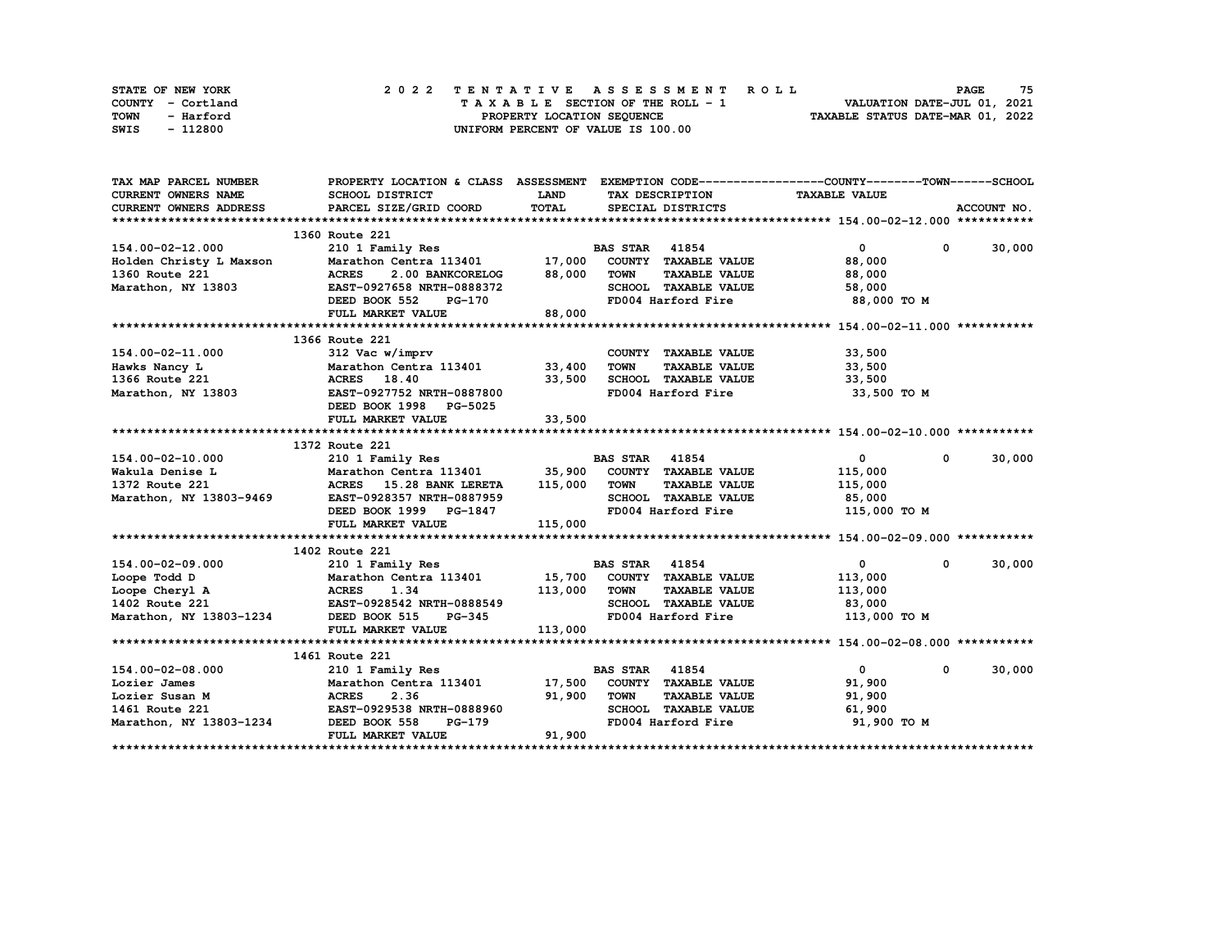| STATE OF NEW YORK | 2022 TENTATIVE ASSESSMENT ROLL     | 75<br><b>PAGE</b>                |
|-------------------|------------------------------------|----------------------------------|
| COUNTY - Cortland | TAXABLE SECTION OF THE ROLL - 1    | VALUATION DATE-JUL 01, 2021      |
| TOWN<br>- Harford | PROPERTY LOCATION SEQUENCE         | TAXABLE STATUS DATE-MAR 01, 2022 |
| - 112800<br>SWIS  | UNIFORM PERCENT OF VALUE IS 100.00 |                                  |

| TAX MAP PARCEL NUMBER                     |                                                    |              |                                     | PROPERTY LOCATION & CLASS ASSESSMENT EXEMPTION CODE----------------COUNTY-------TOWN------SCHOOL |             |
|-------------------------------------------|----------------------------------------------------|--------------|-------------------------------------|--------------------------------------------------------------------------------------------------|-------------|
| <b>CURRENT OWNERS NAME</b>                | SCHOOL DISTRICT                                    | <b>LAND</b>  | TAX DESCRIPTION                     | <b>TAXABLE VALUE</b>                                                                             |             |
| <b>CURRENT OWNERS ADDRESS</b>             | PARCEL SIZE/GRID COORD                             | TOTAL        | SPECIAL DISTRICTS                   |                                                                                                  | ACCOUNT NO. |
|                                           |                                                    |              |                                     |                                                                                                  |             |
|                                           | 1360 Route 221                                     |              |                                     |                                                                                                  |             |
| 154.00-02-12.000                          | 210 1 Family Res                                   |              | <b>BAS STAR 41854</b>               | $\overline{0}$<br>$\mathbf 0$                                                                    | 30,000      |
| Holden Christy L Maxson<br>1360 Route 221 | Marathon Centra 113401 17,000 COUNTY TAXABLE VALUE |              |                                     | 88,000                                                                                           |             |
| 1360 Route 221                            | <b>ACRES</b><br>2.00 BANKCORELOG                   | 88,000       | <b>TOWN</b><br><b>TAXABLE VALUE</b> | 88,000                                                                                           |             |
| Marathon, NY 13803                        | EAST-0927658 NRTH-0888372                          |              | SCHOOL TAXABLE VALUE                | 58,000                                                                                           |             |
|                                           | DEED BOOK 552<br>PG-170                            |              | FD004 Harford Fire                  | 88,000 TO M                                                                                      |             |
|                                           | FULL MARKET VALUE                                  | 88,000       |                                     |                                                                                                  |             |
|                                           |                                                    |              |                                     |                                                                                                  |             |
|                                           | 1366 Route 221                                     |              |                                     |                                                                                                  |             |
| 154.00-02-11.000                          | 312 Vac w/imprv                                    |              | COUNTY TAXABLE VALUE                | 33,500                                                                                           |             |
| Hawks Nancy L                             | Marathon Centra 113401 33,400                      |              | <b>TOWN</b><br><b>TAXABLE VALUE</b> | 33,500                                                                                           |             |
| 1366 Route 221                            | ACRES 18.40                                        | 33,500       | SCHOOL TAXABLE VALUE                | 33,500                                                                                           |             |
| Marathon, NY 13803                        | EAST-0927752 NRTH-0887800                          |              | FD004 Harford Fire                  | 33,500 TO M                                                                                      |             |
|                                           | DEED BOOK 1998 PG-5025                             |              |                                     |                                                                                                  |             |
|                                           | FULL MARKET VALUE                                  | 33,500       |                                     |                                                                                                  |             |
|                                           |                                                    |              |                                     |                                                                                                  |             |
|                                           | 1372 Route 221                                     |              |                                     |                                                                                                  |             |
| 154.00-02-10.000                          | 210 1 Family Res                                   |              | <b>BAS STAR 41854</b>               | $\overline{0}$<br>$\mathbf 0$                                                                    | 30,000      |
| Wakula Denise L                           | Marathon Centra 113401 35,900 COUNTY TAXABLE VALUE |              |                                     | 115,000                                                                                          |             |
| 1372 Route 221<br>$-9469$                 | ACRES 15.28 BANK LERETA 115,000 TOWN               |              | <b>TAXABLE VALUE</b>                | 115,000                                                                                          |             |
| Marathon, NY 13803-9469                   | EAST-0928357 NRTH-0887959                          |              | SCHOOL TAXABLE VALUE                | 85,000                                                                                           |             |
|                                           | DEED BOOK 1999 PG-1847                             |              | FD004 Harford Fire                  | 115,000 TO M                                                                                     |             |
|                                           | FULL MARKET VALUE                                  | 115,000      |                                     |                                                                                                  |             |
|                                           |                                                    |              |                                     |                                                                                                  |             |
|                                           | 1402 Route 221                                     |              |                                     |                                                                                                  |             |
| 154.00-02-09.000                          | 210 1 Family Res                                   |              | <b>BAS STAR 41854</b>               | $\mathbf{0}$<br>$\mathbf{0}$                                                                     | 30,000      |
| Loope Todd D                              | Marathon Centra 113401 15,700 COUNTY TAXABLE VALUE |              |                                     | 113,000                                                                                          |             |
| Loope Cheryl A                            |                                                    | 113,000 TOWN | <b>TAXABLE VALUE</b>                | 113,000                                                                                          |             |
| 1402 Route 221                            | ACRES 1.34<br>EAST-0928542 NRTH-0888549            |              | SCHOOL TAXABLE VALUE                | 83,000                                                                                           |             |
| Marathon, NY 13803-1234 DEED BOOK 515     | <b>PG-345</b>                                      |              | FD004 Harford Fire                  | 113,000 TO M                                                                                     |             |
|                                           | FULL MARKET VALUE                                  | 113,000      |                                     |                                                                                                  |             |
|                                           |                                                    |              |                                     |                                                                                                  |             |
|                                           | 1461 Route 221                                     |              |                                     |                                                                                                  |             |
| 154.00-02-08.000                          | 210 1 Family Res                                   |              | <b>BAS STAR 41854</b>               | $\mathbf{0}$<br>0                                                                                | 30,000      |
| Lozier James                              | Marathon Centra 113401                             |              | 17,500 COUNTY TAXABLE VALUE         | 91,900                                                                                           |             |
| Lozier Susan M                            | <b>ACRES</b><br>2.36                               | 91,900       | <b>TOWN</b><br><b>TAXABLE VALUE</b> | 91,900                                                                                           |             |
| 1461 Route 221                            | EAST-0929538 NRTH-0888960                          |              | SCHOOL TAXABLE VALUE 61,900         |                                                                                                  |             |
| Marathon, NY 13803-1234                   | DEED BOOK 558<br>PG-179                            |              | FD004 Harford Fire                  | 91,900 TO M                                                                                      |             |
|                                           | FULL MARKET VALUE                                  | 91,900       |                                     |                                                                                                  |             |
|                                           |                                                    |              |                                     |                                                                                                  |             |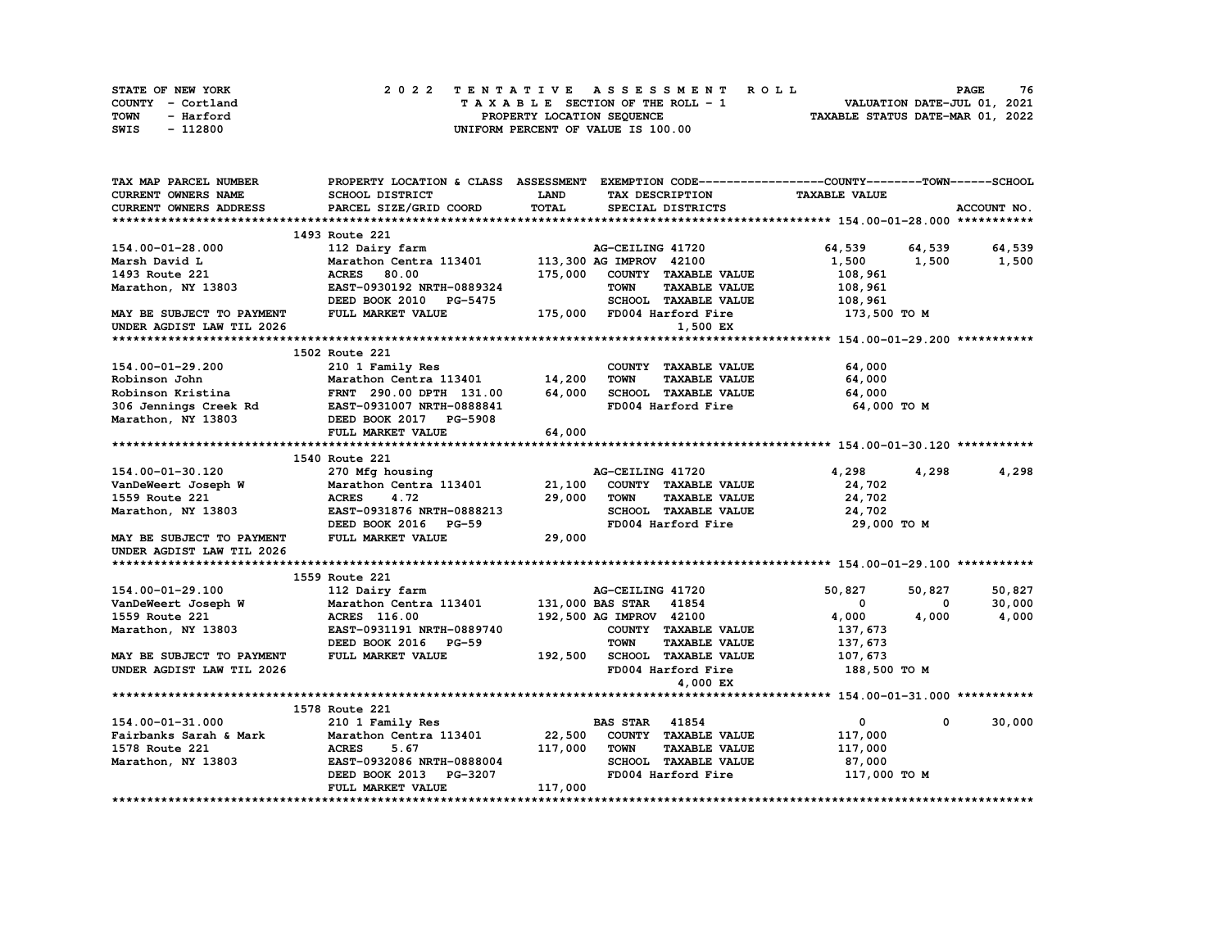| STATE OF NEW YORK | 2022 TENTATIVE ASSESSMENT ROLL     | 76<br><b>PAGE</b>                |
|-------------------|------------------------------------|----------------------------------|
| COUNTY - Cortland | TAXABLE SECTION OF THE ROLL - 1    | VALUATION DATE-JUL 01, 2021      |
| TOWN<br>- Harford | PROPERTY LOCATION SEQUENCE         | TAXABLE STATUS DATE-MAR 01, 2022 |
| - 112800<br>SWIS  | UNIFORM PERCENT OF VALUE IS 100.00 |                                  |

| TAX MAP PARCEL NUMBER                           | PROPERTY LOCATION & CLASS ASSESSMENT EXEMPTION CODE----------------COUNTY-------TOWN-----SCHOOL |             |                                     |                      |                      |
|-------------------------------------------------|-------------------------------------------------------------------------------------------------|-------------|-------------------------------------|----------------------|----------------------|
| <b>CURRENT OWNERS NAME</b>                      | SCHOOL DISTRICT                                                                                 | <b>LAND</b> | TAX DESCRIPTION                     | <b>TAXABLE VALUE</b> |                      |
| CURRENT OWNERS ADDRESS                          | PARCEL SIZE/GRID COORD                                                                          | TOTAL       | SPECIAL DISTRICTS                   |                      | ACCOUNT NO.          |
|                                                 |                                                                                                 |             |                                     |                      |                      |
|                                                 | 1493 Route 221                                                                                  |             |                                     |                      |                      |
| 154.00-01-28.000                                | 112 Dairy farm                                                                                  |             | AG-CEILING 41720                    | 64,539 64,539        | 64,539               |
| Marsh David L                                   | Marathon Centra 113401                                                                          |             | 113,300 AG IMPROV 42100             | 1,500                | 1,500<br>1,500       |
| 1493 Route 221                                  | 80.00<br><b>ACRES</b>                                                                           | 175,000     | COUNTY TAXABLE VALUE                | 108,961              |                      |
| Marathon, NY 13803                              | EAST-0930192 NRTH-0889324                                                                       |             | <b>TOWN</b><br><b>TAXABLE VALUE</b> | 108,961              |                      |
|                                                 | DEED BOOK 2010 PG-5475                                                                          |             | SCHOOL TAXABLE VALUE                | 108,961              |                      |
| MAY BE SUBJECT TO PAYMENT                       | FULL MARKET VALUE                                                                               |             | 175,000 FD004 Harford Fire          | 173,500 то м         |                      |
| UNDER AGDIST LAW TIL 2026                       |                                                                                                 |             | 1,500 EX                            |                      |                      |
|                                                 |                                                                                                 |             |                                     |                      |                      |
|                                                 | 1502 Route 221                                                                                  |             |                                     |                      |                      |
| 154.00-01-29.200                                | 210 1 Family Res                                                                                |             | COUNTY TAXABLE VALUE                | 64,000               |                      |
| Robinson John                                   | Marathon Centra 113401 14,200                                                                   |             | <b>TOWN</b><br><b>TAXABLE VALUE</b> | 64,000               |                      |
| Robinson Kristina                               | FRNT 290.00 DPTH 131.00                                                                         | 64,000      | SCHOOL TAXABLE VALUE                | 64,000               |                      |
| 306 Jennings Creek Rd EAST-0931007 NRTH-0888841 |                                                                                                 |             | FD004 Harford Fire                  | 64,000 TO M          |                      |
| Marathon, NY 13803                              | DEED BOOK 2017 PG-5908                                                                          |             |                                     |                      |                      |
|                                                 | FULL MARKET VALUE                                                                               | 64,000      |                                     |                      |                      |
|                                                 |                                                                                                 |             |                                     |                      |                      |
|                                                 | 1540 Route 221                                                                                  |             |                                     |                      |                      |
| 154.00-01-30.120                                | 270 Mfg housing                                                                                 |             | AG-CEILING 41720                    | 4,298                | 4,298<br>4,298       |
| VanDeWeert Joseph W                             | Marathon Centra 113401                                                                          | 21,100      | COUNTY TAXABLE VALUE                | 24,702               |                      |
| 1559 Route 221                                  | <b>ACRES</b><br>4.72                                                                            | 29,000      | <b>TOWN</b><br><b>TAXABLE VALUE</b> | 24,702               |                      |
| Marathon, NY 13803                              | EAST-0931876 NRTH-0888213                                                                       |             | SCHOOL TAXABLE VALUE                | 24,702               |                      |
|                                                 | DEED BOOK 2016 PG-59                                                                            |             | FD004 Harford Fire                  | 29,000 TO M          |                      |
| MAY BE SUBJECT TO PAYMENT                       | FULL MARKET VALUE                                                                               | 29,000      |                                     |                      |                      |
| UNDER AGDIST LAW TIL 2026                       |                                                                                                 |             |                                     |                      |                      |
|                                                 |                                                                                                 |             |                                     |                      |                      |
|                                                 | 1559 Route 221                                                                                  |             |                                     |                      |                      |
| 154.00-01-29.100                                | 112 Dairy farm                                                                                  |             | AG-CEILING 41720                    | 50,827               | 50,827<br>50,827     |
| VanDeWeert Joseph W                             | Marathon Centra 113401                                                                          |             | 131,000 BAS STAR 41854              | $\mathbf 0$          | 30,000<br>0          |
| 1559 Route 221                                  | <b>ACRES</b> 116.00                                                                             |             | 192,500 AG IMPROV 42100             | 4,000                | 4,000<br>4,000       |
| Marathon, NY 13803                              | EAST-0931191 NRTH-0889740                                                                       |             | COUNTY TAXABLE VALUE                | 137,673              |                      |
|                                                 | DEED BOOK 2016 PG-59                                                                            |             | <b>TOWN</b><br><b>TAXABLE VALUE</b> | 137,673              |                      |
| MAY BE SUBJECT TO PAYMENT                       | FULL MARKET VALUE                                                                               | 192,500     | SCHOOL TAXABLE VALUE                | 107,673              |                      |
| UNDER AGDIST LAW TIL 2026                       |                                                                                                 |             | FD004 Harford Fire                  | 188,500 TO M         |                      |
|                                                 |                                                                                                 |             | 4,000 EX                            |                      |                      |
|                                                 |                                                                                                 |             |                                     |                      |                      |
|                                                 | 1578 Route 221                                                                                  |             |                                     |                      |                      |
| 154.00-01-31.000                                | 210 1 Family Res                                                                                |             | <b>BAS STAR</b> 41854               | $\mathbf 0$          | 30,000<br>$^{\circ}$ |
| Fairbanks Sarah & Mark                          | Marathon Centra 113401                                                                          | 22,500      | COUNTY TAXABLE VALUE                | 117,000              |                      |
| 1578 Route 221                                  | <b>ACRES</b><br>5.67                                                                            | 117,000     | TOWN<br><b>TAXABLE VALUE</b>        | 117,000              |                      |
| Marathon, NY 13803                              | EAST-0932086 NRTH-0888004                                                                       |             | SCHOOL TAXABLE VALUE                | 87,000               |                      |
|                                                 | DEED BOOK 2013 PG-3207                                                                          |             | FD004 Harford Fire                  | 117,000 TO M         |                      |
|                                                 | FULL MARKET VALUE                                                                               | 117,000     |                                     |                      |                      |
|                                                 |                                                                                                 |             |                                     |                      |                      |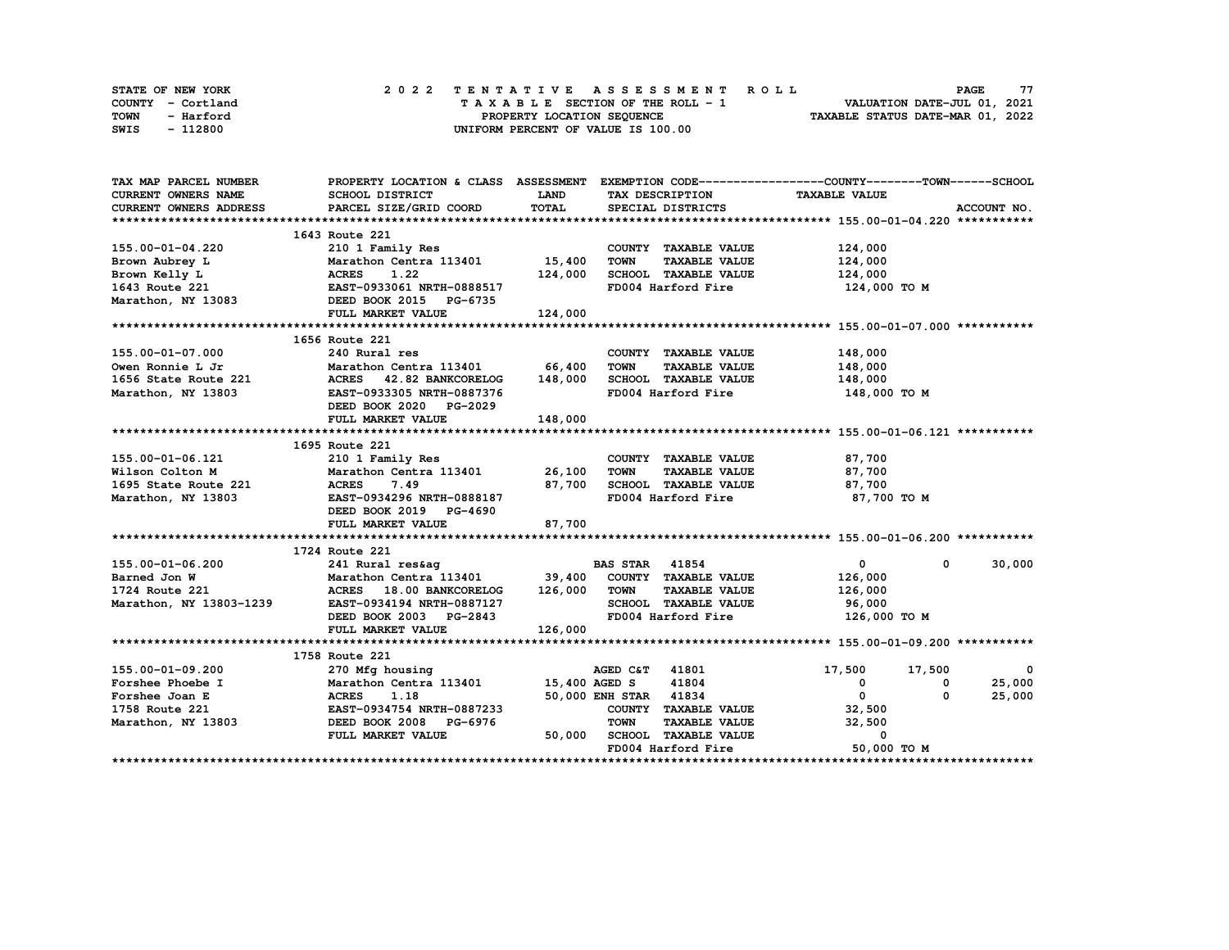| STATE OF NEW YORK | 2022 TENTATIVE ASSESSMENT ROLL          | 77<br><b>PAGE</b>                |
|-------------------|-----------------------------------------|----------------------------------|
| COUNTY - Cortland | $T A X A B L E$ SECTION OF THE ROLL - 1 | VALUATION DATE-JUL 01, 2021      |
| TOWN<br>- Harford | PROPERTY LOCATION SEQUENCE              | TAXABLE STATUS DATE-MAR 01, 2022 |
| - 112800<br>SWIS  | UNIFORM PERCENT OF VALUE IS 100.00      |                                  |

| TAX MAP PARCEL NUMBER         | PROPERTY LOCATION & CLASS ASSESSMENT EXEMPTION CODE----------------COUNTY-------TOWN------SCHOOL                                                                                                                             |             |                                     |                            |             |
|-------------------------------|------------------------------------------------------------------------------------------------------------------------------------------------------------------------------------------------------------------------------|-------------|-------------------------------------|----------------------------|-------------|
| <b>CURRENT OWNERS NAME</b>    | <b>SCHOOL DISTRICT</b>                                                                                                                                                                                                       | <b>LAND</b> | TAX DESCRIPTION                     | <b>TAXABLE VALUE</b>       |             |
| <b>CURRENT OWNERS ADDRESS</b> | PARCEL SIZE/GRID COORD                                                                                                                                                                                                       | TOTAL       | SPECIAL DISTRICTS                   |                            | ACCOUNT NO. |
|                               |                                                                                                                                                                                                                              |             |                                     |                            |             |
|                               | 1643 Route 221                                                                                                                                                                                                               |             |                                     |                            |             |
|                               |                                                                                                                                                                                                                              |             | COUNTY TAXABLE VALUE                | 124,000                    |             |
|                               |                                                                                                                                                                                                                              |             | TOWN<br><b>TAXABLE VALUE</b>        | 124,000                    |             |
|                               |                                                                                                                                                                                                                              |             | SCHOOL TAXABLE VALUE                | 124,000                    |             |
|                               |                                                                                                                                                                                                                              |             | FD004 Harford Fire                  | 124,000 TO M               |             |
|                               |                                                                                                                                                                                                                              |             |                                     |                            |             |
|                               | FULL MARKET VALUE                                                                                                                                                                                                            | 124,000     |                                     |                            |             |
|                               |                                                                                                                                                                                                                              |             |                                     |                            |             |
|                               | 1656 Route 221                                                                                                                                                                                                               |             |                                     |                            |             |
| 155.00-01-07.000              | 240 Rural res                                                                                                                                                                                                                |             | COUNTY TAXABLE VALUE 148,000        |                            |             |
|                               |                                                                                                                                                                                                                              |             | <b>TOWN</b><br><b>TAXABLE VALUE</b> | 148,000                    |             |
|                               | 0wen Ronnie L Jr               Marathon Centra 113401         66,400<br>1656 State Route 221             ACRES     42.82 BANKCORELOG     148,000<br>Marathon, NY 13803                             EAST-0933305 NRTH-0887376 |             | SCHOOL TAXABLE VALUE                | 148,000                    |             |
|                               |                                                                                                                                                                                                                              |             | FD004 Harford Fire 148,000 TO M     |                            |             |
|                               | DEED BOOK 2020 PG-2029                                                                                                                                                                                                       |             |                                     |                            |             |
|                               | FULL MARKET VALUE                                                                                                                                                                                                            | 148,000     |                                     |                            |             |
|                               |                                                                                                                                                                                                                              |             |                                     |                            |             |
|                               | 1695 Route 221                                                                                                                                                                                                               |             |                                     |                            |             |
| 155.00-01-06.121              |                                                                                                                                                                                                                              |             | COUNTY TAXABLE VALUE                | 87,700                     |             |
| Wilson Colton M               |                                                                                                                                                                                                                              |             | <b>TOWN</b>                         | TAXABLE VALUE 87,700       |             |
|                               |                                                                                                                                                                                                                              | 87,700      | SCHOOL TAXABLE VALUE 87,700         |                            |             |
|                               |                                                                                                                                                                                                                              |             | FD004 Harford Fire                  | 87,700 то м                |             |
|                               | ACRES 7.49<br>1695 State Route 221 ACRES 7.49<br>Marathon, NY 13803 EAST-0934296 NRTH-0888187<br>DEED BOOK 2019 PG-4690                                                                                                      |             |                                     |                            |             |
|                               | FULL MARKET VALUE                                                                                                                                                                                                            | 87,700      |                                     |                            |             |
|                               |                                                                                                                                                                                                                              |             |                                     |                            |             |
|                               | 1724 Route 221                                                                                                                                                                                                               |             |                                     |                            |             |
| 155.00-01-06.200              |                                                                                                                                                                                                                              |             |                                     | $\mathbf{0}$<br>$^{\circ}$ | 30,000      |
| Barned Jon W                  |                                                                                                                                                                                                                              |             |                                     | 126,000                    |             |
| 1724 Route 221                |                                                                                                                                                                                                                              |             |                                     | 126,000                    |             |
|                               | Marathon, NY 13803-1239 EAST-0934194 NRTH-0887127                                                                                                                                                                            |             | SCHOOL TAXABLE VALUE 96,000         |                            |             |
|                               | DEED BOOK 2003 PG-2843                                                                                                                                                                                                       |             | FD004 Harford Fire                  | 126,000 TO M               |             |
|                               | FULL MARKET VALUE                                                                                                                                                                                                            | 126,000     |                                     |                            |             |
|                               |                                                                                                                                                                                                                              |             |                                     |                            |             |
|                               | 1758 Route 221                                                                                                                                                                                                               |             |                                     |                            |             |
| 155.00-01-09.200              | 270 Mfg housing                                                                                                                                                                                                              |             | AGED C&T 41801                      | 17,500 17,500              | $\sim$ 0    |
| Forshee Phoebe I              | Marathon Centra 113401 15,400 AGED S                                                                                                                                                                                         |             | 41804                               | $\overline{0}$<br>0        | 25,000      |
|                               |                                                                                                                                                                                                                              |             | 50,000 ENH STAR 41834               | $\mathbf{0}$<br>0          | 25,000      |
|                               |                                                                                                                                                                                                                              |             | COUNTY TAXABLE VALUE                | 32,500                     |             |
|                               |                                                                                                                                                                                                                              |             | <b>TAXABLE VALUE</b><br><b>TOWN</b> | 32,500                     |             |
|                               | FULL MARKET VALUE                                                                                                                                                                                                            |             | 50,000 SCHOOL TAXABLE VALUE         | 0                          |             |
|                               |                                                                                                                                                                                                                              |             | FD004 Harford Fire                  | 50,000 TO M                |             |
|                               |                                                                                                                                                                                                                              |             |                                     |                            |             |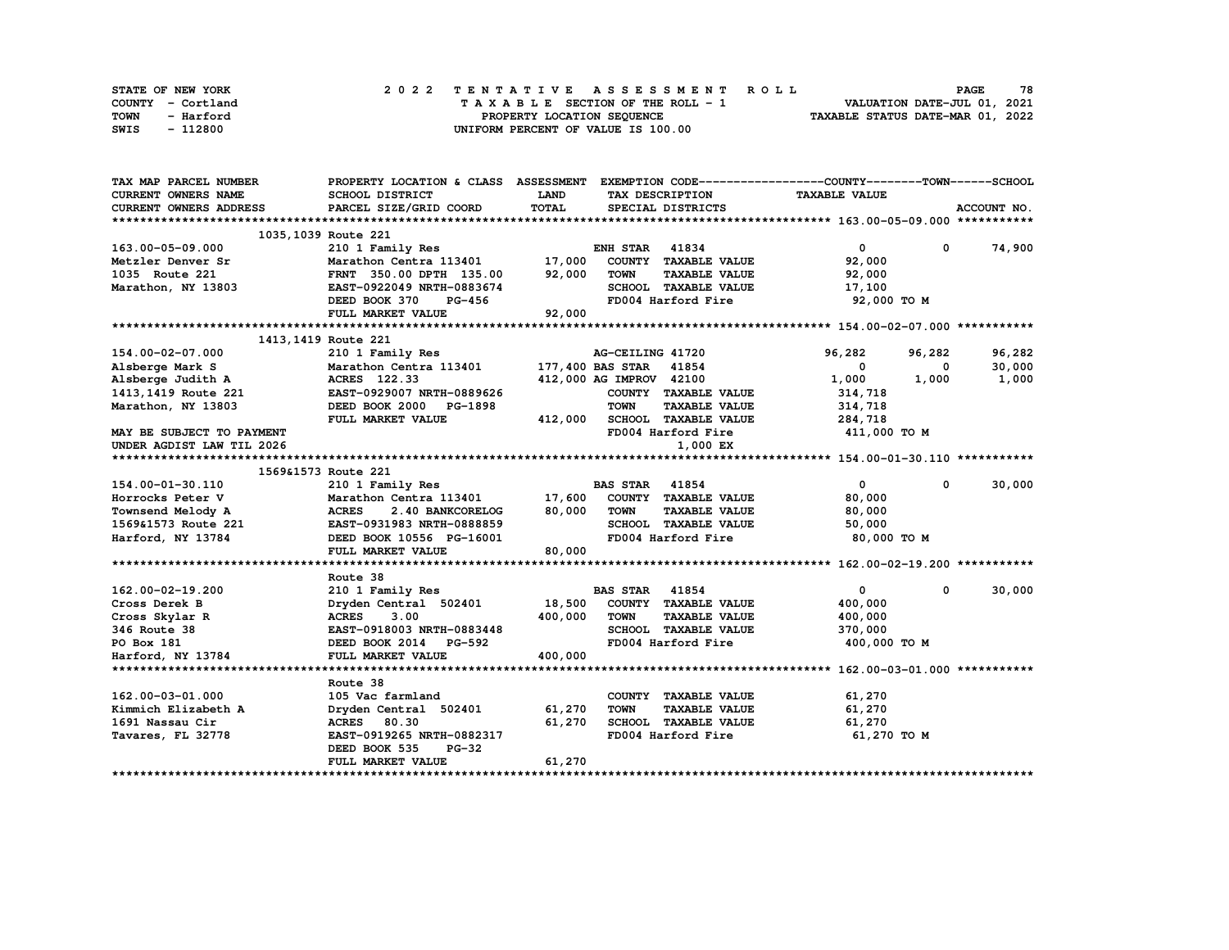| STATE OF NEW YORK | 2022 TENTATIVE ASSESSMENT ROLL          | 78<br><b>PAGE</b>                |
|-------------------|-----------------------------------------|----------------------------------|
| COUNTY - Cortland | $T A X A B L E$ SECTION OF THE ROLL - 1 | VALUATION DATE-JUL 01, 2021      |
| TOWN<br>- Harford | PROPERTY LOCATION SEQUENCE              | TAXABLE STATUS DATE-MAR 01, 2022 |
| - 112800<br>SWIS  | UNIFORM PERCENT OF VALUE IS 100.00      |                                  |

| TAX MAP PARCEL NUMBER      | PROPERTY LOCATION & CLASS ASSESSMENT EXEMPTION CODE-----------------COUNTY-------TOWN-----SCHOOL |             |                         |                              |                      |            |             |
|----------------------------|--------------------------------------------------------------------------------------------------|-------------|-------------------------|------------------------------|----------------------|------------|-------------|
| <b>CURRENT OWNERS NAME</b> | SCHOOL DISTRICT                                                                                  | <b>LAND</b> |                         | TAX DESCRIPTION              | <b>TAXABLE VALUE</b> |            |             |
| CURRENT OWNERS ADDRESS     | PARCEL SIZE/GRID COORD                                                                           | TOTAL       |                         | SPECIAL DISTRICTS            |                      |            | ACCOUNT NO. |
|                            |                                                                                                  |             |                         |                              |                      |            |             |
|                            | 1035, 1039 Route 221                                                                             |             |                         |                              |                      |            |             |
| 163.00-05-09.000           | 210 1 Family Res                                                                                 |             | <b>ENH STAR 41834</b>   |                              | $\mathbf{0}$         | $^{\circ}$ | 74,900      |
| Metzler Denver Sr          | Marathon Centra 113401                                                                           | 17,000      |                         | COUNTY TAXABLE VALUE         | 92,000               |            |             |
| 1035 Route 221             | FRNT 350.00 DPTH 135.00                                                                          | 92,000      | <b>TOWN</b>             | <b>TAXABLE VALUE</b>         | 92,000               |            |             |
| Marathon, NY 13803         | EAST-0922049 NRTH-0883674                                                                        |             |                         | SCHOOL TAXABLE VALUE         | 17,100               |            |             |
|                            | DEED BOOK 370<br>PG-456                                                                          |             |                         | FD004 Harford Fire           | 92,000 TO M          |            |             |
|                            | FULL MARKET VALUE                                                                                | 92,000      |                         |                              |                      |            |             |
|                            |                                                                                                  |             |                         |                              |                      |            |             |
|                            | 1413, 1419 Route 221                                                                             |             |                         |                              |                      |            |             |
| 154.00-02-07.000           | 210 1 Family Res                                                                                 |             | AG-CEILING 41720        |                              | 96,282               | 96,282     | 96,282      |
| Alsberge Mark S            | Marathon Centra 113401                                                                           |             | 177,400 BAS STAR 41854  |                              | 0                    | 0          | 30,000      |
| Alsberge Judith A          | ACRES 122.33                                                                                     |             | 412,000 AG IMPROV 42100 |                              | 1,000                | 1,000      | 1,000       |
| 1413, 1419 Route 221       | EAST-0929007 NRTH-0889626                                                                        |             |                         | COUNTY TAXABLE VALUE         | 314,718              |            |             |
| Marathon, NY 13803         | DEED BOOK 2000 PG-1898                                                                           |             | <b>TOWN</b>             | <b>TAXABLE VALUE</b>         | 314,718              |            |             |
|                            | FULL MARKET VALUE                                                                                |             |                         | 412,000 SCHOOL TAXABLE VALUE | 284,718              |            |             |
| MAY BE SUBJECT TO PAYMENT  |                                                                                                  |             |                         | FD004 Harford Fire           | 411,000 TO M         |            |             |
| UNDER AGDIST LAW TIL 2026  |                                                                                                  |             |                         | 1,000 EX                     |                      |            |             |
|                            |                                                                                                  |             |                         |                              |                      |            |             |
|                            | 1569&1573 Route 221                                                                              |             |                         |                              |                      |            |             |
| 154.00-01-30.110           | 210 1 Family Res                                                                                 |             | <b>BAS STAR</b>         | 41854                        | $\mathbf{0}$         | 0          | 30,000      |
| Horrocks Peter V           | Marathon Centra 113401                                                                           |             |                         | 17,600 COUNTY TAXABLE VALUE  | 80,000               |            |             |
| <b>Townsend Melody A</b>   | <b>ACRES</b><br>2.40 BANKCORELOG                                                                 | 80,000      | <b>TOWN</b>             | <b>TAXABLE VALUE</b>         | 80,000               |            |             |
| 1569&1573 Route 221        |                                                                                                  |             |                         | SCHOOL TAXABLE VALUE         | 50,000               |            |             |
| Harford, NY 13784          | EAST-0931983 NRTH-0888859<br>DEED BOOK 10556 PG-16001                                            |             |                         | FD004 Harford Fire           | 80,000 TO M          |            |             |
|                            | FULL MARKET VALUE                                                                                | 80,000      |                         |                              |                      |            |             |
|                            |                                                                                                  |             |                         |                              |                      |            |             |
|                            | Route 38                                                                                         |             |                         |                              |                      |            |             |
| 162.00-02-19.200           | 210 1 Family Res                                                                                 |             | <b>BAS STAR</b> 41854   |                              | $\mathbf{0}$         | 0          | 30,000      |
| Cross Derek B              | Dryden Central 502401                                                                            | 18,500      |                         | COUNTY TAXABLE VALUE         | 400,000              |            |             |
| Cross Skylar R             | <b>ACRES</b><br>3.00                                                                             | 400,000     | <b>TOWN</b>             | <b>TAXABLE VALUE</b>         | 400,000              |            |             |
| 346 Route 38               | EAST-0918003 NRTH-0883448                                                                        |             |                         | SCHOOL TAXABLE VALUE         | 370,000              |            |             |
| PO Box 181                 | DEED BOOK 2014 PG-592                                                                            |             |                         | FD004 Harford Fire           | 400,000 TO M         |            |             |
| Harford, NY 13784          | FULL MARKET VALUE                                                                                | 400,000     |                         |                              |                      |            |             |
|                            |                                                                                                  |             |                         |                              |                      |            |             |
|                            | Route 38                                                                                         |             |                         |                              |                      |            |             |
| 162.00-03-01.000           | 105 Vac farmland                                                                                 |             |                         | COUNTY TAXABLE VALUE         | 61,270               |            |             |
| Kimmich Elizabeth A        | Dryden Central 502401                                                                            | 61,270      | <b>TOWN</b>             | <b>TAXABLE VALUE</b>         | 61,270               |            |             |
| 1691 Nassau Cir            | <b>ACRES</b> 80.30                                                                               | 61,270      |                         | SCHOOL TAXABLE VALUE         | 61,270               |            |             |
| Tavares, FL 32778          | EAST-0919265 NRTH-0882317                                                                        |             |                         | FD004 Harford Fire           | 61,270 TO M          |            |             |
|                            | DEED BOOK 535<br><b>PG-32</b>                                                                    |             |                         |                              |                      |            |             |
|                            | FULL MARKET VALUE                                                                                | 61,270      |                         |                              |                      |            |             |
|                            |                                                                                                  |             |                         |                              |                      |            |             |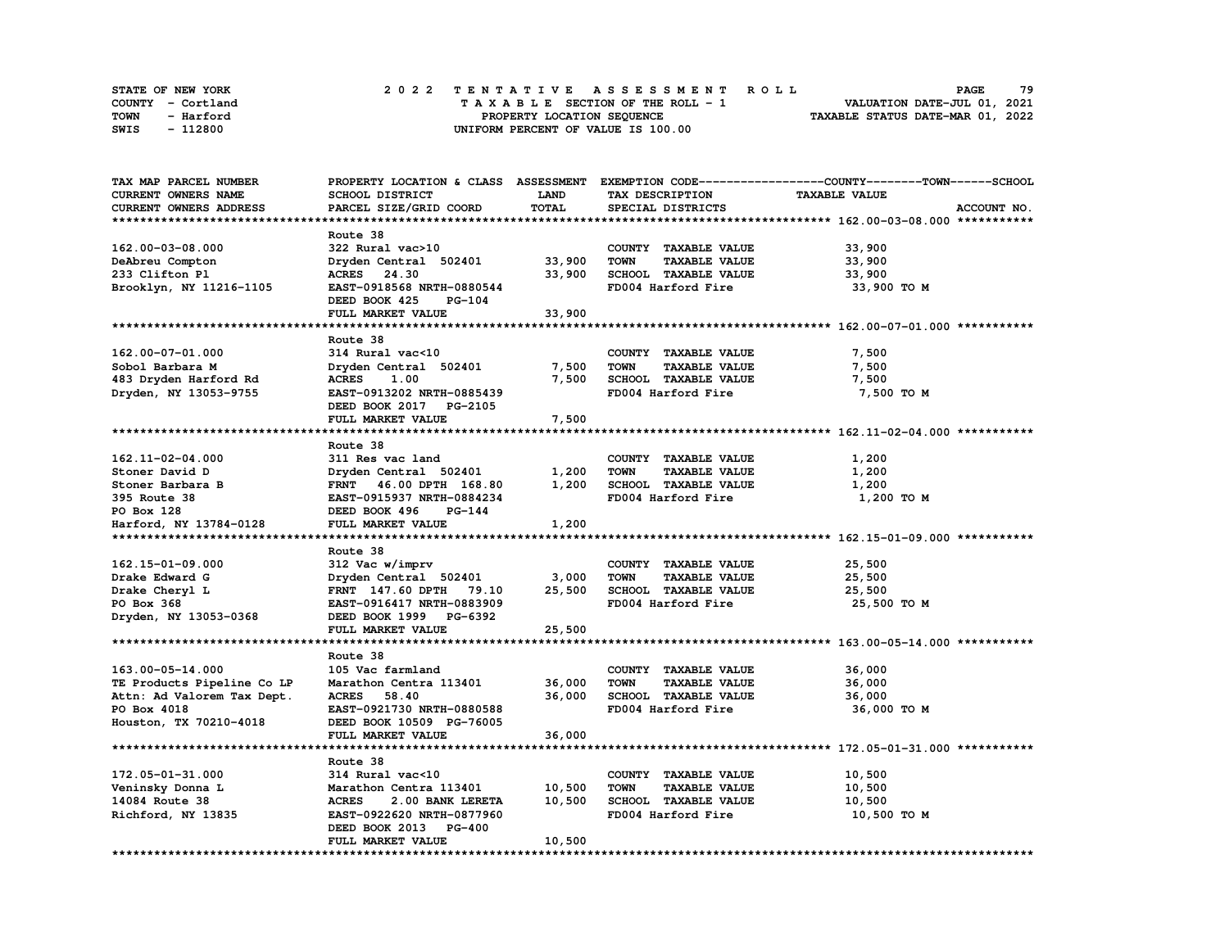| <b>STATE OF NEW YORK</b> | 2022 TENTATIVE ASSESSMENT ROLL          | 79<br><b>PAGE</b>                |
|--------------------------|-----------------------------------------|----------------------------------|
| COUNTY - Cortland        | $T A X A B L E$ SECTION OF THE ROLL - 1 | VALUATION DATE-JUL 01, 2021      |
| TOWN<br>- Harford        | PROPERTY LOCATION SEQUENCE              | TAXABLE STATUS DATE-MAR 01, 2022 |
| - 112800<br>SWIS         | UNIFORM PERCENT OF VALUE IS 100.00      |                                  |

| TAX MAP PARCEL NUMBER      |                                  |             |                                     | PROPERTY LOCATION & CLASS ASSESSMENT EXEMPTION CODE-----------------COUNTY-------TOWN------SCHOOL |
|----------------------------|----------------------------------|-------------|-------------------------------------|---------------------------------------------------------------------------------------------------|
| CURRENT OWNERS NAME        | SCHOOL DISTRICT                  | <b>LAND</b> | TAX DESCRIPTION                     | <b>TAXABLE VALUE</b>                                                                              |
| CURRENT OWNERS ADDRESS     | PARCEL SIZE/GRID COORD           | TOTAL       | SPECIAL DISTRICTS                   | ACCOUNT NO.                                                                                       |
|                            |                                  |             |                                     |                                                                                                   |
|                            | Route 38                         |             |                                     |                                                                                                   |
| 162.00-03-08.000           | 322 Rural vac>10                 |             | COUNTY TAXABLE VALUE                | 33,900                                                                                            |
| DeAbreu Compton            | Dryden Central 502401            | 33,900      | <b>TOWN</b><br><b>TAXABLE VALUE</b> | 33,900                                                                                            |
| 233 Clifton Pl             | ACRES 24.30                      | 33,900      | SCHOOL TAXABLE VALUE                | 33,900                                                                                            |
|                            | EAST-0918568 NRTH-0880544        |             | FD004 Harford Fire                  |                                                                                                   |
| Brooklyn, NY 11216-1105    |                                  |             |                                     | 33,900 TO M                                                                                       |
|                            | DEED BOOK 425<br>PG-104          |             |                                     |                                                                                                   |
|                            | FULL MARKET VALUE                | 33,900      |                                     |                                                                                                   |
|                            |                                  |             |                                     |                                                                                                   |
|                            | Route 38                         |             |                                     |                                                                                                   |
| 162.00-07-01.000           | 314 Rural vac<10                 |             | COUNTY TAXABLE VALUE                | 7,500                                                                                             |
| Sobol Barbara M            | Dryden Central 502401            | 7,500       | <b>TOWN</b><br><b>TAXABLE VALUE</b> | 7,500                                                                                             |
| 483 Dryden Harford Rd      | <b>ACRES</b><br>1.00             | 7,500       | SCHOOL TAXABLE VALUE                | 7,500                                                                                             |
| Dryden, NY 13053-9755      | EAST-0913202 NRTH-0885439        |             | FD004 Harford Fire                  | 7,500 TO M                                                                                        |
|                            | DEED BOOK 2017 PG-2105           |             |                                     |                                                                                                   |
|                            | FULL MARKET VALUE                | 7,500       |                                     |                                                                                                   |
|                            |                                  |             |                                     |                                                                                                   |
|                            | Route 38                         |             |                                     |                                                                                                   |
| 162.11-02-04.000           |                                  |             |                                     |                                                                                                   |
|                            | 311 Res vac land                 |             | COUNTY TAXABLE VALUE                | 1,200                                                                                             |
| Stoner David D             | Dryden Central 502401            | 1,200       | <b>TOWN</b><br><b>TAXABLE VALUE</b> | 1,200                                                                                             |
| Stoner Barbara B           | FRNT 46.00 DPTH 168.80           | 1,200       | SCHOOL TAXABLE VALUE                | 1,200                                                                                             |
| 395 Route 38               | EAST-0915937 NRTH-0884234        |             | FD004 Harford Fire                  | 1,200 TO M                                                                                        |
| PO Box 128                 | DEED BOOK 496<br>PG-144          |             |                                     |                                                                                                   |
| Harford, NY 13784-0128     | FULL MARKET VALUE                | 1,200       |                                     |                                                                                                   |
|                            |                                  |             |                                     |                                                                                                   |
|                            | Route 38                         |             |                                     |                                                                                                   |
| 162.15-01-09.000           | 312 Vac w/imprv                  |             | COUNTY TAXABLE VALUE                | 25,500                                                                                            |
| Drake Edward G             | Dryden Central 502401            | 3,000       | TOWN<br><b>TAXABLE VALUE</b>        | 25,500                                                                                            |
| Drake Cheryl L             | FRNT 147.60 DPTH 79.10           | 25,500      | SCHOOL TAXABLE VALUE                | 25,500                                                                                            |
| PO Box 368                 | EAST-0916417 NRTH-0883909        |             | FD004 Harford Fire                  | 25,500 TO M                                                                                       |
| Dryden, NY 13053-0368      | DEED BOOK 1999 PG-6392           |             |                                     |                                                                                                   |
|                            | FULL MARKET VALUE                | 25,500      |                                     |                                                                                                   |
|                            |                                  |             |                                     |                                                                                                   |
|                            |                                  |             |                                     |                                                                                                   |
|                            | Route 38                         |             |                                     |                                                                                                   |
| 163.00-05-14.000           | 105 Vac farmland                 |             | COUNTY TAXABLE VALUE                | 36,000                                                                                            |
| TE Products Pipeline Co LP | Marathon Centra 113401           | 36,000      | <b>TOWN</b><br><b>TAXABLE VALUE</b> | 36,000                                                                                            |
| Attn: Ad Valorem Tax Dept. | <b>ACRES</b><br>58.40            | 36,000      | SCHOOL TAXABLE VALUE                | 36,000                                                                                            |
| PO Box 4018                | EAST-0921730 NRTH-0880588        |             | FD004 Harford Fire                  | 36,000 TO M                                                                                       |
| Houston, TX 70210-4018     | DEED BOOK 10509 PG-76005         |             |                                     |                                                                                                   |
|                            | FULL MARKET VALUE                | 36,000      |                                     |                                                                                                   |
|                            |                                  |             |                                     |                                                                                                   |
|                            | Route 38                         |             |                                     |                                                                                                   |
| 172.05-01-31.000           | 314 Rural vac<10                 |             | COUNTY TAXABLE VALUE                | 10,500                                                                                            |
| Veninsky Donna L           | Marathon Centra 113401           | 10,500      | <b>TOWN</b><br><b>TAXABLE VALUE</b> | 10,500                                                                                            |
| 14084 Route 38             | <b>ACRES</b><br>2.00 BANK LERETA | 10,500      | SCHOOL TAXABLE VALUE                | 10,500                                                                                            |
| Richford, NY 13835         | EAST-0922620 NRTH-0877960        |             | FD004 Harford Fire                  | 10,500 TO M                                                                                       |
|                            | DEED BOOK 2013 PG-400            |             |                                     |                                                                                                   |
|                            | FULL MARKET VALUE                | 10,500      |                                     |                                                                                                   |
|                            |                                  |             |                                     |                                                                                                   |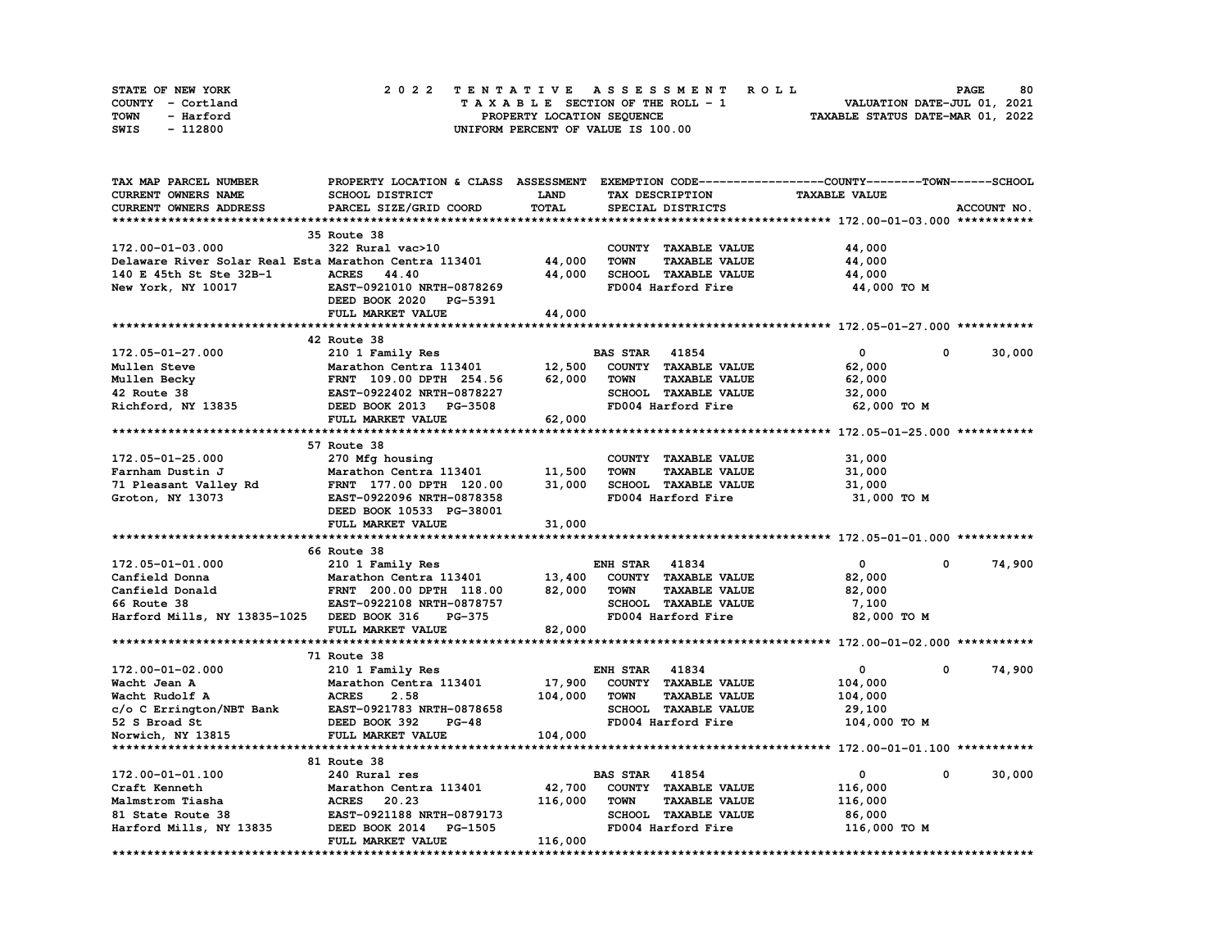| STATE OF NEW YORK | 2022 TENTATIVE ASSESSMENT ROLL     | 80<br><b>PAGE</b>                |
|-------------------|------------------------------------|----------------------------------|
| COUNTY - Cortland | TAXABLE SECTION OF THE ROLL - 1    | VALUATION DATE-JUL 01, 2021      |
| TOWN<br>- Harford | PROPERTY LOCATION SEQUENCE         | TAXABLE STATUS DATE-MAR 01, 2022 |
| - 112800<br>SWIS  | UNIFORM PERCENT OF VALUE IS 100.00 |                                  |

| TAX MAP PARCEL NUMBER                                 |                           |         |                                     | PROPERTY LOCATION & CLASS ASSESSMENT EXEMPTION CODE-----------------COUNTY-------TOWN------SCHOOL |             |
|-------------------------------------------------------|---------------------------|---------|-------------------------------------|---------------------------------------------------------------------------------------------------|-------------|
| <b>CURRENT OWNERS NAME</b>                            | <b>SCHOOL DISTRICT</b>    | LAND    | TAX DESCRIPTION                     | <b>TAXABLE VALUE</b>                                                                              |             |
| CURRENT OWNERS ADDRESS                                | PARCEL SIZE/GRID COORD    | TOTAL   | SPECIAL DISTRICTS                   |                                                                                                   | ACCOUNT NO. |
|                                                       |                           |         |                                     |                                                                                                   |             |
|                                                       | 35 Route 38               |         |                                     |                                                                                                   |             |
| 172.00-01-03.000                                      | 322 Rural vac>10          |         | COUNTY TAXABLE VALUE                | 44,000                                                                                            |             |
| Delaware River Solar Real Esta Marathon Centra 113401 |                           | 44,000  | <b>TAXABLE VALUE</b><br><b>TOWN</b> | 44,000                                                                                            |             |
| 140 E 45th St Ste 32B-1                               | <b>ACRES</b><br>44.40     | 44,000  | SCHOOL TAXABLE VALUE                | 44,000                                                                                            |             |
| New York, NY 10017                                    | EAST-0921010 NRTH-0878269 |         | FD004 Harford Fire                  | 44,000 TO M                                                                                       |             |
|                                                       | DEED BOOK 2020 PG-5391    |         |                                     |                                                                                                   |             |
|                                                       |                           |         |                                     |                                                                                                   |             |
|                                                       | FULL MARKET VALUE         | 44,000  |                                     |                                                                                                   |             |
|                                                       |                           |         |                                     |                                                                                                   |             |
|                                                       | 42 Route 38               |         |                                     |                                                                                                   |             |
| 172.05-01-27.000                                      | 210 1 Family Res          |         | <b>BAS STAR</b> 41854               | $\mathbf{0}$<br>0                                                                                 | 30,000      |
| Mullen Steve                                          | Marathon Centra 113401    | 12,500  | COUNTY TAXABLE VALUE                | 62,000                                                                                            |             |
| Mullen Becky                                          | FRNT 109.00 DPTH 254.56   | 62,000  | <b>TOWN</b><br><b>TAXABLE VALUE</b> | 62,000                                                                                            |             |
| 42 Route 38                                           | EAST-0922402 NRTH-0878227 |         | SCHOOL TAXABLE VALUE                | 32,000                                                                                            |             |
| Richford, NY 13835                                    | DEED BOOK 2013 PG-3508    |         | FD004 Harford Fire                  | 62,000 TO M                                                                                       |             |
|                                                       | FULL MARKET VALUE         | 62,000  |                                     |                                                                                                   |             |
|                                                       |                           |         |                                     |                                                                                                   |             |
|                                                       | 57 Route 38               |         |                                     |                                                                                                   |             |
| 172.05-01-25.000                                      | 270 Mfg housing           |         | COUNTY TAXABLE VALUE                | 31,000                                                                                            |             |
| Farnham Dustin J                                      | Marathon Centra 113401    | 11,500  | <b>TOWN</b><br><b>TAXABLE VALUE</b> | 31,000                                                                                            |             |
| 71 Pleasant Valley Rd                                 | FRNT 177.00 DPTH 120.00   | 31,000  | SCHOOL TAXABLE VALUE                | 31,000                                                                                            |             |
| Groton, NY 13073                                      | EAST-0922096 NRTH-0878358 |         | FD004 Harford Fire                  | 31,000 TO M                                                                                       |             |
|                                                       | DEED BOOK 10533 PG-38001  |         |                                     |                                                                                                   |             |
|                                                       | FULL MARKET VALUE         | 31,000  |                                     |                                                                                                   |             |
|                                                       |                           |         |                                     |                                                                                                   |             |
|                                                       | 66 Route 38               |         |                                     |                                                                                                   |             |
| 172.05-01-01.000                                      | 210 1 Family Res          |         | <b>ENH STAR 41834</b>               | $\mathbf{0}$<br>$\mathbf{0}$                                                                      | 74,900      |
| Canfield Donna                                        | Marathon Centra 113401    | 13,400  | COUNTY TAXABLE VALUE                | 82,000                                                                                            |             |
| Canfield Donald                                       | FRNT 200.00 DPTH 118.00   | 82,000  | TAXABLE VALUE<br><b>TOWN</b>        | 82,000                                                                                            |             |
| 66 Route 38                                           |                           |         | SCHOOL TAXABLE VALUE                |                                                                                                   |             |
|                                                       | EAST-0922108 NRTH-0878757 |         |                                     | 7,100                                                                                             |             |
| Harford Mills, NY 13835-1025 DEED BOOK 316            | <b>PG-375</b>             |         | FD004 Harford Fire                  | 82,000 TO M                                                                                       |             |
|                                                       | FULL MARKET VALUE         | 82,000  |                                     |                                                                                                   |             |
|                                                       |                           |         |                                     |                                                                                                   |             |
|                                                       | 71 Route 38               |         |                                     |                                                                                                   |             |
| 172.00-01-02.000                                      | 210 1 Family Res          |         | 41834<br><b>ENH STAR</b>            | $\mathbf{o}$<br>0                                                                                 | 74,900      |
| Wacht Jean A                                          | Marathon Centra 113401    | 17,900  | COUNTY TAXABLE VALUE                | 104,000                                                                                           |             |
| Wacht Rudolf A                                        | <b>ACRES</b><br>2.58      | 104,000 | <b>TAXABLE VALUE</b><br><b>TOWN</b> | 104,000                                                                                           |             |
| c/o C Errington/NBT Bank                              | EAST-0921783 NRTH-0878658 |         | SCHOOL TAXABLE VALUE                | 29,100                                                                                            |             |
| 52 S Broad St                                         | DEED BOOK 392<br>$PG-48$  |         | FD004 Harford Fire                  | 104,000 TO M                                                                                      |             |
| Norwich, NY 13815                                     | FULL MARKET VALUE         | 104,000 |                                     |                                                                                                   |             |
|                                                       |                           |         |                                     |                                                                                                   |             |
|                                                       | 81 Route 38               |         |                                     |                                                                                                   |             |
| 172.00-01-01.100                                      | 240 Rural res             |         | <b>BAS STAR 41854</b>               | 0<br>$\mathbf{0}$                                                                                 | 30,000      |
| Craft Kenneth                                         | Marathon Centra 113401    | 42,700  | COUNTY TAXABLE VALUE                | 116,000                                                                                           |             |
| Malmstrom Tiasha                                      | <b>ACRES</b><br>20.23     | 116,000 | <b>TOWN</b><br><b>TAXABLE VALUE</b> | 116,000                                                                                           |             |
| 81 State Route 38                                     | EAST-0921188 NRTH-0879173 |         | SCHOOL TAXABLE VALUE                | 86,000                                                                                            |             |
| Harford Mills, NY 13835                               | DEED BOOK 2014<br>PG-1505 |         | FD004 Harford Fire                  | 116,000 TO M                                                                                      |             |
|                                                       | FULL MARKET VALUE         | 116,000 |                                     |                                                                                                   |             |
|                                                       |                           |         |                                     |                                                                                                   |             |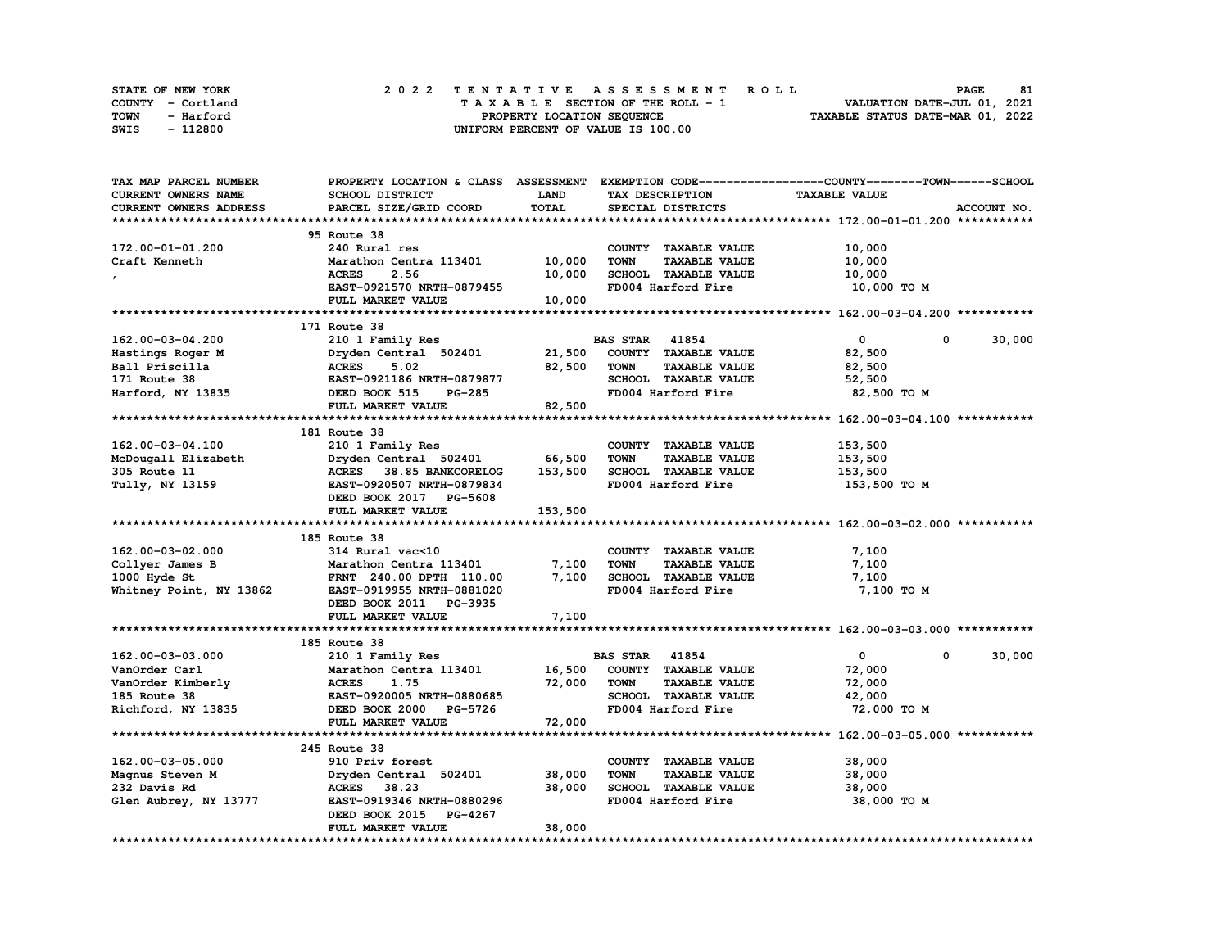| <b>STATE OF NEW YORK</b> | 2022 TENTATIVE ASSESSMENT ROLL          | 81<br><b>PAGE</b>                |
|--------------------------|-----------------------------------------|----------------------------------|
| COUNTY - Cortland        | $T A X A B L E$ SECTION OF THE ROLL - 1 | VALUATION DATE-JUL 01, 2021      |
| TOWN<br>- Harford        | PROPERTY LOCATION SEQUENCE              | TAXABLE STATUS DATE-MAR 01, 2022 |
| - 112800<br>SWIS         | UNIFORM PERCENT OF VALUE IS 100.00      |                                  |

| <b>TAX MAP PARCEL NUMBER</b>       | PROPERTY LOCATION & CLASS ASSESSMENT |         |                                     | EXEMPTION CODE-----------------COUNTY-------TOWN------SCHOOL |             |
|------------------------------------|--------------------------------------|---------|-------------------------------------|--------------------------------------------------------------|-------------|
| CURRENT OWNERS NAME                | SCHOOL DISTRICT                      | LAND    | TAX DESCRIPTION                     | <b>TAXABLE VALUE</b>                                         |             |
| CURRENT OWNERS ADDRESS             | PARCEL SIZE/GRID COORD               | TOTAL   | SPECIAL DISTRICTS                   |                                                              | ACCOUNT NO. |
|                                    |                                      |         |                                     |                                                              |             |
|                                    | 95 Route 38                          |         |                                     |                                                              |             |
| 172.00-01-01.200                   | 240 Rural res                        |         | COUNTY TAXABLE VALUE                | 10,000                                                       |             |
| Craft Kenneth                      | Marathon Centra 113401               | 10,000  | <b>TOWN</b><br><b>TAXABLE VALUE</b> | 10,000                                                       |             |
|                                    | <b>ACRES</b><br>2.56                 | 10,000  | SCHOOL TAXABLE VALUE                | 10,000                                                       |             |
|                                    | EAST-0921570 NRTH-0879455            |         | FD004 Harford Fire                  | 10,000 TO M                                                  |             |
|                                    | FULL MARKET VALUE                    | 10,000  |                                     |                                                              |             |
|                                    |                                      |         |                                     |                                                              |             |
|                                    | 171 Route 38                         |         |                                     |                                                              |             |
| 162.00-03-04.200                   | 210 1 Family Res                     |         | <b>BAS STAR 41854</b>               | $\mathbf 0$<br>0                                             | 30,000      |
|                                    | Dryden Central 502401                | 21,500  | COUNTY TAXABLE VALUE                | 82,500                                                       |             |
| Hastings Roger M<br>Ball Priscilla | 5.02<br><b>ACRES</b>                 | 82,500  | <b>TOWN</b><br><b>TAXABLE VALUE</b> |                                                              |             |
|                                    |                                      |         |                                     | 82,500                                                       |             |
| 171 Route 38                       | EAST-0921186 NRTH-0879877            |         | SCHOOL TAXABLE VALUE                | 52,500                                                       |             |
| Harford, NY 13835                  | DEED BOOK 515<br><b>PG-285</b>       |         | FD004 Harford Fire                  | 82,500 TO M                                                  |             |
|                                    | FULL MARKET VALUE                    | 82,500  |                                     |                                                              |             |
|                                    |                                      |         |                                     |                                                              |             |
|                                    | 181 Route 38                         |         |                                     |                                                              |             |
| 162.00-03-04.100                   | 210 1 Family Res                     |         | COUNTY TAXABLE VALUE                | 153,500                                                      |             |
| McDougall Elizabeth                | Dryden Central 502401                | 66,500  | <b>TOWN</b><br><b>TAXABLE VALUE</b> | 153,500                                                      |             |
| 305 Route 11                       | ACRES 38.85 BANKCORELOG              | 153,500 | SCHOOL TAXABLE VALUE                | 153,500                                                      |             |
| Tully, NY 13159                    | EAST-0920507 NRTH-0879834            |         | FD004 Harford Fire                  | 153,500 TO M                                                 |             |
|                                    | DEED BOOK 2017 PG-5608               |         |                                     |                                                              |             |
|                                    | FULL MARKET VALUE                    | 153,500 |                                     |                                                              |             |
|                                    |                                      |         |                                     |                                                              |             |
|                                    | 185 Route 38                         |         |                                     |                                                              |             |
| 162.00-03-02.000                   | 314 Rural vac<10                     |         | COUNTY TAXABLE VALUE                | 7,100                                                        |             |
| Collyer James B                    | Marathon Centra 113401               | 7,100   | <b>TAXABLE VALUE</b><br><b>TOWN</b> | 7,100                                                        |             |
| 1000 Hyde St                       | FRNT 240.00 DPTH 110.00              | 7,100   | SCHOOL TAXABLE VALUE                | 7,100                                                        |             |
| Whitney Point, NY 13862            | EAST-0919955 NRTH-0881020            |         | FD004 Harford Fire                  | 7,100 TO M                                                   |             |
|                                    | DEED BOOK 2011 PG-3935               |         |                                     |                                                              |             |
|                                    | FULL MARKET VALUE                    | 7,100   |                                     |                                                              |             |
|                                    |                                      |         |                                     |                                                              |             |
|                                    | 185 Route 38                         |         |                                     |                                                              |             |
| 162.00-03-03.000                   | 210 1 Family Res                     |         | <b>BAS STAR 41854</b>               | $\mathbf{0}$<br>0                                            | 30,000      |
| VanOrder Carl                      | Marathon Centra 113401               | 16,500  | COUNTY TAXABLE VALUE                | 72,000                                                       |             |
| VanOrder Kimberly                  | <b>ACRES</b><br>1.75                 | 72,000  | <b>TOWN</b><br><b>TAXABLE VALUE</b> | 72,000                                                       |             |
| 185 Route 38                       | EAST-0920005 NRTH-0880685            |         | SCHOOL TAXABLE VALUE                | 42,000                                                       |             |
| Richford, NY 13835                 | DEED BOOK 2000 PG-5726               |         | FD004 Harford Fire                  | 72,000 TO M                                                  |             |
|                                    |                                      |         |                                     |                                                              |             |
|                                    | FULL MARKET VALUE                    | 72,000  |                                     |                                                              |             |
|                                    |                                      |         |                                     |                                                              |             |
|                                    | 245 Route 38                         |         |                                     |                                                              |             |
| 162.00-03-05.000                   | 910 Priv forest                      |         | COUNTY TAXABLE VALUE                | 38,000                                                       |             |
| Magnus Steven M                    | Dryden Central 502401                | 38,000  | <b>TAXABLE VALUE</b><br><b>TOWN</b> | 38,000                                                       |             |
| 232 Davis Rd                       | ACRES 38.23                          | 38,000  | SCHOOL TAXABLE VALUE                | 38,000                                                       |             |
| Glen Aubrey, NY 13777              | EAST-0919346 NRTH-0880296            |         | FD004 Harford Fire                  | 38,000 TO M                                                  |             |
|                                    | DEED BOOK 2015 PG-4267               |         |                                     |                                                              |             |
|                                    | FULL MARKET VALUE                    | 38,000  |                                     |                                                              |             |
|                                    |                                      |         |                                     |                                                              |             |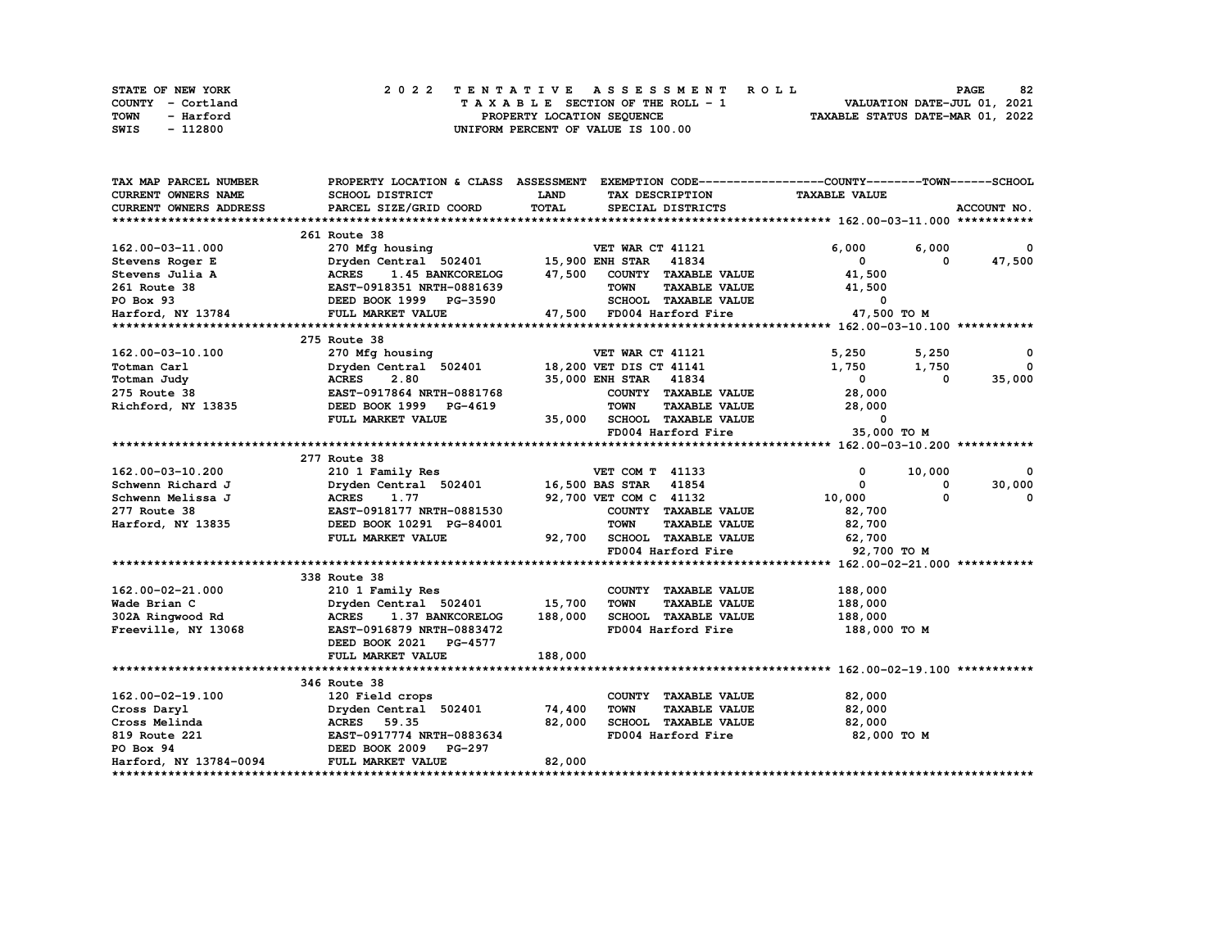| STATE OF NEW YORK | 2022 TENTATIVE ASSESSMENT ROLL          | 82<br><b>PAGE</b>                |
|-------------------|-----------------------------------------|----------------------------------|
| COUNTY - Cortland | $T A X A B L E$ SECTION OF THE ROLL - 1 | VALUATION DATE-JUL 01, 2021      |
| TOWN<br>- Harford | PROPERTY LOCATION SEQUENCE              | TAXABLE STATUS DATE-MAR 01, 2022 |
| - 112800<br>SWIS  | UNIFORM PERCENT OF VALUE IS 100.00      |                                  |

| TAX MAP PARCEL NUMBER      |                                               |         |                                                          | PROPERTY LOCATION & CLASS ASSESSMENT EXEMPTION CODE----------------COUNTY-------TOWN-----SCHOOL |             |
|----------------------------|-----------------------------------------------|---------|----------------------------------------------------------|-------------------------------------------------------------------------------------------------|-------------|
| <b>CURRENT OWNERS NAME</b> | <b>SCHOOL DISTRICT</b>                        | LAND    | TAX DESCRIPTION                                          | <b>TAXABLE VALUE</b>                                                                            |             |
| CURRENT OWNERS ADDRESS     | PARCEL SIZE/GRID COORD                        | TOTAL   | SPECIAL DISTRICTS                                        |                                                                                                 | ACCOUNT NO. |
|                            |                                               |         |                                                          |                                                                                                 |             |
|                            | 261 Route 38                                  |         |                                                          |                                                                                                 |             |
| 162.00-03-11.000           | 270 Mfg housing                               |         | VET WAR CT 41121                                         | 6,000<br>6,000                                                                                  | 0           |
| Stevens Roger E            | Dryden Central 502401 15,900 ENH STAR 41834   |         |                                                          | $\mathbf{0}$<br>0                                                                               | 47,500      |
| Stevens Julia A            | 1.45 BANKCORELOG<br><b>ACRES</b>              |         | 47,500 COUNTY TAXABLE VALUE                              | 41,500                                                                                          |             |
| 261 Route 38               | EAST-0918351 NRTH-0881639                     |         | <b>TOWN</b><br><b>TAXABLE VALUE</b>                      | 41,500                                                                                          |             |
| PO Box 93                  | DEED BOOK 1999 PG-3590                        |         | SCHOOL TAXABLE VALUE                                     | 0                                                                                               |             |
| Harford, NY 13784          | FULL MARKET VALUE                             |         | 47,500 FD004 Harford Fire 47,500 TO M                    |                                                                                                 |             |
|                            |                                               |         |                                                          |                                                                                                 |             |
|                            | 275 Route 38                                  |         |                                                          |                                                                                                 |             |
| 162.00-03-10.100           | 270 Mfg housing                               |         | VET WAR CT 41121                                         | 5,250<br>5,250                                                                                  | $\mathbf 0$ |
| Totman Carl                | Dryden Central 502401 18,200 VET DIS CT 41141 |         |                                                          | $1,750$ $1,750$                                                                                 | $^{\circ}$  |
| Totman Judy                | <b>ACRES</b><br>2.80                          |         | 35,000 ENH STAR 41834                                    | $\overline{\mathbf{0}}$<br>$\Omega$                                                             | 35,000      |
| 275 Route 38               | EAST-0917864 NRTH-0881768                     |         | COUNTY TAXABLE VALUE                                     | 28,000                                                                                          |             |
| Richford, NY 13835         | DEED BOOK 1999 PG-4619                        |         | <b>TOWN</b><br><b>TAXABLE VALUE</b>                      | 28,000                                                                                          |             |
|                            | FULL MARKET VALUE                             | 35,000  | SCHOOL TAXABLE VALUE                                     | $\mathbf{o}$                                                                                    |             |
|                            |                                               |         | FD004 Harford Fire                                       | 35,000 TO M                                                                                     |             |
|                            |                                               |         |                                                          |                                                                                                 |             |
|                            | 277 Route 38                                  |         |                                                          |                                                                                                 |             |
| 162.00-03-10.200           | 210 1 Family Res                              |         | VET COM T 41133                                          | $\mathbf{o}$<br>10,000                                                                          | 0           |
| Schwenn Richard J          | Dryden Central 502401 16,500 BAS STAR 41854   |         |                                                          | $\mathbf{0}$<br>0                                                                               | 30,000      |
| Schwenn Melissa J          | <b>ACRES</b><br>1.77                          |         | 92,700 VET COM C 41132                                   | 10,000<br>$\mathbf{o}$                                                                          | $^{\circ}$  |
| 277 Route 38               | EAST-0918177 NRTH-0881530                     |         | COUNTY TAXABLE VALUE                                     | 82,700                                                                                          |             |
| Harford, NY 13835          | DEED BOOK 10291 PG-84001                      |         | <b>TOWN</b><br><b>TAXABLE VALUE</b>                      | 82,700                                                                                          |             |
|                            | FULL MARKET VALUE                             |         |                                                          |                                                                                                 |             |
|                            |                                               |         | 92,700 SCHOOL TAXABLE VALUE 62,700<br>FD004 Harford Fire | 92,700 TO M                                                                                     |             |
|                            |                                               |         |                                                          |                                                                                                 |             |
|                            | 338 Route 38                                  |         |                                                          |                                                                                                 |             |
| 162.00-02-21.000           | 210 1 Family Res                              |         | COUNTY TAXABLE VALUE                                     | 188,000                                                                                         |             |
| Wade Brian C               | Dryden Central 502401 15,700                  |         | <b>TOWN</b><br><b>TAXABLE VALUE</b>                      | 188,000                                                                                         |             |
| 302A Ringwood Rd           | <b>ACRES</b><br>1.37 BANKCORELOG              | 188,000 | SCHOOL TAXABLE VALUE                                     | 188,000                                                                                         |             |
| Freeville, NY 13068        | EAST-0916879 NRTH-0883472                     |         | FD004 Harford Fire                                       | 188,000 то м                                                                                    |             |
|                            | DEED BOOK 2021 PG-4577                        |         |                                                          |                                                                                                 |             |
|                            | FULL MARKET VALUE                             | 188,000 |                                                          |                                                                                                 |             |
|                            |                                               |         |                                                          |                                                                                                 |             |
|                            | 346 Route 38                                  |         |                                                          |                                                                                                 |             |
| 162.00-02-19.100           | 120 Field crops                               |         | COUNTY TAXABLE VALUE                                     | 82,000                                                                                          |             |
| Cross Daryl                | Dryden Central 502401                         | 74,400  | <b>TOWN</b><br><b>TAXABLE VALUE</b>                      | 82,000                                                                                          |             |
| Cross Melinda              | ACRES 59.35                                   | 82,000  | SCHOOL TAXABLE VALUE                                     | 82,000                                                                                          |             |
| 819 Route 221              | EAST-0917774 NRTH-0883634                     |         | FD004 Harford Fire                                       | 82,000 TO M                                                                                     |             |
| PO Box 94                  | DEED BOOK 2009 PG-297                         |         |                                                          |                                                                                                 |             |
| Harford, NY 13784-0094     | FULL MARKET VALUE                             | 82,000  |                                                          |                                                                                                 |             |
|                            |                                               |         |                                                          |                                                                                                 |             |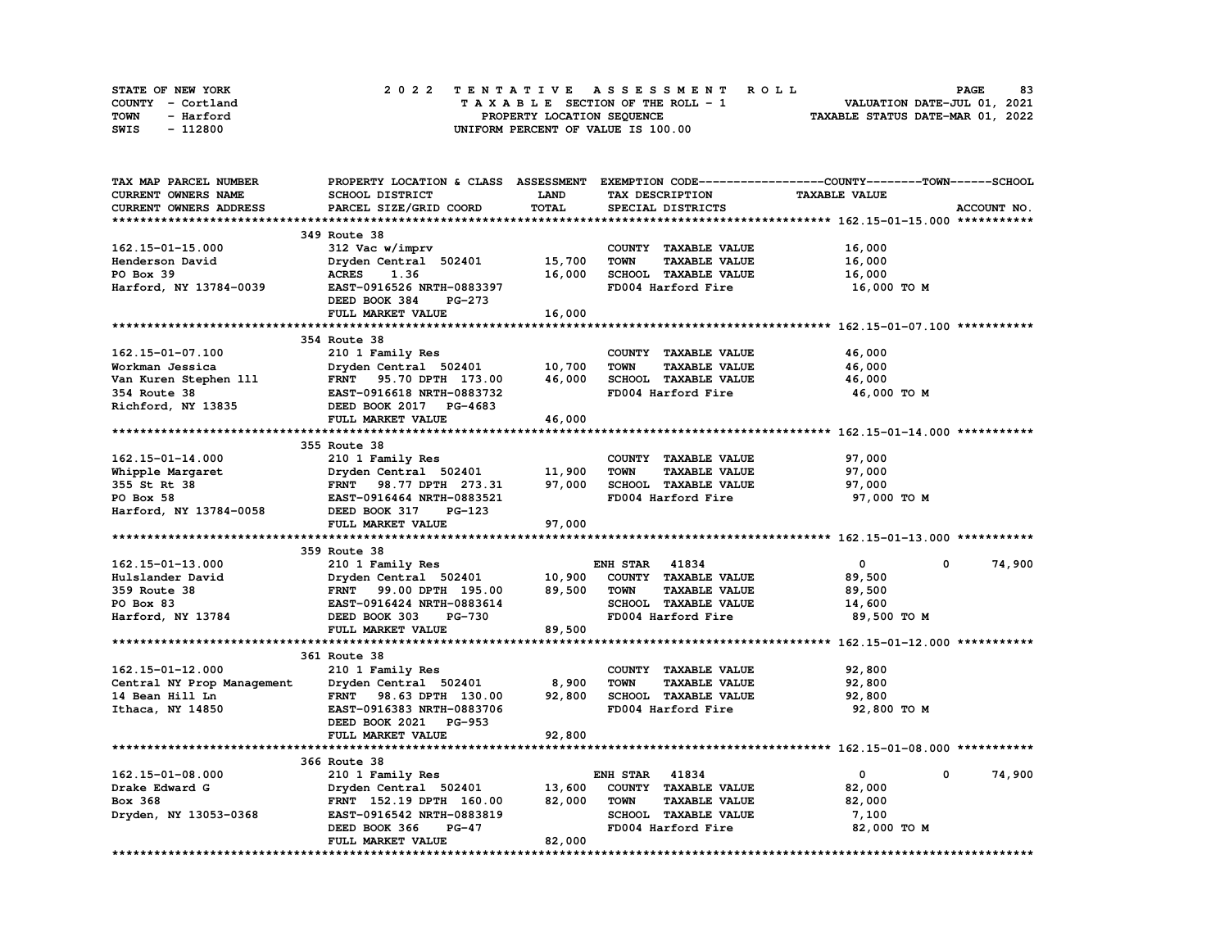| STATE OF NEW YORK | 2022 TENTATIVE ASSESSMENT ROLL          | 83<br><b>PAGE</b>                |
|-------------------|-----------------------------------------|----------------------------------|
| COUNTY - Cortland | $T A X A B L E$ SECTION OF THE ROLL - 1 | VALUATION DATE-JUL 01, 2021      |
| TOWN<br>- Harford | PROPERTY LOCATION SEQUENCE              | TAXABLE STATUS DATE-MAR 01, 2022 |
| - 112800<br>SWIS  | UNIFORM PERCENT OF VALUE IS 100.00      |                                  |

| TAX MAP PARCEL NUMBER      |                                |             |                                     | PROPERTY LOCATION & CLASS ASSESSMENT EXEMPTION CODE----------------COUNTY-------TOWN-----SCHOOL |             |
|----------------------------|--------------------------------|-------------|-------------------------------------|-------------------------------------------------------------------------------------------------|-------------|
| <b>CURRENT OWNERS NAME</b> | SCHOOL DISTRICT                | <b>LAND</b> | TAX DESCRIPTION                     | <b>TAXABLE VALUE</b>                                                                            |             |
| CURRENT OWNERS ADDRESS     | PARCEL SIZE/GRID COORD         | TOTAL       | SPECIAL DISTRICTS                   |                                                                                                 | ACCOUNT NO. |
|                            |                                |             |                                     |                                                                                                 |             |
|                            | 349 Route 38                   |             |                                     |                                                                                                 |             |
| 162.15-01-15.000           | 312 Vac w/imprv                |             | COUNTY TAXABLE VALUE                | 16,000                                                                                          |             |
| Henderson David            | Dryden Central 502401          | 15,700      | <b>TOWN</b><br><b>TAXABLE VALUE</b> | 16,000                                                                                          |             |
|                            | 1.36                           |             | SCHOOL TAXABLE VALUE                |                                                                                                 |             |
| PO Box 39                  | <b>ACRES</b>                   | 16,000      |                                     | 16,000                                                                                          |             |
| Harford, NY 13784-0039     | EAST-0916526 NRTH-0883397      |             | FD004 Harford Fire                  | 16,000 TO M                                                                                     |             |
|                            | DEED BOOK 384<br><b>PG-273</b> |             |                                     |                                                                                                 |             |
|                            | FULL MARKET VALUE              | 16,000      |                                     |                                                                                                 |             |
|                            |                                |             |                                     |                                                                                                 |             |
|                            | 354 Route 38                   |             |                                     |                                                                                                 |             |
| 162.15-01-07.100           | 210 1 Family Res               |             | COUNTY TAXABLE VALUE                | 46,000                                                                                          |             |
| Workman Jessica            | Dryden Central 502401          | 10,700      | <b>TOWN</b><br><b>TAXABLE VALUE</b> | 46,000                                                                                          |             |
| Van Kuren Stephen 111      | FRNT 95.70 DPTH 173.00         | 46,000      | SCHOOL TAXABLE VALUE                | 46,000                                                                                          |             |
| 354 Route 38               | EAST-0916618 NRTH-0883732      |             | FD004 Harford Fire                  | 46,000 TO M                                                                                     |             |
| Richford, NY 13835         | DEED BOOK 2017 PG-4683         |             |                                     |                                                                                                 |             |
|                            | FULL MARKET VALUE              | 46,000      |                                     |                                                                                                 |             |
|                            |                                |             |                                     |                                                                                                 |             |
|                            | 355 Route 38                   |             |                                     |                                                                                                 |             |
| 162.15-01-14.000           | 210 1 Family Res               |             | COUNTY TAXABLE VALUE                | 97,000                                                                                          |             |
|                            |                                |             |                                     |                                                                                                 |             |
| Whipple Margaret           | Dryden Central 502401          | 11,900      | <b>TOWN</b><br><b>TAXABLE VALUE</b> | 97,000                                                                                          |             |
| 355 St Rt 38               | FRNT 98.77 DPTH 273.31         | 97,000      | SCHOOL TAXABLE VALUE                | 97,000                                                                                          |             |
| PO Box 58                  | EAST-0916464 NRTH-0883521      |             | FD004 Harford Fire                  | 97,000 TO M                                                                                     |             |
| Harford, NY 13784-0058     | DEED BOOK 317<br><b>PG-123</b> |             |                                     |                                                                                                 |             |
|                            | FULL MARKET VALUE              | 97,000      |                                     |                                                                                                 |             |
|                            |                                |             |                                     |                                                                                                 |             |
|                            | 359 Route 38                   |             |                                     |                                                                                                 |             |
| 162.15-01-13.000           | 210 1 Family Res               |             | <b>ENH STAR 41834</b>               | $\mathbf{0}$<br>$^{\circ}$                                                                      | 74,900      |
| Hulslander David           | Dryden Central 502401          | 10,900      | COUNTY TAXABLE VALUE                | 89,500                                                                                          |             |
| 359 Route 38               | FRNT 99.00 DPTH 195.00         | 89,500      | <b>TOWN</b><br><b>TAXABLE VALUE</b> | 89,500                                                                                          |             |
| PO Box 83                  | EAST-0916424 NRTH-0883614      |             | SCHOOL TAXABLE VALUE                | 14,600                                                                                          |             |
| Harford, NY 13784          | DEED BOOK 303<br><b>PG-730</b> |             | FD004 Harford Fire                  | 89,500 TO M                                                                                     |             |
|                            | FULL MARKET VALUE              | 89,500      |                                     |                                                                                                 |             |
|                            |                                |             |                                     |                                                                                                 |             |
|                            | 361 Route 38                   |             |                                     |                                                                                                 |             |
| 162.15-01-12.000           | 210 1 Family Res               |             | COUNTY TAXABLE VALUE                | 92,800                                                                                          |             |
| Central NY Prop Management | Dryden Central 502401          | 8,900       | <b>TOWN</b><br><b>TAXABLE VALUE</b> | 92,800                                                                                          |             |
| 14 Bean Hill Ln            | FRNT 98.63 DPTH 130.00         | 92,800      | SCHOOL TAXABLE VALUE                | 92,800                                                                                          |             |
|                            |                                |             | FD004 Harford Fire                  |                                                                                                 |             |
| Ithaca, NY 14850           | EAST-0916383 NRTH-0883706      |             |                                     | 92,800 TO M                                                                                     |             |
|                            | DEED BOOK 2021 PG-953          |             |                                     |                                                                                                 |             |
|                            | FULL MARKET VALUE              | 92,800      |                                     |                                                                                                 |             |
|                            |                                |             |                                     |                                                                                                 |             |
|                            | 366 Route 38                   |             |                                     |                                                                                                 |             |
| 162.15-01-08.000           | 210 1 Family Res               |             | <b>ENH STAR 41834</b>               | 0<br>0                                                                                          | 74,900      |
| Drake Edward G             | Dryden Central 502401          | 13,600      | COUNTY TAXABLE VALUE                | 82,000                                                                                          |             |
| Box 368                    | FRNT 152.19 DPTH 160.00        | 82,000      | <b>TOWN</b><br><b>TAXABLE VALUE</b> | 82,000                                                                                          |             |
| Dryden, NY 13053-0368      | EAST-0916542 NRTH-0883819      |             | SCHOOL TAXABLE VALUE                | 7,100                                                                                           |             |
|                            | DEED BOOK 366<br><b>PG-47</b>  |             | FD004 Harford Fire                  | 82,000 TO M                                                                                     |             |
|                            | FULL MARKET VALUE              | 82,000      |                                     |                                                                                                 |             |
|                            |                                |             |                                     |                                                                                                 |             |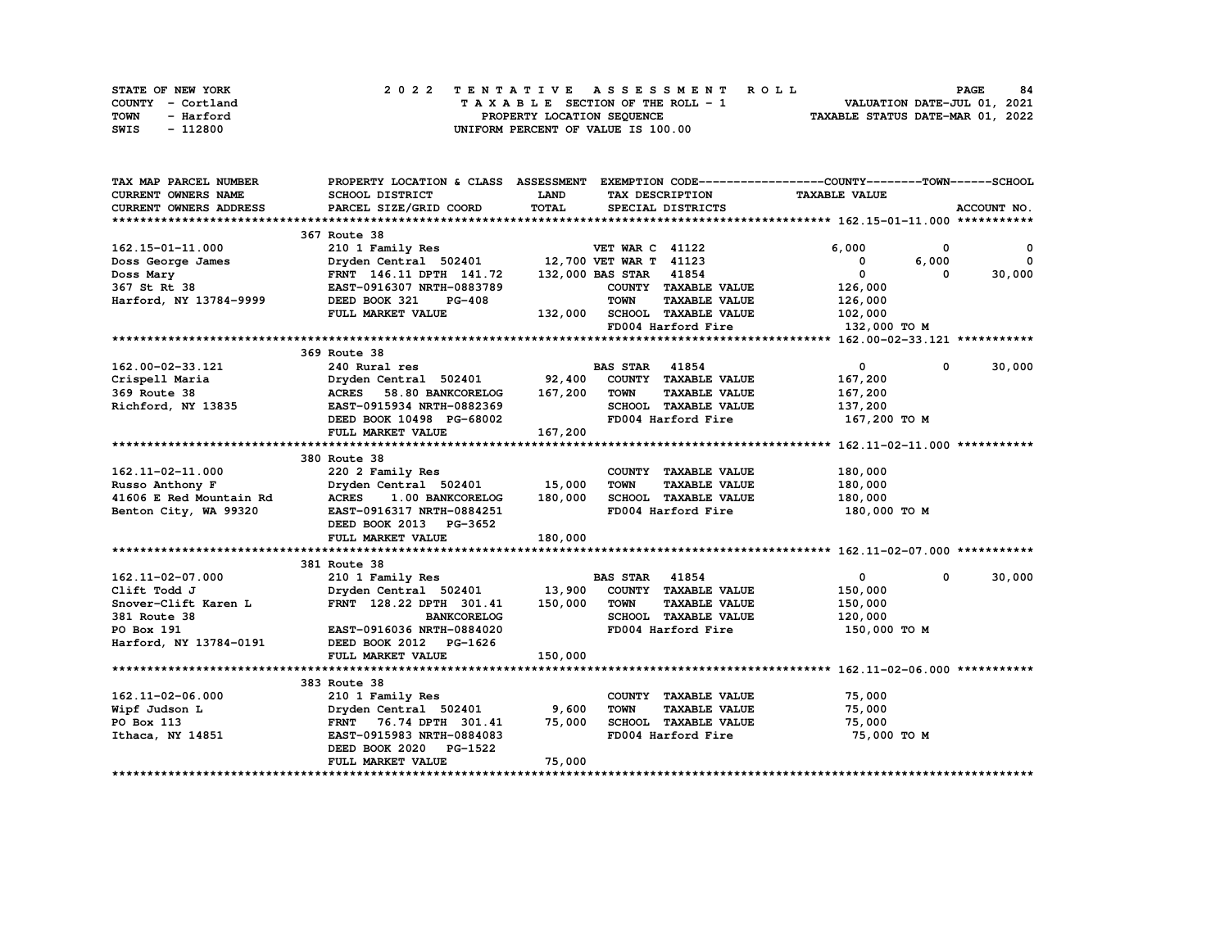| STATE OF NEW YORK | 2022 TENTATIVE ASSESSMENT ROLL     | 84<br><b>PAGE</b>                |
|-------------------|------------------------------------|----------------------------------|
| COUNTY - Cortland | TAXABLE SECTION OF THE ROLL - 1    | VALUATION DATE-JUL 01, 2021      |
| TOWN<br>- Harford | PROPERTY LOCATION SEQUENCE         | TAXABLE STATUS DATE-MAR 01, 2022 |
| - 112800<br>SWIS  | UNIFORM PERCENT OF VALUE IS 100.00 |                                  |

| TAX MAP PARCEL NUMBER         | PROPERTY LOCATION & CLASS ASSESSMENT EXEMPTION CODE-----------------COUNTY-------TOWN------SCHOOL |         |                              |                      |                      |              |              |
|-------------------------------|---------------------------------------------------------------------------------------------------|---------|------------------------------|----------------------|----------------------|--------------|--------------|
| CURRENT OWNERS NAME           | SCHOOL DISTRICT                                                                                   | LAND    | TAX DESCRIPTION              |                      | <b>TAXABLE VALUE</b> |              |              |
| <b>CURRENT OWNERS ADDRESS</b> | PARCEL SIZE/GRID COORD                                                                            | TOTAL   | SPECIAL DISTRICTS            |                      |                      |              | ACCOUNT NO.  |
|                               |                                                                                                   |         |                              |                      |                      |              |              |
|                               | 367 Route 38                                                                                      |         |                              |                      |                      |              |              |
| 162.15-01-11.000              | 210 1 Family Res                                                                                  |         | <b>VET WAR C 41122</b>       |                      | 6,000                | 0            | $\mathbf{o}$ |
| Doss George James             | Dryden Central 502401 12,700 VET WAR T 41123                                                      |         |                              |                      | 0                    | 6,000        | $\Omega$     |
| Doss Mary                     | FRNT 146.11 DPTH 141.72                                                                           |         | 132,000 BAS STAR 41854       |                      | $\mathbf{0}$         | 0            | 30,000       |
| 367 St Rt 38                  | EAST-0916307 NRTH-0883789                                                                         |         |                              | COUNTY TAXABLE VALUE | 126,000              |              |              |
| Harford, NY 13784-9999        | DEED BOOK 321<br><b>PG-408</b>                                                                    |         | <b>TOWN</b>                  | <b>TAXABLE VALUE</b> | 126,000              |              |              |
|                               | FULL MARKET VALUE                                                                                 |         | 132,000 SCHOOL TAXABLE VALUE |                      | 102,000              |              |              |
|                               |                                                                                                   |         | FD004 Harford Fire           |                      | 132,000 TO M         |              |              |
|                               |                                                                                                   |         |                              |                      |                      |              |              |
|                               | 369 Route 38                                                                                      |         |                              |                      |                      |              |              |
| 162.00-02-33.121              | 240 Rural res                                                                                     |         | <b>BAS STAR 41854</b>        |                      | $\mathbf{0}$         | $\mathbf 0$  | 30,000       |
| Crispell Maria                | Dryden Central 502401                                                                             | 92,400  |                              | COUNTY TAXABLE VALUE | 167,200              |              |              |
| 369 Route 38                  | ACRES 58.80 BANKCORELOG                                                                           | 167,200 | <b>TOWN</b>                  | <b>TAXABLE VALUE</b> | 167,200              |              |              |
| Richford, NY 13835            | EAST-0915934 NRTH-0882369                                                                         |         |                              | SCHOOL TAXABLE VALUE | 137,200              |              |              |
|                               | DEED BOOK 10498 PG-68002                                                                          |         | FD004 Harford Fire           |                      | 167,200 то м         |              |              |
|                               | FULL MARKET VALUE                                                                                 | 167,200 |                              |                      |                      |              |              |
|                               |                                                                                                   |         |                              |                      |                      |              |              |
|                               | 380 Route 38                                                                                      |         |                              |                      |                      |              |              |
| 162.11-02-11.000              | 220 2 Family Res                                                                                  |         |                              | COUNTY TAXABLE VALUE | 180,000              |              |              |
| Russo Anthony F               | Dryden Central 502401 15,000                                                                      |         | <b>TOWN</b>                  | <b>TAXABLE VALUE</b> | 180,000              |              |              |
| 41606 E Red Mountain Rd       | 1.00 BANKCORELOG<br><b>ACRES</b>                                                                  | 180,000 |                              | SCHOOL TAXABLE VALUE | 180,000              |              |              |
| Benton City, WA 99320         | EAST-0916317 NRTH-0884251                                                                         |         | FD004 Harford Fire           |                      | 180,000 TO M         |              |              |
|                               | DEED BOOK 2013 PG-3652                                                                            |         |                              |                      |                      |              |              |
|                               | FULL MARKET VALUE                                                                                 | 180,000 |                              |                      |                      |              |              |
|                               |                                                                                                   |         |                              |                      |                      |              |              |
|                               | 381 Route 38                                                                                      |         |                              |                      |                      |              |              |
| 162.11-02-07.000              | 210 1 Family Res                                                                                  |         | <b>BAS STAR 41854</b>        |                      | $\mathbf{0}$         | $\mathbf{0}$ | 30,000       |
| Clift Todd J                  | Dryden Central 502401                                                                             | 13,900  |                              | COUNTY TAXABLE VALUE | 150,000              |              |              |
| Snover-Clift Karen L          | FRNT 128.22 DPTH 301.41                                                                           | 150,000 | <b>TOWN</b>                  | <b>TAXABLE VALUE</b> | 150,000              |              |              |
| 381 Route 38                  | <b>BANKCORELOG</b>                                                                                |         |                              | SCHOOL TAXABLE VALUE | 120,000              |              |              |
| PO Box 191                    | EAST-0916036 NRTH-0884020                                                                         |         | FD004 Harford Fire           |                      | 150,000 TO M         |              |              |
| Harford, NY 13784-0191        | DEED BOOK 2012 PG-1626                                                                            |         |                              |                      |                      |              |              |
|                               | FULL MARKET VALUE                                                                                 | 150,000 |                              |                      |                      |              |              |
|                               |                                                                                                   |         |                              |                      |                      |              |              |
|                               | 383 Route 38                                                                                      |         |                              |                      |                      |              |              |
| 162.11-02-06.000              | 210 1 Family Res                                                                                  |         |                              | COUNTY TAXABLE VALUE | 75,000               |              |              |
| Wipf Judson L                 | Dryden Central 502401                                                                             | 9,600   | <b>TOWN</b>                  | <b>TAXABLE VALUE</b> | 75,000               |              |              |
| PO Box 113                    | FRNT 76.74 DPTH 301.41                                                                            | 75,000  |                              | SCHOOL TAXABLE VALUE | 75,000               |              |              |
| Ithaca, NY 14851              | EAST-0915983 NRTH-0884083                                                                         |         |                              | FD004 Harford Fire   | 75,000 TO M          |              |              |
|                               | DEED BOOK 2020 PG-1522                                                                            |         |                              |                      |                      |              |              |
|                               | FULL MARKET VALUE                                                                                 | 75,000  |                              |                      |                      |              |              |
|                               |                                                                                                   |         |                              |                      |                      |              |              |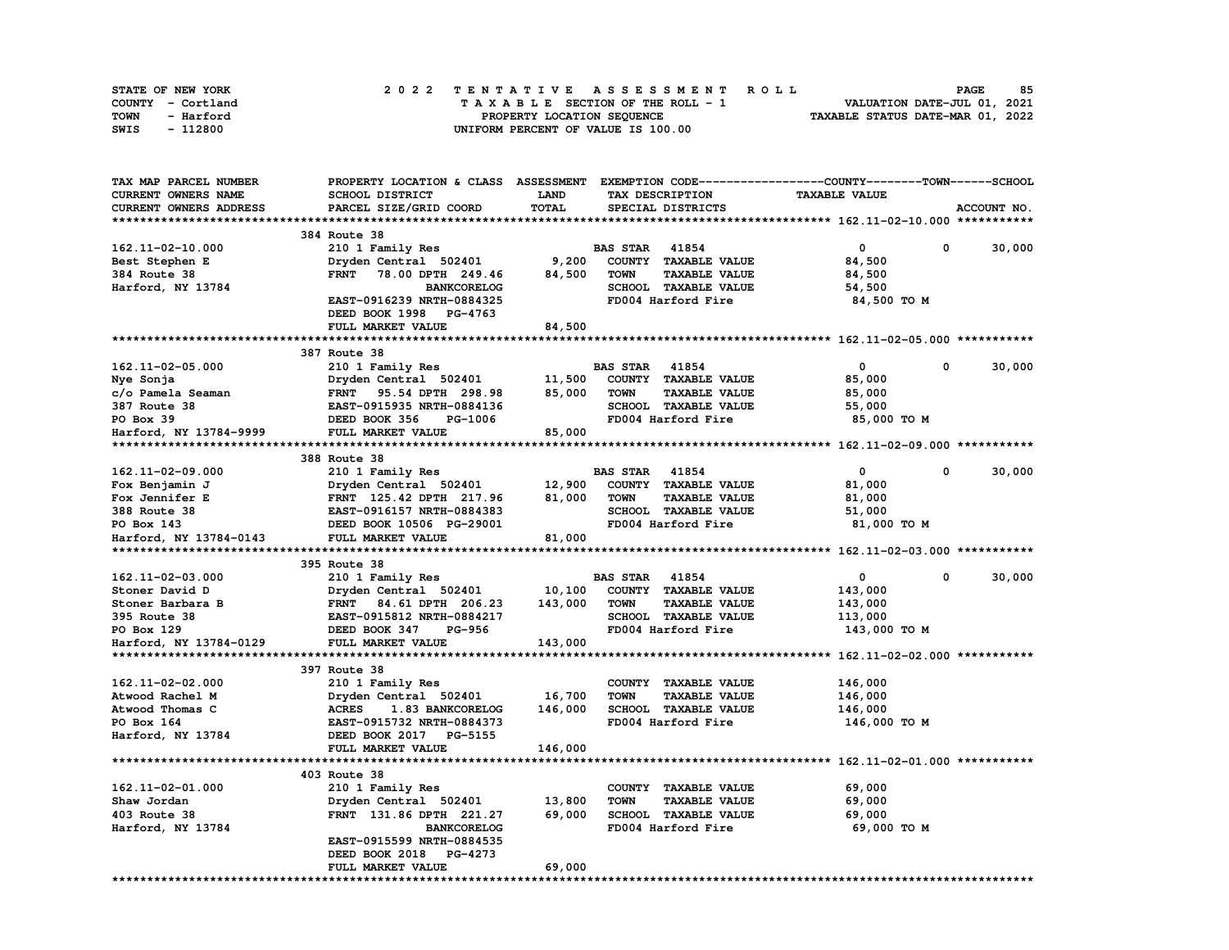| STATE OF NEW YORK | 2022 TENTATIVE ASSESSMENT ROLL     | 85<br><b>PAGE</b>                |
|-------------------|------------------------------------|----------------------------------|
| COUNTY - Cortland | TAXABLE SECTION OF THE ROLL - 1    | VALUATION DATE-JUL 01, 2021      |
| TOWN<br>- Harford | PROPERTY LOCATION SEQUENCE         | TAXABLE STATUS DATE-MAR 01, 2022 |
| - 112800<br>SWIS  | UNIFORM PERCENT OF VALUE IS 100.00 |                                  |

| TAX MAP PARCEL NUMBER  | PROPERTY LOCATION & CLASS ASSESSMENT EXEMPTION CODE----------------COUNTY-------TOWN-----SCHOOL |         |                       |                             |                      |                        |
|------------------------|-------------------------------------------------------------------------------------------------|---------|-----------------------|-----------------------------|----------------------|------------------------|
| CURRENT OWNERS NAME    | SCHOOL DISTRICT                                                                                 | LAND    |                       | TAX DESCRIPTION             | <b>TAXABLE VALUE</b> |                        |
| CURRENT OWNERS ADDRESS | PARCEL SIZE/GRID COORD                                                                          | TOTAL   |                       | SPECIAL DISTRICTS           |                      | ACCOUNT NO.            |
|                        |                                                                                                 |         |                       |                             |                      |                        |
|                        | 384 Route 38                                                                                    |         |                       |                             |                      |                        |
| 162.11-02-10.000       | 210 1 Family Res                                                                                |         | <b>BAS STAR 41854</b> |                             | 0                    | $\mathbf{o}$<br>30,000 |
| Best Stephen E         | Dryden Central 502401                                                                           | 9,200   |                       | COUNTY TAXABLE VALUE        | 84,500               |                        |
| 384 Route 38           | <b>FRNT</b><br>78.00 DPTH 249.46                                                                | 84,500  | <b>TOWN</b>           | <b>TAXABLE VALUE</b>        | 84,500               |                        |
| Harford, NY 13784      | <b>BANKCORELOG</b>                                                                              |         |                       | SCHOOL TAXABLE VALUE        | 54,500               |                        |
|                        | EAST-0916239 NRTH-0884325                                                                       |         |                       | FD004 Harford Fire          | 84,500 TO M          |                        |
|                        | DEED BOOK 1998 PG-4763                                                                          |         |                       |                             |                      |                        |
|                        | FULL MARKET VALUE                                                                               | 84,500  |                       |                             |                      |                        |
|                        |                                                                                                 |         |                       |                             |                      |                        |
|                        | 387 Route 38                                                                                    |         |                       |                             |                      |                        |
| 162.11-02-05.000       | 210 1 Family Res                                                                                |         | <b>BAS STAR 41854</b> |                             | $\mathbf{0}$         | 0<br>30,000            |
| Nye Sonja              | Dryden Central 502401                                                                           | 11,500  |                       | COUNTY TAXABLE VALUE        | 85,000               |                        |
| c/o Pamela Seaman      | FRNT 95.54 DPTH 298.98                                                                          | 85,000  | <b>TOWN</b>           | <b>TAXABLE VALUE</b>        | 85,000               |                        |
| 387 Route 38           | EAST-0915935 NRTH-0884136                                                                       |         |                       | SCHOOL TAXABLE VALUE        | 55,000               |                        |
| PO Box 39              | DEED BOOK 356<br>PG-1006                                                                        |         |                       | FD004 Harford Fire          | 85,000 TO M          |                        |
| Harford, NY 13784-9999 | FULL MARKET VALUE                                                                               | 85,000  |                       |                             |                      |                        |
|                        |                                                                                                 |         |                       |                             |                      |                        |
|                        | 388 Route 38                                                                                    |         |                       |                             |                      |                        |
| 162.11-02-09.000       | 210 1 Family Res                                                                                |         | <b>BAS STAR 41854</b> |                             | $\mathbf{0}$         | 30,000<br>0            |
| Fox Benjamin J         | Dryden Central 502401                                                                           | 12,900  |                       | COUNTY TAXABLE VALUE        | 81,000               |                        |
| Fox Jennifer E         | FRNT 125.42 DPTH 217.96                                                                         | 81,000  | TOWN                  | <b>TAXABLE VALUE</b>        | 81,000               |                        |
| 388 Route 38           | EAST-0916157 NRTH-0884383                                                                       |         |                       | SCHOOL TAXABLE VALUE        | 51,000               |                        |
| PO Box 143             | DEED BOOK 10506 PG-29001                                                                        |         |                       | FD004 Harford Fire          | 81,000 TO M          |                        |
| Harford, NY 13784-0143 | FULL MARKET VALUE                                                                               | 81,000  |                       |                             |                      |                        |
|                        |                                                                                                 |         |                       |                             |                      |                        |
|                        | 395 Route 38                                                                                    |         |                       |                             |                      |                        |
| 162.11-02-03.000       | 210 1 Family Res                                                                                |         | <b>BAS STAR</b>       | 41854                       | 0                    | 30,000<br>$\mathbf 0$  |
| Stoner David D         | Dryden Central 502401                                                                           | 10,100  |                       | COUNTY TAXABLE VALUE        | 143,000              |                        |
| Stoner Barbara B       | FRNT 84.61 DPTH 206.23                                                                          | 143,000 | <b>TOWN</b>           | <b>TAXABLE VALUE</b>        | 143,000              |                        |
| 395 Route 38           | EAST-0915812 NRTH-0884217                                                                       |         |                       | <b>SCHOOL TAXABLE VALUE</b> | 113,000              |                        |
| PO Box 129             | DEED BOOK 347<br>PG-956                                                                         |         |                       | FD004 Harford Fire          | 143,000 TO M         |                        |
| Harford, NY 13784-0129 | FULL MARKET VALUE                                                                               | 143,000 |                       |                             |                      |                        |
|                        |                                                                                                 |         |                       |                             |                      |                        |
|                        | 397 Route 38                                                                                    |         |                       |                             |                      |                        |
| 162.11-02-02.000       | 210 1 Family Res                                                                                |         |                       | COUNTY TAXABLE VALUE        | 146,000              |                        |
| Atwood Rachel M        | Dryden Central 502401                                                                           | 16,700  | <b>TOWN</b>           | <b>TAXABLE VALUE</b>        | 146,000              |                        |
| Atwood Thomas C        | <b>ACRES</b><br>1.83 BANKCORELOG                                                                | 146,000 |                       | SCHOOL TAXABLE VALUE        | 146,000              |                        |
| PO Box 164             | EAST-0915732 NRTH-0884373                                                                       |         |                       | FD004 Harford Fire          | 146,000 TO M         |                        |
| Harford, NY 13784      | DEED BOOK 2017 PG-5155                                                                          |         |                       |                             |                      |                        |
|                        | FULL MARKET VALUE                                                                               | 146,000 |                       |                             |                      |                        |
|                        |                                                                                                 |         |                       |                             |                      |                        |
|                        | 403 Route 38                                                                                    |         |                       |                             |                      |                        |
| 162.11-02-01.000       | 210 1 Family Res                                                                                |         |                       | COUNTY TAXABLE VALUE        | 69,000               |                        |
| Shaw Jordan            | Dryden Central 502401                                                                           | 13,800  | <b>TOWN</b>           | <b>TAXABLE VALUE</b>        | 69,000               |                        |
| 403 Route 38           | FRNT 131.86 DPTH 221.27                                                                         | 69,000  |                       | SCHOOL TAXABLE VALUE        | 69,000               |                        |
| Harford, NY 13784      | <b>BANKCORELOG</b>                                                                              |         |                       | FD004 Harford Fire          | 69,000 TO M          |                        |
|                        | EAST-0915599 NRTH-0884535                                                                       |         |                       |                             |                      |                        |
|                        | DEED BOOK 2018<br>PG-4273                                                                       |         |                       |                             |                      |                        |
|                        | FULL MARKET VALUE                                                                               | 69,000  |                       |                             |                      |                        |
|                        |                                                                                                 |         |                       |                             |                      |                        |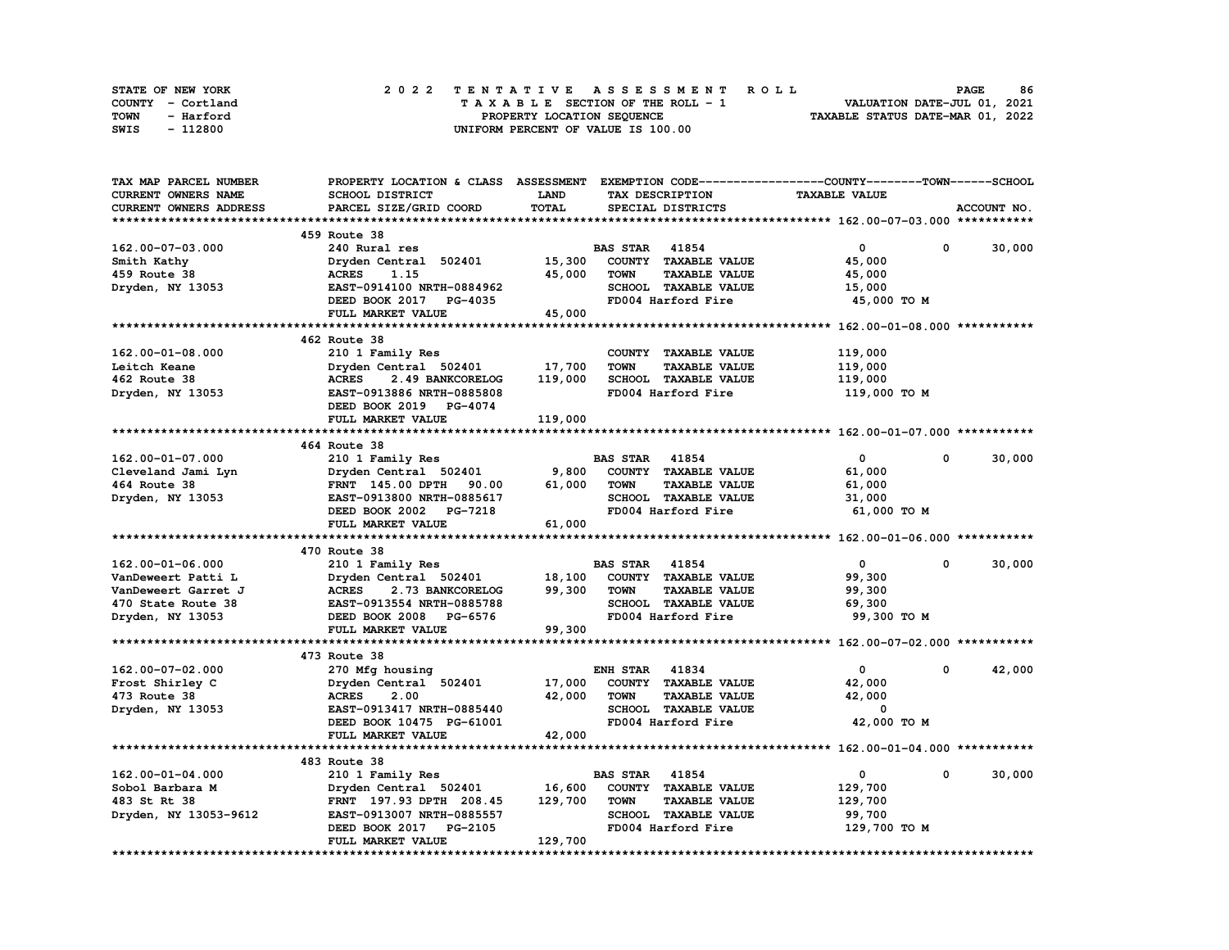| STATE OF NEW YORK | 2022 TENTATIVE ASSESSMENT ROLL     | 86<br><b>PAGE</b>                |
|-------------------|------------------------------------|----------------------------------|
| COUNTY - Cortland | TAXABLE SECTION OF THE ROLL - 1    | VALUATION DATE-JUL 01, 2021      |
| TOWN<br>- Harford | PROPERTY LOCATION SEQUENCE         | TAXABLE STATUS DATE-MAR 01, 2022 |
| - 112800<br>SWIS  | UNIFORM PERCENT OF VALUE IS 100.00 |                                  |

| TAX MAP PARCEL NUMBER      | PROPERTY LOCATION & CLASS ASSESSMENT |              |                                     | EXEMPTION CODE-----------------COUNTY-------TOWN-----SCHOOL |             |
|----------------------------|--------------------------------------|--------------|-------------------------------------|-------------------------------------------------------------|-------------|
| <b>CURRENT OWNERS NAME</b> | SCHOOL DISTRICT                      | <b>LAND</b>  | TAX DESCRIPTION                     | <b>TAXABLE VALUE</b>                                        |             |
| CURRENT OWNERS ADDRESS     | PARCEL SIZE/GRID COORD               | <b>TOTAL</b> | SPECIAL DISTRICTS                   |                                                             | ACCOUNT NO. |
|                            |                                      |              |                                     |                                                             |             |
|                            | 459 Route 38                         |              |                                     |                                                             |             |
| 162.00-07-03.000           | 240 Rural res                        |              | <b>BAS STAR 41854</b>               | 0<br>0                                                      | 30,000      |
| Smith Kathy                | Dryden Central 502401                | 15,300       | COUNTY TAXABLE VALUE                | 45,000                                                      |             |
| 459 Route 38               | <b>ACRES</b><br>1.15                 | 45,000       | <b>TOWN</b><br><b>TAXABLE VALUE</b> | 45,000                                                      |             |
| Dryden, NY 13053           | EAST-0914100 NRTH-0884962            |              | SCHOOL TAXABLE VALUE                | 15,000                                                      |             |
|                            | DEED BOOK 2017 PG-4035               |              | FD004 Harford Fire                  | 45,000 TO M                                                 |             |
|                            | FULL MARKET VALUE                    | 45,000       |                                     |                                                             |             |
|                            |                                      |              |                                     |                                                             |             |
|                            | 462 Route 38                         |              |                                     |                                                             |             |
| 162.00-01-08.000           | 210 1 Family Res                     |              | COUNTY TAXABLE VALUE                |                                                             |             |
| Leitch Keane               |                                      | 17,700       | <b>TOWN</b><br><b>TAXABLE VALUE</b> | 119,000                                                     |             |
|                            | Dryden Central 502401                |              |                                     | 119,000                                                     |             |
| 462 Route 38               | 2.49 BANKCORELOG<br><b>ACRES</b>     | 119,000      | SCHOOL TAXABLE VALUE                | 119,000                                                     |             |
| Dryden, NY 13053           | EAST-0913886 NRTH-0885808            |              | FD004 Harford Fire                  | 119,000 TO M                                                |             |
|                            | DEED BOOK 2019 PG-4074               |              |                                     |                                                             |             |
|                            | <b>FULL MARKET VALUE</b>             | 119,000      |                                     |                                                             |             |
|                            |                                      |              |                                     |                                                             |             |
|                            | 464 Route 38                         |              |                                     |                                                             |             |
| 162.00-01-07.000           | 210 1 Family Res                     |              | <b>BAS STAR</b><br>41854            | $\mathbf 0$<br>$\Omega$                                     | 30,000      |
| Cleveland Jami Lyn         | Dryden Central 502401                | 9,800        | COUNTY TAXABLE VALUE                | 61,000                                                      |             |
| 464 Route 38               | <b>FRNT</b> 145.00 DPTH<br>90.00     | 61,000       | <b>TAXABLE VALUE</b><br><b>TOWN</b> | 61,000                                                      |             |
| Dryden, NY 13053           | EAST-0913800 NRTH-0885617            |              | SCHOOL TAXABLE VALUE                | 31,000                                                      |             |
|                            | DEED BOOK 2002 PG-7218               |              | FD004 Harford Fire                  | 61,000 TO M                                                 |             |
|                            | FULL MARKET VALUE                    | 61,000       |                                     |                                                             |             |
|                            |                                      |              |                                     |                                                             |             |
|                            | 470 Route 38                         |              |                                     |                                                             |             |
| 162.00-01-06.000           | 210 1 Family Res                     |              | <b>BAS STAR 41854</b>               | $\mathbf{0}$<br>0                                           | 30,000      |
| VanDeweert Patti L         | Dryden Central 502401                | 18,100       | COUNTY TAXABLE VALUE                | 99,300                                                      |             |
| VanDeweert Garret J        | <b>ACRES</b><br>2.73 BANKCORELOG     | 99,300       | <b>TAXABLE VALUE</b><br><b>TOWN</b> | 99,300                                                      |             |
| 470 State Route 38         | EAST-0913554 NRTH-0885788            |              | SCHOOL TAXABLE VALUE                | 69,300                                                      |             |
| Dryden, NY 13053           | DEED BOOK 2008 PG-6576               |              | FD004 Harford Fire                  | 99,300 TO M                                                 |             |
|                            | FULL MARKET VALUE                    | 99,300       |                                     |                                                             |             |
|                            |                                      |              |                                     |                                                             |             |
|                            | 473 Route 38                         |              |                                     |                                                             |             |
| 162.00-07-02.000           | 270 Mfg housing                      |              | 41834<br><b>ENH STAR</b>            | 0<br>0                                                      | 42,000      |
| Frost Shirley C            | Dryden Central 502401                | 17,000       | COUNTY TAXABLE VALUE                | 42,000                                                      |             |
|                            |                                      |              |                                     |                                                             |             |
| 473 Route 38               | <b>ACRES</b><br>2.00                 | 42,000       | <b>TOWN</b><br><b>TAXABLE VALUE</b> | 42,000                                                      |             |
| Dryden, NY 13053           | EAST-0913417 NRTH-0885440            |              | SCHOOL TAXABLE VALUE                | 0                                                           |             |
|                            | DEED BOOK 10475 PG-61001             |              | FD004 Harford Fire                  | 42,000 TO M                                                 |             |
|                            | FULL MARKET VALUE                    | 42,000       |                                     |                                                             |             |
|                            |                                      |              |                                     |                                                             |             |
|                            | 483 Route 38                         |              |                                     |                                                             |             |
| 162.00-01-04.000           | 210 1 Family Res                     |              | <b>BAS STAR</b><br>41854            | 0<br>$\Omega$                                               | 30,000      |
| Sobol Barbara M            | Dryden Central 502401                | 16,600       | COUNTY TAXABLE VALUE                | 129,700                                                     |             |
| 483 St Rt 38               | FRNT 197.93 DPTH 208.45              | 129,700      | <b>TOWN</b><br><b>TAXABLE VALUE</b> | 129,700                                                     |             |
| Dryden, NY 13053-9612      | EAST-0913007 NRTH-0885557            |              | SCHOOL TAXABLE VALUE                | 99,700                                                      |             |
|                            | DEED BOOK 2017<br>PG-2105            |              | FD004 Harford Fire                  | 129,700 TO M                                                |             |
|                            | FULL MARKET VALUE                    | 129,700      |                                     |                                                             |             |
|                            |                                      |              |                                     |                                                             |             |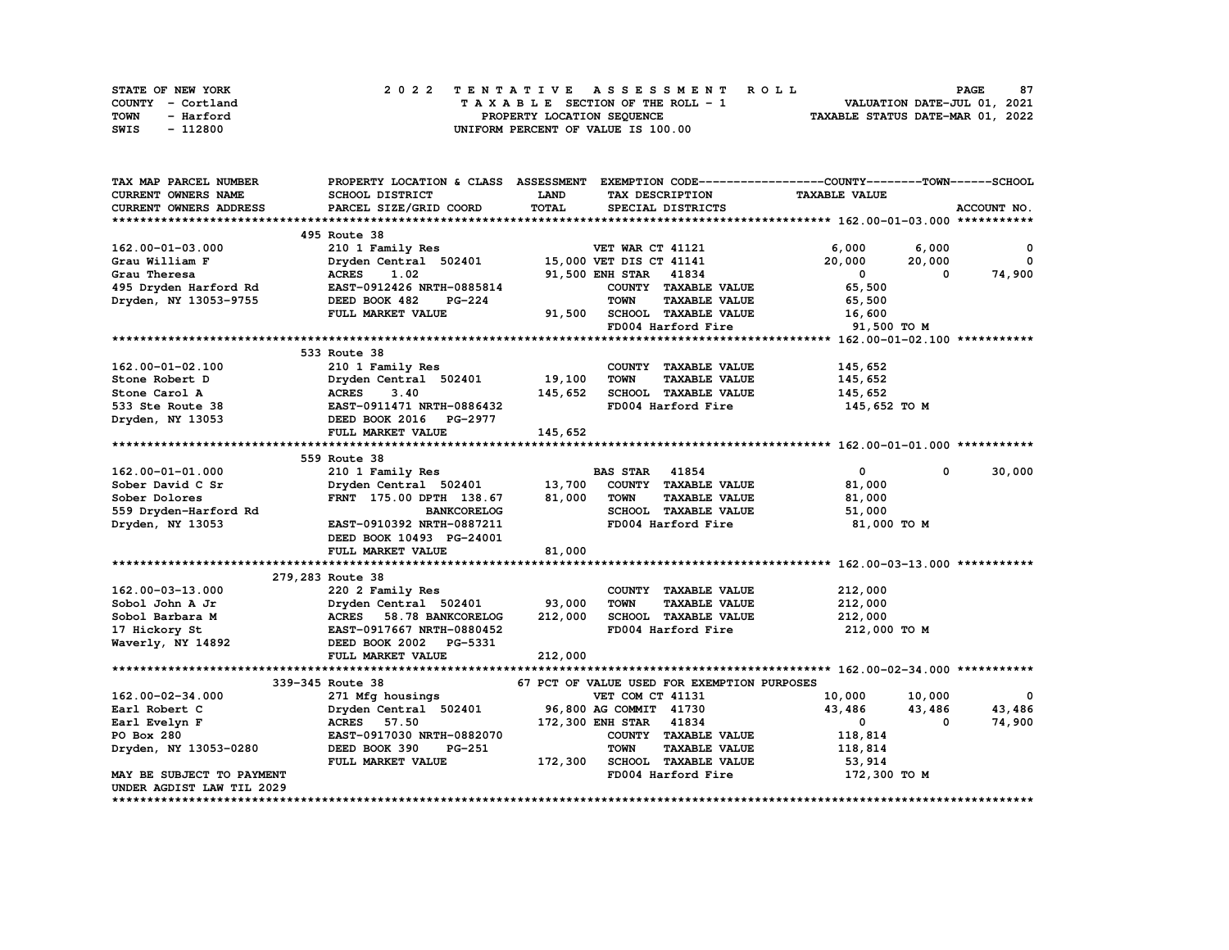| STATE OF NEW YORK | 2022 TENTATIVE ASSESSMENT ROLL     | 87<br><b>PAGE</b>                |
|-------------------|------------------------------------|----------------------------------|
| COUNTY - Cortland | TAXABLE SECTION OF THE ROLL - 1    | VALUATION DATE-JUL 01, 2021      |
| TOWN<br>- Harford | PROPERTY LOCATION SEQUENCE         | TAXABLE STATUS DATE-MAR 01, 2022 |
| - 112800<br>SWIS  | UNIFORM PERCENT OF VALUE IS 100.00 |                                  |

| TAX MAP PARCEL NUMBER      | PROPERTY LOCATION & CLASS ASSESSMENT EXEMPTION CODE----------------COUNTY-------TOWN-----SCHOOL         |             |                        |                                             |                      |        |              |
|----------------------------|---------------------------------------------------------------------------------------------------------|-------------|------------------------|---------------------------------------------|----------------------|--------|--------------|
| <b>CURRENT OWNERS NAME</b> | SCHOOL DISTRICT                                                                                         | <b>LAND</b> |                        | TAX DESCRIPTION                             | <b>TAXABLE VALUE</b> |        |              |
| CURRENT OWNERS ADDRESS     | PARCEL SIZE/GRID COORD                                                                                  | TOTAL       |                        | SPECIAL DISTRICTS                           |                      |        | ACCOUNT NO.  |
|                            |                                                                                                         |             |                        |                                             |                      |        |              |
|                            | 495 Route 38                                                                                            |             |                        |                                             |                      |        |              |
| $162.00 - 01 - 03.000$     | 210 1 Family Res                                                                                        |             | VET WAR CT 41121       |                                             | 6,000                | 6,000  | $\mathbf{o}$ |
| Grau William F             | Dryden Central 502401 15,000 VET DIS CT 41141                                                           |             |                        |                                             | 20,000               | 20,000 | 0            |
| Grau Theresa               | 1.02<br><b>ACRES</b>                                                                                    |             | 91,500 ENH STAR 41834  |                                             | $\mathbf{0}$         | 0      | 74,900       |
| 495 Dryden Harford Rd      | EAST-0912426 NRTH-0885814                                                                               |             |                        | COUNTY TAXABLE VALUE                        | 65,500               |        |              |
| Dryden, NY 13053-9755      | DEED BOOK 482<br><b>PG-224</b>                                                                          |             | <b>TOWN</b>            | <b>TAXABLE VALUE</b>                        | 65,500               |        |              |
|                            | FULL MARKET VALUE                                                                                       |             |                        | 91,500 SCHOOL TAXABLE VALUE                 | 16,600               |        |              |
|                            |                                                                                                         |             |                        | FD004 Harford Fire                          | 91,500 TO M          |        |              |
|                            |                                                                                                         |             |                        |                                             |                      |        |              |
|                            | 533 Route 38                                                                                            |             |                        |                                             |                      |        |              |
| 162.00-01-02.100           | 210 1 Family Res                                                                                        |             |                        | COUNTY TAXABLE VALUE                        | 145,652              |        |              |
| Stone Robert D             | Dryden Central 502401                                                                                   | 19,100      | <b>TOWN</b>            | <b>TAXABLE VALUE</b>                        | 145,652              |        |              |
| Stone Carol A              | <b>ACRES</b><br>3.40                                                                                    | 145,652     |                        | SCHOOL TAXABLE VALUE                        | 145,652              |        |              |
|                            |                                                                                                         |             |                        | FD004 Harford Fire                          |                      |        |              |
| 533 Ste Route 38           | EAST-0911471 NRTH-0886432<br>DEED BOOK 2016 PG-2977                                                     |             |                        |                                             | 145,652 TO M         |        |              |
| Dryden, NY 13053           |                                                                                                         |             |                        |                                             |                      |        |              |
|                            | FULL MARKET VALUE                                                                                       | 145,652     |                        |                                             |                      |        |              |
|                            |                                                                                                         |             |                        |                                             |                      |        |              |
|                            | 559 Route 38                                                                                            |             |                        |                                             |                      |        |              |
| 162.00-01-01.000           | 210 1 Family Res                                                                                        |             | <b>BAS STAR 41854</b>  |                                             | $\mathbf{0}$         | 0      | 30,000       |
| Sober David C Sr           | Dryden Central 502401                                                                                   | 13,700      |                        | COUNTY TAXABLE VALUE                        | 81,000               |        |              |
| Sober Dolores              | FRNT 175.00 DPTH 138.67                                                                                 | 81,000      | TOWN                   | <b>TAXABLE VALUE</b>                        | 81,000               |        |              |
| 559 Dryden-Harford Rd      | <b>BANKCORELOG</b>                                                                                      |             |                        | SCHOOL TAXABLE VALUE                        | 51,000               |        |              |
| Dryden, NY 13053           | EAST-0910392 NRTH-0887211                                                                               |             |                        | FD004 Harford Fire                          | 81,000 TO M          |        |              |
|                            | DEED BOOK 10493 PG-24001                                                                                |             |                        |                                             |                      |        |              |
|                            | <b>FULL MARKET VALUE</b>                                                                                | 81,000      |                        |                                             |                      |        |              |
|                            |                                                                                                         |             |                        |                                             |                      |        |              |
|                            | 279,283 Route 38                                                                                        |             |                        |                                             |                      |        |              |
| 162.00-03-13.000           | 220 2 Family Res                                                                                        |             |                        | COUNTY TAXABLE VALUE                        | 212,000              |        |              |
| Sobol John A Jr            |                                                                                                         | 93,000      | <b>TOWN</b>            | <b>TAXABLE VALUE</b>                        | 212,000              |        |              |
| Sobol Barbara M            |                                                                                                         | 212,000     |                        | SCHOOL TAXABLE VALUE                        | 212,000              |        |              |
| 17 Hickory St              | Dryden Central 502401<br>ACRES 58.78 BANKCORELOG<br>EAST-0917667 NRTH-0880452<br>DEED BOOK 2002 PG-5331 |             |                        | FD004 Harford Fire                          | 212,000 TO M         |        |              |
| Waverly, NY 14892          |                                                                                                         |             |                        |                                             |                      |        |              |
|                            | FULL MARKET VALUE                                                                                       | 212,000     |                        |                                             |                      |        |              |
|                            |                                                                                                         |             |                        |                                             |                      |        |              |
|                            | 339-345 Route 38                                                                                        |             |                        | 67 PCT OF VALUE USED FOR EXEMPTION PURPOSES |                      |        |              |
| 162.00-02-34.000           | 271 Mfg housings                                                                                        |             | VET COM CT 41131       |                                             | 10,000               | 10,000 | $\mathbf{o}$ |
| Earl Robert C              | Dryden Central 502401 96,800 AG COMMIT 41730                                                            |             |                        |                                             | 43,486               | 43,486 | 43,486       |
| Earl Evelyn F              | <b>ACRES</b> 57.50                                                                                      |             | 172,300 ENH STAR 41834 |                                             | $\mathbf 0$          | 0      | 74,900       |
| PO Box 280                 | EAST-0917030 NRTH-0882070                                                                               |             |                        | COUNTY TAXABLE VALUE                        | 118,814              |        |              |
| Dryden, NY 13053-0280      | PG-251<br>DEED BOOK 390                                                                                 |             | <b>TOWN</b>            | <b>TAXABLE VALUE</b>                        | 118,814              |        |              |
|                            | FULL MARKET VALUE                                                                                       |             |                        | 172,300 SCHOOL TAXABLE VALUE                | 53,914               |        |              |
| MAY BE SUBJECT TO PAYMENT  |                                                                                                         |             |                        | FD004 Harford Fire                          |                      |        |              |
| UNDER AGDIST LAW TIL 2029  |                                                                                                         |             |                        |                                             | 172,300 TO M         |        |              |
|                            |                                                                                                         |             |                        |                                             |                      |        |              |
|                            |                                                                                                         |             |                        |                                             |                      |        |              |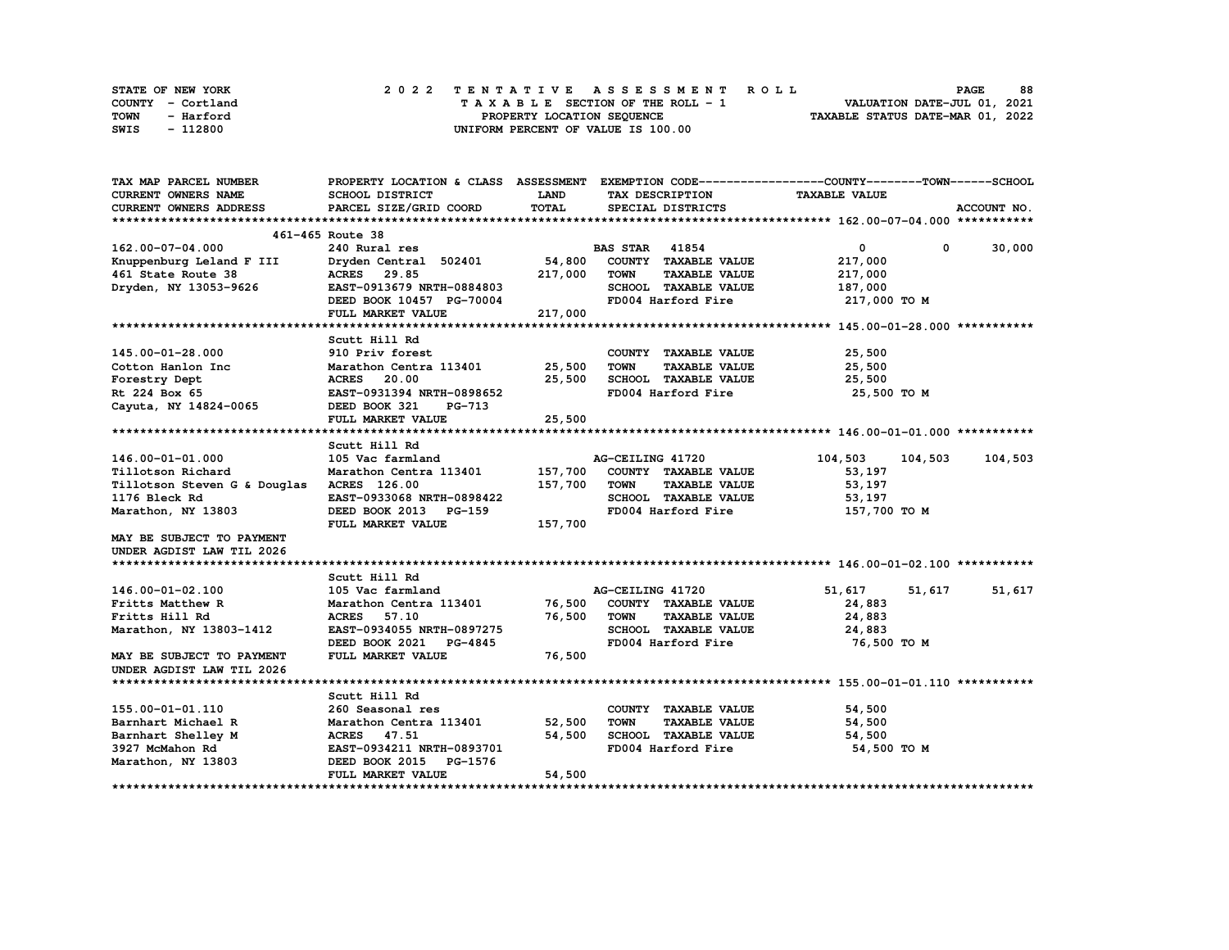| STATE OF NEW YORK | 2022 TENTATIVE ASSESSMENT ROLL     | 88<br><b>PAGE</b>                |
|-------------------|------------------------------------|----------------------------------|
| COUNTY - Cortland | TAXABLE SECTION OF THE ROLL - 1    | VALUATION DATE-JUL 01, 2021      |
| TOWN<br>- Harford | PROPERTY LOCATION SEQUENCE         | TAXABLE STATUS DATE-MAR 01, 2022 |
| - 112800<br>SWIS  | UNIFORM PERCENT OF VALUE IS 100.00 |                                  |

| TAX MAP PARCEL NUMBER                                                                | PROPERTY LOCATION & CLASS ASSESSMENT EXEMPTION CODE----------------COUNTY-------TOWN-----SCHOOL |             |                                     |                                |             |
|--------------------------------------------------------------------------------------|-------------------------------------------------------------------------------------------------|-------------|-------------------------------------|--------------------------------|-------------|
| <b>CURRENT OWNERS NAME</b>                                                           | SCHOOL DISTRICT                                                                                 | <b>LAND</b> | TAX DESCRIPTION                     | <b>TAXABLE VALUE</b>           |             |
| <b>CURRENT OWNERS ADDRESS</b>                                                        | PARCEL SIZE/GRID COORD                                                                          | TOTAL       | SPECIAL DISTRICTS                   |                                | ACCOUNT NO. |
|                                                                                      |                                                                                                 |             |                                     |                                |             |
|                                                                                      | 461-465 Route 38                                                                                |             |                                     |                                |             |
| 162.00-07-04.000                                                                     | 240 Rural res                                                                                   |             | <b>BAS STAR 41854</b>               | $\overline{0}$<br>$\mathbf{0}$ | 30,000      |
| Knuppenburg Leland F III                                                             | Dryden Central 502401 54,800                                                                    |             | COUNTY TAXABLE VALUE                | 217,000                        |             |
| 461 State Route 38                                                                   | ACRES 29.85                                                                                     | 217,000     | TOWN<br><b>TAXABLE VALUE</b>        | 217,000                        |             |
| Dryden, NY 13053-9626                                                                | EAST-0913679 NRTH-0884803                                                                       |             | SCHOOL TAXABLE VALUE                | 187,000                        |             |
|                                                                                      | DEED BOOK 10457 PG-70004                                                                        |             | FD004 Harford Fire 217,000 TO M     |                                |             |
|                                                                                      | FULL MARKET VALUE                                                                               | 217,000     |                                     |                                |             |
|                                                                                      |                                                                                                 |             |                                     |                                |             |
|                                                                                      | Scutt Hill Rd                                                                                   |             |                                     |                                |             |
| 145.00-01-28.000                                                                     | 910 Priv forest                                                                                 |             | COUNTY TAXABLE VALUE                | 25,500                         |             |
| Cotton Hanlon Inc 103401 Marathon Centra 113401 25,500<br>Forestry Dept 12.00 25,500 |                                                                                                 |             | <b>TOWN</b><br><b>TAXABLE VALUE</b> | 25,500                         |             |
| Forestry Dept                                                                        |                                                                                                 | 25,500      | SCHOOL TAXABLE VALUE                | 25,500                         |             |
| Rt 224 Box 65                                                                        | EAST-0931394 NRTH-0898652                                                                       |             | FD004 Harford Fire                  | 25,500 TO M                    |             |
| Cayuta, NY 14824-0065                                                                | DEED BOOK 321<br>PG-713                                                                         |             |                                     |                                |             |
|                                                                                      | FULL MARKET VALUE                                                                               | 25,500      |                                     |                                |             |
|                                                                                      |                                                                                                 |             |                                     |                                |             |
|                                                                                      | Scutt Hill Rd                                                                                   |             |                                     |                                |             |
| 146.00-01-01.000                                                                     | 105 Vac farmland                                                                                |             | AG-CEILING 41720                    | 104,503<br>104,503             | 104,503     |
| Tillotson Richard                                                                    | Marathon Centra 113401 157,700 COUNTY TAXABLE VALUE                                             |             |                                     | 53,197                         |             |
| Tillotson Steven G & Douglas ACRES 126.00                                            |                                                                                                 | 157,700     | <b>TOWN</b><br><b>TAXABLE VALUE</b> | 53,197                         |             |
| 1176 Bleck Rd                                                                        | EAST-0933068 NRTH-0898422                                                                       |             | SCHOOL TAXABLE VALUE                | 53,197                         |             |
| Marathon, NY 13803                                                                   | DEED BOOK 2013 PG-159                                                                           |             | FD004 Harford Fire                  | 157,700 TO M                   |             |
|                                                                                      | FULL MARKET VALUE                                                                               | 157,700     |                                     |                                |             |
| MAY BE SUBJECT TO PAYMENT                                                            |                                                                                                 |             |                                     |                                |             |
| UNDER AGDIST LAW TIL 2026                                                            |                                                                                                 |             |                                     |                                |             |
|                                                                                      |                                                                                                 |             |                                     |                                |             |
|                                                                                      | Scutt Hill Rd                                                                                   |             |                                     |                                |             |
| 146.00-01-02.100                                                                     | 105 Vac farmland                                                                                |             | AG-CEILING 41720                    | 51,617<br>51,617               | 51,617      |
| Fritts Matthew R                                                                     | Marathon Centra 113401 76,500 COUNTY TAXABLE VALUE                                              |             |                                     | 24,883                         |             |
| Fritts Hill Rd                                                                       | <b>ACRES</b> 57.10                                                                              | 76,500      | <b>TOWN</b><br><b>TAXABLE VALUE</b> | 24,883                         |             |
| Marathon, NY 13803-1412                                                              | EAST-0934055 NRTH-0897275                                                                       |             | SCHOOL TAXABLE VALUE                | 24,883                         |             |
|                                                                                      | DEED BOOK 2021 PG-4845                                                                          |             | FD004 Harford Fire                  | 76,500 то м                    |             |
| MAY BE SUBJECT TO PAYMENT                                                            | FULL MARKET VALUE                                                                               | 76,500      |                                     |                                |             |
| UNDER AGDIST LAW TIL 2026                                                            |                                                                                                 |             |                                     |                                |             |
|                                                                                      |                                                                                                 |             |                                     |                                |             |
|                                                                                      | Scutt Hill Rd                                                                                   |             |                                     |                                |             |
| 155.00-01-01.110                                                                     | 260 Seasonal res                                                                                |             | COUNTY TAXABLE VALUE                | 54,500                         |             |
| Barnhart Michael R                                                                   | Marathon Centra 113401                                                                          | 52,500      | <b>TOWN</b><br><b>TAXABLE VALUE</b> | 54,500                         |             |
| Barnhart Shelley M                                                                   | ACRES 47.51                                                                                     | 54,500      | SCHOOL TAXABLE VALUE 54,500         |                                |             |
| 3927 McMahon Rd                                                                      | EAST-0934211 NRTH-0893701                                                                       |             | FD004 Harford Fire                  | 54,500 TO M                    |             |
| Marathon, NY 13803                                                                   | DEED BOOK 2015 PG-1576                                                                          |             |                                     |                                |             |
|                                                                                      | FULL MARKET VALUE                                                                               | 54,500      |                                     |                                |             |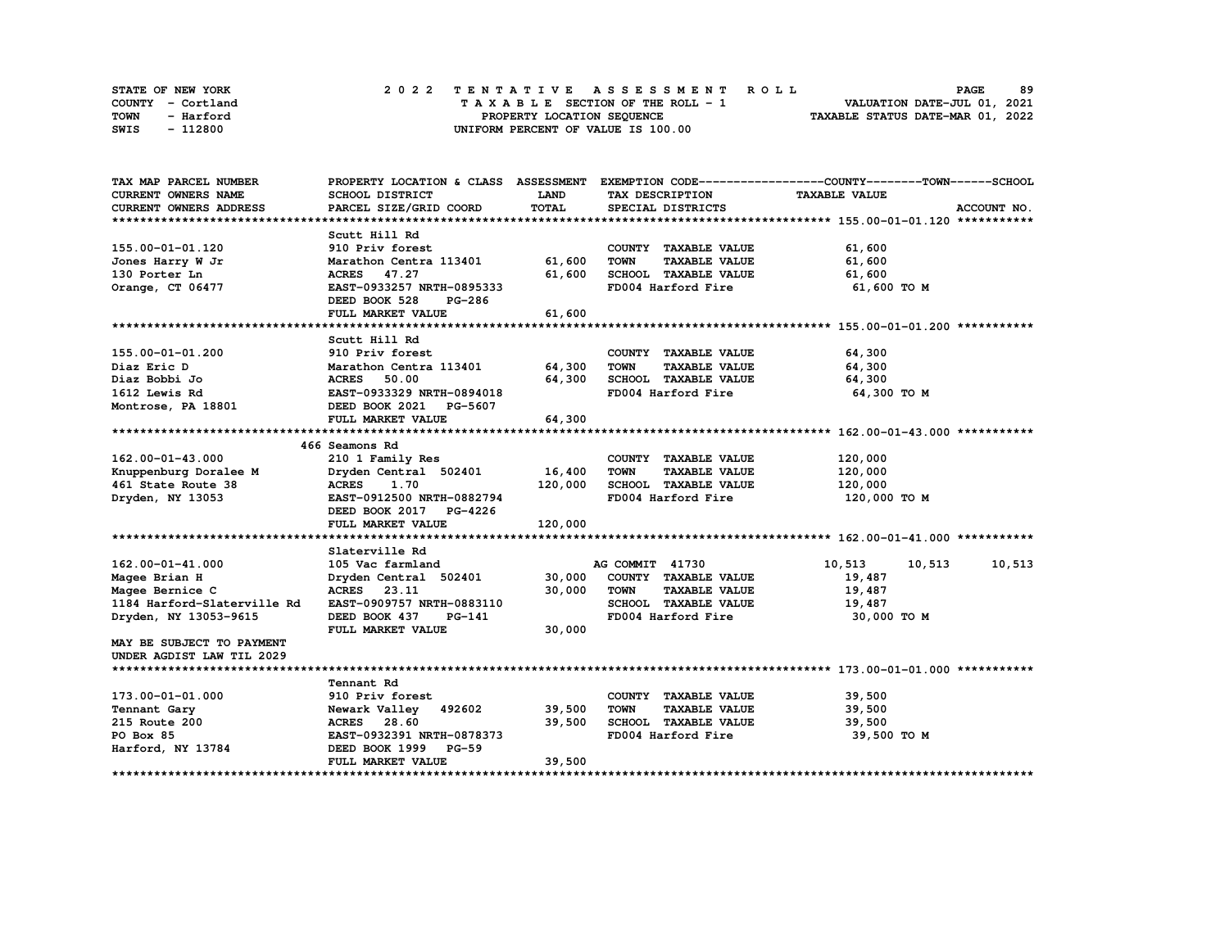| STATE OF NEW YORK | 2022 TENTATIVE ASSESSMENT ROLL     | 89<br><b>PAGE</b>                |
|-------------------|------------------------------------|----------------------------------|
| COUNTY - Cortland | TAXABLE SECTION OF THE ROLL - 1    | VALUATION DATE-JUL 01, 2021      |
| TOWN<br>- Harford | PROPERTY LOCATION SEQUENCE         | TAXABLE STATUS DATE-MAR 01, 2022 |
| - 112800<br>SWIS  | UNIFORM PERCENT OF VALUE IS 100.00 |                                  |

| TAX MAP PARCEL NUMBER                                |                                                   |             |                                     | PROPERTY LOCATION & CLASS ASSESSMENT EXEMPTION CODE----------------COUNTY-------TOWN-----SCHOOL |
|------------------------------------------------------|---------------------------------------------------|-------------|-------------------------------------|-------------------------------------------------------------------------------------------------|
| CURRENT OWNERS NAME                                  | SCHOOL DISTRICT                                   | <b>LAND</b> | TAX DESCRIPTION                     | <b>TAXABLE VALUE</b>                                                                            |
| <b>CURRENT OWNERS ADDRESS</b>                        | PARCEL SIZE/GRID COORD                            | TOTAL       | SPECIAL DISTRICTS                   | ACCOUNT NO.                                                                                     |
|                                                      |                                                   |             |                                     |                                                                                                 |
|                                                      | Scutt Hill Rd                                     |             |                                     |                                                                                                 |
| 155.00-01-01.120                                     | 910 Priv forest                                   |             | COUNTY TAXABLE VALUE                | 61,600                                                                                          |
| Jones Harry W Jr                                     | Marathon Centra 113401 61,600                     |             | <b>TOWN</b><br><b>TAXABLE VALUE</b> | 61,600                                                                                          |
| 130 Porter Ln                                        | ACRES 47.27                                       | 61,600      | SCHOOL TAXABLE VALUE                | 61,600                                                                                          |
| Orange, CT 06477                                     | EAST-0933257 NRTH-0895333                         |             | FD004 Harford Fire                  | 61,600 TO M                                                                                     |
|                                                      | DEED BOOK 528<br>PG-286                           |             |                                     |                                                                                                 |
|                                                      | FULL MARKET VALUE                                 | 61,600      |                                     |                                                                                                 |
|                                                      |                                                   |             |                                     |                                                                                                 |
|                                                      | Scutt Hill Rd                                     |             |                                     |                                                                                                 |
| 155.00-01-01.200                                     | 910 Priv forest                                   |             | COUNTY TAXABLE VALUE                | 64,300                                                                                          |
| Diaz Eric D                                          |                                                   |             | TOWN<br><b>TAXABLE VALUE</b>        | 64,300                                                                                          |
|                                                      | <b>ACRES</b><br>50.00                             | 64,300      | SCHOOL TAXABLE VALUE 64,300         |                                                                                                 |
| Diaz Bobbi Jo<br>1612 Lewis Rd<br>Montrose, PA 18801 | EAST-0933329 NRTH-0894018                         |             | FD004 Harford Fire                  | 64,300 TO M                                                                                     |
|                                                      | DEED BOOK 2021 PG-5607                            |             |                                     |                                                                                                 |
|                                                      | FULL MARKET VALUE                                 | 64,300      |                                     |                                                                                                 |
|                                                      |                                                   |             |                                     |                                                                                                 |
|                                                      | 466 Seamons Rd                                    |             |                                     |                                                                                                 |
| 162.00-01-43.000                                     | 210 1 Family Res                                  |             | COUNTY TAXABLE VALUE                | 120,000                                                                                         |
| Knuppenburg Doralee M                                | Dryden Central 502401 16,400                      |             | <b>TOWN</b><br><b>TAXABLE VALUE</b> | 120,000                                                                                         |
| 461 State Route 38                                   | <b>ACRES</b><br>1.70                              | 120,000     | SCHOOL TAXABLE VALUE                | 120,000                                                                                         |
| Dryden, NY 13053                                     | EAST-0912500 NRTH-0882794                         |             | FD004 Harford Fire                  | 120,000 то м                                                                                    |
|                                                      | DEED BOOK 2017 PG-4226                            |             |                                     |                                                                                                 |
|                                                      | FULL MARKET VALUE                                 | 120,000     |                                     |                                                                                                 |
|                                                      |                                                   |             |                                     |                                                                                                 |
|                                                      | Slaterville Rd                                    |             |                                     |                                                                                                 |
| 162.00-01-41.000                                     | 105 Vac farmland                                  |             | AG COMMIT 41730                     | 10,513<br>10,513 10,513                                                                         |
| Magee Brian H                                        | Dryden Central 502401 30,000 COUNTY TAXABLE VALUE |             |                                     | 19,487                                                                                          |
| Magee Bernice C                                      | ACRES 23.11                                       | 30,000      | <b>TOWN</b><br><b>TAXABLE VALUE</b> | 19,487                                                                                          |
| 1184 Harford-Slaterville Rd                          | EAST-0909757 NRTH-0883110                         |             | SCHOOL TAXABLE VALUE                | 19,487                                                                                          |
| Dryden, NY 13053-9615                                | DEED BOOK 437<br>PG-141                           |             | FD004 Harford Fire                  | 30,000 TO M                                                                                     |
|                                                      | FULL MARKET VALUE                                 | 30,000      |                                     |                                                                                                 |
| MAY BE SUBJECT TO PAYMENT                            |                                                   |             |                                     |                                                                                                 |
| UNDER AGDIST LAW TIL 2029                            |                                                   |             |                                     |                                                                                                 |
|                                                      |                                                   |             |                                     |                                                                                                 |
|                                                      | Tennant Rd                                        |             |                                     |                                                                                                 |
| 173.00-01-01.000                                     | 910 Priv forest                                   |             | COUNTY TAXABLE VALUE                | 39,500                                                                                          |
| Tennant Gary                                         | Newark Valley 492602 39,500                       |             | <b>TOWN</b><br><b>TAXABLE VALUE</b> | 39,500                                                                                          |
| 215 Route 200                                        | ACRES 28.60                                       | 39,500      | <b>SCHOOL TAXABLE VALUE</b>         | 39,500                                                                                          |
| PO Box 85                                            | EAST-0932391 NRTH-0878373                         |             | FD004 Harford Fire                  | 39,500 TO M                                                                                     |
| Harford, NY 13784                                    | DEED BOOK 1999 PG-59                              |             |                                     |                                                                                                 |
|                                                      | FULL MARKET VALUE                                 | 39,500      |                                     |                                                                                                 |
|                                                      |                                                   |             |                                     |                                                                                                 |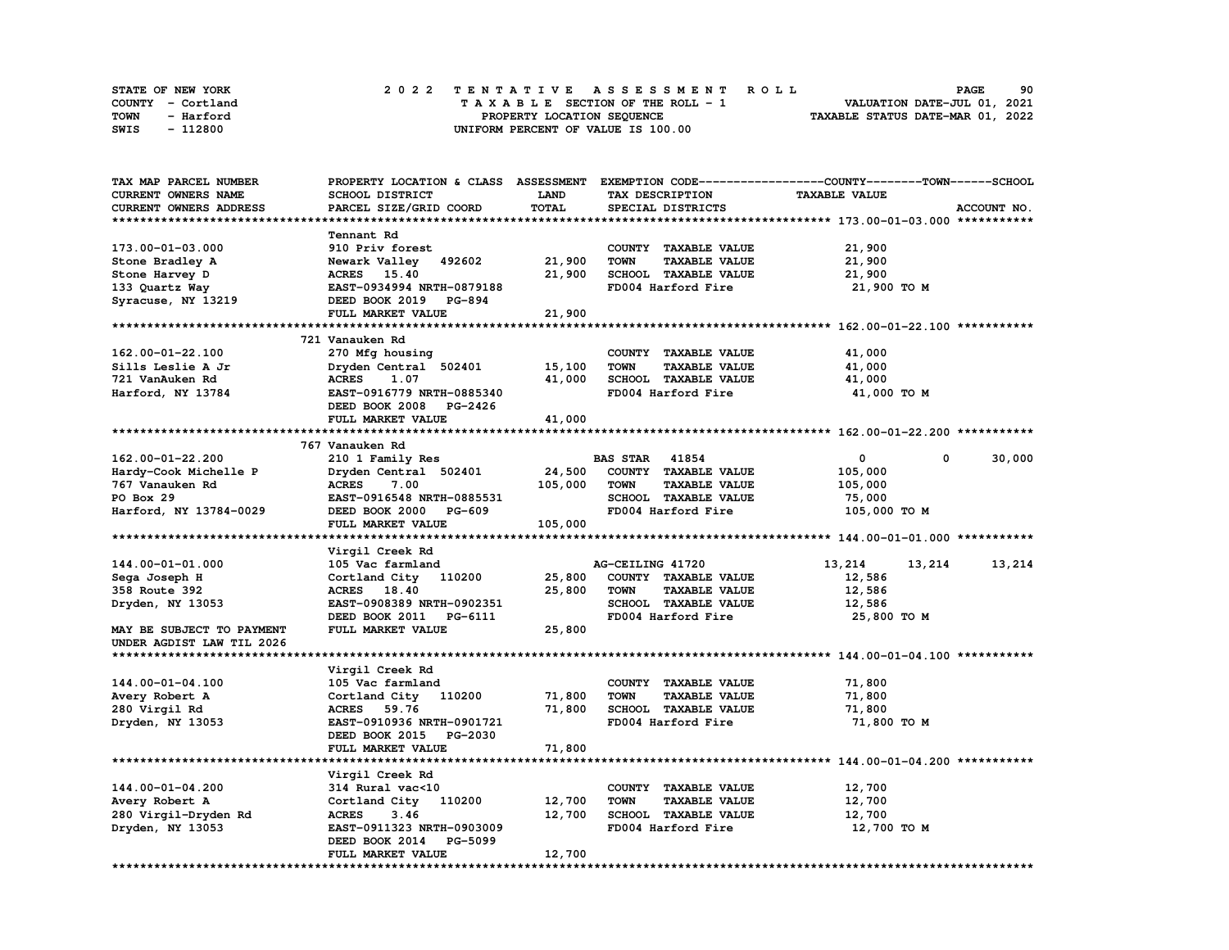| <b>STATE OF NEW YORK</b> | 2022 TENTATIVE ASSESSMENT ROLL          | 90<br><b>PAGE</b>                |
|--------------------------|-----------------------------------------|----------------------------------|
| COUNTY - Cortland        | $T A X A B L E$ SECTION OF THE ROLL - 1 | VALUATION DATE-JUL 01, 2021      |
| TOWN<br>- Harford        | PROPERTY LOCATION SEQUENCE              | TAXABLE STATUS DATE-MAR 01, 2022 |
| - 112800<br>SWIS         | UNIFORM PERCENT OF VALUE IS 100.00      |                                  |

| TAX MAP PARCEL NUMBER     | PROPERTY LOCATION & CLASS ASSESSMENT EXEMPTION CODE-----------------COUNTY-------TOWN------SCHOOL |          |                                     |                        |             |
|---------------------------|---------------------------------------------------------------------------------------------------|----------|-------------------------------------|------------------------|-------------|
| CURRENT OWNERS NAME       | <b>SCHOOL DISTRICT</b>                                                                            | LAND     | TAX DESCRIPTION                     | <b>TAXABLE VALUE</b>   |             |
| CURRENT OWNERS ADDRESS    | PARCEL SIZE/GRID COORD                                                                            | TOTAL    | SPECIAL DISTRICTS                   |                        | ACCOUNT NO. |
|                           |                                                                                                   |          |                                     |                        |             |
|                           | Tennant Rd                                                                                        |          |                                     |                        |             |
| 173.00-01-03.000          | 910 Priv forest                                                                                   |          | COUNTY TAXABLE VALUE                | 21,900                 |             |
| Stone Bradley A           | Newark Valley<br>492602                                                                           | 21,900   | <b>TOWN</b><br><b>TAXABLE VALUE</b> | 21,900                 |             |
| Stone Harvey D            | ACRES 15.40                                                                                       | 21,900   | SCHOOL TAXABLE VALUE                | 21,900                 |             |
| 133 Quartz Way            | EAST-0934994 NRTH-0879188                                                                         |          | FD004 Harford Fire                  | 21,900 TO M            |             |
| Syracuse, NY 13219        | DEED BOOK 2019 PG-894                                                                             |          |                                     |                        |             |
|                           | FULL MARKET VALUE                                                                                 | 21,900   |                                     |                        |             |
|                           |                                                                                                   |          |                                     |                        |             |
|                           | 721 Vanauken Rd                                                                                   |          |                                     |                        |             |
| 162.00-01-22.100          | 270 Mfg housing                                                                                   |          | COUNTY TAXABLE VALUE                | 41,000                 |             |
| Sills Leslie A Jr         | Dryden Central 502401                                                                             | 15,100   | <b>TOWN</b><br><b>TAXABLE VALUE</b> | 41,000                 |             |
| 721 VanAuken Rd           | <b>ACRES</b><br>1.07                                                                              | 41,000   | SCHOOL TAXABLE VALUE                | 41,000                 |             |
| Harford, NY 13784         | EAST-0916779 NRTH-0885340                                                                         |          | FD004 Harford Fire                  | 41,000 TO M            |             |
|                           | DEED BOOK 2008 PG-2426                                                                            |          |                                     |                        |             |
|                           | FULL MARKET VALUE                                                                                 | 41,000   |                                     |                        |             |
|                           |                                                                                                   |          |                                     |                        |             |
|                           | 767 Vanauken Rd                                                                                   |          |                                     |                        |             |
| 162.00-01-22.200          |                                                                                                   |          | <b>BAS STAR</b><br>41854            | 0                      | 0<br>30,000 |
| Hardy-Cook Michelle P     | 210 1 Family Res<br>Dryden Central 502401                                                         | 24,500   | COUNTY TAXABLE VALUE                | 105,000                |             |
| 767 Vanauken Rd           | <b>ACRES</b><br>7.00                                                                              | 105,000  | <b>TAXABLE VALUE</b><br><b>TOWN</b> | 105,000                |             |
| PO Box 29                 | EAST-0916548 NRTH-0885531                                                                         |          | SCHOOL TAXABLE VALUE                |                        |             |
| Harford, NY 13784-0029    | DEED BOOK 2000 PG-609                                                                             |          | FD004 Harford Fire                  | 75,000<br>105,000 TO M |             |
|                           | FULL MARKET VALUE                                                                                 | 105,000  |                                     |                        |             |
|                           |                                                                                                   |          |                                     |                        |             |
|                           | Virgil Creek Rd                                                                                   |          |                                     |                        |             |
| 144.00-01-01.000          | 105 Vac farmland                                                                                  |          | AG-CEILING 41720                    | 13,214<br>13,214       | 13,214      |
| Sega Joseph H             | 110200<br>Cortland City                                                                           | 25,800   | COUNTY TAXABLE VALUE                | 12,586                 |             |
| 358 Route 392             | ACRES 18.40                                                                                       | 25,800   | <b>TOWN</b><br><b>TAXABLE VALUE</b> | 12,586                 |             |
| Dryden, NY 13053          | EAST-0908389 NRTH-0902351                                                                         |          | SCHOOL TAXABLE VALUE                | 12,586                 |             |
|                           | DEED BOOK 2011<br>PG-6111                                                                         |          | FD004 Harford Fire                  | 25,800 TO M            |             |
| MAY BE SUBJECT TO PAYMENT | FULL MARKET VALUE                                                                                 | 25,800   |                                     |                        |             |
| UNDER AGDIST LAW TIL 2026 |                                                                                                   |          |                                     |                        |             |
|                           |                                                                                                   |          |                                     |                        |             |
|                           | Virgil Creek Rd                                                                                   |          |                                     |                        |             |
| 144.00-01-04.100          | 105 Vac farmland                                                                                  |          | COUNTY TAXABLE VALUE                | 71,800                 |             |
| Avery Robert A            | Cortland City<br>110200                                                                           | 71,800   | <b>TOWN</b><br><b>TAXABLE VALUE</b> | 71,800                 |             |
| 280 Virgil Rd             | 59.76<br><b>ACRES</b>                                                                             | 71,800   | SCHOOL TAXABLE VALUE                | 71,800                 |             |
| Dryden, NY 13053          | EAST-0910936 NRTH-0901721                                                                         |          | FD004 Harford Fire                  | 71,800 TO M            |             |
|                           | DEED BOOK 2015<br><b>PG-2030</b>                                                                  |          |                                     |                        |             |
|                           | <b>FULL MARKET VALUE</b>                                                                          | 71,800   |                                     |                        |             |
| ************************* | ***************************                                                                       | ******** |                                     |                        |             |
|                           | Virgil Creek Rd                                                                                   |          |                                     |                        |             |
| 144.00-01-04.200          | 314 Rural vac<10                                                                                  |          | COUNTY TAXABLE VALUE                | 12,700                 |             |
| Avery Robert A            | 110200<br>Cortland City                                                                           | 12,700   | <b>TOWN</b><br><b>TAXABLE VALUE</b> | 12,700                 |             |
| 280 Virgil-Dryden Rd      | <b>ACRES</b><br>3.46                                                                              | 12,700   | SCHOOL TAXABLE VALUE                | 12,700                 |             |
| Dryden, NY 13053          | EAST-0911323 NRTH-0903009                                                                         |          | FD004 Harford Fire                  | 12,700 TO M            |             |
|                           | DEED BOOK 2014<br><b>PG-5099</b>                                                                  |          |                                     |                        |             |
|                           | FULL MARKET VALUE                                                                                 |          |                                     |                        |             |
|                           |                                                                                                   | 12,700   |                                     |                        |             |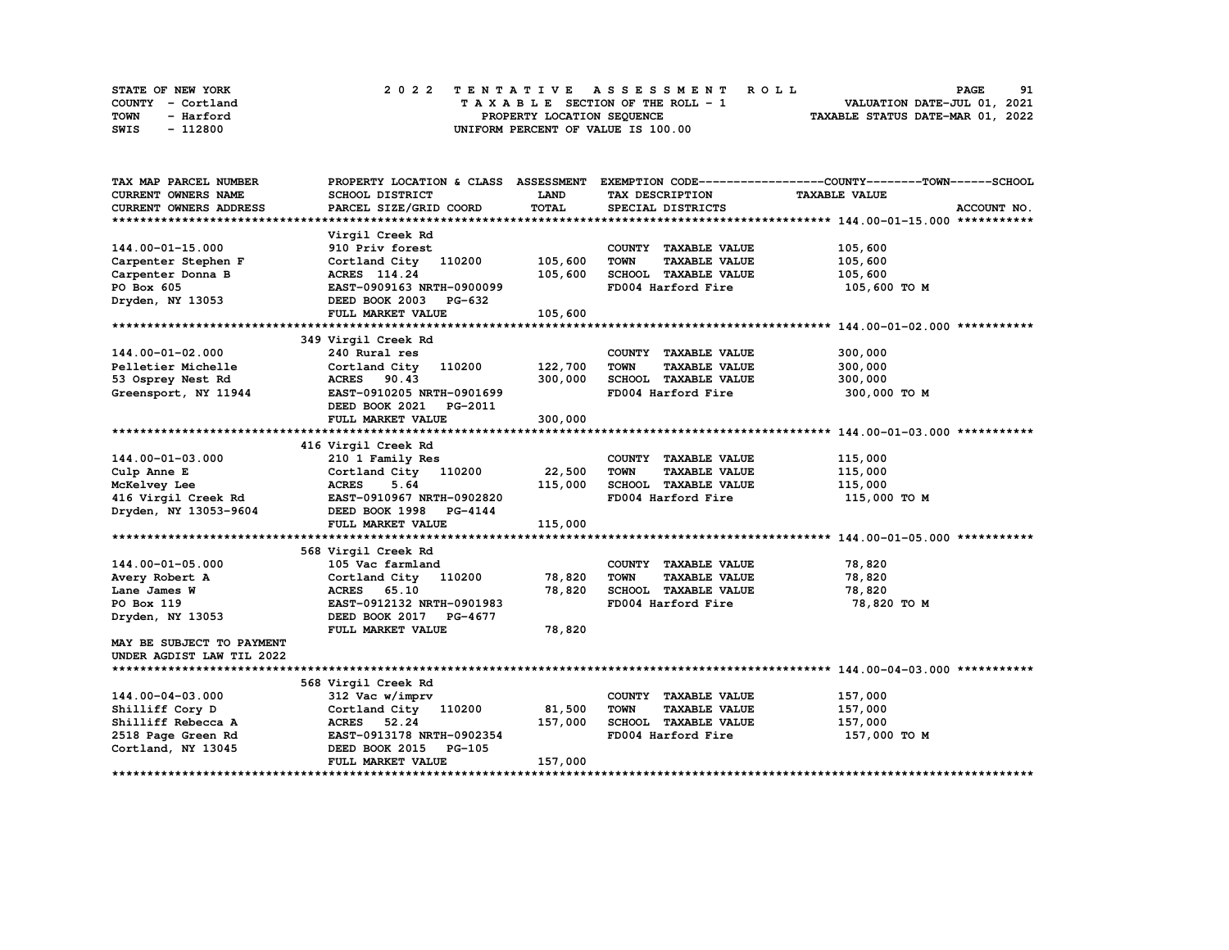| STATE OF NEW YORK | 2022 TENTATIVE ASSESSMENT ROLL     | 91<br><b>PAGE</b>                |
|-------------------|------------------------------------|----------------------------------|
| COUNTY - Cortland | TAXABLE SECTION OF THE ROLL - 1    | VALUATION DATE-JUL 01, 2021      |
| TOWN<br>- Harford | PROPERTY LOCATION SEQUENCE         | TAXABLE STATUS DATE-MAR 01, 2022 |
| - 112800<br>SWIS  | UNIFORM PERCENT OF VALUE IS 100.00 |                                  |

| TAX MAP PARCEL NUMBER         | PROPERTY LOCATION & CLASS ASSESSMENT |         |                                     | EXEMPTION CODE-----------------COUNTY-------TOWN------SCHOOL |
|-------------------------------|--------------------------------------|---------|-------------------------------------|--------------------------------------------------------------|
| CURRENT OWNERS NAME           | SCHOOL DISTRICT                      | LAND    | TAX DESCRIPTION                     | <b>TAXABLE VALUE</b>                                         |
| <b>CURRENT OWNERS ADDRESS</b> | PARCEL SIZE/GRID COORD               | TOTAL   | SPECIAL DISTRICTS                   | ACCOUNT NO.                                                  |
|                               |                                      |         |                                     |                                                              |
|                               | Virgil Creek Rd                      |         |                                     |                                                              |
| 144.00-01-15.000              | 910 Priv forest                      |         | COUNTY TAXABLE VALUE                | 105,600                                                      |
| Carpenter Stephen F           | Cortland City 110200                 | 105,600 | <b>TOWN</b><br><b>TAXABLE VALUE</b> | 105,600                                                      |
| Carpenter Donna B             | ACRES 114.24                         | 105,600 | SCHOOL TAXABLE VALUE                | 105,600                                                      |
| PO Box 605                    | EAST-0909163 NRTH-0900099            |         | FD004 Harford Fire                  | 105,600 то м                                                 |
| Dryden, NY 13053              | DEED BOOK 2003 PG-632                |         |                                     |                                                              |
|                               | FULL MARKET VALUE                    | 105,600 |                                     |                                                              |
|                               |                                      |         |                                     |                                                              |
|                               | 349 Virgil Creek Rd                  |         |                                     |                                                              |
| 144.00-01-02.000              | 240 Rural res                        |         | COUNTY TAXABLE VALUE                | 300,000                                                      |
| Pelletier Michelle            | Cortland City 110200                 | 122,700 | <b>TOWN</b><br><b>TAXABLE VALUE</b> | 300,000                                                      |
| 53 Osprey Nest Rd             | ACRES 90.43                          | 300,000 | SCHOOL TAXABLE VALUE                | 300,000                                                      |
| Greensport, NY 11944          | EAST-0910205 NRTH-0901699            |         | FD004 Harford Fire                  | 300,000 TO M                                                 |
|                               | DEED BOOK 2021<br>PG-2011            |         |                                     |                                                              |
|                               | FULL MARKET VALUE                    | 300,000 |                                     |                                                              |
|                               |                                      |         |                                     |                                                              |
|                               | 416 Virgil Creek Rd                  |         |                                     |                                                              |
| 144.00-01-03.000              | 210 1 Family Res                     |         | COUNTY TAXABLE VALUE                | 115,000                                                      |
| Culp Anne E                   | Cortland City 110200                 | 22,500  | <b>TOWN</b><br><b>TAXABLE VALUE</b> | 115,000                                                      |
| McKelvey Lee                  | <b>ACRES</b><br>5.64                 | 115,000 | SCHOOL TAXABLE VALUE                | 115,000                                                      |
| 416 Virgil Creek Rd           | EAST-0910967 NRTH-0902820            |         | FD004 Harford Fire                  | 115,000 TO M                                                 |
| Dryden, NY 13053-9604         | DEED BOOK 1998 PG-4144               |         |                                     |                                                              |
|                               | FULL MARKET VALUE                    | 115,000 |                                     |                                                              |
|                               |                                      |         |                                     |                                                              |
|                               | 568 Virgil Creek Rd                  |         |                                     |                                                              |
| 144.00-01-05.000              | 105 Vac farmland                     |         | COUNTY TAXABLE VALUE                | 78,820                                                       |
| Avery Robert A                | Cortland City 110200                 | 78,820  | <b>TOWN</b><br><b>TAXABLE VALUE</b> | 78,820                                                       |
| Lane James W                  | ACRES 65.10                          | 78,820  | SCHOOL TAXABLE VALUE                | 78,820                                                       |
| PO Box 119                    | EAST-0912132 NRTH-0901983            |         | FD004 Harford Fire                  | 78,820 TO M                                                  |
| Dryden, NY 13053              | DEED BOOK 2017 PG-4677               |         |                                     |                                                              |
|                               | FULL MARKET VALUE                    | 78,820  |                                     |                                                              |
| MAY BE SUBJECT TO PAYMENT     |                                      |         |                                     |                                                              |
| UNDER AGDIST LAW TIL 2022     |                                      |         |                                     |                                                              |
|                               |                                      |         |                                     |                                                              |
|                               | 568 Virgil Creek Rd                  |         |                                     |                                                              |
| 144.00-04-03.000              | 312 Vac w/imprv                      |         | COUNTY TAXABLE VALUE                | 157,000                                                      |
| Shilliff Cory D               | Cortland City 110200                 | 81,500  | <b>TOWN</b><br><b>TAXABLE VALUE</b> | 157,000                                                      |
| Shilliff Rebecca A            | ACRES 52.24                          | 157,000 | SCHOOL TAXABLE VALUE                | 157,000                                                      |
| 2518 Page Green Rd            | EAST-0913178 NRTH-0902354            |         | FD004 Harford Fire                  | 157,000 TO M                                                 |
| Cortland, NY 13045            | DEED BOOK 2015<br><b>PG-105</b>      |         |                                     |                                                              |
|                               | FULL MARKET VALUE                    | 157,000 |                                     |                                                              |
|                               |                                      |         |                                     |                                                              |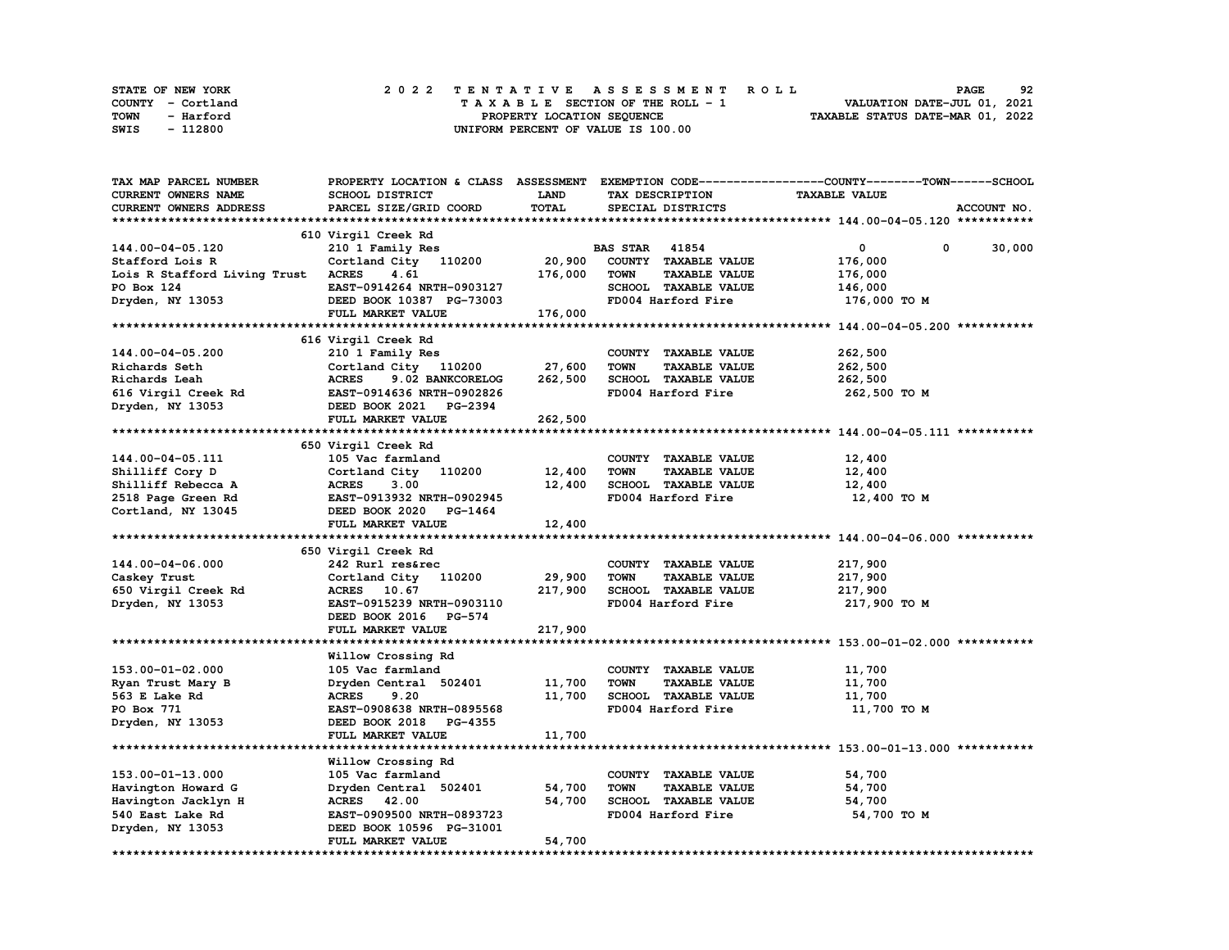| <b>STATE OF NEW YORK</b> | 2022 TENTATIVE ASSESSMENT ROLL          | 92<br><b>PAGE</b>                |
|--------------------------|-----------------------------------------|----------------------------------|
| COUNTY - Cortland        | $T A X A B L E$ SECTION OF THE ROLL - 1 | VALUATION DATE-JUL 01, 2021      |
| TOWN<br>- Harford        | PROPERTY LOCATION SEQUENCE              | TAXABLE STATUS DATE-MAR 01, 2022 |
| - 112800<br>SWIS         | UNIFORM PERCENT OF VALUE IS 100.00      |                                  |

| TAX MAP PARCEL NUMBER              |                                  |             |                                     | PROPERTY LOCATION & CLASS ASSESSMENT EXEMPTION CODE----------------COUNTY-------TOWN-----SCHOOL |
|------------------------------------|----------------------------------|-------------|-------------------------------------|-------------------------------------------------------------------------------------------------|
| CURRENT OWNERS NAME                | SCHOOL DISTRICT                  | <b>LAND</b> | TAX DESCRIPTION                     | <b>TAXABLE VALUE</b>                                                                            |
| CURRENT OWNERS ADDRESS             | PARCEL SIZE/GRID COORD           | TOTAL       | SPECIAL DISTRICTS                   | ACCOUNT NO.                                                                                     |
|                                    |                                  |             |                                     |                                                                                                 |
|                                    | 610 Virgil Creek Rd              |             |                                     |                                                                                                 |
| 144.00-04-05.120                   | 210 1 Family Res                 |             | <b>BAS STAR</b> 41854               | $\mathbf 0$<br>0<br>30,000                                                                      |
| Stafford Lois R                    | Cortland City 110200             | 20,900      | COUNTY TAXABLE VALUE                | 176,000                                                                                         |
| Lois R Stafford Living Trust ACRES | 4.61                             | 176,000     | <b>TOWN</b><br><b>TAXABLE VALUE</b> | 176,000                                                                                         |
| PO Box 124                         | EAST-0914264 NRTH-0903127        |             | SCHOOL TAXABLE VALUE                | 146,000                                                                                         |
| Dryden, NY 13053                   | DEED BOOK 10387 PG-73003         |             | FD004 Harford Fire                  | 176,000 то м                                                                                    |
|                                    | FULL MARKET VALUE                | 176,000     |                                     |                                                                                                 |
|                                    |                                  |             |                                     |                                                                                                 |
|                                    |                                  |             |                                     |                                                                                                 |
|                                    | 616 Virgil Creek Rd              |             |                                     |                                                                                                 |
| 144.00-04-05.200                   | 210 1 Family Res                 |             | COUNTY TAXABLE VALUE                | 262,500                                                                                         |
| Richards Seth                      | Cortland City 110200             | 27,600      | <b>TOWN</b><br><b>TAXABLE VALUE</b> | 262,500                                                                                         |
| Richards Leah                      | 9.02 BANKCORELOG<br><b>ACRES</b> | 262,500     | SCHOOL TAXABLE VALUE                | 262,500                                                                                         |
| 616 Virgil Creek Rd                | EAST-0914636 NRTH-0902826        |             | FD004 Harford Fire                  | 262,500 TO M                                                                                    |
| Dryden, NY 13053                   | DEED BOOK 2021 PG-2394           |             |                                     |                                                                                                 |
|                                    | FULL MARKET VALUE                | 262,500     |                                     |                                                                                                 |
|                                    |                                  |             |                                     |                                                                                                 |
|                                    | 650 Virgil Creek Rd              |             |                                     |                                                                                                 |
| 144.00-04-05.111                   | 105 Vac farmland                 |             | COUNTY TAXABLE VALUE                | 12,400                                                                                          |
| Shilliff Cory D                    | Cortland City 110200             | 12,400      | <b>TOWN</b><br><b>TAXABLE VALUE</b> | 12,400                                                                                          |
| Shilliff Rebecca A                 | <b>ACRES</b><br>3.00             | 12,400      | SCHOOL TAXABLE VALUE                | 12,400                                                                                          |
| 2518 Page Green Rd                 | EAST-0913932 NRTH-0902945        |             | FD004 Harford Fire                  | 12,400 TO M                                                                                     |
| Cortland, NY 13045                 | DEED BOOK 2020 PG-1464           |             |                                     |                                                                                                 |
|                                    | FULL MARKET VALUE                | 12,400      |                                     |                                                                                                 |
|                                    |                                  |             |                                     |                                                                                                 |
|                                    | 650 Virgil Creek Rd              |             |                                     |                                                                                                 |
| 144.00-04-06.000                   | 242 Rurl res&rec                 |             | COUNTY TAXABLE VALUE                | 217,900                                                                                         |
| Caskey Trust                       | Cortland City 110200             | 29,900      | <b>TAXABLE VALUE</b><br><b>TOWN</b> | 217,900                                                                                         |
| 650 Virgil Creek Rd                | ACRES 10.67                      | 217,900     | SCHOOL TAXABLE VALUE                | 217,900                                                                                         |
| Dryden, NY 13053                   | EAST-0915239 NRTH-0903110        |             | FD004 Harford Fire                  | 217,900 то м                                                                                    |
|                                    | DEED BOOK 2016 PG-574            |             |                                     |                                                                                                 |
|                                    | FULL MARKET VALUE                | 217,900     |                                     |                                                                                                 |
|                                    |                                  |             |                                     |                                                                                                 |
|                                    | Willow Crossing Rd               |             |                                     |                                                                                                 |
| 153.00-01-02.000                   | 105 Vac farmland                 |             | COUNTY TAXABLE VALUE                | 11,700                                                                                          |
| Ryan Trust Mary B                  | Dryden Central 502401            | 11,700      | <b>TOWN</b><br><b>TAXABLE VALUE</b> | 11,700                                                                                          |
| 563 E Lake Rd                      | <b>ACRES</b><br>9.20             | 11,700      | SCHOOL TAXABLE VALUE                | 11,700                                                                                          |
|                                    | EAST-0908638 NRTH-0895568        |             |                                     |                                                                                                 |
| PO Box 771                         |                                  |             | FD004 Harford Fire                  | 11,700 TO M                                                                                     |
| Dryden, NY 13053                   | DEED BOOK 2018 PG-4355           |             |                                     |                                                                                                 |
|                                    | FULL MARKET VALUE                | 11,700      |                                     |                                                                                                 |
|                                    |                                  |             |                                     |                                                                                                 |
|                                    | Willow Crossing Rd               |             |                                     |                                                                                                 |
| 153.00-01-13.000                   | 105 Vac farmland                 |             | COUNTY TAXABLE VALUE                | 54,700                                                                                          |
| Havington Howard G                 | Dryden Central 502401            | 54,700      | <b>TOWN</b><br><b>TAXABLE VALUE</b> | 54,700                                                                                          |
| Havington Jacklyn H                | ACRES 42.00                      | 54,700      | SCHOOL TAXABLE VALUE                | 54,700                                                                                          |
| 540 East Lake Rd                   | EAST-0909500 NRTH-0893723        |             | FD004 Harford Fire                  | 54,700 TO M                                                                                     |
| Dryden, NY 13053                   | DEED BOOK 10596 PG-31001         |             |                                     |                                                                                                 |
|                                    | FULL MARKET VALUE                | 54,700      |                                     |                                                                                                 |
|                                    |                                  |             |                                     |                                                                                                 |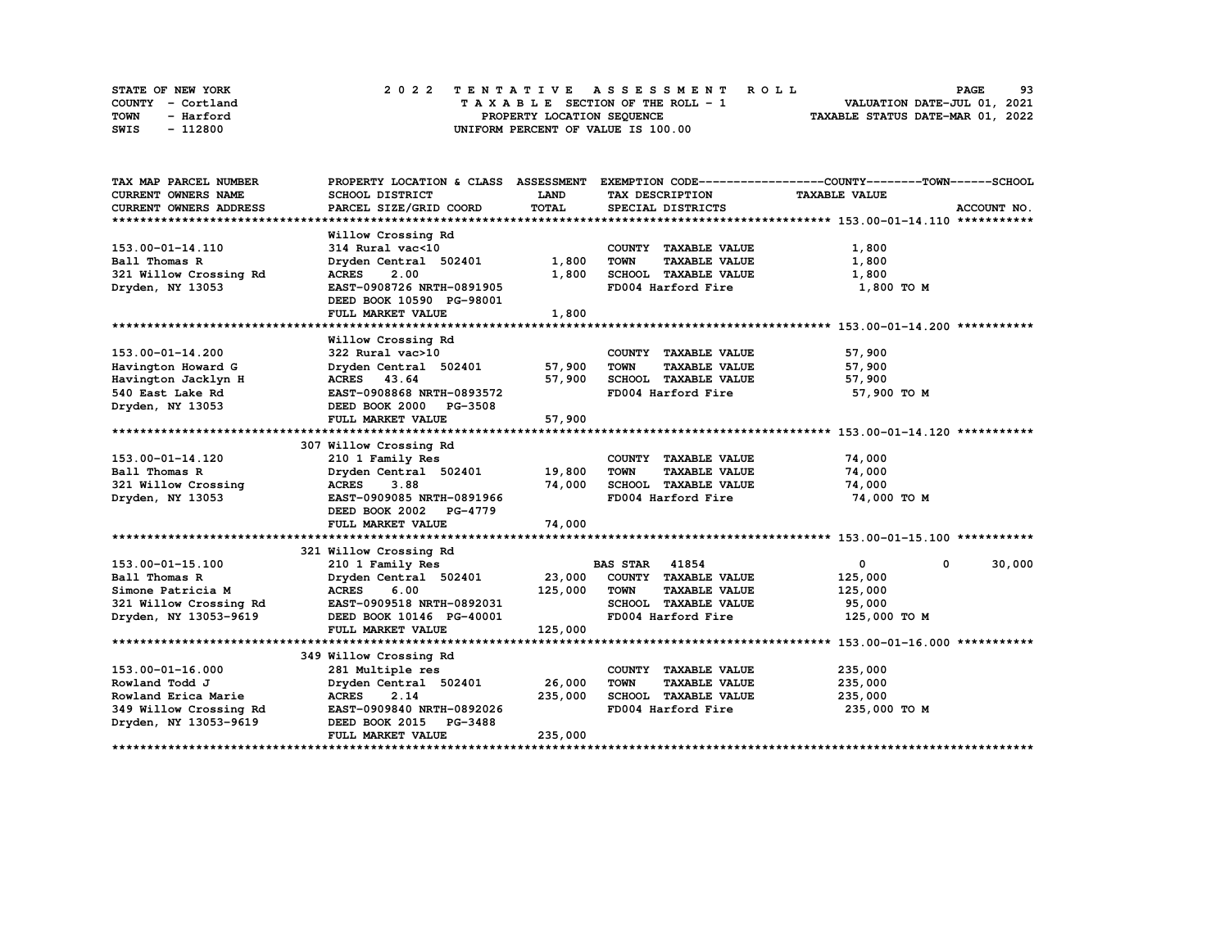| STATE OF NEW YORK | 2022 TENTATIVE ASSESSMENT ROLL     | 93<br><b>PAGE</b>                |
|-------------------|------------------------------------|----------------------------------|
| COUNTY - Cortland | TAXABLE SECTION OF THE ROLL - 1    | VALUATION DATE-JUL 01, 2021      |
| TOWN<br>- Harford | PROPERTY LOCATION SEQUENCE         | TAXABLE STATUS DATE-MAR 01, 2022 |
| - 112800<br>SWIS  | UNIFORM PERCENT OF VALUE IS 100.00 |                                  |

| TAX MAP PARCEL NUMBER      | PROPERTY LOCATION & CLASS ASSESSMENT |             |                                     | EXEMPTION CODE-----------------COUNTY-------TOWN------SCHOOL |
|----------------------------|--------------------------------------|-------------|-------------------------------------|--------------------------------------------------------------|
| <b>CURRENT OWNERS NAME</b> | SCHOOL DISTRICT                      | <b>LAND</b> | TAX DESCRIPTION                     | <b>TAXABLE VALUE</b>                                         |
| CURRENT OWNERS ADDRESS     | PARCEL SIZE/GRID COORD               | TOTAL       | SPECIAL DISTRICTS                   | ACCOUNT NO.                                                  |
|                            |                                      |             |                                     |                                                              |
|                            | Willow Crossing Rd                   |             |                                     |                                                              |
| 153.00-01-14.110           | 314 Rural vac<10                     |             | COUNTY TAXABLE VALUE                | 1,800                                                        |
| Ball Thomas R              | Dryden Central 502401                | 1,800       | <b>TOWN</b><br><b>TAXABLE VALUE</b> | 1,800                                                        |
| 321 Willow Crossing Rd     | 2.00<br><b>ACRES</b>                 | 1,800       | SCHOOL TAXABLE VALUE                | 1,800                                                        |
| Dryden, NY 13053           | EAST-0908726 NRTH-0891905            |             | FD004 Harford Fire                  | 1,800 TO M                                                   |
|                            | DEED BOOK 10590 PG-98001             |             |                                     |                                                              |
|                            | FULL MARKET VALUE                    | 1,800       |                                     |                                                              |
|                            |                                      |             |                                     |                                                              |
|                            | Willow Crossing Rd                   |             |                                     |                                                              |
| 153.00-01-14.200           | 322 Rural vac>10                     |             | COUNTY TAXABLE VALUE                | 57,900                                                       |
| Havington Howard G         | Dryden Central 502401                | 57,900      | <b>TOWN</b><br><b>TAXABLE VALUE</b> | 57,900                                                       |
| Havington Jacklyn H        | ACRES 43.64                          | 57,900      | SCHOOL TAXABLE VALUE                | 57,900                                                       |
| 540 East Lake Rd           | EAST-0908868 NRTH-0893572            |             | FD004 Harford Fire                  | 57,900 TO M                                                  |
| Dryden, NY 13053           | DEED BOOK 2000 PG-3508               |             |                                     |                                                              |
|                            | FULL MARKET VALUE                    | 57,900      |                                     |                                                              |
|                            |                                      |             |                                     |                                                              |
|                            | 307 Willow Crossing Rd               |             |                                     |                                                              |
| 153.00-01-14.120           | 210 1 Family Res                     |             | COUNTY TAXABLE VALUE                | 74,000                                                       |
| Ball Thomas R              | Dryden Central 502401 19,800         |             | <b>TOWN</b><br><b>TAXABLE VALUE</b> | 74,000                                                       |
| 321 Willow Crossing        | 3.88<br><b>ACRES</b>                 | 74,000      | SCHOOL TAXABLE VALUE                | 74,000                                                       |
| Dryden, NY 13053           | EAST-0909085 NRTH-0891966            |             | FD004 Harford Fire                  | 74,000 TO M                                                  |
|                            | DEED BOOK 2002 PG-4779               |             |                                     |                                                              |
|                            | FULL MARKET VALUE                    | 74,000      |                                     |                                                              |
|                            |                                      |             |                                     |                                                              |
|                            | 321 Willow Crossing Rd               |             |                                     |                                                              |
| 153.00-01-15.100           | 210 1 Family Res                     |             | <b>BAS STAR 41854</b>               | $\mathbf{0}$<br>30,000<br>$\mathbf 0$                        |
| Ball Thomas R              | Dryden Central 502401                | 23,000      | COUNTY TAXABLE VALUE                | 125,000                                                      |
| Simone Patricia M          | <b>ACRES</b><br>6.00                 | 125,000     | <b>TOWN</b><br><b>TAXABLE VALUE</b> | 125,000                                                      |
| 321 Willow Crossing Rd     | EAST-0909518 NRTH-0892031            |             | SCHOOL TAXABLE VALUE                | 95,000                                                       |
| Dryden, NY 13053-9619      | DEED BOOK 10146 PG-40001             |             | FD004 Harford Fire                  | 125,000 TO M                                                 |
|                            | FULL MARKET VALUE                    | 125,000     |                                     |                                                              |
|                            |                                      |             |                                     |                                                              |
|                            | 349 Willow Crossing Rd               |             |                                     |                                                              |
| 153.00-01-16.000           | 281 Multiple res                     |             | COUNTY TAXABLE VALUE                | 235,000                                                      |
| Rowland Todd J             | Dryden Central 502401                | 26,000      | <b>TOWN</b><br><b>TAXABLE VALUE</b> | 235,000                                                      |
| Rowland Erica Marie        | 2.14<br><b>ACRES</b>                 | 235,000     | SCHOOL TAXABLE VALUE                | 235,000                                                      |
| 349 Willow Crossing Rd     | EAST-0909840 NRTH-0892026            |             | FD004 Harford Fire                  | 235,000 TO M                                                 |
| Dryden, NY 13053-9619      | DEED BOOK 2015 PG-3488               |             |                                     |                                                              |
|                            | FULL MARKET VALUE                    | 235,000     |                                     |                                                              |
|                            |                                      |             |                                     |                                                              |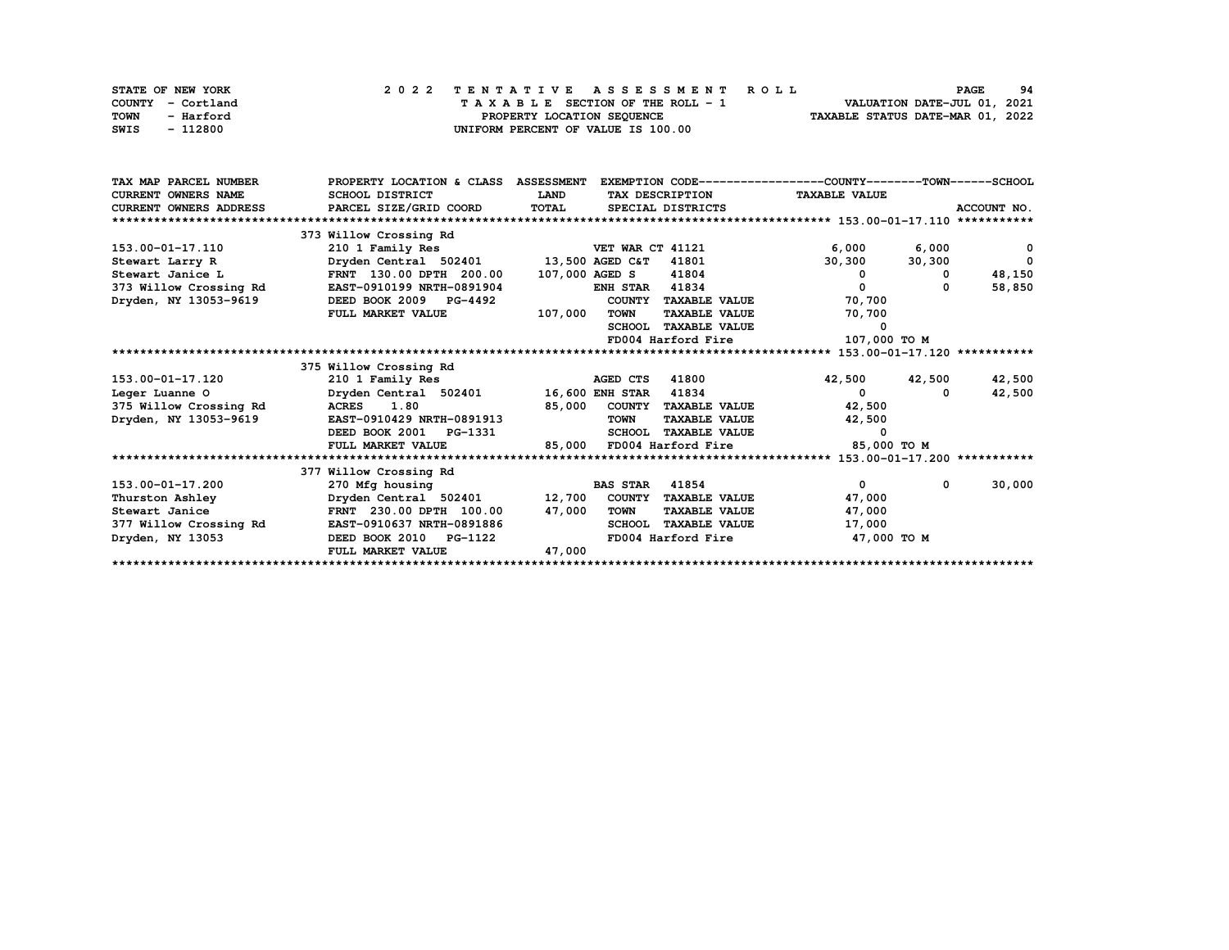| STATE OF NEW YORK | 2022 TENTATIVE ASSESSMENT ROLL     | 94<br><b>PAGE</b>                |
|-------------------|------------------------------------|----------------------------------|
| COUNTY - Cortland | TAXABLE SECTION OF THE ROLL - 1    | VALUATION DATE-JUL 01, 2021      |
| TOWN<br>- Harford | PROPERTY LOCATION SEQUENCE         | TAXABLE STATUS DATE-MAR 01, 2022 |
| - 112800<br>SWIS  | UNIFORM PERCENT OF VALUE IS 100.00 |                                  |

| TAX MAP PARCEL NUMBER      | PROPERTY LOCATION & CLASS ASSESSMENT              |              |                                       | EXEMPTION CODE-----------------COUNTY-------TOWN------SCHOOL |             |
|----------------------------|---------------------------------------------------|--------------|---------------------------------------|--------------------------------------------------------------|-------------|
| <b>CURRENT OWNERS NAME</b> | <b>SCHOOL DISTRICT</b>                            | <b>LAND</b>  | TAX DESCRIPTION                       | <b>TAXABLE VALUE</b>                                         |             |
| CURRENT OWNERS ADDRESS     | PARCEL SIZE/GRID COORD                            | <b>TOTAL</b> | SPECIAL DISTRICTS                     |                                                              | ACCOUNT NO. |
|                            |                                                   |              |                                       |                                                              |             |
|                            | 373 Willow Crossing Rd                            |              |                                       |                                                              |             |
| 153.00-01-17.110           | 210 1 Family Res                                  |              | VET WAR CT 41121                      | 6,000<br>6,000                                               | 0           |
| Stewart Larry R            | Dryden Central 502401 13,500 AGED C&T 41801       |              |                                       | 30,300<br>30,300                                             | $\Omega$    |
| Stewart Janice L           | FRNT 130.00 DPTH 200.00                           |              | 107,000 AGED S<br>41804               | 0<br>$\mathbf 0$                                             | 48,150      |
| 373 Willow Crossing Rd     | EAST-0910199 NRTH-0891904                         |              | 41834<br><b>ENH STAR</b>              | $\Omega$<br>$\Omega$                                         | 58,850      |
| Dryden, NY 13053-9619      | DEED BOOK 2009 PG-4492                            |              | COUNTY TAXABLE VALUE                  | 70,700                                                       |             |
|                            | FULL MARKET VALUE                                 | 107,000      | <b>TAXABLE VALUE</b><br><b>TOWN</b>   | 70,700                                                       |             |
|                            |                                                   |              | <b>SCHOOL</b><br><b>TAXABLE VALUE</b> | 0                                                            |             |
|                            |                                                   |              | FD004 Harford Fire                    | 107,000 TO M                                                 |             |
|                            |                                                   |              |                                       |                                                              |             |
|                            | 375 Willow Crossing Rd                            |              |                                       |                                                              |             |
| 153.00-01-17.120           | 210 1 Family Res                                  |              | AGED CTS<br>41800                     | 42,500 42,500                                                | 42,500      |
| Leger Luanne O             | Dryden Central 502401 16,600 ENH STAR             |              | 41834                                 | $\mathbf{0}$<br>$\Omega$                                     | 42,500      |
| 375 Willow Crossing Rd     | ACRES 1.80                                        |              | 85,000 COUNTY TAXABLE VALUE           | 42,500                                                       |             |
| Dryden, NY 13053-9619      | EAST-0910429 NRTH-0891913                         |              | <b>TOWN</b><br><b>TAXABLE VALUE</b>   | 42,500                                                       |             |
|                            | DEED BOOK 2001 PG-1331                            |              | <b>TAXABLE VALUE</b><br><b>SCHOOL</b> | 0                                                            |             |
|                            | FULL MARKET VALUE                                 |              | 85,000 FD004 Harford Fire             | 85,000 TO M                                                  |             |
|                            |                                                   |              |                                       |                                                              |             |
|                            | 377 Willow Crossing Rd                            |              |                                       |                                                              |             |
| 153.00-01-17.200           | 270 Mfg housing                                   |              | <b>BAS STAR</b> 41854                 | $\overline{0}$<br>0                                          | 30,000      |
| Thurston Ashley            | Dryden Central 502401 12,700 COUNTY TAXABLE VALUE |              |                                       | 47,000                                                       |             |
| Stewart Janice             | FRNT 230.00 DPTH 100.00                           | 47,000       | <b>TAXABLE VALUE</b><br>TOWN          | 47,000                                                       |             |
| 377 Willow Crossing Rd     | EAST-0910637 NRTH-0891886                         |              | <b>TAXABLE VALUE</b><br><b>SCHOOL</b> | 17,000                                                       |             |
| Dryden, NY 13053           | DEED BOOK 2010 PG-1122                            |              | FD004 Harford Fire                    | 47,000 TO M                                                  |             |
|                            | FULL MARKET VALUE                                 | 47,000       |                                       |                                                              |             |
|                            |                                                   |              |                                       |                                                              |             |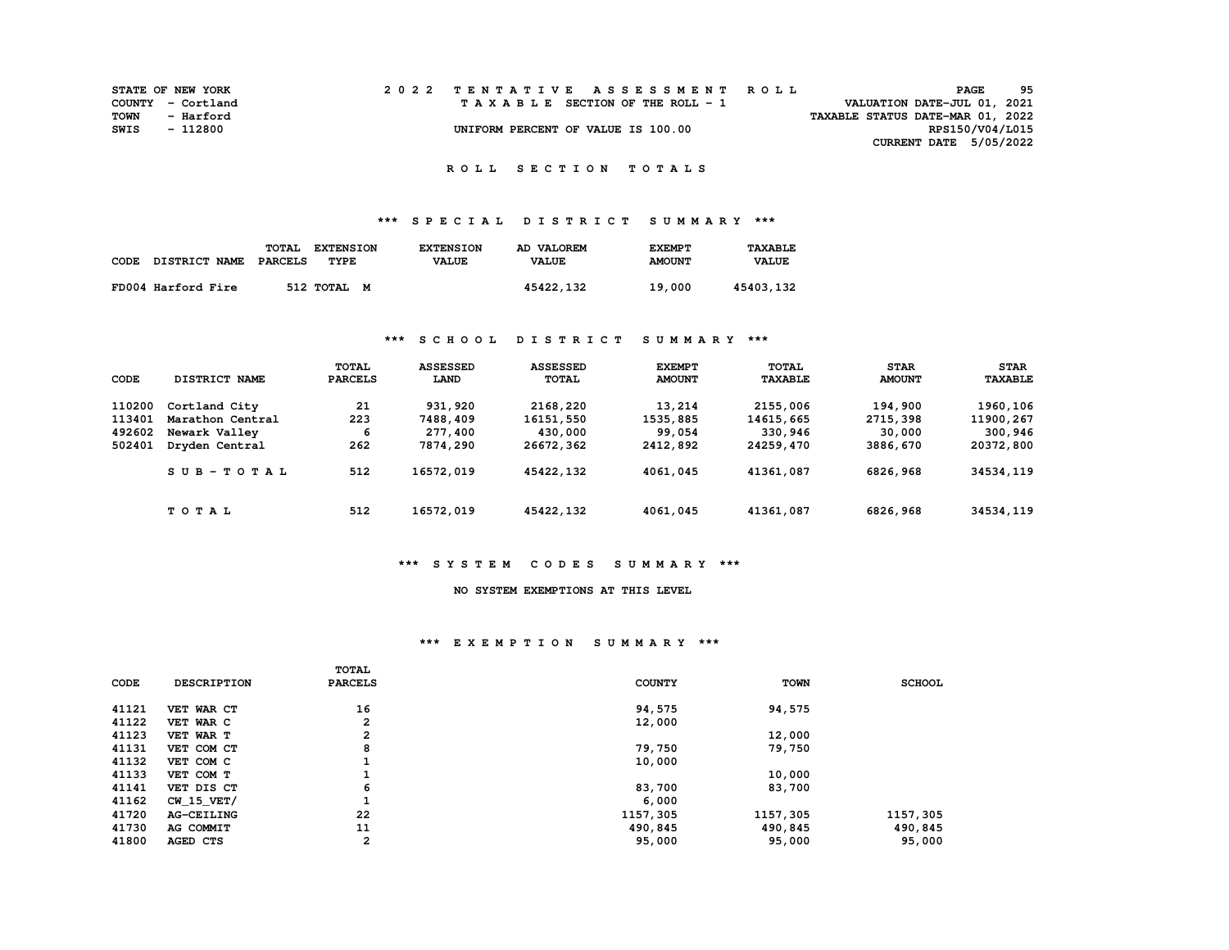|      | <b>STATE OF NEW YORK</b> |  | 2022 TENTATIVE ASSESSMENT ROLL     |                                  | PAGE                        | 95 |
|------|--------------------------|--|------------------------------------|----------------------------------|-----------------------------|----|
|      | COUNTY - Cortland        |  | TAXABLE SECTION OF THE ROLL - 1    |                                  | VALUATION DATE-JUL 01, 2021 |    |
| TOWN | - Harford                |  |                                    | TAXABLE STATUS DATE-MAR 01, 2022 |                             |    |
| SWIS | - 112800                 |  | UNIFORM PERCENT OF VALUE IS 100.00 |                                  | RPS150/V04/L015             |    |
|      |                          |  |                                    |                                  | CURRENT DATE 5/05/2022      |    |

# **\*\*\* S P E C I A L D I S T R I C T S U M M A R Y \*\*\***

| CODE | <b>DISTRICT NAME</b> | TOTAL<br><b>EXTENSION</b><br>PARCELS<br>TYPE | <b>EXTENSION</b><br><b>VALUE</b> | AD VALOREM<br><b>VALUE</b> | <b>EXEMPT</b><br><b>AMOUNT</b> | <b>TAXABLE</b><br><b>VALUE</b> |
|------|----------------------|----------------------------------------------|----------------------------------|----------------------------|--------------------------------|--------------------------------|
|      | FD004 Harford Fire   | 512 TOTAL M                                  |                                  | 45422,132                  | 19,000                         | 45403,132                      |

### **\*\*\* S C H O O L D I S T R I C T S U M M A R Y \*\*\***

| CODE   | DISTRICT NAME    | <b>TOTAL</b><br><b>PARCELS</b> | <b>ASSESSED</b><br>LAND | <b>ASSESSED</b><br>TOTAL | <b>EXEMPT</b><br><b>AMOUNT</b> | TOTAL<br><b>TAXABLE</b> | <b>STAR</b><br><b>AMOUNT</b> | <b>STAR</b><br><b>TAXABLE</b> |
|--------|------------------|--------------------------------|-------------------------|--------------------------|--------------------------------|-------------------------|------------------------------|-------------------------------|
| 110200 | Cortland City    | 21                             | 931,920                 | 2168,220                 | 13,214                         | 2155,006                | 194,900                      | 1960,106                      |
| 113401 | Marathon Central | 223                            | 7488,409                | 16151,550                | 1535,885                       | 14615,665               | 2715,398                     | 11900,267                     |
| 492602 | Newark Valley    | 6                              | 277,400                 | 430,000                  | 99,054                         | 330,946                 | 30,000                       | 300,946                       |
| 502401 | Dryden Central   | 262                            | 7874,290                | 26672,362                | 2412,892                       | 24259,470               | 3886,670                     | 20372,800                     |
|        | $SUB-TOTAL$      | 512                            | 16572,019               | 45422,132                | 4061,045                       | 41361,087               | 6826,968                     | 34534,119                     |
|        | <b>TOTAL</b>     | 512                            | 16572,019               | 45422,132                | 4061,045                       | 41361,087               | 6826,968                     | 34534,119                     |

#### **\*\*\* S Y S T E M C O D E S S U M M A R Y \*\*\***

## **NO SYSTEM EXEMPTIONS AT THIS LEVEL**

#### **\*\*\* E X E M P T I O N S U M M A R Y \*\*\***

|       |                    | <b>TOTAL</b>   |               |             |               |
|-------|--------------------|----------------|---------------|-------------|---------------|
| CODE  | <b>DESCRIPTION</b> | <b>PARCELS</b> | <b>COUNTY</b> | <b>TOWN</b> | <b>SCHOOL</b> |
|       |                    |                |               |             |               |
| 41121 | VET WAR CT         | 16             | 94,575        | 94,575      |               |
| 41122 | VET WAR C          | 2              | 12,000        |             |               |
| 41123 | VET WAR T          | 2              |               | 12,000      |               |
| 41131 | VET COM CT         | 8              | 79,750        | 79,750      |               |
| 41132 | VET COM C          |                | 10,000        |             |               |
| 41133 | VET COM T          | <b>.</b>       |               | 10,000      |               |
| 41141 | VET DIS CT         | 6              | 83,700        | 83,700      |               |
| 41162 | CW 15 VET/         | ÷              | 6,000         |             |               |
| 41720 | <b>AG-CEILING</b>  | 22             | 1157,305      | 1157,305    | 1157,305      |
| 41730 | AG COMMIT          | 11             | 490,845       | 490,845     | 490,845       |
| 41800 | AGED CTS           | $\mathbf{2}$   | 95,000        | 95,000      | 95,000        |
|       |                    |                |               |             |               |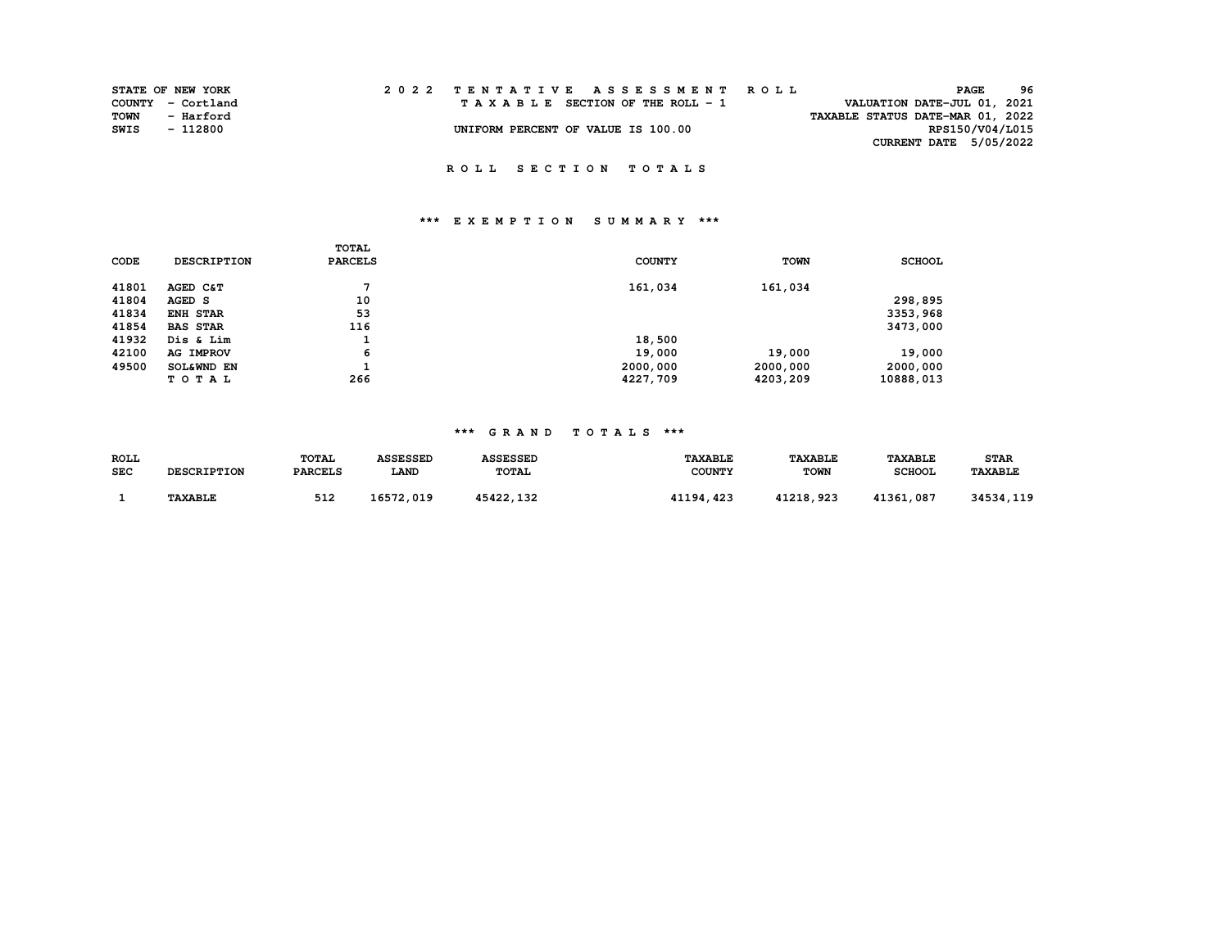|             | STATE OF NEW YORK |  | 2022 TENTATIVE ASSESSMENT ROLL |  |  |  |                                    |  |  |  |  |  |                                  | <b>PAGE</b> | 96              |
|-------------|-------------------|--|--------------------------------|--|--|--|------------------------------------|--|--|--|--|--|----------------------------------|-------------|-----------------|
|             | COUNTY - Cortland |  |                                |  |  |  | TAXABLE SECTION OF THE ROLL - 1    |  |  |  |  |  | VALUATION DATE-JUL 01, 2021      |             |                 |
| <b>TOWN</b> | - Harford         |  |                                |  |  |  |                                    |  |  |  |  |  | TAXABLE STATUS DATE-MAR 01, 2022 |             |                 |
| SWIS        | - 112800          |  |                                |  |  |  | UNIFORM PERCENT OF VALUE IS 100.00 |  |  |  |  |  |                                  |             | RPS150/V04/L015 |
|             |                   |  |                                |  |  |  |                                    |  |  |  |  |  | CURRENT DATE 5/05/2022           |             |                 |

## **\*\*\* E X E M P T I O N S U M M A R Y \*\*\***

|             |                    | TOTAL          |               |             |               |
|-------------|--------------------|----------------|---------------|-------------|---------------|
| <b>CODE</b> | <b>DESCRIPTION</b> | <b>PARCELS</b> | <b>COUNTY</b> | <b>TOWN</b> | <b>SCHOOL</b> |
| 41801       | AGED C&T           | ⇁              | 161,034       | 161,034     |               |
| 41804       | AGED S             | 10             |               |             | 298,895       |
| 41834       | <b>ENH STAR</b>    | 53             |               |             | 3353,968      |
| 41854       | <b>BAS STAR</b>    | 116            |               |             | 3473,000      |
| 41932       | Dis & Lim          | л.             | 18,500        |             |               |
| 42100       | AG IMPROV          | 6              | 19,000        | 19,000      | 19,000        |
| 49500       | SOL&WND EN         |                | 2000,000      | 2000,000    | 2000,000      |
|             | TOTAL              | 266            | 4227,709      | 4203,209    | 10888,013     |

### **\*\*\* G R A N D T O T A L S \*\*\***

| <b>ROLL</b> |                    | TOTAL          | <b>ASSESSED</b> | <b>ASSESSED</b> | <b>TAXABLE</b> | <b>TAXABLE</b> | <b>TAXABLE</b> | <b>STAR</b>           |
|-------------|--------------------|----------------|-----------------|-----------------|----------------|----------------|----------------|-----------------------|
| <b>SEC</b>  | <b>DESCRIPTION</b> | <b>PARCELS</b> | LAND            | TOTAL           | COUNTY         | <b>TOWN</b>    | <b>SCHOOL</b>  | <b><i>TAXABLE</i></b> |
|             | <b>TAXABLE</b>     | 512            | 16572,019       | 45422,132       | 41194, 423     | 41218,923      | 41361,087      | 34534,119             |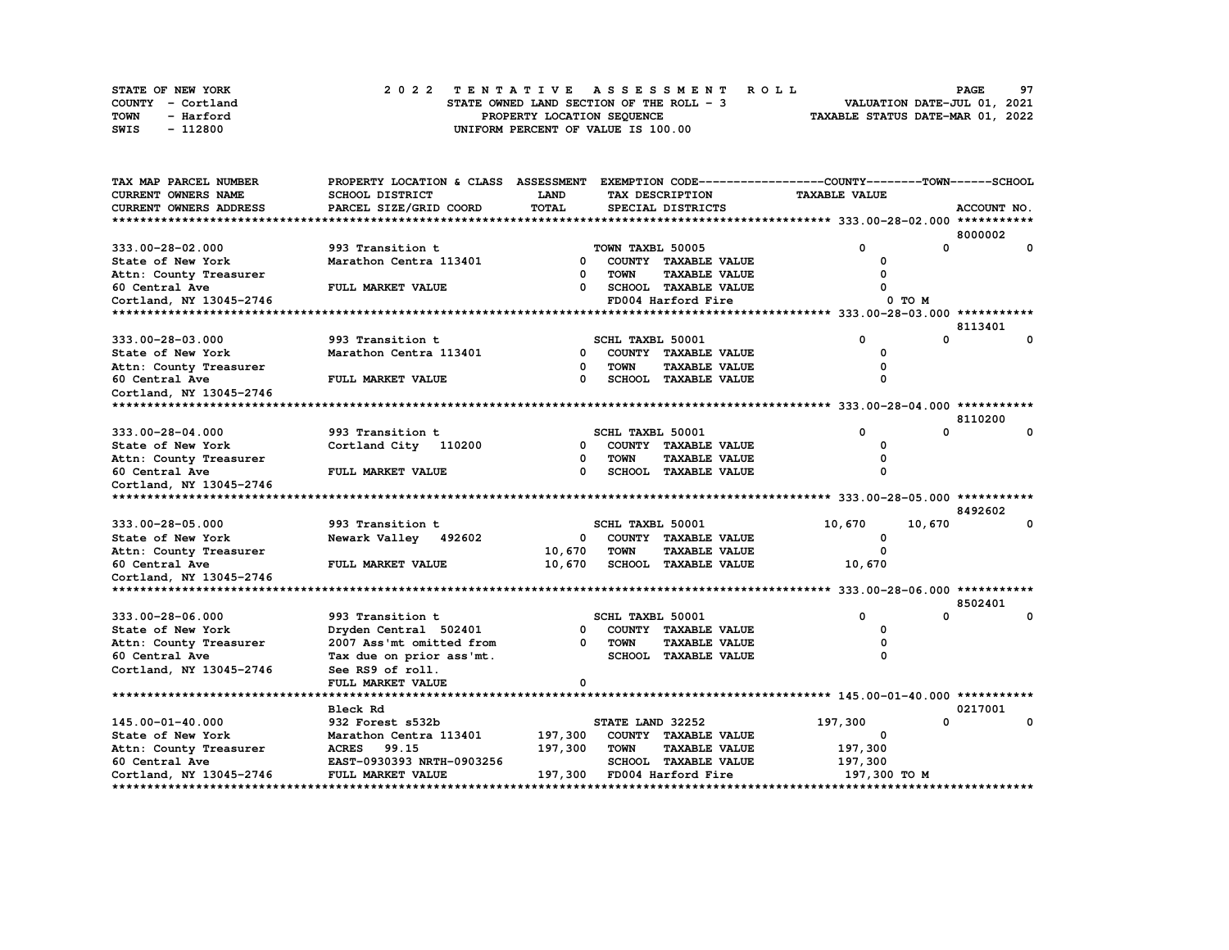| <b>STATE OF NEW YORK</b> |  | 2022 TENTATIVE ASSESSMENT ROLL           |  | <b>PAGE</b>                      | 97 |
|--------------------------|--|------------------------------------------|--|----------------------------------|----|
| COUNTY - Cortland        |  | STATE OWNED LAND SECTION OF THE ROLL - 3 |  | VALUATION DATE-JUL 01, 2021      |    |
| TOWN<br>- Harford        |  | PROPERTY LOCATION SEOUENCE               |  | TAXABLE STATUS DATE-MAR 01, 2022 |    |
| - 112800<br>SWIS         |  | UNIFORM PERCENT OF VALUE IS 100.00       |  |                                  |    |

| <b>CURRENT OWNERS NAME</b><br>SCHOOL DISTRICT<br><b>LAND</b><br><b>TAXABLE VALUE</b><br>TAX DESCRIPTION<br><b>TOTAL</b><br>CURRENT OWNERS ADDRESS<br>PARCEL SIZE/GRID COORD<br>SPECIAL DISTRICTS<br>ACCOUNT NO.<br>8000002<br>0<br>0<br>333.00-28-02.000<br>993 Transition t<br>TOWN TAXBL 50005<br>0<br>Marathon Centra 113401<br>$\mathbf{0}$<br>State of New York<br>COUNTY TAXABLE VALUE<br><b>TAXABLE VALUE</b><br>Attn: County Treasurer<br>$\Omega$<br><b>TOWN</b><br><b>SCHOOL TAXABLE VALUE</b><br>60 Central Ave<br>FULL MARKET VALUE<br><sup>n</sup><br>FD004 Harford Fire<br>Cortland, NY 13045-2746<br>0 TO M<br>8113401<br>$\Omega$<br>333.00-28-03.000<br>993 Transition t<br>SCHL TAXBL 50001<br>$\Omega$<br>0<br>Marathon Centra 113401<br>0<br>COUNTY TAXABLE VALUE<br><sup>0</sup><br>0<br><b>TOWN</b><br><b>TAXABLE VALUE</b><br>0<br>60 Central Ave<br>FULL MARKET VALUE<br><b>SCHOOL TAXABLE VALUE</b><br>$\Omega$<br>$\Omega$<br>Cortland, NY 13045-2746<br>8110200<br>$\mathbf{0}$<br>0<br>993 Transition t<br>SCHL TAXBL 50001<br>0<br>Cortland City 110200<br>COUNTY TAXABLE VALUE<br>State of New York<br>$^{\circ}$<br>$\Omega$<br>$\Omega$<br><b>TOWN</b><br><b>TAXABLE VALUE</b><br>FULL MARKET VALUE<br>$\Omega$<br><b>SCHOOL TAXABLE VALUE</b><br>60 Central Ave<br>$\Omega$<br>8492602<br>0<br>993 Transition t<br>10,670<br>10,670<br>333.00-28-05.000<br>SCHL TAXBL 50001<br>Newark Valley 492602<br>COUNTY TAXABLE VALUE<br>$^{\circ}$<br>0<br>10,670<br><b>TOWN</b><br><b>TAXABLE VALUE</b><br>$\Omega$<br><b>SCHOOL TAXABLE VALUE</b><br>60 Central Ave<br>FULL MARKET VALUE<br>10,670<br>10,670<br>Cortland, NY 13045-2746<br>8502401<br>0<br>$\Omega$<br>SCHL TAXBL 50001<br>993 Transition t<br>0<br>Dryden Central 502401<br>COUNTY TAXABLE VALUE<br>$\Omega$<br>0<br>2007 Ass'mt omitted from<br>TOWN<br><b>TAXABLE VALUE</b><br>0<br>$\Omega$<br>60 Central Ave<br>Tax due on prior ass'mt.<br>SCHOOL TAXABLE VALUE<br>O<br>Cortland, NY 13045-2746<br>See RS9 of roll.<br>FULL MARKET VALUE<br>0<br>Bleck Rd<br>0217001<br>0<br>0<br>932 Forest s532b<br>STATE LAND 32252<br>197,300<br>197,300<br>State of New York<br>COUNTY TAXABLE VALUE<br>Marathon Centra 113401<br>0<br>197,300<br><b>TOWN</b><br><b>TAXABLE VALUE</b><br>197,300<br>ACRES 99.15<br>EAST-0930393 NRTH-0903256<br>SCHOOL TAXABLE VALUE<br>197,300<br>197,300<br>Cortland, NY 13045-2746<br>FULL MARKET VALUE<br>FD004 Harford Fire<br>197,300 то м | TAX MAP PARCEL NUMBER   | PROPERTY LOCATION & CLASS ASSESSMENT |  | EXEMPTION CODE-----------------COUNTY-------TOWN------SCHOOL |  |
|-----------------------------------------------------------------------------------------------------------------------------------------------------------------------------------------------------------------------------------------------------------------------------------------------------------------------------------------------------------------------------------------------------------------------------------------------------------------------------------------------------------------------------------------------------------------------------------------------------------------------------------------------------------------------------------------------------------------------------------------------------------------------------------------------------------------------------------------------------------------------------------------------------------------------------------------------------------------------------------------------------------------------------------------------------------------------------------------------------------------------------------------------------------------------------------------------------------------------------------------------------------------------------------------------------------------------------------------------------------------------------------------------------------------------------------------------------------------------------------------------------------------------------------------------------------------------------------------------------------------------------------------------------------------------------------------------------------------------------------------------------------------------------------------------------------------------------------------------------------------------------------------------------------------------------------------------------------------------------------------------------------------------------------------------------------------------------------------------------------------------------------------------------------------------------------------------------------------------------------------------------------------------------------------------------------------------------------------------------------------------------------------------------------------------------------------------------------------------|-------------------------|--------------------------------------|--|--------------------------------------------------------------|--|
|                                                                                                                                                                                                                                                                                                                                                                                                                                                                                                                                                                                                                                                                                                                                                                                                                                                                                                                                                                                                                                                                                                                                                                                                                                                                                                                                                                                                                                                                                                                                                                                                                                                                                                                                                                                                                                                                                                                                                                                                                                                                                                                                                                                                                                                                                                                                                                                                                                                                       |                         |                                      |  |                                                              |  |
|                                                                                                                                                                                                                                                                                                                                                                                                                                                                                                                                                                                                                                                                                                                                                                                                                                                                                                                                                                                                                                                                                                                                                                                                                                                                                                                                                                                                                                                                                                                                                                                                                                                                                                                                                                                                                                                                                                                                                                                                                                                                                                                                                                                                                                                                                                                                                                                                                                                                       |                         |                                      |  |                                                              |  |
|                                                                                                                                                                                                                                                                                                                                                                                                                                                                                                                                                                                                                                                                                                                                                                                                                                                                                                                                                                                                                                                                                                                                                                                                                                                                                                                                                                                                                                                                                                                                                                                                                                                                                                                                                                                                                                                                                                                                                                                                                                                                                                                                                                                                                                                                                                                                                                                                                                                                       |                         |                                      |  |                                                              |  |
|                                                                                                                                                                                                                                                                                                                                                                                                                                                                                                                                                                                                                                                                                                                                                                                                                                                                                                                                                                                                                                                                                                                                                                                                                                                                                                                                                                                                                                                                                                                                                                                                                                                                                                                                                                                                                                                                                                                                                                                                                                                                                                                                                                                                                                                                                                                                                                                                                                                                       |                         |                                      |  |                                                              |  |
|                                                                                                                                                                                                                                                                                                                                                                                                                                                                                                                                                                                                                                                                                                                                                                                                                                                                                                                                                                                                                                                                                                                                                                                                                                                                                                                                                                                                                                                                                                                                                                                                                                                                                                                                                                                                                                                                                                                                                                                                                                                                                                                                                                                                                                                                                                                                                                                                                                                                       |                         |                                      |  |                                                              |  |
|                                                                                                                                                                                                                                                                                                                                                                                                                                                                                                                                                                                                                                                                                                                                                                                                                                                                                                                                                                                                                                                                                                                                                                                                                                                                                                                                                                                                                                                                                                                                                                                                                                                                                                                                                                                                                                                                                                                                                                                                                                                                                                                                                                                                                                                                                                                                                                                                                                                                       |                         |                                      |  |                                                              |  |
|                                                                                                                                                                                                                                                                                                                                                                                                                                                                                                                                                                                                                                                                                                                                                                                                                                                                                                                                                                                                                                                                                                                                                                                                                                                                                                                                                                                                                                                                                                                                                                                                                                                                                                                                                                                                                                                                                                                                                                                                                                                                                                                                                                                                                                                                                                                                                                                                                                                                       |                         |                                      |  |                                                              |  |
|                                                                                                                                                                                                                                                                                                                                                                                                                                                                                                                                                                                                                                                                                                                                                                                                                                                                                                                                                                                                                                                                                                                                                                                                                                                                                                                                                                                                                                                                                                                                                                                                                                                                                                                                                                                                                                                                                                                                                                                                                                                                                                                                                                                                                                                                                                                                                                                                                                                                       |                         |                                      |  |                                                              |  |
|                                                                                                                                                                                                                                                                                                                                                                                                                                                                                                                                                                                                                                                                                                                                                                                                                                                                                                                                                                                                                                                                                                                                                                                                                                                                                                                                                                                                                                                                                                                                                                                                                                                                                                                                                                                                                                                                                                                                                                                                                                                                                                                                                                                                                                                                                                                                                                                                                                                                       |                         |                                      |  |                                                              |  |
|                                                                                                                                                                                                                                                                                                                                                                                                                                                                                                                                                                                                                                                                                                                                                                                                                                                                                                                                                                                                                                                                                                                                                                                                                                                                                                                                                                                                                                                                                                                                                                                                                                                                                                                                                                                                                                                                                                                                                                                                                                                                                                                                                                                                                                                                                                                                                                                                                                                                       |                         |                                      |  |                                                              |  |
|                                                                                                                                                                                                                                                                                                                                                                                                                                                                                                                                                                                                                                                                                                                                                                                                                                                                                                                                                                                                                                                                                                                                                                                                                                                                                                                                                                                                                                                                                                                                                                                                                                                                                                                                                                                                                                                                                                                                                                                                                                                                                                                                                                                                                                                                                                                                                                                                                                                                       |                         |                                      |  |                                                              |  |
|                                                                                                                                                                                                                                                                                                                                                                                                                                                                                                                                                                                                                                                                                                                                                                                                                                                                                                                                                                                                                                                                                                                                                                                                                                                                                                                                                                                                                                                                                                                                                                                                                                                                                                                                                                                                                                                                                                                                                                                                                                                                                                                                                                                                                                                                                                                                                                                                                                                                       |                         |                                      |  |                                                              |  |
|                                                                                                                                                                                                                                                                                                                                                                                                                                                                                                                                                                                                                                                                                                                                                                                                                                                                                                                                                                                                                                                                                                                                                                                                                                                                                                                                                                                                                                                                                                                                                                                                                                                                                                                                                                                                                                                                                                                                                                                                                                                                                                                                                                                                                                                                                                                                                                                                                                                                       | State of New York       |                                      |  |                                                              |  |
|                                                                                                                                                                                                                                                                                                                                                                                                                                                                                                                                                                                                                                                                                                                                                                                                                                                                                                                                                                                                                                                                                                                                                                                                                                                                                                                                                                                                                                                                                                                                                                                                                                                                                                                                                                                                                                                                                                                                                                                                                                                                                                                                                                                                                                                                                                                                                                                                                                                                       | Attn: County Treasurer  |                                      |  |                                                              |  |
|                                                                                                                                                                                                                                                                                                                                                                                                                                                                                                                                                                                                                                                                                                                                                                                                                                                                                                                                                                                                                                                                                                                                                                                                                                                                                                                                                                                                                                                                                                                                                                                                                                                                                                                                                                                                                                                                                                                                                                                                                                                                                                                                                                                                                                                                                                                                                                                                                                                                       |                         |                                      |  |                                                              |  |
|                                                                                                                                                                                                                                                                                                                                                                                                                                                                                                                                                                                                                                                                                                                                                                                                                                                                                                                                                                                                                                                                                                                                                                                                                                                                                                                                                                                                                                                                                                                                                                                                                                                                                                                                                                                                                                                                                                                                                                                                                                                                                                                                                                                                                                                                                                                                                                                                                                                                       |                         |                                      |  |                                                              |  |
|                                                                                                                                                                                                                                                                                                                                                                                                                                                                                                                                                                                                                                                                                                                                                                                                                                                                                                                                                                                                                                                                                                                                                                                                                                                                                                                                                                                                                                                                                                                                                                                                                                                                                                                                                                                                                                                                                                                                                                                                                                                                                                                                                                                                                                                                                                                                                                                                                                                                       |                         |                                      |  |                                                              |  |
|                                                                                                                                                                                                                                                                                                                                                                                                                                                                                                                                                                                                                                                                                                                                                                                                                                                                                                                                                                                                                                                                                                                                                                                                                                                                                                                                                                                                                                                                                                                                                                                                                                                                                                                                                                                                                                                                                                                                                                                                                                                                                                                                                                                                                                                                                                                                                                                                                                                                       |                         |                                      |  |                                                              |  |
|                                                                                                                                                                                                                                                                                                                                                                                                                                                                                                                                                                                                                                                                                                                                                                                                                                                                                                                                                                                                                                                                                                                                                                                                                                                                                                                                                                                                                                                                                                                                                                                                                                                                                                                                                                                                                                                                                                                                                                                                                                                                                                                                                                                                                                                                                                                                                                                                                                                                       | 333.00-28-04.000        |                                      |  |                                                              |  |
|                                                                                                                                                                                                                                                                                                                                                                                                                                                                                                                                                                                                                                                                                                                                                                                                                                                                                                                                                                                                                                                                                                                                                                                                                                                                                                                                                                                                                                                                                                                                                                                                                                                                                                                                                                                                                                                                                                                                                                                                                                                                                                                                                                                                                                                                                                                                                                                                                                                                       |                         |                                      |  |                                                              |  |
|                                                                                                                                                                                                                                                                                                                                                                                                                                                                                                                                                                                                                                                                                                                                                                                                                                                                                                                                                                                                                                                                                                                                                                                                                                                                                                                                                                                                                                                                                                                                                                                                                                                                                                                                                                                                                                                                                                                                                                                                                                                                                                                                                                                                                                                                                                                                                                                                                                                                       | Attn: County Treasurer  |                                      |  |                                                              |  |
|                                                                                                                                                                                                                                                                                                                                                                                                                                                                                                                                                                                                                                                                                                                                                                                                                                                                                                                                                                                                                                                                                                                                                                                                                                                                                                                                                                                                                                                                                                                                                                                                                                                                                                                                                                                                                                                                                                                                                                                                                                                                                                                                                                                                                                                                                                                                                                                                                                                                       |                         |                                      |  |                                                              |  |
|                                                                                                                                                                                                                                                                                                                                                                                                                                                                                                                                                                                                                                                                                                                                                                                                                                                                                                                                                                                                                                                                                                                                                                                                                                                                                                                                                                                                                                                                                                                                                                                                                                                                                                                                                                                                                                                                                                                                                                                                                                                                                                                                                                                                                                                                                                                                                                                                                                                                       | Cortland, NY 13045-2746 |                                      |  |                                                              |  |
|                                                                                                                                                                                                                                                                                                                                                                                                                                                                                                                                                                                                                                                                                                                                                                                                                                                                                                                                                                                                                                                                                                                                                                                                                                                                                                                                                                                                                                                                                                                                                                                                                                                                                                                                                                                                                                                                                                                                                                                                                                                                                                                                                                                                                                                                                                                                                                                                                                                                       |                         |                                      |  |                                                              |  |
|                                                                                                                                                                                                                                                                                                                                                                                                                                                                                                                                                                                                                                                                                                                                                                                                                                                                                                                                                                                                                                                                                                                                                                                                                                                                                                                                                                                                                                                                                                                                                                                                                                                                                                                                                                                                                                                                                                                                                                                                                                                                                                                                                                                                                                                                                                                                                                                                                                                                       |                         |                                      |  |                                                              |  |
|                                                                                                                                                                                                                                                                                                                                                                                                                                                                                                                                                                                                                                                                                                                                                                                                                                                                                                                                                                                                                                                                                                                                                                                                                                                                                                                                                                                                                                                                                                                                                                                                                                                                                                                                                                                                                                                                                                                                                                                                                                                                                                                                                                                                                                                                                                                                                                                                                                                                       |                         |                                      |  |                                                              |  |
|                                                                                                                                                                                                                                                                                                                                                                                                                                                                                                                                                                                                                                                                                                                                                                                                                                                                                                                                                                                                                                                                                                                                                                                                                                                                                                                                                                                                                                                                                                                                                                                                                                                                                                                                                                                                                                                                                                                                                                                                                                                                                                                                                                                                                                                                                                                                                                                                                                                                       | State of New York       |                                      |  |                                                              |  |
|                                                                                                                                                                                                                                                                                                                                                                                                                                                                                                                                                                                                                                                                                                                                                                                                                                                                                                                                                                                                                                                                                                                                                                                                                                                                                                                                                                                                                                                                                                                                                                                                                                                                                                                                                                                                                                                                                                                                                                                                                                                                                                                                                                                                                                                                                                                                                                                                                                                                       | Attn: County Treasurer  |                                      |  |                                                              |  |
|                                                                                                                                                                                                                                                                                                                                                                                                                                                                                                                                                                                                                                                                                                                                                                                                                                                                                                                                                                                                                                                                                                                                                                                                                                                                                                                                                                                                                                                                                                                                                                                                                                                                                                                                                                                                                                                                                                                                                                                                                                                                                                                                                                                                                                                                                                                                                                                                                                                                       |                         |                                      |  |                                                              |  |
|                                                                                                                                                                                                                                                                                                                                                                                                                                                                                                                                                                                                                                                                                                                                                                                                                                                                                                                                                                                                                                                                                                                                                                                                                                                                                                                                                                                                                                                                                                                                                                                                                                                                                                                                                                                                                                                                                                                                                                                                                                                                                                                                                                                                                                                                                                                                                                                                                                                                       |                         |                                      |  |                                                              |  |
|                                                                                                                                                                                                                                                                                                                                                                                                                                                                                                                                                                                                                                                                                                                                                                                                                                                                                                                                                                                                                                                                                                                                                                                                                                                                                                                                                                                                                                                                                                                                                                                                                                                                                                                                                                                                                                                                                                                                                                                                                                                                                                                                                                                                                                                                                                                                                                                                                                                                       |                         |                                      |  |                                                              |  |
|                                                                                                                                                                                                                                                                                                                                                                                                                                                                                                                                                                                                                                                                                                                                                                                                                                                                                                                                                                                                                                                                                                                                                                                                                                                                                                                                                                                                                                                                                                                                                                                                                                                                                                                                                                                                                                                                                                                                                                                                                                                                                                                                                                                                                                                                                                                                                                                                                                                                       |                         |                                      |  |                                                              |  |
|                                                                                                                                                                                                                                                                                                                                                                                                                                                                                                                                                                                                                                                                                                                                                                                                                                                                                                                                                                                                                                                                                                                                                                                                                                                                                                                                                                                                                                                                                                                                                                                                                                                                                                                                                                                                                                                                                                                                                                                                                                                                                                                                                                                                                                                                                                                                                                                                                                                                       | 333.00-28-06.000        |                                      |  |                                                              |  |
|                                                                                                                                                                                                                                                                                                                                                                                                                                                                                                                                                                                                                                                                                                                                                                                                                                                                                                                                                                                                                                                                                                                                                                                                                                                                                                                                                                                                                                                                                                                                                                                                                                                                                                                                                                                                                                                                                                                                                                                                                                                                                                                                                                                                                                                                                                                                                                                                                                                                       | State of New York       |                                      |  |                                                              |  |
|                                                                                                                                                                                                                                                                                                                                                                                                                                                                                                                                                                                                                                                                                                                                                                                                                                                                                                                                                                                                                                                                                                                                                                                                                                                                                                                                                                                                                                                                                                                                                                                                                                                                                                                                                                                                                                                                                                                                                                                                                                                                                                                                                                                                                                                                                                                                                                                                                                                                       | Attn: County Treasurer  |                                      |  |                                                              |  |
|                                                                                                                                                                                                                                                                                                                                                                                                                                                                                                                                                                                                                                                                                                                                                                                                                                                                                                                                                                                                                                                                                                                                                                                                                                                                                                                                                                                                                                                                                                                                                                                                                                                                                                                                                                                                                                                                                                                                                                                                                                                                                                                                                                                                                                                                                                                                                                                                                                                                       |                         |                                      |  |                                                              |  |
|                                                                                                                                                                                                                                                                                                                                                                                                                                                                                                                                                                                                                                                                                                                                                                                                                                                                                                                                                                                                                                                                                                                                                                                                                                                                                                                                                                                                                                                                                                                                                                                                                                                                                                                                                                                                                                                                                                                                                                                                                                                                                                                                                                                                                                                                                                                                                                                                                                                                       |                         |                                      |  |                                                              |  |
|                                                                                                                                                                                                                                                                                                                                                                                                                                                                                                                                                                                                                                                                                                                                                                                                                                                                                                                                                                                                                                                                                                                                                                                                                                                                                                                                                                                                                                                                                                                                                                                                                                                                                                                                                                                                                                                                                                                                                                                                                                                                                                                                                                                                                                                                                                                                                                                                                                                                       |                         |                                      |  |                                                              |  |
|                                                                                                                                                                                                                                                                                                                                                                                                                                                                                                                                                                                                                                                                                                                                                                                                                                                                                                                                                                                                                                                                                                                                                                                                                                                                                                                                                                                                                                                                                                                                                                                                                                                                                                                                                                                                                                                                                                                                                                                                                                                                                                                                                                                                                                                                                                                                                                                                                                                                       |                         |                                      |  |                                                              |  |
|                                                                                                                                                                                                                                                                                                                                                                                                                                                                                                                                                                                                                                                                                                                                                                                                                                                                                                                                                                                                                                                                                                                                                                                                                                                                                                                                                                                                                                                                                                                                                                                                                                                                                                                                                                                                                                                                                                                                                                                                                                                                                                                                                                                                                                                                                                                                                                                                                                                                       |                         |                                      |  |                                                              |  |
|                                                                                                                                                                                                                                                                                                                                                                                                                                                                                                                                                                                                                                                                                                                                                                                                                                                                                                                                                                                                                                                                                                                                                                                                                                                                                                                                                                                                                                                                                                                                                                                                                                                                                                                                                                                                                                                                                                                                                                                                                                                                                                                                                                                                                                                                                                                                                                                                                                                                       | 145.00-01-40.000        |                                      |  |                                                              |  |
|                                                                                                                                                                                                                                                                                                                                                                                                                                                                                                                                                                                                                                                                                                                                                                                                                                                                                                                                                                                                                                                                                                                                                                                                                                                                                                                                                                                                                                                                                                                                                                                                                                                                                                                                                                                                                                                                                                                                                                                                                                                                                                                                                                                                                                                                                                                                                                                                                                                                       |                         |                                      |  |                                                              |  |
|                                                                                                                                                                                                                                                                                                                                                                                                                                                                                                                                                                                                                                                                                                                                                                                                                                                                                                                                                                                                                                                                                                                                                                                                                                                                                                                                                                                                                                                                                                                                                                                                                                                                                                                                                                                                                                                                                                                                                                                                                                                                                                                                                                                                                                                                                                                                                                                                                                                                       | Attn: County Treasurer  |                                      |  |                                                              |  |
|                                                                                                                                                                                                                                                                                                                                                                                                                                                                                                                                                                                                                                                                                                                                                                                                                                                                                                                                                                                                                                                                                                                                                                                                                                                                                                                                                                                                                                                                                                                                                                                                                                                                                                                                                                                                                                                                                                                                                                                                                                                                                                                                                                                                                                                                                                                                                                                                                                                                       | 60 Central Ave          |                                      |  |                                                              |  |
|                                                                                                                                                                                                                                                                                                                                                                                                                                                                                                                                                                                                                                                                                                                                                                                                                                                                                                                                                                                                                                                                                                                                                                                                                                                                                                                                                                                                                                                                                                                                                                                                                                                                                                                                                                                                                                                                                                                                                                                                                                                                                                                                                                                                                                                                                                                                                                                                                                                                       |                         |                                      |  |                                                              |  |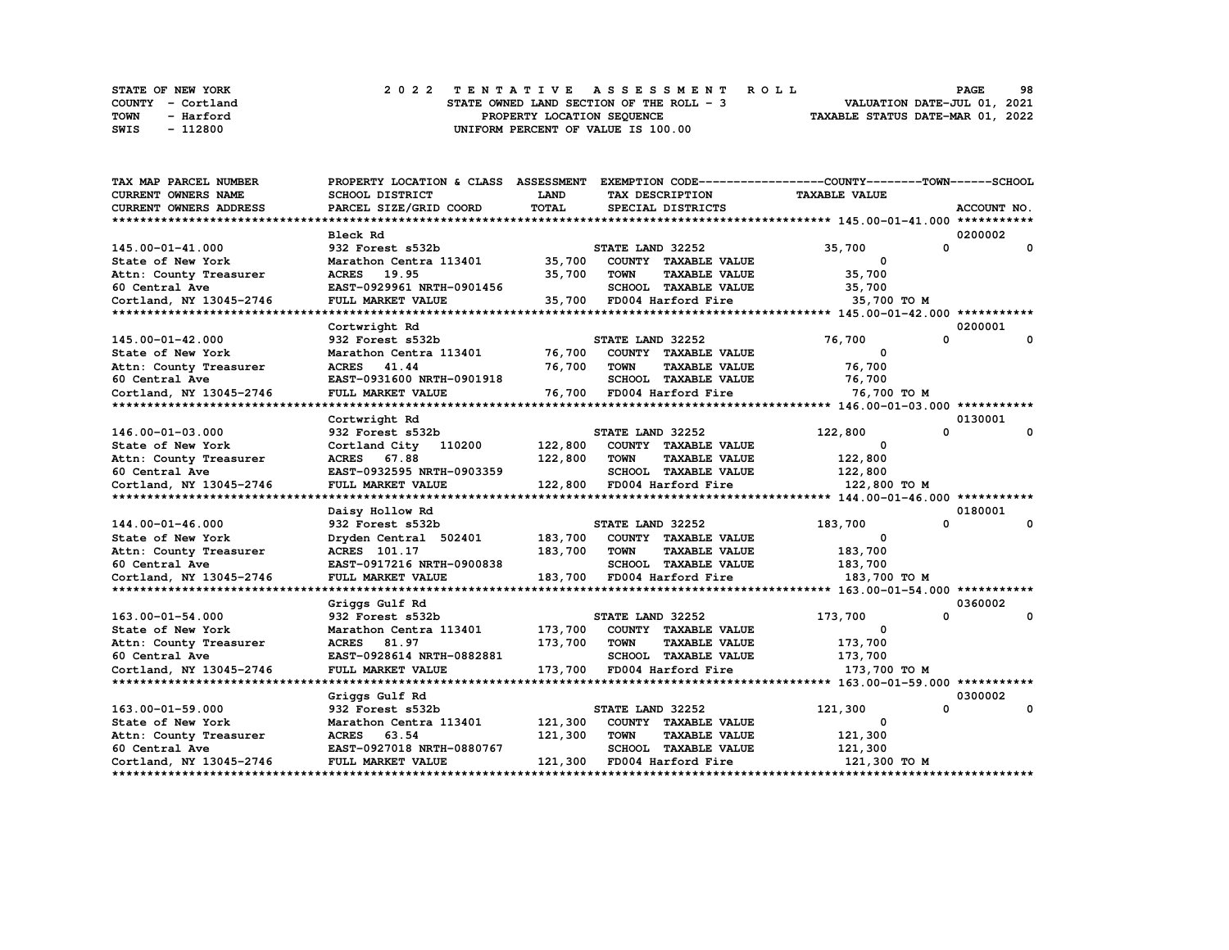|      | STATE OF NEW YORK |  |  |  |  |                                          |  |  |  |  | 2022 TENTATIVE ASSESSMENT ROLL |                                  | <b>PAGE</b> | 98 |  |
|------|-------------------|--|--|--|--|------------------------------------------|--|--|--|--|--------------------------------|----------------------------------|-------------|----|--|
|      | COUNTY - Cortland |  |  |  |  | STATE OWNED LAND SECTION OF THE ROLL - 3 |  |  |  |  |                                | VALUATION DATE-JUL 01, 2021      |             |    |  |
| TOWN | - Harford         |  |  |  |  | PROPERTY LOCATION SEQUENCE               |  |  |  |  |                                | TAXABLE STATUS DATE-MAR 01, 2022 |             |    |  |
| SWIS | - 112800          |  |  |  |  | UNIFORM PERCENT OF VALUE IS 100.00       |  |  |  |  |                                |                                  |             |    |  |

| TAX MAP PARCEL NUMBER     |                           |              |                                     | PROPERTY LOCATION & CLASS ASSESSMENT EXEMPTION CODE----------------COUNTY-------TOWN-----SCHOOL |              |
|---------------------------|---------------------------|--------------|-------------------------------------|-------------------------------------------------------------------------------------------------|--------------|
| CURRENT OWNERS NAME       | SCHOOL DISTRICT           | LAND         | TAX DESCRIPTION                     | <b>TAXABLE VALUE</b>                                                                            |              |
| CURRENT OWNERS ADDRESS    | PARCEL SIZE/GRID COORD    | <b>TOTAL</b> | SPECIAL DISTRICTS                   |                                                                                                 | ACCOUNT NO.  |
|                           |                           |              |                                     |                                                                                                 |              |
|                           | <b>Bleck Rd</b>           |              |                                     |                                                                                                 | 0200002      |
| 145.00-01-41.000          | 932 Forest s532b          |              | STATE LAND 32252                    | $\Omega$<br>35,700                                                                              | $\mathbf{0}$ |
| State of New York         | Marathon Centra 113401    | 35,700       | COUNTY TAXABLE VALUE                | $^{\circ}$                                                                                      |              |
| Attn: County Treasurer    | ACRES 19.95               | 35,700       | <b>TAXABLE VALUE</b><br><b>TOWN</b> | 35,700                                                                                          |              |
| 60 Central Ave            | EAST-0929961 NRTH-0901456 |              | SCHOOL TAXABLE VALUE                | 35,700                                                                                          |              |
| Cortland, NY 13045-2746   | FULL MARKET VALUE         | 35,700       | FD004 Harford Fire                  | 35,700 TO M                                                                                     |              |
|                           |                           |              |                                     |                                                                                                 |              |
|                           | Cortwright Rd             |              |                                     |                                                                                                 | 0200001      |
| 145.00-01-42.000          | 932 Forest s532b          |              | STATE LAND 32252                    | 0<br>76,700                                                                                     | 0            |
| State of New York         | Marathon Centra 113401    | 76,700       | COUNTY TAXABLE VALUE                | 0                                                                                               |              |
| Attn: County Treasurer    | ACRES 41.44               | 76,700       | <b>TOWN</b><br><b>TAXABLE VALUE</b> | 76,700                                                                                          |              |
| 60 Central Ave            | EAST-0931600 NRTH-0901918 |              | SCHOOL TAXABLE VALUE                | 76,700                                                                                          |              |
| Cortland, NY 13045-2746   | FULL MARKET VALUE         |              | 76,700 FD004 Harford Fire           | 76,700 TO M                                                                                     |              |
|                           |                           |              |                                     |                                                                                                 |              |
|                           | Cortwright Rd             |              |                                     |                                                                                                 | 0130001      |
| 146.00-01-03.000          | 932 Forest s532b          |              | STATE LAND 32252                    | 122,800<br>0                                                                                    | 0            |
| State of New York         | Cortland City 110200      | 122,800      | COUNTY TAXABLE VALUE                | 0                                                                                               |              |
| Attn: County Treasurer    | ACRES 67.88               | 122,800      | TOWN<br><b>TAXABLE VALUE</b>        | 122,800                                                                                         |              |
| 60 Central Ave            | EAST-0932595 NRTH-0903359 |              | SCHOOL TAXABLE VALUE                | 122,800                                                                                         |              |
| Cortland, NY 13045-2746   | FULL MARKET VALUE         |              | 122,800 FD004 Harford Fire          | 122,800 TO M                                                                                    |              |
|                           |                           |              |                                     |                                                                                                 |              |
|                           | Daisy Hollow Rd           |              |                                     |                                                                                                 | 0180001      |
| 144.00-01-46.000          | 932 Forest s532b          |              | STATE LAND 32252                    | 0<br>183,700                                                                                    | 0            |
| State of New York         | Dryden Central 502401     | 183,700      | COUNTY TAXABLE VALUE                | 0                                                                                               |              |
| Attn: County Treasurer    | <b>ACRES</b> 101.17       | 183,700      | <b>TOWN</b><br><b>TAXABLE VALUE</b> | 183,700                                                                                         |              |
| 60 Central Ave            | EAST-0917216 NRTH-0900838 |              | SCHOOL TAXABLE VALUE                | 183,700                                                                                         |              |
| Cortland, NY 13045-2746   | FULL MARKET VALUE         |              | 183,700 FD004 Harford Fire          | 183,700 то м                                                                                    |              |
|                           |                           |              |                                     |                                                                                                 |              |
|                           | Griggs Gulf Rd            |              |                                     |                                                                                                 | 0360002      |
| 163.00-01-54.000          | 932 Forest s532b          |              | STATE LAND 32252                    | $\mathbf{0}$<br>173,700                                                                         | 0            |
| State of New York         | Marathon Centra 113401    | 173,700      | COUNTY TAXABLE VALUE                | 0                                                                                               |              |
| Attn: County Treasurer    | ACRES 81.97               | 173,700      | <b>TOWN</b><br><b>TAXABLE VALUE</b> | 173,700                                                                                         |              |
| 60 Central Ave            | EAST-0928614 NRTH-0882881 |              | SCHOOL TAXABLE VALUE                | 173,700                                                                                         |              |
| Cortland, NY 13045-2746   | FULL MARKET VALUE         | 173,700      | FD004 Harford Fire                  | 173,700 TO M                                                                                    |              |
| ************************* |                           |              |                                     |                                                                                                 |              |
|                           | Griggs Gulf Rd            |              |                                     |                                                                                                 | 0300002      |
| 163.00-01-59.000          | 932 Forest s532b          |              | STATE LAND 32252                    | 0<br>121,300                                                                                    | 0            |
| State of New York         | Marathon Centra 113401    | 121,300      | COUNTY TAXABLE VALUE                | 0                                                                                               |              |
| Attn: County Treasurer    | ACRES 63.54               | 121,300      | <b>TOWN</b><br><b>TAXABLE VALUE</b> | 121,300                                                                                         |              |
| 60 Central Ave            | EAST-0927018 NRTH-0880767 |              | <b>SCHOOL TAXABLE VALUE</b>         | 121,300                                                                                         |              |
| Cortland, NY 13045-2746   | FULL MARKET VALUE         | 121,300      | FD004 Harford Fire                  | 121,300 TO M                                                                                    |              |
|                           |                           |              |                                     |                                                                                                 |              |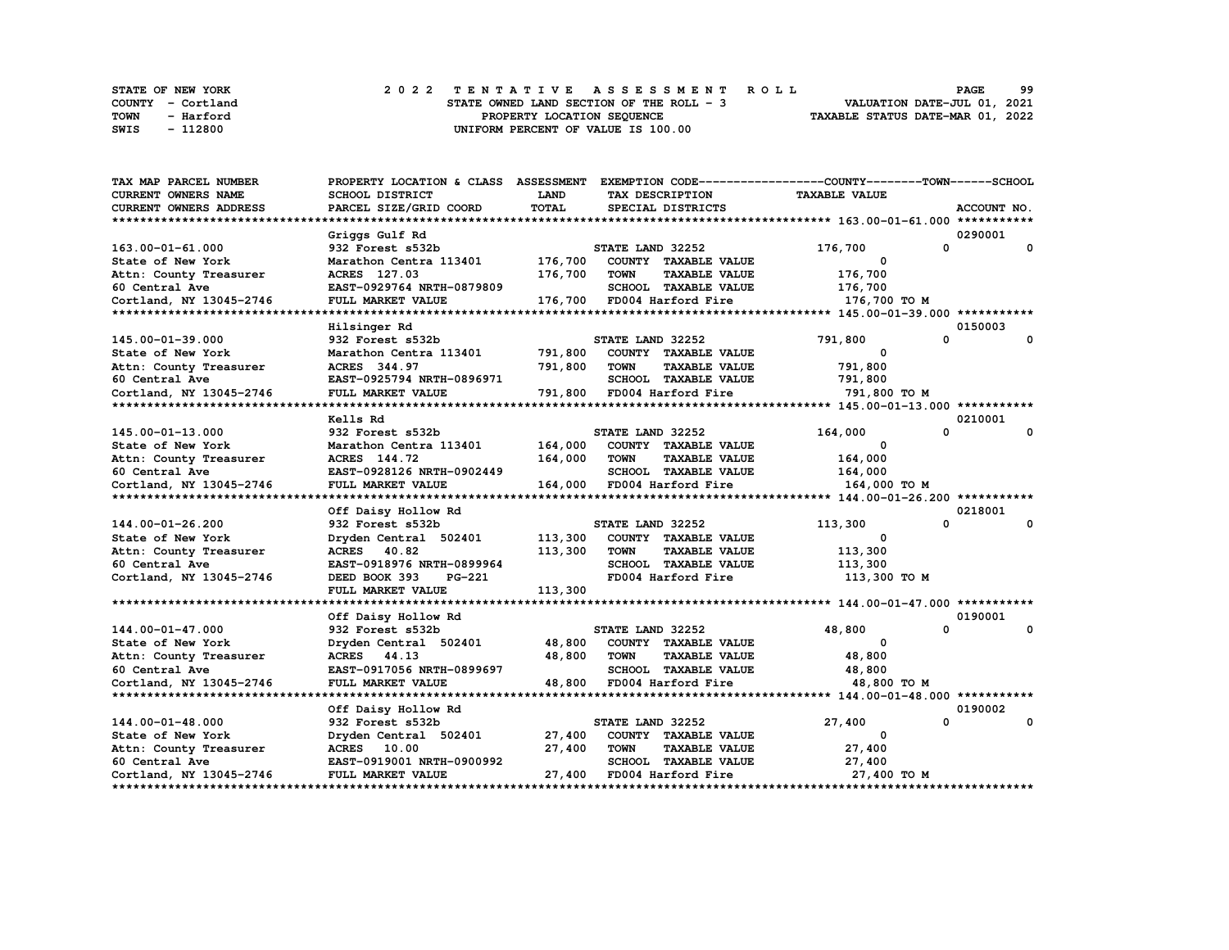| STATE OF NEW YORK | 2022 TENTATIVE ASSESSMENT ROLL           | 99<br><b>PAGE</b>                |
|-------------------|------------------------------------------|----------------------------------|
| COUNTY - Cortland | STATE OWNED LAND SECTION OF THE ROLL - 3 | VALUATION DATE-JUL 01, 2021      |
| TOWN<br>- Harford | PROPERTY LOCATION SEQUENCE               | TAXABLE STATUS DATE-MAR 01, 2022 |
| - 112800<br>SWIS  | UNIFORM PERCENT OF VALUE IS 100.00       |                                  |

| TAX MAP PARCEL NUMBER      | PROPERTY LOCATION & CLASS ASSESSMENT |              |                                     | EXEMPTION CODE-----------------COUNTY-------TOWN-----SCHOOL |                         |
|----------------------------|--------------------------------------|--------------|-------------------------------------|-------------------------------------------------------------|-------------------------|
| <b>CURRENT OWNERS NAME</b> | <b>SCHOOL DISTRICT</b>               | <b>LAND</b>  | TAX DESCRIPTION                     | <b>TAXABLE VALUE</b>                                        |                         |
| CURRENT OWNERS ADDRESS     | PARCEL SIZE/GRID COORD               | <b>TOTAL</b> | SPECIAL DISTRICTS                   |                                                             | ACCOUNT NO.             |
|                            |                                      |              |                                     |                                                             |                         |
|                            | Griggs Gulf Rd                       |              |                                     |                                                             | 0290001                 |
| 163.00-01-61.000           | 932 Forest s532b                     |              | STATE LAND 32252                    | 176,700                                                     | 0<br>0                  |
| State of New York          | Marathon Centra 113401               | 176,700      | COUNTY TAXABLE VALUE                | 0                                                           |                         |
| Attn: County Treasurer     | ACRES 127.03                         | 176,700      | <b>TOWN</b><br><b>TAXABLE VALUE</b> | 176,700                                                     |                         |
| 60 Central Ave             | EAST-0929764 NRTH-0879809            |              | SCHOOL TAXABLE VALUE                | 176,700                                                     |                         |
|                            | FULL MARKET VALUE                    |              | 176,700 FD004 Harford Fire          | 176,700 то м                                                |                         |
| Cortland, NY 13045-2746    |                                      |              |                                     |                                                             |                         |
|                            |                                      |              |                                     |                                                             | 0150003                 |
|                            | Hilsinger Rd                         |              |                                     |                                                             | $\Omega$                |
| 145.00-01-39.000           | 932 Forest s532b                     |              | STATE LAND 32252                    | 791,800                                                     | 0                       |
| State of New York          | Marathon Centra 113401               | 791,800      | COUNTY TAXABLE VALUE                | 0                                                           |                         |
| Attn: County Treasurer     | ACRES 344.97                         | 791,800      | <b>TOWN</b><br><b>TAXABLE VALUE</b> | 791,800                                                     |                         |
| 60 Central Ave             | EAST-0925794 NRTH-0896971            |              | SCHOOL TAXABLE VALUE                | 791,800                                                     |                         |
| Cortland, NY 13045-2746    | FULL MARKET VALUE                    | 791,800      | FD004 Harford Fire                  | 791,800 TO M                                                |                         |
|                            |                                      |              |                                     |                                                             |                         |
|                            | Kells Rd                             |              |                                     |                                                             | 0210001                 |
| 145.00-01-13.000           | 932 Forest s532b                     |              | STATE LAND 32252                    | 164,000                                                     | $\mathbf{0}$<br>0       |
| State of New York          | Marathon Centra 113401               | 164,000      | COUNTY TAXABLE VALUE                | $^{\circ}$                                                  |                         |
| Attn: County Treasurer     | ACRES 144.72                         | 164,000      | <b>TOWN</b><br><b>TAXABLE VALUE</b> | 164,000                                                     |                         |
| 60 Central Ave             | EAST-0928126 NRTH-0902449            |              | SCHOOL TAXABLE VALUE                | 164,000                                                     |                         |
| Cortland, NY 13045-2746    | FULL MARKET VALUE                    |              | 164,000 FD004 Harford Fire          | 164,000 TO M                                                |                         |
|                            |                                      |              |                                     |                                                             |                         |
|                            | Off Daisy Hollow Rd                  |              |                                     |                                                             | 0218001                 |
| 144.00-01-26.200           | 932 Forest s532b                     |              | STATE LAND 32252                    | 113,300                                                     | $\Omega$<br>$\Omega$    |
| State of New York          | Dryden Central 502401                | 113,300      | COUNTY TAXABLE VALUE                | 0                                                           |                         |
| Attn: County Treasurer     | ACRES 40.82                          | 113,300      | <b>TOWN</b><br><b>TAXABLE VALUE</b> | 113,300                                                     |                         |
| 60 Central Ave             | EAST-0918976 NRTH-0899964            |              | SCHOOL TAXABLE VALUE                | 113,300                                                     |                         |
| Cortland, NY 13045-2746    | DEED BOOK 393<br><b>PG-221</b>       |              | FD004 Harford Fire                  | 113,300 TO M                                                |                         |
|                            | FULL MARKET VALUE                    | 113,300      |                                     |                                                             |                         |
|                            |                                      |              |                                     |                                                             |                         |
|                            |                                      |              |                                     |                                                             | 0190001                 |
|                            | Off Daisy Hollow Rd                  |              |                                     |                                                             | $\mathbf 0$<br>$\Omega$ |
| 144.00-01-47.000           | 932 Forest s532b                     |              | STATE LAND 32252                    | 48,800<br>$\mathbf{o}$                                      |                         |
| State of New York          | Dryden Central 502401                | 48,800       | COUNTY TAXABLE VALUE                |                                                             |                         |
| Attn: County Treasurer     | ACRES 44.13                          | 48,800       | <b>TOWN</b><br><b>TAXABLE VALUE</b> | 48,800                                                      |                         |
| 60 Central Ave             | EAST-0917056 NRTH-0899697            |              | SCHOOL TAXABLE VALUE                | 48,800                                                      |                         |
| Cortland, NY 13045-2746    | FULL MARKET VALUE                    |              | 48,800 FD004 Harford Fire           | 48,800 TO M                                                 |                         |
|                            |                                      |              |                                     |                                                             |                         |
|                            | Off Daisy Hollow Rd                  |              |                                     |                                                             | 0190002                 |
| 144.00-01-48.000           | 932 Forest s532b                     |              | STATE LAND 32252                    | 27,400                                                      | 0<br>0                  |
| State of New York          | Dryden Central 502401                | 27,400       | COUNTY TAXABLE VALUE                | 0                                                           |                         |
| Attn: County Treasurer     | ACRES 10.00                          | 27,400       | <b>TOWN</b><br><b>TAXABLE VALUE</b> | 27,400                                                      |                         |
| 60 Central Ave             | EAST-0919001 NRTH-0900992            |              | SCHOOL TAXABLE VALUE                | 27,400                                                      |                         |
| Cortland, NY 13045-2746    | FULL MARKET VALUE                    | 27,400       | FD004 Harford Fire                  | 27,400 TO M                                                 |                         |
|                            |                                      |              |                                     |                                                             |                         |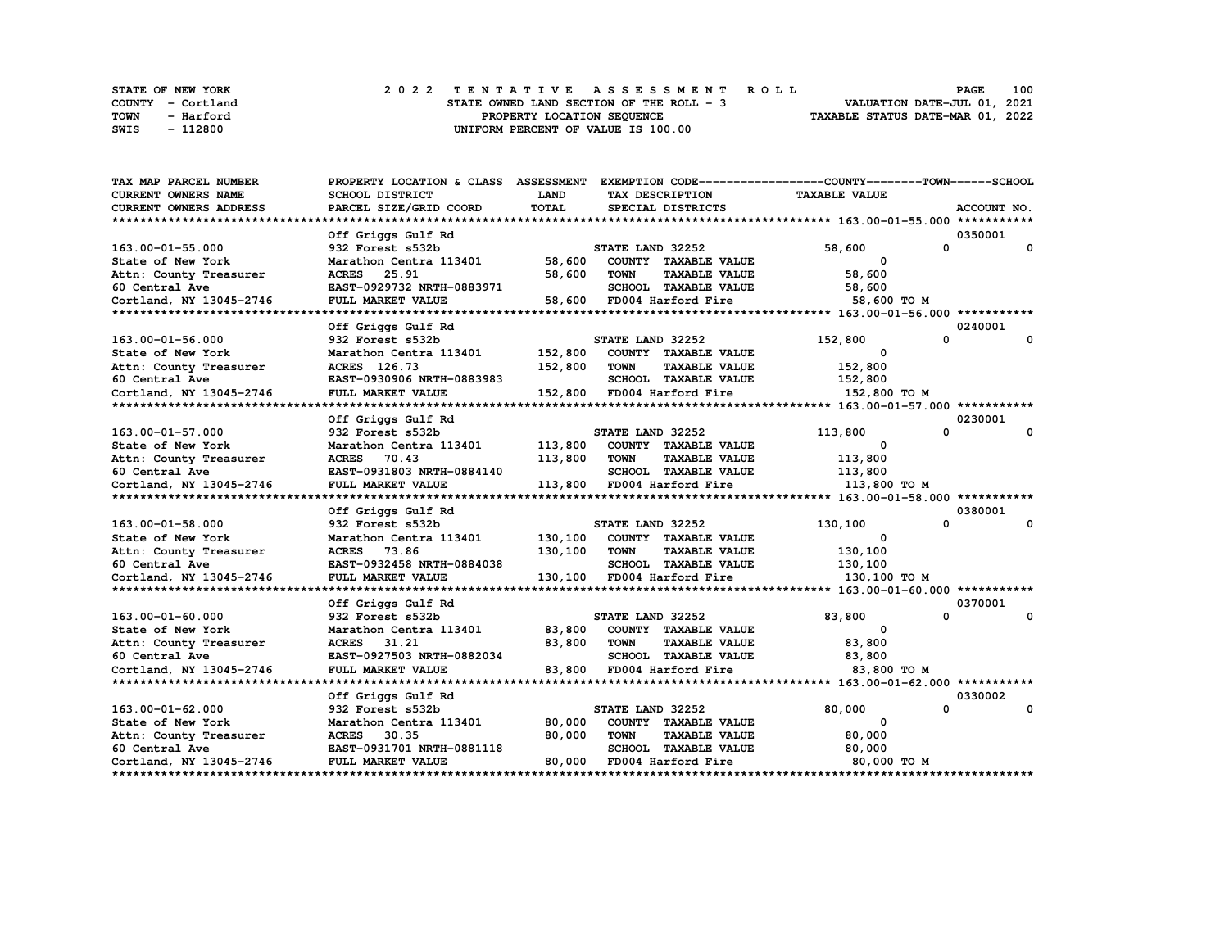| STATE OF NEW YORK | 2022 TENTATIVE ASSESSMENT ROLL           | 100<br><b>PAGE</b>               |
|-------------------|------------------------------------------|----------------------------------|
| COUNTY - Cortland | STATE OWNED LAND SECTION OF THE ROLL - 3 | VALUATION DATE-JUL 01, 2021      |
| TOWN<br>- Harford | PROPERTY LOCATION SEOUENCE               | TAXABLE STATUS DATE-MAR 01, 2022 |
| - 112800<br>SWIS  | UNIFORM PERCENT OF VALUE IS 100.00       |                                  |

| <b>TAX MAP PARCEL NUMBER</b>  | PROPERTY LOCATION & CLASS ASSESSMENT EXEMPTION CODE----------------COUNTY-------TOWN-----SCHOOL |             |                  |                             |                      |                              |
|-------------------------------|-------------------------------------------------------------------------------------------------|-------------|------------------|-----------------------------|----------------------|------------------------------|
| CURRENT OWNERS NAME           | SCHOOL DISTRICT                                                                                 | <b>LAND</b> |                  | TAX DESCRIPTION             | <b>TAXABLE VALUE</b> |                              |
| <b>CURRENT OWNERS ADDRESS</b> | PARCEL SIZE/GRID COORD                                                                          | TOTAL       |                  | SPECIAL DISTRICTS           |                      | ACCOUNT NO.                  |
|                               |                                                                                                 |             |                  |                             |                      |                              |
|                               | Off Griggs Gulf Rd                                                                              |             |                  |                             |                      | 0350001                      |
| 163.00-01-55.000              | 932 Forest s532b                                                                                |             | STATE LAND 32252 |                             | 58,600               | $\mathbf{0}$<br>$\mathbf{0}$ |
| State of New York             | Marathon Centra 113401                                                                          | 58,600      |                  | COUNTY TAXABLE VALUE        | $\mathbf{o}$         |                              |
| Attn: County Treasurer        | ACRES 25.91                                                                                     | 58,600      | <b>TOWN</b>      | <b>TAXABLE VALUE</b>        | 58,600               |                              |
| 60 Central Ave                | EAST-0929732 NRTH-0883971                                                                       |             |                  | SCHOOL TAXABLE VALUE        | 58,600               |                              |
| Cortland, NY 13045-2746       | FULL MARKET VALUE                                                                               | 58,600      |                  | FD004 Harford Fire          | 58,600 TO M          |                              |
|                               |                                                                                                 |             |                  |                             |                      |                              |
|                               | Off Griggs Gulf Rd                                                                              |             |                  |                             |                      | 0240001                      |
| 163.00-01-56.000              | 932 Forest s532b                                                                                |             | STATE LAND 32252 |                             | 152,800              | 0<br>0                       |
| State of New York             | Marathon Centra 113401                                                                          | 152,800     |                  | COUNTY TAXABLE VALUE        | $\Omega$             |                              |
| Attn: County Treasurer        | ACRES 126.73                                                                                    | 152,800     | <b>TOWN</b>      | <b>TAXABLE VALUE</b>        | 152,800              |                              |
| 60 Central Ave                | EAST-0930906 NRTH-0883983                                                                       |             |                  | SCHOOL TAXABLE VALUE        | 152,800              |                              |
| Cortland, NY 13045-2746       | FULL MARKET VALUE                                                                               |             |                  | 152,800 FD004 Harford Fire  | 152,800 TO M         |                              |
|                               |                                                                                                 |             |                  |                             |                      |                              |
|                               | Off Griggs Gulf Rd                                                                              |             |                  |                             |                      | 0230001                      |
| 163.00-01-57.000              | 932 Forest s532b                                                                                |             | STATE LAND 32252 |                             | 113,800              | 0<br>0                       |
| State of New York             | Marathon Centra 113401                                                                          | 113,800     |                  | COUNTY TAXABLE VALUE        | $\Omega$             |                              |
| Attn: County Treasurer        | <b>ACRES</b><br>70.43                                                                           | 113,800     | <b>TOWN</b>      | <b>TAXABLE VALUE</b>        | 113,800              |                              |
| 60 Central Ave                | EAST-0931803 NRTH-0884140                                                                       |             |                  | <b>SCHOOL TAXABLE VALUE</b> | 113,800              |                              |
| Cortland, NY 13045-2746       | FULL MARKET VALUE                                                                               |             |                  | 113,800 FD004 Harford Fire  | 113,800 то м         |                              |
|                               |                                                                                                 |             |                  |                             |                      |                              |
|                               | Off Griggs Gulf Rd                                                                              |             |                  |                             |                      | 0380001                      |
| 163.00-01-58.000              | 932 Forest s532b                                                                                |             | STATE LAND 32252 |                             | 130,100              | $\Omega$<br>0                |
| State of New York             | Marathon Centra 113401                                                                          | 130,100     |                  | COUNTY TAXABLE VALUE        | 0                    |                              |
| Attn: County Treasurer        | ACRES 73.86                                                                                     | 130,100     | <b>TOWN</b>      | <b>TAXABLE VALUE</b>        | 130,100              |                              |
| 60 Central Ave                | EAST-0932458 NRTH-0884038                                                                       |             |                  | SCHOOL TAXABLE VALUE        | 130,100              |                              |
| Cortland, NY 13045-2746       | FULL MARKET VALUE                                                                               |             |                  | 130,100 FD004 Harford Fire  | 130,100 то м         |                              |
|                               |                                                                                                 |             |                  |                             |                      |                              |
|                               | Off Griggs Gulf Rd                                                                              |             |                  |                             |                      | 0370001                      |
| 163.00-01-60.000              | 932 Forest s532b                                                                                |             | STATE LAND 32252 |                             | 83,800               | $\mathbf{0}$<br>0            |
| State of New York             | Marathon Centra 113401                                                                          | 83,800      |                  | COUNTY TAXABLE VALUE        | $\Omega$             |                              |
| Attn: County Treasurer        | <b>ACRES</b><br>31.21                                                                           | 83,800      | <b>TOWN</b>      | <b>TAXABLE VALUE</b>        | 83,800               |                              |
| 60 Central Ave                | EAST-0927503 NRTH-0882034                                                                       |             |                  | SCHOOL TAXABLE VALUE        | 83,800               |                              |
| Cortland, NY 13045-2746       | FULL MARKET VALUE                                                                               | 83,800      |                  | FD004 Harford Fire          | 83,800 TO M          |                              |
| **************************    |                                                                                                 |             |                  |                             |                      |                              |
|                               | Off Griggs Gulf Rd                                                                              |             |                  |                             |                      | 0330002                      |
| 163.00-01-62.000              | 932 Forest s532b                                                                                |             | STATE LAND 32252 |                             | 80,000               | 0<br>0                       |
| State of New York             | Marathon Centra 113401                                                                          | 80,000      |                  | COUNTY TAXABLE VALUE        | 0                    |                              |
| Attn: County Treasurer        | ACRES 30.35                                                                                     | 80,000      | <b>TOWN</b>      | <b>TAXABLE VALUE</b>        | 80,000               |                              |
| 60 Central Ave                | EAST-0931701 NRTH-0881118                                                                       |             |                  | <b>SCHOOL TAXABLE VALUE</b> | 80,000               |                              |
| Cortland, NY 13045-2746       | FULL MARKET VALUE                                                                               | 80,000      |                  | FD004 Harford Fire          | 80,000 TO M          |                              |
|                               |                                                                                                 |             |                  |                             |                      |                              |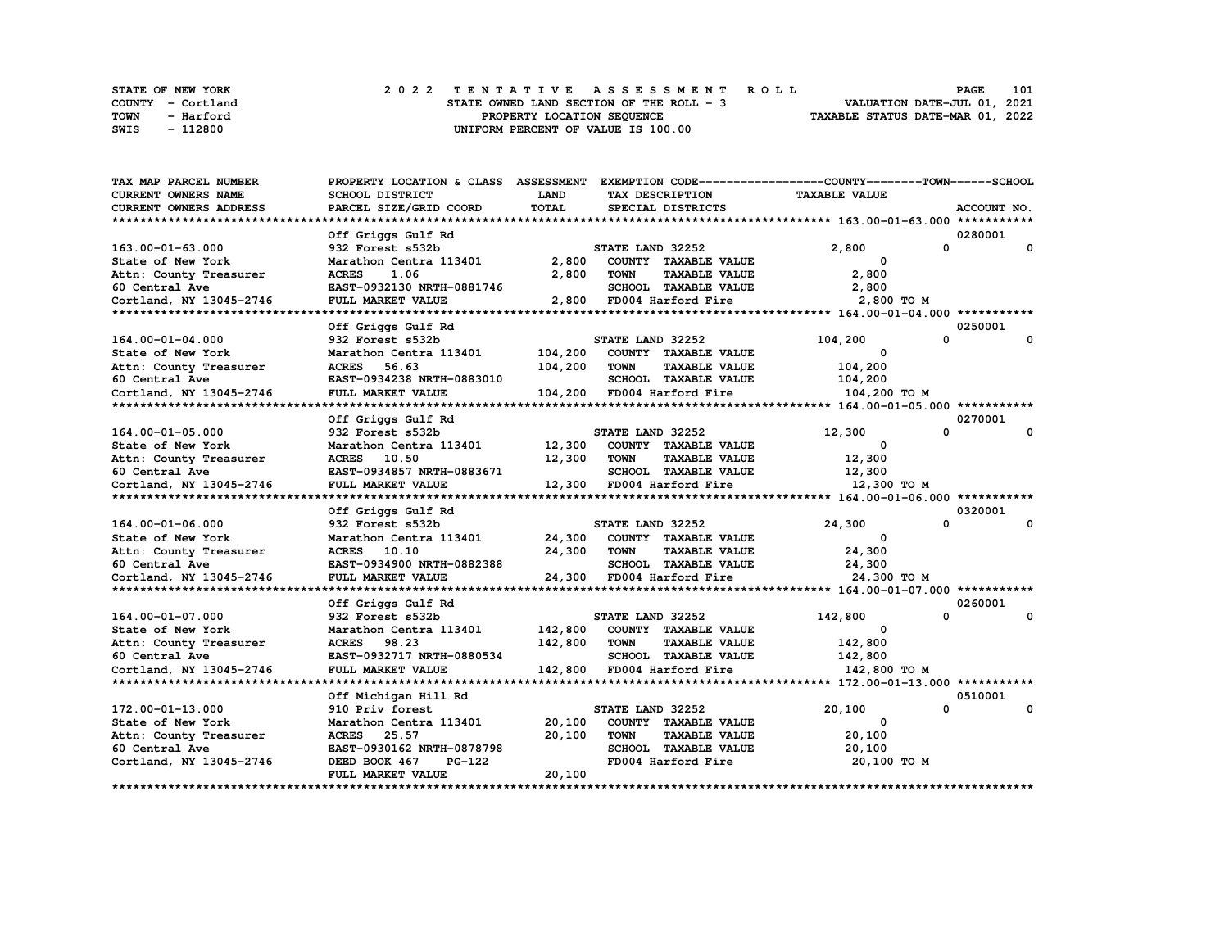|      | <b>STATE OF NEW YORK</b> | 2022 TENTATIVE ASSESSMENT ROLL           | 101<br>PAGE                      |
|------|--------------------------|------------------------------------------|----------------------------------|
|      | COUNTY - Cortland        | STATE OWNED LAND SECTION OF THE ROLL - 3 | VALUATION DATE-JUL 01, 2021      |
| TOWN | - Harford                | PROPERTY LOCATION SEOUENCE               | TAXABLE STATUS DATE-MAR 01, 2022 |
| SWIS | - 112800                 | UNIFORM PERCENT OF VALUE IS 100.00       |                                  |

| TAX MAP PARCEL NUMBER         | PROPERTY LOCATION & CLASS ASSESSMENT EXEMPTION CODE----------------COUNTY-------TOWN------SCHOOL |              |                  |                           |                      |             |
|-------------------------------|--------------------------------------------------------------------------------------------------|--------------|------------------|---------------------------|----------------------|-------------|
| CURRENT OWNERS NAME           | <b>SCHOOL DISTRICT</b>                                                                           | LAND         |                  | TAX DESCRIPTION           | <b>TAXABLE VALUE</b> |             |
| <b>CURRENT OWNERS ADDRESS</b> | PARCEL SIZE/GRID COORD                                                                           | <b>TOTAL</b> |                  | SPECIAL DISTRICTS         |                      | ACCOUNT NO. |
|                               |                                                                                                  |              |                  |                           |                      |             |
|                               | Off Griggs Gulf Rd                                                                               |              |                  |                           |                      | 0280001     |
| 163.00-01-63.000              | 932 Forest s532b                                                                                 |              | STATE LAND 32252 |                           | 0<br>2,800           | 0           |
| State of New York             | Marathon Centra 113401                                                                           | 2,800        |                  | COUNTY TAXABLE VALUE      | 0                    |             |
| Attn: County Treasurer        | <b>ACRES</b><br>1.06                                                                             | 2,800        | <b>TOWN</b>      | <b>TAXABLE VALUE</b>      | 2,800                |             |
| 60 Central Ave                | EAST-0932130 NRTH-0881746                                                                        |              |                  | SCHOOL TAXABLE VALUE      | 2,800                |             |
| Cortland, NY 13045-2746       | FULL MARKET VALUE                                                                                |              |                  | 2,800 FD004 Harford Fire  | 2,800 TO M           |             |
|                               |                                                                                                  |              |                  |                           |                      |             |
|                               | Off Griggs Gulf Rd                                                                               |              |                  |                           |                      | 0250001     |
| 164.00-01-04.000              | 932 Forest s532b                                                                                 |              | STATE LAND 32252 |                           | 0<br>104,200         | 0           |
| State of New York             | Marathon Centra 113401                                                                           | 104,200      |                  | COUNTY TAXABLE VALUE      | $\mathbf{o}$         |             |
| Attn: County Treasurer        | ACRES 56.63                                                                                      | 104,200      | <b>TOWN</b>      | <b>TAXABLE VALUE</b>      | 104,200              |             |
| 60 Central Ave                | EAST-0934238 NRTH-0883010                                                                        |              |                  | SCHOOL TAXABLE VALUE      | 104,200              |             |
| Cortland, NY 13045-2746       | FULL MARKET VALUE                                                                                | 104,200      |                  | FD004 Harford Fire        | 104,200 TO M         |             |
|                               |                                                                                                  |              |                  |                           |                      |             |
|                               | Off Griggs Gulf Rd                                                                               |              |                  |                           |                      | 0270001     |
| 164.00-01-05.000              | 932 Forest s532b                                                                                 |              | STATE LAND 32252 |                           | 12,300<br>0          | 0           |
| State of New York             | Marathon Centra 113401                                                                           | 12,300       |                  | COUNTY TAXABLE VALUE      | $\mathbf{0}$         |             |
| Attn: County Treasurer        | ACRES 10.50                                                                                      | 12,300       | <b>TOWN</b>      | <b>TAXABLE VALUE</b>      | 12,300               |             |
| 60 Central Ave                | EAST-0934857 NRTH-0883671                                                                        |              |                  | SCHOOL TAXABLE VALUE      | 12,300               |             |
| Cortland, NY 13045-2746       | FULL MARKET VALUE                                                                                | 12,300       |                  | FD004 Harford Fire        | 12,300 TO M          |             |
|                               |                                                                                                  |              |                  |                           |                      |             |
|                               | Off Griggs Gulf Rd                                                                               |              |                  |                           |                      | 0320001     |
| 164.00-01-06.000              | 932 Forest s532b                                                                                 |              | STATE LAND 32252 |                           | 0<br>24,300          | 0           |
| State of New York             | Marathon Centra 113401                                                                           | 24,300       |                  | COUNTY TAXABLE VALUE      | 0                    |             |
| Attn: County Treasurer        | ACRES 10.10                                                                                      | 24,300       | <b>TOWN</b>      | <b>TAXABLE VALUE</b>      | 24,300               |             |
| 60 Central Ave                | EAST-0934900 NRTH-0882388                                                                        |              |                  | SCHOOL TAXABLE VALUE      | 24,300               |             |
| Cortland, NY 13045-2746       | FULL MARKET VALUE                                                                                |              |                  | 24,300 FD004 Harford Fire | 24,300 TO M          |             |
|                               |                                                                                                  |              |                  |                           |                      |             |
|                               | Off Griggs Gulf Rd                                                                               |              |                  |                           |                      | 0260001     |
| 164.00-01-07.000              | 932 Forest s532b                                                                                 |              | STATE LAND 32252 |                           | 0<br>142,800         | 0           |
| State of New York             | Marathon Centra 113401                                                                           | 142,800      |                  | COUNTY TAXABLE VALUE      | 0                    |             |
| Attn: County Treasurer        | ACRES 98.23                                                                                      | 142,800      | <b>TOWN</b>      | <b>TAXABLE VALUE</b>      | 142,800              |             |
| 60 Central Ave                | EAST-0932717 NRTH-0880534                                                                        |              |                  | SCHOOL TAXABLE VALUE      | 142,800              |             |
| Cortland, NY 13045-2746       | FULL MARKET VALUE                                                                                | 142,800      |                  | FD004 Harford Fire        | 142,800 TO M         |             |
|                               |                                                                                                  |              |                  |                           |                      |             |
|                               | Off Michigan Hill Rd                                                                             |              |                  |                           |                      | 0510001     |
| 172.00-01-13.000              | 910 Priv forest                                                                                  |              | STATE LAND 32252 |                           | $\Omega$<br>20,100   | 0           |
| State of New York             | Marathon Centra 113401                                                                           | 20,100       |                  | COUNTY TAXABLE VALUE      | $\mathbf{o}$         |             |
| Attn: County Treasurer        | <b>ACRES</b><br>25.57                                                                            | 20,100       | <b>TOWN</b>      | <b>TAXABLE VALUE</b>      | 20,100               |             |
| 60 Central Ave                | EAST-0930162 NRTH-0878798                                                                        |              |                  | SCHOOL TAXABLE VALUE      | 20,100               |             |
| Cortland, NY 13045-2746       | DEED BOOK 467<br>PG-122                                                                          |              |                  | FD004 Harford Fire        | 20,100 TO M          |             |
|                               | FULL MARKET VALUE                                                                                | 20,100       |                  |                           |                      |             |
|                               |                                                                                                  |              |                  |                           |                      |             |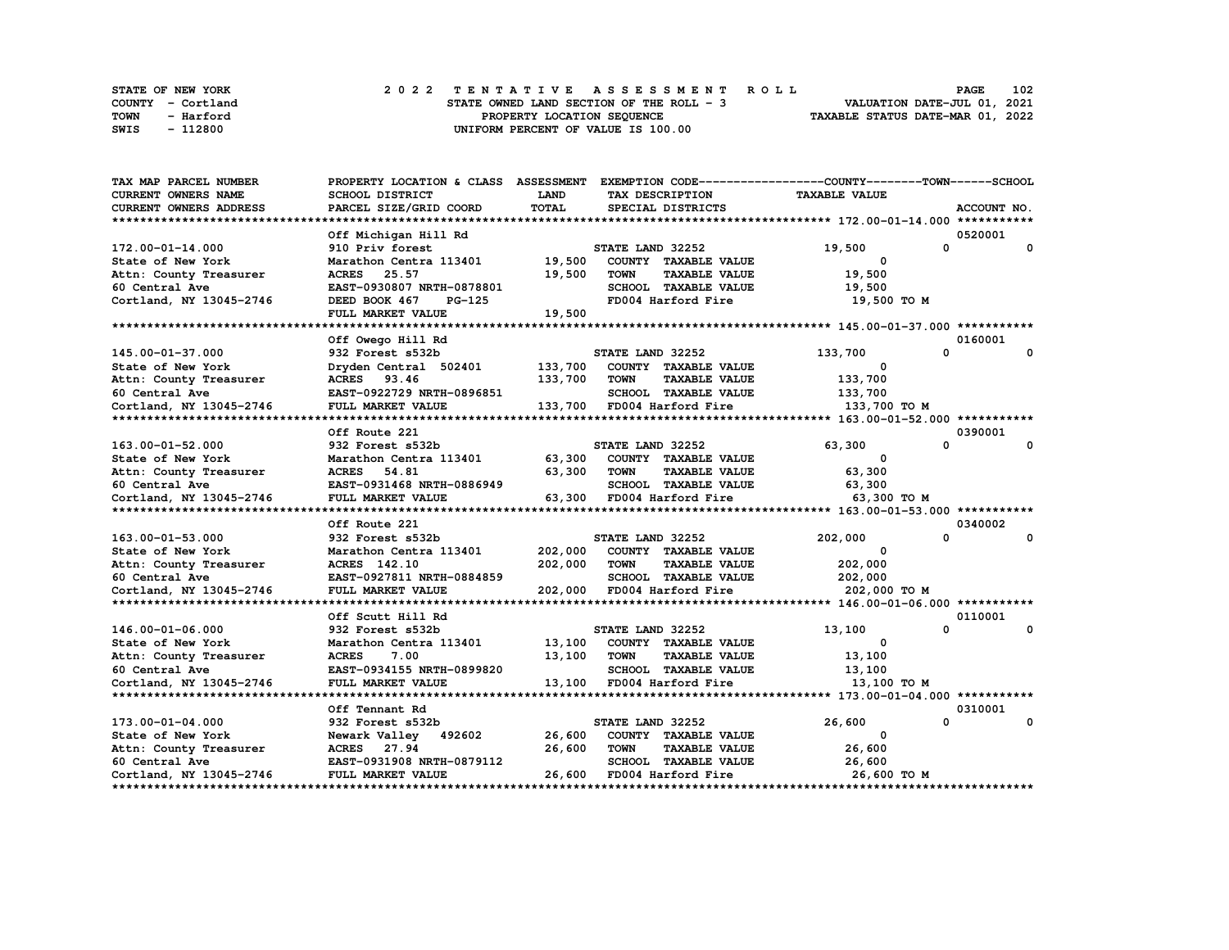|      | <b>STATE OF NEW YORK</b> |  |  |  |  |                                          |  |  |  |  | 2022 TENTATIVE ASSESSMENT ROLL |                                  | PAGE | 102 |
|------|--------------------------|--|--|--|--|------------------------------------------|--|--|--|--|--------------------------------|----------------------------------|------|-----|
|      | COUNTY - Cortland        |  |  |  |  | STATE OWNED LAND SECTION OF THE ROLL - 3 |  |  |  |  |                                | VALUATION DATE-JUL 01, 2021      |      |     |
| TOWN | - Harford                |  |  |  |  | PROPERTY LOCATION SEOUENCE               |  |  |  |  |                                | TAXABLE STATUS DATE-MAR 01, 2022 |      |     |
| SWIS | - 112800                 |  |  |  |  | UNIFORM PERCENT OF VALUE IS 100.00       |  |  |  |  |                                |                                  |      |     |

| <b>TAX MAP PARCEL NUMBER</b>  |                           |             |                                     | PROPERTY LOCATION & CLASS ASSESSMENT EXEMPTION CODE----------------COUNTY-------TOWN------SCHOOL |                          |
|-------------------------------|---------------------------|-------------|-------------------------------------|--------------------------------------------------------------------------------------------------|--------------------------|
| <b>CURRENT OWNERS NAME</b>    | <b>SCHOOL DISTRICT</b>    | <b>LAND</b> | TAX DESCRIPTION                     | <b>TAXABLE VALUE</b>                                                                             |                          |
| <b>CURRENT OWNERS ADDRESS</b> | PARCEL SIZE/GRID COORD    | TOTAL       | SPECIAL DISTRICTS                   |                                                                                                  | ACCOUNT NO.              |
|                               |                           |             |                                     |                                                                                                  |                          |
|                               | Off Michigan Hill Rd      |             |                                     |                                                                                                  | 0520001                  |
| 172.00-01-14.000              | 910 Priv forest           |             | STATE LAND 32252                    | 19,500                                                                                           | 0<br>0                   |
| State of New York             | Marathon Centra 113401    | 19,500      | COUNTY TAXABLE VALUE                | $\mathbf{o}$                                                                                     |                          |
| Attn: County Treasurer        | <b>ACRES</b><br>25.57     | 19,500      | <b>TOWN</b><br><b>TAXABLE VALUE</b> | 19,500                                                                                           |                          |
| 60 Central Ave                | EAST-0930807 NRTH-0878801 |             | SCHOOL TAXABLE VALUE                | 19,500                                                                                           |                          |
| Cortland, NY 13045-2746       | DEED BOOK 467<br>PG-125   |             | FD004 Harford Fire                  | 19,500 TO M                                                                                      |                          |
|                               | FULL MARKET VALUE         | 19,500      |                                     |                                                                                                  |                          |
|                               |                           |             |                                     |                                                                                                  |                          |
|                               | Off Owego Hill Rd         |             |                                     |                                                                                                  | 0160001                  |
| 145.00-01-37.000              | 932 Forest s532b          |             | STATE LAND 32252                    | 133,700                                                                                          | $\mathbf 0$<br>$\Omega$  |
| State of New York             | Dryden Central 502401     | 133,700     | COUNTY TAXABLE VALUE                | $^{\circ}$                                                                                       |                          |
| Attn: County Treasurer        | ACRES 93.46               | 133,700     | <b>TOWN</b><br><b>TAXABLE VALUE</b> | 133,700                                                                                          |                          |
| 60 Central Ave                | EAST-0922729 NRTH-0896851 |             | SCHOOL TAXABLE VALUE                | 133,700                                                                                          |                          |
| Cortland, NY 13045-2746       | FULL MARKET VALUE         |             | 133,700 FD004 Harford Fire          | 133,700 то м                                                                                     |                          |
|                               |                           |             |                                     |                                                                                                  |                          |
|                               | Off Route 221             |             |                                     |                                                                                                  | 0390001                  |
| 163.00-01-52.000              | 932 Forest s532b          |             | STATE LAND 32252                    | 63,300                                                                                           | $\Omega$<br>$\mathbf{0}$ |
| State of New York             | Marathon Centra 113401    | 63,300      | COUNTY TAXABLE VALUE                | 0                                                                                                |                          |
| Attn: County Treasurer        | ACRES 54.81               | 63,300      | <b>TOWN</b><br><b>TAXABLE VALUE</b> | 63,300                                                                                           |                          |
| 60 Central Ave                | EAST-0931468 NRTH-0886949 |             | SCHOOL TAXABLE VALUE                | 63,300                                                                                           |                          |
| Cortland, NY 13045-2746       | FULL MARKET VALUE         |             | 63,300 FD004 Harford Fire           | 63,300 то м                                                                                      |                          |
|                               |                           |             |                                     |                                                                                                  |                          |
|                               | Off Route 221             |             |                                     |                                                                                                  | 0340002                  |
| 163.00-01-53.000              | 932 Forest s532b          |             | STATE LAND 32252                    | 202,000                                                                                          | 0<br>0                   |
| State of New York             | Marathon Centra 113401    | 202,000     | COUNTY TAXABLE VALUE                | 0                                                                                                |                          |
| Attn: County Treasurer        | ACRES 142.10              | 202,000     | <b>TOWN</b><br><b>TAXABLE VALUE</b> | 202,000                                                                                          |                          |
| 60 Central Ave                | EAST-0927811 NRTH-0884859 |             | SCHOOL TAXABLE VALUE                | 202,000                                                                                          |                          |
| Cortland, NY 13045-2746       | FULL MARKET VALUE         | 202,000     | FD004 Harford Fire                  | 202,000 то м                                                                                     |                          |
|                               |                           |             |                                     |                                                                                                  |                          |
|                               | Off Scutt Hill Rd         |             |                                     |                                                                                                  | 0110001                  |
| 146.00-01-06.000              | 932 Forest s532b          |             | STATE LAND 32252                    | 13,100                                                                                           | $\mathbf 0$<br>0         |
| State of New York             | Marathon Centra 113401    |             | 13,100 COUNTY TAXABLE VALUE         | $^{\circ}$                                                                                       |                          |
| Attn: County Treasurer        | <b>ACRES</b><br>7.00      | 13,100      | <b>TOWN</b><br><b>TAXABLE VALUE</b> | 13,100                                                                                           |                          |
| 60 Central Ave                | EAST-0934155 NRTH-0899820 |             | SCHOOL TAXABLE VALUE                | 13,100                                                                                           |                          |
| Cortland, NY 13045-2746       | FULL MARKET VALUE         |             | 13,100 FD004 Harford Fire           | 13,100 TO M                                                                                      |                          |
|                               |                           |             |                                     |                                                                                                  |                          |
|                               | Off Tennant Rd            |             |                                     |                                                                                                  | 0310001                  |
| 173.00-01-04.000              | 932 Forest s532b          |             | STATE LAND 32252                    | 26,600                                                                                           | $\Omega$<br>0            |
| State of New York             | Newark Valley 492602      | 26,600      | COUNTY TAXABLE VALUE                | 0                                                                                                |                          |
| Attn: County Treasurer        | ACRES 27.94               | 26,600      | <b>TOWN</b><br><b>TAXABLE VALUE</b> | 26,600                                                                                           |                          |
| 60 Central Ave                | EAST-0931908 NRTH-0879112 |             | SCHOOL TAXABLE VALUE                | 26,600                                                                                           |                          |
| Cortland, NY 13045-2746       | FULL MARKET VALUE         | 26,600      | FD004 Harford Fire                  | 26,600 то м                                                                                      |                          |
|                               |                           |             |                                     |                                                                                                  |                          |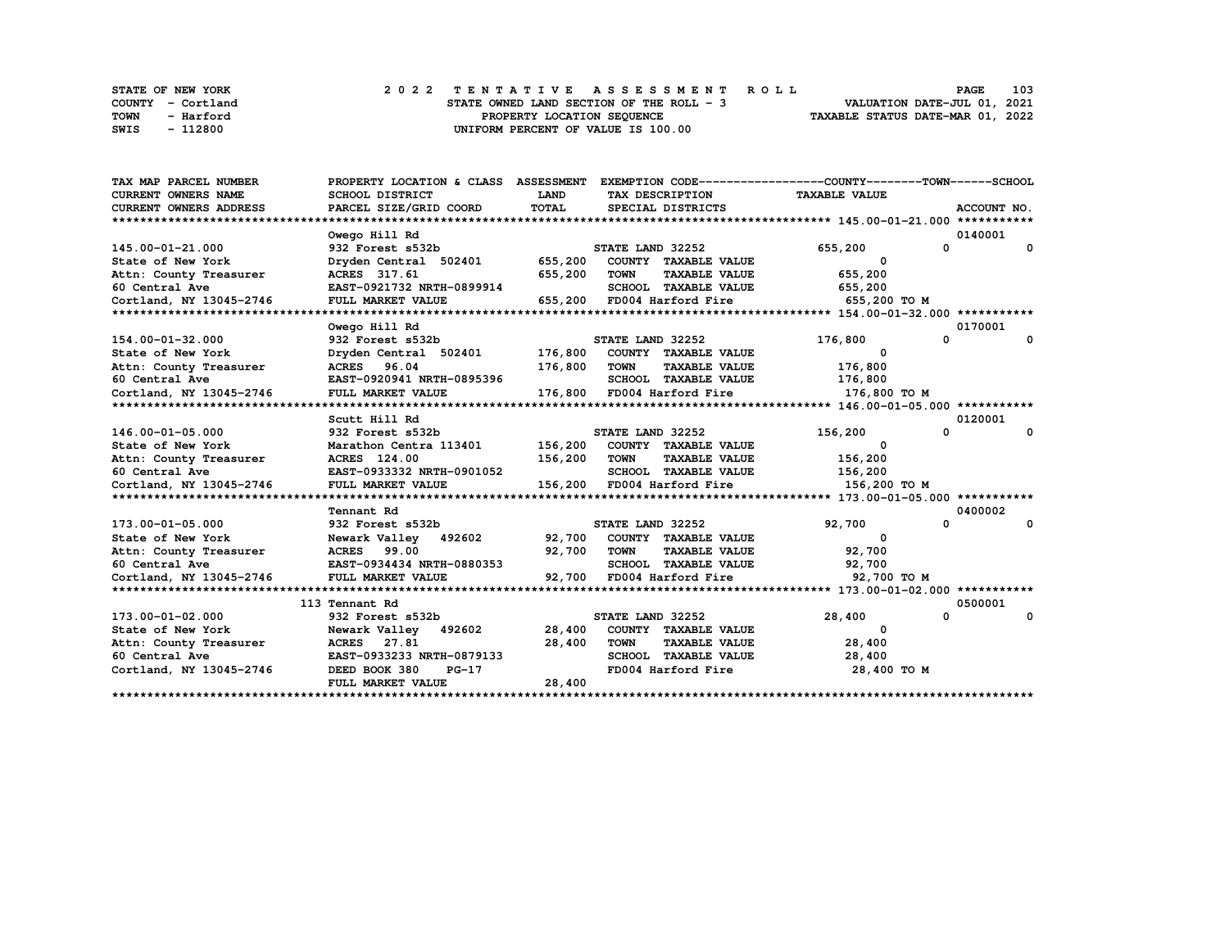| <b>STATE OF NEW YORK</b> | 2022 TENTATIVE ASSESSMENT ROLL           | 103<br><b>PAGE</b>               |
|--------------------------|------------------------------------------|----------------------------------|
| COUNTY - Cortland        | STATE OWNED LAND SECTION OF THE ROLL - 3 | VALUATION DATE-JUL 01, 2021      |
| TOWN<br>- Harford        | PROPERTY LOCATION SEQUENCE               | TAXABLE STATUS DATE-MAR 01, 2022 |
| - 112800<br>SWIS         | UNIFORM PERCENT OF VALUE IS 100.00       |                                  |

| TAX MAP PARCEL NUMBER         | PROPERTY LOCATION & CLASS ASSESSMENT EXEMPTION CODE----------------COUNTY-------TOWN-----SCHOOL |              |                                              |                          |              |
|-------------------------------|-------------------------------------------------------------------------------------------------|--------------|----------------------------------------------|--------------------------|--------------|
| <b>CURRENT OWNERS NAME</b>    | <b>SCHOOL DISTRICT</b>                                                                          | <b>LAND</b>  | TAX DESCRIPTION                              | <b>TAXABLE VALUE</b>     |              |
| <b>CURRENT OWNERS ADDRESS</b> | PARCEL SIZE/GRID COORD                                                                          | TOTAL        | SPECIAL DISTRICTS                            |                          | ACCOUNT NO.  |
|                               |                                                                                                 |              |                                              |                          |              |
|                               | Owego Hill Rd                                                                                   |              |                                              |                          | 0140001      |
| 145.00-01-21.000              | 932 Forest s532b                                                                                |              | STATE LAND 32252                             | 655,200<br>$^{\circ}$    | $\mathbf{o}$ |
| State of New York             | Dryden Central 502401 655,200                                                                   |              | COUNTY TAXABLE VALUE                         | 0                        |              |
| Attn: County Treasurer        | ACRES 317.61                                                                                    | 655,200      | TOWN<br><b>TAXABLE VALUE</b>                 | 655,200                  |              |
| 60 Central Ave                | EAST-0921732 NRTH-0899914                                                                       |              | SCHOOL TAXABLE VALUE                         | 655,200                  |              |
| Cortland, NY 13045-2746       | FULL MARKET VALUE                                                                               |              | 655,200 FD004 Harford Fire                   | 655,200 TO M             |              |
|                               |                                                                                                 |              |                                              |                          |              |
|                               | Owego Hill Rd                                                                                   |              |                                              |                          | 0170001      |
| 154.00-01-32.000              | 932 Forest s532b                                                                                |              | STATE LAND 32252                             | $\mathbf{0}$<br>176,800  | $\mathbf{o}$ |
| State of New York             | Dryden Central 502401 176,800 COUNTY TAXABLE VALUE                                              |              |                                              | $\Omega$                 |              |
| Attn: County Treasurer        | ACRES 96.04                                                                                     | 176,800      | TOWN<br><b>TAXABLE VALUE</b>                 | 176,800                  |              |
| 60 Central Ave                | EAST-0920941 NRTH-0895396                                                                       |              | SCHOOL TAXABLE VALUE 176,800                 |                          |              |
| Cortland, NY 13045-2746       | FULL MARKET VALUE                                                                               |              | 176,800 FD004 Harford Fire                   | 176,800 то м             |              |
|                               |                                                                                                 |              |                                              |                          |              |
|                               | Scutt Hill Rd                                                                                   |              |                                              |                          | 0120001      |
| 146.00-01-05.000              | 932 Forest s532b                                                                                |              | <b>STATE LAND 32252</b>                      | 0<br>156,200             | 0            |
| State of New York             | Marathon Centra 113401 156,200 COUNTY TAXABLE VALUE                                             |              |                                              | $\overline{\phantom{0}}$ |              |
| Attn: County Treasurer        | <b>ACRES</b> 124.00                                                                             | 156,200 TOWN | <b>TAXABLE VALUE</b>                         | 156,200                  |              |
| 60 Central Ave                | EAST-0933332 NRTH-0901052                                                                       |              | SCHOOL TAXABLE VALUE                         | 156,200                  |              |
| Cortland, NY 13045-2746       | FULL MARKET VALUE                                                                               |              | 156,200 FD004 Harford Fire 5000 156,200 TO M |                          |              |
|                               |                                                                                                 |              |                                              |                          |              |
|                               | Tennant Rd                                                                                      |              |                                              |                          | 0400002      |
| 173.00-01-05.000              | 932 Forest s532b                                                                                |              | STATE LAND 32252                             | $\mathbf{0}$<br>92,700   | 0            |
| State of New York             | Newark Valley 492602                                                                            |              | 92,700 COUNTY TAXABLE VALUE                  | $\mathbf 0$              |              |
| Attn: County Treasurer        | <b>ACRES</b> 99.00                                                                              | 92,700       | TOWN<br><b>TAXABLE VALUE</b>                 | 92,700                   |              |
| 60 Central Ave                | EAST-0934434 NRTH-0880353                                                                       |              | SCHOOL TAXABLE VALUE                         | 92,700                   |              |
| Cortland, NY 13045-2746       | FULL MARKET VALUE                                                                               |              | 92,700 FD004 Harford Fire                    | 92,700 TO M              |              |
|                               |                                                                                                 |              |                                              |                          |              |
|                               | 113 Tennant Rd                                                                                  |              |                                              |                          | 0500001      |
| 173.00-01-02.000              | 932 Forest s532b                                                                                |              | STATE LAND 32252                             | 28,400<br>$\Omega$       | 0            |
| State of New York             | Newark Valley 492602 28,400                                                                     |              | COUNTY TAXABLE VALUE                         | $^{\circ}$               |              |
| Attn: County Treasurer        | <b>ACRES</b> 27.81                                                                              | 28,400       | <b>TOWN</b><br><b>TAXABLE VALUE</b>          | 28,400                   |              |
| 60 Central Ave                | EAST-0933233 NRTH-0879133                                                                       |              | SCHOOL TAXABLE VALUE                         | 28,400                   |              |
| Cortland, NY 13045-2746       | DEED BOOK 380<br>$PG-17$                                                                        |              | FD004 Harford Fire                           | 28,400 TO M              |              |
|                               | FULL MARKET VALUE                                                                               | 28,400       |                                              |                          |              |
|                               |                                                                                                 |              |                                              |                          |              |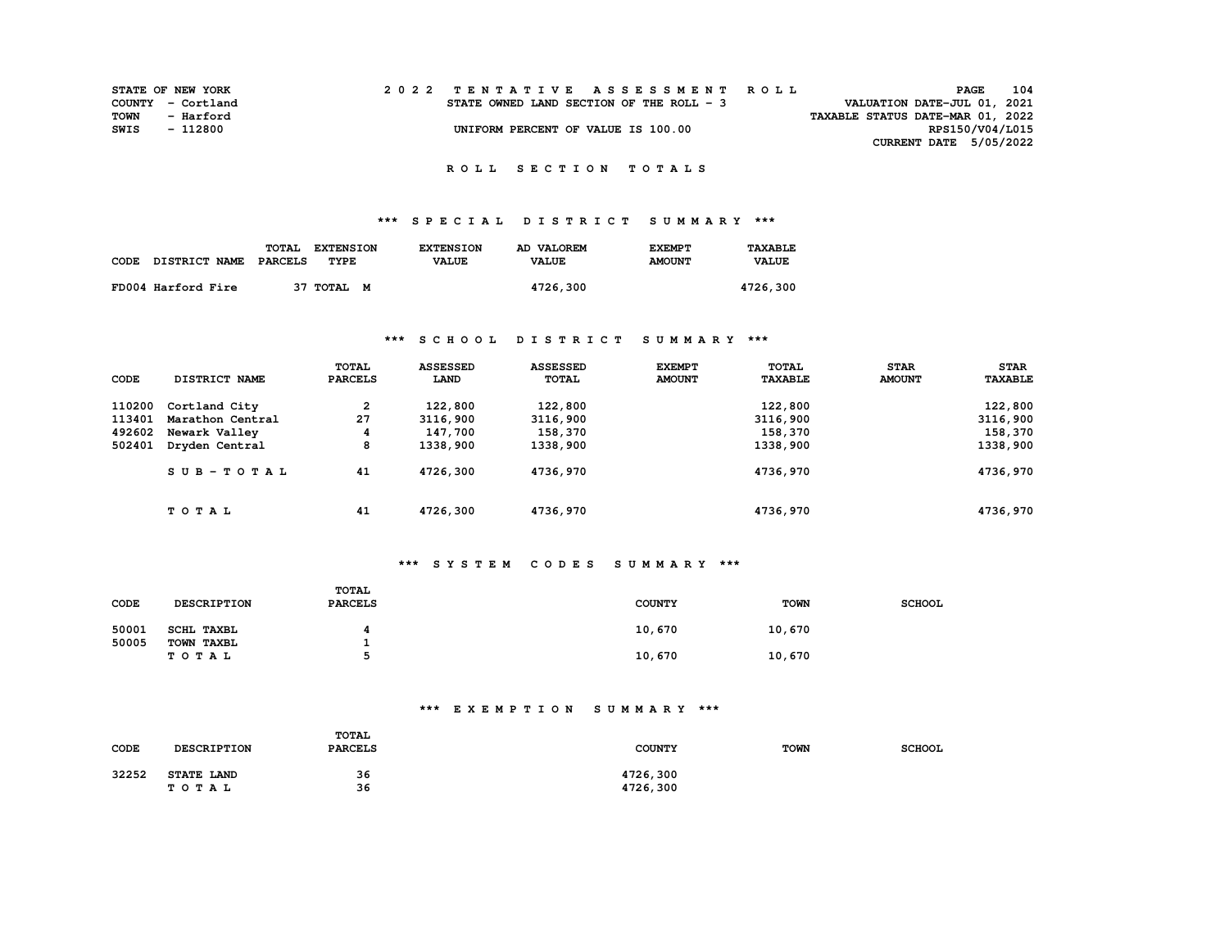| <b>STATE OF NEW YORK</b> |           |  |  |  |  |                                          |  |  |  | 2022 TENTATIVE ASSESSMENT ROLL |                                  |                               | <b>PAGE</b>     | 104 |
|--------------------------|-----------|--|--|--|--|------------------------------------------|--|--|--|--------------------------------|----------------------------------|-------------------------------|-----------------|-----|
| COUNTY - Cortland        |           |  |  |  |  | STATE OWNED LAND SECTION OF THE ROLL - 3 |  |  |  |                                | VALUATION DATE-JUL 01, 2021      |                               |                 |     |
| TOWN                     | - Harford |  |  |  |  |                                          |  |  |  |                                | TAXABLE STATUS DATE-MAR 01, 2022 |                               |                 |     |
| SWIS                     | - 112800  |  |  |  |  | UNIFORM PERCENT OF VALUE IS 100.00       |  |  |  |                                |                                  |                               | RPS150/V04/L015 |     |
|                          |           |  |  |  |  |                                          |  |  |  |                                |                                  | <b>CURRENT DATE 5/05/2022</b> |                 |     |

# **\*\*\* S P E C I A L D I S T R I C T S U M M A R Y \*\*\***

|                    | TOTAL   | <b>EXTENSION</b> | <b>EXTENSION</b> | AD VALOREM   | <b>EXEMPT</b> | TAXABLE      |
|--------------------|---------|------------------|------------------|--------------|---------------|--------------|
| CODE DISTRICT NAME | PARCELS | TYPE             | <b>VALUE</b>     | <b>VALUE</b> | <b>AMOUNT</b> | <b>VALUE</b> |
| FD004 Harford Fire |         | 37 TOTAL M       |                  | 4726,300     |               | 4726,300     |

### **\*\*\* S C H O O L D I S T R I C T S U M M A R Y \*\*\***

| CODE   | DISTRICT NAME    | <b>TOTAL</b><br><b>PARCELS</b> | <b>ASSESSED</b><br>LAND | <b>ASSESSED</b><br><b>TOTAL</b> | <b>EXEMPT</b><br><b>AMOUNT</b> | TOTAL<br><b>TAXABLE</b> | <b>STAR</b><br><b>AMOUNT</b> | <b>STAR</b><br><b>TAXABLE</b> |
|--------|------------------|--------------------------------|-------------------------|---------------------------------|--------------------------------|-------------------------|------------------------------|-------------------------------|
| 110200 | Cortland City    | 2                              | 122,800                 | 122,800                         |                                | 122,800                 |                              | 122,800                       |
| 113401 | Marathon Central | 27                             | 3116,900                | 3116,900                        |                                | 3116,900                |                              | 3116,900                      |
| 492602 | Newark Valley    | 4                              | 147,700                 | 158,370                         |                                | 158,370                 |                              | 158,370                       |
| 502401 | Dryden Central   | 8                              | 1338,900                | 1338,900                        |                                | 1338,900                |                              | 1338,900                      |
|        | SUB-TOTAL        | 41                             | 4726,300                | 4736,970                        |                                | 4736,970                |                              | 4736,970                      |
|        | TOTAL            | 41                             | 4726,300                | 4736,970                        |                                | 4736,970                |                              | 4736,970                      |

#### **\*\*\* S Y S T E M C O D E S S U M M A R Y \*\*\***

| CODE  | <b>DESCRIPTION</b>  | <b>TOTAL</b><br><b>PARCELS</b> | <b>COUNTY</b> | <b>TOWN</b> | <b>SCHOOL</b> |
|-------|---------------------|--------------------------------|---------------|-------------|---------------|
| 50001 | SCHL TAXBL          |                                | 10,670        | 10,670      |               |
| 50005 | TOWN TAXBL<br>TOTAL |                                | 10,670        | 10,670      |               |

### **\*\*\* E X E M P T I O N S U M M A R Y \*\*\***

| CODE  | <b>DESCRIPTION</b>  | TOTAL<br><b>PARCELS</b> | <b>COUNTY</b>        | <b>TOWN</b> | <b>SCHOOL</b> |
|-------|---------------------|-------------------------|----------------------|-------------|---------------|
| 32252 | STATE LAND<br>TOTAL | 36<br>36                | 4726,300<br>4726,300 |             |               |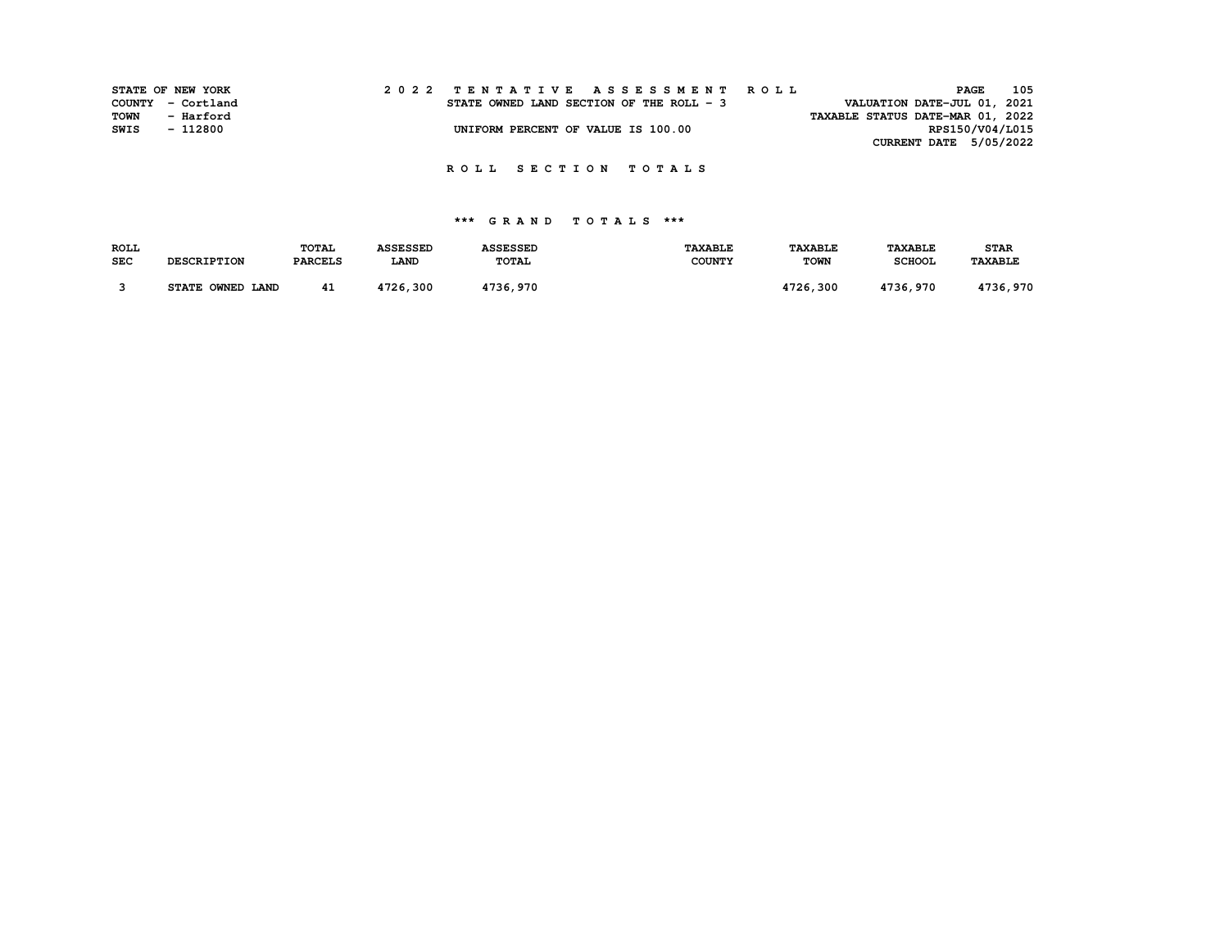|      | STATE OF NEW YORK | 2022 TENTATIVE ASSESSMENT ROLL           | <b>PAGE</b>                 | 105 |
|------|-------------------|------------------------------------------|-----------------------------|-----|
|      | COUNTY - Cortland | STATE OWNED LAND SECTION OF THE ROLL - 3 | VALUATION DATE-JUL 01, 2021 |     |
| TOWN | - Harford         | TAXABLE STATUS DATE-MAR 01, 2022         |                             |     |
| SWIS | - 112800          | UNIFORM PERCENT OF VALUE IS 100.00       | RPS150/V04/L015             |     |
|      |                   |                                          | CURRENT DATE 5/05/2022      |     |

## **\*\*\* G R A N D T O T A L S \*\*\***

| <b>ROLL</b> |                    | <b>TOTAL</b>   | <b>ASSESSED</b> | <b>ASSESSED</b> | <b>TAXABLE</b> | <b><i>TAXABLE</i></b> | <b>TAXABLE</b> | <b>STAR</b>    |
|-------------|--------------------|----------------|-----------------|-----------------|----------------|-----------------------|----------------|----------------|
| <b>SEC</b>  | <b>DESCRIPTION</b> | <b>PARCELS</b> | <b>LAND</b>     | TOTAL           | <b>COUNTY</b>  | <b>TOWN</b>           | <b>SCHOOL</b>  | <b>TAXABLE</b> |
|             |                    |                |                 |                 |                |                       |                |                |
|             | STATE OWNED LAND   | 41             | 4726,300        | 4736,970        |                | 4726,300              | 4736,970       | 4736,970       |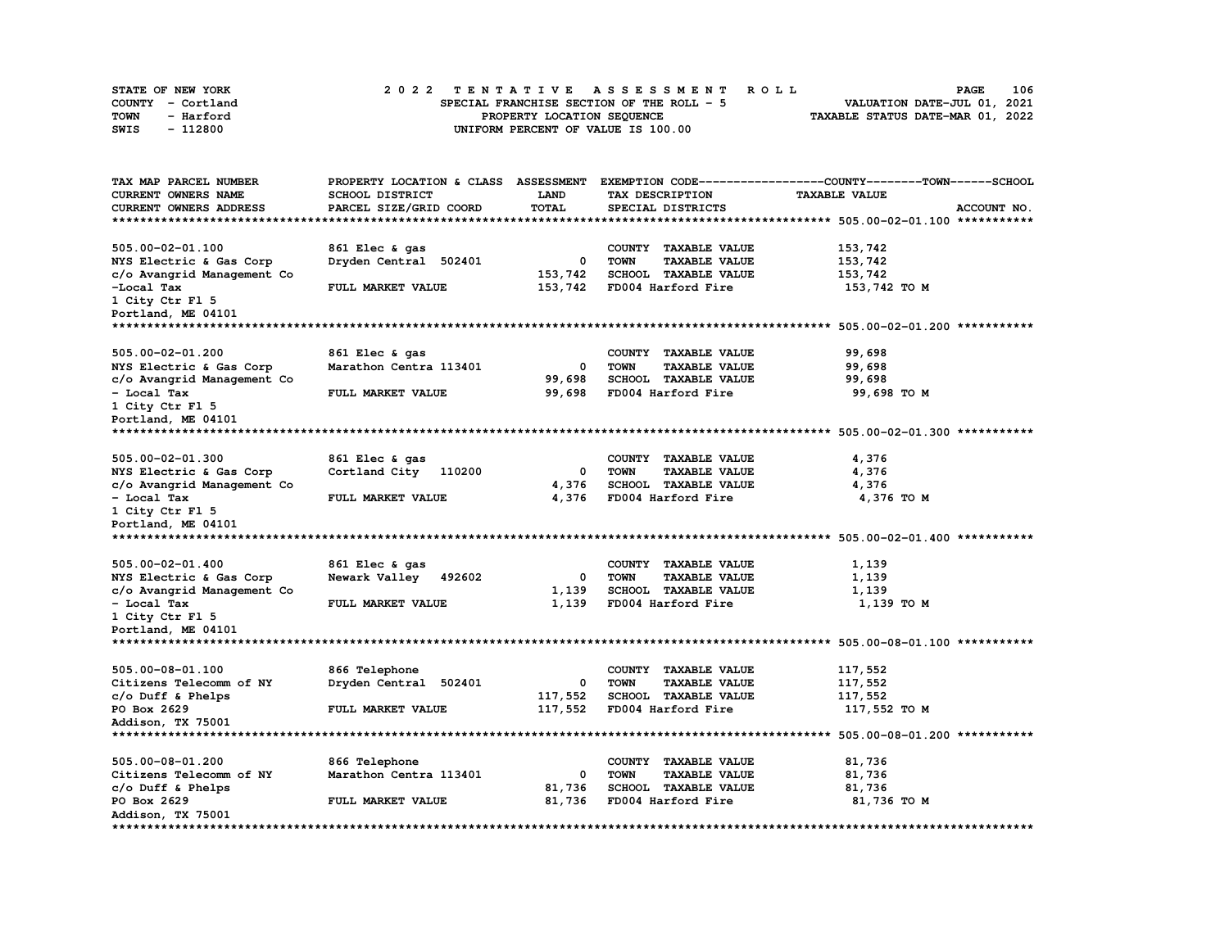| STATE OF NEW YORK | 2022 TENTATIVE ASSESSMENT ROLL            | 106<br><b>PAGE</b>               |
|-------------------|-------------------------------------------|----------------------------------|
| COUNTY - Cortland | SPECIAL FRANCHISE SECTION OF THE ROLL - 5 | VALUATION DATE-JUL 01, 2021      |
| TOWN<br>- Harford | PROPERTY LOCATION SEQUENCE                | TAXABLE STATUS DATE-MAR 01, 2022 |
| - 112800<br>SWIS  | UNIFORM PERCENT OF VALUE IS 100.00        |                                  |

| TAX MAP PARCEL NUMBER                               | PROPERTY LOCATION & CLASS ASSESSMENT |             |                                                             | EXEMPTION CODE-----------------COUNTY-------TOWN------SCHOOL |
|-----------------------------------------------------|--------------------------------------|-------------|-------------------------------------------------------------|--------------------------------------------------------------|
| <b>CURRENT OWNERS NAME</b>                          | SCHOOL DISTRICT                      | <b>LAND</b> | TAX DESCRIPTION                                             | <b>TAXABLE VALUE</b>                                         |
| <b>CURRENT OWNERS ADDRESS</b>                       | PARCEL SIZE/GRID COORD               | TOTAL       | SPECIAL DISTRICTS                                           | ACCOUNT NO.                                                  |
| *************************                           |                                      |             |                                                             |                                                              |
|                                                     |                                      |             |                                                             |                                                              |
| 505.00-02-01.100                                    | 861 Elec & gas                       |             | COUNTY TAXABLE VALUE                                        | 153,742                                                      |
| NYS Electric & Gas Corp                             | Dryden Central 502401                | 0           | <b>TOWN</b><br><b>TAXABLE VALUE</b>                         | 153,742                                                      |
| c/o Avangrid Management Co                          |                                      | 153,742     | SCHOOL TAXABLE VALUE                                        | 153,742                                                      |
| -Local Tax                                          | FULL MARKET VALUE                    | 153,742     | FD004 Harford Fire                                          | 153,742 TO M                                                 |
| 1 City Ctr Fl 5                                     |                                      |             |                                                             |                                                              |
| Portland, ME 04101                                  |                                      |             |                                                             |                                                              |
| *************************                           |                                      |             |                                                             |                                                              |
|                                                     |                                      |             |                                                             |                                                              |
| 505.00-02-01.200                                    | 861 Elec & gas                       |             | COUNTY TAXABLE VALUE                                        | 99,698                                                       |
| NYS Electric & Gas Corp                             | Marathon Centra 113401               | 0           | <b>TOWN</b><br><b>TAXABLE VALUE</b>                         | 99,698                                                       |
| c/o Avangrid Management Co                          |                                      | 99,698      | SCHOOL TAXABLE VALUE                                        | 99,698                                                       |
| - Local Tax                                         | FULL MARKET VALUE                    | 99,698      | FD004 Harford Fire                                          | 99,698 TO M                                                  |
| 1 City Ctr Fl 5                                     |                                      |             |                                                             |                                                              |
| Portland, ME 04101                                  |                                      |             |                                                             |                                                              |
|                                                     |                                      |             |                                                             |                                                              |
|                                                     |                                      |             |                                                             |                                                              |
| 505.00-02-01.300                                    | 861 Elec & gas                       |             | COUNTY TAXABLE VALUE                                        |                                                              |
|                                                     |                                      | 0           |                                                             | 4,376<br>4,376                                               |
| NYS Electric & Gas Corp                             | Cortland City<br>110200              |             | <b>TOWN</b><br><b>TAXABLE VALUE</b><br>SCHOOL TAXABLE VALUE | 4,376                                                        |
| c/o Avangrid Management Co                          |                                      | 4,376       | FD004 Harford Fire                                          |                                                              |
| - Local Tax                                         | FULL MARKET VALUE                    | 4,376       |                                                             | 4,376 TO M                                                   |
| 1 City Ctr Fl 5                                     |                                      |             |                                                             |                                                              |
| Portland, ME 04101<br>***************************** |                                      |             |                                                             |                                                              |
|                                                     |                                      |             |                                                             |                                                              |
|                                                     |                                      |             |                                                             |                                                              |
| 505.00-02-01.400                                    | 861 Elec & gas                       |             | COUNTY TAXABLE VALUE                                        | 1,139                                                        |
| NYS Electric & Gas Corp                             | Newark Valley<br>492602              | 0           | <b>TOWN</b><br><b>TAXABLE VALUE</b>                         | 1,139                                                        |
| c/o Avangrid Management Co                          |                                      | 1,139       | SCHOOL TAXABLE VALUE                                        | 1,139                                                        |
| - Local Tax                                         | FULL MARKET VALUE                    | 1,139       | FD004 Harford Fire                                          | 1,139 TO M                                                   |
| 1 City Ctr Fl 5                                     |                                      |             |                                                             |                                                              |
| Portland, ME 04101                                  |                                      |             |                                                             |                                                              |
| ****************************                        |                                      |             |                                                             |                                                              |
|                                                     |                                      |             |                                                             |                                                              |
| 505.00-08-01.100                                    | 866 Telephone                        |             | COUNTY TAXABLE VALUE                                        | 117,552                                                      |
| Citizens Telecomm of NY                             | Dryden Central 502401                | 0           | <b>TOWN</b><br><b>TAXABLE VALUE</b>                         | 117,552                                                      |
| $c/o$ Duff & Phelps                                 |                                      | 117,552     | SCHOOL TAXABLE VALUE                                        | 117,552                                                      |
| PO Box 2629                                         | FULL MARKET VALUE                    | 117,552     | FD004 Harford Fire                                          | 117,552 TO M                                                 |
| Addison, TX 75001                                   |                                      |             |                                                             |                                                              |
|                                                     |                                      |             |                                                             |                                                              |
| 505.00-08-01.200                                    | 866 Telephone                        |             | COUNTY TAXABLE VALUE                                        | 81,736                                                       |
| Citizens Telecomm of NY                             | Marathon Centra 113401               | 0           | <b>TOWN</b><br><b>TAXABLE VALUE</b>                         | 81,736                                                       |
| $c/o$ Duff & Phelps                                 |                                      | 81,736      | SCHOOL TAXABLE VALUE                                        | 81,736                                                       |
| PO Box 2629                                         | FULL MARKET VALUE                    | 81,736      | FD004 Harford Fire                                          | 81,736 TO M                                                  |
|                                                     |                                      |             |                                                             |                                                              |
| Addison, TX 75001                                   |                                      |             |                                                             |                                                              |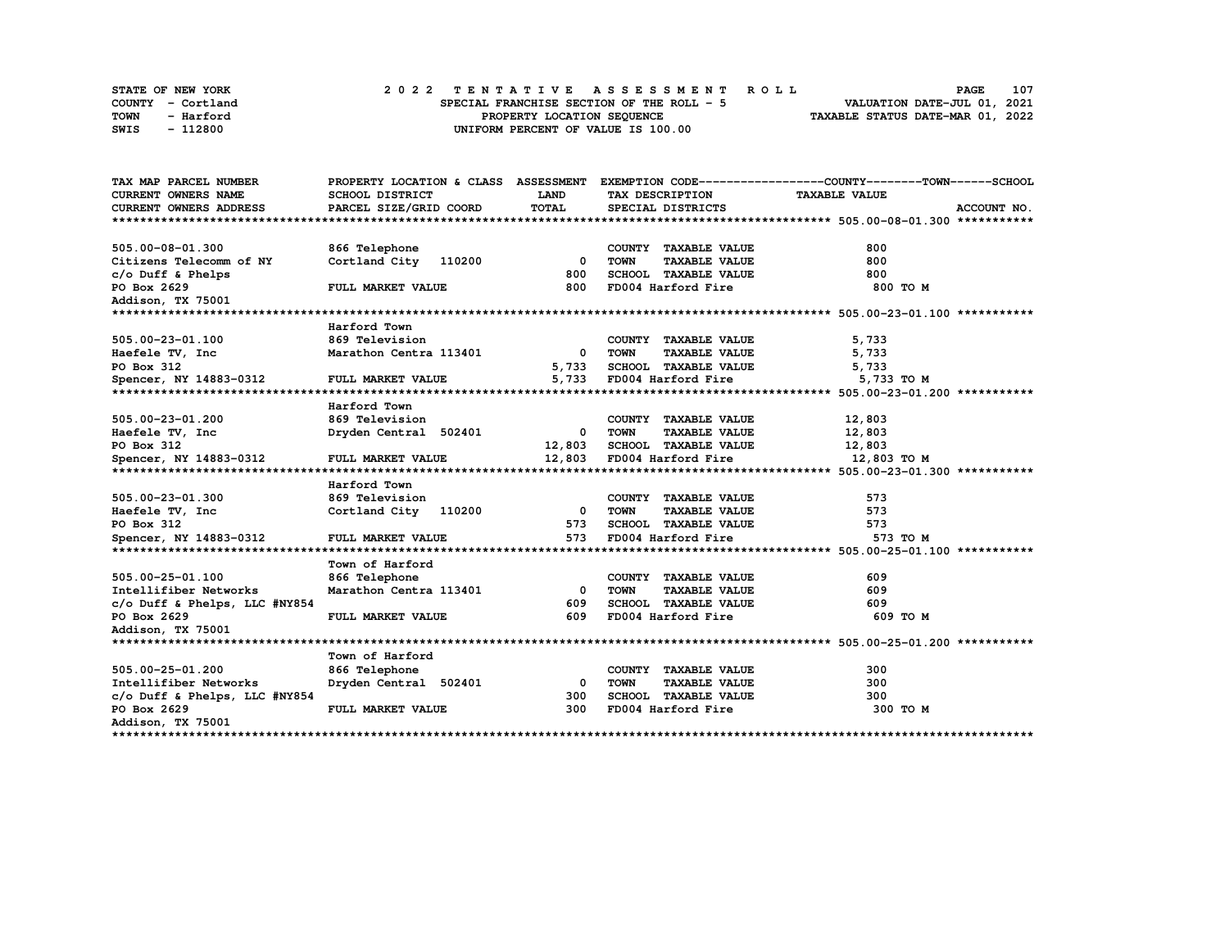|             | STATE OF NEW YORK | 2022 TENTATIVE ASSESSMENT ROLL |  |  |  |                                           |  |  |  |  |  |  |                                  | <b>PAGE</b> | 107 |
|-------------|-------------------|--------------------------------|--|--|--|-------------------------------------------|--|--|--|--|--|--|----------------------------------|-------------|-----|
|             | COUNTY - Cortland |                                |  |  |  | SPECIAL FRANCHISE SECTION OF THE ROLL - 5 |  |  |  |  |  |  | VALUATION DATE-JUL 01, 2021      |             |     |
| <b>TOWN</b> | - Harford         |                                |  |  |  | PROPERTY LOCATION SEQUENCE                |  |  |  |  |  |  | TAXABLE STATUS DATE-MAR 01, 2022 |             |     |
| SWIS        | - 112800          |                                |  |  |  | UNIFORM PERCENT OF VALUE IS 100.00        |  |  |  |  |  |  |                                  |             |     |

| TAX MAP PARCEL NUMBER         |                        |                         |                                     | PROPERTY LOCATION & CLASS ASSESSMENT EXEMPTION CODE----------------COUNTY-------TOWN------SCHOOL |
|-------------------------------|------------------------|-------------------------|-------------------------------------|--------------------------------------------------------------------------------------------------|
| <b>CURRENT OWNERS NAME</b>    | SCHOOL DISTRICT        | <b>LAND</b>             | TAX DESCRIPTION                     | <b>TAXABLE VALUE</b>                                                                             |
| CURRENT OWNERS ADDRESS        | PARCEL SIZE/GRID COORD | TOTAL                   | SPECIAL DISTRICTS                   | ACCOUNT NO.                                                                                      |
|                               |                        |                         |                                     |                                                                                                  |
| 505.00-08-01.300              | 866 Telephone          |                         | COUNTY TAXABLE VALUE                | 800                                                                                              |
| Citizens Telecomm of NY       | Cortland City 110200   | $^{\circ}$              | <b>TOWN</b><br><b>TAXABLE VALUE</b> | 800                                                                                              |
| $c/o$ Duff & Phelps           |                        | 800                     | SCHOOL TAXABLE VALUE                | 800                                                                                              |
| PO Box 2629                   | FULL MARKET VALUE      | 800                     | FD004 Harford Fire                  | 800 TO M                                                                                         |
| Addison, TX 75001             |                        |                         |                                     |                                                                                                  |
|                               |                        |                         |                                     |                                                                                                  |
|                               | Harford Town           |                         |                                     |                                                                                                  |
| 505.00-23-01.100              | 869 Television         |                         | COUNTY TAXABLE VALUE                | 5,733                                                                                            |
| Haefele TV, Inc               | Marathon Centra 113401 | $^{\circ}$              | <b>TOWN</b><br><b>TAXABLE VALUE</b> | 5,733                                                                                            |
| PO Box 312                    |                        | 5,733                   | SCHOOL TAXABLE VALUE                | 5,733                                                                                            |
| Spencer, NY 14883-0312        | FULL MARKET VALUE      | 5,733                   | FD004 Harford Fire                  | 5,733 TO M                                                                                       |
|                               |                        |                         |                                     |                                                                                                  |
|                               | Harford Town           |                         |                                     |                                                                                                  |
| 505.00-23-01.200              | 869 Television         |                         | COUNTY TAXABLE VALUE                | 12,803                                                                                           |
| Haefele TV, Inc               | Dryden Central 502401  | $\overline{\mathbf{0}}$ | <b>TOWN</b><br><b>TAXABLE VALUE</b> | 12,803                                                                                           |
| PO Box 312                    |                        | 12,803                  | SCHOOL TAXABLE VALUE                | 12,803                                                                                           |
| Spencer, NY 14883-0312        | FULL MARKET VALUE      | 12,803                  | FD004 Harford Fire                  | 12,803 TO M                                                                                      |
|                               |                        |                         |                                     |                                                                                                  |
|                               | Harford Town           |                         |                                     |                                                                                                  |
| 505.00-23-01.300              | 869 Television         |                         | COUNTY TAXABLE VALUE                | 573                                                                                              |
| Haefele TV, Inc               | Cortland City 110200   | $\mathbf{0}$            | <b>TAXABLE VALUE</b><br>TOWN        | 573                                                                                              |
| PO Box 312                    |                        | 573                     | <b>SCHOOL TAXABLE VALUE</b>         | 573                                                                                              |
| Spencer, NY 14883-0312        | FULL MARKET VALUE      | 573                     | FD004 Harford Fire                  | 573 TO M                                                                                         |
|                               |                        |                         |                                     |                                                                                                  |
|                               | Town of Harford        |                         |                                     |                                                                                                  |
| 505.00-25-01.100              | 866 Telephone          |                         | COUNTY TAXABLE VALUE                | 609                                                                                              |
| Intellifiber Networks         | Marathon Centra 113401 | $\Omega$                | <b>TOWN</b><br><b>TAXABLE VALUE</b> | 609                                                                                              |
| c/o Duff & Phelps, LLC #NY854 |                        | 609                     | SCHOOL TAXABLE VALUE                | 609                                                                                              |
| PO Box 2629                   | FULL MARKET VALUE      | 609                     | FD004 Harford Fire                  | 609 TO M                                                                                         |
| Addison, TX 75001             |                        |                         |                                     |                                                                                                  |
|                               |                        |                         |                                     |                                                                                                  |
|                               | Town of Harford        |                         |                                     |                                                                                                  |
| 505.00-25-01.200              | 866 Telephone          |                         | COUNTY TAXABLE VALUE                | 300                                                                                              |
| Intellifiber Networks         | Dryden Central 502401  | 0                       | <b>TOWN</b><br><b>TAXABLE VALUE</b> | 300                                                                                              |
| c/o Duff & Phelps, LLC #NY854 |                        | 300                     | SCHOOL TAXABLE VALUE                | 300                                                                                              |
| PO Box 2629                   | FULL MARKET VALUE      | 300                     | FD004 Harford Fire                  | 300 TO M                                                                                         |
| Addison, TX 75001             |                        |                         |                                     |                                                                                                  |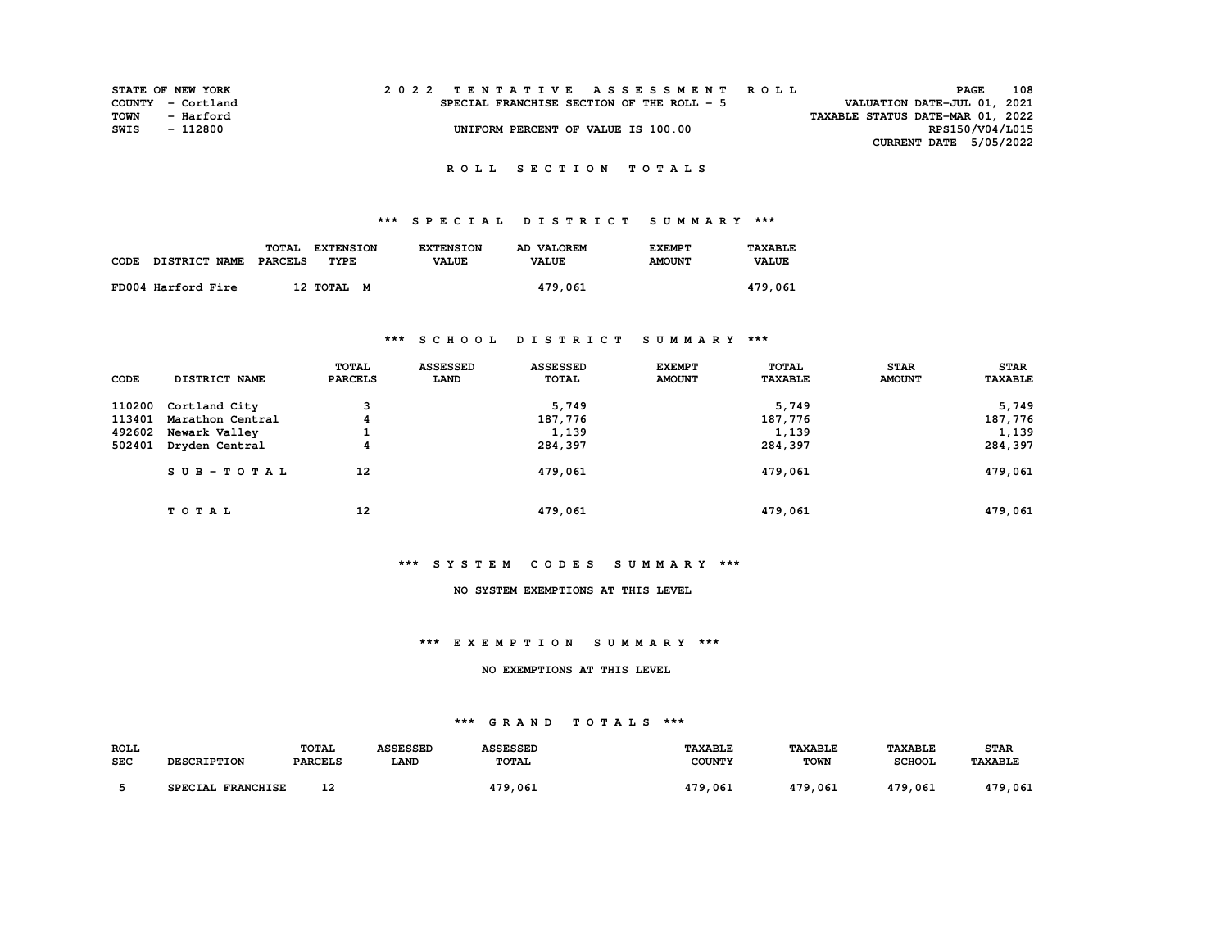| <b>STATE OF NEW YORK</b> |           |  |  |  |  | 2022 TENTATIVE ASSESSMENT ROLL            |  |  |  |  |  |                                  |                 | PAGE | 108 |
|--------------------------|-----------|--|--|--|--|-------------------------------------------|--|--|--|--|--|----------------------------------|-----------------|------|-----|
| COUNTY - Cortland        |           |  |  |  |  | SPECIAL FRANCHISE SECTION OF THE ROLL - 5 |  |  |  |  |  | VALUATION DATE-JUL 01, 2021      |                 |      |     |
| TOWN                     | - Harford |  |  |  |  |                                           |  |  |  |  |  | TAXABLE STATUS DATE-MAR 01, 2022 |                 |      |     |
| SWIS                     | - 112800  |  |  |  |  | UNIFORM PERCENT OF VALUE IS 100.00        |  |  |  |  |  |                                  | RPS150/V04/L015 |      |     |
|                          |           |  |  |  |  |                                           |  |  |  |  |  | CURRENT DATE 5/05/2022           |                 |      |     |

## **\*\*\* S P E C I A L D I S T R I C T S U M M A R Y \*\*\***

|                    | TOTAL<br><b>EXTENSION</b> | <b>EXTENSION</b> | AD VALOREM   | <b>EXEMPT</b> | TAXABLE      |
|--------------------|---------------------------|------------------|--------------|---------------|--------------|
| CODE DISTRICT NAME | PARCELS<br>TYPE           | <b>VALUE</b>     | <b>VALUE</b> | <b>AMOUNT</b> | <b>VALUE</b> |
| FD004 Harford Fire | 12 TOTAL M                |                  | 479,061      |               | 479,061      |

### **\*\*\* S C H O O L D I S T R I C T S U M M A R Y \*\*\***

| CODE   | DISTRICT NAME    | <b>TOTAL</b><br><b>PARCELS</b> | <b>ASSESSED</b><br>LAND | <b>ASSESSED</b><br>TOTAL | <b>EXEMPT</b><br><b>AMOUNT</b> | TOTAL<br><b>TAXABLE</b> | <b>STAR</b><br><b>AMOUNT</b> | <b>STAR</b><br><b>TAXABLE</b> |
|--------|------------------|--------------------------------|-------------------------|--------------------------|--------------------------------|-------------------------|------------------------------|-------------------------------|
| 110200 | Cortland City    | 3                              |                         | 5,749                    |                                | 5,749                   |                              | 5,749                         |
| 113401 | Marathon Central | 4                              |                         | 187,776                  |                                | 187,776                 |                              | 187,776                       |
| 492602 | Newark Valley    | <b>.</b>                       |                         | 1,139                    |                                | 1,139                   |                              | 1,139                         |
| 502401 | Dryden Central   | 4                              |                         | 284,397                  |                                | 284,397                 |                              | 284,397                       |
|        | $SUB - TO T AL$  | 12                             |                         | 479,061                  |                                | 479,061                 |                              | 479,061                       |
|        | TOTAL            | 12                             |                         | 479,061                  |                                | 479,061                 |                              | 479,061                       |

### **\*\*\* S Y S T E M C O D E S S U M M A R Y \*\*\***

## **NO SYSTEM EXEMPTIONS AT THIS LEVEL**

#### **\*\*\* E X E M P T I O N S U M M A R Y \*\*\***

#### **NO EXEMPTIONS AT THIS LEVEL**

### **\*\*\* G R A N D T O T A L S \*\*\***

| <b>ROLL</b> |                                    | <b>TOTAL</b>   | <b>ASSESSED</b> | <b>ASSESSED</b> | <b>TAXABLE</b> | <b>TAXABLE</b> | <b>TAXABLE</b> | <b>STAR</b>    |
|-------------|------------------------------------|----------------|-----------------|-----------------|----------------|----------------|----------------|----------------|
| <b>SEC</b>  | <b>DESCRIPTION</b>                 | <b>PARCELS</b> | LAND            | <b>TOTAL</b>    | <b>COUNTY</b>  | <b>TOWN</b>    | <b>SCHOOL</b>  | <b>TAXABLE</b> |
|             |                                    |                |                 |                 |                |                |                |                |
|             | <b>FRANCHISE</b><br><b>SPECIAL</b> | 12<br>--       |                 | 479,061         | 479.061        | 479,061        | 479,061        | 479.<br>,061   |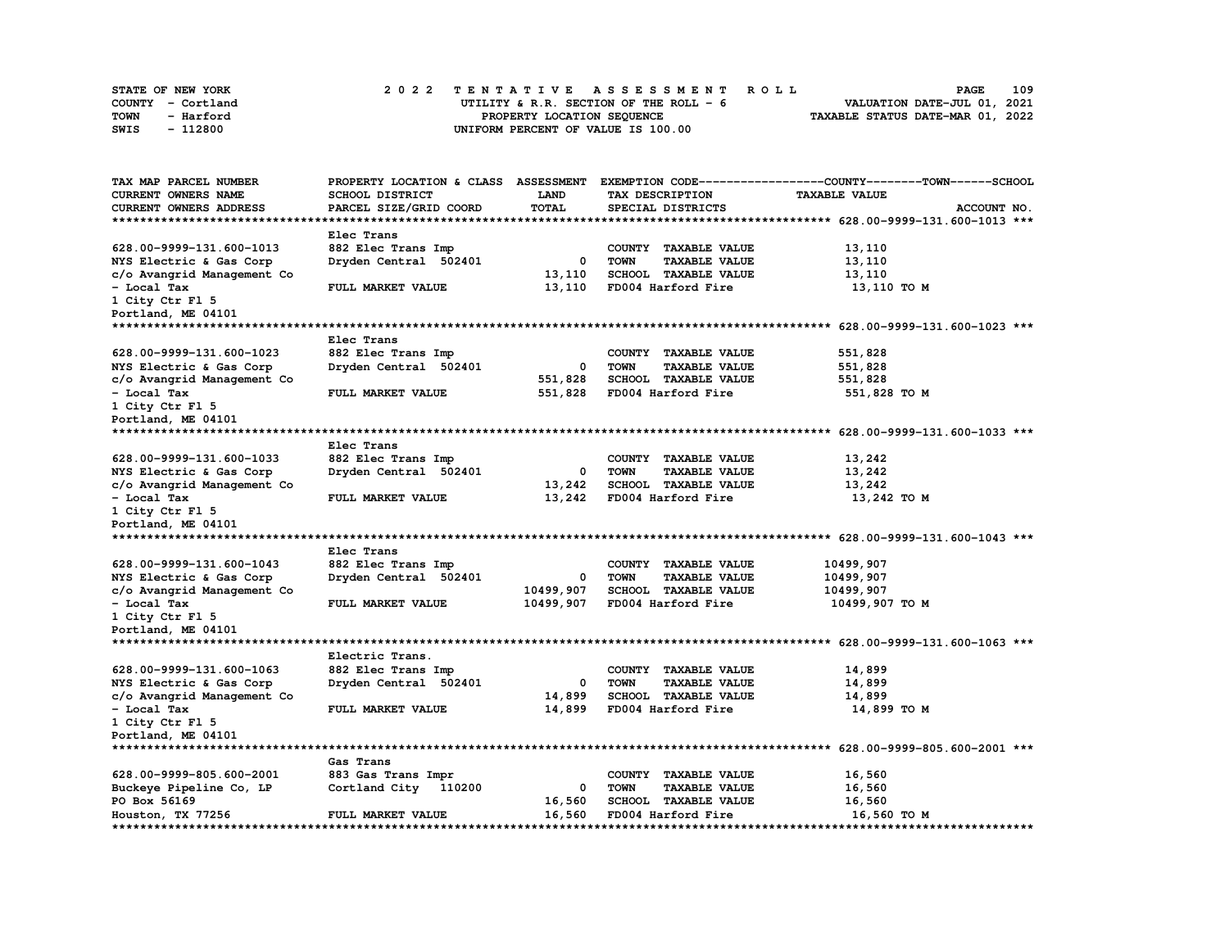| STATE OF NEW YORK | 2022 TENTATIVE ASSESSMENT ROLL          | 109<br><b>PAGE</b>               |
|-------------------|-----------------------------------------|----------------------------------|
| COUNTY - Cortland | UTILITY & R.R. SECTION OF THE ROLL $-6$ | VALUATION DATE-JUL 01, 2021      |
| TOWN<br>- Harford | PROPERTY LOCATION SEQUENCE              | TAXABLE STATUS DATE-MAR 01, 2022 |
| - 112800<br>SWIS  | UNIFORM PERCENT OF VALUE IS 100.00      |                                  |

| TAX MAP PARCEL NUMBER         | PROPERTY LOCATION & CLASS ASSESSMENT |              |                                     | EXEMPTION CODE-----------------COUNTY-------TOWN------SCHOOL |
|-------------------------------|--------------------------------------|--------------|-------------------------------------|--------------------------------------------------------------|
| <b>CURRENT OWNERS NAME</b>    | SCHOOL DISTRICT                      | LAND         | TAX DESCRIPTION                     | <b>TAXABLE VALUE</b>                                         |
| <b>CURRENT OWNERS ADDRESS</b> | PARCEL SIZE/GRID COORD               | <b>TOTAL</b> | SPECIAL DISTRICTS                   | ACCOUNT NO.                                                  |
|                               |                                      |              |                                     |                                                              |
|                               | Elec Trans                           |              |                                     |                                                              |
| 628.00-9999-131.600-1013      | 882 Elec Trans Imp                   |              | COUNTY TAXABLE VALUE                | 13,110                                                       |
| NYS Electric & Gas Corp       | Dryden Central 502401                | 0            | <b>TOWN</b><br><b>TAXABLE VALUE</b> | 13,110                                                       |
| c/o Avangrid Management Co    |                                      | 13,110       | SCHOOL TAXABLE VALUE                | 13,110                                                       |
| - Local Tax                   | FULL MARKET VALUE                    | 13,110       | FD004 Harford Fire                  | 13,110 TO M                                                  |
| 1 City Ctr Fl 5               |                                      |              |                                     |                                                              |
|                               |                                      |              |                                     |                                                              |
| Portland, ME 04101            |                                      |              |                                     |                                                              |
|                               |                                      |              |                                     |                                                              |
|                               | Elec Trans                           |              |                                     |                                                              |
| 628.00-9999-131.600-1023      | 882 Elec Trans Imp                   |              | COUNTY TAXABLE VALUE                | 551,828                                                      |
| NYS Electric & Gas Corp       | Dryden Central 502401                | 0            | <b>TOWN</b><br><b>TAXABLE VALUE</b> | 551,828                                                      |
| c/o Avangrid Management Co    |                                      | 551,828      | SCHOOL TAXABLE VALUE                | 551,828                                                      |
| - Local Tax                   | FULL MARKET VALUE                    | 551,828      | FD004 Harford Fire                  | 551,828 TO M                                                 |
| 1 City Ctr Fl 5               |                                      |              |                                     |                                                              |
| Portland, ME 04101            |                                      |              |                                     |                                                              |
|                               |                                      |              |                                     |                                                              |
|                               | Elec Trans                           |              |                                     |                                                              |
| 628.00-9999-131.600-1033      | 882 Elec Trans Imp                   |              | COUNTY TAXABLE VALUE                | 13,242                                                       |
| NYS Electric & Gas Corp       | Dryden Central 502401                | 0            | <b>TOWN</b><br><b>TAXABLE VALUE</b> | 13,242                                                       |
| c/o Avangrid Management Co    |                                      | 13,242       | <b>SCHOOL TAXABLE VALUE</b>         | 13,242                                                       |
| - Local Tax                   | FULL MARKET VALUE                    | 13,242       | FD004 Harford Fire                  | 13,242 TO M                                                  |
| 1 City Ctr Fl 5               |                                      |              |                                     |                                                              |
| Portland, ME 04101            |                                      |              |                                     |                                                              |
|                               |                                      |              |                                     |                                                              |
|                               | Elec Trans                           |              |                                     |                                                              |
| 628.00-9999-131.600-1043      | 882 Elec Trans Imp                   |              | COUNTY TAXABLE VALUE                | 10499,907                                                    |
| NYS Electric & Gas Corp       | Dryden Central 502401                | 0            | <b>TOWN</b><br><b>TAXABLE VALUE</b> | 10499,907                                                    |
| c/o Avangrid Management Co    |                                      | 10499,907    | SCHOOL TAXABLE VALUE                | 10499,907                                                    |
| - Local Tax                   | FULL MARKET VALUE                    | 10499,907    | FD004 Harford Fire                  | 10499,907 TO M                                               |
| 1 City Ctr Fl 5               |                                      |              |                                     |                                                              |
| Portland, ME 04101            |                                      |              |                                     |                                                              |
|                               |                                      |              |                                     |                                                              |
|                               | Electric Trans.                      |              |                                     |                                                              |
| 628.00-9999-131.600-1063      | 882 Elec Trans Imp                   |              | COUNTY TAXABLE VALUE                | 14,899                                                       |
| NYS Electric & Gas Corp       | Dryden Central 502401                | 0            | <b>TOWN</b><br><b>TAXABLE VALUE</b> | 14,899                                                       |
| c/o Avangrid Management Co    |                                      | 14,899       | SCHOOL TAXABLE VALUE                | 14,899                                                       |
| - Local Tax                   | FULL MARKET VALUE                    | 14,899       | FD004 Harford Fire                  | 14,899 TO M                                                  |
| 1 City Ctr Fl 5               |                                      |              |                                     |                                                              |
| Portland, ME 04101            |                                      |              |                                     |                                                              |
|                               |                                      |              |                                     |                                                              |
|                               | Gas Trans                            |              |                                     |                                                              |
|                               |                                      |              |                                     |                                                              |
| 628.00-9999-805.600-2001      | 883 Gas Trans Impr                   |              | COUNTY TAXABLE VALUE                | 16,560                                                       |
| Buckeye Pipeline Co, LP       | Cortland City 110200                 | 0            | <b>TOWN</b><br><b>TAXABLE VALUE</b> | 16,560                                                       |
| PO Box 56169                  |                                      | 16,560       | SCHOOL TAXABLE VALUE                | 16,560                                                       |
| Houston, TX 77256<br>******** | FULL MARKET VALUE                    | 16,560       | FD004 Harford Fire                  | 16,560 TO M<br>**************                                |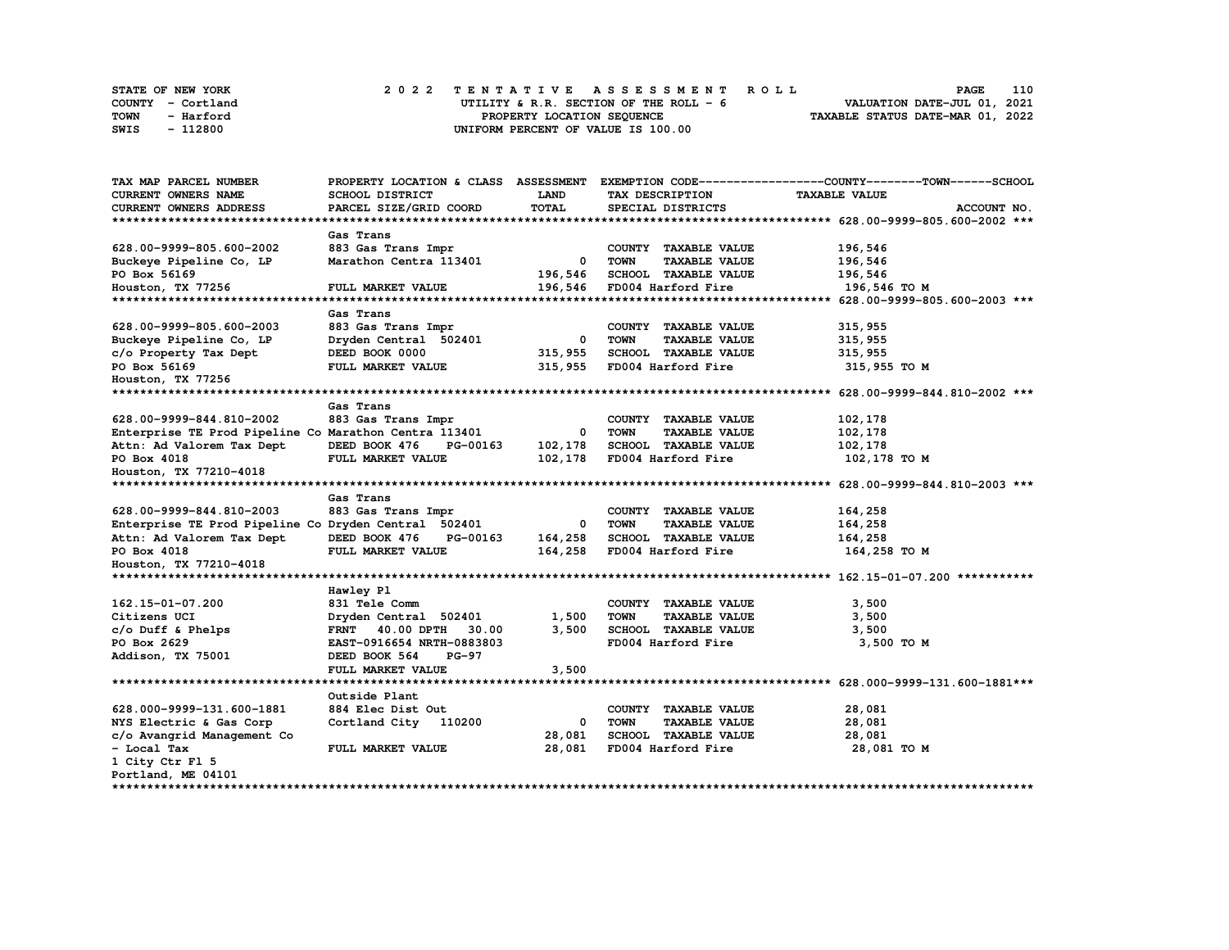|             | STATE OF NEW YORK | 2022 TENTATIVE ASSESSMENT ROLL          | 110<br><b>PAGE</b>               |
|-------------|-------------------|-----------------------------------------|----------------------------------|
|             | COUNTY - Cortland | UTILITY & R.R. SECTION OF THE ROLL $-6$ | VALUATION DATE-JUL 01, 2021      |
| <b>TOWN</b> | - Harford         | PROPERTY LOCATION SEOUENCE              | TAXABLE STATUS DATE-MAR 01, 2022 |
| SWIS        | - 112800          | UNIFORM PERCENT OF VALUE IS 100.00      |                                  |

| TAX MAP PARCEL NUMBER                                 |                           |              |                                     | PROPERTY LOCATION & CLASS ASSESSMENT EXEMPTION CODE----------------COUNTY-------TOWN------SCHOOL |
|-------------------------------------------------------|---------------------------|--------------|-------------------------------------|--------------------------------------------------------------------------------------------------|
| <b>CURRENT OWNERS NAME</b>                            | SCHOOL DISTRICT           | <b>LAND</b>  | TAX DESCRIPTION                     | <b>TAXABLE VALUE</b>                                                                             |
| CURRENT OWNERS ADDRESS                                | PARCEL SIZE/GRID COORD    | <b>TOTAL</b> | SPECIAL DISTRICTS                   | ACCOUNT NO.                                                                                      |
|                                                       |                           |              |                                     |                                                                                                  |
|                                                       | Gas Trans                 |              |                                     |                                                                                                  |
| 628.00-9999-805.600-2002                              | 883 Gas Trans Impr        |              | COUNTY TAXABLE VALUE                | 196,546                                                                                          |
| Buckeye Pipeline Co, LP                               | Marathon Centra 113401    | 0            | <b>TOWN</b><br><b>TAXABLE VALUE</b> | 196,546                                                                                          |
| PO Box 56169                                          |                           | 196,546      | SCHOOL TAXABLE VALUE                | 196,546                                                                                          |
| Houston, TX 77256                                     | FULL MARKET VALUE         | 196,546      | FD004 Harford Fire                  | 196,546 TO M                                                                                     |
|                                                       |                           |              |                                     |                                                                                                  |
|                                                       | Gas Trans                 |              |                                     |                                                                                                  |
| 628.00-9999-805.600-2003                              | 883 Gas Trans Impr        |              | COUNTY TAXABLE VALUE                | 315,955                                                                                          |
| Buckeye Pipeline Co, LP                               | Dryden Central 502401     | $\mathbf{o}$ | <b>TOWN</b><br><b>TAXABLE VALUE</b> | 315,955                                                                                          |
| c/o Property Tax Dept                                 | DEED BOOK 0000            | 315,955      | <b>SCHOOL TAXABLE VALUE</b>         | 315,955                                                                                          |
| PO Box 56169                                          | FULL MARKET VALUE         | 315,955      | FD004 Harford Fire                  | 315,955 TO M                                                                                     |
| Houston, TX 77256                                     |                           |              |                                     |                                                                                                  |
|                                                       |                           |              |                                     |                                                                                                  |
|                                                       | Gas Trans                 |              |                                     |                                                                                                  |
| 628.00-9999-844.810-2002                              | 883 Gas Trans Impr        |              | COUNTY TAXABLE VALUE                | 102,178                                                                                          |
| Enterprise TE Prod Pipeline Co Marathon Centra 113401 |                           | $^{\circ}$   | <b>TOWN</b><br><b>TAXABLE VALUE</b> | 102,178                                                                                          |
| Attn: Ad Valorem Tax Dept                             | DEED BOOK 476<br>PG-00163 | 102,178      | <b>SCHOOL TAXABLE VALUE</b>         | 102,178                                                                                          |
| PO Box 4018                                           | FULL MARKET VALUE         | 102,178      | FD004 Harford Fire                  | 102,178 TO M                                                                                     |
| Houston, TX 77210-4018                                |                           |              |                                     |                                                                                                  |
|                                                       |                           |              |                                     |                                                                                                  |
|                                                       | Gas Trans                 |              |                                     |                                                                                                  |
| 628.00-9999-844.810-2003                              | 883 Gas Trans Impr        |              | COUNTY TAXABLE VALUE                | 164,258                                                                                          |
| Enterprise TE Prod Pipeline Co Dryden Central 502401  |                           | 0            | <b>TOWN</b><br><b>TAXABLE VALUE</b> | 164,258                                                                                          |
| Attn: Ad Valorem Tax Dept                             | DEED BOOK 476<br>PG-00163 | 164,258      | <b>SCHOOL TAXABLE VALUE</b>         | 164,258                                                                                          |
| PO Box 4018                                           | FULL MARKET VALUE         | 164,258      | FD004 Harford Fire                  | 164,258 TO M                                                                                     |
| Houston, TX 77210-4018                                |                           |              |                                     |                                                                                                  |
|                                                       |                           |              |                                     |                                                                                                  |
|                                                       | Hawley Pl                 |              |                                     |                                                                                                  |
| 162.15-01-07.200                                      | 831 Tele Comm             |              | COUNTY TAXABLE VALUE                | 3,500                                                                                            |
| Citizens UCI                                          | Dryden Central 502401     | 1,500        | <b>TOWN</b><br><b>TAXABLE VALUE</b> | 3,500                                                                                            |
| $c/o$ Duff & Phelps                                   | FRNT 40.00 DPTH 30.00     | 3,500        | SCHOOL TAXABLE VALUE                | 3,500                                                                                            |
| PO Box 2629                                           | EAST-0916654 NRTH-0883803 |              | FD004 Harford Fire                  | 3,500 TO M                                                                                       |
| Addison, TX 75001                                     | DEED BOOK 564<br>$PG-97$  |              |                                     |                                                                                                  |
|                                                       | FULL MARKET VALUE         | 3,500        |                                     |                                                                                                  |
|                                                       |                           |              |                                     |                                                                                                  |
|                                                       | Outside Plant             |              |                                     |                                                                                                  |
| 628.000-9999-131.600-1881                             | 884 Elec Dist Out         |              | COUNTY TAXABLE VALUE                | 28,081                                                                                           |
| NYS Electric & Gas Corp                               | Cortland City 110200      | 0            | TOWN<br><b>TAXABLE VALUE</b>        | 28,081                                                                                           |
| c/o Avangrid Management Co                            |                           | 28,081       | SCHOOL TAXABLE VALUE                | 28,081                                                                                           |
| - Local Tax                                           | FULL MARKET VALUE         | 28,081       | FD004 Harford Fire                  | 28,081 TO M                                                                                      |
| 1 City Ctr Fl 5                                       |                           |              |                                     |                                                                                                  |
| Portland, ME 04101                                    |                           |              |                                     |                                                                                                  |
|                                                       |                           |              |                                     |                                                                                                  |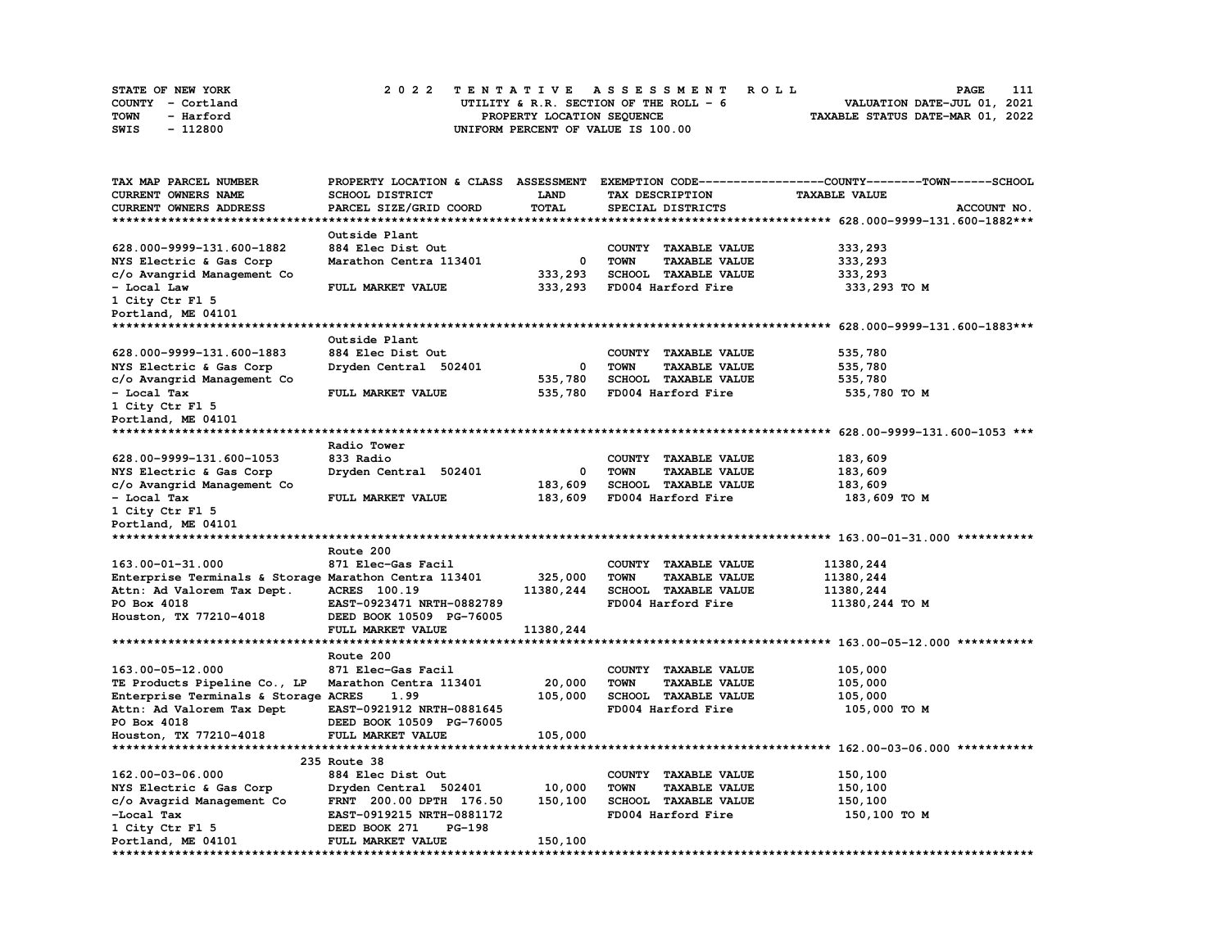| STATE OF NEW YORK | 2022 TENTATIVE ASSESSMENT ROLL          | 111<br>PAGE                      |
|-------------------|-----------------------------------------|----------------------------------|
| COUNTY - Cortland | UTILITY & R.R. SECTION OF THE ROLL $-6$ | VALUATION DATE-JUL 01, 2021      |
| TOWN<br>- Harford | PROPERTY LOCATION SEQUENCE              | TAXABLE STATUS DATE-MAR 01, 2022 |
| - 112800<br>SWIS  | UNIFORM PERCENT OF VALUE IS 100.00      |                                  |

| TAX MAP PARCEL NUMBER                                 |                           |              |                                     | PROPERTY LOCATION & CLASS ASSESSMENT EXEMPTION CODE-----------------COUNTY-------TOWN-----SCHOOL |
|-------------------------------------------------------|---------------------------|--------------|-------------------------------------|--------------------------------------------------------------------------------------------------|
| <b>CURRENT OWNERS NAME</b>                            | SCHOOL DISTRICT           | LAND         | TAX DESCRIPTION                     | <b>TAXABLE VALUE</b>                                                                             |
| CURRENT OWNERS ADDRESS                                | PARCEL SIZE/GRID COORD    | <b>TOTAL</b> | SPECIAL DISTRICTS                   | ACCOUNT NO.                                                                                      |
|                                                       |                           |              |                                     |                                                                                                  |
|                                                       | Outside Plant             |              |                                     |                                                                                                  |
| 628.000-9999-131.600-1882                             | 884 Elec Dist Out         |              | COUNTY TAXABLE VALUE                | 333,293                                                                                          |
| NYS Electric & Gas Corp                               | Marathon Centra 113401    | 0            | <b>TOWN</b><br><b>TAXABLE VALUE</b> | 333,293                                                                                          |
| c/o Avangrid Management Co                            |                           | 333,293      | SCHOOL TAXABLE VALUE                | 333,293                                                                                          |
| - Local Law                                           | FULL MARKET VALUE         | 333,293      | FD004 Harford Fire                  | 333,293 TO M                                                                                     |
| 1 City Ctr Fl 5                                       |                           |              |                                     |                                                                                                  |
| Portland, ME 04101                                    |                           |              |                                     |                                                                                                  |
|                                                       |                           |              |                                     |                                                                                                  |
|                                                       | Outside Plant             |              |                                     |                                                                                                  |
| 628.000-9999-131.600-1883                             | 884 Elec Dist Out         |              | COUNTY TAXABLE VALUE                | 535,780                                                                                          |
| NYS Electric & Gas Corp                               | Dryden Central 502401     | 0            | <b>TOWN</b><br><b>TAXABLE VALUE</b> | 535,780                                                                                          |
| c/o Avangrid Management Co                            |                           | 535,780      | SCHOOL TAXABLE VALUE                | 535,780                                                                                          |
| - Local Tax                                           | FULL MARKET VALUE         | 535,780      | FD004 Harford Fire                  | 535,780 TO M                                                                                     |
| 1 City Ctr Fl 5                                       |                           |              |                                     |                                                                                                  |
| Portland, ME 04101                                    |                           |              |                                     |                                                                                                  |
| ******************************                        |                           |              |                                     |                                                                                                  |
|                                                       | Radio Tower               |              |                                     |                                                                                                  |
| 628.00-9999-131.600-1053                              | 833 Radio                 |              | COUNTY TAXABLE VALUE                | 183,609                                                                                          |
| NYS Electric & Gas Corp                               | Dryden Central 502401     | 0            | <b>TOWN</b><br><b>TAXABLE VALUE</b> | 183,609                                                                                          |
| c/o Avangrid Management Co                            |                           | 183,609      | SCHOOL TAXABLE VALUE                | 183,609                                                                                          |
| - Local Tax                                           | FULL MARKET VALUE         | 183,609      | FD004 Harford Fire                  | 183,609 TO M                                                                                     |
| 1 City Ctr Fl 5                                       |                           |              |                                     |                                                                                                  |
| Portland, ME 04101                                    |                           |              |                                     |                                                                                                  |
|                                                       |                           |              |                                     |                                                                                                  |
|                                                       | Route 200                 |              |                                     |                                                                                                  |
| 163.00-01-31.000                                      | 871 Elec-Gas Facil        |              | COUNTY TAXABLE VALUE                | 11380,244                                                                                        |
| Enterprise Terminals & Storage Marathon Centra 113401 |                           | 325,000      | <b>TOWN</b><br><b>TAXABLE VALUE</b> | 11380,244                                                                                        |
| Attn: Ad Valorem Tax Dept.                            | ACRES 100.19              | 11380,244    | SCHOOL TAXABLE VALUE                | 11380,244                                                                                        |
| PO Box 4018                                           | EAST-0923471 NRTH-0882789 |              | FD004 Harford Fire                  | 11380,244 TO M                                                                                   |
| Houston, TX 77210-4018                                | DEED BOOK 10509 PG-76005  |              |                                     |                                                                                                  |
|                                                       | FULL MARKET VALUE         | 11380,244    |                                     |                                                                                                  |
|                                                       |                           |              |                                     |                                                                                                  |
|                                                       | Route 200                 |              |                                     |                                                                                                  |
| 163.00-05-12.000                                      | 871 Elec-Gas Facil        |              | COUNTY TAXABLE VALUE                | 105,000                                                                                          |
| TE Products Pipeline Co., LP                          | Marathon Centra 113401    | 20,000       | <b>TOWN</b><br><b>TAXABLE VALUE</b> | 105,000                                                                                          |
| Enterprise Terminals & Storage ACRES                  | 1.99                      | 105,000      | SCHOOL TAXABLE VALUE                | 105,000                                                                                          |
| Attn: Ad Valorem Tax Dept                             | EAST-0921912 NRTH-0881645 |              | FD004 Harford Fire                  | 105,000 TO M                                                                                     |
| PO Box 4018                                           | DEED BOOK 10509 PG-76005  |              |                                     |                                                                                                  |
| Houston, TX 77210-4018                                | FULL MARKET VALUE         | 105,000      |                                     |                                                                                                  |
|                                                       |                           |              |                                     |                                                                                                  |
|                                                       | 235 Route 38              |              |                                     |                                                                                                  |
| 162.00-03-06.000                                      | 884 Elec Dist Out         |              | COUNTY TAXABLE VALUE                | 150,100                                                                                          |
| NYS Electric & Gas Corp                               | Dryden Central 502401     | 10,000       | <b>TOWN</b><br><b>TAXABLE VALUE</b> | 150,100                                                                                          |
| c/o Avagrid Management Co                             | FRNT 200.00 DPTH 176.50   | 150,100      | SCHOOL TAXABLE VALUE                | 150,100                                                                                          |
| -Local Tax                                            | EAST-0919215 NRTH-0881172 |              | FD004 Harford Fire                  | 150,100 то м                                                                                     |
| 1 City Ctr Fl 5                                       | DEED BOOK 271<br>PG-198   |              |                                     |                                                                                                  |
| Portland, ME 04101                                    | FULL MARKET VALUE         | 150,100      |                                     |                                                                                                  |
| **************                                        | ***************           |              |                                     | ********************                                                                             |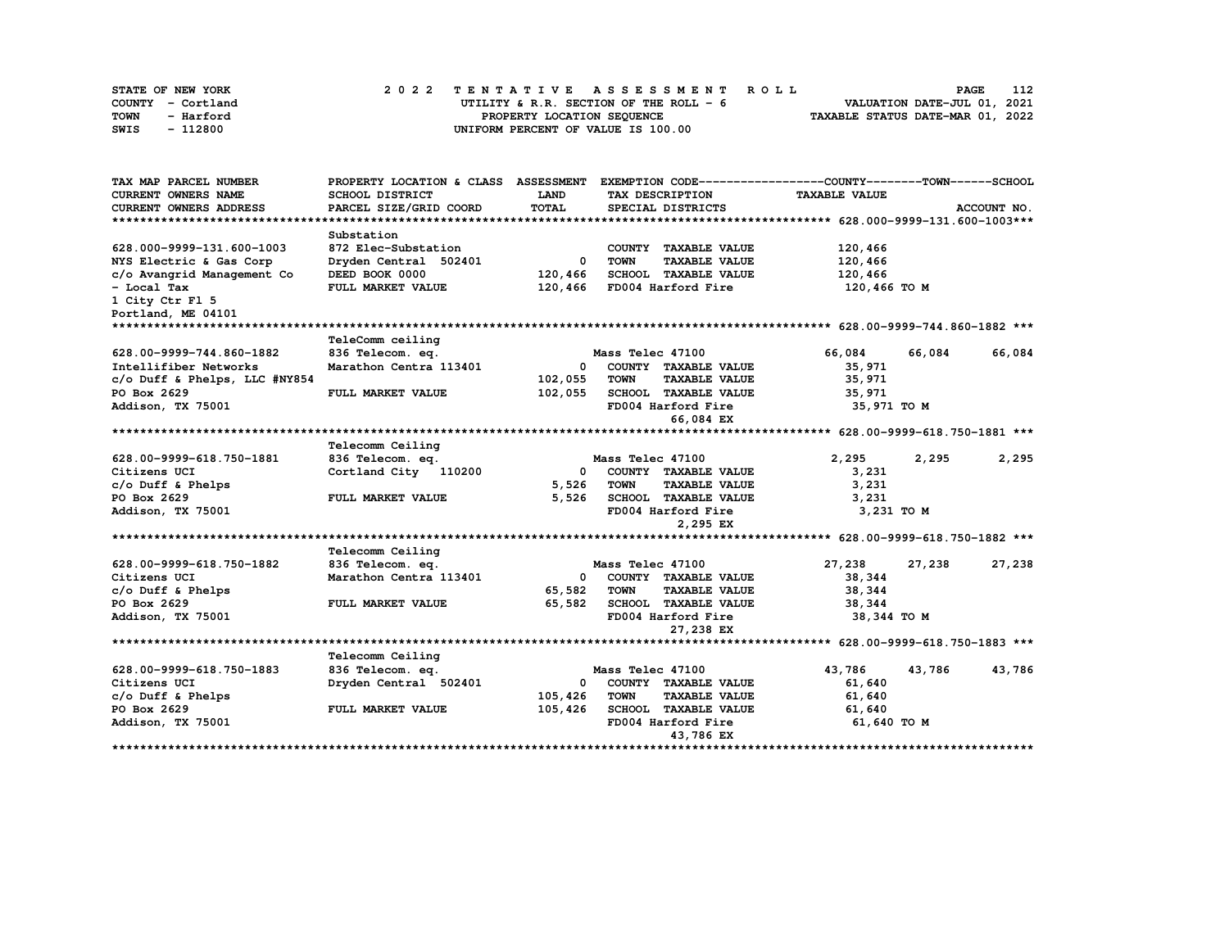| STATE OF NEW YORK | 2022 TENTATIVE ASSESSMENT ROLL          | 112<br><b>PAGE</b>               |
|-------------------|-----------------------------------------|----------------------------------|
| COUNTY - Cortland | UTILITY & R.R. SECTION OF THE ROLL $-6$ | VALUATION DATE-JUL 01, 2021      |
| TOWN<br>- Harford | PROPERTY LOCATION SEQUENCE              | TAXABLE STATUS DATE-MAR 01, 2022 |
| - 112800<br>SWIS  | UNIFORM PERCENT OF VALUE IS 100.00      |                                  |

| TAX MAP PARCEL NUMBER          | PROPERTY LOCATION & CLASS ASSESSMENT |              | EXEMPTION CODE------------------COUNTY-------TOWN------SCHOOL |                      |                  |
|--------------------------------|--------------------------------------|--------------|---------------------------------------------------------------|----------------------|------------------|
| <b>CURRENT OWNERS NAME</b>     | SCHOOL DISTRICT                      | LAND         | TAX DESCRIPTION                                               | <b>TAXABLE VALUE</b> |                  |
| CURRENT OWNERS ADDRESS         | PARCEL SIZE/GRID COORD               | TOTAL        | SPECIAL DISTRICTS                                             |                      | ACCOUNT NO.      |
|                                |                                      |              |                                                               |                      |                  |
|                                | Substation                           |              |                                                               |                      |                  |
| 628.000-9999-131.600-1003      | 872 Elec-Substation                  |              | COUNTY TAXABLE VALUE                                          | 120,466              |                  |
| NYS Electric & Gas Corp        | Dryden Central 502401                | $^{\circ}$   | <b>TOWN</b><br><b>TAXABLE VALUE</b>                           | 120,466              |                  |
| c/o Avangrid Management Co     | DEED BOOK 0000                       | 120,466      | <b>SCHOOL TAXABLE VALUE</b>                                   | 120,466              |                  |
| - Local Tax                    | FULL MARKET VALUE                    | 120,466      | FD004 Harford Fire                                            | 120,466 TO M         |                  |
| 1 City Ctr Fl 5                |                                      |              |                                                               |                      |                  |
| Portland, ME 04101             |                                      |              |                                                               |                      |                  |
| ****************************** |                                      |              |                                                               |                      |                  |
|                                | TeleComm ceiling                     |              |                                                               |                      |                  |
| 628.00-9999-744.860-1882       | 836 Telecom. eq.                     |              | Mass Telec 47100                                              | 66,084               | 66,084<br>66,084 |
| Intellifiber Networks          | Marathon Centra 113401               | $\mathbf{0}$ | COUNTY TAXABLE VALUE                                          | 35,971               |                  |
| c/o Duff & Phelps, LLC #NY854  |                                      | 102,055      | <b>TOWN</b><br><b>TAXABLE VALUE</b>                           | 35,971               |                  |
| PO Box 2629                    | FULL MARKET VALUE                    | 102,055      | SCHOOL TAXABLE VALUE                                          | 35,971               |                  |
| Addison, TX 75001              |                                      |              | FD004 Harford Fire                                            | 35,971 TO M          |                  |
|                                |                                      |              | 66,084 EX                                                     |                      |                  |
|                                |                                      |              |                                                               |                      |                  |
|                                | Telecomm Ceiling                     |              |                                                               |                      |                  |
| 628.00-9999-618.750-1881       | 836 Telecom. eq.                     |              | Mass Telec 47100                                              | 2,295                | 2,295<br>2,295   |
| Citizens UCI                   | Cortland City 110200                 | 0            | COUNTY TAXABLE VALUE                                          | 3,231                |                  |
| $c/o$ Duff & Phelps            |                                      | 5,526        | <b>TAXABLE VALUE</b><br><b>TOWN</b>                           | 3,231                |                  |
| PO Box 2629                    | FULL MARKET VALUE                    | 5,526        | SCHOOL TAXABLE VALUE                                          | 3,231                |                  |
| Addison, TX 75001              |                                      |              | FD004 Harford Fire                                            | 3,231 TO M           |                  |
|                                |                                      |              | 2,295 EX                                                      |                      |                  |
|                                |                                      |              |                                                               |                      |                  |
|                                | Telecomm Ceiling                     |              |                                                               |                      |                  |
| 628.00-9999-618.750-1882       | 836 Telecom. eq.                     |              | Mass Telec 47100                                              | 27,238               | 27,238<br>27,238 |
| Citizens UCI                   | Marathon Centra 113401               | 0            | COUNTY TAXABLE VALUE                                          | 38,344               |                  |
| $c/o$ Duff & Phelps            |                                      | 65,582       | <b>TOWN</b><br><b>TAXABLE VALUE</b>                           | 38,344               |                  |
| PO Box 2629                    | FULL MARKET VALUE                    | 65,582       | SCHOOL TAXABLE VALUE                                          | 38,344               |                  |
| Addison, TX 75001              |                                      |              | FD004 Harford Fire                                            | 38,344 TO M          |                  |
|                                |                                      |              | 27,238 EX                                                     |                      |                  |
|                                |                                      |              |                                                               |                      |                  |
|                                | Telecomm Ceiling                     |              |                                                               |                      |                  |
| 628.00-9999-618.750-1883       | 836 Telecom. eq.                     |              | Mass Telec 47100                                              | 43,786               | 43,786<br>43,786 |
| Citizens UCI                   | Dryden Central 502401                | $\mathbf{0}$ | COUNTY TAXABLE VALUE                                          | 61,640               |                  |
| $c/o$ Duff & Phelps            |                                      | 105,426      | TOWN<br><b>TAXABLE VALUE</b>                                  | 61,640               |                  |
| PO Box 2629                    | FULL MARKET VALUE                    | 105,426      | SCHOOL TAXABLE VALUE                                          | 61,640               |                  |
| Addison, TX 75001              |                                      |              | FD004 Harford Fire                                            | 61,640 TO M          |                  |
|                                |                                      |              | 43,786 EX                                                     |                      |                  |
|                                |                                      |              |                                                               |                      |                  |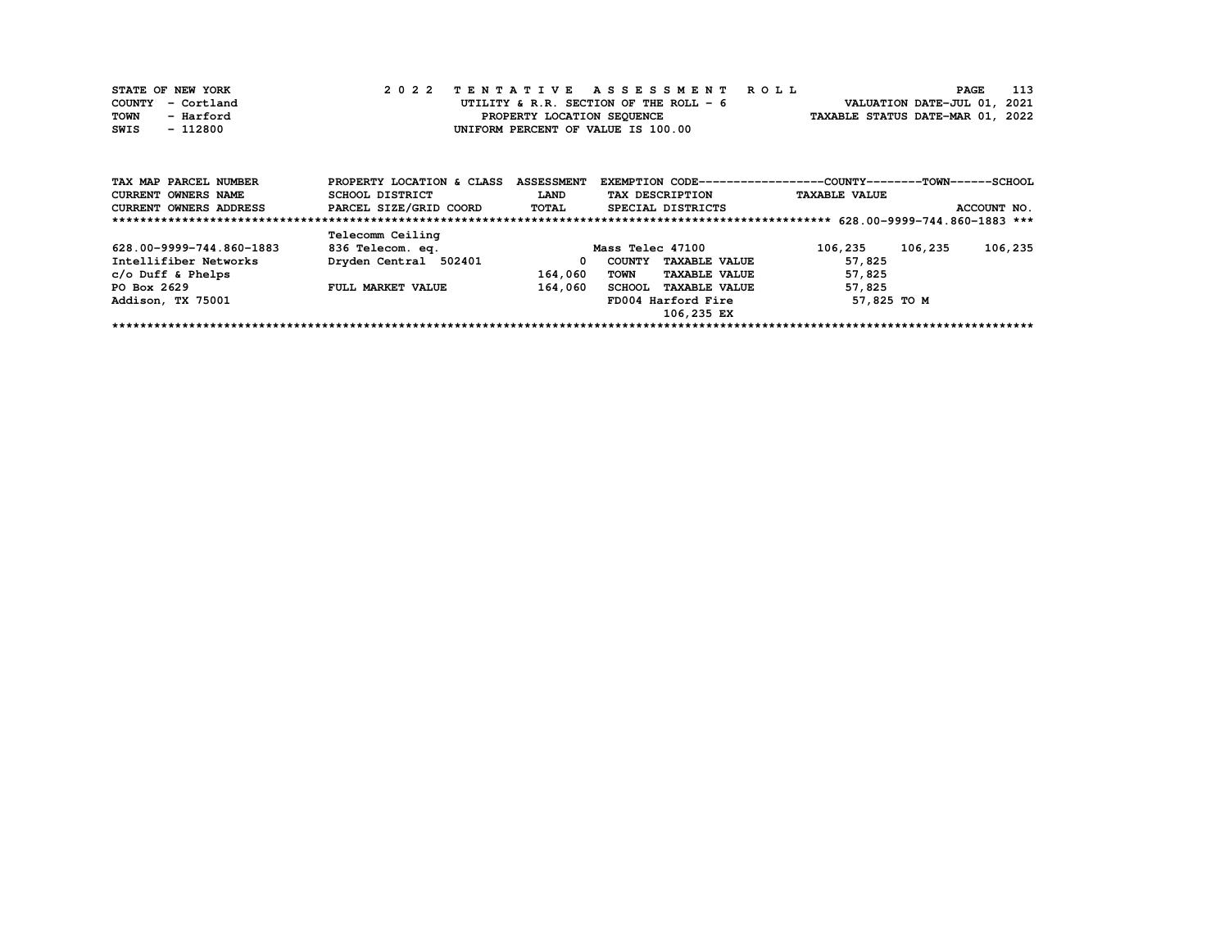| STATE OF NEW YORK |           |  |  |  |                                        |  |  |  |  | 2022 TENTATIVE ASSESSMENT ROLL |                                  | <b>PAGE</b>                 | 113 |
|-------------------|-----------|--|--|--|----------------------------------------|--|--|--|--|--------------------------------|----------------------------------|-----------------------------|-----|
| COUNTY - Cortland |           |  |  |  | UTILITY & R.R. SECTION OF THE ROLL - 6 |  |  |  |  |                                |                                  | VALUATION DATE-JUL 01, 2021 |     |
| TOWN              | - Harford |  |  |  | PROPERTY LOCATION SEQUENCE             |  |  |  |  |                                | TAXABLE STATUS DATE-MAR 01, 2022 |                             |     |
| SWIS              | - 112800  |  |  |  | UNIFORM PERCENT OF VALUE IS 100.00     |  |  |  |  |                                |                                  |                             |     |

| TAX MAP PARCEL NUMBER         | PROPERTY LOCATION & CLASS | <b>ASSESSMENT</b> | EXEMPTION CODE-----------------COUNTY-------TOWN------SCHOOL |                      |             |
|-------------------------------|---------------------------|-------------------|--------------------------------------------------------------|----------------------|-------------|
| <b>CURRENT OWNERS NAME</b>    | SCHOOL DISTRICT           | LAND              | TAX DESCRIPTION                                              | <b>TAXABLE VALUE</b> |             |
| <b>CURRENT OWNERS ADDRESS</b> | PARCEL SIZE/GRID COORD    | TOTAL             | SPECIAL DISTRICTS                                            |                      | ACCOUNT NO. |
|                               |                           |                   |                                                              |                      |             |
|                               | Telecomm Ceiling          |                   |                                                              |                      |             |
| 628.00-9999-744.860-1883      | 836 Telecom. eq.          |                   | Mass Telec 47100                                             | 106,235<br>106,235   | 106,235     |
| Intellifiber Networks         | Dryden Central 502401     | 0                 | <b>TAXABLE VALUE</b><br>COUNTY                               | 57,825               |             |
| c/o Duff & Phelps             |                           | 164,060           | <b>TAXABLE VALUE</b><br>TOWN                                 | 57,825               |             |
| PO Box 2629                   | FULL MARKET VALUE         | 164,060           | <b>TAXABLE VALUE</b><br><b>SCHOOL</b>                        | 57,825               |             |
| Addison, TX 75001             |                           |                   | FD004 Harford Fire                                           | 57,825 TO M          |             |
|                               |                           |                   | 106,235 EX                                                   |                      |             |
|                               |                           |                   |                                                              |                      |             |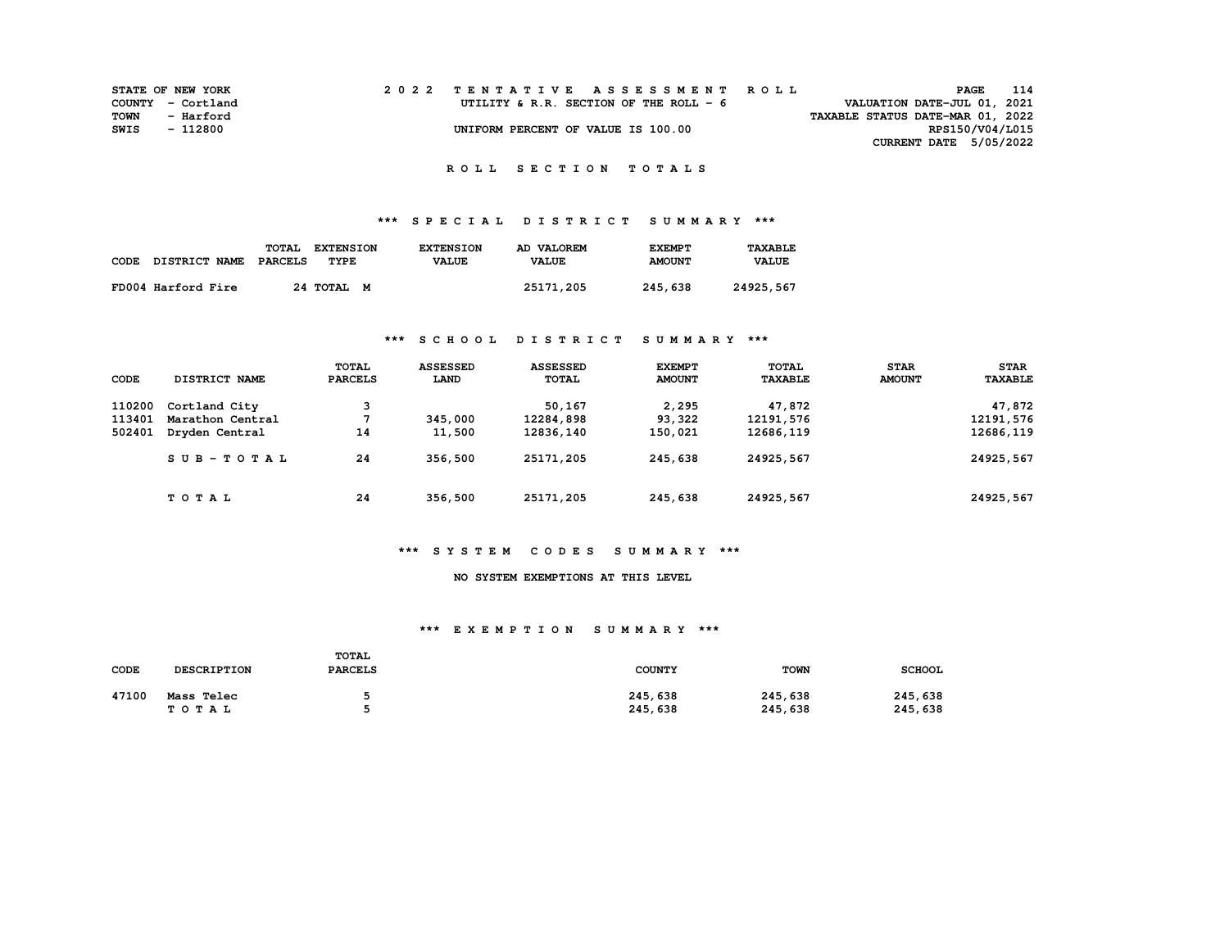|      | <b>STATE OF NEW YORK</b> |  | 2022 TENTATIVE ASSESSMENT ROLL         | PAGE                             | 114 |
|------|--------------------------|--|----------------------------------------|----------------------------------|-----|
|      | COUNTY - Cortland        |  | UTILITY & R.R. SECTION OF THE ROLL - 6 | VALUATION DATE-JUL 01, 2021      |     |
| TOWN | - Harford                |  |                                        | TAXABLE STATUS DATE-MAR 01, 2022 |     |
| SWIS | - 112800                 |  | UNIFORM PERCENT OF VALUE IS 100.00     | RPS150/V04/L015                  |     |
|      |                          |  |                                        | <b>CURRENT DATE 5/05/2022</b>    |     |

# **\*\*\* S P E C I A L D I S T R I C T S U M M A R Y \*\*\***

|                    | <b>TOTAL</b> | <b>EXTENSION</b> | <b>EXTENSION</b> | AD VALOREM   | <b>EXEMPT</b> | TAXABLE      |
|--------------------|--------------|------------------|------------------|--------------|---------------|--------------|
| CODE DISTRICT NAME | PARCELS      | TYPE             | <b>VALUE</b>     | <b>VALUE</b> | <b>AMOUNT</b> | <b>VALUE</b> |
| FD004 Harford Fire |              | 24 TOTAL M       |                  | 25171,205    | 245,638       | 24925,567    |
|                    |              |                  |                  |              |               |              |

## **\*\*\* S C H O O L D I S T R I C T S U M M A R Y \*\*\***

| CODE   | DISTRICT NAME    | TOTAL<br><b>PARCELS</b> | <b>ASSESSED</b><br><b>LAND</b> | <b>ASSESSED</b><br><b>TOTAL</b> | <b>EXEMPT</b><br><b>AMOUNT</b> | TOTAL<br><b>TAXABLE</b> | <b>STAR</b><br><b>AMOUNT</b> | <b>STAR</b><br><b>TAXABLE</b> |
|--------|------------------|-------------------------|--------------------------------|---------------------------------|--------------------------------|-------------------------|------------------------------|-------------------------------|
| 110200 | Cortland City    | 3                       |                                | 50,167                          | 2,295                          | 47,872                  |                              | 47,872                        |
| 113401 | Marathon Central |                         | 345,000                        | 12284,898                       | 93,322                         | 12191,576               |                              | 12191,576                     |
| 502401 | Dryden Central   | 14                      | 11,500                         | 12836,140                       | 150,021                        | 12686,119               |                              | 12686,119                     |
|        | $SUB - TO T AL$  | 24                      | 356,500                        | 25171,205                       | 245,638                        | 24925,567               |                              | 24925,567                     |
|        | TOTAL            | 24                      | 356,500                        | 25171,205                       | 245,638                        | 24925,567               |                              | 24925,567                     |

#### **\*\*\* S Y S T E M C O D E S S U M M A R Y \*\*\***

#### **NO SYSTEM EXEMPTIONS AT THIS LEVEL**

| <b>CODE</b> | <b>DESCRIPTION</b>  | <b>TOTAL</b><br><b>PARCELS</b> | <b>COUNTY</b>      | <b>TOWN</b>        | <b>SCHOOL</b>      |
|-------------|---------------------|--------------------------------|--------------------|--------------------|--------------------|
| 47100       | Mass Telec<br>TOTAL |                                | 245,638<br>245,638 | 245,638<br>245,638 | 245,638<br>245,638 |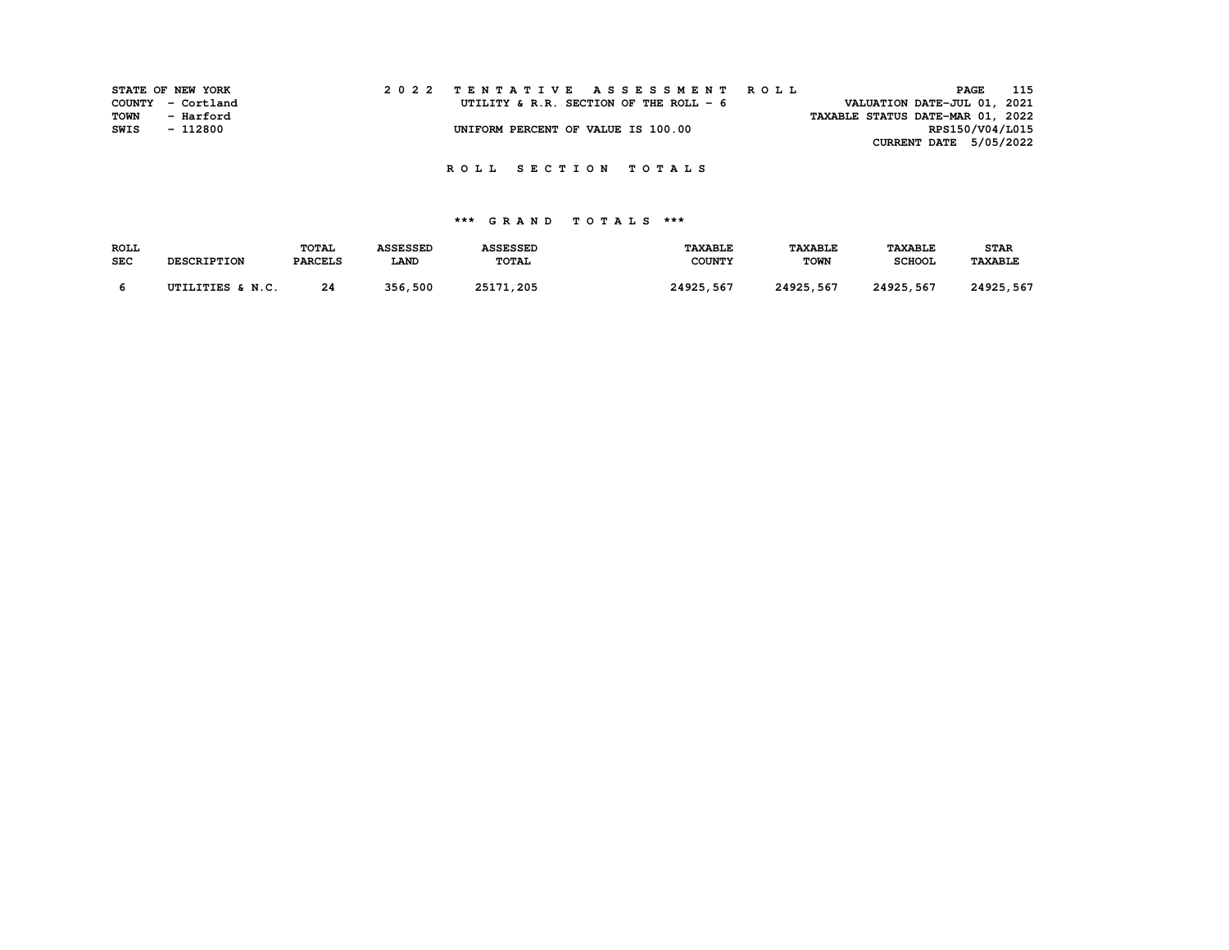|      | STATE OF NEW YORK | 2022 TENTATIVE ASSESSMENT ROLL                                         | 115<br>PAGE            |  |
|------|-------------------|------------------------------------------------------------------------|------------------------|--|
|      | COUNTY - Cortland | VALUATION DATE-JUL 01, 2021<br>UTILITY & R.R. SECTION OF THE ROLL $-6$ |                        |  |
| TOWN | - Harford         | TAXABLE STATUS DATE-MAR 01, 2022                                       |                        |  |
| SWIS | - 112800          | UNIFORM PERCENT OF VALUE IS 100.00                                     | RPS150/V04/L015        |  |
|      |                   |                                                                        | CURRENT DATE 5/05/2022 |  |

| <b>ROLL</b> |                    | <b>TOTAL</b>   | <b>ASSESSED</b> | <b>ASSESSED</b> | <b><i>TAXABLE</i></b> | <b>TAXABLE</b> | <b>TAXABLE</b> | <b>STAR</b>    |
|-------------|--------------------|----------------|-----------------|-----------------|-----------------------|----------------|----------------|----------------|
| <b>SEC</b>  | <b>DESCRIPTION</b> | <b>PARCELS</b> | <b>LAND</b>     | TOTAL           | <b>COUNTY</b>         | <b>TOWN</b>    | <b>SCHOOL</b>  | <b>TAXABLE</b> |
|             |                    |                |                 |                 |                       |                |                |                |
|             | UTILITIES & N.C.   | 24             | 356,500         | 25171,205       | 24925,567             | 24925,567      | 24925,567      | 24925,567      |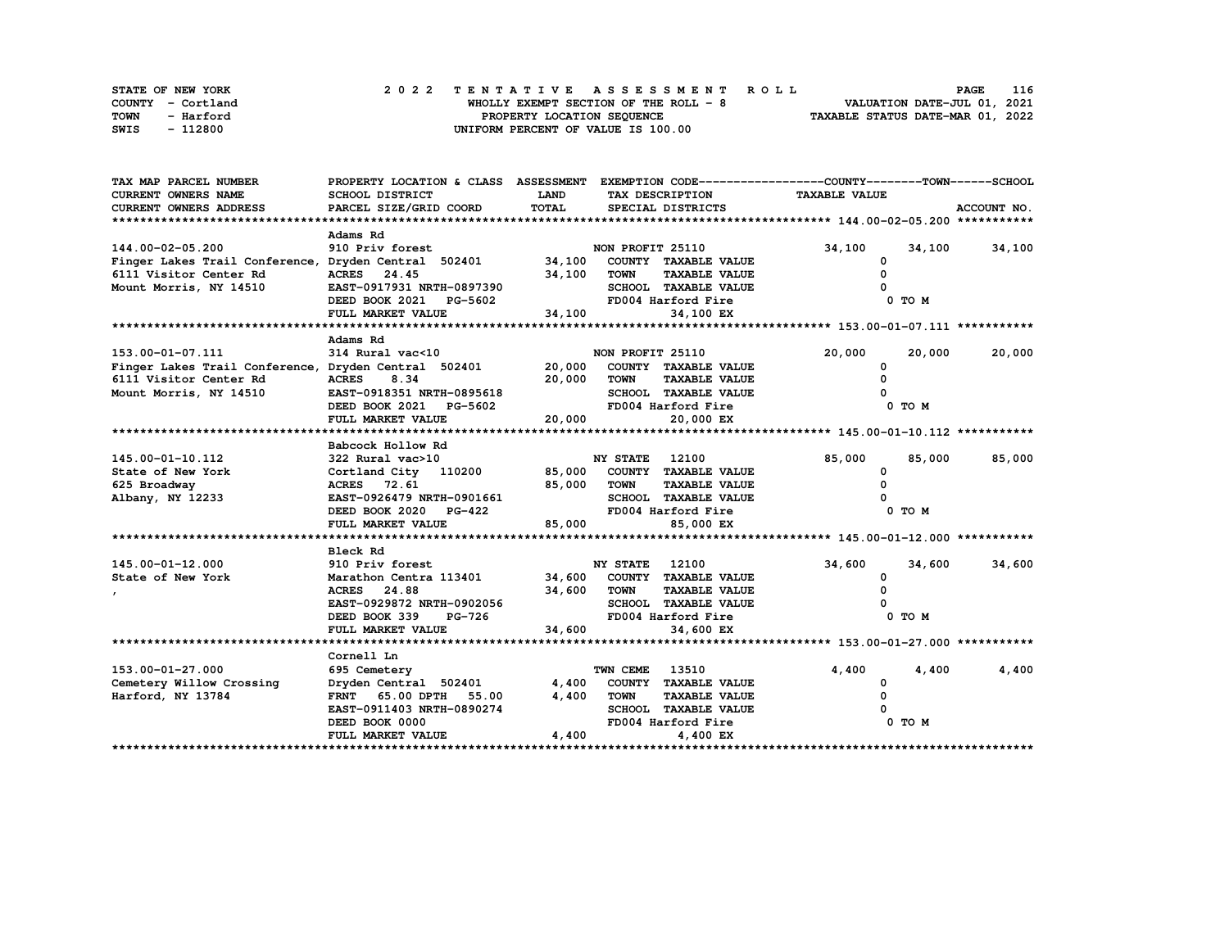|             | STATE OF NEW YORK | 2022 TENTATIVE ASSESSMENT ROLL         | 116<br><b>PAGE</b>               |
|-------------|-------------------|----------------------------------------|----------------------------------|
|             | COUNTY - Cortland | WHOLLY EXEMPT SECTION OF THE ROLL $-8$ | VALUATION DATE-JUL 01, 2021      |
| <b>TOWN</b> | - Harford         | PROPERTY LOCATION SEQUENCE             | TAXABLE STATUS DATE-MAR 01, 2022 |
| SWIS        | - 112800          | UNIFORM PERCENT OF VALUE IS 100.00     |                                  |

| TAX MAP PARCEL NUMBER                                |                                                  |                                |                                     | PROPERTY LOCATION & CLASS ASSESSMENT EXEMPTION CODE-----------------COUNTY-------TOWN-----SCHOOL |               |
|------------------------------------------------------|--------------------------------------------------|--------------------------------|-------------------------------------|--------------------------------------------------------------------------------------------------|---------------|
| <b>CURRENT OWNERS NAME</b>                           | SCHOOL DISTRICT                                  | <b>LAND</b><br>TAX DESCRIPTION |                                     | <b>TAXABLE VALUE</b>                                                                             |               |
| <b>CURRENT OWNERS ADDRESS</b>                        | PARCEL SIZE/GRID COORD                           | TOTAL                          | SPECIAL DISTRICTS                   |                                                                                                  | ACCOUNT NO.   |
|                                                      |                                                  |                                |                                     |                                                                                                  |               |
|                                                      | Adams Rd                                         |                                |                                     |                                                                                                  |               |
| 144.00-02-05.200                                     | 910 Priv forest                                  |                                | NON PROFIT 25110                    | 34,100<br>34,100                                                                                 | 34,100        |
| Finger Lakes Trail Conference, Dryden Central 502401 |                                                  |                                | 34,100 COUNTY TAXABLE VALUE         | 0                                                                                                |               |
| 6111 Visitor Center Rd                               | ACRES 24.45                                      | 34,100                         | TOWN<br><b>TAXABLE VALUE</b>        | $\Omega$                                                                                         |               |
| Mount Morris, NY 14510                               | EAST-0917931 NRTH-0897390                        |                                | SCHOOL TAXABLE VALUE                |                                                                                                  |               |
|                                                      | DEED BOOK 2021 PG-5602                           |                                | FD004 Harford Fire                  | 0 TO M                                                                                           |               |
|                                                      | FULL MARKET VALUE                                | 34,100                         | 34,100 EX                           |                                                                                                  |               |
|                                                      |                                                  |                                |                                     |                                                                                                  |               |
|                                                      | Adams Rd                                         |                                |                                     |                                                                                                  |               |
| 153.00-01-07.111                                     | 314 Rural vac<10                                 |                                | NON PROFIT 25110                    | 20,000<br>20,000                                                                                 | 20,000        |
| Finger Lakes Trail Conference, Dryden Central 502401 |                                                  |                                | 20,000 COUNTY TAXABLE VALUE         | <sup>0</sup>                                                                                     |               |
| 6111 Visitor Center Rd                               | 8.34<br><b>ACRES</b>                             |                                | 20,000 TOWN<br><b>TAXABLE VALUE</b> |                                                                                                  |               |
| Mount Morris, NY 14510                               | EAST-0918351 NRTH-0895618                        |                                | SCHOOL TAXABLE VALUE                |                                                                                                  |               |
|                                                      | DEED BOOK 2021 PG-5602                           |                                | FD004 Harford Fire                  | 0 TO M                                                                                           |               |
|                                                      | FULL MARKET VALUE                                | 20,000                         | 20,000 EX                           |                                                                                                  |               |
|                                                      |                                                  |                                |                                     |                                                                                                  |               |
|                                                      | Babcock Hollow Rd                                |                                |                                     |                                                                                                  |               |
| 145.00-01-10.112                                     | 322 Rural vac>10                                 |                                | <b>NY STATE</b> 12100               | 85,000                                                                                           | 85,000 85,000 |
| State of New York                                    | Cortland City 110200 85,000 COUNTY TAXABLE VALUE |                                |                                     | 0                                                                                                |               |
| 625 Broadway                                         | 85,000 TOWN<br>ACRES 72.61                       |                                | <b>TAXABLE VALUE</b>                | $\Omega$                                                                                         |               |
| Albany, NY 12233                                     | EAST-0926479 NRTH-0901661                        |                                | SCHOOL TAXABLE VALUE                |                                                                                                  |               |
|                                                      | DEED BOOK 2020 PG-422                            |                                | FD004 Harford Fire                  | 0 TO M                                                                                           |               |
|                                                      | FULL MARKET VALUE                                | 85,000                         | 85,000 EX                           |                                                                                                  |               |
|                                                      |                                                  |                                |                                     |                                                                                                  |               |
|                                                      | Bleck Rd                                         |                                |                                     |                                                                                                  |               |
| 145.00-01-12.000                                     | 910 Priv forest                                  |                                | <b>NY STATE</b><br>12100            | 34,600<br>34,600                                                                                 | 34,600        |
| State of New York                                    | Marathon Centra 113401                           |                                | 34,600 COUNTY TAXABLE VALUE         | 0                                                                                                |               |
|                                                      | ACRES 24.88                                      | 34,600 TOWN                    | <b>TAXABLE VALUE</b>                |                                                                                                  |               |
|                                                      | EAST-0929872 NRTH-0902056                        |                                | SCHOOL TAXABLE VALUE                |                                                                                                  |               |
|                                                      | DEED BOOK 339                                    | $PG-726$                       | FD004 Harford Fire                  | 0 TO M                                                                                           |               |
|                                                      | FULL MARKET VALUE                                | 34,600                         | 34,600 EX                           |                                                                                                  |               |
|                                                      |                                                  |                                |                                     |                                                                                                  |               |
|                                                      | Cornell Ln                                       |                                |                                     |                                                                                                  |               |
| 153.00-01-27.000                                     | 695 Cemetery                                     |                                | TWN CEME<br>13510                   | 4,400<br>4,400                                                                                   | 4,400         |
| Cemetery Willow Crossing                             | Dryden Central 502401                            |                                | 4,400 COUNTY TAXABLE VALUE          | 0                                                                                                |               |
| Harford, NY 13784                                    | FRNT 65.00 DPTH 55.00                            | 4,400                          | <b>TOWN</b><br><b>TAXABLE VALUE</b> | <sup>0</sup>                                                                                     |               |
|                                                      | EAST-0911403 NRTH-0890274                        |                                | SCHOOL TAXABLE VALUE                |                                                                                                  |               |
|                                                      | DEED BOOK 0000                                   |                                | FD004 Harford Fire                  | 0 TO M                                                                                           |               |
|                                                      | FULL MARKET VALUE                                | 4,400                          | 4,400 EX                            |                                                                                                  |               |
|                                                      |                                                  |                                |                                     |                                                                                                  |               |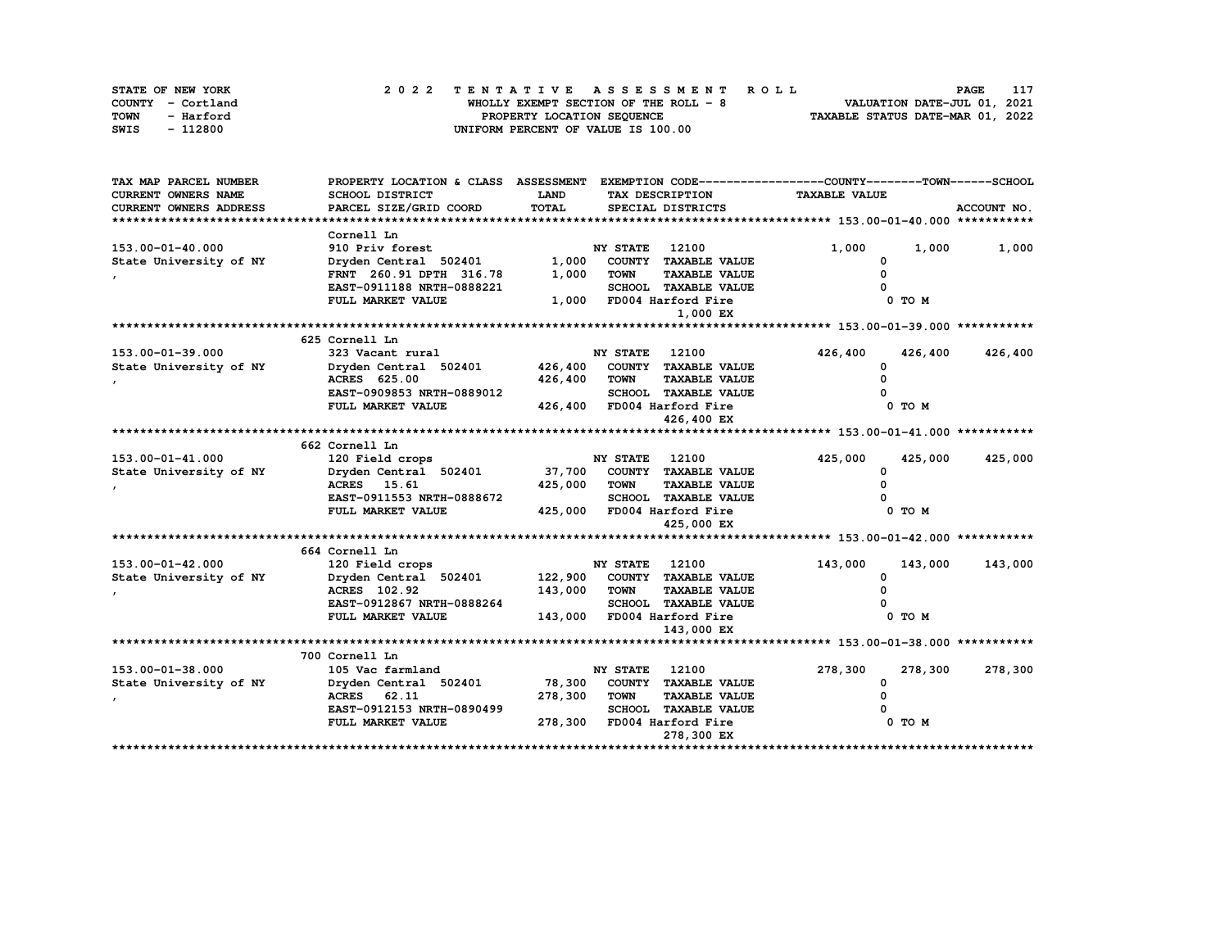| STATE OF NEW YORK | 2022 TENTATIVE ASSESSMENT ROLL         | 117<br><b>PAGE</b>               |
|-------------------|----------------------------------------|----------------------------------|
| COUNTY - Cortland | WHOLLY EXEMPT SECTION OF THE ROLL $-8$ | VALUATION DATE-JUL 01, 2021      |
| TOWN<br>- Harford | PROPERTY LOCATION SEQUENCE             | TAXABLE STATUS DATE-MAR 01, 2022 |
| - 112800<br>SWIS  | UNIFORM PERCENT OF VALUE IS 100.00     |                                  |

| TAX MAP PARCEL NUMBER      | PROPERTY LOCATION & CLASS ASSESSMENT EXEMPTION CODE----------------COUNTY-------TOWN------SCHOOL |             |                       |                             |                      |            |             |
|----------------------------|--------------------------------------------------------------------------------------------------|-------------|-----------------------|-----------------------------|----------------------|------------|-------------|
| <b>CURRENT OWNERS NAME</b> | SCHOOL DISTRICT                                                                                  | <b>LAND</b> |                       | TAX DESCRIPTION             | <b>TAXABLE VALUE</b> |            |             |
| CURRENT OWNERS ADDRESS     | PARCEL SIZE/GRID COORD                                                                           | TOTAL       |                       | SPECIAL DISTRICTS           |                      |            | ACCOUNT NO. |
|                            |                                                                                                  |             |                       |                             |                      |            |             |
|                            | Cornell Ln                                                                                       |             |                       |                             |                      |            |             |
| 153.00-01-40.000           | 910 Priv forest                                                                                  |             | NY STATE              | 12100                       | 1,000                | 1,000      | 1,000       |
| State University of NY     | Dryden Central $502401$ 1,000                                                                    |             |                       | COUNTY TAXABLE VALUE        | 0                    |            |             |
|                            | FRNT 260.91 DPTH 316.78                                                                          | 1,000       | <b>TOWN</b>           | <b>TAXABLE VALUE</b>        |                      |            |             |
|                            | EAST-0911188 NRTH-0888221                                                                        |             |                       | <b>SCHOOL TAXABLE VALUE</b> |                      |            |             |
|                            | FULL MARKET VALUE                                                                                | 1,000       |                       | FD004 Harford Fire          |                      | $0$ TO $M$ |             |
|                            |                                                                                                  |             |                       | 1,000 EX                    |                      |            |             |
|                            |                                                                                                  |             |                       |                             |                      |            |             |
|                            | 625 Cornell Ln                                                                                   |             |                       |                             |                      |            |             |
| 153.00-01-39.000           | 323 Vacant rural                                                                                 |             | <b>NY STATE</b> 12100 |                             | 426,400              | 426,400    | 426,400     |
| State University of NY     | Dryden Central 502401                                                                            | 426,400     |                       | COUNTY TAXABLE VALUE        | <sup>0</sup>         |            |             |
|                            | ACRES 625.00                                                                                     | 426,400     | <b>TOWN</b>           | <b>TAXABLE VALUE</b>        |                      |            |             |
|                            | EAST-0909853 NRTH-0889012                                                                        |             |                       | <b>SCHOOL TAXABLE VALUE</b> |                      |            |             |
|                            | FULL MARKET VALUE                                                                                |             |                       | 426,400 FD004 Harford Fire  |                      | 0 TO M     |             |
|                            |                                                                                                  |             |                       | 426,400 EX                  |                      |            |             |
|                            |                                                                                                  |             |                       |                             |                      |            |             |
|                            | 662 Cornell Ln                                                                                   |             |                       |                             |                      |            |             |
| 153.00-01-41.000           | 120 Field crops                                                                                  |             | <b>NY STATE</b> 12100 |                             | 425,000              | 425,000    | 425,000     |
| State University of NY     | Dryden Central 502401                                                                            | 37,700      |                       | COUNTY TAXABLE VALUE        | 0                    |            |             |
|                            | ACRES 15.61                                                                                      | 425,000     | <b>TOWN</b>           | <b>TAXABLE VALUE</b>        |                      |            |             |
|                            | EAST-0911553 NRTH-0888672                                                                        |             |                       | SCHOOL TAXABLE VALUE        |                      |            |             |
|                            | FULL MARKET VALUE                                                                                |             |                       | 425,000 FD004 Harford Fire  |                      | 0 TO M     |             |
|                            |                                                                                                  |             |                       | 425,000 EX                  |                      |            |             |
|                            |                                                                                                  |             |                       |                             |                      |            |             |
|                            | 664 Cornell Ln                                                                                   |             |                       |                             |                      |            |             |
| 153.00-01-42.000           | 120 Field crops                                                                                  |             | <b>NY STATE</b>       | 12100                       | 143,000              | 143,000    | 143,000     |
| State University of NY     | Dryden Central 502401                                                                            | 122,900     |                       | COUNTY TAXABLE VALUE        | 0                    |            |             |
|                            | ACRES 102.92                                                                                     | 143,000     | <b>TOWN</b>           | <b>TAXABLE VALUE</b>        |                      |            |             |
|                            | EAST-0912867 NRTH-0888264                                                                        |             |                       | SCHOOL TAXABLE VALUE        |                      |            |             |
|                            | FULL MARKET VALUE                                                                                | 143,000     |                       | FD004 Harford Fire          |                      | 0 TO M     |             |
|                            |                                                                                                  |             |                       | 143,000 EX                  |                      |            |             |
|                            |                                                                                                  |             |                       |                             |                      |            |             |
|                            | 700 Cornell Ln                                                                                   |             |                       |                             |                      |            |             |
| 153.00-01-38.000           | 105 Vac farmland                                                                                 |             | NY STATE              | 12100                       | 278,300              | 278,300    | 278,300     |
| State University of NY     | Dryden Central 502401                                                                            | 78,300      |                       | COUNTY TAXABLE VALUE        | 0                    |            |             |
|                            | ACRES 62.11                                                                                      | 278,300     | <b>TOWN</b>           | <b>TAXABLE VALUE</b>        |                      |            |             |
|                            | EAST-0912153 NRTH-0890499                                                                        |             |                       | SCHOOL TAXABLE VALUE        |                      |            |             |
|                            | FULL MARKET VALUE                                                                                | 278,300     |                       | FD004 Harford Fire          |                      | 0 TO M     |             |
|                            |                                                                                                  |             |                       | 278,300 EX                  |                      |            |             |
|                            |                                                                                                  |             |                       |                             |                      |            |             |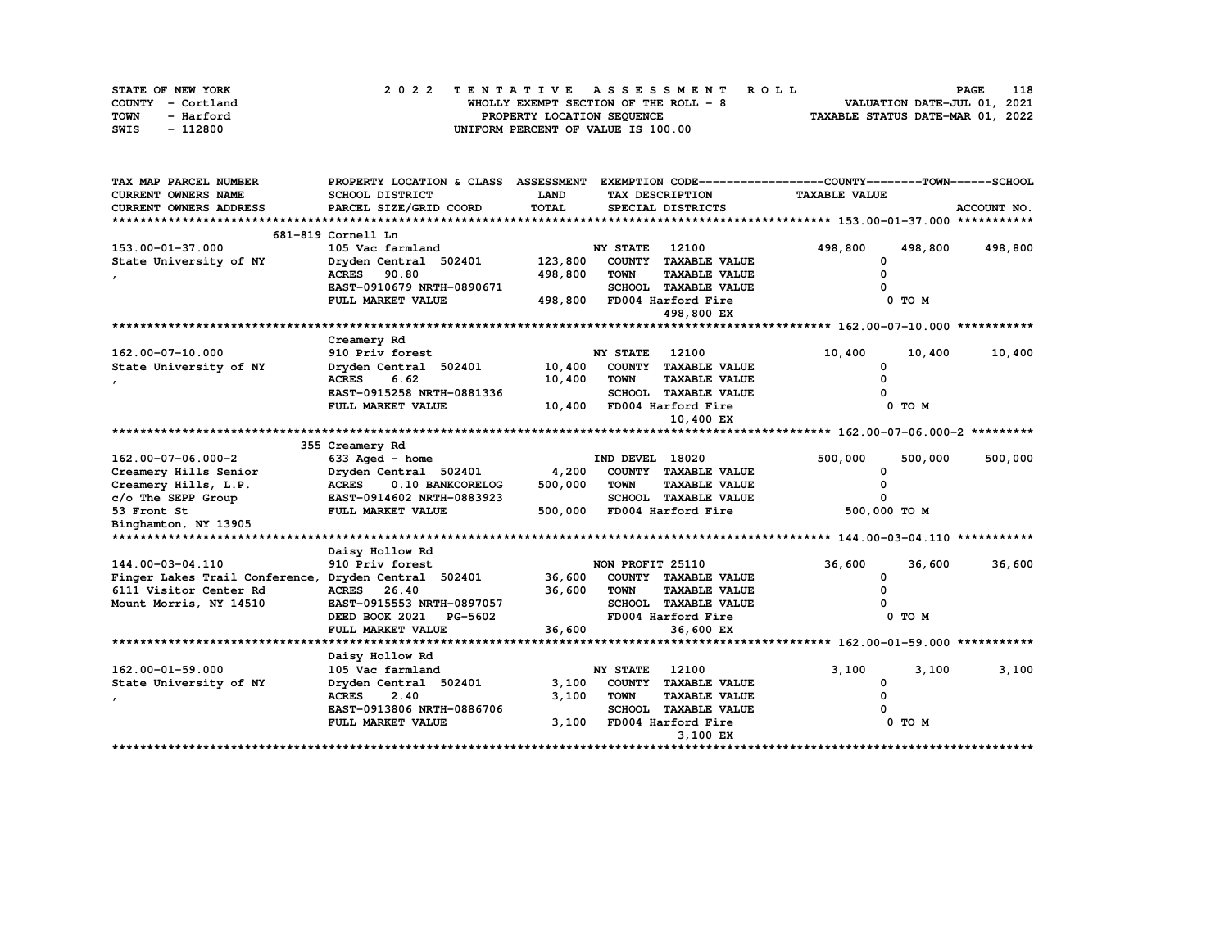| STATE OF NEW YORK | 2022 TENTATIVE ASSESSMENT ROLL        | 118<br><b>PAGE</b>               |
|-------------------|---------------------------------------|----------------------------------|
| COUNTY - Cortland | WHOLLY EXEMPT SECTION OF THE ROLL - 8 | VALUATION DATE-JUL 01, 2021      |
| TOWN<br>- Harford | PROPERTY LOCATION SEQUENCE            | TAXABLE STATUS DATE-MAR 01, 2022 |
| - 112800<br>SWIS  | UNIFORM PERCENT OF VALUE IS 100.00    |                                  |

| TAX MAP PARCEL NUMBER                                | PROPERTY LOCATION & CLASS ASSESSMENT |         |                  |                             | EXEMPTION CODE-----------------COUNTY-------TOWN------SCHOOL |         |             |
|------------------------------------------------------|--------------------------------------|---------|------------------|-----------------------------|--------------------------------------------------------------|---------|-------------|
| <b>CURRENT OWNERS NAME</b>                           | SCHOOL DISTRICT                      | LAND    |                  | TAX DESCRIPTION             | <b>TAXABLE VALUE</b>                                         |         |             |
| <b>CURRENT OWNERS ADDRESS</b>                        | PARCEL SIZE/GRID COORD               | TOTAL   |                  | SPECIAL DISTRICTS           |                                                              |         | ACCOUNT NO. |
|                                                      |                                      |         |                  |                             |                                                              |         |             |
|                                                      | 681-819 Cornell Ln                   |         |                  |                             |                                                              |         |             |
| 153.00-01-37.000                                     | 105 Vac farmland                     |         | <b>NY STATE</b>  | 12100                       | 498,800                                                      | 498,800 | 498,800     |
| State University of NY                               | Dryden Central 502401                | 123,800 |                  | COUNTY TAXABLE VALUE        | 0                                                            |         |             |
|                                                      | <b>ACRES</b> 90.80                   | 498,800 | <b>TOWN</b>      | <b>TAXABLE VALUE</b>        |                                                              |         |             |
|                                                      | EAST-0910679 NRTH-0890671            |         |                  | SCHOOL TAXABLE VALUE        |                                                              |         |             |
|                                                      | FULL MARKET VALUE                    | 498,800 |                  | FD004 Harford Fire          |                                                              | 0 TO M  |             |
|                                                      |                                      |         |                  | 498,800 EX                  |                                                              |         |             |
|                                                      |                                      |         |                  |                             |                                                              |         |             |
|                                                      | Creamery Rd                          |         |                  |                             |                                                              |         |             |
| 162.00-07-10.000                                     | 910 Priv forest                      |         | <b>NY STATE</b>  | 12100                       | 10,400                                                       | 10,400  | 10,400      |
| State University of NY                               | Dryden Central 502401                | 10,400  |                  | COUNTY TAXABLE VALUE        | <sup>0</sup>                                                 |         |             |
|                                                      | 6.62<br><b>ACRES</b>                 | 10,400  | <b>TOWN</b>      | <b>TAXABLE VALUE</b>        |                                                              |         |             |
|                                                      | EAST-0915258 NRTH-0881336            |         |                  | <b>SCHOOL TAXABLE VALUE</b> |                                                              |         |             |
|                                                      | FULL MARKET VALUE                    | 10,400  |                  | FD004 Harford Fire          |                                                              | 0 TO M  |             |
|                                                      |                                      |         |                  | 10,400 EX                   |                                                              |         |             |
|                                                      |                                      |         |                  |                             |                                                              |         |             |
|                                                      | 355 Creamery Rd                      |         |                  |                             |                                                              |         |             |
| $162.00 - 07 - 06.000 - 2$                           | $633$ Aged - home                    |         | IND DEVEL 18020  |                             | 500,000                                                      | 500,000 | 500,000     |
| Creamery Hills Senior                                | Dryden Central 502401                | 4,200   |                  | COUNTY TAXABLE VALUE        | 0                                                            |         |             |
| Creamery Hills, L.P.                                 | <b>ACRES</b><br>0.10 BANKCORELOG     | 500,000 | <b>TOWN</b>      | <b>TAXABLE VALUE</b>        |                                                              |         |             |
| c/o The SEPP Group                                   | EAST-0914602 NRTH-0883923            |         |                  | SCHOOL TAXABLE VALUE        |                                                              |         |             |
| 53 Front St                                          | FULL MARKET VALUE                    | 500,000 |                  | FD004 Harford Fire          | 500,000 TO M                                                 |         |             |
| Binghamton, NY 13905                                 |                                      |         |                  |                             |                                                              |         |             |
| ***************************                          |                                      |         |                  |                             |                                                              |         |             |
|                                                      | Daisy Hollow Rd                      |         |                  |                             |                                                              |         |             |
| 144.00-03-04.110                                     | 910 Priv forest                      |         | NON PROFIT 25110 |                             | 36,600                                                       | 36,600  | 36,600      |
| Finger Lakes Trail Conference, Dryden Central 502401 |                                      | 36,600  |                  | COUNTY TAXABLE VALUE        | 0                                                            |         |             |
| 6111 Visitor Center Rd                               | ACRES 26.40                          | 36,600  | <b>TOWN</b>      | <b>TAXABLE VALUE</b>        |                                                              |         |             |
| Mount Morris, NY 14510                               | EAST-0915553 NRTH-0897057            |         |                  | SCHOOL TAXABLE VALUE        |                                                              |         |             |
|                                                      | DEED BOOK 2021 PG-5602               |         |                  | FD004 Harford Fire          |                                                              | 0 TO M  |             |
|                                                      | FULL MARKET VALUE                    | 36,600  |                  | 36,600 EX                   |                                                              |         |             |
|                                                      |                                      |         |                  |                             |                                                              |         |             |
|                                                      | Daisy Hollow Rd                      |         |                  |                             |                                                              |         |             |
| 162.00-01-59.000                                     | 105 Vac farmland                     |         | <b>NY STATE</b>  | 12100                       | 3,100                                                        | 3,100   | 3,100       |
| State University of NY                               | Dryden Central 502401                | 3,100   |                  | COUNTY TAXABLE VALUE        | 0                                                            |         |             |
|                                                      | <b>ACRES</b><br>2.40                 | 3,100   | <b>TOWN</b>      | <b>TAXABLE VALUE</b>        |                                                              |         |             |
|                                                      | EAST-0913806 NRTH-0886706            |         |                  | SCHOOL TAXABLE VALUE        |                                                              |         |             |
|                                                      | FULL MARKET VALUE                    | 3,100   |                  | FD004 Harford Fire          |                                                              | 0 TO M  |             |
|                                                      |                                      |         |                  | 3,100 EX                    |                                                              |         |             |
|                                                      |                                      |         |                  |                             |                                                              |         |             |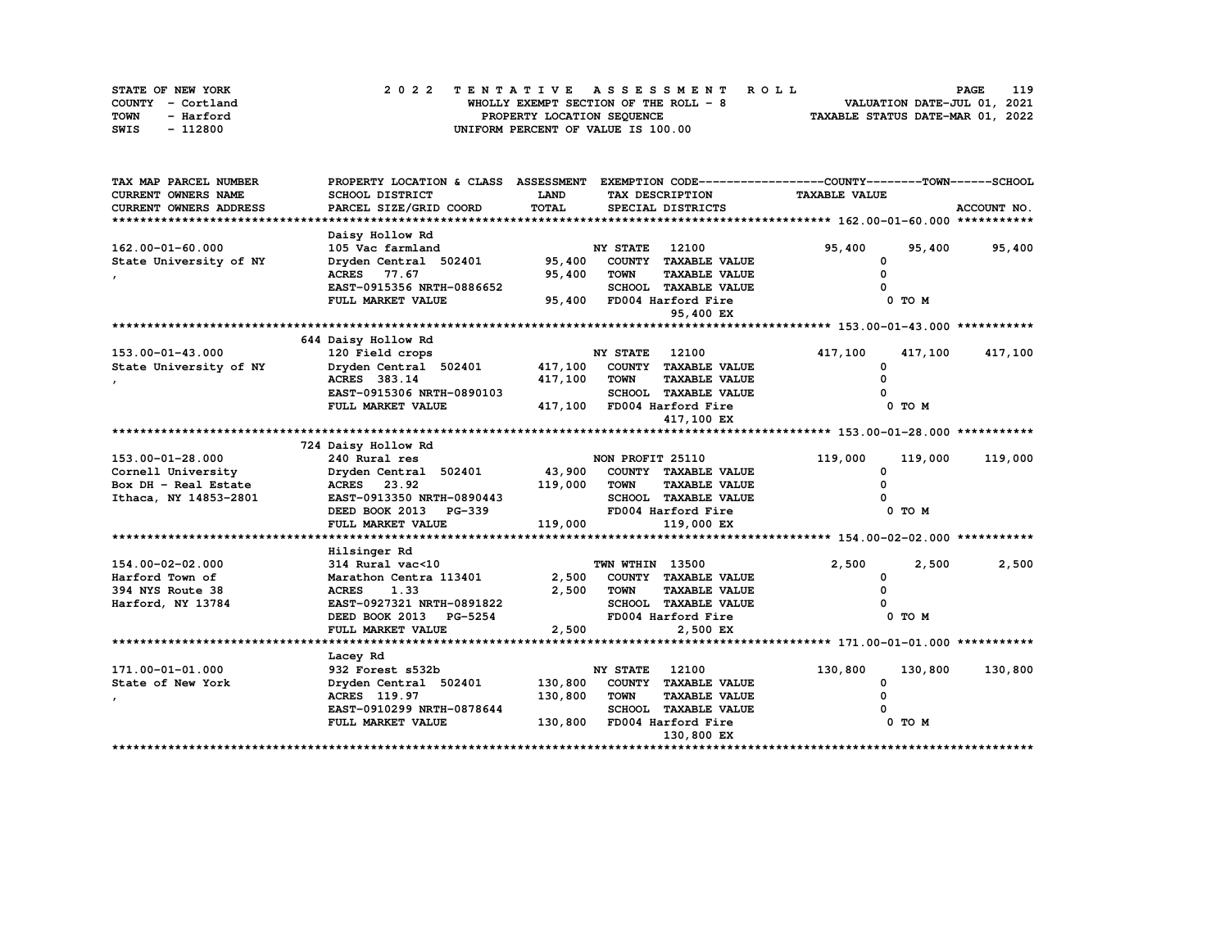| STATE OF NEW YORK | 2022 TENTATIVE ASSESSMENT ROLL     |                                       | 119<br><b>PAGE</b>               |
|-------------------|------------------------------------|---------------------------------------|----------------------------------|
| COUNTY - Cortland |                                    | WHOLLY EXEMPT SECTION OF THE ROLL - 8 | VALUATION DATE-JUL 01, 2021      |
| TOWN<br>- Harford | PROPERTY LOCATION SEQUENCE         |                                       | TAXABLE STATUS DATE-MAR 01, 2022 |
| - 112800<br>SWIS  | UNIFORM PERCENT OF VALUE IS 100.00 |                                       |                                  |

| TAX MAP PARCEL NUMBER  | PROPERTY LOCATION & CLASS ASSESSMENT EXEMPTION CODE-----------------COUNTY-------TOWN-----SCHOOL |             |                       |                             |                      |         |               |
|------------------------|--------------------------------------------------------------------------------------------------|-------------|-----------------------|-----------------------------|----------------------|---------|---------------|
| CURRENT OWNERS NAME    | SCHOOL DISTRICT                                                                                  | <b>LAND</b> |                       | TAX DESCRIPTION             | <b>TAXABLE VALUE</b> |         |               |
| CURRENT OWNERS ADDRESS | PARCEL SIZE/GRID COORD                                                                           | TOTAL       |                       | SPECIAL DISTRICTS           |                      |         | ACCOUNT NO.   |
|                        |                                                                                                  |             |                       |                             |                      |         |               |
|                        | Daisy Hollow Rd                                                                                  |             |                       |                             |                      |         |               |
| 162.00-01-60.000       | 105 Vac farmland                                                                                 |             | <b>NY STATE</b>       | 12100                       | 95,400               |         | 95,400 95,400 |
| State University of NY | Dryden Central 502401                                                                            | 95,400      |                       | COUNTY TAXABLE VALUE        | 0                    |         |               |
|                        | ACRES 77.67                                                                                      | 95,400      | <b>TOWN</b>           | <b>TAXABLE VALUE</b>        |                      |         |               |
|                        | EAST-0915356 NRTH-0886652                                                                        |             |                       | SCHOOL TAXABLE VALUE        |                      |         |               |
|                        | FULL MARKET VALUE                                                                                |             |                       | 95,400 FD004 Harford Fire   |                      | 0 TO M  |               |
|                        |                                                                                                  |             |                       | 95,400 EX                   |                      |         |               |
|                        |                                                                                                  |             |                       |                             |                      |         |               |
|                        | 644 Daisy Hollow Rd                                                                              |             |                       |                             |                      |         |               |
| 153.00-01-43.000       | 120 Field crops                                                                                  |             | <b>NY STATE</b> 12100 |                             | 417,100              | 417,100 | 417,100       |
| State University of NY | Dryden Central 502401                                                                            | 417,100     |                       | COUNTY TAXABLE VALUE        | <sup>0</sup>         |         |               |
|                        | ACRES 383.14                                                                                     | 417,100     | <b>TOWN</b>           | <b>TAXABLE VALUE</b>        |                      |         |               |
|                        | EAST-0915306 NRTH-0890103                                                                        |             |                       | SCHOOL TAXABLE VALUE        |                      |         |               |
|                        | FULL MARKET VALUE                                                                                |             |                       | 417,100 FD004 Harford Fire  |                      | 0 TO M  |               |
|                        |                                                                                                  |             |                       | 417,100 EX                  |                      |         |               |
|                        |                                                                                                  |             |                       |                             |                      |         |               |
|                        | 724 Daisy Hollow Rd                                                                              |             |                       |                             |                      |         |               |
| 153.00-01-28.000       | 240 Rural res                                                                                    |             | NON PROFIT 25110      |                             | 119,000              | 119,000 | 119,000       |
| Cornell University     | Dryden Central 502401                                                                            | 43,900      |                       | COUNTY TAXABLE VALUE        | <sup>0</sup>         |         |               |
| Box DH - Real Estate   | ACRES 23.92                                                                                      | 119,000     | <b>TOWN</b>           | <b>TAXABLE VALUE</b>        |                      |         |               |
| Ithaca, NY 14853-2801  | EAST-0913350 NRTH-0890443                                                                        |             |                       | SCHOOL TAXABLE VALUE        |                      |         |               |
|                        | DEED BOOK 2013 PG-339                                                                            |             |                       | FD004 Harford Fire          |                      | 0 TO M  |               |
|                        | FULL MARKET VALUE                                                                                | 119,000     |                       | 119,000 EX                  |                      |         |               |
|                        |                                                                                                  |             |                       |                             |                      |         |               |
|                        | Hilsinger Rd                                                                                     |             |                       |                             |                      |         |               |
| 154.00-02-02.000       | 314 Rural vac<10                                                                                 |             | TWN WTHIN 13500       |                             | 2,500                | 2,500   | 2,500         |
| Harford Town of        | Marathon Centra 113401                                                                           | 2,500       |                       | COUNTY TAXABLE VALUE        | 0                    |         |               |
| 394 NYS Route 38       | <b>ACRES</b><br>1.33                                                                             | 2,500       | <b>TOWN</b>           | <b>TAXABLE VALUE</b>        |                      |         |               |
| Harford, NY 13784      | EAST-0927321 NRTH-0891822                                                                        |             |                       | SCHOOL TAXABLE VALUE        |                      |         |               |
|                        | DEED BOOK 2013 PG-5254                                                                           |             |                       | FD004 Harford Fire          |                      | 0 TO M  |               |
|                        | FULL MARKET VALUE                                                                                | 2,500       |                       | 2,500 EX                    |                      |         |               |
|                        |                                                                                                  |             |                       |                             |                      |         |               |
|                        | Lacey Rd                                                                                         |             |                       |                             |                      |         |               |
| 171.00-01-01.000       | 932 Forest s532b                                                                                 |             | <b>NY STATE</b>       | 12100                       | 130,800              | 130,800 | 130,800       |
| State of New York      | Dryden Central 502401                                                                            | 130,800     |                       | COUNTY TAXABLE VALUE        | 0                    |         |               |
|                        | ACRES 119.97                                                                                     | 130,800     | <b>TOWN</b>           | <b>TAXABLE VALUE</b>        |                      |         |               |
|                        | EAST-0910299 NRTH-0878644                                                                        |             |                       | <b>SCHOOL TAXABLE VALUE</b> |                      |         |               |
|                        | FULL MARKET VALUE                                                                                | 130,800     |                       | FD004 Harford Fire          |                      | 0 TO M  |               |
|                        |                                                                                                  |             |                       | 130,800 EX                  |                      |         |               |
|                        |                                                                                                  |             |                       |                             |                      |         |               |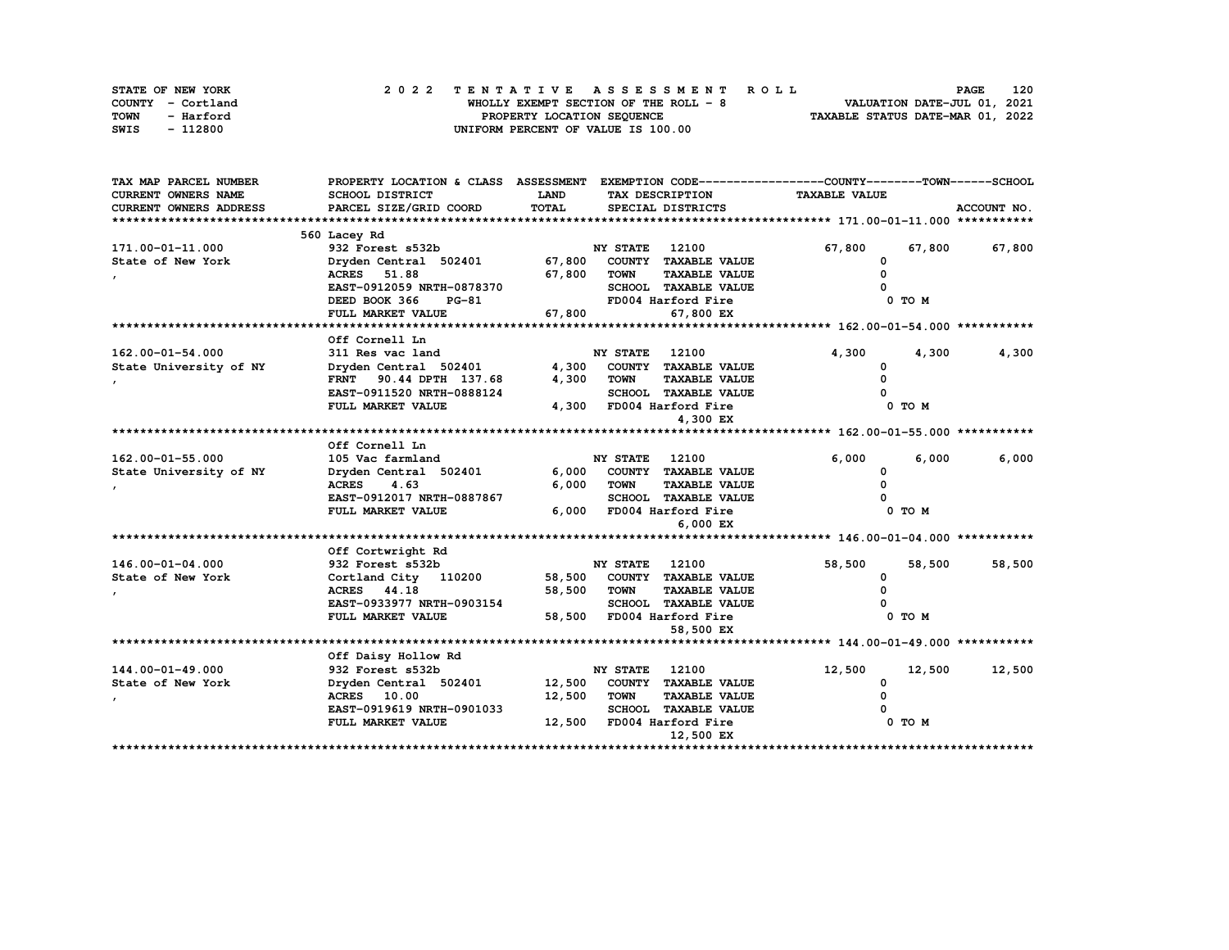| STATE OF NEW YORK | 2022 TENTATIVE ASSESSMENT ROLL        | 120<br><b>PAGE</b>               |
|-------------------|---------------------------------------|----------------------------------|
| COUNTY - Cortland | WHOLLY EXEMPT SECTION OF THE ROLL - 8 | VALUATION DATE-JUL 01, 2021      |
| TOWN<br>- Harford | PROPERTY LOCATION SEQUENCE            | TAXABLE STATUS DATE-MAR 01, 2022 |
| - 112800<br>SWIS  | UNIFORM PERCENT OF VALUE IS 100.00    |                                  |

| <b>CURRENT OWNERS NAME</b><br>SCHOOL DISTRICT<br><b>LAND</b><br>TAX DESCRIPTION<br><b>TAXABLE VALUE</b><br>TOTAL<br>CURRENT OWNERS ADDRESS<br>PARCEL SIZE/GRID COORD<br>SPECIAL DISTRICTS<br>ACCOUNT NO.<br>560 Lacey Rd<br>67,800<br>171.00-01-11.000<br>932 Forest s532b<br>NY STATE<br>12100<br>67,800<br>67,800<br>State of New York<br>67,800<br>COUNTY TAXABLE VALUE<br>Dryden Central 502401<br>0<br><b>ACRES</b> 51.88<br>67,800<br><b>TOWN</b><br><b>TAXABLE VALUE</b><br>n<br>EAST-0912059 NRTH-0878370<br>SCHOOL TAXABLE VALUE<br>DEED BOOK 366<br>FD004 Harford Fire<br>PG-81<br>0 TO M<br>FULL MARKET VALUE<br>67,800<br>67,800 EX<br>Off Cornell Ln<br>162.00-01-54.000<br><b>NY STATE</b><br>12100<br>4,300<br>311 Res vac land<br>4,300<br>4,300<br>State University of NY<br>4,300<br>COUNTY TAXABLE VALUE<br>Dryden Central 502401<br><sup>0</sup><br>FRNT 90.44 DPTH 137.68<br>4,300<br><b>TOWN</b><br><b>TAXABLE VALUE</b><br>EAST-0911520 NRTH-0888124<br><b>SCHOOL TAXABLE VALUE</b><br>4,300 FD004 Harford Fire<br>FULL MARKET VALUE<br>0 TO M<br>4,300 EX<br>Off Cornell Ln<br>6,000<br>162.00-01-55.000<br>105 Vac farmland<br><b>NY STATE</b><br>12100<br>6,000<br>6,000<br>COUNTY TAXABLE VALUE<br>State University of NY<br>Dryden Central 502401<br>6,000<br>0<br>6,000<br>4.63<br><b>TOWN</b><br><b>TAXABLE VALUE</b><br><b>ACRES</b><br>$\Omega$<br>EAST-0912017 NRTH-0887867<br><b>SCHOOL TAXABLE VALUE</b><br>0 TO M<br>FULL MARKET VALUE<br>6,000<br>FD004 Harford Fire<br>6,000 EX<br>Off Cortwright Rd<br>932 Forest s532b<br>58,500<br>146.00-01-04.000<br><b>NY STATE</b><br>12100<br>58,500<br>58,500<br>State of New York<br>COUNTY TAXABLE VALUE<br>Cortland City 110200<br>58,500<br>0<br>ACRES 44.18<br>58,500<br><b>TOWN</b><br><b>TAXABLE VALUE</b><br>EAST-0933977 NRTH-0903154<br><b>SCHOOL TAXABLE VALUE</b><br>58,500<br>0 TO M<br>FULL MARKET VALUE<br>FD004 Harford Fire<br>58,500 EX<br>Off Daisy Hollow Rd<br>144.00-01-49.000<br>932 Forest s532b<br>12,500<br>12,500<br>NY STATE<br>12100<br>12,500<br>State of New York<br>Dryden Central 502401<br>COUNTY TAXABLE VALUE<br>12,500<br>0<br><b>ACRES</b> 10.00<br>12,500<br><b>TOWN</b><br><b>TAXABLE VALUE</b><br><sup>0</sup><br><b>SCHOOL TAXABLE VALUE</b><br>EAST-0919619 NRTH-0901033<br>12,500<br>FD004 Harford Fire<br>FULL MARKET VALUE<br>0 TO M<br>12,500 EX | TAX MAP PARCEL NUMBER | PROPERTY LOCATION & CLASS ASSESSMENT EXEMPTION CODE----------------COUNTY-------TOWN------SCHOOL |  |  |  |
|--------------------------------------------------------------------------------------------------------------------------------------------------------------------------------------------------------------------------------------------------------------------------------------------------------------------------------------------------------------------------------------------------------------------------------------------------------------------------------------------------------------------------------------------------------------------------------------------------------------------------------------------------------------------------------------------------------------------------------------------------------------------------------------------------------------------------------------------------------------------------------------------------------------------------------------------------------------------------------------------------------------------------------------------------------------------------------------------------------------------------------------------------------------------------------------------------------------------------------------------------------------------------------------------------------------------------------------------------------------------------------------------------------------------------------------------------------------------------------------------------------------------------------------------------------------------------------------------------------------------------------------------------------------------------------------------------------------------------------------------------------------------------------------------------------------------------------------------------------------------------------------------------------------------------------------------------------------------------------------------------------------------------------------------------------------------------------------------------------------------------------------------------------------------------------------------------------------------------------------------------------------------------------------------------------------------------------------------------------------------------------|-----------------------|--------------------------------------------------------------------------------------------------|--|--|--|
|                                                                                                                                                                                                                                                                                                                                                                                                                                                                                                                                                                                                                                                                                                                                                                                                                                                                                                                                                                                                                                                                                                                                                                                                                                                                                                                                                                                                                                                                                                                                                                                                                                                                                                                                                                                                                                                                                                                                                                                                                                                                                                                                                                                                                                                                                                                                                                                |                       |                                                                                                  |  |  |  |
|                                                                                                                                                                                                                                                                                                                                                                                                                                                                                                                                                                                                                                                                                                                                                                                                                                                                                                                                                                                                                                                                                                                                                                                                                                                                                                                                                                                                                                                                                                                                                                                                                                                                                                                                                                                                                                                                                                                                                                                                                                                                                                                                                                                                                                                                                                                                                                                |                       |                                                                                                  |  |  |  |
|                                                                                                                                                                                                                                                                                                                                                                                                                                                                                                                                                                                                                                                                                                                                                                                                                                                                                                                                                                                                                                                                                                                                                                                                                                                                                                                                                                                                                                                                                                                                                                                                                                                                                                                                                                                                                                                                                                                                                                                                                                                                                                                                                                                                                                                                                                                                                                                |                       |                                                                                                  |  |  |  |
|                                                                                                                                                                                                                                                                                                                                                                                                                                                                                                                                                                                                                                                                                                                                                                                                                                                                                                                                                                                                                                                                                                                                                                                                                                                                                                                                                                                                                                                                                                                                                                                                                                                                                                                                                                                                                                                                                                                                                                                                                                                                                                                                                                                                                                                                                                                                                                                |                       |                                                                                                  |  |  |  |
|                                                                                                                                                                                                                                                                                                                                                                                                                                                                                                                                                                                                                                                                                                                                                                                                                                                                                                                                                                                                                                                                                                                                                                                                                                                                                                                                                                                                                                                                                                                                                                                                                                                                                                                                                                                                                                                                                                                                                                                                                                                                                                                                                                                                                                                                                                                                                                                |                       |                                                                                                  |  |  |  |
|                                                                                                                                                                                                                                                                                                                                                                                                                                                                                                                                                                                                                                                                                                                                                                                                                                                                                                                                                                                                                                                                                                                                                                                                                                                                                                                                                                                                                                                                                                                                                                                                                                                                                                                                                                                                                                                                                                                                                                                                                                                                                                                                                                                                                                                                                                                                                                                |                       |                                                                                                  |  |  |  |
|                                                                                                                                                                                                                                                                                                                                                                                                                                                                                                                                                                                                                                                                                                                                                                                                                                                                                                                                                                                                                                                                                                                                                                                                                                                                                                                                                                                                                                                                                                                                                                                                                                                                                                                                                                                                                                                                                                                                                                                                                                                                                                                                                                                                                                                                                                                                                                                |                       |                                                                                                  |  |  |  |
|                                                                                                                                                                                                                                                                                                                                                                                                                                                                                                                                                                                                                                                                                                                                                                                                                                                                                                                                                                                                                                                                                                                                                                                                                                                                                                                                                                                                                                                                                                                                                                                                                                                                                                                                                                                                                                                                                                                                                                                                                                                                                                                                                                                                                                                                                                                                                                                |                       |                                                                                                  |  |  |  |
|                                                                                                                                                                                                                                                                                                                                                                                                                                                                                                                                                                                                                                                                                                                                                                                                                                                                                                                                                                                                                                                                                                                                                                                                                                                                                                                                                                                                                                                                                                                                                                                                                                                                                                                                                                                                                                                                                                                                                                                                                                                                                                                                                                                                                                                                                                                                                                                |                       |                                                                                                  |  |  |  |
|                                                                                                                                                                                                                                                                                                                                                                                                                                                                                                                                                                                                                                                                                                                                                                                                                                                                                                                                                                                                                                                                                                                                                                                                                                                                                                                                                                                                                                                                                                                                                                                                                                                                                                                                                                                                                                                                                                                                                                                                                                                                                                                                                                                                                                                                                                                                                                                |                       |                                                                                                  |  |  |  |
|                                                                                                                                                                                                                                                                                                                                                                                                                                                                                                                                                                                                                                                                                                                                                                                                                                                                                                                                                                                                                                                                                                                                                                                                                                                                                                                                                                                                                                                                                                                                                                                                                                                                                                                                                                                                                                                                                                                                                                                                                                                                                                                                                                                                                                                                                                                                                                                |                       |                                                                                                  |  |  |  |
|                                                                                                                                                                                                                                                                                                                                                                                                                                                                                                                                                                                                                                                                                                                                                                                                                                                                                                                                                                                                                                                                                                                                                                                                                                                                                                                                                                                                                                                                                                                                                                                                                                                                                                                                                                                                                                                                                                                                                                                                                                                                                                                                                                                                                                                                                                                                                                                |                       |                                                                                                  |  |  |  |
|                                                                                                                                                                                                                                                                                                                                                                                                                                                                                                                                                                                                                                                                                                                                                                                                                                                                                                                                                                                                                                                                                                                                                                                                                                                                                                                                                                                                                                                                                                                                                                                                                                                                                                                                                                                                                                                                                                                                                                                                                                                                                                                                                                                                                                                                                                                                                                                |                       |                                                                                                  |  |  |  |
|                                                                                                                                                                                                                                                                                                                                                                                                                                                                                                                                                                                                                                                                                                                                                                                                                                                                                                                                                                                                                                                                                                                                                                                                                                                                                                                                                                                                                                                                                                                                                                                                                                                                                                                                                                                                                                                                                                                                                                                                                                                                                                                                                                                                                                                                                                                                                                                |                       |                                                                                                  |  |  |  |
|                                                                                                                                                                                                                                                                                                                                                                                                                                                                                                                                                                                                                                                                                                                                                                                                                                                                                                                                                                                                                                                                                                                                                                                                                                                                                                                                                                                                                                                                                                                                                                                                                                                                                                                                                                                                                                                                                                                                                                                                                                                                                                                                                                                                                                                                                                                                                                                |                       |                                                                                                  |  |  |  |
|                                                                                                                                                                                                                                                                                                                                                                                                                                                                                                                                                                                                                                                                                                                                                                                                                                                                                                                                                                                                                                                                                                                                                                                                                                                                                                                                                                                                                                                                                                                                                                                                                                                                                                                                                                                                                                                                                                                                                                                                                                                                                                                                                                                                                                                                                                                                                                                |                       |                                                                                                  |  |  |  |
|                                                                                                                                                                                                                                                                                                                                                                                                                                                                                                                                                                                                                                                                                                                                                                                                                                                                                                                                                                                                                                                                                                                                                                                                                                                                                                                                                                                                                                                                                                                                                                                                                                                                                                                                                                                                                                                                                                                                                                                                                                                                                                                                                                                                                                                                                                                                                                                |                       |                                                                                                  |  |  |  |
|                                                                                                                                                                                                                                                                                                                                                                                                                                                                                                                                                                                                                                                                                                                                                                                                                                                                                                                                                                                                                                                                                                                                                                                                                                                                                                                                                                                                                                                                                                                                                                                                                                                                                                                                                                                                                                                                                                                                                                                                                                                                                                                                                                                                                                                                                                                                                                                |                       |                                                                                                  |  |  |  |
|                                                                                                                                                                                                                                                                                                                                                                                                                                                                                                                                                                                                                                                                                                                                                                                                                                                                                                                                                                                                                                                                                                                                                                                                                                                                                                                                                                                                                                                                                                                                                                                                                                                                                                                                                                                                                                                                                                                                                                                                                                                                                                                                                                                                                                                                                                                                                                                |                       |                                                                                                  |  |  |  |
|                                                                                                                                                                                                                                                                                                                                                                                                                                                                                                                                                                                                                                                                                                                                                                                                                                                                                                                                                                                                                                                                                                                                                                                                                                                                                                                                                                                                                                                                                                                                                                                                                                                                                                                                                                                                                                                                                                                                                                                                                                                                                                                                                                                                                                                                                                                                                                                |                       |                                                                                                  |  |  |  |
|                                                                                                                                                                                                                                                                                                                                                                                                                                                                                                                                                                                                                                                                                                                                                                                                                                                                                                                                                                                                                                                                                                                                                                                                                                                                                                                                                                                                                                                                                                                                                                                                                                                                                                                                                                                                                                                                                                                                                                                                                                                                                                                                                                                                                                                                                                                                                                                |                       |                                                                                                  |  |  |  |
|                                                                                                                                                                                                                                                                                                                                                                                                                                                                                                                                                                                                                                                                                                                                                                                                                                                                                                                                                                                                                                                                                                                                                                                                                                                                                                                                                                                                                                                                                                                                                                                                                                                                                                                                                                                                                                                                                                                                                                                                                                                                                                                                                                                                                                                                                                                                                                                |                       |                                                                                                  |  |  |  |
|                                                                                                                                                                                                                                                                                                                                                                                                                                                                                                                                                                                                                                                                                                                                                                                                                                                                                                                                                                                                                                                                                                                                                                                                                                                                                                                                                                                                                                                                                                                                                                                                                                                                                                                                                                                                                                                                                                                                                                                                                                                                                                                                                                                                                                                                                                                                                                                |                       |                                                                                                  |  |  |  |
|                                                                                                                                                                                                                                                                                                                                                                                                                                                                                                                                                                                                                                                                                                                                                                                                                                                                                                                                                                                                                                                                                                                                                                                                                                                                                                                                                                                                                                                                                                                                                                                                                                                                                                                                                                                                                                                                                                                                                                                                                                                                                                                                                                                                                                                                                                                                                                                |                       |                                                                                                  |  |  |  |
|                                                                                                                                                                                                                                                                                                                                                                                                                                                                                                                                                                                                                                                                                                                                                                                                                                                                                                                                                                                                                                                                                                                                                                                                                                                                                                                                                                                                                                                                                                                                                                                                                                                                                                                                                                                                                                                                                                                                                                                                                                                                                                                                                                                                                                                                                                                                                                                |                       |                                                                                                  |  |  |  |
|                                                                                                                                                                                                                                                                                                                                                                                                                                                                                                                                                                                                                                                                                                                                                                                                                                                                                                                                                                                                                                                                                                                                                                                                                                                                                                                                                                                                                                                                                                                                                                                                                                                                                                                                                                                                                                                                                                                                                                                                                                                                                                                                                                                                                                                                                                                                                                                |                       |                                                                                                  |  |  |  |
|                                                                                                                                                                                                                                                                                                                                                                                                                                                                                                                                                                                                                                                                                                                                                                                                                                                                                                                                                                                                                                                                                                                                                                                                                                                                                                                                                                                                                                                                                                                                                                                                                                                                                                                                                                                                                                                                                                                                                                                                                                                                                                                                                                                                                                                                                                                                                                                |                       |                                                                                                  |  |  |  |
|                                                                                                                                                                                                                                                                                                                                                                                                                                                                                                                                                                                                                                                                                                                                                                                                                                                                                                                                                                                                                                                                                                                                                                                                                                                                                                                                                                                                                                                                                                                                                                                                                                                                                                                                                                                                                                                                                                                                                                                                                                                                                                                                                                                                                                                                                                                                                                                |                       |                                                                                                  |  |  |  |
|                                                                                                                                                                                                                                                                                                                                                                                                                                                                                                                                                                                                                                                                                                                                                                                                                                                                                                                                                                                                                                                                                                                                                                                                                                                                                                                                                                                                                                                                                                                                                                                                                                                                                                                                                                                                                                                                                                                                                                                                                                                                                                                                                                                                                                                                                                                                                                                |                       |                                                                                                  |  |  |  |
|                                                                                                                                                                                                                                                                                                                                                                                                                                                                                                                                                                                                                                                                                                                                                                                                                                                                                                                                                                                                                                                                                                                                                                                                                                                                                                                                                                                                                                                                                                                                                                                                                                                                                                                                                                                                                                                                                                                                                                                                                                                                                                                                                                                                                                                                                                                                                                                |                       |                                                                                                  |  |  |  |
|                                                                                                                                                                                                                                                                                                                                                                                                                                                                                                                                                                                                                                                                                                                                                                                                                                                                                                                                                                                                                                                                                                                                                                                                                                                                                                                                                                                                                                                                                                                                                                                                                                                                                                                                                                                                                                                                                                                                                                                                                                                                                                                                                                                                                                                                                                                                                                                |                       |                                                                                                  |  |  |  |
|                                                                                                                                                                                                                                                                                                                                                                                                                                                                                                                                                                                                                                                                                                                                                                                                                                                                                                                                                                                                                                                                                                                                                                                                                                                                                                                                                                                                                                                                                                                                                                                                                                                                                                                                                                                                                                                                                                                                                                                                                                                                                                                                                                                                                                                                                                                                                                                |                       |                                                                                                  |  |  |  |
|                                                                                                                                                                                                                                                                                                                                                                                                                                                                                                                                                                                                                                                                                                                                                                                                                                                                                                                                                                                                                                                                                                                                                                                                                                                                                                                                                                                                                                                                                                                                                                                                                                                                                                                                                                                                                                                                                                                                                                                                                                                                                                                                                                                                                                                                                                                                                                                |                       |                                                                                                  |  |  |  |
|                                                                                                                                                                                                                                                                                                                                                                                                                                                                                                                                                                                                                                                                                                                                                                                                                                                                                                                                                                                                                                                                                                                                                                                                                                                                                                                                                                                                                                                                                                                                                                                                                                                                                                                                                                                                                                                                                                                                                                                                                                                                                                                                                                                                                                                                                                                                                                                |                       |                                                                                                  |  |  |  |
|                                                                                                                                                                                                                                                                                                                                                                                                                                                                                                                                                                                                                                                                                                                                                                                                                                                                                                                                                                                                                                                                                                                                                                                                                                                                                                                                                                                                                                                                                                                                                                                                                                                                                                                                                                                                                                                                                                                                                                                                                                                                                                                                                                                                                                                                                                                                                                                |                       |                                                                                                  |  |  |  |
|                                                                                                                                                                                                                                                                                                                                                                                                                                                                                                                                                                                                                                                                                                                                                                                                                                                                                                                                                                                                                                                                                                                                                                                                                                                                                                                                                                                                                                                                                                                                                                                                                                                                                                                                                                                                                                                                                                                                                                                                                                                                                                                                                                                                                                                                                                                                                                                |                       |                                                                                                  |  |  |  |
|                                                                                                                                                                                                                                                                                                                                                                                                                                                                                                                                                                                                                                                                                                                                                                                                                                                                                                                                                                                                                                                                                                                                                                                                                                                                                                                                                                                                                                                                                                                                                                                                                                                                                                                                                                                                                                                                                                                                                                                                                                                                                                                                                                                                                                                                                                                                                                                |                       |                                                                                                  |  |  |  |
|                                                                                                                                                                                                                                                                                                                                                                                                                                                                                                                                                                                                                                                                                                                                                                                                                                                                                                                                                                                                                                                                                                                                                                                                                                                                                                                                                                                                                                                                                                                                                                                                                                                                                                                                                                                                                                                                                                                                                                                                                                                                                                                                                                                                                                                                                                                                                                                |                       |                                                                                                  |  |  |  |
|                                                                                                                                                                                                                                                                                                                                                                                                                                                                                                                                                                                                                                                                                                                                                                                                                                                                                                                                                                                                                                                                                                                                                                                                                                                                                                                                                                                                                                                                                                                                                                                                                                                                                                                                                                                                                                                                                                                                                                                                                                                                                                                                                                                                                                                                                                                                                                                |                       |                                                                                                  |  |  |  |
|                                                                                                                                                                                                                                                                                                                                                                                                                                                                                                                                                                                                                                                                                                                                                                                                                                                                                                                                                                                                                                                                                                                                                                                                                                                                                                                                                                                                                                                                                                                                                                                                                                                                                                                                                                                                                                                                                                                                                                                                                                                                                                                                                                                                                                                                                                                                                                                |                       |                                                                                                  |  |  |  |
|                                                                                                                                                                                                                                                                                                                                                                                                                                                                                                                                                                                                                                                                                                                                                                                                                                                                                                                                                                                                                                                                                                                                                                                                                                                                                                                                                                                                                                                                                                                                                                                                                                                                                                                                                                                                                                                                                                                                                                                                                                                                                                                                                                                                                                                                                                                                                                                |                       |                                                                                                  |  |  |  |
|                                                                                                                                                                                                                                                                                                                                                                                                                                                                                                                                                                                                                                                                                                                                                                                                                                                                                                                                                                                                                                                                                                                                                                                                                                                                                                                                                                                                                                                                                                                                                                                                                                                                                                                                                                                                                                                                                                                                                                                                                                                                                                                                                                                                                                                                                                                                                                                |                       |                                                                                                  |  |  |  |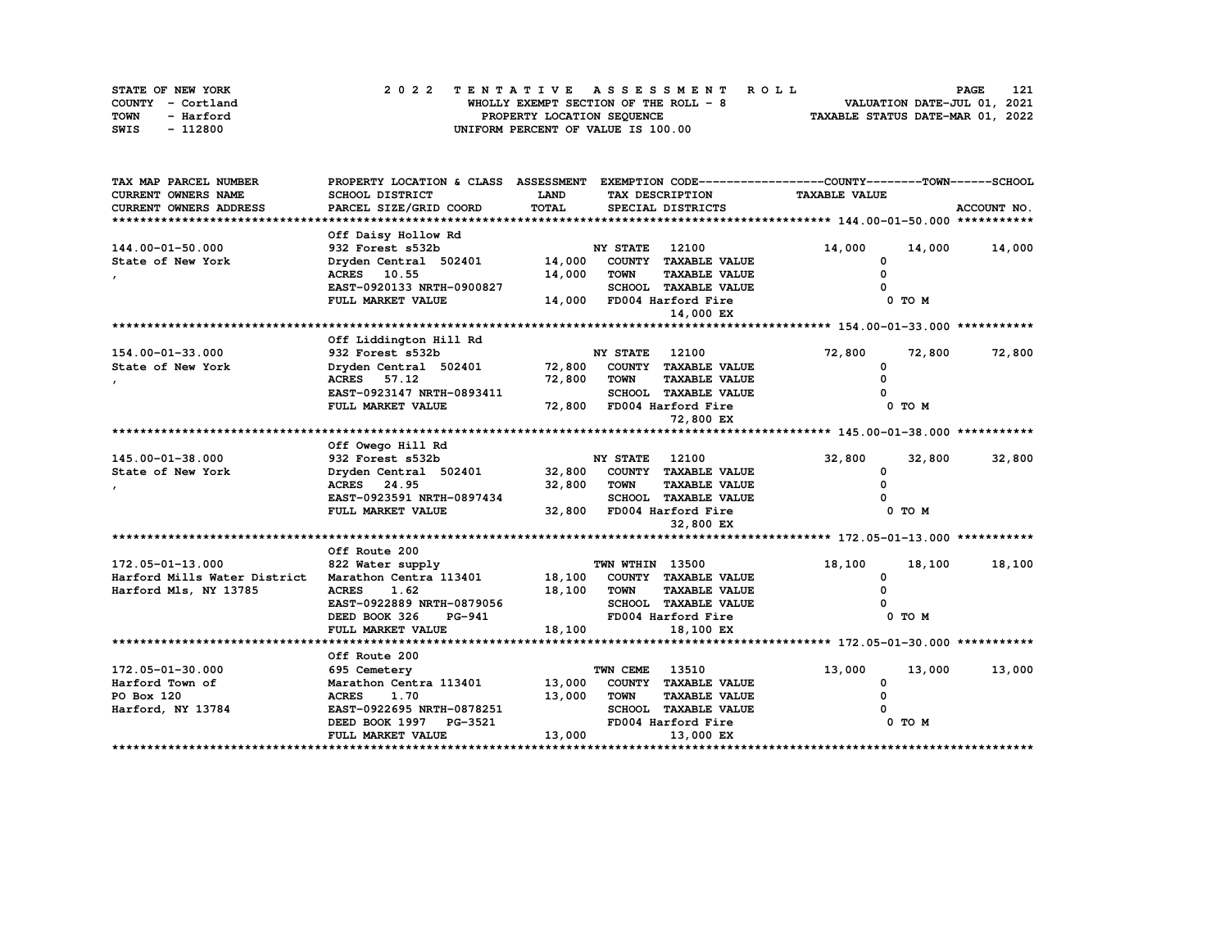| STATE OF NEW YORK | 2022 TENTATIVE ASSESSMENT ROLL        | 121<br><b>PAGE</b>               |
|-------------------|---------------------------------------|----------------------------------|
| COUNTY - Cortland | WHOLLY EXEMPT SECTION OF THE ROLL - 8 | VALUATION DATE-JUL 01, 2021      |
| TOWN<br>- Harford | PROPERTY LOCATION SEQUENCE            | TAXABLE STATUS DATE-MAR 01, 2022 |
| - 112800<br>SWIS  | UNIFORM PERCENT OF VALUE IS 100.00    |                                  |

| TAX MAP PARCEL NUMBER        | PROPERTY LOCATION & CLASS ASSESSMENT EXEMPTION CODE----------------COUNTY-------TOWN------SCHOOL |             |                       |                             |                      |        |               |
|------------------------------|--------------------------------------------------------------------------------------------------|-------------|-----------------------|-----------------------------|----------------------|--------|---------------|
| CURRENT OWNERS NAME          | SCHOOL DISTRICT                                                                                  | <b>LAND</b> |                       | TAX DESCRIPTION             | <b>TAXABLE VALUE</b> |        |               |
| CURRENT OWNERS ADDRESS       | PARCEL SIZE/GRID COORD                                                                           | TOTAL       |                       | SPECIAL DISTRICTS           |                      |        | ACCOUNT NO.   |
|                              |                                                                                                  |             |                       |                             |                      |        |               |
|                              | Off Daisy Hollow Rd                                                                              |             |                       |                             |                      |        |               |
| 144.00-01-50.000             | 932 Forest s532b                                                                                 |             | <b>NY STATE</b>       | 12100                       | 14,000               |        | 14,000 14,000 |
| State of New York            | Dryden Central 502401                                                                            | 14,000      |                       | COUNTY TAXABLE VALUE        |                      |        |               |
|                              | ACRES 10.55                                                                                      | 14,000      | <b>TOWN</b>           | <b>TAXABLE VALUE</b>        |                      |        |               |
|                              | EAST-0920133 NRTH-0900827                                                                        |             |                       | <b>SCHOOL TAXABLE VALUE</b> |                      |        |               |
|                              | FULL MARKET VALUE                                                                                |             |                       | 14,000 FD004 Harford Fire   |                      | 0 TO M |               |
|                              |                                                                                                  |             |                       | 14,000 EX                   |                      |        |               |
|                              |                                                                                                  |             |                       |                             |                      |        |               |
|                              | Off Liddington Hill Rd                                                                           |             |                       |                             |                      |        |               |
| 154.00-01-33.000             | 932 Forest s532b                                                                                 |             | <b>NY STATE</b> 12100 |                             | 72,800               | 72,800 | 72,800        |
| State of New York            | Dryden Central 502401 72,800                                                                     |             |                       | COUNTY TAXABLE VALUE        | $\Omega$             |        |               |
|                              | ACRES 57.12                                                                                      | 72,800      | <b>TOWN</b>           | <b>TAXABLE VALUE</b>        |                      |        |               |
|                              | EAST-0923147 NRTH-0893411                                                                        |             |                       | <b>SCHOOL TAXABLE VALUE</b> |                      |        |               |
|                              | FULL MARKET VALUE                                                                                |             |                       | 72,800 FD004 Harford Fire   |                      | 0 TO M |               |
|                              |                                                                                                  |             |                       | 72,800 EX                   |                      |        |               |
|                              |                                                                                                  |             |                       |                             |                      |        |               |
|                              | Off Owego Hill Rd                                                                                |             |                       |                             |                      |        |               |
| 145.00-01-38.000             | 932 Forest s532b                                                                                 |             | <b>NY STATE</b>       | 12100                       | 32,800               | 32,800 | 32,800        |
| State of New York            | Dryden Central 502401                                                                            | 32,800      |                       | COUNTY TAXABLE VALUE        | <sup>0</sup>         |        |               |
|                              | ACRES 24.95                                                                                      | 32,800      | <b>TOWN</b>           | <b>TAXABLE VALUE</b>        |                      |        |               |
|                              | EAST-0923591 NRTH-0897434                                                                        |             |                       | SCHOOL TAXABLE VALUE        |                      |        |               |
|                              | FULL MARKET VALUE                                                                                | 32,800      |                       | FD004 Harford Fire          |                      | 0 TO M |               |
|                              |                                                                                                  |             |                       | 32,800 EX                   |                      |        |               |
|                              |                                                                                                  |             |                       |                             |                      |        |               |
|                              | Off Route 200                                                                                    |             |                       |                             |                      |        |               |
| 172.05-01-13.000             | 822 Water supply                                                                                 |             | TWN WTHIN 13500       |                             | 18,100               | 18,100 | 18,100        |
| Harford Mills Water District | Marathon Centra 113401                                                                           | 18,100      |                       | COUNTY TAXABLE VALUE        | 0                    |        |               |
| Harford Mls, NY 13785        | <b>ACRES</b><br>1.62                                                                             | 18,100      | <b>TOWN</b>           | <b>TAXABLE VALUE</b>        |                      |        |               |
|                              | EAST-0922889 NRTH-0879056                                                                        |             |                       | SCHOOL TAXABLE VALUE        |                      |        |               |
|                              | DEED BOOK 326<br><b>PG-941</b>                                                                   |             |                       | FD004 Harford Fire          |                      | 0 TO M |               |
|                              | FULL MARKET VALUE                                                                                | 18,100      |                       | 18,100 EX                   |                      |        |               |
|                              |                                                                                                  |             |                       |                             |                      |        |               |
|                              | Off Route 200                                                                                    |             |                       |                             |                      |        |               |
| 172.05-01-30.000             | 695 Cemetery                                                                                     |             | TWN CEME              | 13510                       | 13,000               | 13,000 | 13,000        |
| Harford Town of              | Marathon Centra 113401                                                                           | 13,000      |                       | COUNTY TAXABLE VALUE        | 0                    |        |               |
| PO Box 120                   | <b>ACRES</b><br>1.70                                                                             | 13,000      | <b>TOWN</b>           | <b>TAXABLE VALUE</b>        | O                    |        |               |
| Harford, NY 13784            | EAST-0922695 NRTH-0878251                                                                        |             | <b>SCHOOL</b>         | <b>TAXABLE VALUE</b>        |                      |        |               |
|                              | DEED BOOK 1997 PG-3521                                                                           |             |                       | FD004 Harford Fire          |                      | 0 TO M |               |
|                              | FULL MARKET VALUE                                                                                | 13,000      |                       | 13,000 EX                   |                      |        |               |
|                              |                                                                                                  |             |                       |                             |                      |        |               |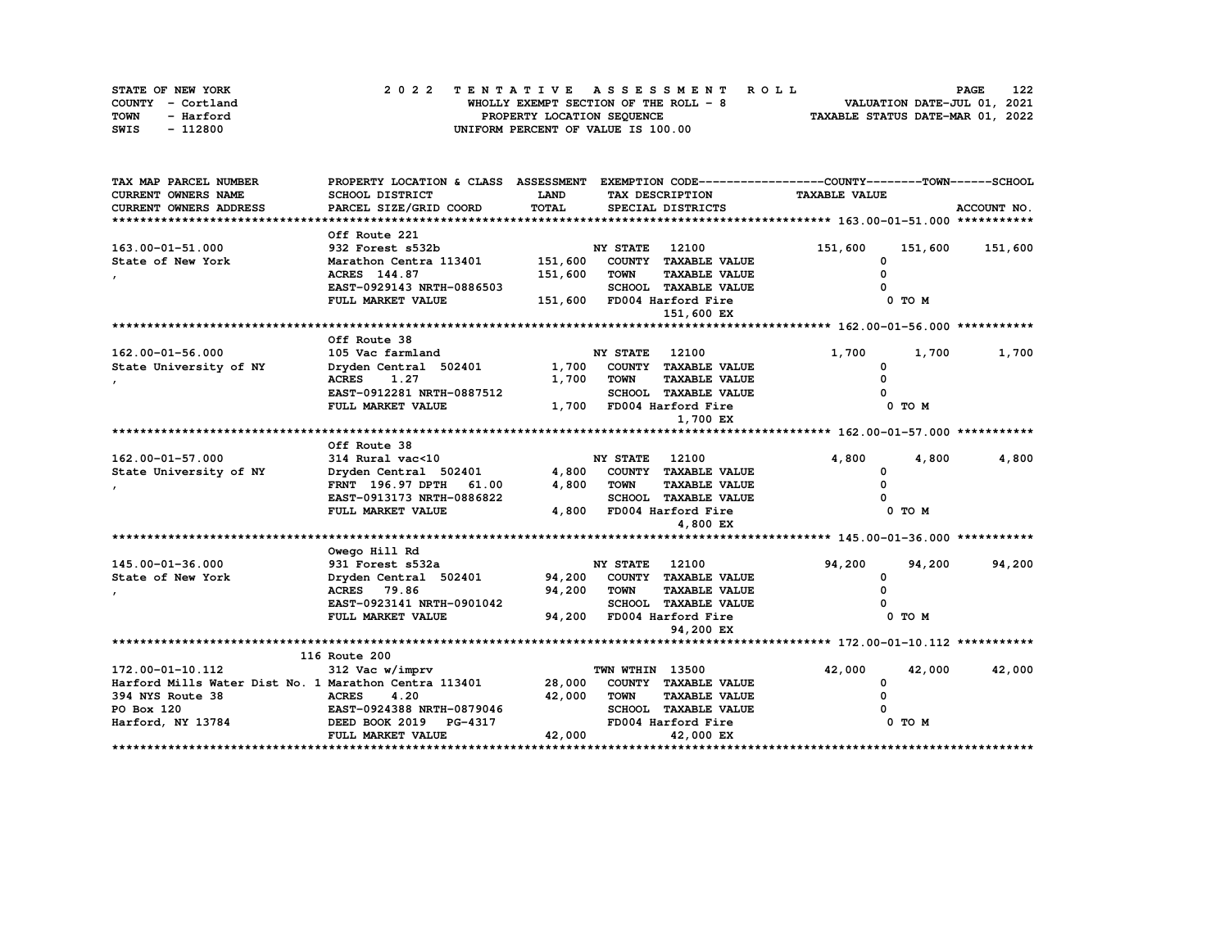| STATE OF NEW YORK | 2022 TENTATIVE ASSESSMENT ROLL        | 122<br><b>PAGE</b>               |
|-------------------|---------------------------------------|----------------------------------|
| COUNTY - Cortland | WHOLLY EXEMPT SECTION OF THE ROLL - 8 | VALUATION DATE-JUL 01, 2021      |
| TOWN<br>- Harford | PROPERTY LOCATION SEQUENCE            | TAXABLE STATUS DATE-MAR 01, 2022 |
| - 112800<br>SWIS  | UNIFORM PERCENT OF VALUE IS 100.00    |                                  |

| TAX MAP PARCEL NUMBER                                 | PROPERTY LOCATION & CLASS ASSESSMENT EXEMPTION CODE----------------COUNTY-------TOWN------SCHOOL |         |                 |                                              |                      |         |             |
|-------------------------------------------------------|--------------------------------------------------------------------------------------------------|---------|-----------------|----------------------------------------------|----------------------|---------|-------------|
| CURRENT OWNERS NAME                                   | SCHOOL DISTRICT                                                                                  | LAND    |                 | TAX DESCRIPTION                              | <b>TAXABLE VALUE</b> |         |             |
| CURRENT OWNERS ADDRESS                                | PARCEL SIZE/GRID COORD                                                                           | TOTAL   |                 | SPECIAL DISTRICTS                            |                      |         | ACCOUNT NO. |
|                                                       |                                                                                                  |         |                 |                                              |                      |         |             |
|                                                       | Off Route 221                                                                                    |         |                 |                                              |                      |         |             |
| 163.00-01-51.000                                      | 932 Forest s532b                                                                                 |         | <b>NY STATE</b> | 12100                                        | 151,600              | 151,600 | 151,600     |
| State of New York                                     | Marathon Centra 113401                                                                           | 151,600 |                 | COUNTY TAXABLE VALUE                         | 0                    |         |             |
|                                                       | ACRES 144.87                                                                                     | 151,600 | <b>TOWN</b>     | <b>TAXABLE VALUE</b>                         |                      |         |             |
|                                                       | EAST-0929143 NRTH-0886503                                                                        |         |                 | <b>SCHOOL TAXABLE VALUE</b>                  |                      |         |             |
|                                                       | FULL MARKET VALUE                                                                                |         |                 | 151,600 FD004 Harford Fire                   |                      | 0 TO M  |             |
|                                                       |                                                                                                  |         |                 | 151,600 EX                                   |                      |         |             |
|                                                       |                                                                                                  |         |                 |                                              |                      |         |             |
|                                                       | Off Route 38                                                                                     |         |                 |                                              |                      |         |             |
| 162.00-01-56.000                                      | 105 Vac farmland                                                                                 |         | <b>NY STATE</b> | 12100                                        | 1,700                | 1,700   | 1,700       |
| State University of NY                                | Dryden Central 502401                                                                            | 1,700   |                 | COUNTY TAXABLE VALUE                         | <sup>0</sup>         |         |             |
|                                                       | 1.27<br><b>ACRES</b>                                                                             | 1,700   | <b>TOWN</b>     | <b>TAXABLE VALUE</b>                         |                      |         |             |
|                                                       | EAST-0912281 NRTH-0887512                                                                        |         |                 | <b>SCHOOL TAXABLE VALUE</b>                  |                      |         |             |
|                                                       | FULL MARKET VALUE                                                                                |         |                 | 1,700 FD004 Harford Fire                     |                      | 0 TO M  |             |
|                                                       |                                                                                                  |         |                 | 1,700 EX                                     |                      |         |             |
|                                                       |                                                                                                  |         |                 |                                              |                      |         |             |
|                                                       | Off Route 38                                                                                     |         |                 |                                              |                      |         |             |
| $162.00 - 01 - 57.000$                                | 314 Rural vac<10                                                                                 |         | <b>NY STATE</b> | 12100                                        | 4,800                | 4,800   | 4,800       |
| State University of NY                                | Dryden Central 502401                                                                            | 4,800   |                 | COUNTY TAXABLE VALUE                         | $\Omega$             |         |             |
|                                                       | 61.00<br><b>FRNT</b> 196.97 DPTH                                                                 | 4,800   | <b>TOWN</b>     | <b>TAXABLE VALUE</b>                         |                      |         |             |
|                                                       | EAST-0913173 NRTH-0886822                                                                        |         |                 | <b>SCHOOL TAXABLE VALUE</b>                  |                      |         |             |
|                                                       | FULL MARKET VALUE                                                                                | 4,800   |                 | FD004 Harford Fire                           |                      | 0 TO M  |             |
|                                                       |                                                                                                  |         |                 | 4,800 EX                                     |                      |         |             |
|                                                       |                                                                                                  |         |                 |                                              |                      |         |             |
|                                                       | Owego Hill Rd                                                                                    |         |                 |                                              |                      |         |             |
| 145.00-01-36.000                                      | 931 Forest s532a                                                                                 |         | <b>NY STATE</b> | 12100                                        | 94,200               | 94,200  | 94,200      |
| State of New York                                     | Dryden Central 502401                                                                            | 94,200  |                 | COUNTY TAXABLE VALUE                         | 0                    |         |             |
|                                                       | ACRES 79.86                                                                                      | 94,200  | <b>TOWN</b>     | <b>TAXABLE VALUE</b>                         |                      |         |             |
|                                                       | EAST-0923141 NRTH-0901042                                                                        |         |                 | <b>SCHOOL TAXABLE VALUE</b>                  |                      |         |             |
|                                                       | FULL MARKET VALUE                                                                                | 94,200  |                 | FD004 Harford Fire                           |                      | 0 TO M  |             |
|                                                       |                                                                                                  |         |                 | 94,200 EX                                    |                      |         |             |
|                                                       |                                                                                                  |         |                 |                                              |                      |         |             |
|                                                       | 116 Route 200                                                                                    |         |                 |                                              |                      |         | 42,000      |
| 172.00-01-10.112                                      | 312 Vac w/imprv                                                                                  |         | TWN WTHIN 13500 |                                              | 42,000               | 42,000  |             |
| Harford Mills Water Dist No. 1 Marathon Centra 113401 |                                                                                                  | 28,000  |                 | COUNTY TAXABLE VALUE                         | 0                    |         |             |
| 394 NYS Route 38<br>PO Box 120                        | <b>ACRES</b><br>4.20<br>EAST-0924388 NRTH-0879046                                                | 42,000  | <b>TOWN</b>     | <b>TAXABLE VALUE</b><br>SCHOOL TAXABLE VALUE |                      |         |             |
|                                                       | <b>PG-4317</b>                                                                                   |         |                 | FD004 Harford Fire                           |                      | 0 TO M  |             |
| Harford, NY 13784 DEED BOOK 2019                      | FULL MARKET VALUE                                                                                | 42,000  |                 | 42,000 EX                                    |                      |         |             |
|                                                       |                                                                                                  |         |                 |                                              |                      |         |             |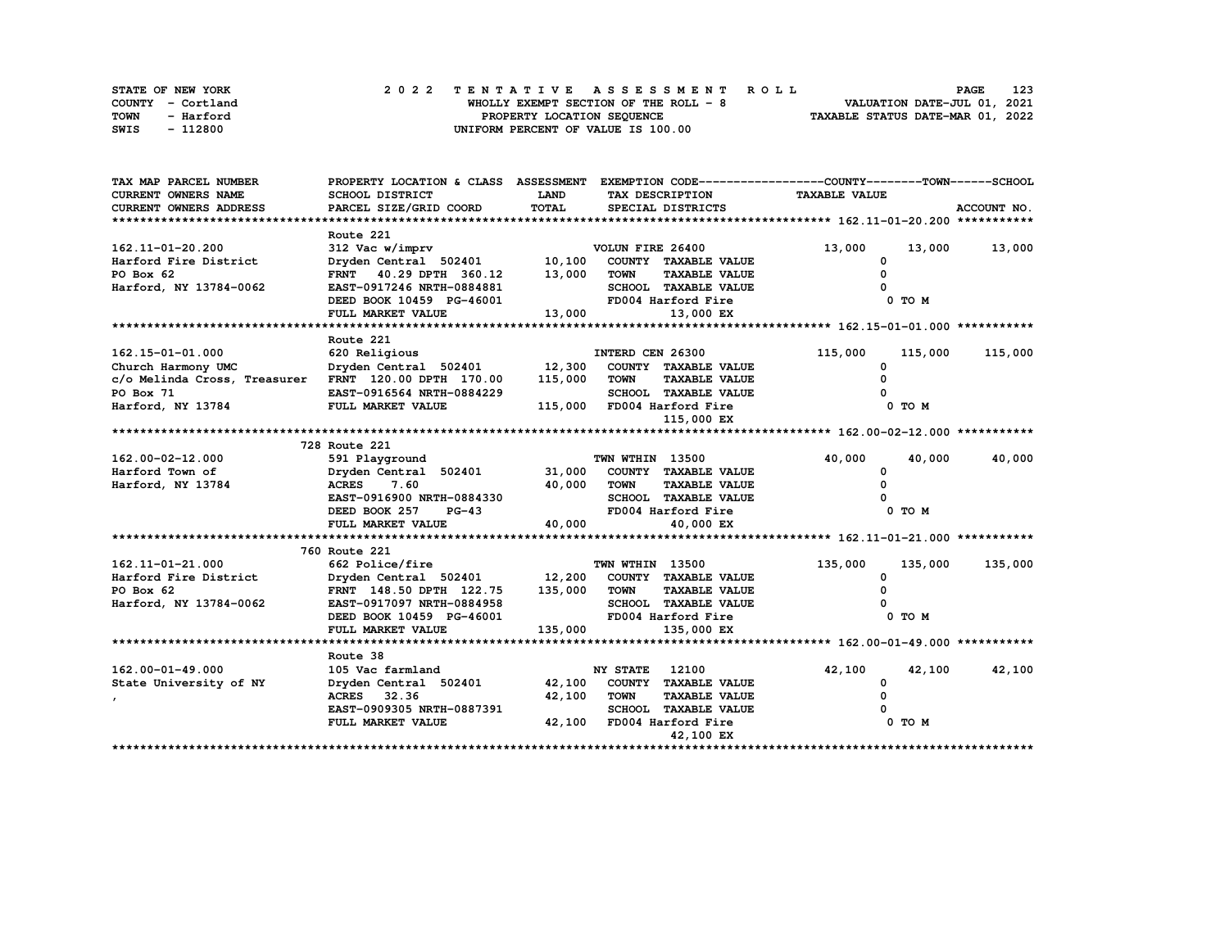| STATE OF NEW YORK        | 2022 TENTATIVE ASSESSMENT ROLL        | 123<br><b>PAGE</b>               |
|--------------------------|---------------------------------------|----------------------------------|
| COUNTY - Cortland        | WHOLLY EXEMPT SECTION OF THE ROLL - 8 | VALUATION DATE-JUL 01, 2021      |
| <b>TOWN</b><br>- Harford | PROPERTY LOCATION SEQUENCE            | TAXABLE STATUS DATE-MAR 01, 2022 |
| SWIS<br>- 112800         | UNIFORM PERCENT OF VALUE IS 100.00    |                                  |

| TAX MAP PARCEL NUMBER                                | PROPERTY LOCATION & CLASS ASSESSMENT EXEMPTION CODE-----------------COUNTY-------TOWN------SCHOOL              |             |                                     |                      |         |             |
|------------------------------------------------------|----------------------------------------------------------------------------------------------------------------|-------------|-------------------------------------|----------------------|---------|-------------|
| CURRENT OWNERS NAME                                  | SCHOOL DISTRICT                                                                                                | LAND        | TAX DESCRIPTION                     | <b>TAXABLE VALUE</b> |         |             |
| <b>CURRENT OWNERS ADDRESS</b>                        | PARCEL SIZE/GRID COORD                                                                                         | TOTAL       | SPECIAL DISTRICTS                   |                      |         | ACCOUNT NO. |
|                                                      |                                                                                                                |             |                                     |                      |         |             |
|                                                      | Route 221                                                                                                      |             |                                     |                      |         |             |
| 162.11-01-20.200                                     | 312 Vac w/imprv                                                                                                |             | VOLUN FIRE 26400                    | 13,000               | 13,000  | 13,000      |
| Harford Fire District                                | Dryden Central 502401 10,100                                                                                   |             | COUNTY TAXABLE VALUE                | 0                    |         |             |
| PO Box 62                                            | FRNT 40.29 DPTH 360.12                                                                                         | 13,000      | <b>TOWN</b><br><b>TAXABLE VALUE</b> | $\Omega$             |         |             |
| Harford, NY 13784-0062                               | EAST-0917246 NRTH-0884881                                                                                      |             | SCHOOL TAXABLE VALUE                |                      |         |             |
|                                                      | DEED BOOK 10459 PG-46001                                                                                       |             | FD004 Harford Fire                  |                      | 0 TO M  |             |
|                                                      | FULL MARKET VALUE                                                                                              | 13,000      | 13,000 EX                           |                      |         |             |
|                                                      |                                                                                                                |             |                                     |                      |         |             |
|                                                      | Route 221                                                                                                      |             |                                     |                      |         |             |
| 162.15-01-01.000                                     | 620 Religious                                                                                                  |             | INTERD CEN 26300                    | 115,000              | 115,000 | 115,000     |
| Church Harmony UMC                                   | Dryden Central 502401 12,300                                                                                   |             | COUNTY TAXABLE VALUE                | $\Omega$             |         |             |
| c/o Melinda Cross, Treasurer FRNT 120.00 DPTH 170.00 |                                                                                                                | 115,000     | TOWN<br><b>TAXABLE VALUE</b>        |                      |         |             |
| PO Box 71                                            | EAST-0916564 NRTH-0884229                                                                                      |             | SCHOOL TAXABLE VALUE                |                      |         |             |
| Harford, NY 13784                                    | FULL MARKET VALUE                                                                                              |             | 115,000 FD004 Harford Fire          |                      | 0 TO M  |             |
|                                                      |                                                                                                                |             | 115,000 EX                          |                      |         |             |
|                                                      |                                                                                                                |             |                                     |                      |         |             |
|                                                      | 728 Route 221                                                                                                  |             |                                     |                      |         |             |
| 162.00-02-12.000                                     | 591 Playground                                                                                                 |             | TWN WTHIN 13500                     | 40,000               | 40,000  | 40,000      |
| Harford Town of                                      | Dryden Central 502401                                                                                          |             | 31,000 COUNTY TAXABLE VALUE         | 0                    |         |             |
| Harford, NY 13784                                    | ACRES 7.60                                                                                                     | 40,000 TOWN | <b>TAXABLE VALUE</b>                |                      |         |             |
|                                                      | EAST-0916900 NRTH-0884330                                                                                      |             | SCHOOL TAXABLE VALUE                |                      |         |             |
|                                                      | $PG-43$<br>DEED BOOK 257                                                                                       |             | FD004 Harford Fire                  |                      | 0 TO M  |             |
|                                                      | FULL MARKET VALUE                                                                                              | 40,000      | 40,000 EX                           |                      |         |             |
|                                                      |                                                                                                                |             |                                     |                      |         |             |
|                                                      | 760 Route 221                                                                                                  |             |                                     |                      |         |             |
| 162.11-01-21.000                                     | 662 Police/fire                                                                                                |             | TWN WTHIN 13500                     | 135,000              | 135,000 | 135,000     |
| Harford Fire District                                | $\texttt{Dryden Central} \quad 502401 \qquad \qquad 12,200 \quad \texttt{COUNTY} \quad \texttt{TAXABLE VALUE}$ |             |                                     | 0                    |         |             |
| PO Box 62                                            | FRNT 148.50 DPTH 122.75 135,000 TOWN                                                                           |             | <b>TAXABLE VALUE</b>                |                      |         |             |
| Harford, NY 13784-0062                               | EAST-0917097 NRTH-0884958                                                                                      |             | SCHOOL TAXABLE VALUE                |                      |         |             |
|                                                      | DEED BOOK 10459 PG-46001                                                                                       |             | FD004 Harford Fire                  |                      | 0 TO M  |             |
|                                                      | FULL MARKET VALUE                                                                                              | 135,000     | 135,000 EX                          |                      |         |             |
|                                                      |                                                                                                                |             |                                     |                      |         |             |
|                                                      | Route 38                                                                                                       |             |                                     |                      |         |             |
| 162.00-01-49.000                                     | 105 Vac farmland                                                                                               |             | <b>NY STATE</b><br>12100            | 42,100               | 42,100  | 42,100      |
| State University of NY                               | Dryden Central 502401                                                                                          |             | 42,100 COUNTY TAXABLE VALUE         | 0                    |         |             |
|                                                      | ACRES 32.36                                                                                                    | 42,100      | <b>TOWN</b><br><b>TAXABLE VALUE</b> | 0                    |         |             |
|                                                      | EAST-0909305 NRTH-0887391                                                                                      |             | SCHOOL TAXABLE VALUE                |                      |         |             |
|                                                      | FULL MARKET VALUE                                                                                              |             | 42,100 FD004 Harford Fire           |                      | 0 TO M  |             |
|                                                      |                                                                                                                |             | 42,100 EX                           |                      |         |             |
|                                                      |                                                                                                                |             |                                     |                      |         |             |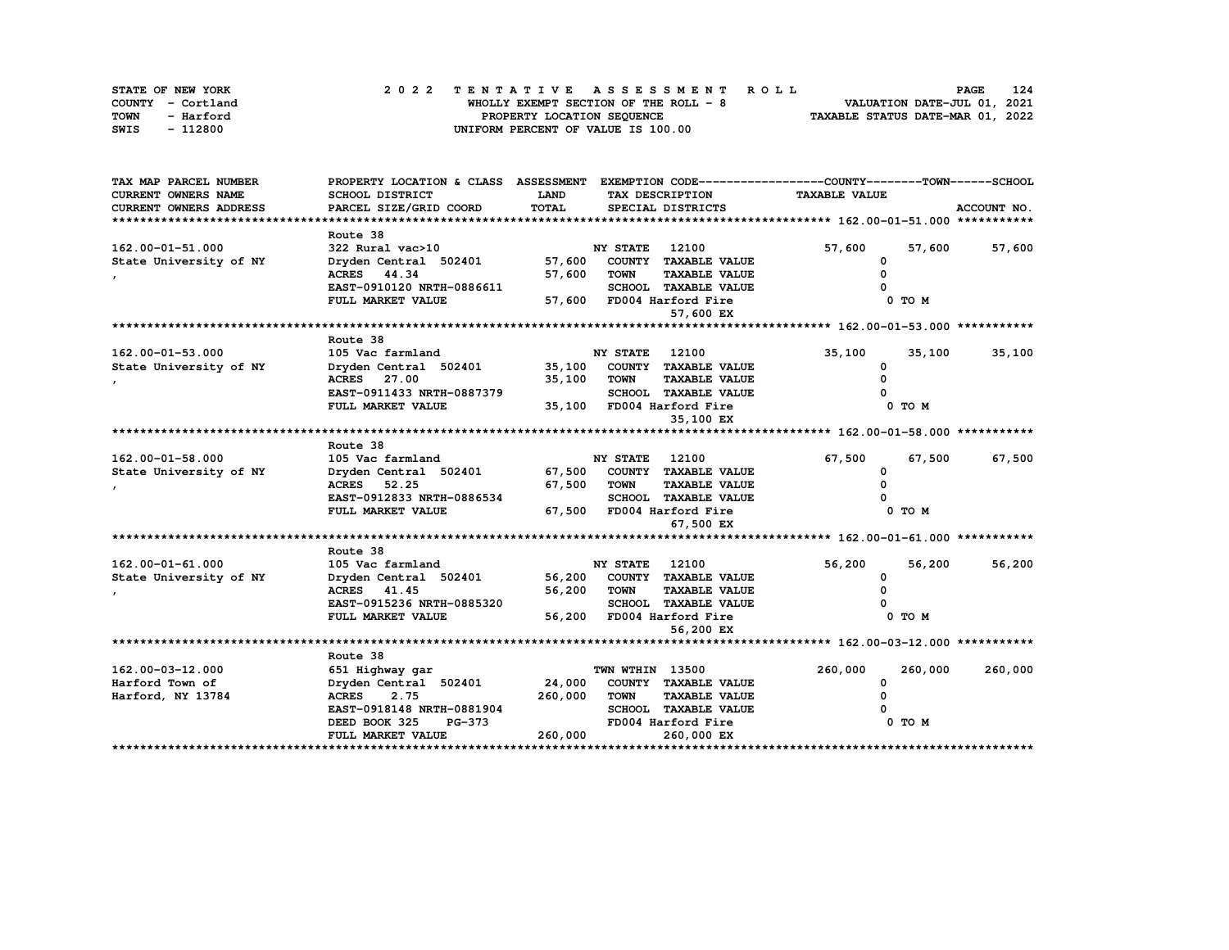| STATE OF NEW YORK | 2022 TENTATIVE ASSESSMENT ROLL         | 124<br><b>PAGE</b>               |
|-------------------|----------------------------------------|----------------------------------|
| COUNTY - Cortland | WHOLLY EXEMPT SECTION OF THE ROLL $-8$ | VALUATION DATE-JUL 01, 2021      |
| TOWN<br>- Harford | PROPERTY LOCATION SEQUENCE             | TAXABLE STATUS DATE-MAR 01, 2022 |
| - 112800<br>SWIS  | UNIFORM PERCENT OF VALUE IS 100.00     |                                  |

| CURRENT OWNERS NAME<br>SCHOOL DISTRICT<br><b>LAND</b><br><b>TAXABLE VALUE</b><br>TAX DESCRIPTION<br>TOTAL<br>CURRENT OWNERS ADDRESS<br>PARCEL SIZE/GRID COORD<br>SPECIAL DISTRICTS<br>ACCOUNT NO.<br>Route 38<br>322 Rural vac>10<br><b>NY STATE</b><br>12100<br>57,600<br>57,600<br>57,600<br>57,600<br>COUNTY TAXABLE VALUE<br>Dryden Central 502401<br>0<br>ACRES 44.34<br>57,600<br><b>TOWN</b><br><b>TAXABLE VALUE</b><br>EAST-0910120 NRTH-0886611<br>SCHOOL TAXABLE VALUE<br>57,600 FD004 Harford Fire<br>FULL MARKET VALUE<br>0 TO M<br>57,600 EX<br>Route 38<br>162.00-01-53.000<br>105 Vac farmland<br><b>NY STATE</b><br>12100<br>35,100<br>35,100<br>35,100<br>35,100<br>State University of NY<br>Dryden Central 502401<br>COUNTY TAXABLE VALUE<br><sup>0</sup><br><b>ACRES</b> 27.00<br>35,100<br><b>TOWN</b><br><b>TAXABLE VALUE</b><br>EAST-0911433 NRTH-0887379<br>SCHOOL TAXABLE VALUE<br>35,100 FD004 Harford Fire<br>0 TO M<br>FULL MARKET VALUE<br>35,100 EX<br>Route 38<br>162.00-01-58.000<br>105 Vac farmland<br><b>NY STATE</b><br>12100<br>67,500<br>67,500<br>67,500<br>Dryden Central 502401<br>67,500 COUNTY TAXABLE VALUE<br>State University of NY<br>0<br>67,500<br>ACRES 52.25<br><b>TOWN</b><br><b>TAXABLE VALUE</b><br>EAST-0912833 NRTH-0886534<br>SCHOOL TAXABLE VALUE<br>FULL MARKET VALUE<br>67,500 FD004 Harford Fire<br>0 TO M | TAX MAP PARCEL NUMBER  | PROPERTY LOCATION & CLASS ASSESSMENT EXEMPTION CODE----------------COUNTY-------TOWN------SCHOOL |  |  |  |
|-------------------------------------------------------------------------------------------------------------------------------------------------------------------------------------------------------------------------------------------------------------------------------------------------------------------------------------------------------------------------------------------------------------------------------------------------------------------------------------------------------------------------------------------------------------------------------------------------------------------------------------------------------------------------------------------------------------------------------------------------------------------------------------------------------------------------------------------------------------------------------------------------------------------------------------------------------------------------------------------------------------------------------------------------------------------------------------------------------------------------------------------------------------------------------------------------------------------------------------------------------------------------------------------------------------------------------------------------------------------------|------------------------|--------------------------------------------------------------------------------------------------|--|--|--|
|                                                                                                                                                                                                                                                                                                                                                                                                                                                                                                                                                                                                                                                                                                                                                                                                                                                                                                                                                                                                                                                                                                                                                                                                                                                                                                                                                                         |                        |                                                                                                  |  |  |  |
|                                                                                                                                                                                                                                                                                                                                                                                                                                                                                                                                                                                                                                                                                                                                                                                                                                                                                                                                                                                                                                                                                                                                                                                                                                                                                                                                                                         |                        |                                                                                                  |  |  |  |
|                                                                                                                                                                                                                                                                                                                                                                                                                                                                                                                                                                                                                                                                                                                                                                                                                                                                                                                                                                                                                                                                                                                                                                                                                                                                                                                                                                         |                        |                                                                                                  |  |  |  |
|                                                                                                                                                                                                                                                                                                                                                                                                                                                                                                                                                                                                                                                                                                                                                                                                                                                                                                                                                                                                                                                                                                                                                                                                                                                                                                                                                                         |                        |                                                                                                  |  |  |  |
|                                                                                                                                                                                                                                                                                                                                                                                                                                                                                                                                                                                                                                                                                                                                                                                                                                                                                                                                                                                                                                                                                                                                                                                                                                                                                                                                                                         | 162.00-01-51.000       |                                                                                                  |  |  |  |
|                                                                                                                                                                                                                                                                                                                                                                                                                                                                                                                                                                                                                                                                                                                                                                                                                                                                                                                                                                                                                                                                                                                                                                                                                                                                                                                                                                         | State University of NY |                                                                                                  |  |  |  |
|                                                                                                                                                                                                                                                                                                                                                                                                                                                                                                                                                                                                                                                                                                                                                                                                                                                                                                                                                                                                                                                                                                                                                                                                                                                                                                                                                                         |                        |                                                                                                  |  |  |  |
|                                                                                                                                                                                                                                                                                                                                                                                                                                                                                                                                                                                                                                                                                                                                                                                                                                                                                                                                                                                                                                                                                                                                                                                                                                                                                                                                                                         |                        |                                                                                                  |  |  |  |
|                                                                                                                                                                                                                                                                                                                                                                                                                                                                                                                                                                                                                                                                                                                                                                                                                                                                                                                                                                                                                                                                                                                                                                                                                                                                                                                                                                         |                        |                                                                                                  |  |  |  |
|                                                                                                                                                                                                                                                                                                                                                                                                                                                                                                                                                                                                                                                                                                                                                                                                                                                                                                                                                                                                                                                                                                                                                                                                                                                                                                                                                                         |                        |                                                                                                  |  |  |  |
|                                                                                                                                                                                                                                                                                                                                                                                                                                                                                                                                                                                                                                                                                                                                                                                                                                                                                                                                                                                                                                                                                                                                                                                                                                                                                                                                                                         |                        |                                                                                                  |  |  |  |
|                                                                                                                                                                                                                                                                                                                                                                                                                                                                                                                                                                                                                                                                                                                                                                                                                                                                                                                                                                                                                                                                                                                                                                                                                                                                                                                                                                         |                        |                                                                                                  |  |  |  |
|                                                                                                                                                                                                                                                                                                                                                                                                                                                                                                                                                                                                                                                                                                                                                                                                                                                                                                                                                                                                                                                                                                                                                                                                                                                                                                                                                                         |                        |                                                                                                  |  |  |  |
|                                                                                                                                                                                                                                                                                                                                                                                                                                                                                                                                                                                                                                                                                                                                                                                                                                                                                                                                                                                                                                                                                                                                                                                                                                                                                                                                                                         |                        |                                                                                                  |  |  |  |
|                                                                                                                                                                                                                                                                                                                                                                                                                                                                                                                                                                                                                                                                                                                                                                                                                                                                                                                                                                                                                                                                                                                                                                                                                                                                                                                                                                         |                        |                                                                                                  |  |  |  |
|                                                                                                                                                                                                                                                                                                                                                                                                                                                                                                                                                                                                                                                                                                                                                                                                                                                                                                                                                                                                                                                                                                                                                                                                                                                                                                                                                                         |                        |                                                                                                  |  |  |  |
|                                                                                                                                                                                                                                                                                                                                                                                                                                                                                                                                                                                                                                                                                                                                                                                                                                                                                                                                                                                                                                                                                                                                                                                                                                                                                                                                                                         |                        |                                                                                                  |  |  |  |
|                                                                                                                                                                                                                                                                                                                                                                                                                                                                                                                                                                                                                                                                                                                                                                                                                                                                                                                                                                                                                                                                                                                                                                                                                                                                                                                                                                         |                        |                                                                                                  |  |  |  |
|                                                                                                                                                                                                                                                                                                                                                                                                                                                                                                                                                                                                                                                                                                                                                                                                                                                                                                                                                                                                                                                                                                                                                                                                                                                                                                                                                                         |                        |                                                                                                  |  |  |  |
|                                                                                                                                                                                                                                                                                                                                                                                                                                                                                                                                                                                                                                                                                                                                                                                                                                                                                                                                                                                                                                                                                                                                                                                                                                                                                                                                                                         |                        |                                                                                                  |  |  |  |
|                                                                                                                                                                                                                                                                                                                                                                                                                                                                                                                                                                                                                                                                                                                                                                                                                                                                                                                                                                                                                                                                                                                                                                                                                                                                                                                                                                         |                        |                                                                                                  |  |  |  |
|                                                                                                                                                                                                                                                                                                                                                                                                                                                                                                                                                                                                                                                                                                                                                                                                                                                                                                                                                                                                                                                                                                                                                                                                                                                                                                                                                                         |                        |                                                                                                  |  |  |  |
|                                                                                                                                                                                                                                                                                                                                                                                                                                                                                                                                                                                                                                                                                                                                                                                                                                                                                                                                                                                                                                                                                                                                                                                                                                                                                                                                                                         |                        |                                                                                                  |  |  |  |
|                                                                                                                                                                                                                                                                                                                                                                                                                                                                                                                                                                                                                                                                                                                                                                                                                                                                                                                                                                                                                                                                                                                                                                                                                                                                                                                                                                         |                        |                                                                                                  |  |  |  |
|                                                                                                                                                                                                                                                                                                                                                                                                                                                                                                                                                                                                                                                                                                                                                                                                                                                                                                                                                                                                                                                                                                                                                                                                                                                                                                                                                                         |                        |                                                                                                  |  |  |  |
| 67,500 EX                                                                                                                                                                                                                                                                                                                                                                                                                                                                                                                                                                                                                                                                                                                                                                                                                                                                                                                                                                                                                                                                                                                                                                                                                                                                                                                                                               |                        |                                                                                                  |  |  |  |
|                                                                                                                                                                                                                                                                                                                                                                                                                                                                                                                                                                                                                                                                                                                                                                                                                                                                                                                                                                                                                                                                                                                                                                                                                                                                                                                                                                         |                        |                                                                                                  |  |  |  |
| Route 38                                                                                                                                                                                                                                                                                                                                                                                                                                                                                                                                                                                                                                                                                                                                                                                                                                                                                                                                                                                                                                                                                                                                                                                                                                                                                                                                                                |                        |                                                                                                  |  |  |  |
| 56,200<br>162.00-01-61.000<br>105 Vac farmland<br><b>NY STATE</b><br>12100<br>56,200<br>56,200                                                                                                                                                                                                                                                                                                                                                                                                                                                                                                                                                                                                                                                                                                                                                                                                                                                                                                                                                                                                                                                                                                                                                                                                                                                                          |                        |                                                                                                  |  |  |  |
| Dryden Central 502401<br>56,200<br>COUNTY TAXABLE VALUE                                                                                                                                                                                                                                                                                                                                                                                                                                                                                                                                                                                                                                                                                                                                                                                                                                                                                                                                                                                                                                                                                                                                                                                                                                                                                                                 | State University of NY |                                                                                                  |  |  |  |
| 56,200<br>ACRES 41.45<br><b>TOWN</b><br><b>TAXABLE VALUE</b>                                                                                                                                                                                                                                                                                                                                                                                                                                                                                                                                                                                                                                                                                                                                                                                                                                                                                                                                                                                                                                                                                                                                                                                                                                                                                                            |                        |                                                                                                  |  |  |  |
| EAST-0915236 NRTH-0885320<br>SCHOOL TAXABLE VALUE                                                                                                                                                                                                                                                                                                                                                                                                                                                                                                                                                                                                                                                                                                                                                                                                                                                                                                                                                                                                                                                                                                                                                                                                                                                                                                                       |                        |                                                                                                  |  |  |  |
| 56,200<br>0 TO M<br>FULL MARKET VALUE<br>FD004 Harford Fire                                                                                                                                                                                                                                                                                                                                                                                                                                                                                                                                                                                                                                                                                                                                                                                                                                                                                                                                                                                                                                                                                                                                                                                                                                                                                                             |                        |                                                                                                  |  |  |  |
| 56,200 EX                                                                                                                                                                                                                                                                                                                                                                                                                                                                                                                                                                                                                                                                                                                                                                                                                                                                                                                                                                                                                                                                                                                                                                                                                                                                                                                                                               |                        |                                                                                                  |  |  |  |
|                                                                                                                                                                                                                                                                                                                                                                                                                                                                                                                                                                                                                                                                                                                                                                                                                                                                                                                                                                                                                                                                                                                                                                                                                                                                                                                                                                         |                        |                                                                                                  |  |  |  |
| Route 38                                                                                                                                                                                                                                                                                                                                                                                                                                                                                                                                                                                                                                                                                                                                                                                                                                                                                                                                                                                                                                                                                                                                                                                                                                                                                                                                                                |                        |                                                                                                  |  |  |  |
| TWN WTHIN 13500<br>260,000<br>260,000<br>651 Highway gar<br>260,000                                                                                                                                                                                                                                                                                                                                                                                                                                                                                                                                                                                                                                                                                                                                                                                                                                                                                                                                                                                                                                                                                                                                                                                                                                                                                                     | 162.00-03-12.000       |                                                                                                  |  |  |  |
| Dryden Central 502401<br>24,000<br>Harford Town of<br>COUNTY TAXABLE VALUE<br>0                                                                                                                                                                                                                                                                                                                                                                                                                                                                                                                                                                                                                                                                                                                                                                                                                                                                                                                                                                                                                                                                                                                                                                                                                                                                                         |                        |                                                                                                  |  |  |  |
| <b>ACRES</b><br>2.75<br>260,000<br><b>TOWN</b><br><b>TAXABLE VALUE</b>                                                                                                                                                                                                                                                                                                                                                                                                                                                                                                                                                                                                                                                                                                                                                                                                                                                                                                                                                                                                                                                                                                                                                                                                                                                                                                  | Harford, NY 13784      |                                                                                                  |  |  |  |
| EAST-0918148 NRTH-0881904<br><b>SCHOOL TAXABLE VALUE</b>                                                                                                                                                                                                                                                                                                                                                                                                                                                                                                                                                                                                                                                                                                                                                                                                                                                                                                                                                                                                                                                                                                                                                                                                                                                                                                                |                        |                                                                                                  |  |  |  |
| FD004 Harford Fire<br>0 TO M<br>DEED BOOK 325<br><b>PG-373</b>                                                                                                                                                                                                                                                                                                                                                                                                                                                                                                                                                                                                                                                                                                                                                                                                                                                                                                                                                                                                                                                                                                                                                                                                                                                                                                          |                        |                                                                                                  |  |  |  |
| 260,000<br>260,000 EX<br>FULL MARKET VALUE                                                                                                                                                                                                                                                                                                                                                                                                                                                                                                                                                                                                                                                                                                                                                                                                                                                                                                                                                                                                                                                                                                                                                                                                                                                                                                                              |                        |                                                                                                  |  |  |  |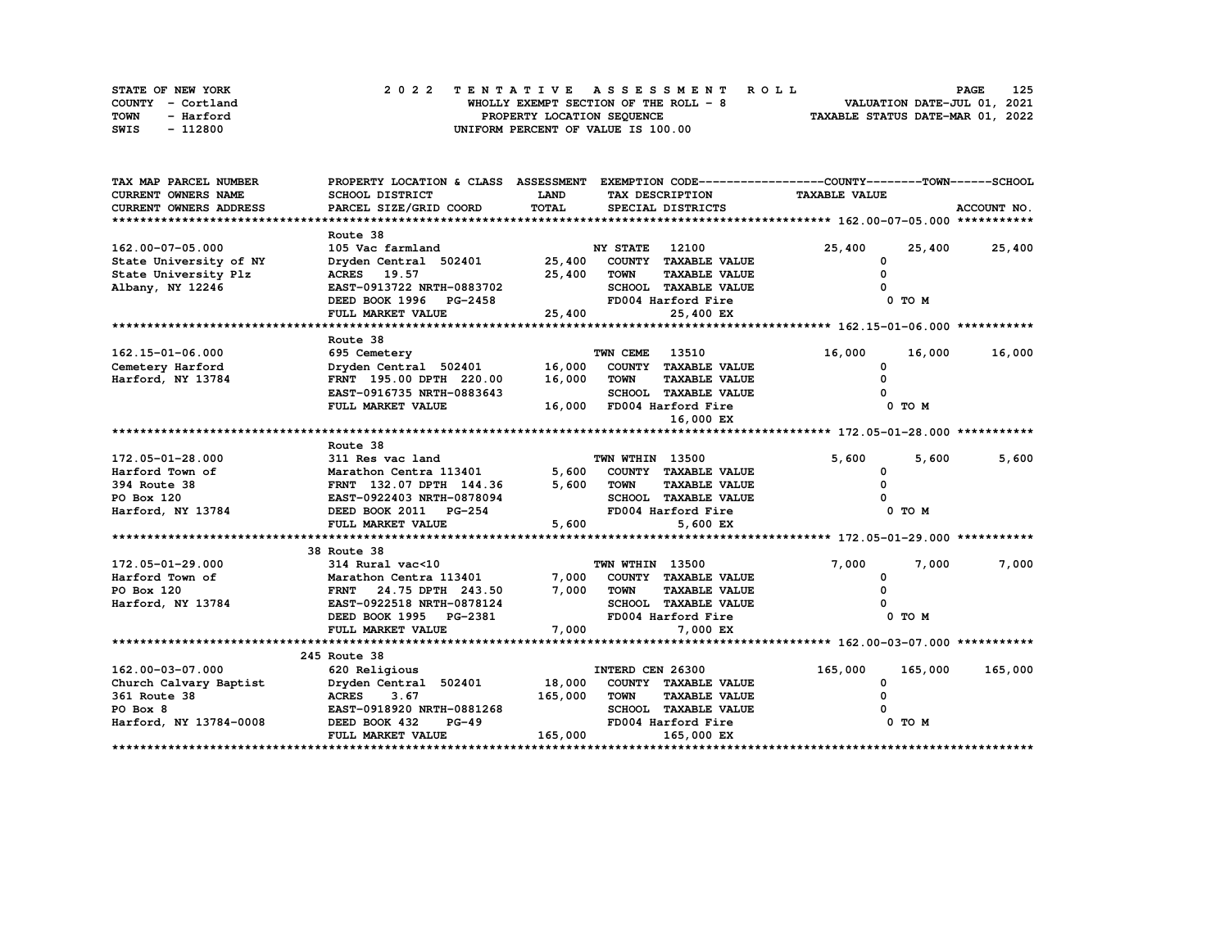| STATE OF NEW YORK | 2022 TENTATIVE ASSESSMENT ROLL        | 125<br><b>PAGE</b>               |
|-------------------|---------------------------------------|----------------------------------|
| COUNTY - Cortland | WHOLLY EXEMPT SECTION OF THE ROLL - 8 | VALUATION DATE-JUL 01, 2021      |
| TOWN<br>- Harford | PROPERTY LOCATION SEQUENCE            | TAXABLE STATUS DATE-MAR 01, 2022 |
| SWIS<br>- 112800  | UNIFORM PERCENT OF VALUE IS 100.00    |                                  |

| TAX MAP PARCEL NUMBER         | PROPERTY LOCATION & CLASS ASSESSMENT EXEMPTION CODE----------------COUNTY-------TOWN------SCHOOL |             |                  |                             |                      |            |               |
|-------------------------------|--------------------------------------------------------------------------------------------------|-------------|------------------|-----------------------------|----------------------|------------|---------------|
| <b>CURRENT OWNERS NAME</b>    | SCHOOL DISTRICT                                                                                  | <b>LAND</b> |                  | TAX DESCRIPTION             | <b>TAXABLE VALUE</b> |            |               |
| <b>CURRENT OWNERS ADDRESS</b> | PARCEL SIZE/GRID COORD                                                                           | TOTAL       |                  | SPECIAL DISTRICTS           |                      |            | ACCOUNT NO.   |
|                               |                                                                                                  |             |                  |                             |                      |            |               |
|                               | Route 38                                                                                         |             |                  |                             |                      |            |               |
| 162.00-07-05.000              | 105 Vac farmland                                                                                 |             | NY STATE         | 12100                       | 25,400               | 25,400     | 25,400        |
| State University of NY        | Dryden Central 502401 25,400 COUNTY TAXABLE VALUE                                                |             |                  |                             | 0                    |            |               |
| State University Plz          | <b>ACRES</b> 19.57                                                                               | 25,400      | TOWN             | <b>TAXABLE VALUE</b>        | $\Omega$             |            |               |
| Albany, NY 12246              | EAST-0913722 NRTH-0883702                                                                        |             |                  | SCHOOL TAXABLE VALUE        |                      |            |               |
|                               | DEED BOOK 1996 PG-2458                                                                           |             |                  | FD004 Harford Fire          |                      | 0 TO M     |               |
|                               | FULL MARKET VALUE                                                                                | 25,400      |                  | 25,400 EX                   |                      |            |               |
|                               |                                                                                                  |             |                  |                             |                      |            |               |
|                               | Route 38                                                                                         |             |                  |                             |                      |            |               |
| 162.15-01-06.000              | 695 Cemetery                                                                                     |             | TWN CEME         | 13510                       | 16,000               |            | 16,000 16,000 |
| Cemetery Harford              | Dryden Central 502401                                                                            | 16,000      |                  | COUNTY TAXABLE VALUE        | <sup>0</sup>         |            |               |
| Harford, NY 13784             | FRNT 195.00 DPTH 220.00                                                                          | 16,000      | TOWN             | <b>TAXABLE VALUE</b>        |                      |            |               |
|                               | EAST-0916735 NRTH-0883643                                                                        |             |                  | <b>SCHOOL TAXABLE VALUE</b> |                      |            |               |
|                               | FULL MARKET VALUE                                                                                |             |                  | 16,000 FD004 Harford Fire   |                      | 0 TO M     |               |
|                               |                                                                                                  |             |                  | 16,000 EX                   |                      |            |               |
|                               |                                                                                                  |             |                  |                             |                      |            |               |
|                               | Route 38                                                                                         |             |                  |                             |                      |            |               |
| 172.05-01-28.000              | 311 Res vac land                                                                                 |             | TWN WTHIN 13500  |                             | 5,600                | 5,600      | 5,600         |
| Harford Town of               | Marathon Centra 113401                                                                           |             |                  | 5,600 COUNTY TAXABLE VALUE  | 0                    |            |               |
| 394 Route 38                  | FRNT 132.07 DPTH 144.36                                                                          | 5,600       | <b>TOWN</b>      | <b>TAXABLE VALUE</b>        | $\mathbf{o}$         |            |               |
| PO Box 120                    | EAST-0922403 NRTH-0878094                                                                        |             |                  | SCHOOL TAXABLE VALUE        |                      |            |               |
| Harford, NY 13784             | DEED BOOK 2011 PG-254                                                                            |             |                  | FD004 Harford Fire          |                      | $0$ TO $M$ |               |
|                               | FULL MARKET VALUE                                                                                | 5,600       |                  | 5,600 EX                    |                      |            |               |
|                               |                                                                                                  |             |                  |                             |                      |            |               |
|                               | 38 Route 38                                                                                      |             |                  |                             |                      |            |               |
| 172.05-01-29.000              | 314 Rural vac<10                                                                                 |             | TWN WTHIN 13500  |                             | 7,000                | 7,000      | 7,000         |
| Harford Town of               | Marathon Centra 113401                                                                           | 7,000       |                  | COUNTY TAXABLE VALUE        | 0                    |            |               |
| PO Box 120                    | FRNT 24.75 DPTH 243.50                                                                           |             | 7,000 TOWN       | <b>TAXABLE VALUE</b>        |                      |            |               |
| Harford, NY 13784             | <b>EAST-0922518 NRTH-0878124</b>                                                                 |             |                  | SCHOOL TAXABLE VALUE        |                      |            |               |
|                               | DEED BOOK 1995 PG-2381                                                                           |             |                  | FD004 Harford Fire          |                      | 0 TO M     |               |
|                               | FULL MARKET VALUE                                                                                | 7,000       |                  | 7,000 EX                    |                      |            |               |
|                               |                                                                                                  |             |                  |                             |                      |            |               |
|                               | 245 Route 38                                                                                     |             |                  |                             |                      |            |               |
| 162.00-03-07.000              | 620 Religious                                                                                    |             | INTERD CEN 26300 |                             | 165,000              | 165,000    | 165,000       |
| Church Calvary Baptist        | Dryden Central 502401                                                                            |             |                  | 18,000 COUNTY TAXABLE VALUE | 0                    |            |               |
| 361 Route 38                  | 3.67<br><b>ACRES</b>                                                                             | 165,000     | <b>TOWN</b>      | <b>TAXABLE VALUE</b>        |                      |            |               |
| PO Box 8                      | EAST-0918920 NRTH-0881268                                                                        |             |                  | SCHOOL TAXABLE VALUE        |                      |            |               |
| Harford, NY 13784-0008        | DEED BOOK 432<br>$PG-49$                                                                         |             |                  | FD004 Harford Fire          |                      | 0 TO M     |               |
|                               | FULL MARKET VALUE                                                                                | 165,000     |                  | 165,000 EX                  |                      |            |               |
|                               |                                                                                                  |             |                  |                             |                      |            |               |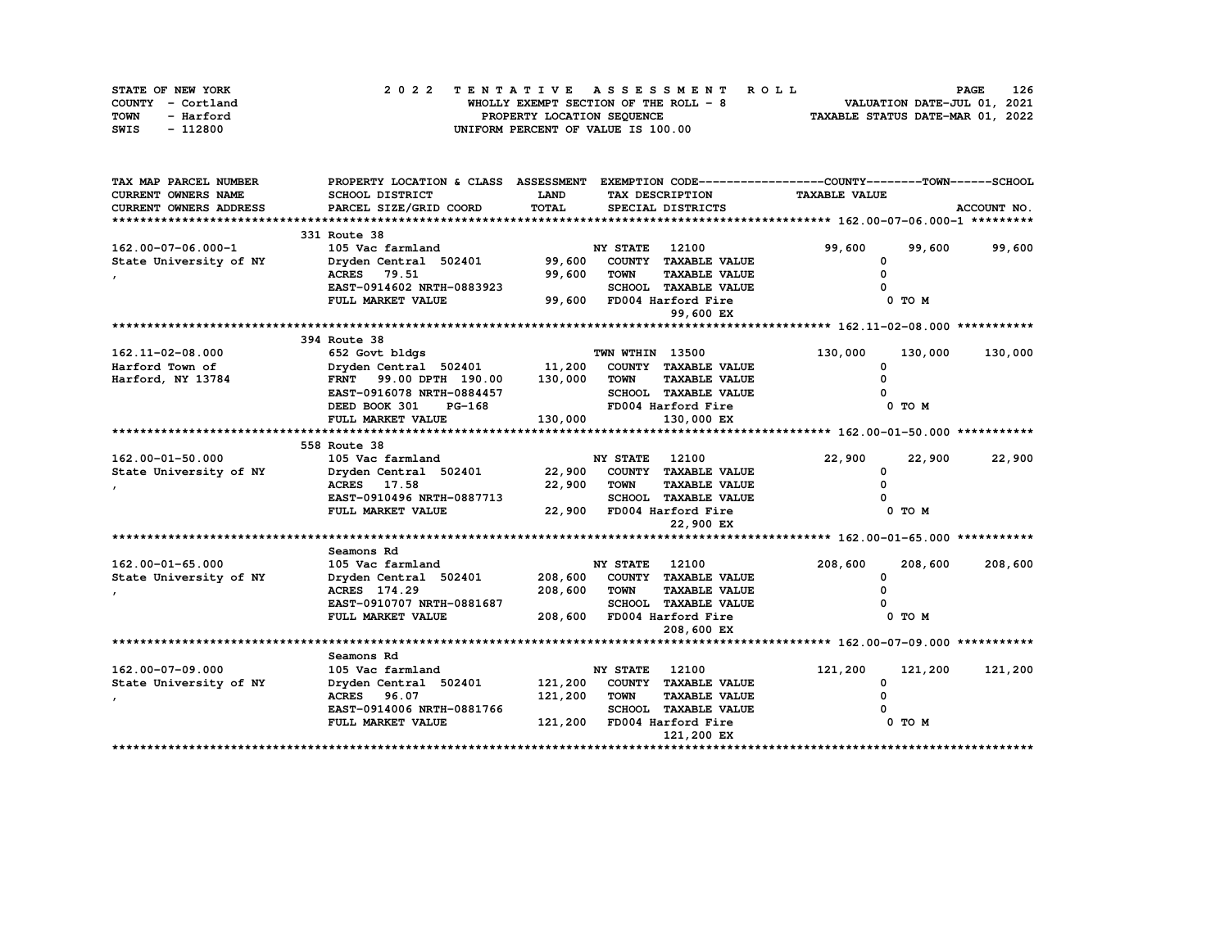| STATE OF NEW YORK | 2022 TENTATIVE ASSESSMENT ROLL        | 126<br><b>PAGE</b>               |
|-------------------|---------------------------------------|----------------------------------|
| COUNTY - Cortland | WHOLLY EXEMPT SECTION OF THE ROLL - 8 | VALUATION DATE-JUL 01, 2021      |
| TOWN<br>- Harford | PROPERTY LOCATION SEQUENCE            | TAXABLE STATUS DATE-MAR 01, 2022 |
| - 112800<br>SWIS  | UNIFORM PERCENT OF VALUE IS 100.00    |                                  |

| TAX MAP PARCEL NUMBER      | PROPERTY LOCATION & CLASS ASSESSMENT EXEMPTION CODE-----------------COUNTY-------TOWN-----SCHOOL |             |                       |                              |                      |            |             |
|----------------------------|--------------------------------------------------------------------------------------------------|-------------|-----------------------|------------------------------|----------------------|------------|-------------|
| <b>CURRENT OWNERS NAME</b> | SCHOOL DISTRICT                                                                                  | <b>LAND</b> |                       | TAX DESCRIPTION              | <b>TAXABLE VALUE</b> |            |             |
| CURRENT OWNERS ADDRESS     | PARCEL SIZE/GRID COORD                                                                           | TOTAL       |                       | SPECIAL DISTRICTS            |                      |            | ACCOUNT NO. |
|                            |                                                                                                  |             |                       |                              |                      |            |             |
|                            | 331 Route 38                                                                                     |             |                       |                              |                      |            |             |
| 162.00-07-06.000-1         | 105 Vac farmland                                                                                 |             | <b>NY STATE</b>       | 12100                        | 99,600               | 99,600     | 99,600      |
| State University of NY     | Dryden Central 502401                                                                            | 99,600      |                       | COUNTY TAXABLE VALUE         | 0                    |            |             |
|                            | ACRES 79.51                                                                                      | 99,600      | <b>TOWN</b>           | <b>TAXABLE VALUE</b>         | O                    |            |             |
|                            | EAST-0914602 NRTH-0883923                                                                        |             |                       | SCHOOL TAXABLE VALUE         |                      |            |             |
|                            | FULL MARKET VALUE                                                                                |             |                       | 99,600 FD004 Harford Fire    |                      | $0$ TO $M$ |             |
|                            |                                                                                                  |             |                       | 99,600 EX                    |                      |            |             |
|                            |                                                                                                  |             |                       |                              |                      |            |             |
|                            | 394 Route 38                                                                                     |             |                       |                              |                      |            |             |
| 162.11-02-08.000           | 652 Govt bldgs                                                                                   |             | TWN WTHIN 13500       |                              | 130,000              | 130,000    | 130,000     |
| Harford Town of            | Dryden Central 502401 11,200                                                                     |             |                       | COUNTY TAXABLE VALUE         | <sup>0</sup>         |            |             |
| Harford, NY 13784          | FRNT 99.00 DPTH 190.00                                                                           | 130,000     | <b>TOWN</b>           | <b>TAXABLE VALUE</b>         |                      |            |             |
|                            | EAST-0916078 NRTH-0884457                                                                        |             |                       | SCHOOL TAXABLE VALUE         |                      |            |             |
|                            | DEED BOOK 301<br>PG-168                                                                          |             |                       | FD004 Harford Fire           |                      | 0 TO M     |             |
|                            | FULL MARKET VALUE                                                                                | 130,000     |                       | 130,000 EX                   |                      |            |             |
|                            | 558 Route 38                                                                                     |             |                       |                              |                      |            |             |
| 162.00-01-50.000           | 105 Vac farmland                                                                                 |             | <b>NY STATE</b>       | 12100                        | 22,900               | 22,900     | 22,900      |
| State University of NY     | Dryden Central 502401                                                                            | 22,900      |                       | COUNTY TAXABLE VALUE         | $\Omega$             |            |             |
|                            | ACRES 17.58                                                                                      | 22,900      | <b>TOWN</b>           | <b>TAXABLE VALUE</b>         |                      |            |             |
|                            | EAST-0910496 NRTH-0887713                                                                        |             |                       | SCHOOL TAXABLE VALUE         |                      |            |             |
|                            | FULL MARKET VALUE                                                                                |             |                       | 22,900 FD004 Harford Fire    |                      | 0 TO M     |             |
|                            |                                                                                                  |             |                       | 22,900 EX                    |                      |            |             |
|                            |                                                                                                  |             |                       |                              |                      |            |             |
|                            | Seamons Rd                                                                                       |             |                       |                              |                      |            |             |
| 162.00-01-65.000           | 105 Vac farmland                                                                                 |             | <b>NY STATE</b> 12100 |                              | 208,600              | 208,600    | 208,600     |
| State University of NY     | Dryden Central 502401                                                                            |             |                       | 208,600 COUNTY TAXABLE VALUE | 0                    |            |             |
|                            | ACRES 174.29                                                                                     | 208,600     | <b>TOWN</b>           | <b>TAXABLE VALUE</b>         |                      |            |             |
|                            | EAST-0910707 NRTH-0881687                                                                        |             |                       | SCHOOL TAXABLE VALUE         |                      |            |             |
|                            | FULL MARKET VALUE                                                                                | 208,600     |                       | FD004 Harford Fire           |                      | 0 TO M     |             |
|                            |                                                                                                  |             |                       | 208,600 EX                   |                      |            |             |
|                            |                                                                                                  |             |                       |                              |                      |            |             |
|                            | Seamons Rd                                                                                       |             |                       |                              |                      |            |             |
| 162.00-07-09.000           | 105 Vac farmland                                                                                 |             | <b>NY STATE</b>       | 12100                        | 121,200              | 121,200    | 121,200     |
| State University of NY     | Dryden Central 502401                                                                            |             |                       | 121,200 COUNTY TAXABLE VALUE | <sup>0</sup>         |            |             |
|                            | <b>ACRES</b> 96.07                                                                               | 121,200     | <b>TOWN</b>           | <b>TAXABLE VALUE</b>         |                      |            |             |
|                            | EAST-0914006 NRTH-0881766                                                                        |             |                       | <b>SCHOOL TAXABLE VALUE</b>  |                      |            |             |
|                            | FULL MARKET VALUE                                                                                | 121,200     |                       | FD004 Harford Fire           |                      | 0 TO M     |             |
|                            |                                                                                                  |             |                       | 121,200 EX                   |                      |            |             |
|                            |                                                                                                  |             |                       |                              |                      |            |             |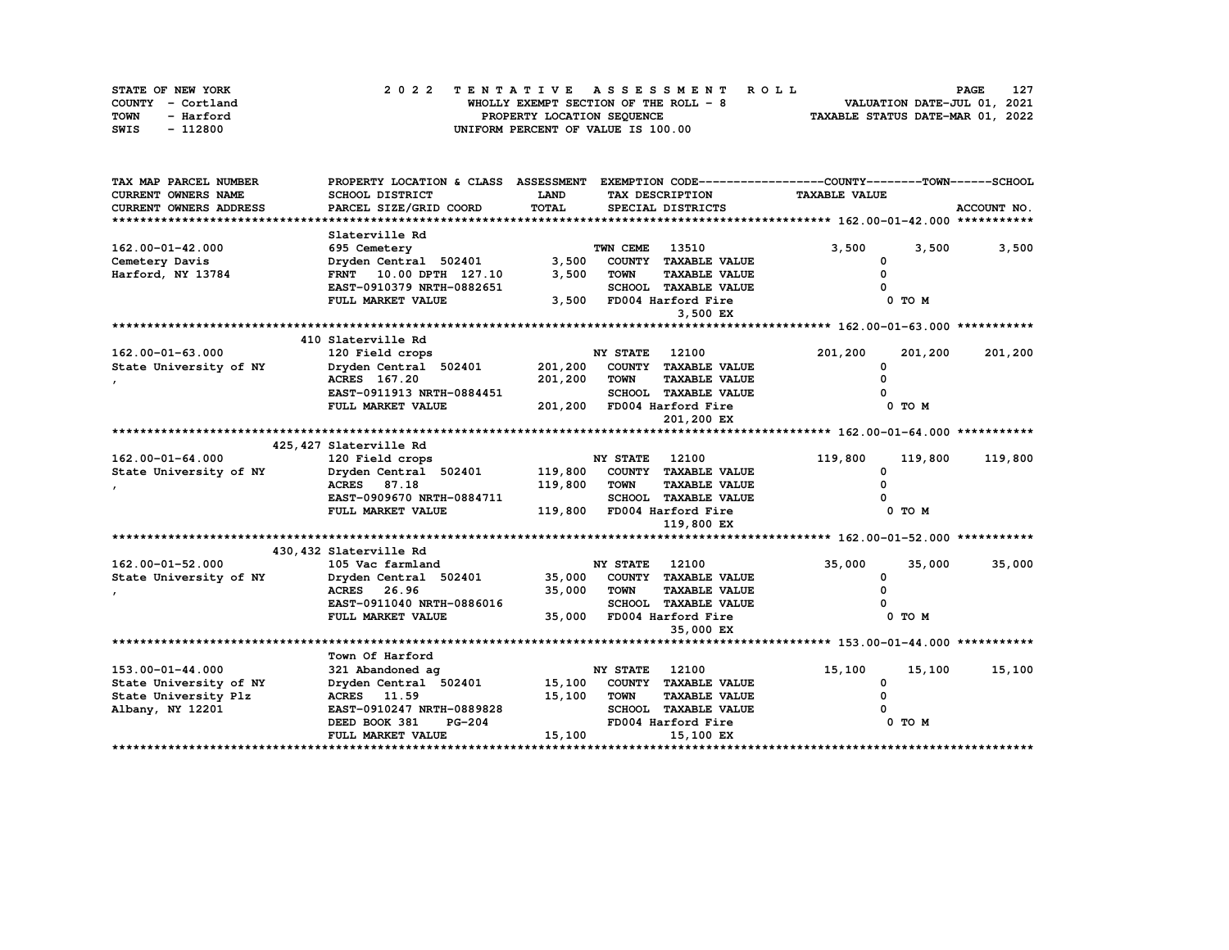| STATE OF NEW YORK | 2022 TENTATIVE ASSESSMENT ROLL         | 127<br><b>PAGE</b>               |
|-------------------|----------------------------------------|----------------------------------|
| COUNTY - Cortland | WHOLLY EXEMPT SECTION OF THE ROLL $-8$ | VALUATION DATE-JUL 01, 2021      |
| TOWN<br>- Harford | PROPERTY LOCATION SEQUENCE             | TAXABLE STATUS DATE-MAR 01, 2022 |
| - 112800<br>SWIS  | UNIFORM PERCENT OF VALUE IS 100.00     |                                  |

| <b>CURRENT OWNERS NAME</b><br>SCHOOL DISTRICT<br>LAND<br><b>TAXABLE VALUE</b><br>TAX DESCRIPTION<br>PARCEL SIZE/GRID COORD<br>TOTAL<br>CURRENT OWNERS ADDRESS<br>SPECIAL DISTRICTS<br>ACCOUNT NO.<br>Slaterville Rd<br>TWN CEME<br>13510<br>3,500<br>3,500<br>162.00-01-42.000<br>695 Cemetery<br>3,500<br>3,500<br>Dryden Central 502401<br>FRNT 10.00 DPTH 127.10<br>COUNTY TAXABLE VALUE<br>Cemetery Davis<br>0<br>3,500<br>Harford, NY 13784<br>FRNT 10.00 DPTH 127.10<br><b>TOWN</b><br><b>TAXABLE VALUE</b><br>SCHOOL TAXABLE VALUE<br>EAST-0910379 NRTH-0882651<br>3,500<br>FULL MARKET VALUE<br>FD004 Harford Fire<br>0 TO M<br>3,500 EX<br>410 Slaterville Rd<br>$162.00 - 01 - 63.000$<br><b>NY STATE</b><br>12100<br>120 Field crops<br>201,200<br>201,200<br>201,200<br>201,200<br>State University of NY<br>Dryden Central 502401<br>COUNTY TAXABLE VALUE<br><sup>0</sup><br>ACRES 167.20<br>201,200<br><b>TOWN</b><br><b>TAXABLE VALUE</b><br>EAST-0911913 NRTH-0884451<br><b>SCHOOL TAXABLE VALUE</b><br>201,200 FD004 Harford Fire<br>0 TO M<br>FULL MARKET VALUE<br>201,200 EX |
|-------------------------------------------------------------------------------------------------------------------------------------------------------------------------------------------------------------------------------------------------------------------------------------------------------------------------------------------------------------------------------------------------------------------------------------------------------------------------------------------------------------------------------------------------------------------------------------------------------------------------------------------------------------------------------------------------------------------------------------------------------------------------------------------------------------------------------------------------------------------------------------------------------------------------------------------------------------------------------------------------------------------------------------------------------------------------------------------------|
|                                                                                                                                                                                                                                                                                                                                                                                                                                                                                                                                                                                                                                                                                                                                                                                                                                                                                                                                                                                                                                                                                                 |
|                                                                                                                                                                                                                                                                                                                                                                                                                                                                                                                                                                                                                                                                                                                                                                                                                                                                                                                                                                                                                                                                                                 |
|                                                                                                                                                                                                                                                                                                                                                                                                                                                                                                                                                                                                                                                                                                                                                                                                                                                                                                                                                                                                                                                                                                 |
|                                                                                                                                                                                                                                                                                                                                                                                                                                                                                                                                                                                                                                                                                                                                                                                                                                                                                                                                                                                                                                                                                                 |
|                                                                                                                                                                                                                                                                                                                                                                                                                                                                                                                                                                                                                                                                                                                                                                                                                                                                                                                                                                                                                                                                                                 |
|                                                                                                                                                                                                                                                                                                                                                                                                                                                                                                                                                                                                                                                                                                                                                                                                                                                                                                                                                                                                                                                                                                 |
|                                                                                                                                                                                                                                                                                                                                                                                                                                                                                                                                                                                                                                                                                                                                                                                                                                                                                                                                                                                                                                                                                                 |
|                                                                                                                                                                                                                                                                                                                                                                                                                                                                                                                                                                                                                                                                                                                                                                                                                                                                                                                                                                                                                                                                                                 |
|                                                                                                                                                                                                                                                                                                                                                                                                                                                                                                                                                                                                                                                                                                                                                                                                                                                                                                                                                                                                                                                                                                 |
|                                                                                                                                                                                                                                                                                                                                                                                                                                                                                                                                                                                                                                                                                                                                                                                                                                                                                                                                                                                                                                                                                                 |
|                                                                                                                                                                                                                                                                                                                                                                                                                                                                                                                                                                                                                                                                                                                                                                                                                                                                                                                                                                                                                                                                                                 |
|                                                                                                                                                                                                                                                                                                                                                                                                                                                                                                                                                                                                                                                                                                                                                                                                                                                                                                                                                                                                                                                                                                 |
|                                                                                                                                                                                                                                                                                                                                                                                                                                                                                                                                                                                                                                                                                                                                                                                                                                                                                                                                                                                                                                                                                                 |
|                                                                                                                                                                                                                                                                                                                                                                                                                                                                                                                                                                                                                                                                                                                                                                                                                                                                                                                                                                                                                                                                                                 |
|                                                                                                                                                                                                                                                                                                                                                                                                                                                                                                                                                                                                                                                                                                                                                                                                                                                                                                                                                                                                                                                                                                 |
|                                                                                                                                                                                                                                                                                                                                                                                                                                                                                                                                                                                                                                                                                                                                                                                                                                                                                                                                                                                                                                                                                                 |
|                                                                                                                                                                                                                                                                                                                                                                                                                                                                                                                                                                                                                                                                                                                                                                                                                                                                                                                                                                                                                                                                                                 |
|                                                                                                                                                                                                                                                                                                                                                                                                                                                                                                                                                                                                                                                                                                                                                                                                                                                                                                                                                                                                                                                                                                 |
|                                                                                                                                                                                                                                                                                                                                                                                                                                                                                                                                                                                                                                                                                                                                                                                                                                                                                                                                                                                                                                                                                                 |
| 425, 427 Slaterville Rd                                                                                                                                                                                                                                                                                                                                                                                                                                                                                                                                                                                                                                                                                                                                                                                                                                                                                                                                                                                                                                                                         |
| <b>NY STATE</b> 12100<br>162.00-01-64.000<br>120 Field crops<br>119,800<br>119,800<br>119,800                                                                                                                                                                                                                                                                                                                                                                                                                                                                                                                                                                                                                                                                                                                                                                                                                                                                                                                                                                                                   |
| Dryden Central 502401<br>119,800<br>COUNTY TAXABLE VALUE<br>State University of NY<br><sup>0</sup>                                                                                                                                                                                                                                                                                                                                                                                                                                                                                                                                                                                                                                                                                                                                                                                                                                                                                                                                                                                              |
| 119,800<br>ACRES 87.18<br>TOWN<br><b>TAXABLE VALUE</b>                                                                                                                                                                                                                                                                                                                                                                                                                                                                                                                                                                                                                                                                                                                                                                                                                                                                                                                                                                                                                                          |
| EAST-0909670 NRTH-0884711<br>SCHOOL TAXABLE VALUE                                                                                                                                                                                                                                                                                                                                                                                                                                                                                                                                                                                                                                                                                                                                                                                                                                                                                                                                                                                                                                               |
| 119,800 FD004 Harford Fire<br>0 TO M<br>FULL MARKET VALUE                                                                                                                                                                                                                                                                                                                                                                                                                                                                                                                                                                                                                                                                                                                                                                                                                                                                                                                                                                                                                                       |
| 119,800 EX                                                                                                                                                                                                                                                                                                                                                                                                                                                                                                                                                                                                                                                                                                                                                                                                                                                                                                                                                                                                                                                                                      |
|                                                                                                                                                                                                                                                                                                                                                                                                                                                                                                                                                                                                                                                                                                                                                                                                                                                                                                                                                                                                                                                                                                 |
| 430,432 Slaterville Rd                                                                                                                                                                                                                                                                                                                                                                                                                                                                                                                                                                                                                                                                                                                                                                                                                                                                                                                                                                                                                                                                          |
| 162.00-01-52.000<br>35,000<br>105 Vac farmland<br><b>NY STATE</b><br>12100<br>35,000<br>35,000                                                                                                                                                                                                                                                                                                                                                                                                                                                                                                                                                                                                                                                                                                                                                                                                                                                                                                                                                                                                  |
| Dryden Central 502401 35,000<br>COUNTY TAXABLE VALUE<br>State University of NY                                                                                                                                                                                                                                                                                                                                                                                                                                                                                                                                                                                                                                                                                                                                                                                                                                                                                                                                                                                                                  |
| 35,000<br>ACRES 26.96<br><b>TOWN</b><br><b>TAXABLE VALUE</b>                                                                                                                                                                                                                                                                                                                                                                                                                                                                                                                                                                                                                                                                                                                                                                                                                                                                                                                                                                                                                                    |
| EAST-0911040 NRTH-0886016<br><b>SCHOOL TAXABLE VALUE</b>                                                                                                                                                                                                                                                                                                                                                                                                                                                                                                                                                                                                                                                                                                                                                                                                                                                                                                                                                                                                                                        |
| 35,000<br>0 TO M<br>FULL MARKET VALUE<br>FD004 Harford Fire                                                                                                                                                                                                                                                                                                                                                                                                                                                                                                                                                                                                                                                                                                                                                                                                                                                                                                                                                                                                                                     |
| 35,000 EX                                                                                                                                                                                                                                                                                                                                                                                                                                                                                                                                                                                                                                                                                                                                                                                                                                                                                                                                                                                                                                                                                       |
|                                                                                                                                                                                                                                                                                                                                                                                                                                                                                                                                                                                                                                                                                                                                                                                                                                                                                                                                                                                                                                                                                                 |
| Town Of Harford                                                                                                                                                                                                                                                                                                                                                                                                                                                                                                                                                                                                                                                                                                                                                                                                                                                                                                                                                                                                                                                                                 |
| 12100<br>15,100<br>153.00-01-44.000<br>321 Abandoned ag<br><b>NY STATE</b><br>15,100<br>15,100                                                                                                                                                                                                                                                                                                                                                                                                                                                                                                                                                                                                                                                                                                                                                                                                                                                                                                                                                                                                  |
| Dryden Central 502401<br>15,100<br>COUNTY TAXABLE VALUE<br>State University of NY<br>0                                                                                                                                                                                                                                                                                                                                                                                                                                                                                                                                                                                                                                                                                                                                                                                                                                                                                                                                                                                                          |
| State University Plz<br><b>ACRES</b> 11.59<br>15,100<br><b>TOWN</b><br><b>TAXABLE VALUE</b>                                                                                                                                                                                                                                                                                                                                                                                                                                                                                                                                                                                                                                                                                                                                                                                                                                                                                                                                                                                                     |
| EAST-0910247 NRTH-0889828<br><b>SCHOOL TAXABLE VALUE</b><br>Albany, NY 12201                                                                                                                                                                                                                                                                                                                                                                                                                                                                                                                                                                                                                                                                                                                                                                                                                                                                                                                                                                                                                    |
| DEED BOOK 381<br><b>PG-204</b><br>FD004 Harford Fire<br>0 TO M                                                                                                                                                                                                                                                                                                                                                                                                                                                                                                                                                                                                                                                                                                                                                                                                                                                                                                                                                                                                                                  |
| 15,100<br>FULL MARKET VALUE<br>15,100 EX                                                                                                                                                                                                                                                                                                                                                                                                                                                                                                                                                                                                                                                                                                                                                                                                                                                                                                                                                                                                                                                        |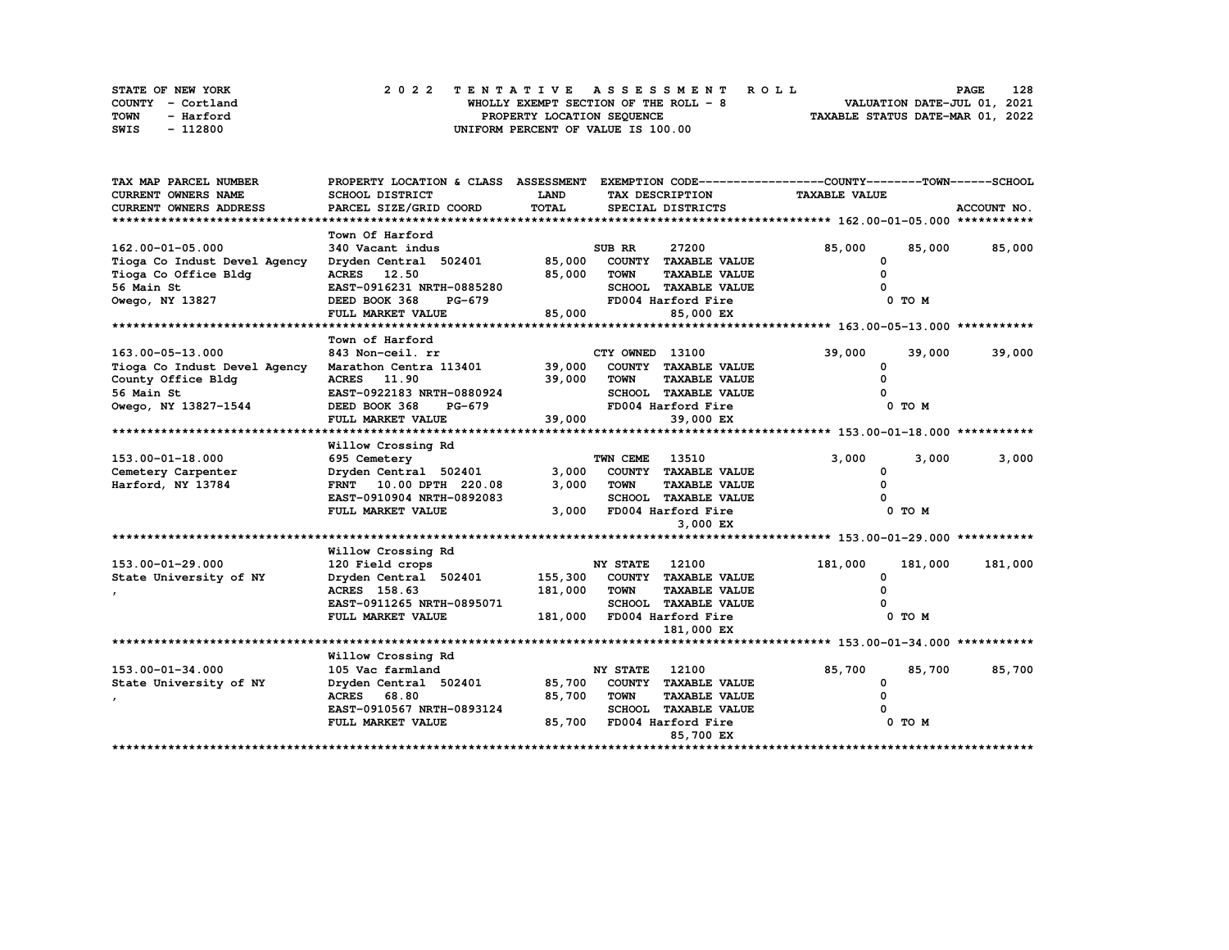|      | <b>STATE OF NEW YORK</b> | 2022 TENTATIVE ASSESSMENT ROLL         | 128<br><b>PAGE</b>               |
|------|--------------------------|----------------------------------------|----------------------------------|
|      | COUNTY - Cortland        | WHOLLY EXEMPT SECTION OF THE ROLL $-8$ | VALUATION DATE-JUL 01, 2021      |
| TOWN | - Harford                | PROPERTY LOCATION SEQUENCE             | TAXABLE STATUS DATE-MAR 01, 2022 |
| SWIS | - 112800                 | UNIFORM PERCENT OF VALUE IS 100.00     |                                  |

| TAX MAP PARCEL NUMBER        | PROPERTY LOCATION & CLASS ASSESSMENT |         |                 |                             | EXEMPTION CODE-----------------COUNTY-------TOWN------SCHOOL |         |             |
|------------------------------|--------------------------------------|---------|-----------------|-----------------------------|--------------------------------------------------------------|---------|-------------|
| <b>CURRENT OWNERS NAME</b>   | SCHOOL DISTRICT                      | LAND    |                 | TAX DESCRIPTION             | <b>TAXABLE VALUE</b>                                         |         |             |
| CURRENT OWNERS ADDRESS       | PARCEL SIZE/GRID COORD               | TOTAL   |                 | SPECIAL DISTRICTS           |                                                              |         | ACCOUNT NO. |
|                              |                                      |         |                 |                             |                                                              |         |             |
|                              | Town Of Harford                      |         |                 |                             |                                                              |         |             |
| 162.00-01-05.000             | 340 Vacant indus                     |         | SUB RR          | 27200                       | 85,000                                                       | 85,000  | 85,000      |
| Tioga Co Indust Devel Agency | Dryden Central 502401                | 85,000  |                 | COUNTY TAXABLE VALUE        | 0                                                            |         |             |
| Tioga Co Office Bldg         | ACRES 12.50                          | 85,000  | TOWN            | <b>TAXABLE VALUE</b>        | n                                                            |         |             |
| 56 Main St                   | EAST-0916231 NRTH-0885280            |         |                 | <b>SCHOOL TAXABLE VALUE</b> |                                                              |         |             |
| Owego, NY 13827              | DEED BOOK 368<br>PG-679              |         |                 | FD004 Harford Fire          |                                                              | 0 TO M  |             |
|                              | FULL MARKET VALUE                    | 85,000  |                 | 85,000 EX                   |                                                              |         |             |
|                              |                                      |         |                 |                             |                                                              |         |             |
|                              | Town of Harford                      |         |                 |                             |                                                              |         |             |
| 163.00-05-13.000             | 843 Non-ceil. rr                     |         | CTY OWNED 13100 |                             | 39,000                                                       | 39,000  | 39,000      |
| Tioga Co Indust Devel Agency | Marathon Centra 113401               | 39,000  |                 | COUNTY TAXABLE VALUE        | <sup>0</sup>                                                 |         |             |
| County Office Bldg           | ACRES 11.90                          | 39,000  | <b>TOWN</b>     | <b>TAXABLE VALUE</b>        |                                                              |         |             |
| 56 Main St                   | EAST-0922183 NRTH-0880924            |         |                 | SCHOOL TAXABLE VALUE        |                                                              |         |             |
| Owego, NY 13827-1544         | DEED BOOK 368<br>PG-679              |         |                 | FD004 Harford Fire          |                                                              | 0 TO M  |             |
|                              | FULL MARKET VALUE                    | 39,000  |                 | 39,000 EX                   |                                                              |         |             |
|                              |                                      |         |                 |                             |                                                              |         |             |
|                              | Willow Crossing Rd                   |         |                 |                             |                                                              |         |             |
| 153.00-01-18.000             | 695 Cemetery                         |         | TWN CEME        | 13510                       | 3,000                                                        | 3,000   | 3,000       |
| Cemetery Carpenter           | Dryden Central 502401                | 3,000   |                 | COUNTY TAXABLE VALUE        | 0                                                            |         |             |
| Harford, NY 13784            | FRNT 10.00 DPTH 220.08               | 3,000   | <b>TOWN</b>     | <b>TAXABLE VALUE</b>        | O                                                            |         |             |
|                              | EAST-0910904 NRTH-0892083            |         |                 | SCHOOL TAXABLE VALUE        |                                                              |         |             |
|                              | FULL MARKET VALUE                    | 3,000   |                 | FD004 Harford Fire          |                                                              | 0 TO M  |             |
|                              |                                      |         |                 | 3,000 EX                    |                                                              |         |             |
|                              |                                      |         |                 |                             |                                                              |         |             |
|                              | Willow Crossing Rd                   |         |                 |                             |                                                              |         |             |
| 153.00-01-29.000             | 120 Field crops                      |         | <b>NY STATE</b> | 12100                       | 181,000                                                      | 181,000 | 181,000     |
| State University of NY       | Dryden Central 502401                | 155,300 |                 | COUNTY TAXABLE VALUE        | 0                                                            |         |             |
|                              | ACRES 158.63                         | 181,000 | <b>TOWN</b>     | <b>TAXABLE VALUE</b>        |                                                              |         |             |
|                              | EAST-0911265 NRTH-0895071            |         |                 | <b>SCHOOL TAXABLE VALUE</b> |                                                              |         |             |
|                              | FULL MARKET VALUE                    | 181,000 |                 | FD004 Harford Fire          |                                                              | 0 TO M  |             |
|                              |                                      |         |                 | 181,000 EX                  |                                                              |         |             |
|                              |                                      |         |                 |                             |                                                              |         |             |
|                              | Willow Crossing Rd                   |         |                 |                             |                                                              |         |             |
| 153.00-01-34.000             | 105 Vac farmland                     |         | NY STATE        | 12100                       | 85,700                                                       | 85,700  | 85,700      |
| State University of NY       | Dryden Central 502401                | 85,700  |                 | COUNTY TAXABLE VALUE        | 0                                                            |         |             |
|                              | ACRES 68.80                          | 85,700  | <b>TOWN</b>     | <b>TAXABLE VALUE</b>        |                                                              |         |             |
|                              | EAST-0910567 NRTH-0893124            |         | <b>SCHOOL</b>   | <b>TAXABLE VALUE</b>        |                                                              |         |             |
|                              | FULL MARKET VALUE                    | 85,700  |                 | FD004 Harford Fire          |                                                              | 0 TO M  |             |
|                              |                                      |         |                 | 85,700 EX                   |                                                              |         |             |
|                              |                                      |         |                 |                             |                                                              |         |             |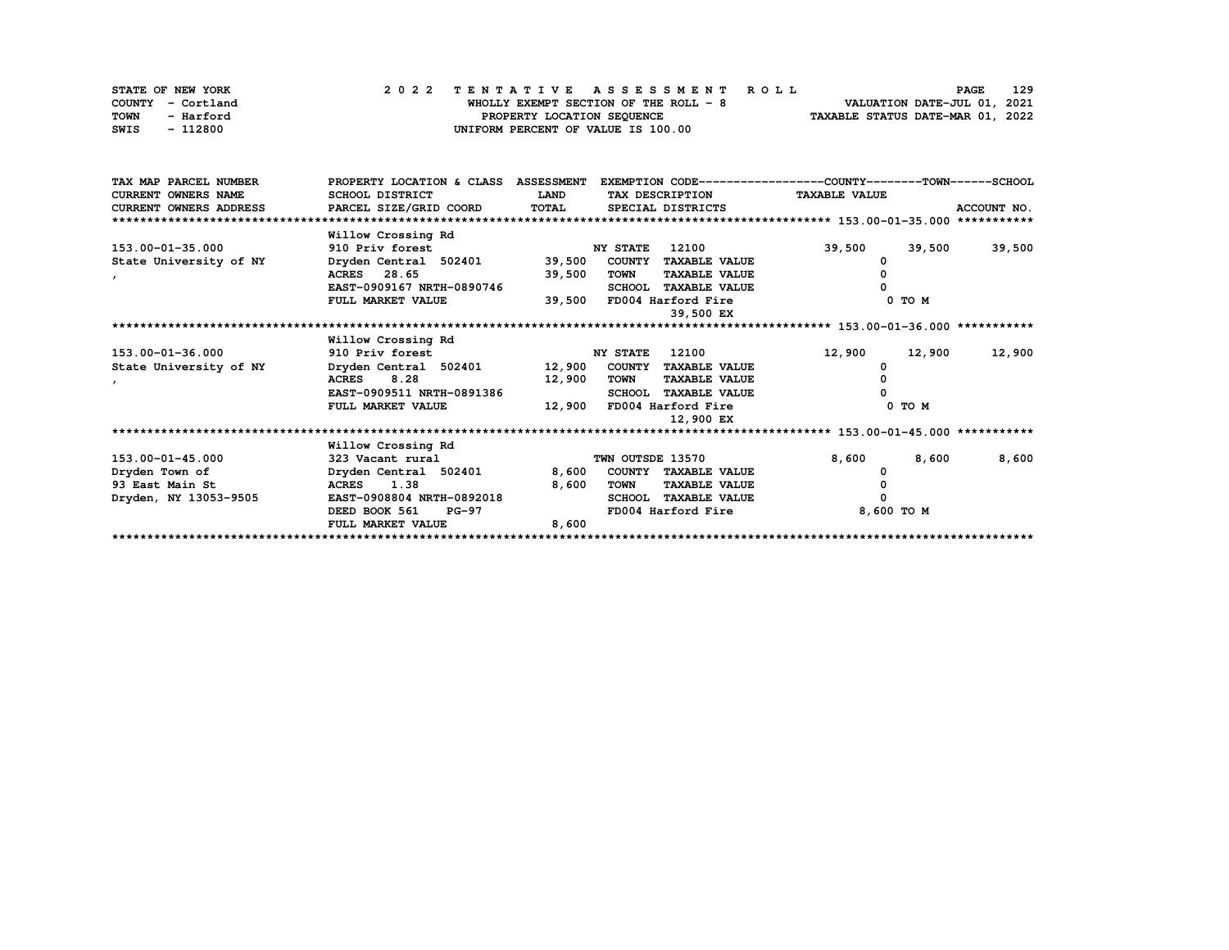| STATE OF NEW YORK | 2022 TENTATIVE ASSESSMENT ROLL         | <b>PAGE</b>                      | 129 |
|-------------------|----------------------------------------|----------------------------------|-----|
| COUNTY - Cortland | WHOLLY EXEMPT SECTION OF THE ROLL $-8$ | VALUATION DATE-JUL 01, 2021      |     |
| TOWN<br>- Harford | PROPERTY LOCATION SEQUENCE             | TAXABLE STATUS DATE-MAR 01, 2022 |     |
| - 112800<br>SWIS  | UNIFORM PERCENT OF VALUE IS 100.00     |                                  |     |

| TAX MAP PARCEL NUMBER         | PROPERTY LOCATION & CLASS ASSESSMENT |             |                  |                      | EXEMPTION CODE-----------------COUNTY-------TOWN-----SCHOOL |        |             |
|-------------------------------|--------------------------------------|-------------|------------------|----------------------|-------------------------------------------------------------|--------|-------------|
| <b>CURRENT OWNERS NAME</b>    | SCHOOL DISTRICT                      | <b>LAND</b> |                  | TAX DESCRIPTION      | <b>TAXABLE VALUE</b>                                        |        |             |
| <b>CURRENT OWNERS ADDRESS</b> | PARCEL SIZE/GRID COORD               | TOTAL       |                  | SPECIAL DISTRICTS    |                                                             |        | ACCOUNT NO. |
|                               |                                      |             |                  |                      |                                                             |        |             |
|                               | Willow Crossing Rd                   |             |                  |                      |                                                             |        |             |
| 153.00-01-35.000              | 910 Priv forest                      |             | <b>NY STATE</b>  | 12100                | 39,500                                                      | 39,500 | 39,500      |
| State University of NY        | Dryden Central 502401                | 39,500      | COUNTY           | <b>TAXABLE VALUE</b> |                                                             |        |             |
|                               | 28.65<br><b>ACRES</b>                | 39,500      | <b>TOWN</b>      | <b>TAXABLE VALUE</b> |                                                             |        |             |
|                               | EAST-0909167 NRTH-0890746            |             | <b>SCHOOL</b>    | <b>TAXABLE VALUE</b> |                                                             |        |             |
|                               | FULL MARKET VALUE                    | 39,500      |                  | FD004 Harford Fire   |                                                             | 0 TO M |             |
|                               |                                      |             |                  | 39,500 EX            |                                                             |        |             |
|                               |                                      |             |                  |                      |                                                             |        |             |
|                               | Willow Crossing Rd                   |             |                  |                      |                                                             |        |             |
| $153.00 - 01 - 36.000$        | 910 Priv forest                      |             | <b>NY STATE</b>  | 12100                | 12,900                                                      | 12,900 | 12,900      |
| State University of NY        | Dryden Central 502401                | 12,900      | <b>COUNTY</b>    | <b>TAXABLE VALUE</b> |                                                             |        |             |
| $\mathbf{r}$                  | 8.28<br><b>ACRES</b>                 | 12,900      | <b>TOWN</b>      | <b>TAXABLE VALUE</b> |                                                             |        |             |
|                               | EAST-0909511 NRTH-0891386            |             | <b>SCHOOL</b>    | <b>TAXABLE VALUE</b> |                                                             |        |             |
|                               | FULL MARKET VALUE                    | 12,900      |                  | FD004 Harford Fire   |                                                             | 0 TO M |             |
|                               |                                      |             |                  | 12,900 EX            |                                                             |        |             |
|                               |                                      |             |                  |                      |                                                             |        |             |
|                               | Willow Crossing Rd                   |             |                  |                      |                                                             |        |             |
| 153.00-01-45.000              | 323 Vacant rural                     |             | TWN OUTSDE 13570 |                      | 8,600                                                       | 8,600  | 8,600       |
| Dryden Town of                | Dryden Central 502401                | 8,600       |                  | COUNTY TAXABLE VALUE |                                                             |        |             |
| 93 East Main St               | 1.38<br><b>ACRES</b>                 | 8,600       | TOWN             | <b>TAXABLE VALUE</b> |                                                             |        |             |
| Dryden, NY 13053-9505         | EAST-0908804 NRTH-0892018            |             | <b>SCHOOL</b>    | <b>TAXABLE VALUE</b> |                                                             |        |             |
|                               | DEED BOOK 561<br><b>PG-97</b>        |             |                  | FD004 Harford Fire   | 8,600 TO M                                                  |        |             |
|                               | FULL MARKET VALUE                    | 8,600       |                  |                      |                                                             |        |             |
|                               |                                      |             |                  |                      |                                                             |        |             |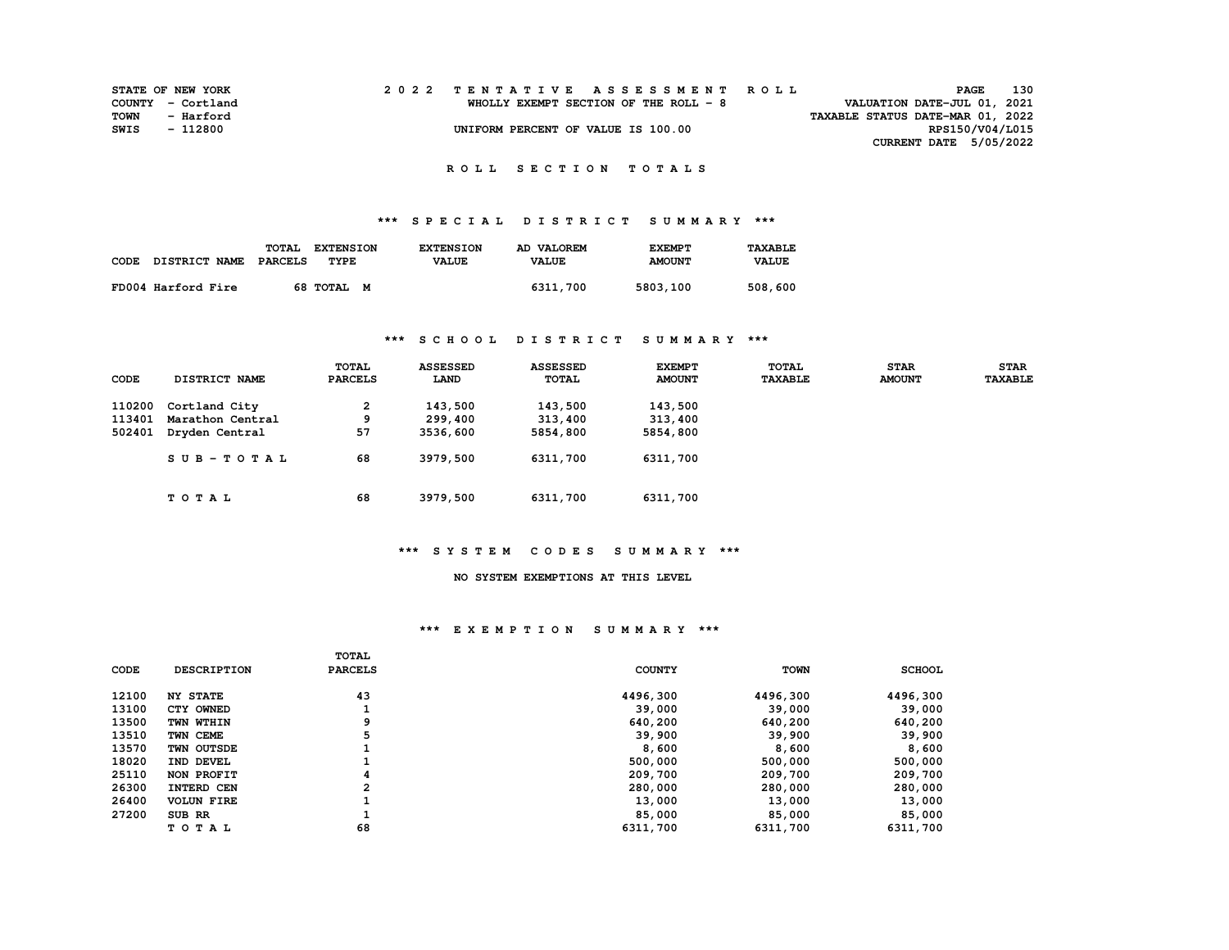| <b>STATE OF NEW YORK</b> |                   |  |  |  |  |  |                                       |  |  |  | 2022 TENTATIVE ASSESSMENT ROLL |                                  |                 | <b>PAGE</b> | 130 |  |
|--------------------------|-------------------|--|--|--|--|--|---------------------------------------|--|--|--|--------------------------------|----------------------------------|-----------------|-------------|-----|--|
|                          | COUNTY - Cortland |  |  |  |  |  | WHOLLY EXEMPT SECTION OF THE ROLL - 8 |  |  |  |                                | VALUATION DATE-JUL 01, 2021      |                 |             |     |  |
| TOWN                     | - Harford         |  |  |  |  |  |                                       |  |  |  |                                | TAXABLE STATUS DATE-MAR 01, 2022 |                 |             |     |  |
| SWIS                     | - 112800          |  |  |  |  |  | UNIFORM PERCENT OF VALUE IS 100.00    |  |  |  |                                |                                  | RPS150/V04/L015 |             |     |  |
|                          |                   |  |  |  |  |  |                                       |  |  |  |                                | CURRENT DATE 5/05/2022           |                 |             |     |  |

# **\*\*\* S P E C I A L D I S T R I C T S U M M A R Y \*\*\***

|      |                      | <b>TOTAL</b> | <b>EXTENSION</b> | <b>EXTENSION</b> | AD VALOREM   | <b>EXEMPT</b> | TAXABLE      |
|------|----------------------|--------------|------------------|------------------|--------------|---------------|--------------|
| CODE | <b>DISTRICT NAME</b> | PARCELS      | TYPE             | <b>VALUE</b>     | <b>VALUE</b> | <b>AMOUNT</b> | <b>VALUE</b> |
|      | FD004 Harford Fire   |              | 68 TOTAL M       |                  | 6311,700     | 5803,100      | 508,600      |

## **\*\*\* S C H O O L D I S T R I C T S U M M A R Y \*\*\***

| CODE   | <b>DISTRICT NAME</b> | <b>TOTAL</b><br><b>PARCELS</b> | <b>ASSESSED</b><br>LAND | <b>ASSESSED</b><br>TOTAL | <b>EXEMPT</b><br><b>AMOUNT</b> | TOTAL<br><b>TAXABLE</b> | <b>STAR</b><br><b>AMOUNT</b> | <b>STAR</b><br><b>TAXABLE</b> |
|--------|----------------------|--------------------------------|-------------------------|--------------------------|--------------------------------|-------------------------|------------------------------|-------------------------------|
| 110200 | Cortland City        | 2                              | 143,500                 | 143,500                  | 143,500                        |                         |                              |                               |
| 113401 | Marathon Central     | 9                              | 299,400                 | 313,400                  | 313,400                        |                         |                              |                               |
| 502401 | Dryden Central       | 57                             | 3536,600                | 5854,800                 | 5854,800                       |                         |                              |                               |
|        | $SUB - TO T AL$      | 68                             | 3979,500                | 6311,700                 | 6311,700                       |                         |                              |                               |
|        | TOTAL                | 68                             | 3979,500                | 6311,700                 | 6311,700                       |                         |                              |                               |

#### **\*\*\* S Y S T E M C O D E S S U M M A R Y \*\*\***

#### **NO SYSTEM EXEMPTIONS AT THIS LEVEL**

| 43<br>12100<br>4496,300<br>4496,300<br>4496,300<br><b>NY STATE</b> |  |
|--------------------------------------------------------------------|--|
| 13100<br>CTY OWNED<br>39,000<br>39,000<br>39,000                   |  |
| 13500<br>640,200<br>640,200<br>640,200<br>TWN WTHIN                |  |
| 13510<br>5<br>39,900<br>39,900<br>39,900<br>TWN CEME               |  |
| 13570<br>8,600<br>8,600<br>8,600<br>TWN OUTSDE                     |  |
| 18020<br>500,000<br>500,000<br>500,000<br>IND DEVEL                |  |
| 25110<br>209,700<br>209,700<br>209,700<br>NON PROFIT               |  |
| 26300<br>2<br>280,000<br>280,000<br>280,000<br>INTERD CEN          |  |
| 26400<br>13,000<br>13,000<br>13,000<br><b>VOLUN FIRE</b>           |  |
| 27200<br>85,000<br>85,000<br>85,000<br>SUB RR                      |  |
| 68<br>TOTAL<br>6311,700<br>6311,700<br>6311,700                    |  |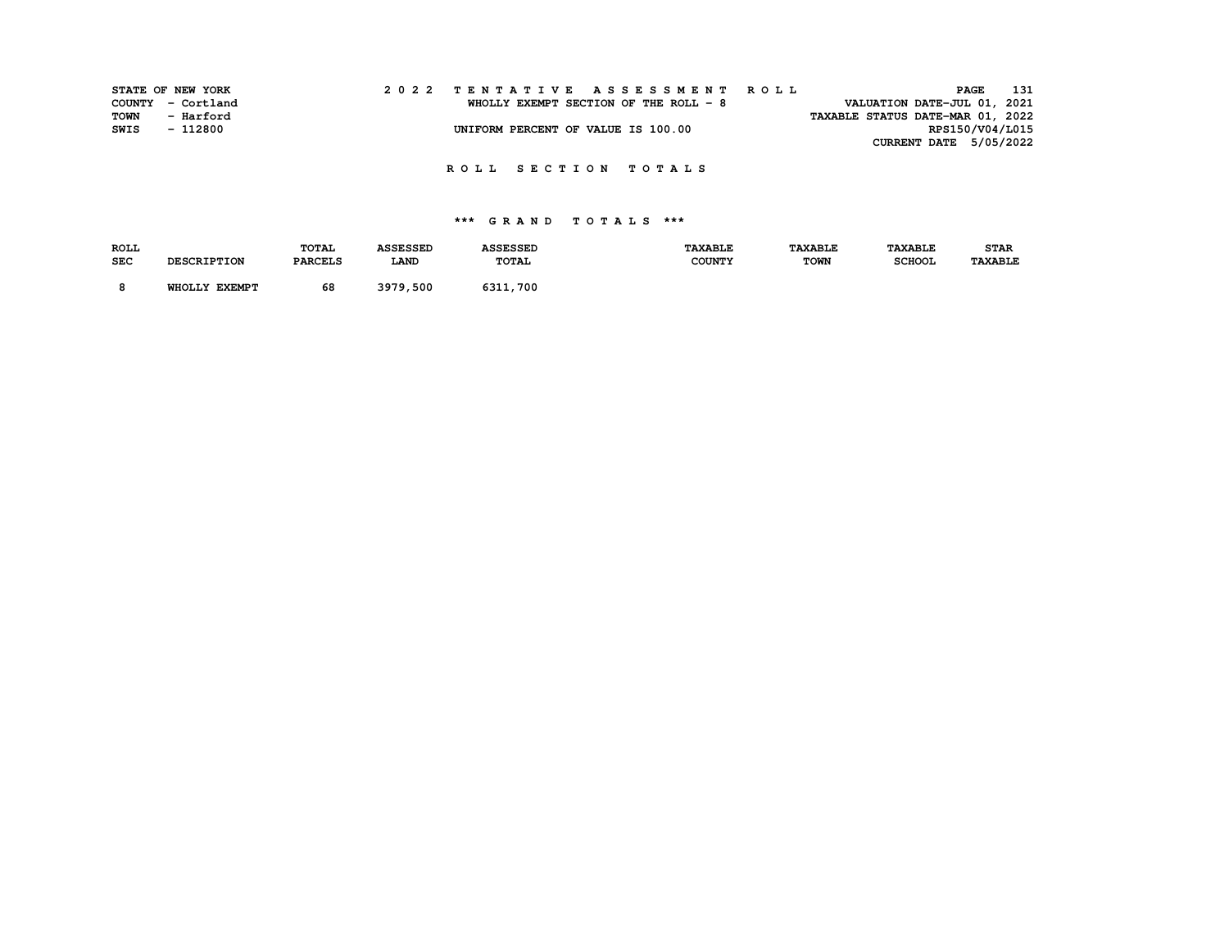| VALUATION DATE-JUL 01, 2021<br>COUNTY - Cortland<br>WHOLLY EXEMPT SECTION OF THE ROLL - 8 |  |
|-------------------------------------------------------------------------------------------|--|
| TOWN<br>TAXABLE STATUS DATE-MAR 01, 2022<br>- Harford                                     |  |
| RPS150/V04/L015<br>UNIFORM PERCENT OF VALUE IS 100.00<br>SWIS<br>- 112800                 |  |
| CURRENT DATE 5/05/2022                                                                    |  |

| <b>ROLL</b> |                    | TOTAL          | <b>ASSESSED</b> | <b>ASSESSED</b> | <b>TAXABLE</b> | <b><i>TAXABLE</i></b> | <b><i>TAXABLE</i></b> | <b>STAR</b>    |
|-------------|--------------------|----------------|-----------------|-----------------|----------------|-----------------------|-----------------------|----------------|
| <b>SEC</b>  | <b>DESCRIPTION</b> | <b>PARCELS</b> | LAND            | TOTAL           | <b>COUNTY</b>  | <b>TOWN</b>           | <b>SCHOOL</b>         | <b>TAXABLE</b> |
|             | WHOLLY EXEMPT      | 68             | 3979,500        | 6311,700        |                |                       |                       |                |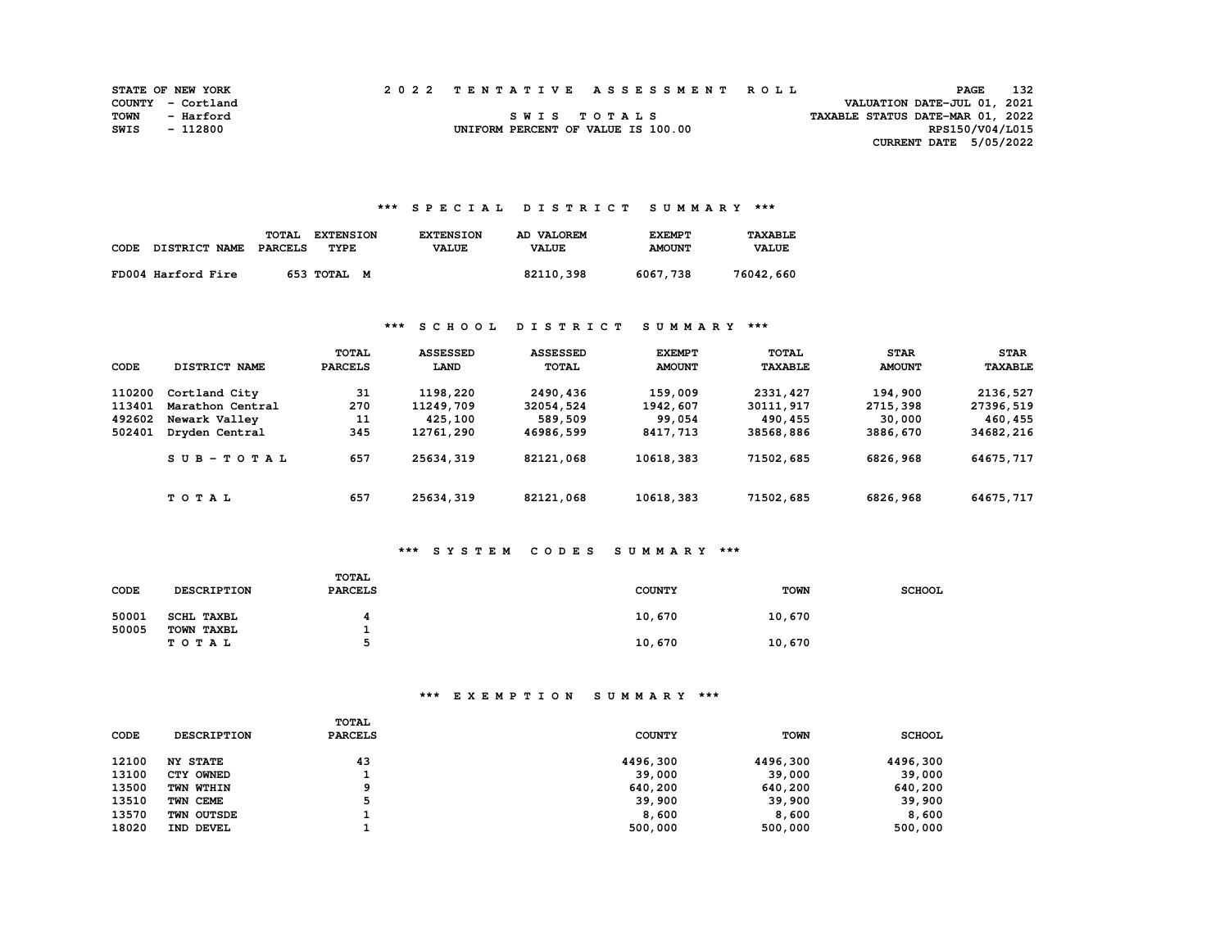| <b>STATE OF NEW YORK</b> |                   |  | 2022 TENTATIVE ASSESSMENT ROLL     |                                  | <b>PAGE</b>                 | 132 |
|--------------------------|-------------------|--|------------------------------------|----------------------------------|-----------------------------|-----|
|                          | COUNTY - Cortland |  |                                    |                                  | VALUATION DATE-JUL 01, 2021 |     |
| TOWN                     | - Harford         |  | SWIS TOTALS                        | TAXABLE STATUS DATE-MAR 01, 2022 |                             |     |
| SWIS                     | - 112800          |  | UNIFORM PERCENT OF VALUE IS 100.00 |                                  | RPS150/V04/L015             |     |
|                          |                   |  |                                    |                                  | CURRENT DATE 5/05/2022      |     |

## **\*\*\* S P E C I A L D I S T R I C T S U M M A R Y \*\*\***

| CODE | DISTRICT NAME      | TOTAL<br><b>PARCELS</b> | <b>EXTENSION</b><br>TYPE | <b>EXTENSION</b><br><b>VALUE</b> | AD VALOREM<br><b>VALUE</b> | <b>EXEMPT</b><br><b>AMOUNT</b> | TAXARI.F.<br><b>VALUE</b> |
|------|--------------------|-------------------------|--------------------------|----------------------------------|----------------------------|--------------------------------|---------------------------|
|      | FD004 Harford Fire |                         | 653 TOTAL<br>M           |                                  | 82110,398                  | 6067,738                       | 76042,660                 |

## **\*\*\* S C H O O L D I S T R I C T S U M M A R Y \*\*\***

| CODE   | DISTRICT NAME    | <b>TOTAL</b><br><b>PARCELS</b> | <b>ASSESSED</b><br>LAND | <b>ASSESSED</b><br><b>TOTAL</b> | <b>EXEMPT</b><br><b>AMOUNT</b> | TOTAL<br><b><i>TAXABLE</i></b> | <b>STAR</b><br><b>AMOUNT</b> | <b>STAR</b><br><b>TAXABLE</b> |
|--------|------------------|--------------------------------|-------------------------|---------------------------------|--------------------------------|--------------------------------|------------------------------|-------------------------------|
| 110200 | Cortland City    | 31                             | 1198,220                | 2490,436                        | 159,009                        | 2331, 427                      | 194,900                      | 2136,527                      |
| 113401 | Marathon Central | 270                            | 11249,709               | 32054,524                       | 1942,607                       | 30111, 917                     | 2715,398                     | 27396,519                     |
| 492602 | Newark Valley    | 11                             | 425,100                 | 589,509                         | 99,054                         | 490,455                        | 30,000                       | 460,455                       |
| 502401 | Dryden Central   | 345                            | 12761,290               | 46986,599                       | 8417,713                       | 38568,886                      | 3886,670                     | 34682,216                     |
|        | $SUB - TO T AL$  | 657                            | 25634,319               | 82121,068                       | 10618,383                      | 71502,685                      | 6826,968                     | 64675,717                     |
|        | TOTAL            | 657                            | 25634,319               | 82121,068                       | 10618,383                      | 71502,685                      | 6826,968                     | 64675,717                     |

# **\*\*\* S Y S T E M C O D E S S U M M A R Y \*\*\***

| CODE  | <b>DESCRIPTION</b>  | TOTAL<br><b>PARCELS</b> | <b>COUNTY</b> | <b>TOWN</b> | <b>SCHOOL</b> |
|-------|---------------------|-------------------------|---------------|-------------|---------------|
| 50001 | <b>SCHL TAXBL</b>   |                         | 10,670        | 10,670      |               |
| 50005 | TOWN TAXBL<br>TOTAL | ב                       | 10,670        | 10,670      |               |

| <b>CODE</b> | <b>DESCRIPTION</b> | <b>TOTAL</b><br><b>PARCELS</b> | <b>COUNTY</b> | <b>TOWN</b> | <b>SCHOOL</b> |
|-------------|--------------------|--------------------------------|---------------|-------------|---------------|
| 12100       | <b>NY STATE</b>    | 43                             | 4496,300      | 4496,300    | 4496,300      |
| 13100       | CTY OWNED          |                                | 39,000        | 39,000      | 39,000        |
| 13500       | TWN WTHIN          | $\circ$                        | 640,200       | 640,200     | 640,200       |
| 13510       | TWN CEME           |                                | 39,900        | 39,900      | 39,900        |
| 13570       | TWN OUTSDE         |                                | 8,600         | 8,600       | 8,600         |
| 18020       | IND DEVEL          |                                | 500,000       | 500,000     | 500,000       |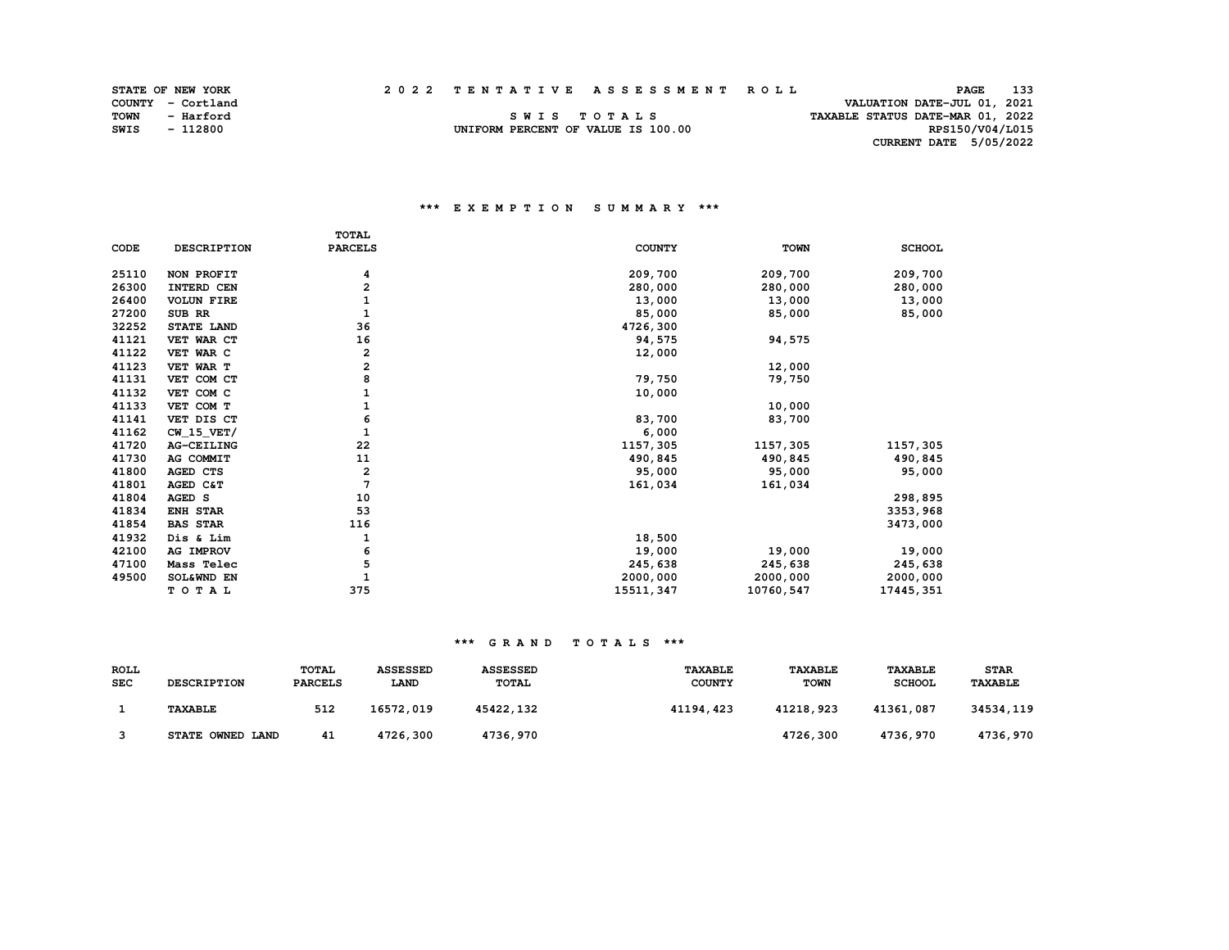| <b>STATE OF NEW YORK</b> |  |  | 2022 TENTATIVE ASSESSMENT ROLL | 133<br><b>PAGE</b> |
|--------------------------|--|--|--------------------------------|--------------------|
|--------------------------|--|--|--------------------------------|--------------------|

RPS150/V04/L015

|             | STATE OF NEW YORK |                                    | 2022 TENTATIVE ASSESSMENT ROLL | PAGE                             | 133 |
|-------------|-------------------|------------------------------------|--------------------------------|----------------------------------|-----|
|             | COUNTY - Cortland |                                    |                                | VALUATION DATE-JUL 01, 2021      |     |
| <b>TOWN</b> | - Harford         | SWIS TOTALS                        |                                | TAXABLE STATUS DATE-MAR 01, 2022 |     |
| <b>SWIS</b> | - 112800          | UNIFORM PERCENT OF VALUE IS 100.00 |                                | RPS150/V04/L015                  |     |

UNIFORM PERCENT OF VALUE IS 100.00  **CURRENT DATE 5/05/2022** 

## **\*\*\* E X E M P T I O N S U M M A R Y \*\*\***

|       |                    | <b>TOTAL</b>   |               |             |               |
|-------|--------------------|----------------|---------------|-------------|---------------|
| CODE  | <b>DESCRIPTION</b> | <b>PARCELS</b> | <b>COUNTY</b> | <b>TOWN</b> | <b>SCHOOL</b> |
| 25110 | NON PROFIT         | 4              | 209,700       | 209,700     | 209,700       |
| 26300 | INTERD CEN         | 2              | 280,000       | 280,000     | 280,000       |
| 26400 | <b>VOLUN FIRE</b>  | 1              | 13,000        | 13,000      | 13,000        |
| 27200 | SUB RR             | $\mathbf{1}$   | 85,000        | 85,000      | 85,000        |
| 32252 | STATE LAND         | 36             | 4726,300      |             |               |
| 41121 | VET WAR CT         | 16             | 94,575        | 94,575      |               |
| 41122 | VET WAR C          | 2              | 12,000        |             |               |
| 41123 | VET WAR T          | 2              |               | 12,000      |               |
| 41131 | VET COM CT         | 8              | 79,750        | 79,750      |               |
| 41132 | VET COM C          |                | 10,000        |             |               |
| 41133 | VET COM T          |                |               | 10,000      |               |
| 41141 | VET DIS CT         | 6              | 83,700        | 83,700      |               |
| 41162 | $CW_15_VET/$       | $\mathbf{1}$   | 6,000         |             |               |
| 41720 | AG-CEILING         | 22             | 1157,305      | 1157,305    | 1157,305      |
| 41730 | AG COMMIT          | 11             | 490,845       | 490,845     | 490,845       |
| 41800 | AGED CTS           | 2              | 95,000        | 95,000      | 95,000        |
| 41801 | AGED C&T           | 7              | 161,034       | 161,034     |               |
| 41804 | AGED S             | 10             |               |             | 298,895       |
| 41834 | ENH STAR           | 53             |               |             | 3353,968      |
| 41854 | <b>BAS STAR</b>    | 116            |               |             | 3473,000      |
| 41932 | Dis & Lim          | 1              | 18,500        |             |               |
| 42100 | <b>AG IMPROV</b>   | 6              | 19,000        | 19,000      | 19,000        |
| 47100 | Mass Telec         | 5              | 245,638       | 245,638     | 245,638       |
| 49500 | SOL&WND EN         |                | 2000,000      | 2000,000    | 2000,000      |
|       | TOTAL              | 375            | 15511,347     | 10760,547   | 17445, 351    |

| ROLL<br><b>SEC</b> | <b>DESCRIPTION</b> | TOTAL<br><b>PARCELS</b> | <b>ASSESSED</b><br>LAND | <b>ASSESSED</b><br><b>TOTAL</b> | <b>TAXABLE</b><br><b>COUNTY</b> | <b>TAXABLE</b><br><b>TOWN</b> | <b>TAXABLE</b><br><b>SCHOOL</b> | <b>STAR</b><br><b>TAXABLE</b> |
|--------------------|--------------------|-------------------------|-------------------------|---------------------------------|---------------------------------|-------------------------------|---------------------------------|-------------------------------|
|                    | <b>TAXABLE</b>     | 512                     | 16572,019               | 45422,132                       | 41194,423                       | 41218,923                     | 41361,087                       | 34534,119                     |
|                    | STATE OWNED LAND   | 41                      | 4726,300                | 4736,970                        |                                 | 4726,300                      | 4736,970                        | 4736,970                      |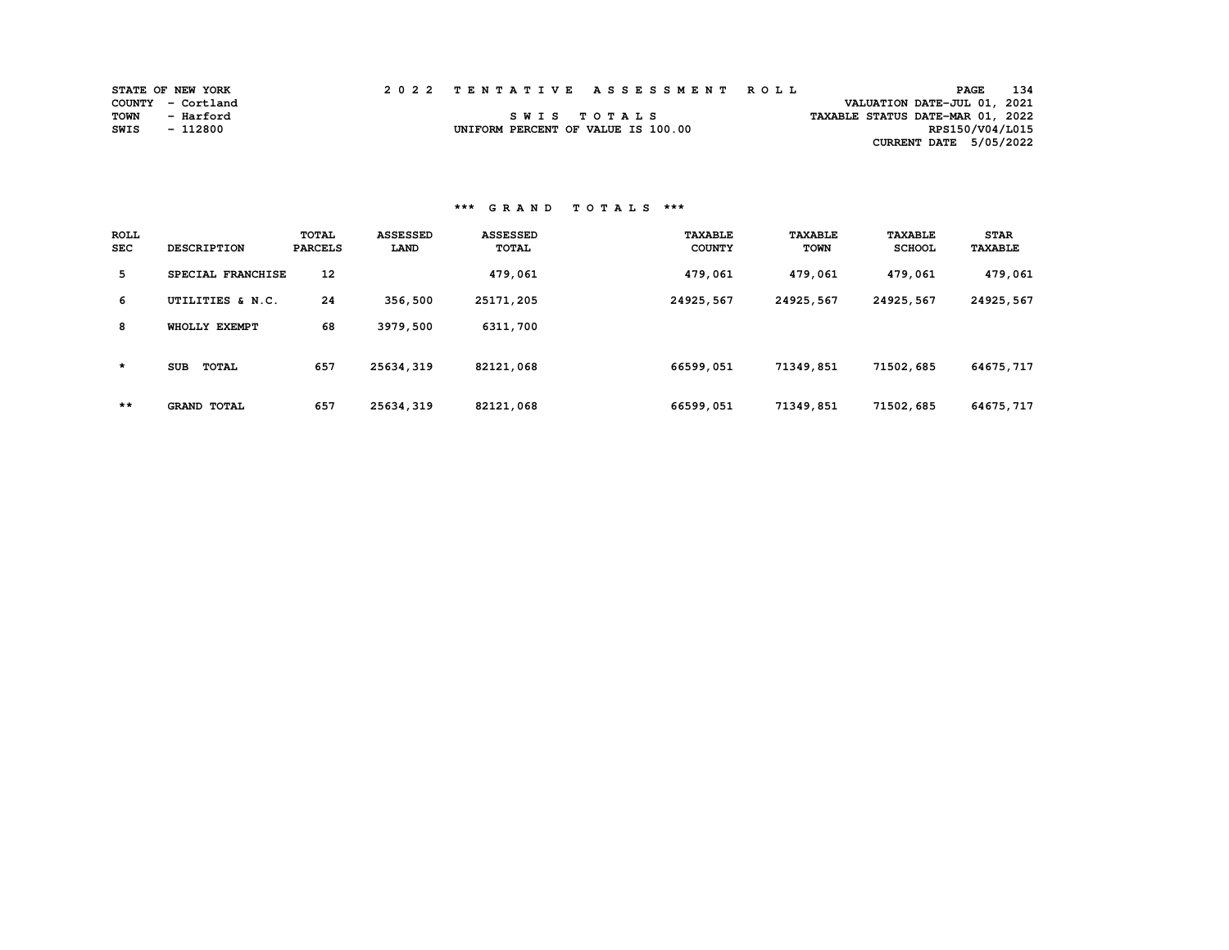|      | <b>STATE OF NEW YORK</b> |  | 2022 TENTATIVE ASSESSMENT ROLL     | 134<br><b>PAGE</b>               |  |
|------|--------------------------|--|------------------------------------|----------------------------------|--|
|      | COUNTY - Cortland        |  |                                    | VALUATION DATE-JUL 01, 2021      |  |
| TOWN | - Harford                |  | SWIS TOTALS                        | TAXABLE STATUS DATE-MAR 01, 2022 |  |
| SWIS | - 112800                 |  | UNIFORM PERCENT OF VALUE IS 100.00 | RPS150/V04/L015                  |  |
|      |                          |  |                                    | CURRENT DATE 5/05/2022           |  |

| <b>ROLL</b><br><b>SEC</b> | <b>DESCRIPTION</b>         | TOTAL<br><b>PARCELS</b> | <b>ASSESSED</b><br>LAND | <b>ASSESSED</b><br>TOTAL | <b>TAXABLE</b><br><b>COUNTY</b> | <b>TAXABLE</b><br><b>TOWN</b> | <b>TAXABLE</b><br><b>SCHOOL</b> | <b>STAR</b><br><b>TAXABLE</b> |
|---------------------------|----------------------------|-------------------------|-------------------------|--------------------------|---------------------------------|-------------------------------|---------------------------------|-------------------------------|
| 5                         | SPECIAL FRANCHISE          | 12                      |                         | 479,061                  | 479,061                         | 479,061                       | 479,061                         | 479,061                       |
| 6                         | UTILITIES & N.C.           | 24                      | 356,500                 | 25171,205                | 24925,567                       | 24925,567                     | 24925,567                       | 24925,567                     |
| 8                         | WHOLLY EXEMPT              | 68                      | 3979,500                | 6311,700                 |                                 |                               |                                 |                               |
| $\star$                   | <b>SUB</b><br><b>TOTAL</b> | 657                     | 25634,319               | 82121,068                | 66599,051                       | 71349,851                     | 71502,685                       | 64675,717                     |
| **                        | <b>GRAND TOTAL</b>         | 657                     | 25634,319               | 82121,068                | 66599,051                       | 71349,851                     | 71502,685                       | 64675, 717                    |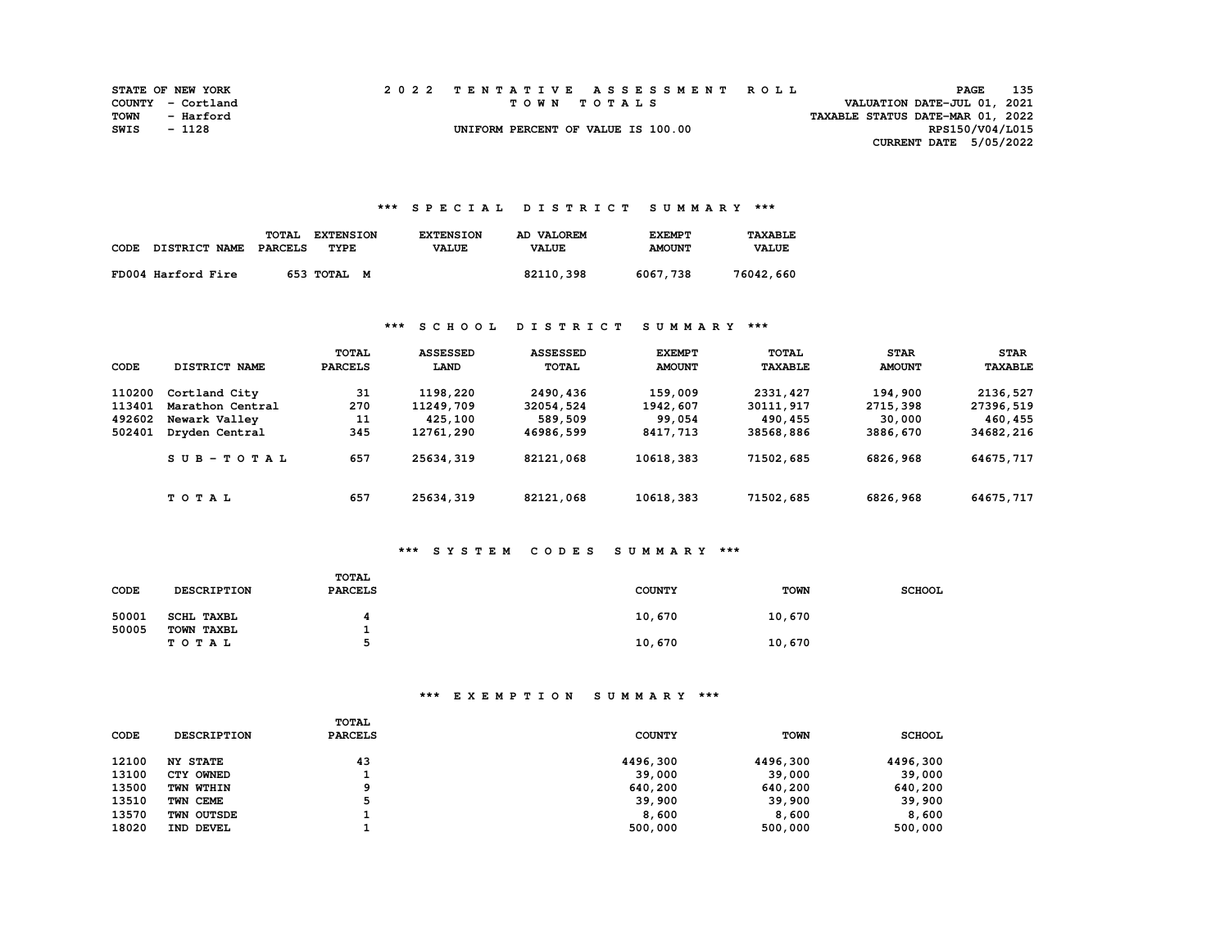|      | <b>STATE OF NEW YORK</b> |  | 2022 TENTATIVE ASSESSMENT ROLL     | PAGE                             | 135 |
|------|--------------------------|--|------------------------------------|----------------------------------|-----|
|      | COUNTY - Cortland        |  | TOWN TOTALS                        | VALUATION DATE-JUL 01, 2021      |     |
| TOWN | - Harford                |  |                                    | TAXABLE STATUS DATE-MAR 01, 2022 |     |
| SWIS | $-1128$                  |  | UNIFORM PERCENT OF VALUE IS 100.00 | RPS150/V04/L015                  |     |
|      |                          |  |                                    | CURRENT DATE $5/05/2022$         |     |

## **\*\*\* S P E C I A L D I S T R I C T S U M M A R Y \*\*\***

| CODE | DISTRICT NAME      | TOTAL<br><b>PARCELS</b> | <b>EXTENSION</b><br>TYPE | <b>EXTENSION</b><br><b>VALUE</b> | AD VALOREM<br><b>VALUE</b> | <b>EXEMPT</b><br><b>AMOUNT</b> | TAXARI.F.<br><b>VALUE</b> |
|------|--------------------|-------------------------|--------------------------|----------------------------------|----------------------------|--------------------------------|---------------------------|
|      | FD004 Harford Fire |                         | 653 TOTAL<br>M           |                                  | 82110,398                  | 6067,738                       | 76042,660                 |

## **\*\*\* S C H O O L D I S T R I C T S U M M A R Y \*\*\***

| CODE   | DISTRICT NAME    | TOTAL<br><b>PARCELS</b> | <b>ASSESSED</b><br>LAND | <b>ASSESSED</b><br><b>TOTAL</b> | <b>EXEMPT</b><br><b>AMOUNT</b> | TOTAL<br><b>TAXABLE</b> | <b>STAR</b><br><b>AMOUNT</b> | <b>STAR</b><br><b>TAXABLE</b> |
|--------|------------------|-------------------------|-------------------------|---------------------------------|--------------------------------|-------------------------|------------------------------|-------------------------------|
| 110200 | Cortland City    | 31                      | 1198,220                | 2490,436                        | 159,009                        | 2331, 427               | 194,900                      | 2136,527                      |
| 113401 | Marathon Central | 270                     | 11249,709               | 32054,524                       | 1942,607                       | 30111,917               | 2715,398                     | 27396,519                     |
| 492602 | Newark Valley    | 11                      | 425,100                 | 589,509                         | 99,054                         | 490,455                 | 30,000                       | 460,455                       |
| 502401 | Dryden Central   | 345                     | 12761,290               | 46986,599                       | 8417,713                       | 38568,886               | 3886,670                     | 34682,216                     |
|        | $SUB - TO T AL$  | 657                     | 25634,319               | 82121,068                       | 10618,383                      | 71502,685               | 6826,968                     | 64675,717                     |
|        | TOTAL            | 657                     | 25634,319               | 82121,068                       | 10618,383                      | 71502,685               | 6826,968                     | 64675,717                     |

# **\*\*\* S Y S T E M C O D E S S U M M A R Y \*\*\***

| CODE  | <b>DESCRIPTION</b>  | TOTAL<br><b>PARCELS</b> | <b>COUNTY</b> | <b>TOWN</b> | <b>SCHOOL</b> |
|-------|---------------------|-------------------------|---------------|-------------|---------------|
| 50001 | <b>SCHL TAXBL</b>   |                         | 10,670        | 10,670      |               |
| 50005 | TOWN TAXBL<br>TOTAL | ב                       | 10,670        | 10,670      |               |

| CODE  | <b>DESCRIPTION</b> | TOTAL<br><b>PARCELS</b> | <b>COUNTY</b> | <b>TOWN</b> | <b>SCHOOL</b> |
|-------|--------------------|-------------------------|---------------|-------------|---------------|
| 12100 | <b>NY STATE</b>    | 43                      | 4496,300      | 4496,300    | 4496,300      |
| 13100 | CTY OWNED          |                         | 39,000        | 39,000      | 39,000        |
| 13500 | TWN WTHIN          | a                       | 640,200       | 640,200     | 640,200       |
| 13510 | TWN CEME           |                         | 39,900        | 39,900      | 39,900        |
| 13570 | TWN OUTSDE         |                         | 8,600         | 8,600       | 8,600         |
| 18020 | IND DEVEL          |                         | 500,000       | 500,000     | 500,000       |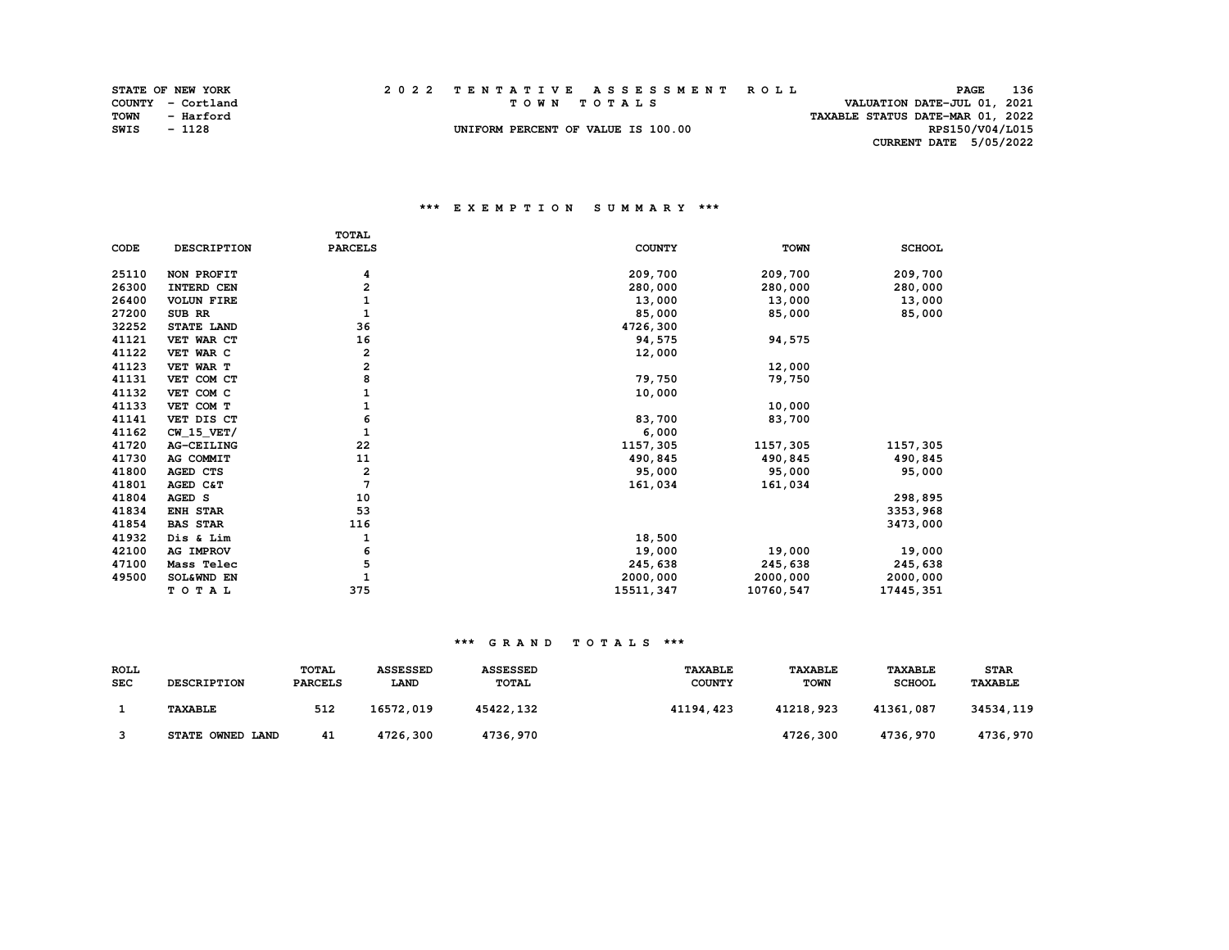|             | <b>STATE OF NEW YORK</b> | 2022 TENTATIVE ASSESSMENT ROLL     | 136<br><b>PAGE</b>               |
|-------------|--------------------------|------------------------------------|----------------------------------|
|             | COUNTY - Cortland        | TOWN TOTALS                        | VALUATION DATE-JUL 01, 2021      |
| <b>TOWN</b> | - Harford                |                                    | TAXABLE STATUS DATE-MAR 01, 2022 |
| SWIS        | - 1128                   | UNIFORM PERCENT OF VALUE IS 100.00 | RPS150/V04/L015                  |
|             |                          |                                    | CURRENT DATE 5/05/2022           |

## **\*\*\* E X E M P T I O N S U M M A R Y \*\*\***

|       |                    | <b>TOTAL</b>   |               |             |               |
|-------|--------------------|----------------|---------------|-------------|---------------|
| CODE  | <b>DESCRIPTION</b> | <b>PARCELS</b> | <b>COUNTY</b> | <b>TOWN</b> | <b>SCHOOL</b> |
| 25110 | NON PROFIT         | 4              | 209,700       | 209,700     | 209,700       |
| 26300 | INTERD CEN         | 2              | 280,000       | 280,000     | 280,000       |
| 26400 | <b>VOLUN FIRE</b>  | 1              | 13,000        | 13,000      | 13,000        |
| 27200 | SUB RR             | 1              | 85,000        | 85,000      | 85,000        |
| 32252 | STATE LAND         | 36             | 4726,300      |             |               |
| 41121 | VET WAR CT         | 16             | 94,575        | 94,575      |               |
| 41122 | VET WAR C          | 2              | 12,000        |             |               |
| 41123 | VET WAR T          | 2              |               | 12,000      |               |
| 41131 | VET COM CT         | 8              | 79,750        | 79,750      |               |
| 41132 | VET COM C          |                | 10,000        |             |               |
| 41133 | VET COM T          |                |               | 10,000      |               |
| 41141 | VET DIS CT         | 6              | 83,700        | 83,700      |               |
| 41162 | $CW_15_VET/$       |                | 6,000         |             |               |
| 41720 | AG-CEILING         | 22             | 1157,305      | 1157,305    | 1157,305      |
| 41730 | AG COMMIT          | 11             | 490,845       | 490,845     | 490,845       |
| 41800 | <b>AGED CTS</b>    | 2              | 95,000        | 95,000      | 95,000        |
| 41801 | AGED C&T           | 7              | 161,034       | 161,034     |               |
| 41804 | AGED S             | 10             |               |             | 298,895       |
| 41834 | ENH STAR           | 53             |               |             | 3353,968      |
| 41854 | <b>BAS STAR</b>    | 116            |               |             | 3473,000      |
| 41932 | Dis & Lim          | 1              | 18,500        |             |               |
| 42100 | AG IMPROV          | 6              | 19,000        | 19,000      | 19,000        |
| 47100 | Mass Telec         | 5              | 245,638       | 245,638     | 245,638       |
| 49500 | SOL&WND EN         |                | 2000,000      | 2000,000    | 2000,000      |
|       | TOTAL              | 375            | 15511,347     | 10760,547   | 17445, 351    |

| <b>ROLL</b><br><b>SEC</b> | <b>DESCRIPTION</b> | <b>TOTAL</b><br><b>PARCELS</b> | <b>ASSESSED</b><br><b>LAND</b> | <b>ASSESSED</b><br><b>TOTAL</b> | <b>TAXABLE</b><br><b>COUNTY</b> | <b>TAXABLE</b><br><b>TOWN</b> | <b>TAXABLE</b><br><b>SCHOOL</b> | <b>STAR</b><br>TAXABLE |
|---------------------------|--------------------|--------------------------------|--------------------------------|---------------------------------|---------------------------------|-------------------------------|---------------------------------|------------------------|
|                           | <b>TAXABLE</b>     | 512                            | 16572,019                      | 45422,132                       | 41194,423                       | 41218,923                     | 41361,087                       | 34534,119              |
|                           | STATE OWNED LAND   | 41                             | 4726,300                       | 4736,970                        |                                 | 4726,300                      | 4736,970                        | 4736,970               |